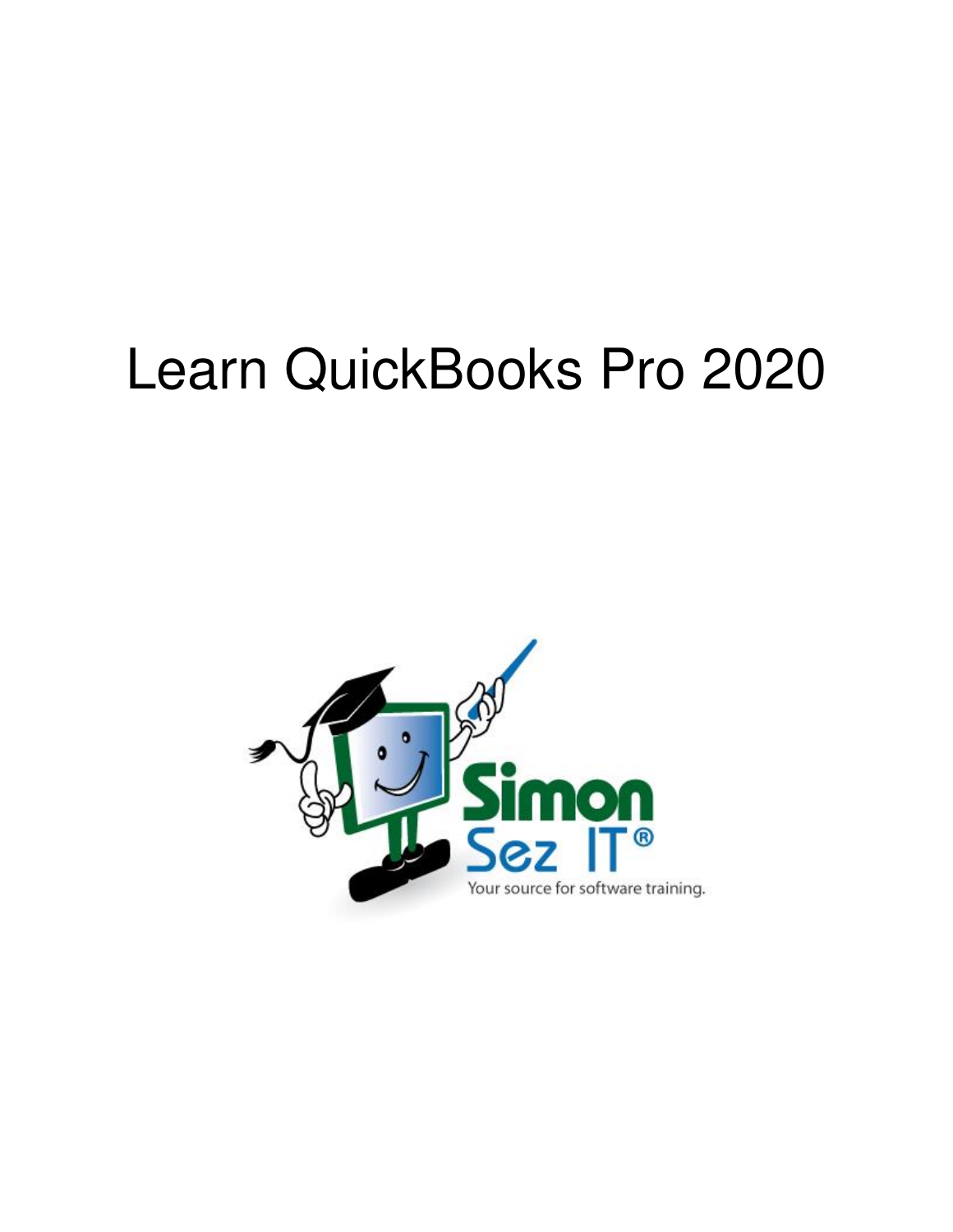# Learn QuickBooks Pro 2020

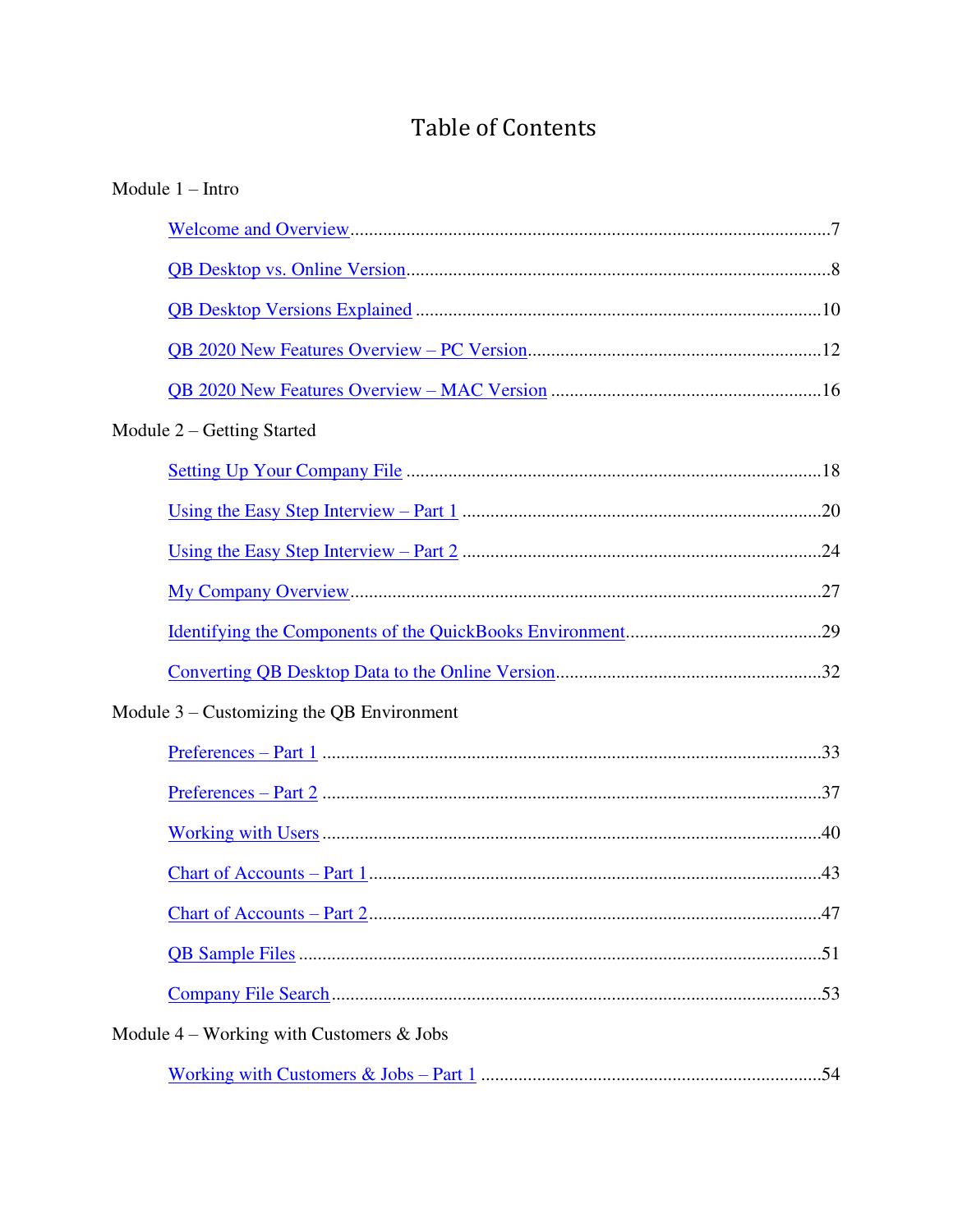# **Table of Contents**

| Module $1 - Intro$                          |
|---------------------------------------------|
|                                             |
|                                             |
|                                             |
|                                             |
|                                             |
| Module $2$ – Getting Started                |
|                                             |
|                                             |
|                                             |
|                                             |
|                                             |
|                                             |
| Module $3$ – Customizing the QB Environment |
|                                             |
|                                             |
|                                             |
|                                             |
|                                             |
|                                             |
|                                             |
| Module $4$ – Working with Customers & Jobs  |
|                                             |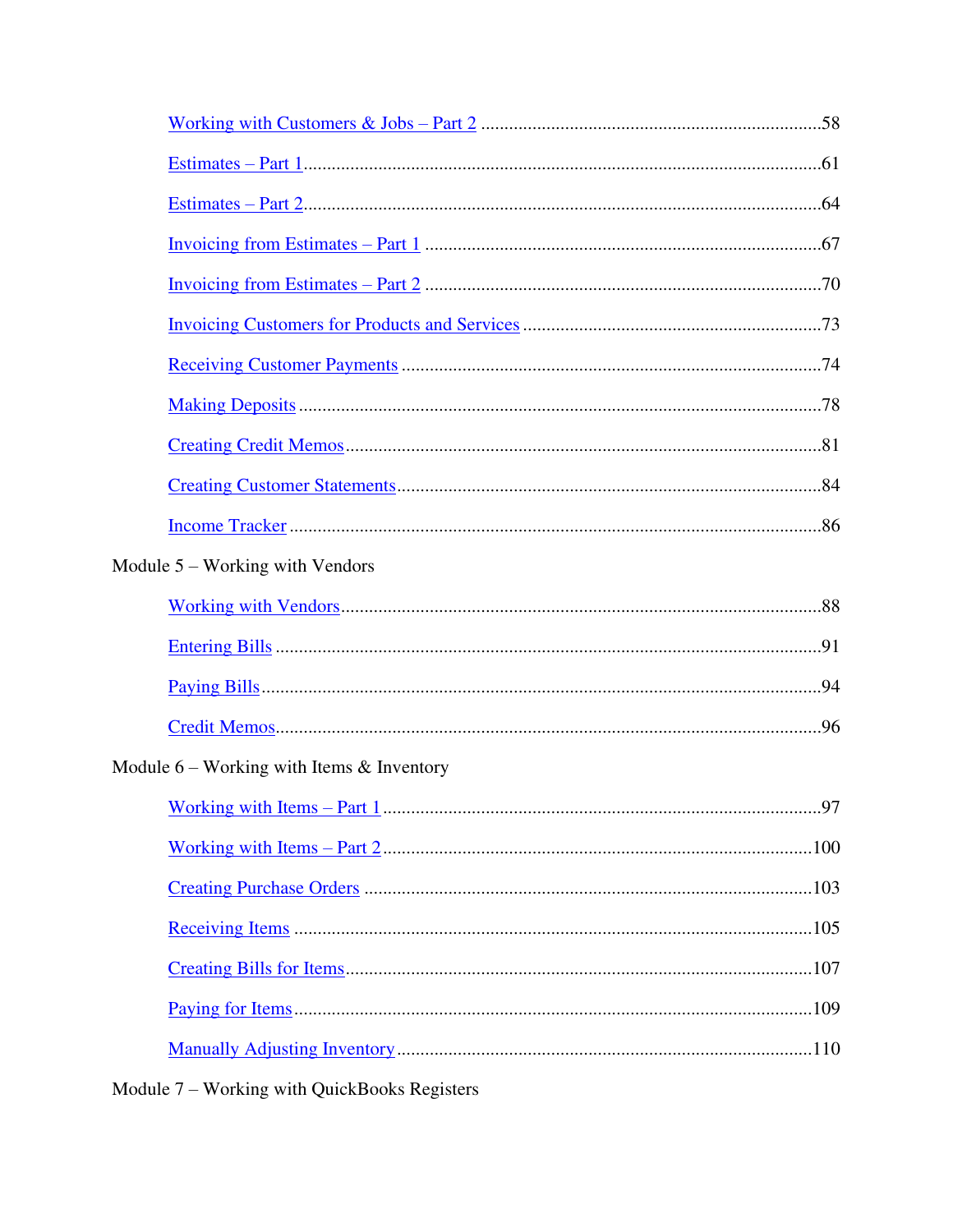| Invoicing from Estimates – Part 1 $\ldots$ $\ldots$ $\ldots$ $\ldots$ $\ldots$ $\ldots$ $\ldots$ $\ldots$ $\ldots$ $\ldots$ $\ldots$ $\ldots$ $\ldots$ $\ldots$ $\ldots$ $\ldots$ $\ldots$ $\ldots$ $\ldots$ $\ldots$ $\ldots$ $\ldots$ $\ldots$ $\ldots$ $\ldots$ $\ldots$ $\ldots$ $\ldots$ $\ldots$ $\ldots$ $\ldots$ |  |
|--------------------------------------------------------------------------------------------------------------------------------------------------------------------------------------------------------------------------------------------------------------------------------------------------------------------------|--|
|                                                                                                                                                                                                                                                                                                                          |  |
|                                                                                                                                                                                                                                                                                                                          |  |
|                                                                                                                                                                                                                                                                                                                          |  |
|                                                                                                                                                                                                                                                                                                                          |  |
|                                                                                                                                                                                                                                                                                                                          |  |
|                                                                                                                                                                                                                                                                                                                          |  |
|                                                                                                                                                                                                                                                                                                                          |  |
| Module $5 -$ Working with Vendors                                                                                                                                                                                                                                                                                        |  |
|                                                                                                                                                                                                                                                                                                                          |  |
|                                                                                                                                                                                                                                                                                                                          |  |
|                                                                                                                                                                                                                                                                                                                          |  |
|                                                                                                                                                                                                                                                                                                                          |  |
| Module $6$ – Working with Items $\&$ Inventory                                                                                                                                                                                                                                                                           |  |
|                                                                                                                                                                                                                                                                                                                          |  |
|                                                                                                                                                                                                                                                                                                                          |  |
|                                                                                                                                                                                                                                                                                                                          |  |
|                                                                                                                                                                                                                                                                                                                          |  |
|                                                                                                                                                                                                                                                                                                                          |  |
|                                                                                                                                                                                                                                                                                                                          |  |
|                                                                                                                                                                                                                                                                                                                          |  |
|                                                                                                                                                                                                                                                                                                                          |  |

Module 7 - Working with QuickBooks Registers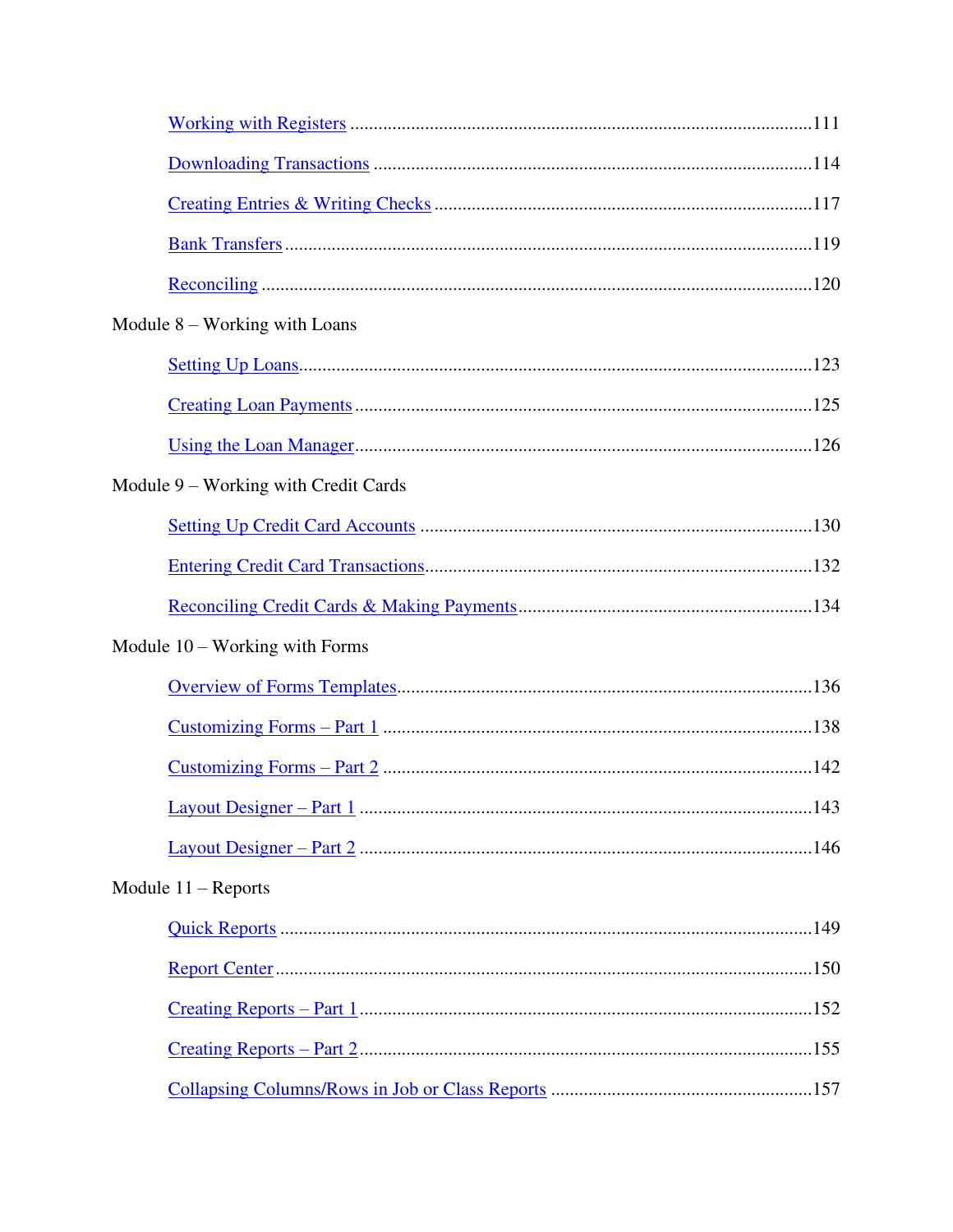| Module $8$ – Working with Loans      |
|--------------------------------------|
|                                      |
|                                      |
|                                      |
| Module 9 – Working with Credit Cards |
|                                      |
|                                      |
|                                      |
| Module $10$ – Working with Forms     |
|                                      |
|                                      |
|                                      |
|                                      |
|                                      |
| Module $11 -$ Reports                |
|                                      |
|                                      |
|                                      |
|                                      |
|                                      |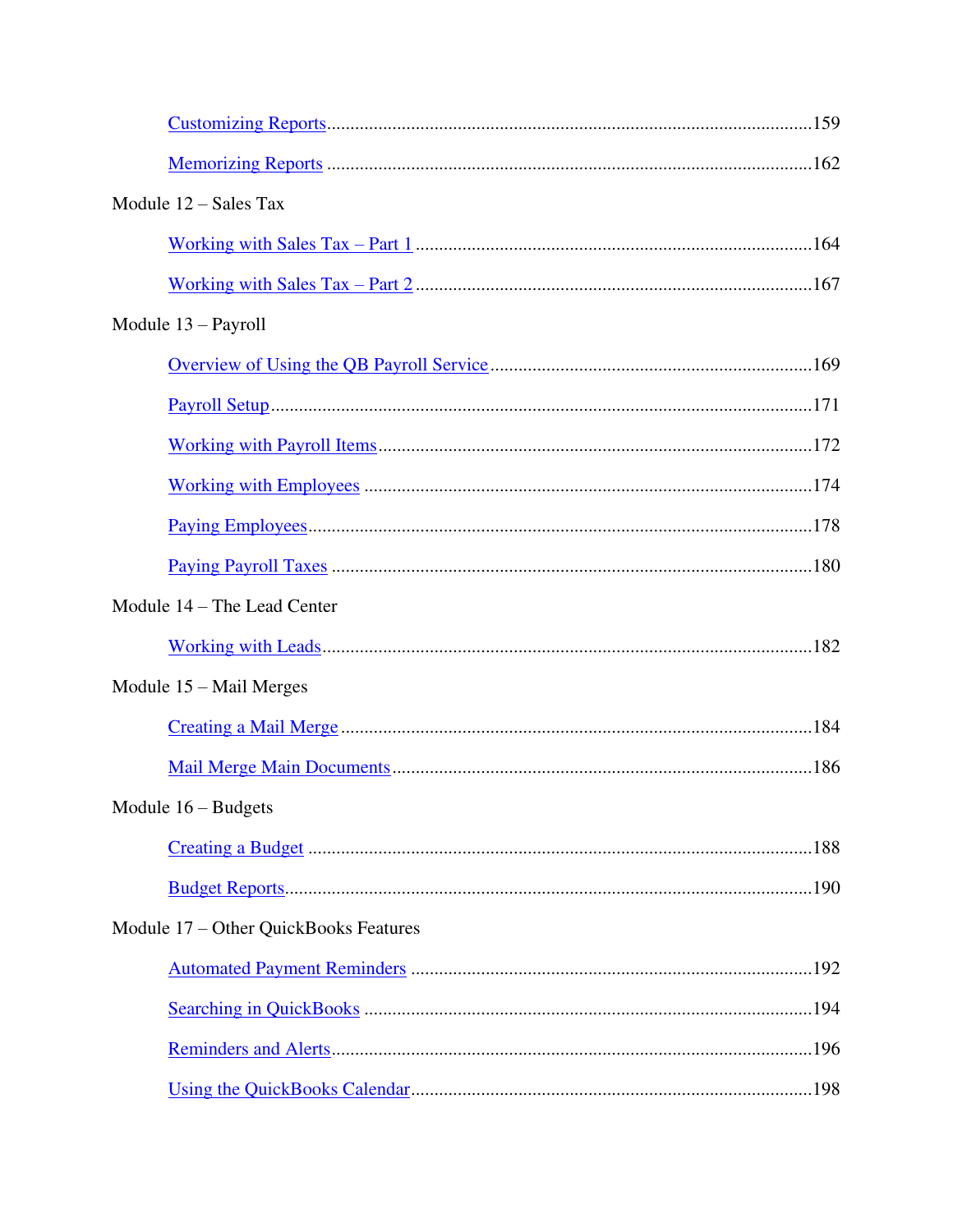| Module $12 - Sales$ Tax               |  |
|---------------------------------------|--|
|                                       |  |
|                                       |  |
| Module $13 -$ Payroll                 |  |
|                                       |  |
|                                       |  |
|                                       |  |
|                                       |  |
|                                       |  |
|                                       |  |
| Module 14 - The Lead Center           |  |
|                                       |  |
| Module $15 -$ Mail Merges             |  |
|                                       |  |
|                                       |  |
| Module $16 -$ Budgets                 |  |
|                                       |  |
|                                       |  |
| Module 17 – Other QuickBooks Features |  |
|                                       |  |
|                                       |  |
|                                       |  |
|                                       |  |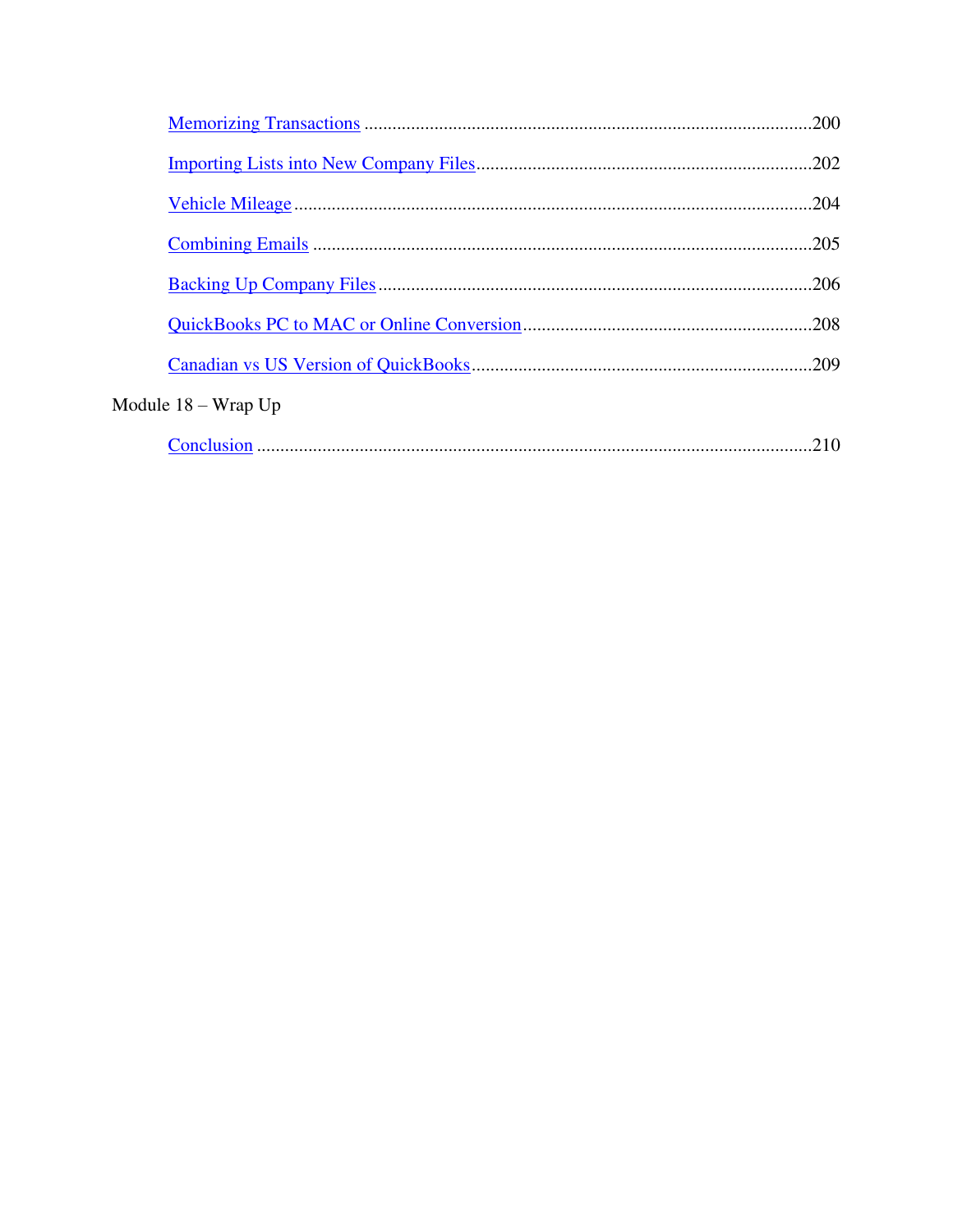|                        | .202 |
|------------------------|------|
|                        |      |
|                        | .205 |
|                        | -206 |
|                        | .208 |
|                        |      |
| Module $18 - W$ rap Up |      |
|                        | .210 |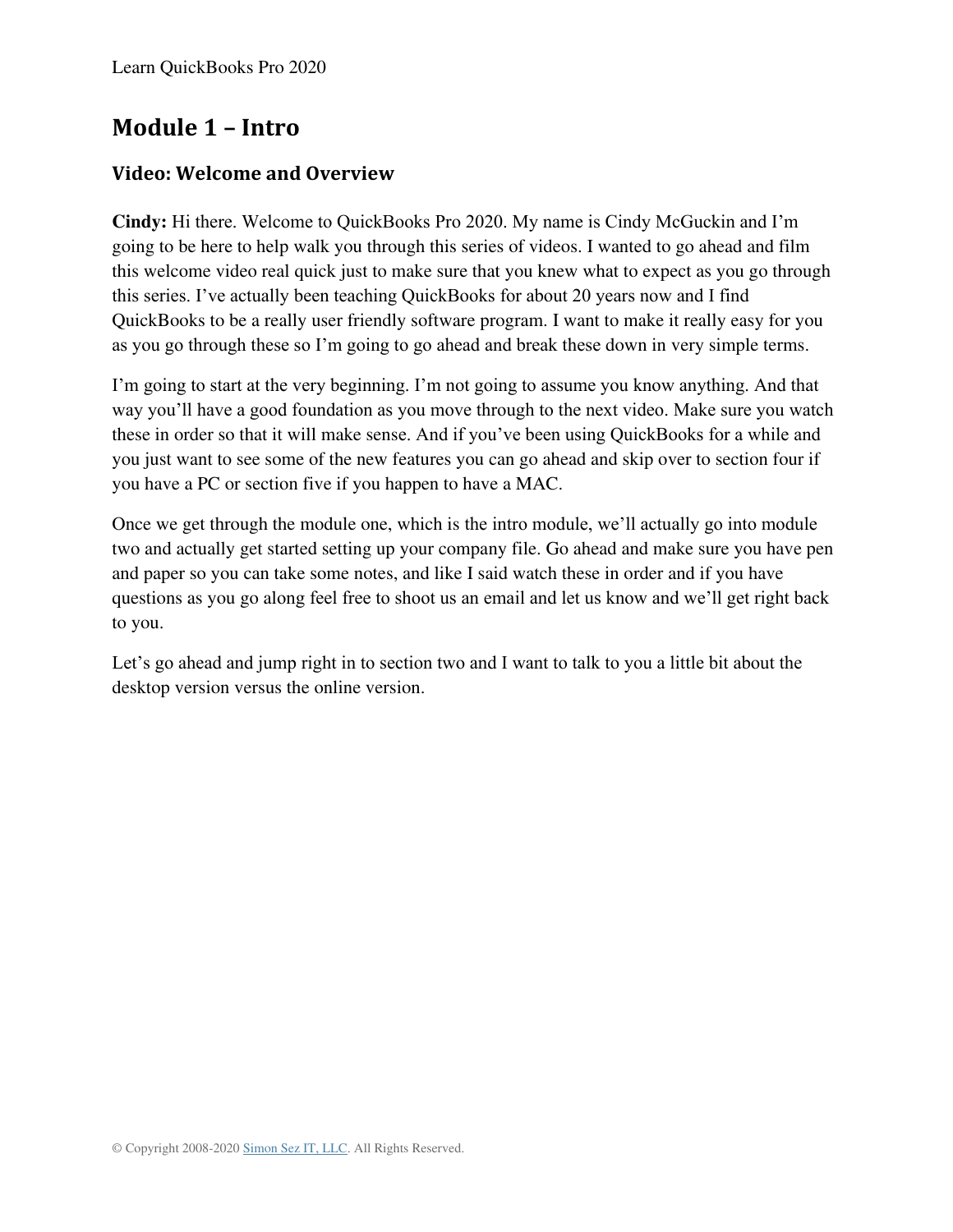# **Module 1 – Intro**

#### <span id="page-6-0"></span>**Video: Welcome and Overview**

**Cindy:** Hi there. Welcome to QuickBooks Pro 2020. My name is Cindy McGuckin and I'm going to be here to help walk you through this series of videos. I wanted to go ahead and film this welcome video real quick just to make sure that you knew what to expect as you go through this series. I've actually been teaching QuickBooks for about 20 years now and I find QuickBooks to be a really user friendly software program. I want to make it really easy for you as you go through these so I'm going to go ahead and break these down in very simple terms.

I'm going to start at the very beginning. I'm not going to assume you know anything. And that way you'll have a good foundation as you move through to the next video. Make sure you watch these in order so that it will make sense. And if you've been using QuickBooks for a while and you just want to see some of the new features you can go ahead and skip over to section four if you have a PC or section five if you happen to have a MAC.

Once we get through the module one, which is the intro module, we'll actually go into module two and actually get started setting up your company file. Go ahead and make sure you have pen and paper so you can take some notes, and like I said watch these in order and if you have questions as you go along feel free to shoot us an email and let us know and we'll get right back to you.

Let's go ahead and jump right in to section two and I want to talk to you a little bit about the desktop version versus the online version.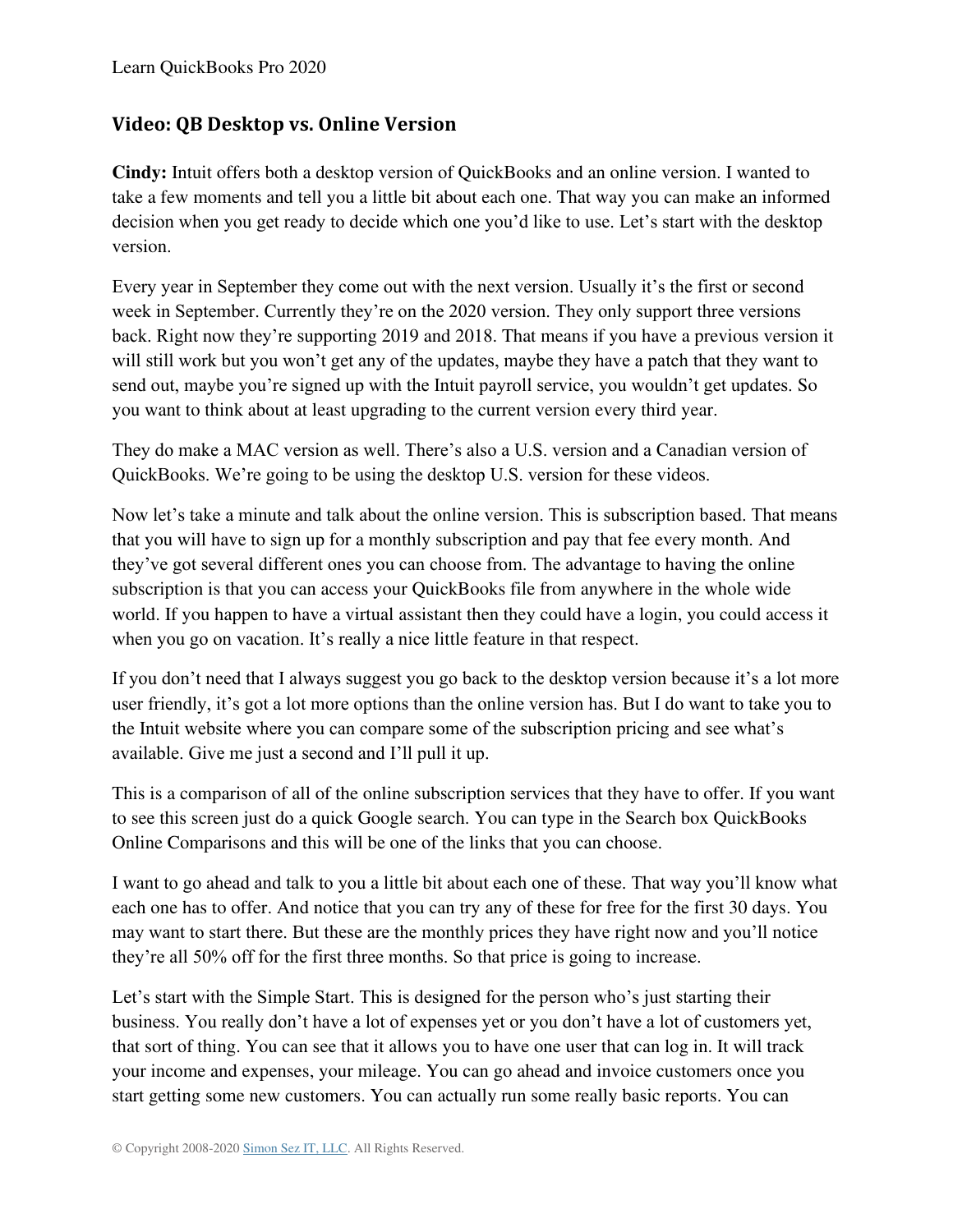## <span id="page-7-0"></span>**Video: QB Desktop vs. Online Version**

**Cindy:** Intuit offers both a desktop version of QuickBooks and an online version. I wanted to take a few moments and tell you a little bit about each one. That way you can make an informed decision when you get ready to decide which one you'd like to use. Let's start with the desktop version.

Every year in September they come out with the next version. Usually it's the first or second week in September. Currently they're on the 2020 version. They only support three versions back. Right now they're supporting 2019 and 2018. That means if you have a previous version it will still work but you won't get any of the updates, maybe they have a patch that they want to send out, maybe you're signed up with the Intuit payroll service, you wouldn't get updates. So you want to think about at least upgrading to the current version every third year.

They do make a MAC version as well. There's also a U.S. version and a Canadian version of QuickBooks. We're going to be using the desktop U.S. version for these videos.

Now let's take a minute and talk about the online version. This is subscription based. That means that you will have to sign up for a monthly subscription and pay that fee every month. And they've got several different ones you can choose from. The advantage to having the online subscription is that you can access your QuickBooks file from anywhere in the whole wide world. If you happen to have a virtual assistant then they could have a login, you could access it when you go on vacation. It's really a nice little feature in that respect.

If you don't need that I always suggest you go back to the desktop version because it's a lot more user friendly, it's got a lot more options than the online version has. But I do want to take you to the Intuit website where you can compare some of the subscription pricing and see what's available. Give me just a second and I'll pull it up.

This is a comparison of all of the online subscription services that they have to offer. If you want to see this screen just do a quick Google search. You can type in the Search box QuickBooks Online Comparisons and this will be one of the links that you can choose.

I want to go ahead and talk to you a little bit about each one of these. That way you'll know what each one has to offer. And notice that you can try any of these for free for the first 30 days. You may want to start there. But these are the monthly prices they have right now and you'll notice they're all 50% off for the first three months. So that price is going to increase.

Let's start with the Simple Start. This is designed for the person who's just starting their business. You really don't have a lot of expenses yet or you don't have a lot of customers yet, that sort of thing. You can see that it allows you to have one user that can log in. It will track your income and expenses, your mileage. You can go ahead and invoice customers once you start getting some new customers. You can actually run some really basic reports. You can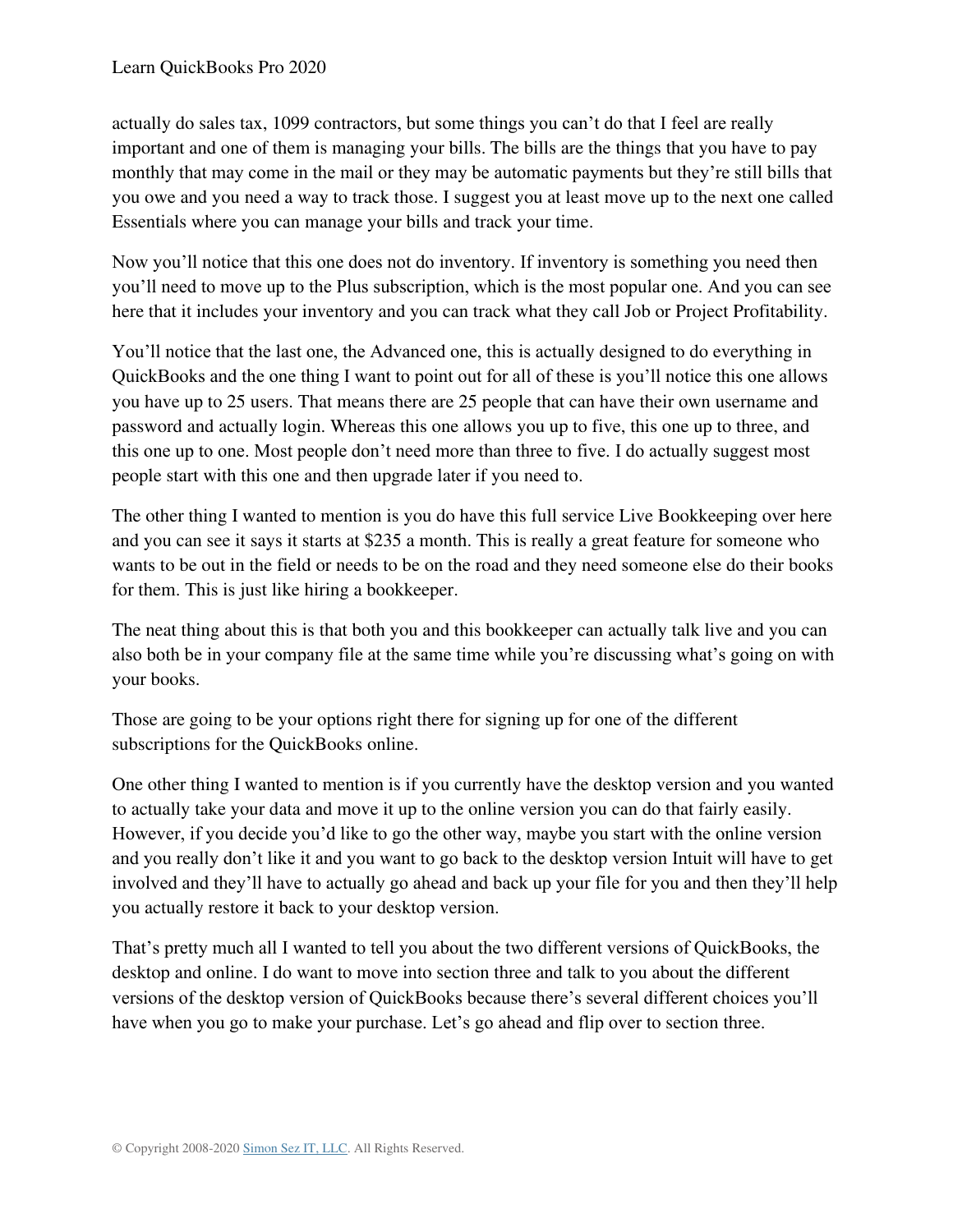actually do sales tax, 1099 contractors, but some things you can't do that I feel are really important and one of them is managing your bills. The bills are the things that you have to pay monthly that may come in the mail or they may be automatic payments but they're still bills that you owe and you need a way to track those. I suggest you at least move up to the next one called Essentials where you can manage your bills and track your time.

Now you'll notice that this one does not do inventory. If inventory is something you need then you'll need to move up to the Plus subscription, which is the most popular one. And you can see here that it includes your inventory and you can track what they call Job or Project Profitability.

You'll notice that the last one, the Advanced one, this is actually designed to do everything in QuickBooks and the one thing I want to point out for all of these is you'll notice this one allows you have up to 25 users. That means there are 25 people that can have their own username and password and actually login. Whereas this one allows you up to five, this one up to three, and this one up to one. Most people don't need more than three to five. I do actually suggest most people start with this one and then upgrade later if you need to.

The other thing I wanted to mention is you do have this full service Live Bookkeeping over here and you can see it says it starts at \$235 a month. This is really a great feature for someone who wants to be out in the field or needs to be on the road and they need someone else do their books for them. This is just like hiring a bookkeeper.

The neat thing about this is that both you and this bookkeeper can actually talk live and you can also both be in your company file at the same time while you're discussing what's going on with your books.

Those are going to be your options right there for signing up for one of the different subscriptions for the QuickBooks online.

One other thing I wanted to mention is if you currently have the desktop version and you wanted to actually take your data and move it up to the online version you can do that fairly easily. However, if you decide you'd like to go the other way, maybe you start with the online version and you really don't like it and you want to go back to the desktop version Intuit will have to get involved and they'll have to actually go ahead and back up your file for you and then they'll help you actually restore it back to your desktop version.

That's pretty much all I wanted to tell you about the two different versions of QuickBooks, the desktop and online. I do want to move into section three and talk to you about the different versions of the desktop version of QuickBooks because there's several different choices you'll have when you go to make your purchase. Let's go ahead and flip over to section three.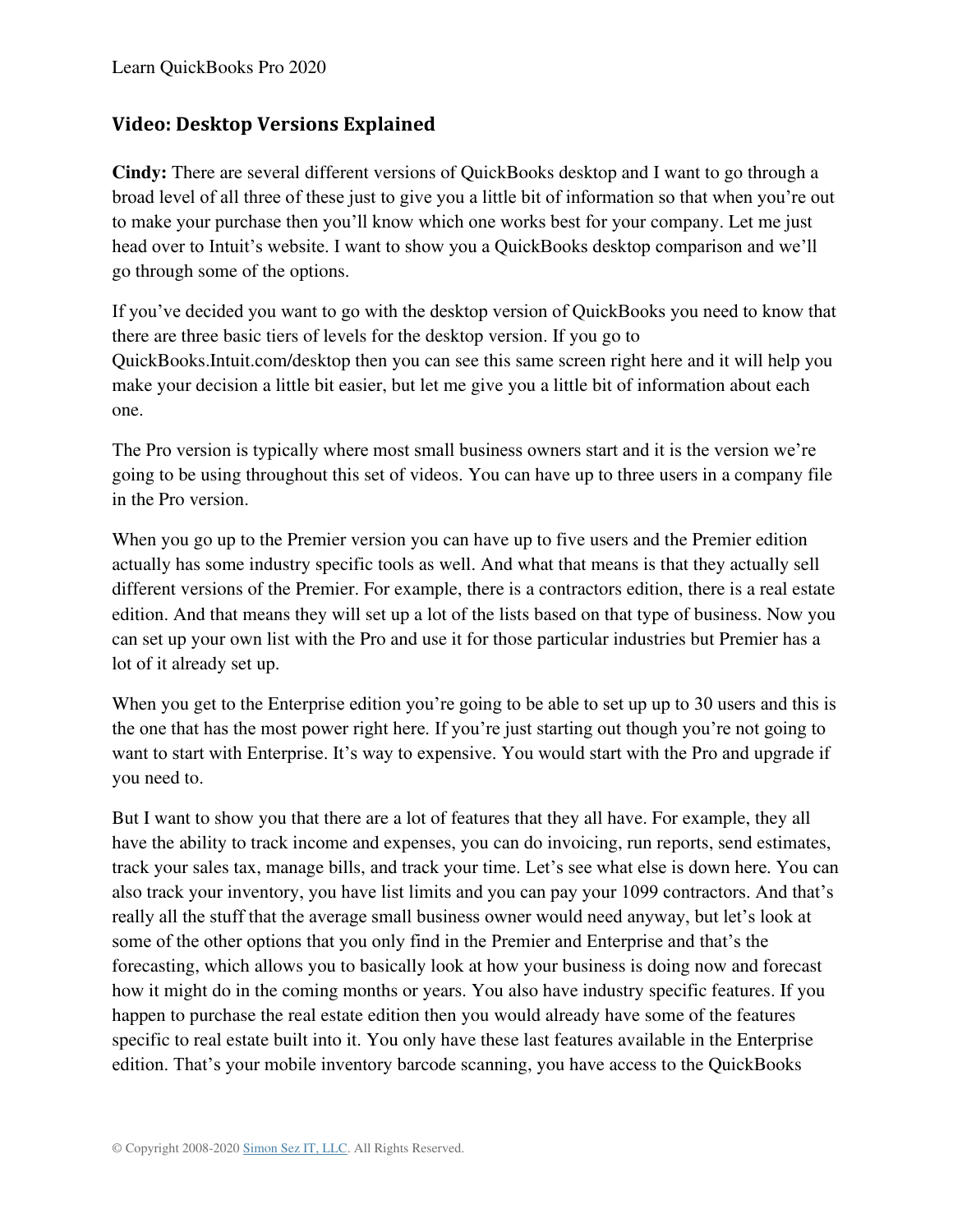# <span id="page-9-0"></span>**Video: Desktop Versions Explained**

**Cindy:** There are several different versions of QuickBooks desktop and I want to go through a broad level of all three of these just to give you a little bit of information so that when you're out to make your purchase then you'll know which one works best for your company. Let me just head over to Intuit's website. I want to show you a QuickBooks desktop comparison and we'll go through some of the options.

If you've decided you want to go with the desktop version of QuickBooks you need to know that there are three basic tiers of levels for the desktop version. If you go to QuickBooks.Intuit.com/desktop then you can see this same screen right here and it will help you make your decision a little bit easier, but let me give you a little bit of information about each one.

The Pro version is typically where most small business owners start and it is the version we're going to be using throughout this set of videos. You can have up to three users in a company file in the Pro version.

When you go up to the Premier version you can have up to five users and the Premier edition actually has some industry specific tools as well. And what that means is that they actually sell different versions of the Premier. For example, there is a contractors edition, there is a real estate edition. And that means they will set up a lot of the lists based on that type of business. Now you can set up your own list with the Pro and use it for those particular industries but Premier has a lot of it already set up.

When you get to the Enterprise edition you're going to be able to set up up to 30 users and this is the one that has the most power right here. If you're just starting out though you're not going to want to start with Enterprise. It's way to expensive. You would start with the Pro and upgrade if you need to.

But I want to show you that there are a lot of features that they all have. For example, they all have the ability to track income and expenses, you can do invoicing, run reports, send estimates, track your sales tax, manage bills, and track your time. Let's see what else is down here. You can also track your inventory, you have list limits and you can pay your 1099 contractors. And that's really all the stuff that the average small business owner would need anyway, but let's look at some of the other options that you only find in the Premier and Enterprise and that's the forecasting, which allows you to basically look at how your business is doing now and forecast how it might do in the coming months or years. You also have industry specific features. If you happen to purchase the real estate edition then you would already have some of the features specific to real estate built into it. You only have these last features available in the Enterprise edition. That's your mobile inventory barcode scanning, you have access to the QuickBooks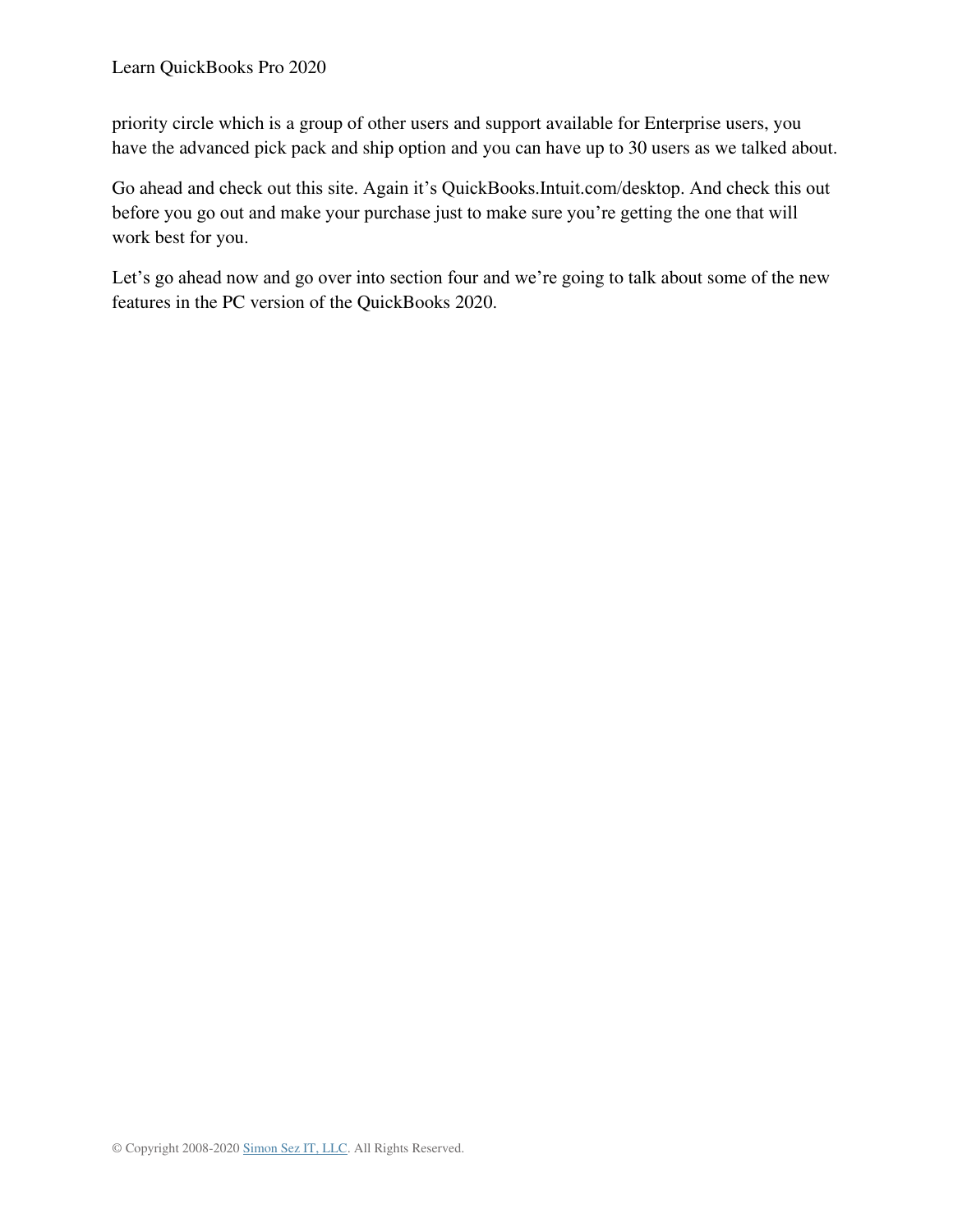priority circle which is a group of other users and support available for Enterprise users, you have the advanced pick pack and ship option and you can have up to 30 users as we talked about.

Go ahead and check out this site. Again it's QuickBooks.Intuit.com/desktop. And check this out before you go out and make your purchase just to make sure you're getting the one that will work best for you.

Let's go ahead now and go over into section four and we're going to talk about some of the new features in the PC version of the QuickBooks 2020.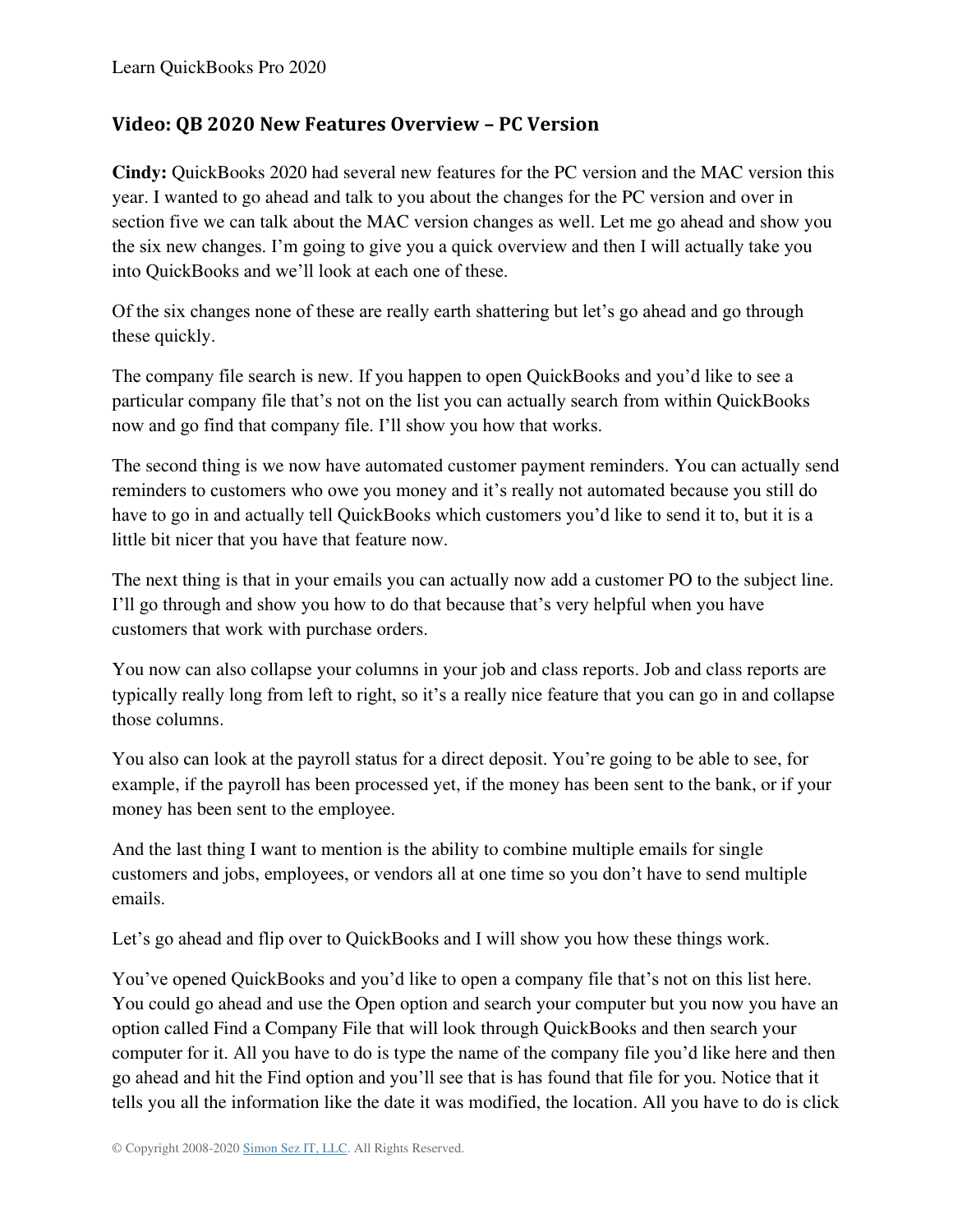#### <span id="page-11-0"></span>**Video: QB 2020 New Features Overview – PC Version**

**Cindy:** QuickBooks 2020 had several new features for the PC version and the MAC version this year. I wanted to go ahead and talk to you about the changes for the PC version and over in section five we can talk about the MAC version changes as well. Let me go ahead and show you the six new changes. I'm going to give you a quick overview and then I will actually take you into QuickBooks and we'll look at each one of these.

Of the six changes none of these are really earth shattering but let's go ahead and go through these quickly.

The company file search is new. If you happen to open QuickBooks and you'd like to see a particular company file that's not on the list you can actually search from within QuickBooks now and go find that company file. I'll show you how that works.

The second thing is we now have automated customer payment reminders. You can actually send reminders to customers who owe you money and it's really not automated because you still do have to go in and actually tell QuickBooks which customers you'd like to send it to, but it is a little bit nicer that you have that feature now.

The next thing is that in your emails you can actually now add a customer PO to the subject line. I'll go through and show you how to do that because that's very helpful when you have customers that work with purchase orders.

You now can also collapse your columns in your job and class reports. Job and class reports are typically really long from left to right, so it's a really nice feature that you can go in and collapse those columns.

You also can look at the payroll status for a direct deposit. You're going to be able to see, for example, if the payroll has been processed yet, if the money has been sent to the bank, or if your money has been sent to the employee.

And the last thing I want to mention is the ability to combine multiple emails for single customers and jobs, employees, or vendors all at one time so you don't have to send multiple emails.

Let's go ahead and flip over to QuickBooks and I will show you how these things work.

You've opened QuickBooks and you'd like to open a company file that's not on this list here. You could go ahead and use the Open option and search your computer but you now you have an option called Find a Company File that will look through QuickBooks and then search your computer for it. All you have to do is type the name of the company file you'd like here and then go ahead and hit the Find option and you'll see that is has found that file for you. Notice that it tells you all the information like the date it was modified, the location. All you have to do is click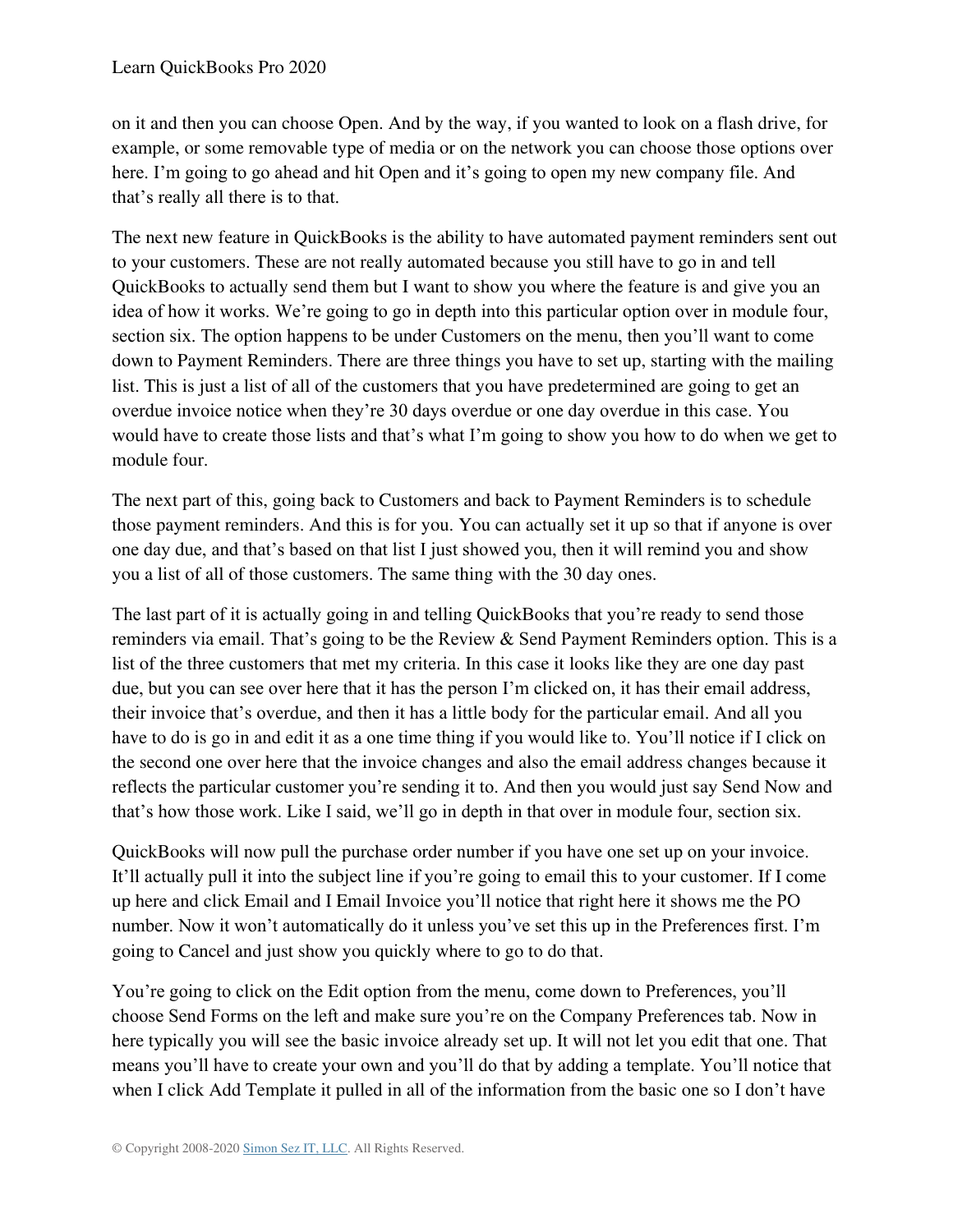on it and then you can choose Open. And by the way, if you wanted to look on a flash drive, for example, or some removable type of media or on the network you can choose those options over here. I'm going to go ahead and hit Open and it's going to open my new company file. And that's really all there is to that.

The next new feature in QuickBooks is the ability to have automated payment reminders sent out to your customers. These are not really automated because you still have to go in and tell QuickBooks to actually send them but I want to show you where the feature is and give you an idea of how it works. We're going to go in depth into this particular option over in module four, section six. The option happens to be under Customers on the menu, then you'll want to come down to Payment Reminders. There are three things you have to set up, starting with the mailing list. This is just a list of all of the customers that you have predetermined are going to get an overdue invoice notice when they're 30 days overdue or one day overdue in this case. You would have to create those lists and that's what I'm going to show you how to do when we get to module four.

The next part of this, going back to Customers and back to Payment Reminders is to schedule those payment reminders. And this is for you. You can actually set it up so that if anyone is over one day due, and that's based on that list I just showed you, then it will remind you and show you a list of all of those customers. The same thing with the 30 day ones.

The last part of it is actually going in and telling QuickBooks that you're ready to send those reminders via email. That's going to be the Review & Send Payment Reminders option. This is a list of the three customers that met my criteria. In this case it looks like they are one day past due, but you can see over here that it has the person I'm clicked on, it has their email address, their invoice that's overdue, and then it has a little body for the particular email. And all you have to do is go in and edit it as a one time thing if you would like to. You'll notice if I click on the second one over here that the invoice changes and also the email address changes because it reflects the particular customer you're sending it to. And then you would just say Send Now and that's how those work. Like I said, we'll go in depth in that over in module four, section six.

QuickBooks will now pull the purchase order number if you have one set up on your invoice. It'll actually pull it into the subject line if you're going to email this to your customer. If I come up here and click Email and I Email Invoice you'll notice that right here it shows me the PO number. Now it won't automatically do it unless you've set this up in the Preferences first. I'm going to Cancel and just show you quickly where to go to do that.

You're going to click on the Edit option from the menu, come down to Preferences, you'll choose Send Forms on the left and make sure you're on the Company Preferences tab. Now in here typically you will see the basic invoice already set up. It will not let you edit that one. That means you'll have to create your own and you'll do that by adding a template. You'll notice that when I click Add Template it pulled in all of the information from the basic one so I don't have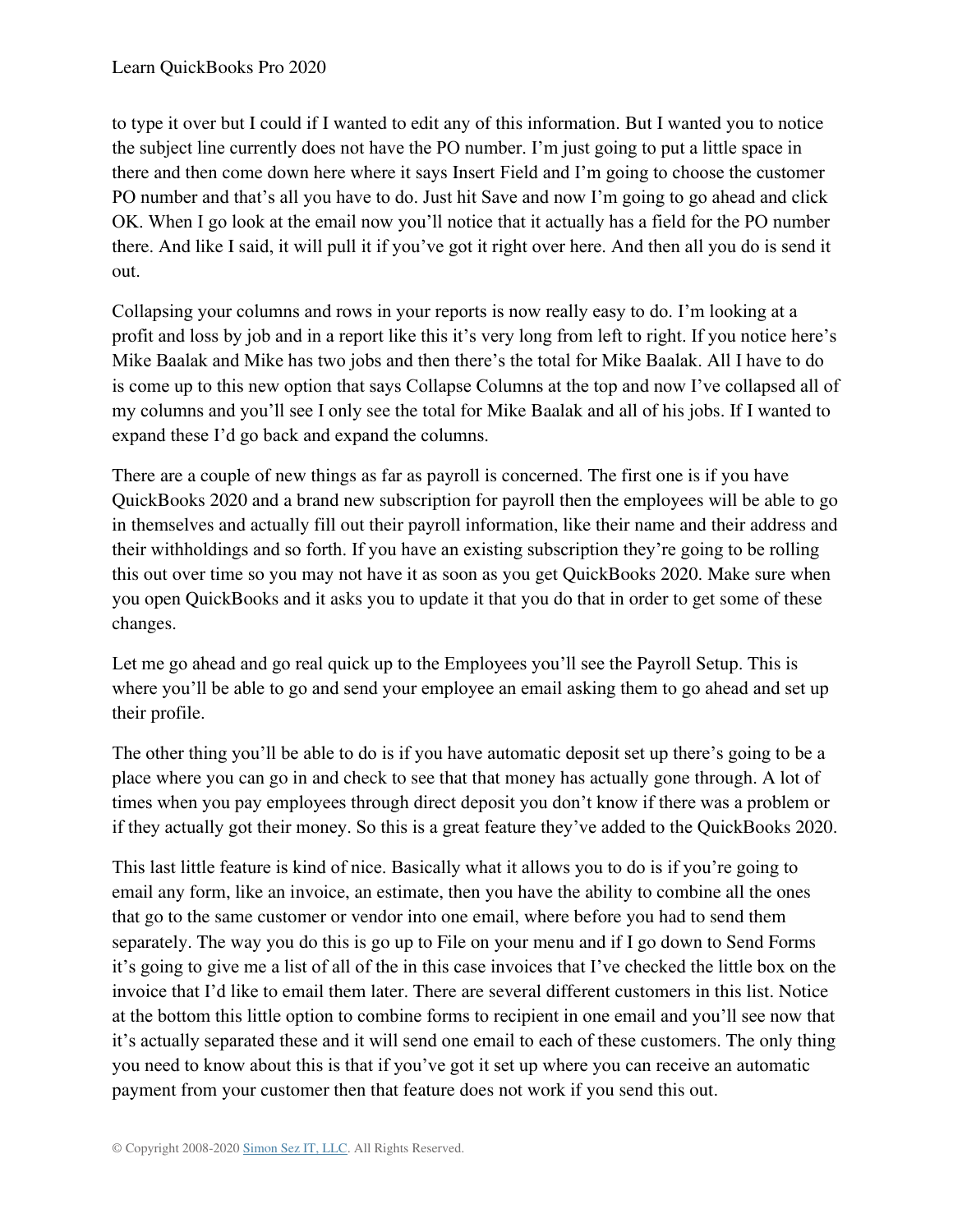to type it over but I could if I wanted to edit any of this information. But I wanted you to notice the subject line currently does not have the PO number. I'm just going to put a little space in there and then come down here where it says Insert Field and I'm going to choose the customer PO number and that's all you have to do. Just hit Save and now I'm going to go ahead and click OK. When I go look at the email now you'll notice that it actually has a field for the PO number there. And like I said, it will pull it if you've got it right over here. And then all you do is send it out.

Collapsing your columns and rows in your reports is now really easy to do. I'm looking at a profit and loss by job and in a report like this it's very long from left to right. If you notice here's Mike Baalak and Mike has two jobs and then there's the total for Mike Baalak. All I have to do is come up to this new option that says Collapse Columns at the top and now I've collapsed all of my columns and you'll see I only see the total for Mike Baalak and all of his jobs. If I wanted to expand these I'd go back and expand the columns.

There are a couple of new things as far as payroll is concerned. The first one is if you have QuickBooks 2020 and a brand new subscription for payroll then the employees will be able to go in themselves and actually fill out their payroll information, like their name and their address and their withholdings and so forth. If you have an existing subscription they're going to be rolling this out over time so you may not have it as soon as you get QuickBooks 2020. Make sure when you open QuickBooks and it asks you to update it that you do that in order to get some of these changes.

Let me go ahead and go real quick up to the Employees you'll see the Payroll Setup. This is where you'll be able to go and send your employee an email asking them to go ahead and set up their profile.

The other thing you'll be able to do is if you have automatic deposit set up there's going to be a place where you can go in and check to see that that money has actually gone through. A lot of times when you pay employees through direct deposit you don't know if there was a problem or if they actually got their money. So this is a great feature they've added to the QuickBooks 2020.

This last little feature is kind of nice. Basically what it allows you to do is if you're going to email any form, like an invoice, an estimate, then you have the ability to combine all the ones that go to the same customer or vendor into one email, where before you had to send them separately. The way you do this is go up to File on your menu and if I go down to Send Forms it's going to give me a list of all of the in this case invoices that I've checked the little box on the invoice that I'd like to email them later. There are several different customers in this list. Notice at the bottom this little option to combine forms to recipient in one email and you'll see now that it's actually separated these and it will send one email to each of these customers. The only thing you need to know about this is that if you've got it set up where you can receive an automatic payment from your customer then that feature does not work if you send this out.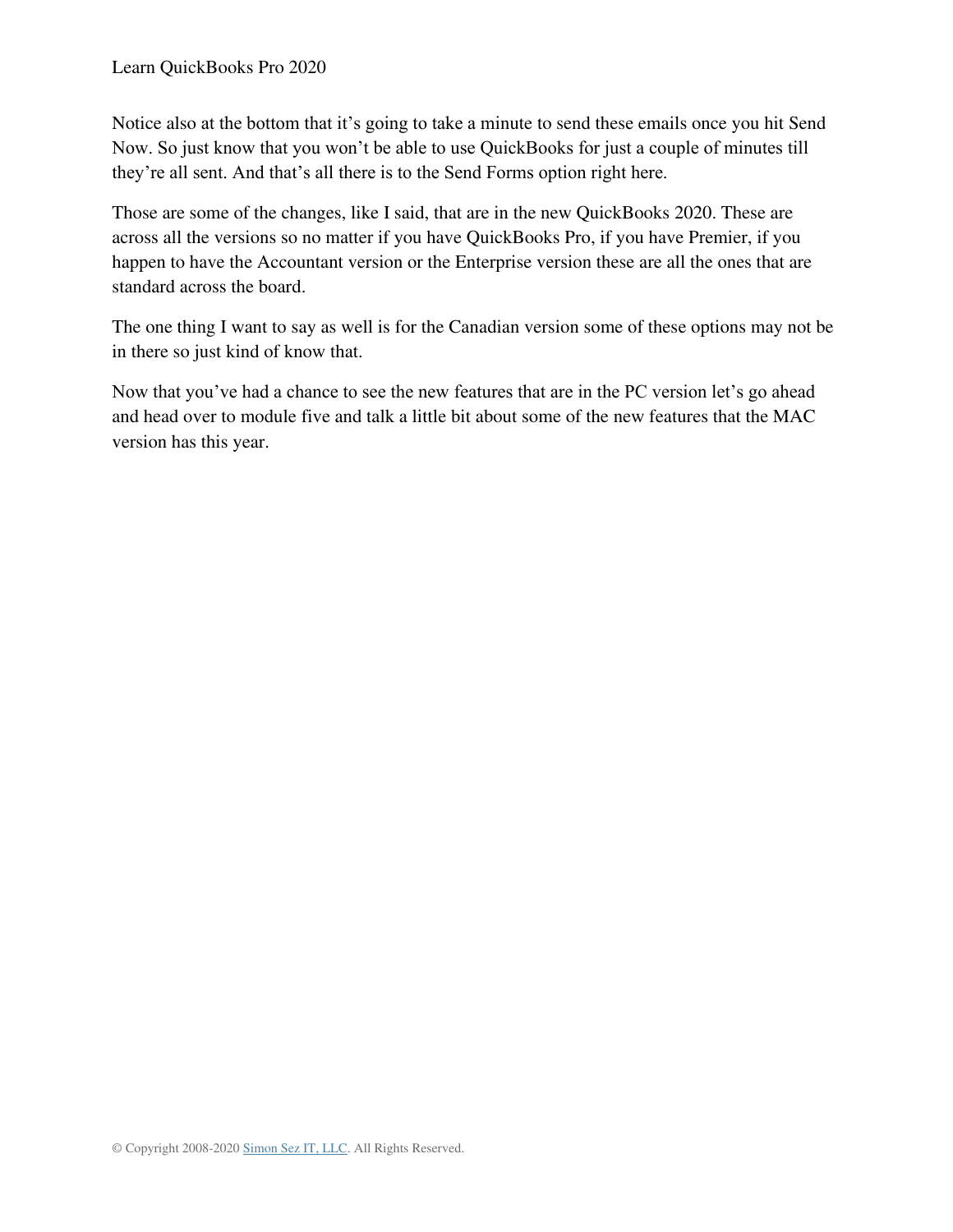Notice also at the bottom that it's going to take a minute to send these emails once you hit Send Now. So just know that you won't be able to use QuickBooks for just a couple of minutes till they're all sent. And that's all there is to the Send Forms option right here.

Those are some of the changes, like I said, that are in the new QuickBooks 2020. These are across all the versions so no matter if you have QuickBooks Pro, if you have Premier, if you happen to have the Accountant version or the Enterprise version these are all the ones that are standard across the board.

The one thing I want to say as well is for the Canadian version some of these options may not be in there so just kind of know that.

Now that you've had a chance to see the new features that are in the PC version let's go ahead and head over to module five and talk a little bit about some of the new features that the MAC version has this year.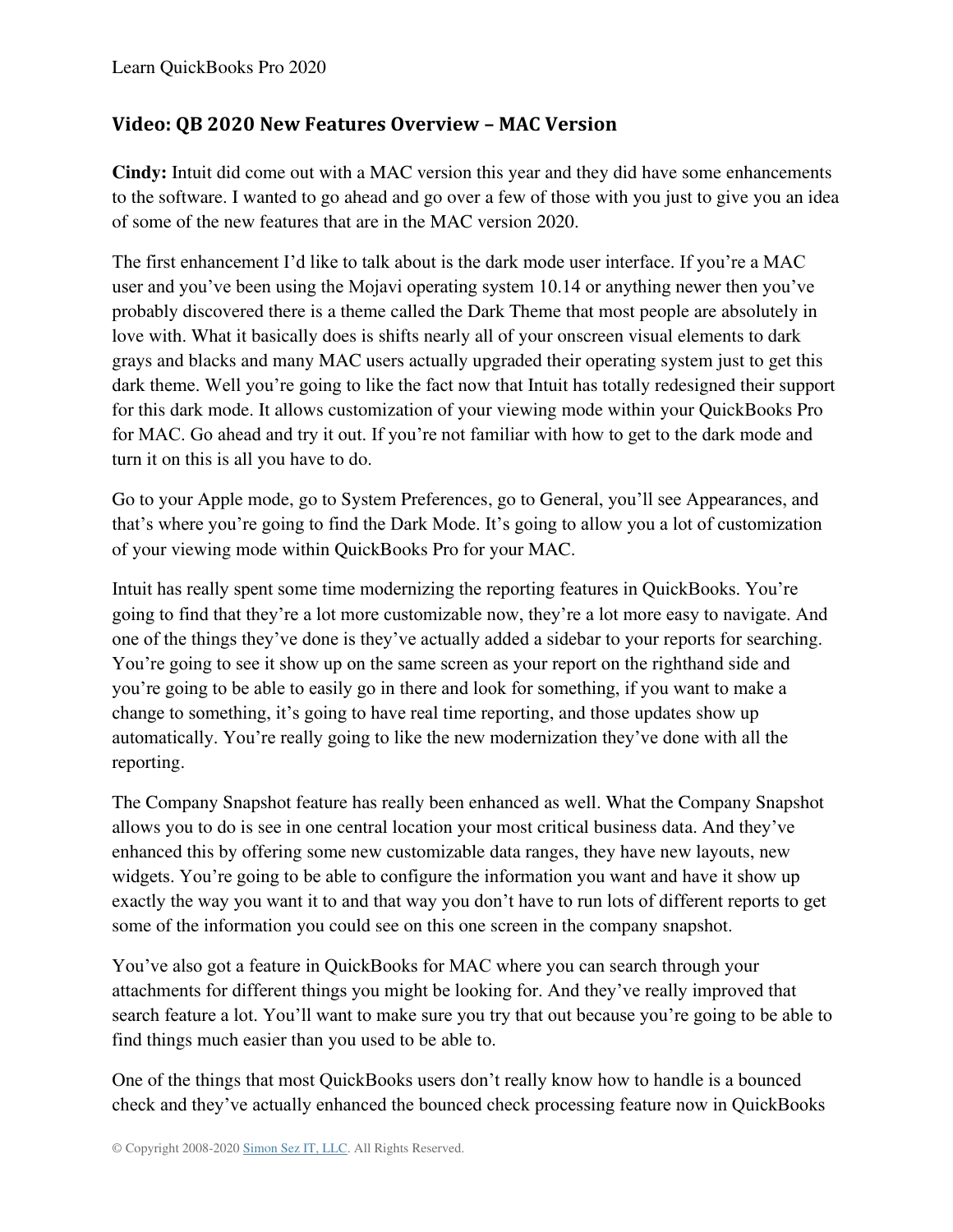## <span id="page-15-0"></span>**Video: QB 2020 New Features Overview – MAC Version**

**Cindy:** Intuit did come out with a MAC version this year and they did have some enhancements to the software. I wanted to go ahead and go over a few of those with you just to give you an idea of some of the new features that are in the MAC version 2020.

The first enhancement I'd like to talk about is the dark mode user interface. If you're a MAC user and you've been using the Mojavi operating system 10.14 or anything newer then you've probably discovered there is a theme called the Dark Theme that most people are absolutely in love with. What it basically does is shifts nearly all of your onscreen visual elements to dark grays and blacks and many MAC users actually upgraded their operating system just to get this dark theme. Well you're going to like the fact now that Intuit has totally redesigned their support for this dark mode. It allows customization of your viewing mode within your QuickBooks Pro for MAC. Go ahead and try it out. If you're not familiar with how to get to the dark mode and turn it on this is all you have to do.

Go to your Apple mode, go to System Preferences, go to General, you'll see Appearances, and that's where you're going to find the Dark Mode. It's going to allow you a lot of customization of your viewing mode within QuickBooks Pro for your MAC.

Intuit has really spent some time modernizing the reporting features in QuickBooks. You're going to find that they're a lot more customizable now, they're a lot more easy to navigate. And one of the things they've done is they've actually added a sidebar to your reports for searching. You're going to see it show up on the same screen as your report on the righthand side and you're going to be able to easily go in there and look for something, if you want to make a change to something, it's going to have real time reporting, and those updates show up automatically. You're really going to like the new modernization they've done with all the reporting.

The Company Snapshot feature has really been enhanced as well. What the Company Snapshot allows you to do is see in one central location your most critical business data. And they've enhanced this by offering some new customizable data ranges, they have new layouts, new widgets. You're going to be able to configure the information you want and have it show up exactly the way you want it to and that way you don't have to run lots of different reports to get some of the information you could see on this one screen in the company snapshot.

You've also got a feature in QuickBooks for MAC where you can search through your attachments for different things you might be looking for. And they've really improved that search feature a lot. You'll want to make sure you try that out because you're going to be able to find things much easier than you used to be able to.

One of the things that most QuickBooks users don't really know how to handle is a bounced check and they've actually enhanced the bounced check processing feature now in QuickBooks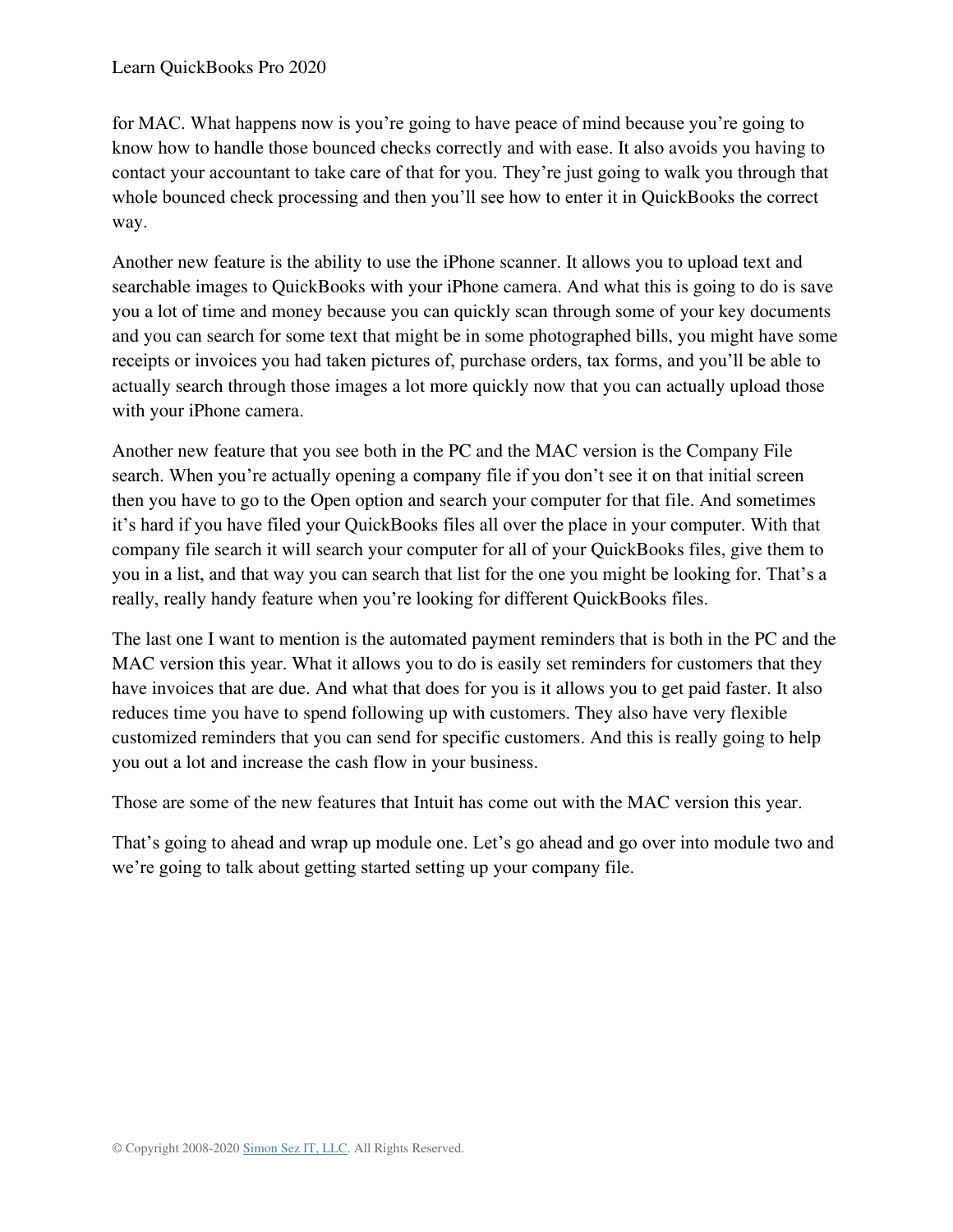for MAC. What happens now is you're going to have peace of mind because you're going to know how to handle those bounced checks correctly and with ease. It also avoids you having to contact your accountant to take care of that for you. They're just going to walk you through that whole bounced check processing and then you'll see how to enter it in QuickBooks the correct way.

Another new feature is the ability to use the iPhone scanner. It allows you to upload text and searchable images to QuickBooks with your iPhone camera. And what this is going to do is save you a lot of time and money because you can quickly scan through some of your key documents and you can search for some text that might be in some photographed bills, you might have some receipts or invoices you had taken pictures of, purchase orders, tax forms, and you'll be able to actually search through those images a lot more quickly now that you can actually upload those with your iPhone camera.

Another new feature that you see both in the PC and the MAC version is the Company File search. When you're actually opening a company file if you don't see it on that initial screen then you have to go to the Open option and search your computer for that file. And sometimes it's hard if you have filed your QuickBooks files all over the place in your computer. With that company file search it will search your computer for all of your QuickBooks files, give them to you in a list, and that way you can search that list for the one you might be looking for. That's a really, really handy feature when you're looking for different QuickBooks files.

The last one I want to mention is the automated payment reminders that is both in the PC and the MAC version this year. What it allows you to do is easily set reminders for customers that they have invoices that are due. And what that does for you is it allows you to get paid faster. It also reduces time you have to spend following up with customers. They also have very flexible customized reminders that you can send for specific customers. And this is really going to help you out a lot and increase the cash flow in your business.

Those are some of the new features that Intuit has come out with the MAC version this year.

That's going to ahead and wrap up module one. Let's go ahead and go over into module two and we're going to talk about getting started setting up your company file.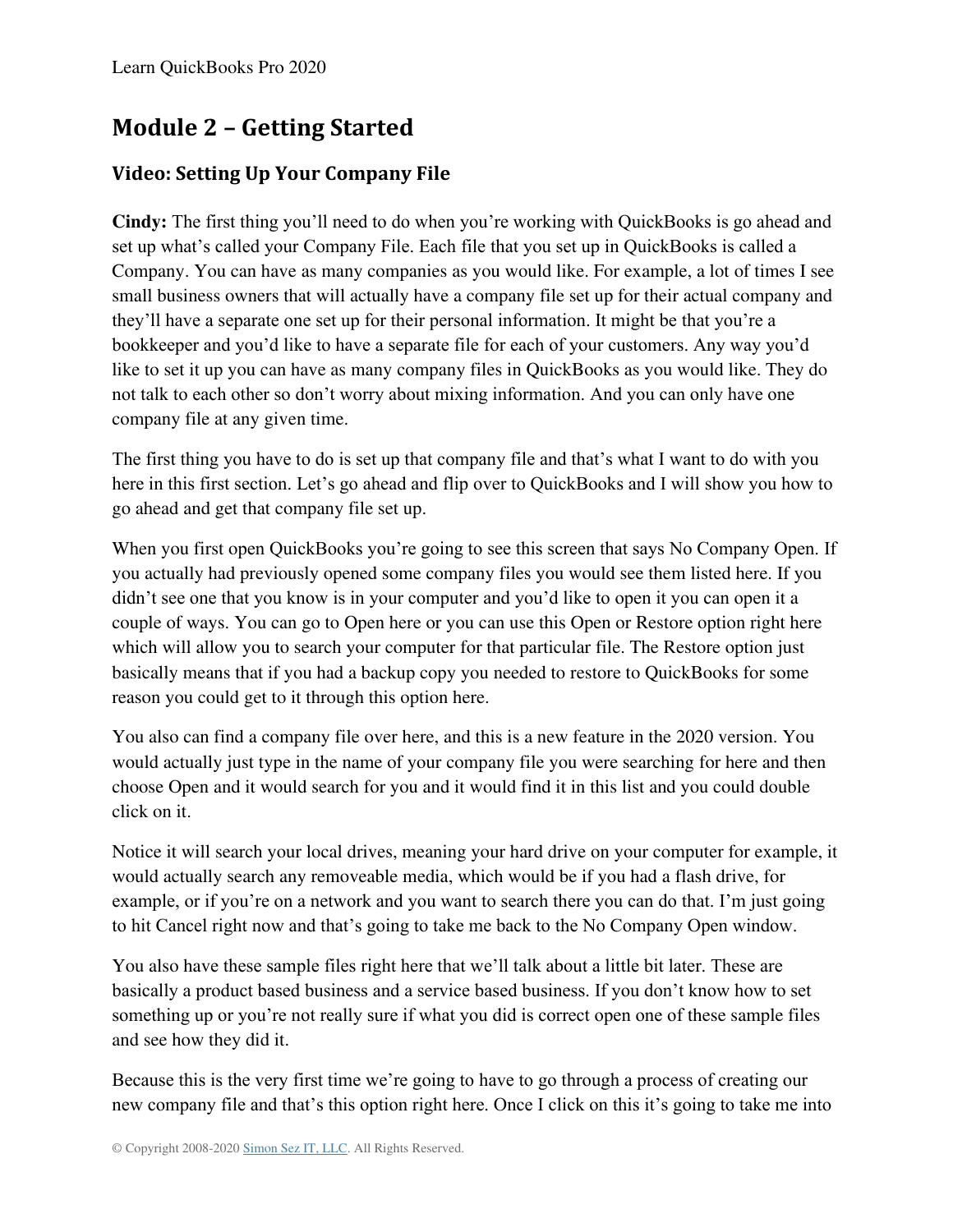# **Module 2 – Getting Started**

# <span id="page-17-0"></span>**Video: Setting Up Your Company File**

**Cindy:** The first thing you'll need to do when you're working with QuickBooks is go ahead and set up what's called your Company File. Each file that you set up in QuickBooks is called a Company. You can have as many companies as you would like. For example, a lot of times I see small business owners that will actually have a company file set up for their actual company and they'll have a separate one set up for their personal information. It might be that you're a bookkeeper and you'd like to have a separate file for each of your customers. Any way you'd like to set it up you can have as many company files in QuickBooks as you would like. They do not talk to each other so don't worry about mixing information. And you can only have one company file at any given time.

The first thing you have to do is set up that company file and that's what I want to do with you here in this first section. Let's go ahead and flip over to QuickBooks and I will show you how to go ahead and get that company file set up.

When you first open QuickBooks you're going to see this screen that says No Company Open. If you actually had previously opened some company files you would see them listed here. If you didn't see one that you know is in your computer and you'd like to open it you can open it a couple of ways. You can go to Open here or you can use this Open or Restore option right here which will allow you to search your computer for that particular file. The Restore option just basically means that if you had a backup copy you needed to restore to QuickBooks for some reason you could get to it through this option here.

You also can find a company file over here, and this is a new feature in the 2020 version. You would actually just type in the name of your company file you were searching for here and then choose Open and it would search for you and it would find it in this list and you could double click on it.

Notice it will search your local drives, meaning your hard drive on your computer for example, it would actually search any removeable media, which would be if you had a flash drive, for example, or if you're on a network and you want to search there you can do that. I'm just going to hit Cancel right now and that's going to take me back to the No Company Open window.

You also have these sample files right here that we'll talk about a little bit later. These are basically a product based business and a service based business. If you don't know how to set something up or you're not really sure if what you did is correct open one of these sample files and see how they did it.

Because this is the very first time we're going to have to go through a process of creating our new company file and that's this option right here. Once I click on this it's going to take me into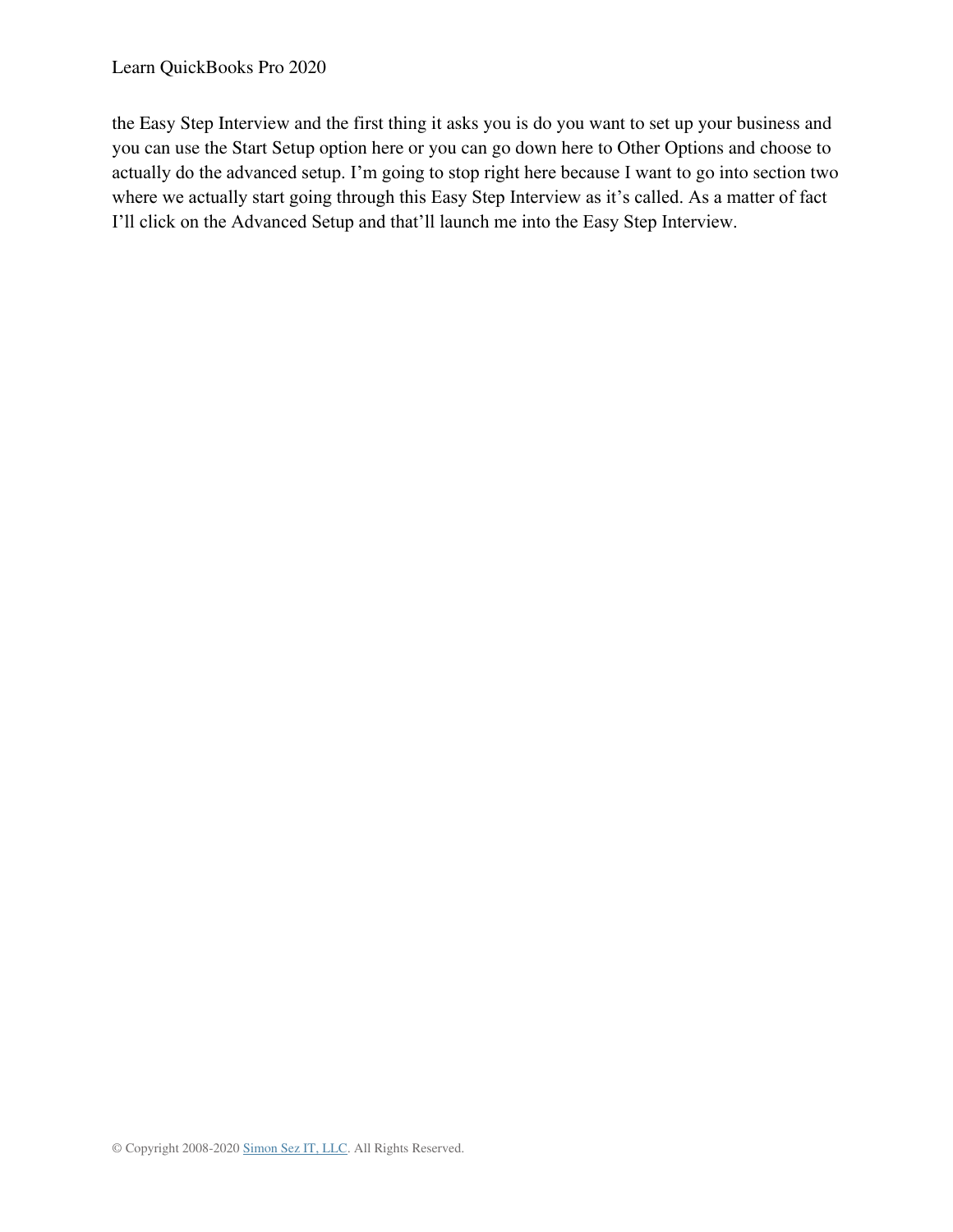#### Learn QuickBooks Pro 2020

the Easy Step Interview and the first thing it asks you is do you want to set up your business and you can use the Start Setup option here or you can go down here to Other Options and choose to actually do the advanced setup. I'm going to stop right here because I want to go into section two where we actually start going through this Easy Step Interview as it's called. As a matter of fact I'll click on the Advanced Setup and that'll launch me into the Easy Step Interview.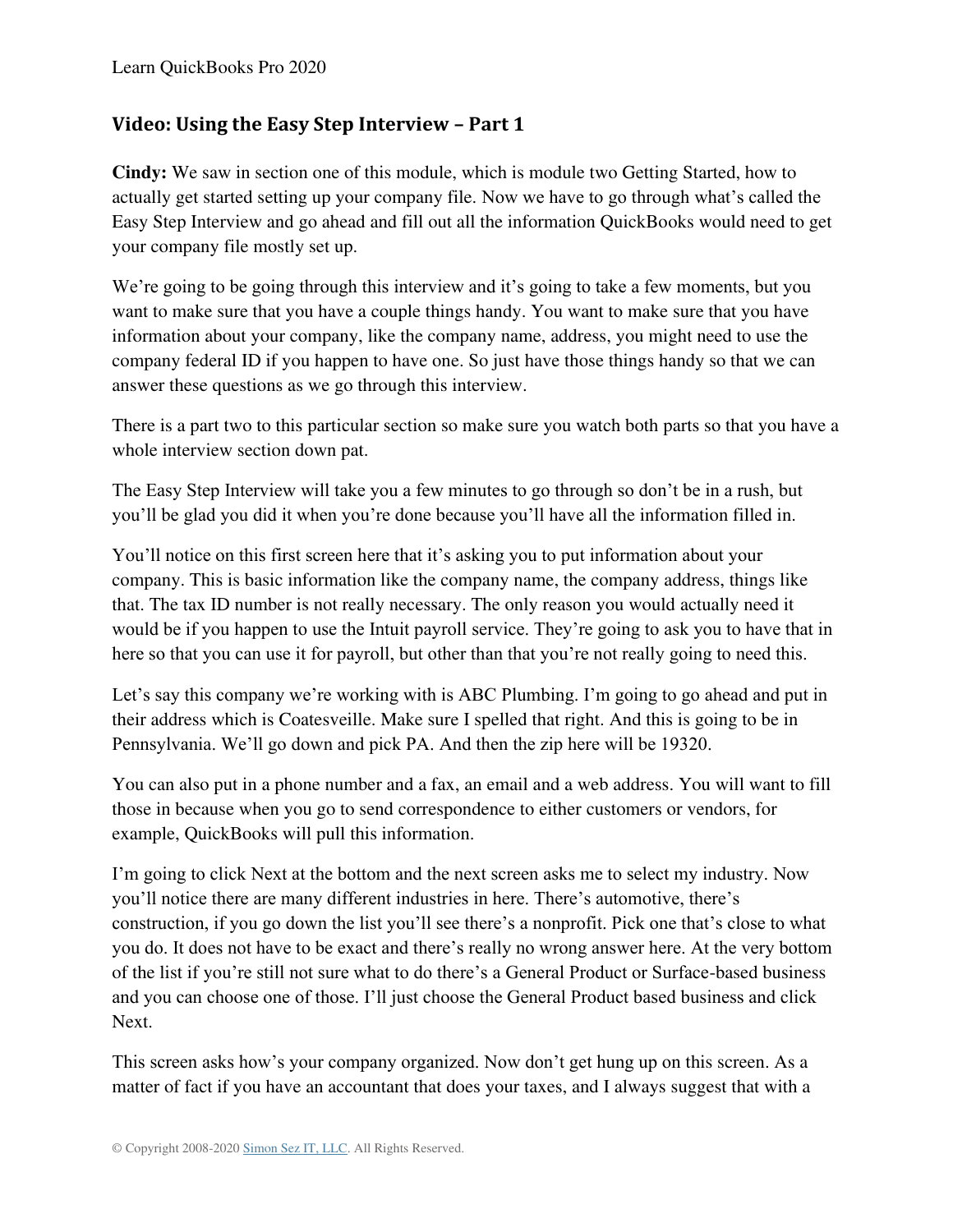## <span id="page-19-0"></span>**Video: Using the Easy Step Interview – Part 1**

**Cindy:** We saw in section one of this module, which is module two Getting Started, how to actually get started setting up your company file. Now we have to go through what's called the Easy Step Interview and go ahead and fill out all the information QuickBooks would need to get your company file mostly set up.

We're going to be going through this interview and it's going to take a few moments, but you want to make sure that you have a couple things handy. You want to make sure that you have information about your company, like the company name, address, you might need to use the company federal ID if you happen to have one. So just have those things handy so that we can answer these questions as we go through this interview.

There is a part two to this particular section so make sure you watch both parts so that you have a whole interview section down pat.

The Easy Step Interview will take you a few minutes to go through so don't be in a rush, but you'll be glad you did it when you're done because you'll have all the information filled in.

You'll notice on this first screen here that it's asking you to put information about your company. This is basic information like the company name, the company address, things like that. The tax ID number is not really necessary. The only reason you would actually need it would be if you happen to use the Intuit payroll service. They're going to ask you to have that in here so that you can use it for payroll, but other than that you're not really going to need this.

Let's say this company we're working with is ABC Plumbing. I'm going to go ahead and put in their address which is Coatesveille. Make sure I spelled that right. And this is going to be in Pennsylvania. We'll go down and pick PA. And then the zip here will be 19320.

You can also put in a phone number and a fax, an email and a web address. You will want to fill those in because when you go to send correspondence to either customers or vendors, for example, QuickBooks will pull this information.

I'm going to click Next at the bottom and the next screen asks me to select my industry. Now you'll notice there are many different industries in here. There's automotive, there's construction, if you go down the list you'll see there's a nonprofit. Pick one that's close to what you do. It does not have to be exact and there's really no wrong answer here. At the very bottom of the list if you're still not sure what to do there's a General Product or Surface-based business and you can choose one of those. I'll just choose the General Product based business and click Next.

This screen asks how's your company organized. Now don't get hung up on this screen. As a matter of fact if you have an accountant that does your taxes, and I always suggest that with a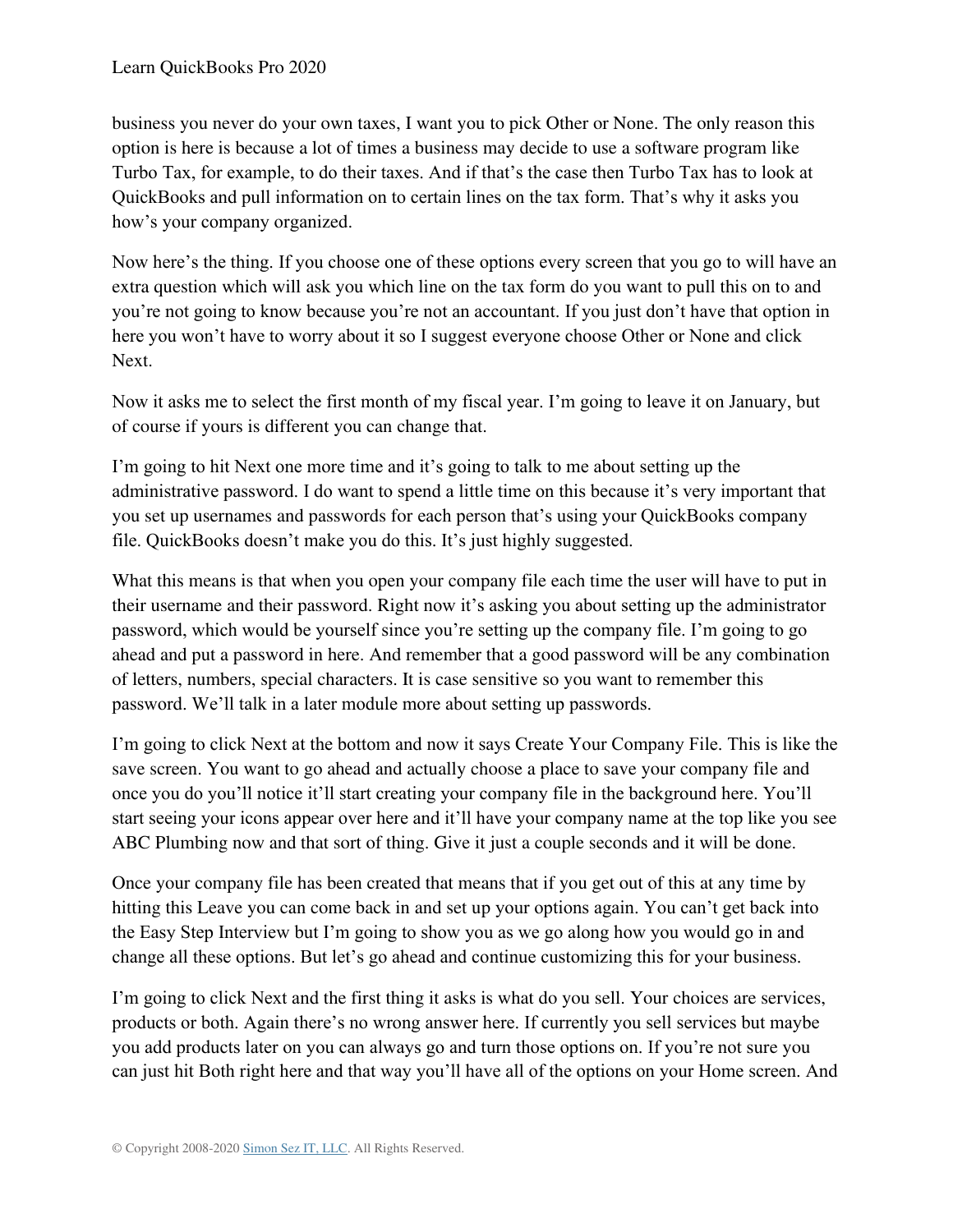business you never do your own taxes, I want you to pick Other or None. The only reason this option is here is because a lot of times a business may decide to use a software program like Turbo Tax, for example, to do their taxes. And if that's the case then Turbo Tax has to look at QuickBooks and pull information on to certain lines on the tax form. That's why it asks you how's your company organized.

Now here's the thing. If you choose one of these options every screen that you go to will have an extra question which will ask you which line on the tax form do you want to pull this on to and you're not going to know because you're not an accountant. If you just don't have that option in here you won't have to worry about it so I suggest everyone choose Other or None and click Next.

Now it asks me to select the first month of my fiscal year. I'm going to leave it on January, but of course if yours is different you can change that.

I'm going to hit Next one more time and it's going to talk to me about setting up the administrative password. I do want to spend a little time on this because it's very important that you set up usernames and passwords for each person that's using your QuickBooks company file. QuickBooks doesn't make you do this. It's just highly suggested.

What this means is that when you open your company file each time the user will have to put in their username and their password. Right now it's asking you about setting up the administrator password, which would be yourself since you're setting up the company file. I'm going to go ahead and put a password in here. And remember that a good password will be any combination of letters, numbers, special characters. It is case sensitive so you want to remember this password. We'll talk in a later module more about setting up passwords.

I'm going to click Next at the bottom and now it says Create Your Company File. This is like the save screen. You want to go ahead and actually choose a place to save your company file and once you do you'll notice it'll start creating your company file in the background here. You'll start seeing your icons appear over here and it'll have your company name at the top like you see ABC Plumbing now and that sort of thing. Give it just a couple seconds and it will be done.

Once your company file has been created that means that if you get out of this at any time by hitting this Leave you can come back in and set up your options again. You can't get back into the Easy Step Interview but I'm going to show you as we go along how you would go in and change all these options. But let's go ahead and continue customizing this for your business.

I'm going to click Next and the first thing it asks is what do you sell. Your choices are services, products or both. Again there's no wrong answer here. If currently you sell services but maybe you add products later on you can always go and turn those options on. If you're not sure you can just hit Both right here and that way you'll have all of the options on your Home screen. And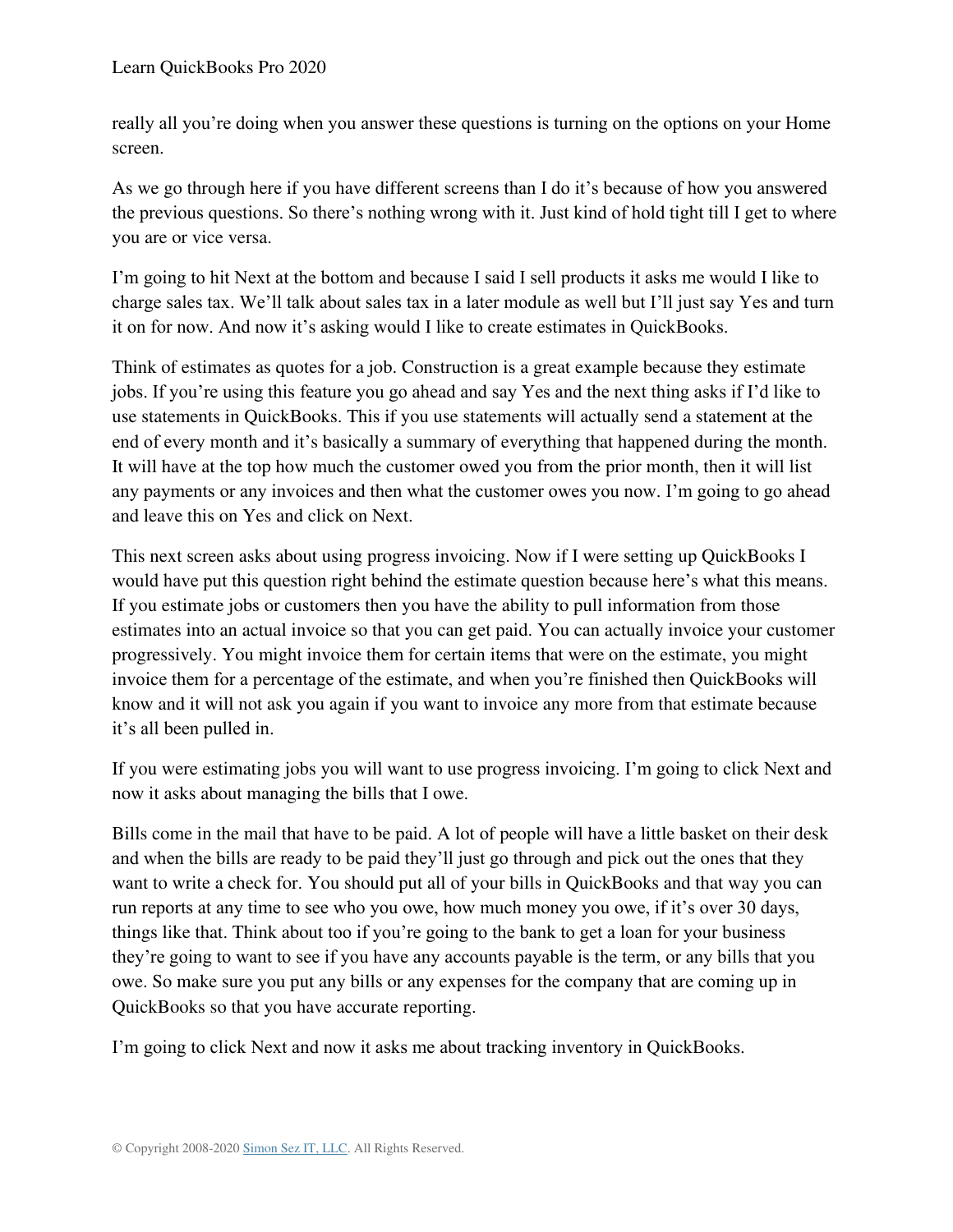really all you're doing when you answer these questions is turning on the options on your Home screen.

As we go through here if you have different screens than I do it's because of how you answered the previous questions. So there's nothing wrong with it. Just kind of hold tight till I get to where you are or vice versa.

I'm going to hit Next at the bottom and because I said I sell products it asks me would I like to charge sales tax. We'll talk about sales tax in a later module as well but I'll just say Yes and turn it on for now. And now it's asking would I like to create estimates in QuickBooks.

Think of estimates as quotes for a job. Construction is a great example because they estimate jobs. If you're using this feature you go ahead and say Yes and the next thing asks if I'd like to use statements in QuickBooks. This if you use statements will actually send a statement at the end of every month and it's basically a summary of everything that happened during the month. It will have at the top how much the customer owed you from the prior month, then it will list any payments or any invoices and then what the customer owes you now. I'm going to go ahead and leave this on Yes and click on Next.

This next screen asks about using progress invoicing. Now if I were setting up QuickBooks I would have put this question right behind the estimate question because here's what this means. If you estimate jobs or customers then you have the ability to pull information from those estimates into an actual invoice so that you can get paid. You can actually invoice your customer progressively. You might invoice them for certain items that were on the estimate, you might invoice them for a percentage of the estimate, and when you're finished then QuickBooks will know and it will not ask you again if you want to invoice any more from that estimate because it's all been pulled in.

If you were estimating jobs you will want to use progress invoicing. I'm going to click Next and now it asks about managing the bills that I owe.

Bills come in the mail that have to be paid. A lot of people will have a little basket on their desk and when the bills are ready to be paid they'll just go through and pick out the ones that they want to write a check for. You should put all of your bills in QuickBooks and that way you can run reports at any time to see who you owe, how much money you owe, if it's over 30 days, things like that. Think about too if you're going to the bank to get a loan for your business they're going to want to see if you have any accounts payable is the term, or any bills that you owe. So make sure you put any bills or any expenses for the company that are coming up in QuickBooks so that you have accurate reporting.

I'm going to click Next and now it asks me about tracking inventory in QuickBooks.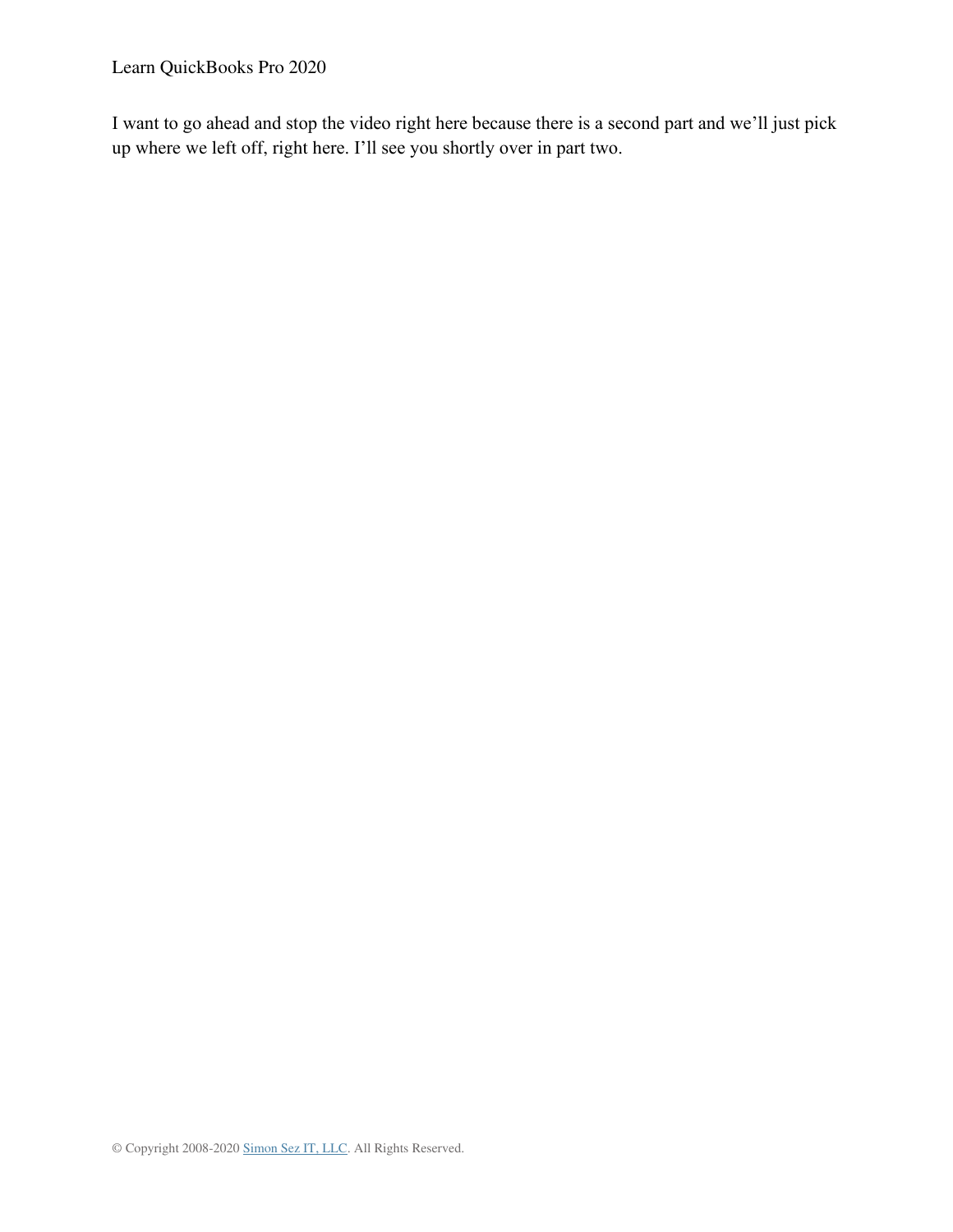Learn QuickBooks Pro 2020

I want to go ahead and stop the video right here because there is a second part and we'll just pick up where we left off, right here. I'll see you shortly over in part two.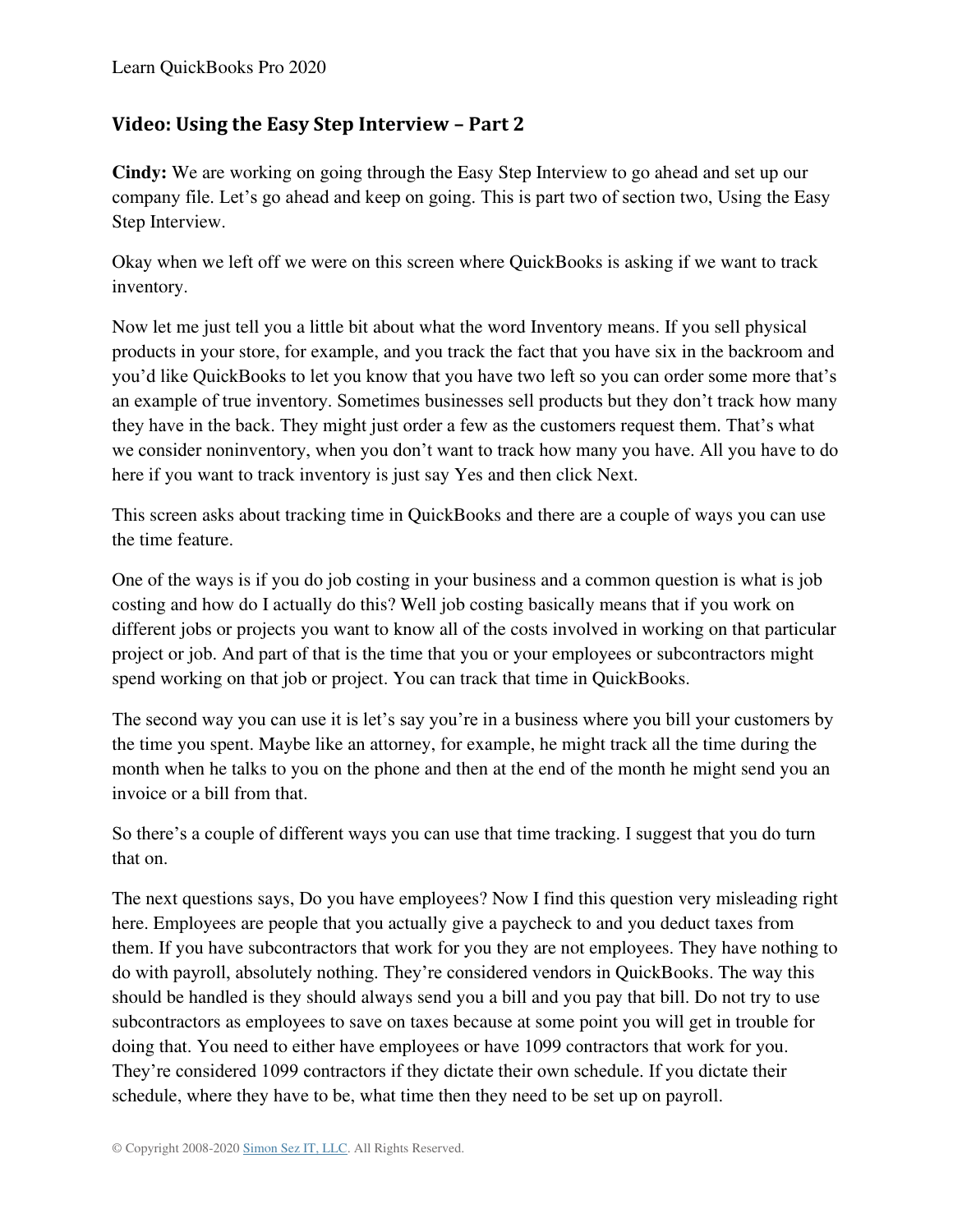## <span id="page-23-0"></span>**Video: Using the Easy Step Interview – Part 2**

**Cindy:** We are working on going through the Easy Step Interview to go ahead and set up our company file. Let's go ahead and keep on going. This is part two of section two, Using the Easy Step Interview.

Okay when we left off we were on this screen where QuickBooks is asking if we want to track inventory.

Now let me just tell you a little bit about what the word Inventory means. If you sell physical products in your store, for example, and you track the fact that you have six in the backroom and you'd like QuickBooks to let you know that you have two left so you can order some more that's an example of true inventory. Sometimes businesses sell products but they don't track how many they have in the back. They might just order a few as the customers request them. That's what we consider noninventory, when you don't want to track how many you have. All you have to do here if you want to track inventory is just say Yes and then click Next.

This screen asks about tracking time in QuickBooks and there are a couple of ways you can use the time feature.

One of the ways is if you do job costing in your business and a common question is what is job costing and how do I actually do this? Well job costing basically means that if you work on different jobs or projects you want to know all of the costs involved in working on that particular project or job. And part of that is the time that you or your employees or subcontractors might spend working on that job or project. You can track that time in QuickBooks.

The second way you can use it is let's say you're in a business where you bill your customers by the time you spent. Maybe like an attorney, for example, he might track all the time during the month when he talks to you on the phone and then at the end of the month he might send you an invoice or a bill from that.

So there's a couple of different ways you can use that time tracking. I suggest that you do turn that on.

The next questions says, Do you have employees? Now I find this question very misleading right here. Employees are people that you actually give a paycheck to and you deduct taxes from them. If you have subcontractors that work for you they are not employees. They have nothing to do with payroll, absolutely nothing. They're considered vendors in QuickBooks. The way this should be handled is they should always send you a bill and you pay that bill. Do not try to use subcontractors as employees to save on taxes because at some point you will get in trouble for doing that. You need to either have employees or have 1099 contractors that work for you. They're considered 1099 contractors if they dictate their own schedule. If you dictate their schedule, where they have to be, what time then they need to be set up on payroll.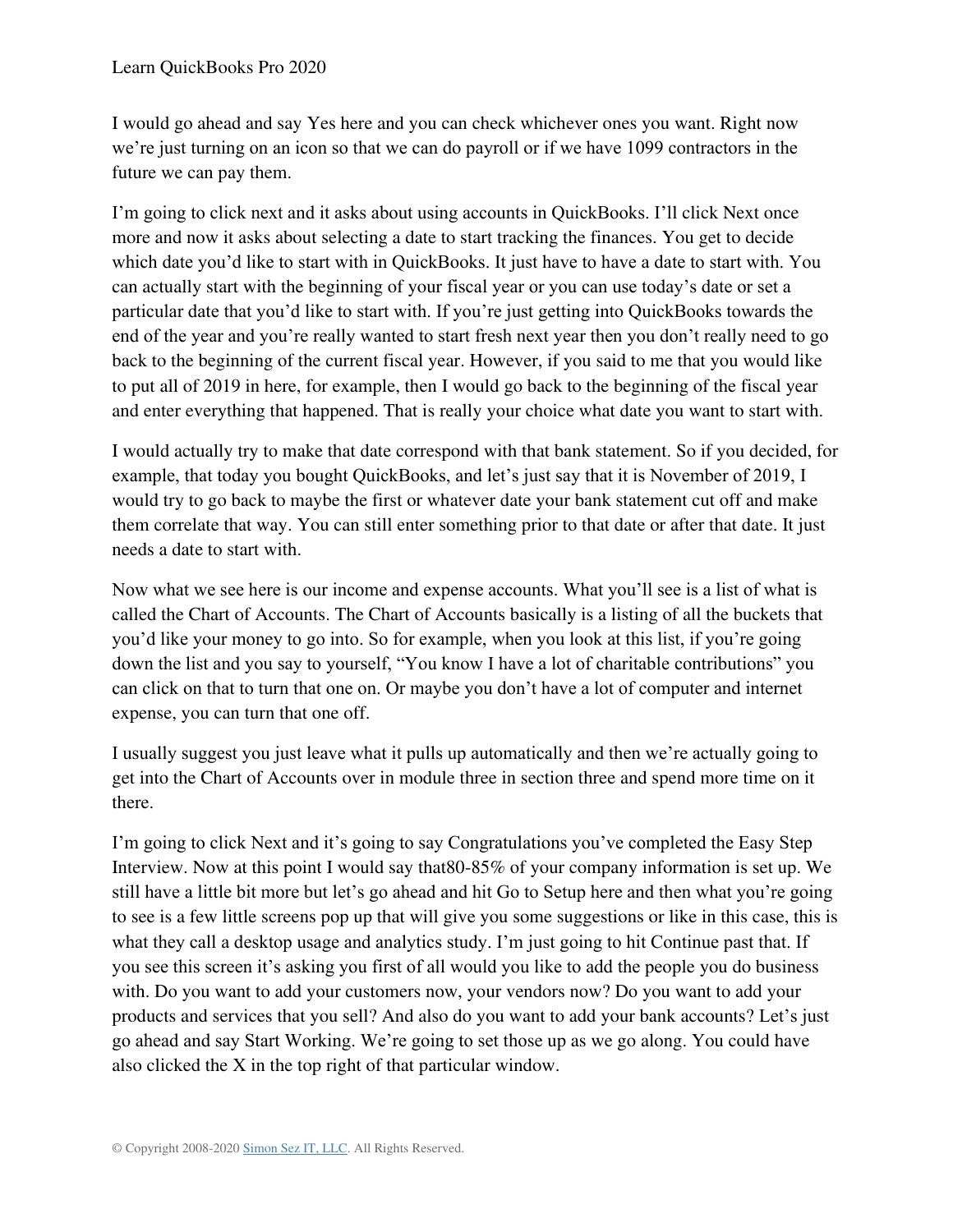I would go ahead and say Yes here and you can check whichever ones you want. Right now we're just turning on an icon so that we can do payroll or if we have 1099 contractors in the future we can pay them.

I'm going to click next and it asks about using accounts in QuickBooks. I'll click Next once more and now it asks about selecting a date to start tracking the finances. You get to decide which date you'd like to start with in QuickBooks. It just have to have a date to start with. You can actually start with the beginning of your fiscal year or you can use today's date or set a particular date that you'd like to start with. If you're just getting into QuickBooks towards the end of the year and you're really wanted to start fresh next year then you don't really need to go back to the beginning of the current fiscal year. However, if you said to me that you would like to put all of 2019 in here, for example, then I would go back to the beginning of the fiscal year and enter everything that happened. That is really your choice what date you want to start with.

I would actually try to make that date correspond with that bank statement. So if you decided, for example, that today you bought QuickBooks, and let's just say that it is November of 2019, I would try to go back to maybe the first or whatever date your bank statement cut off and make them correlate that way. You can still enter something prior to that date or after that date. It just needs a date to start with.

Now what we see here is our income and expense accounts. What you'll see is a list of what is called the Chart of Accounts. The Chart of Accounts basically is a listing of all the buckets that you'd like your money to go into. So for example, when you look at this list, if you're going down the list and you say to yourself, "You know I have a lot of charitable contributions" you can click on that to turn that one on. Or maybe you don't have a lot of computer and internet expense, you can turn that one off.

I usually suggest you just leave what it pulls up automatically and then we're actually going to get into the Chart of Accounts over in module three in section three and spend more time on it there.

I'm going to click Next and it's going to say Congratulations you've completed the Easy Step Interview. Now at this point I would say that80-85% of your company information is set up. We still have a little bit more but let's go ahead and hit Go to Setup here and then what you're going to see is a few little screens pop up that will give you some suggestions or like in this case, this is what they call a desktop usage and analytics study. I'm just going to hit Continue past that. If you see this screen it's asking you first of all would you like to add the people you do business with. Do you want to add your customers now, your vendors now? Do you want to add your products and services that you sell? And also do you want to add your bank accounts? Let's just go ahead and say Start Working. We're going to set those up as we go along. You could have also clicked the X in the top right of that particular window.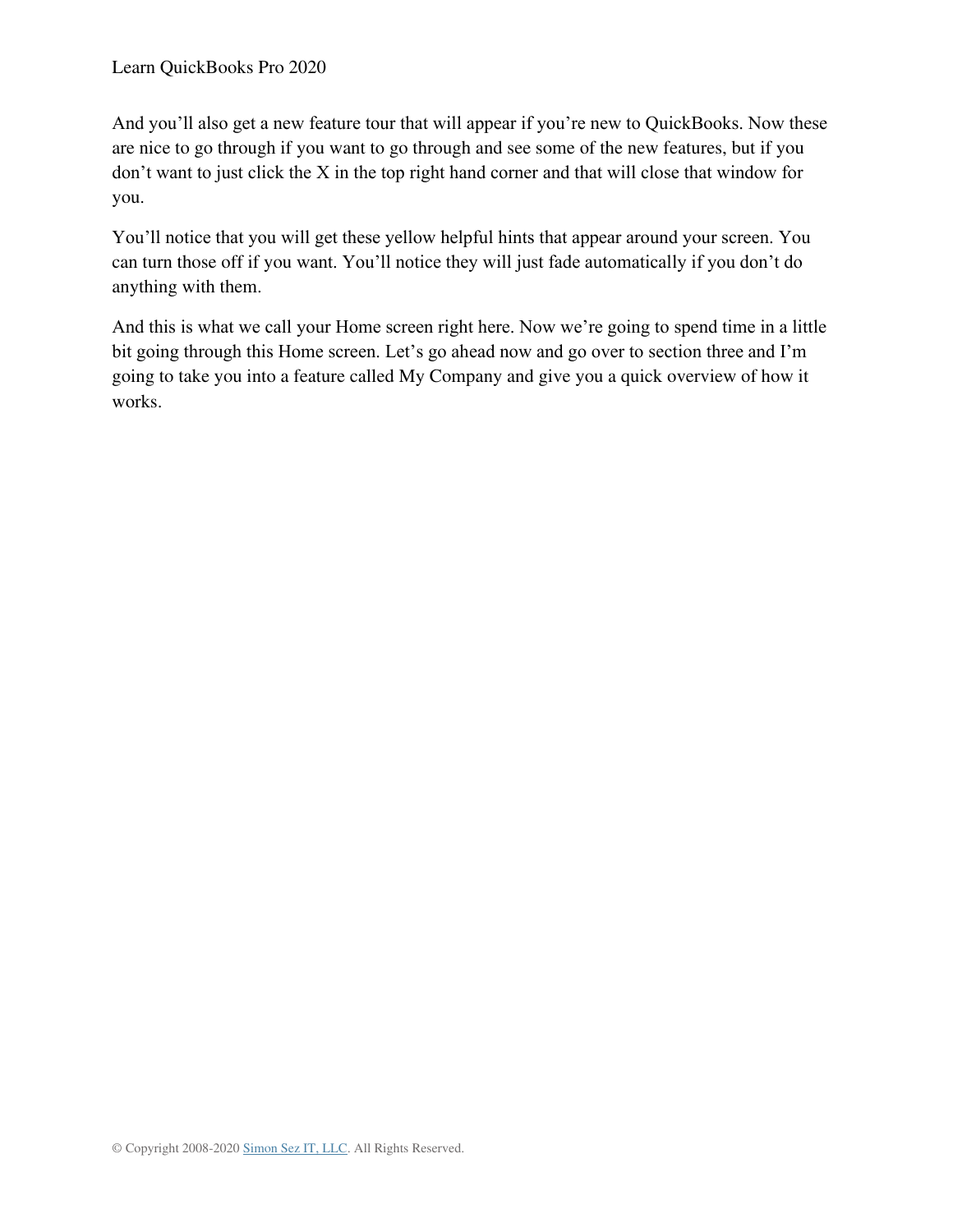And you'll also get a new feature tour that will appear if you're new to QuickBooks. Now these are nice to go through if you want to go through and see some of the new features, but if you don't want to just click the X in the top right hand corner and that will close that window for you.

You'll notice that you will get these yellow helpful hints that appear around your screen. You can turn those off if you want. You'll notice they will just fade automatically if you don't do anything with them.

And this is what we call your Home screen right here. Now we're going to spend time in a little bit going through this Home screen. Let's go ahead now and go over to section three and I'm going to take you into a feature called My Company and give you a quick overview of how it works.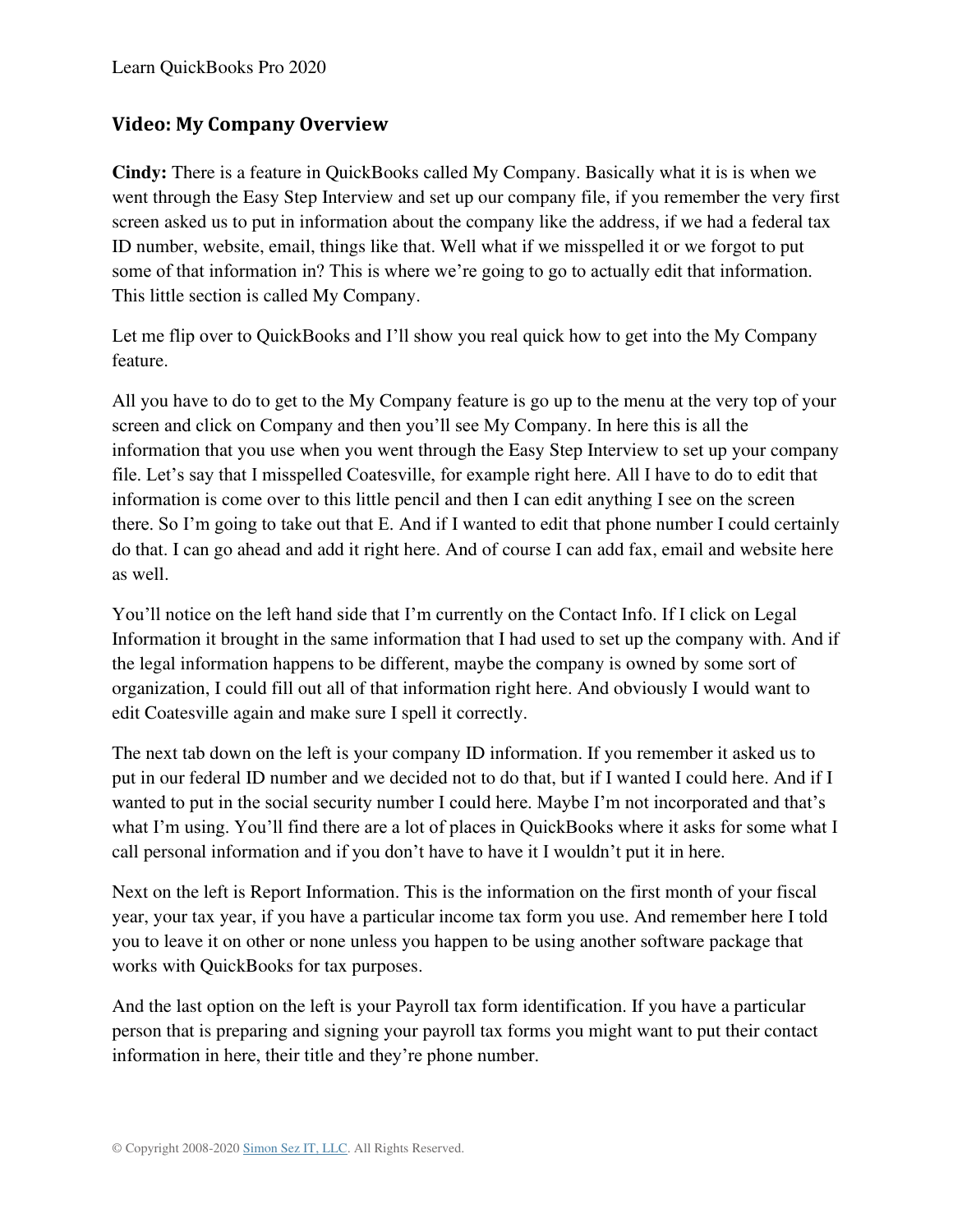## <span id="page-26-0"></span>**Video: My Company Overview**

**Cindy:** There is a feature in QuickBooks called My Company. Basically what it is is when we went through the Easy Step Interview and set up our company file, if you remember the very first screen asked us to put in information about the company like the address, if we had a federal tax ID number, website, email, things like that. Well what if we misspelled it or we forgot to put some of that information in? This is where we're going to go to actually edit that information. This little section is called My Company.

Let me flip over to QuickBooks and I'll show you real quick how to get into the My Company feature.

All you have to do to get to the My Company feature is go up to the menu at the very top of your screen and click on Company and then you'll see My Company. In here this is all the information that you use when you went through the Easy Step Interview to set up your company file. Let's say that I misspelled Coatesville, for example right here. All I have to do to edit that information is come over to this little pencil and then I can edit anything I see on the screen there. So I'm going to take out that E. And if I wanted to edit that phone number I could certainly do that. I can go ahead and add it right here. And of course I can add fax, email and website here as well.

You'll notice on the left hand side that I'm currently on the Contact Info. If I click on Legal Information it brought in the same information that I had used to set up the company with. And if the legal information happens to be different, maybe the company is owned by some sort of organization, I could fill out all of that information right here. And obviously I would want to edit Coatesville again and make sure I spell it correctly.

The next tab down on the left is your company ID information. If you remember it asked us to put in our federal ID number and we decided not to do that, but if I wanted I could here. And if I wanted to put in the social security number I could here. Maybe I'm not incorporated and that's what I'm using. You'll find there are a lot of places in QuickBooks where it asks for some what I call personal information and if you don't have to have it I wouldn't put it in here.

Next on the left is Report Information. This is the information on the first month of your fiscal year, your tax year, if you have a particular income tax form you use. And remember here I told you to leave it on other or none unless you happen to be using another software package that works with QuickBooks for tax purposes.

And the last option on the left is your Payroll tax form identification. If you have a particular person that is preparing and signing your payroll tax forms you might want to put their contact information in here, their title and they're phone number.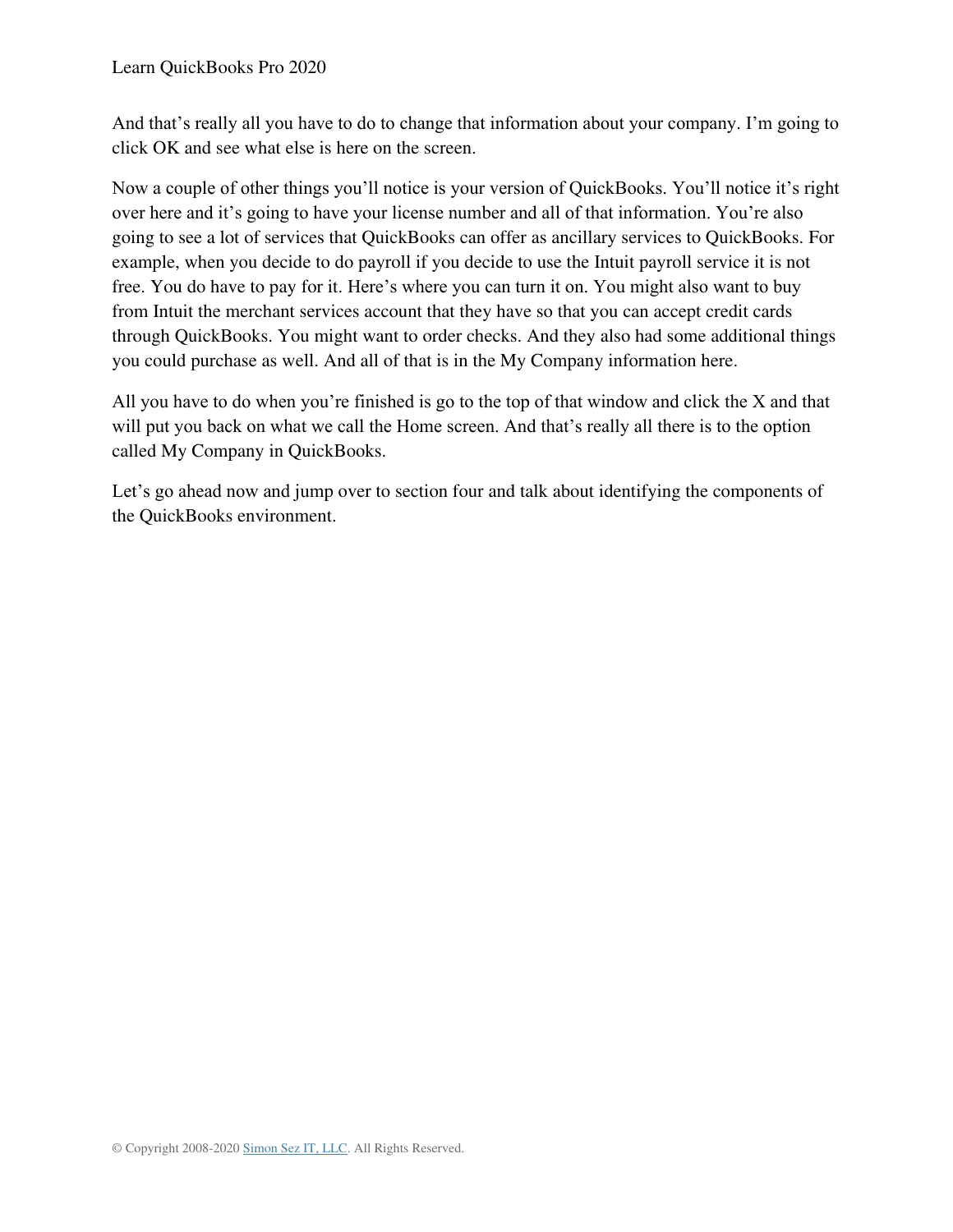And that's really all you have to do to change that information about your company. I'm going to click OK and see what else is here on the screen.

Now a couple of other things you'll notice is your version of QuickBooks. You'll notice it's right over here and it's going to have your license number and all of that information. You're also going to see a lot of services that QuickBooks can offer as ancillary services to QuickBooks. For example, when you decide to do payroll if you decide to use the Intuit payroll service it is not free. You do have to pay for it. Here's where you can turn it on. You might also want to buy from Intuit the merchant services account that they have so that you can accept credit cards through QuickBooks. You might want to order checks. And they also had some additional things you could purchase as well. And all of that is in the My Company information here.

All you have to do when you're finished is go to the top of that window and click the X and that will put you back on what we call the Home screen. And that's really all there is to the option called My Company in QuickBooks.

Let's go ahead now and jump over to section four and talk about identifying the components of the QuickBooks environment.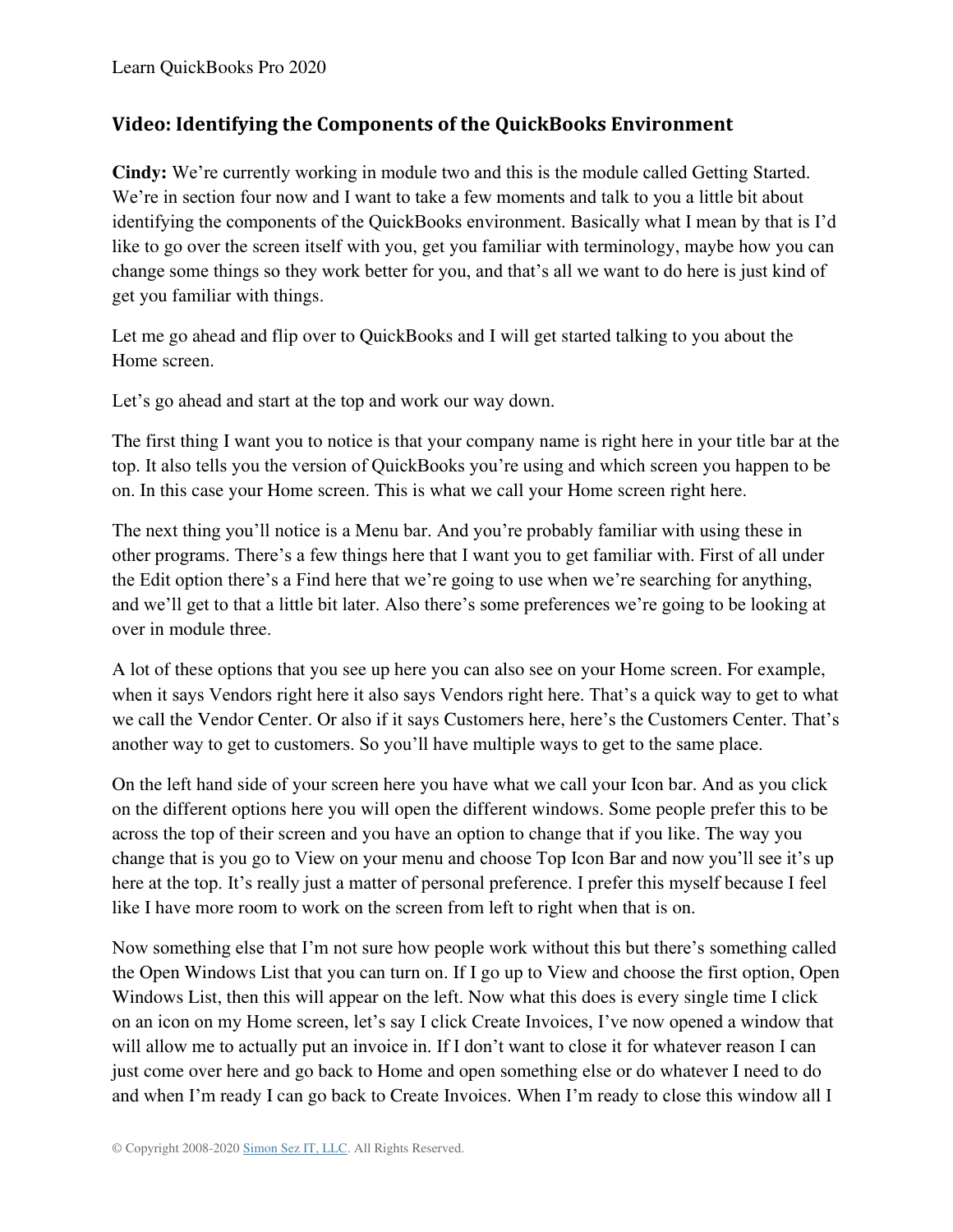# <span id="page-28-0"></span>**Video: Identifying the Components of the QuickBooks Environment**

**Cindy:** We're currently working in module two and this is the module called Getting Started. We're in section four now and I want to take a few moments and talk to you a little bit about identifying the components of the QuickBooks environment. Basically what I mean by that is I'd like to go over the screen itself with you, get you familiar with terminology, maybe how you can change some things so they work better for you, and that's all we want to do here is just kind of get you familiar with things.

Let me go ahead and flip over to QuickBooks and I will get started talking to you about the Home screen.

Let's go ahead and start at the top and work our way down.

The first thing I want you to notice is that your company name is right here in your title bar at the top. It also tells you the version of QuickBooks you're using and which screen you happen to be on. In this case your Home screen. This is what we call your Home screen right here.

The next thing you'll notice is a Menu bar. And you're probably familiar with using these in other programs. There's a few things here that I want you to get familiar with. First of all under the Edit option there's a Find here that we're going to use when we're searching for anything, and we'll get to that a little bit later. Also there's some preferences we're going to be looking at over in module three.

A lot of these options that you see up here you can also see on your Home screen. For example, when it says Vendors right here it also says Vendors right here. That's a quick way to get to what we call the Vendor Center. Or also if it says Customers here, here's the Customers Center. That's another way to get to customers. So you'll have multiple ways to get to the same place.

On the left hand side of your screen here you have what we call your Icon bar. And as you click on the different options here you will open the different windows. Some people prefer this to be across the top of their screen and you have an option to change that if you like. The way you change that is you go to View on your menu and choose Top Icon Bar and now you'll see it's up here at the top. It's really just a matter of personal preference. I prefer this myself because I feel like I have more room to work on the screen from left to right when that is on.

Now something else that I'm not sure how people work without this but there's something called the Open Windows List that you can turn on. If I go up to View and choose the first option, Open Windows List, then this will appear on the left. Now what this does is every single time I click on an icon on my Home screen, let's say I click Create Invoices, I've now opened a window that will allow me to actually put an invoice in. If I don't want to close it for whatever reason I can just come over here and go back to Home and open something else or do whatever I need to do and when I'm ready I can go back to Create Invoices. When I'm ready to close this window all I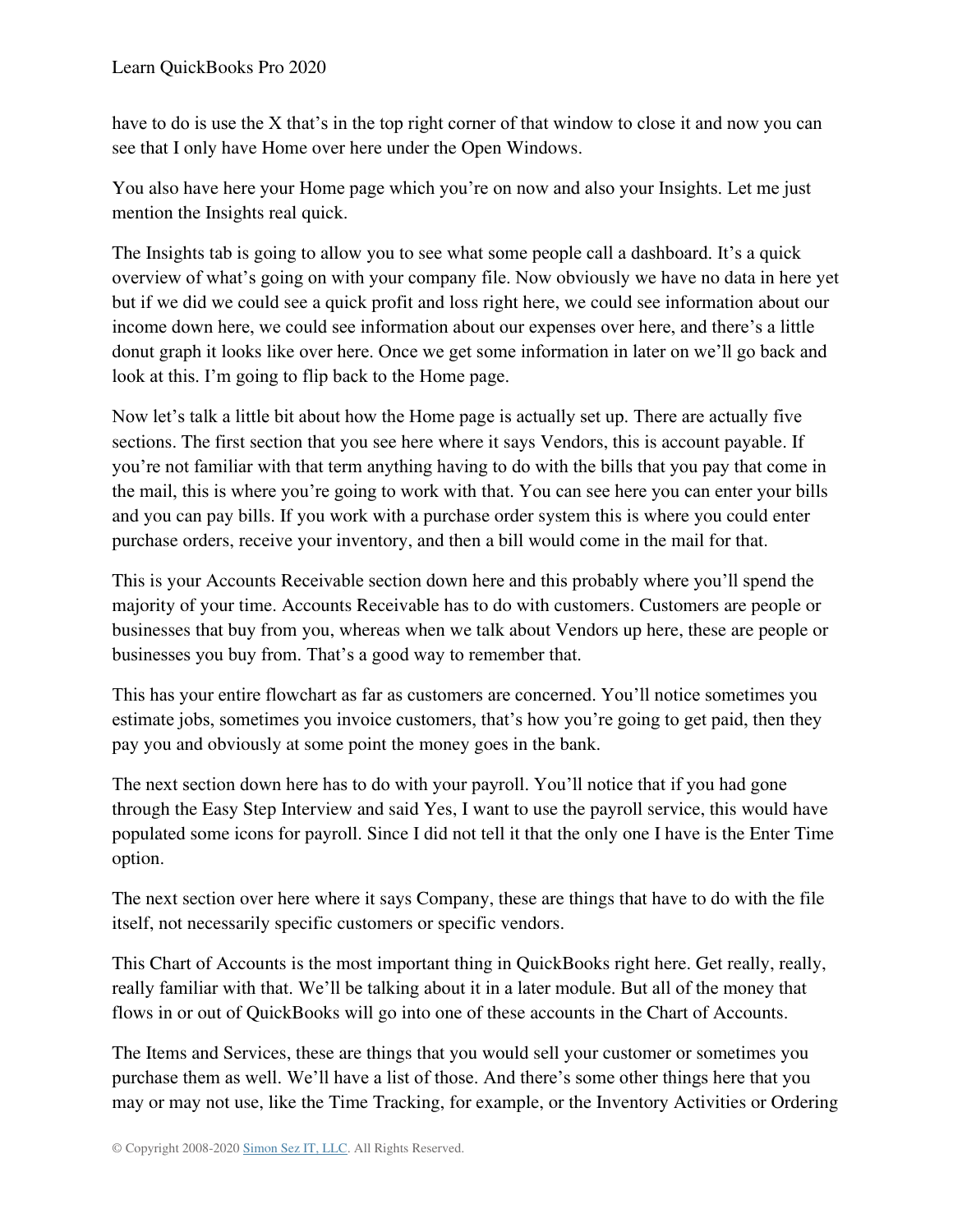have to do is use the X that's in the top right corner of that window to close it and now you can see that I only have Home over here under the Open Windows.

You also have here your Home page which you're on now and also your Insights. Let me just mention the Insights real quick.

The Insights tab is going to allow you to see what some people call a dashboard. It's a quick overview of what's going on with your company file. Now obviously we have no data in here yet but if we did we could see a quick profit and loss right here, we could see information about our income down here, we could see information about our expenses over here, and there's a little donut graph it looks like over here. Once we get some information in later on we'll go back and look at this. I'm going to flip back to the Home page.

Now let's talk a little bit about how the Home page is actually set up. There are actually five sections. The first section that you see here where it says Vendors, this is account payable. If you're not familiar with that term anything having to do with the bills that you pay that come in the mail, this is where you're going to work with that. You can see here you can enter your bills and you can pay bills. If you work with a purchase order system this is where you could enter purchase orders, receive your inventory, and then a bill would come in the mail for that.

This is your Accounts Receivable section down here and this probably where you'll spend the majority of your time. Accounts Receivable has to do with customers. Customers are people or businesses that buy from you, whereas when we talk about Vendors up here, these are people or businesses you buy from. That's a good way to remember that.

This has your entire flowchart as far as customers are concerned. You'll notice sometimes you estimate jobs, sometimes you invoice customers, that's how you're going to get paid, then they pay you and obviously at some point the money goes in the bank.

The next section down here has to do with your payroll. You'll notice that if you had gone through the Easy Step Interview and said Yes, I want to use the payroll service, this would have populated some icons for payroll. Since I did not tell it that the only one I have is the Enter Time option.

The next section over here where it says Company, these are things that have to do with the file itself, not necessarily specific customers or specific vendors.

This Chart of Accounts is the most important thing in QuickBooks right here. Get really, really, really familiar with that. We'll be talking about it in a later module. But all of the money that flows in or out of QuickBooks will go into one of these accounts in the Chart of Accounts.

The Items and Services, these are things that you would sell your customer or sometimes you purchase them as well. We'll have a list of those. And there's some other things here that you may or may not use, like the Time Tracking, for example, or the Inventory Activities or Ordering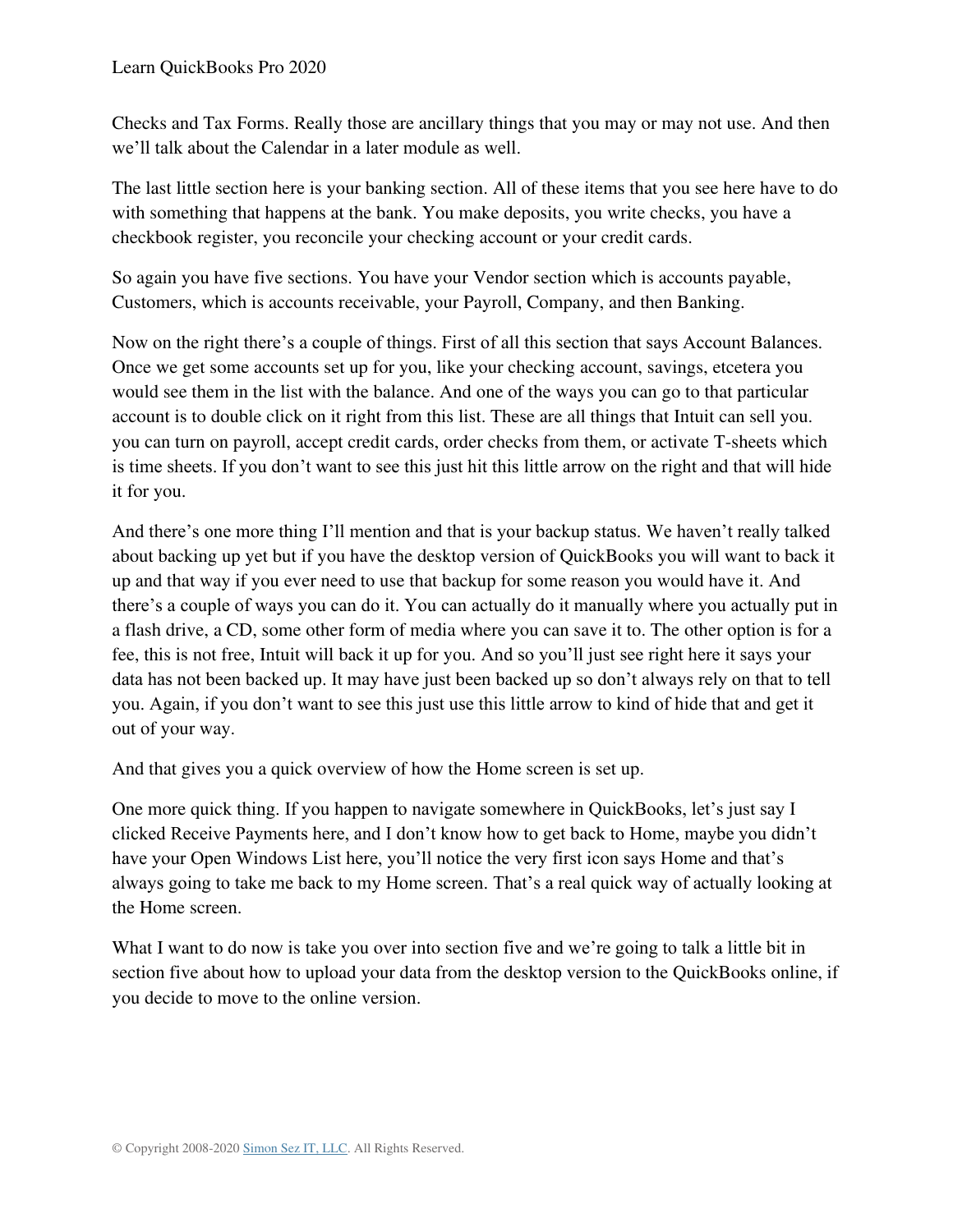Checks and Tax Forms. Really those are ancillary things that you may or may not use. And then we'll talk about the Calendar in a later module as well.

The last little section here is your banking section. All of these items that you see here have to do with something that happens at the bank. You make deposits, you write checks, you have a checkbook register, you reconcile your checking account or your credit cards.

So again you have five sections. You have your Vendor section which is accounts payable, Customers, which is accounts receivable, your Payroll, Company, and then Banking.

Now on the right there's a couple of things. First of all this section that says Account Balances. Once we get some accounts set up for you, like your checking account, savings, etcetera you would see them in the list with the balance. And one of the ways you can go to that particular account is to double click on it right from this list. These are all things that Intuit can sell you. you can turn on payroll, accept credit cards, order checks from them, or activate T-sheets which is time sheets. If you don't want to see this just hit this little arrow on the right and that will hide it for you.

And there's one more thing I'll mention and that is your backup status. We haven't really talked about backing up yet but if you have the desktop version of QuickBooks you will want to back it up and that way if you ever need to use that backup for some reason you would have it. And there's a couple of ways you can do it. You can actually do it manually where you actually put in a flash drive, a CD, some other form of media where you can save it to. The other option is for a fee, this is not free, Intuit will back it up for you. And so you'll just see right here it says your data has not been backed up. It may have just been backed up so don't always rely on that to tell you. Again, if you don't want to see this just use this little arrow to kind of hide that and get it out of your way.

And that gives you a quick overview of how the Home screen is set up.

One more quick thing. If you happen to navigate somewhere in QuickBooks, let's just say I clicked Receive Payments here, and I don't know how to get back to Home, maybe you didn't have your Open Windows List here, you'll notice the very first icon says Home and that's always going to take me back to my Home screen. That's a real quick way of actually looking at the Home screen.

What I want to do now is take you over into section five and we're going to talk a little bit in section five about how to upload your data from the desktop version to the QuickBooks online, if you decide to move to the online version.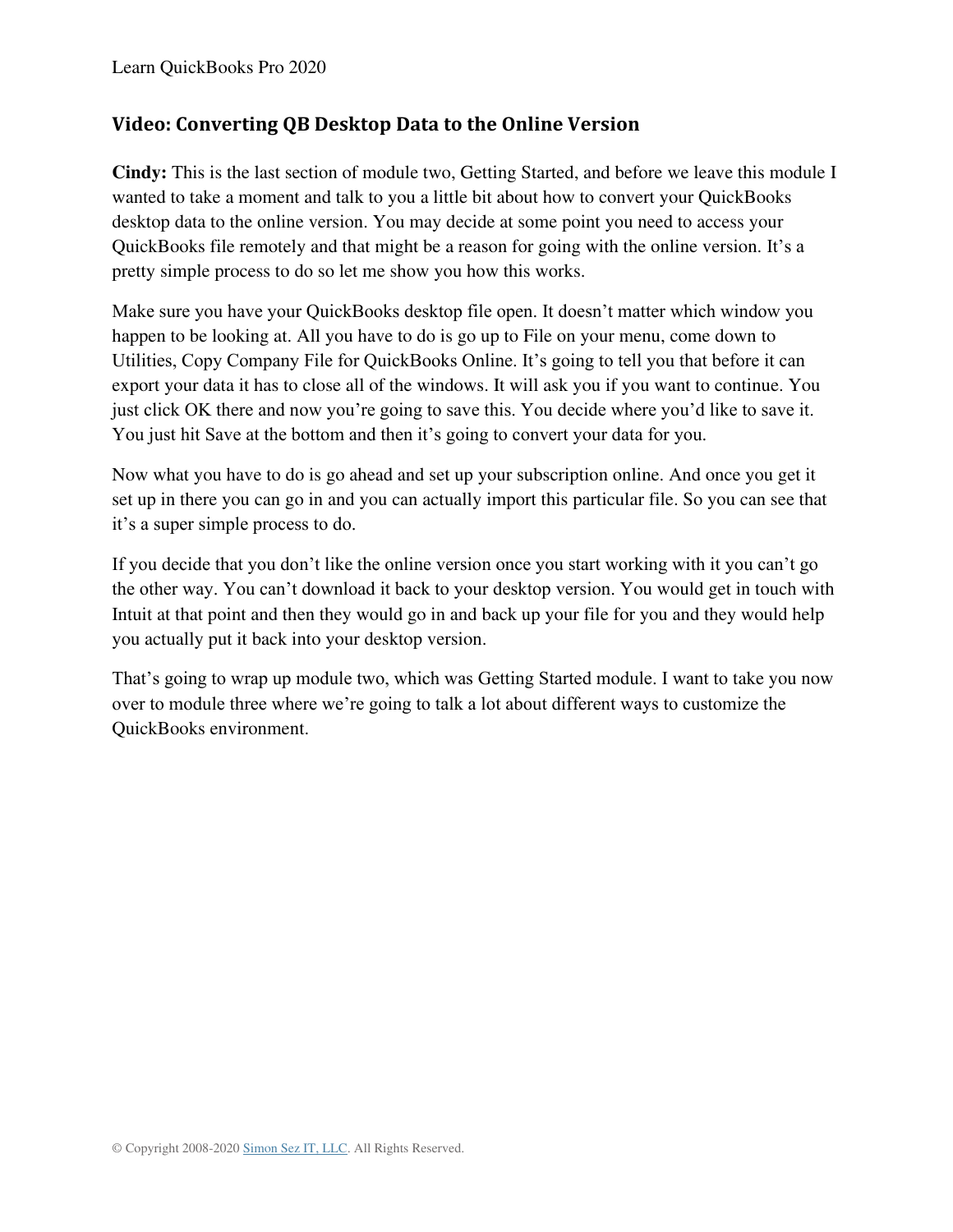# <span id="page-31-0"></span>**Video: Converting QB Desktop Data to the Online Version**

**Cindy:** This is the last section of module two, Getting Started, and before we leave this module I wanted to take a moment and talk to you a little bit about how to convert your QuickBooks desktop data to the online version. You may decide at some point you need to access your QuickBooks file remotely and that might be a reason for going with the online version. It's a pretty simple process to do so let me show you how this works.

Make sure you have your QuickBooks desktop file open. It doesn't matter which window you happen to be looking at. All you have to do is go up to File on your menu, come down to Utilities, Copy Company File for QuickBooks Online. It's going to tell you that before it can export your data it has to close all of the windows. It will ask you if you want to continue. You just click OK there and now you're going to save this. You decide where you'd like to save it. You just hit Save at the bottom and then it's going to convert your data for you.

Now what you have to do is go ahead and set up your subscription online. And once you get it set up in there you can go in and you can actually import this particular file. So you can see that it's a super simple process to do.

If you decide that you don't like the online version once you start working with it you can't go the other way. You can't download it back to your desktop version. You would get in touch with Intuit at that point and then they would go in and back up your file for you and they would help you actually put it back into your desktop version.

That's going to wrap up module two, which was Getting Started module. I want to take you now over to module three where we're going to talk a lot about different ways to customize the QuickBooks environment.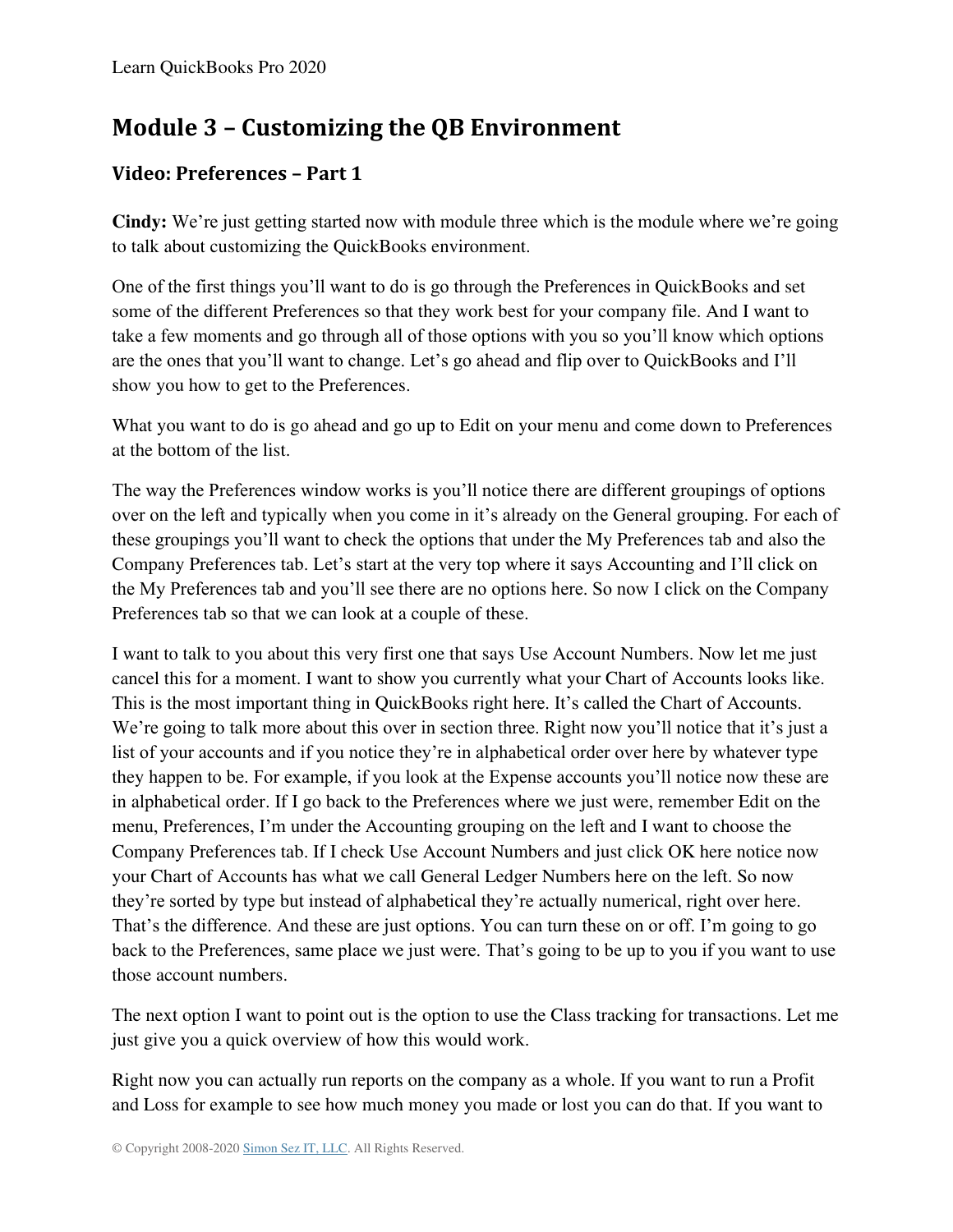# **Module 3 – Customizing the QB Environment**

# <span id="page-32-0"></span>**Video: Preferences – Part 1**

**Cindy:** We're just getting started now with module three which is the module where we're going to talk about customizing the QuickBooks environment.

One of the first things you'll want to do is go through the Preferences in QuickBooks and set some of the different Preferences so that they work best for your company file. And I want to take a few moments and go through all of those options with you so you'll know which options are the ones that you'll want to change. Let's go ahead and flip over to QuickBooks and I'll show you how to get to the Preferences.

What you want to do is go ahead and go up to Edit on your menu and come down to Preferences at the bottom of the list.

The way the Preferences window works is you'll notice there are different groupings of options over on the left and typically when you come in it's already on the General grouping. For each of these groupings you'll want to check the options that under the My Preferences tab and also the Company Preferences tab. Let's start at the very top where it says Accounting and I'll click on the My Preferences tab and you'll see there are no options here. So now I click on the Company Preferences tab so that we can look at a couple of these.

I want to talk to you about this very first one that says Use Account Numbers. Now let me just cancel this for a moment. I want to show you currently what your Chart of Accounts looks like. This is the most important thing in QuickBooks right here. It's called the Chart of Accounts. We're going to talk more about this over in section three. Right now you'll notice that it's just a list of your accounts and if you notice they're in alphabetical order over here by whatever type they happen to be. For example, if you look at the Expense accounts you'll notice now these are in alphabetical order. If I go back to the Preferences where we just were, remember Edit on the menu, Preferences, I'm under the Accounting grouping on the left and I want to choose the Company Preferences tab. If I check Use Account Numbers and just click OK here notice now your Chart of Accounts has what we call General Ledger Numbers here on the left. So now they're sorted by type but instead of alphabetical they're actually numerical, right over here. That's the difference. And these are just options. You can turn these on or off. I'm going to go back to the Preferences, same place we just were. That's going to be up to you if you want to use those account numbers.

The next option I want to point out is the option to use the Class tracking for transactions. Let me just give you a quick overview of how this would work.

Right now you can actually run reports on the company as a whole. If you want to run a Profit and Loss for example to see how much money you made or lost you can do that. If you want to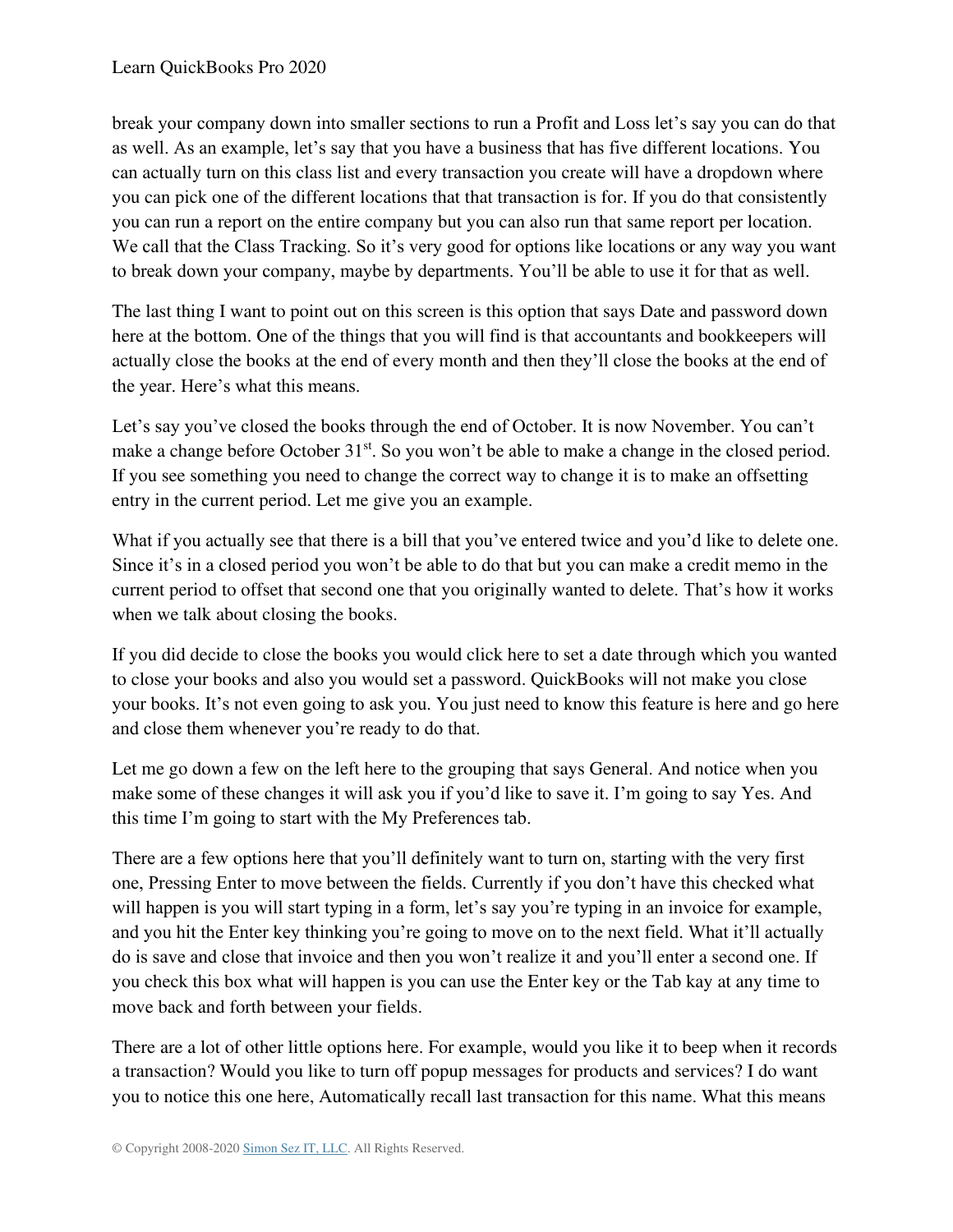break your company down into smaller sections to run a Profit and Loss let's say you can do that as well. As an example, let's say that you have a business that has five different locations. You can actually turn on this class list and every transaction you create will have a dropdown where you can pick one of the different locations that that transaction is for. If you do that consistently you can run a report on the entire company but you can also run that same report per location. We call that the Class Tracking. So it's very good for options like locations or any way you want to break down your company, maybe by departments. You'll be able to use it for that as well.

The last thing I want to point out on this screen is this option that says Date and password down here at the bottom. One of the things that you will find is that accountants and bookkeepers will actually close the books at the end of every month and then they'll close the books at the end of the year. Here's what this means.

Let's say you've closed the books through the end of October. It is now November. You can't make a change before October 31<sup>st</sup>. So you won't be able to make a change in the closed period. If you see something you need to change the correct way to change it is to make an offsetting entry in the current period. Let me give you an example.

What if you actually see that there is a bill that you've entered twice and you'd like to delete one. Since it's in a closed period you won't be able to do that but you can make a credit memo in the current period to offset that second one that you originally wanted to delete. That's how it works when we talk about closing the books.

If you did decide to close the books you would click here to set a date through which you wanted to close your books and also you would set a password. QuickBooks will not make you close your books. It's not even going to ask you. You just need to know this feature is here and go here and close them whenever you're ready to do that.

Let me go down a few on the left here to the grouping that says General. And notice when you make some of these changes it will ask you if you'd like to save it. I'm going to say Yes. And this time I'm going to start with the My Preferences tab.

There are a few options here that you'll definitely want to turn on, starting with the very first one, Pressing Enter to move between the fields. Currently if you don't have this checked what will happen is you will start typing in a form, let's say you're typing in an invoice for example, and you hit the Enter key thinking you're going to move on to the next field. What it'll actually do is save and close that invoice and then you won't realize it and you'll enter a second one. If you check this box what will happen is you can use the Enter key or the Tab kay at any time to move back and forth between your fields.

There are a lot of other little options here. For example, would you like it to beep when it records a transaction? Would you like to turn off popup messages for products and services? I do want you to notice this one here, Automatically recall last transaction for this name. What this means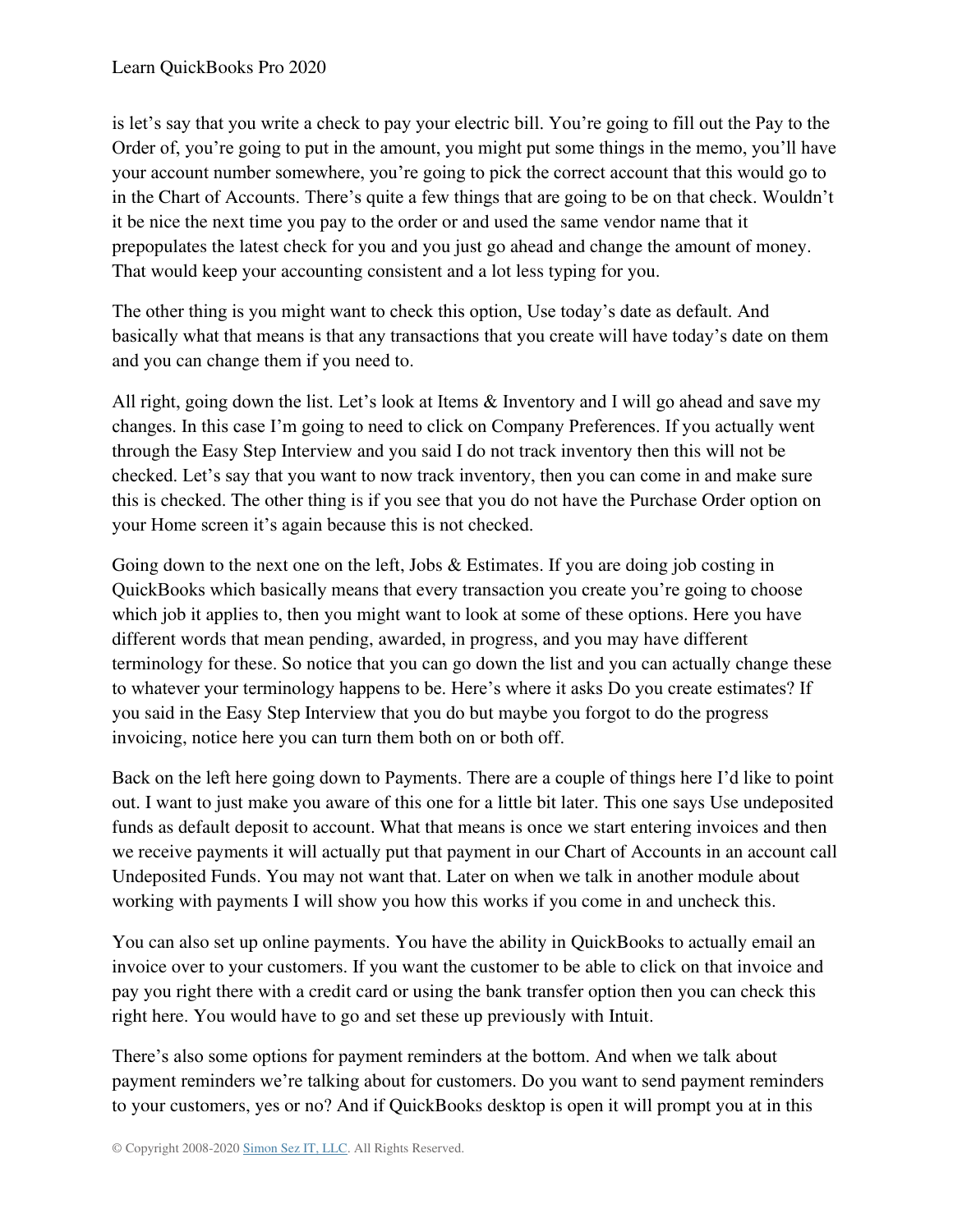is let's say that you write a check to pay your electric bill. You're going to fill out the Pay to the Order of, you're going to put in the amount, you might put some things in the memo, you'll have your account number somewhere, you're going to pick the correct account that this would go to in the Chart of Accounts. There's quite a few things that are going to be on that check. Wouldn't it be nice the next time you pay to the order or and used the same vendor name that it prepopulates the latest check for you and you just go ahead and change the amount of money. That would keep your accounting consistent and a lot less typing for you.

The other thing is you might want to check this option, Use today's date as default. And basically what that means is that any transactions that you create will have today's date on them and you can change them if you need to.

All right, going down the list. Let's look at Items & Inventory and I will go ahead and save my changes. In this case I'm going to need to click on Company Preferences. If you actually went through the Easy Step Interview and you said I do not track inventory then this will not be checked. Let's say that you want to now track inventory, then you can come in and make sure this is checked. The other thing is if you see that you do not have the Purchase Order option on your Home screen it's again because this is not checked.

Going down to the next one on the left, Jobs & Estimates. If you are doing job costing in QuickBooks which basically means that every transaction you create you're going to choose which job it applies to, then you might want to look at some of these options. Here you have different words that mean pending, awarded, in progress, and you may have different terminology for these. So notice that you can go down the list and you can actually change these to whatever your terminology happens to be. Here's where it asks Do you create estimates? If you said in the Easy Step Interview that you do but maybe you forgot to do the progress invoicing, notice here you can turn them both on or both off.

Back on the left here going down to Payments. There are a couple of things here I'd like to point out. I want to just make you aware of this one for a little bit later. This one says Use undeposited funds as default deposit to account. What that means is once we start entering invoices and then we receive payments it will actually put that payment in our Chart of Accounts in an account call Undeposited Funds. You may not want that. Later on when we talk in another module about working with payments I will show you how this works if you come in and uncheck this.

You can also set up online payments. You have the ability in QuickBooks to actually email an invoice over to your customers. If you want the customer to be able to click on that invoice and pay you right there with a credit card or using the bank transfer option then you can check this right here. You would have to go and set these up previously with Intuit.

There's also some options for payment reminders at the bottom. And when we talk about payment reminders we're talking about for customers. Do you want to send payment reminders to your customers, yes or no? And if QuickBooks desktop is open it will prompt you at in this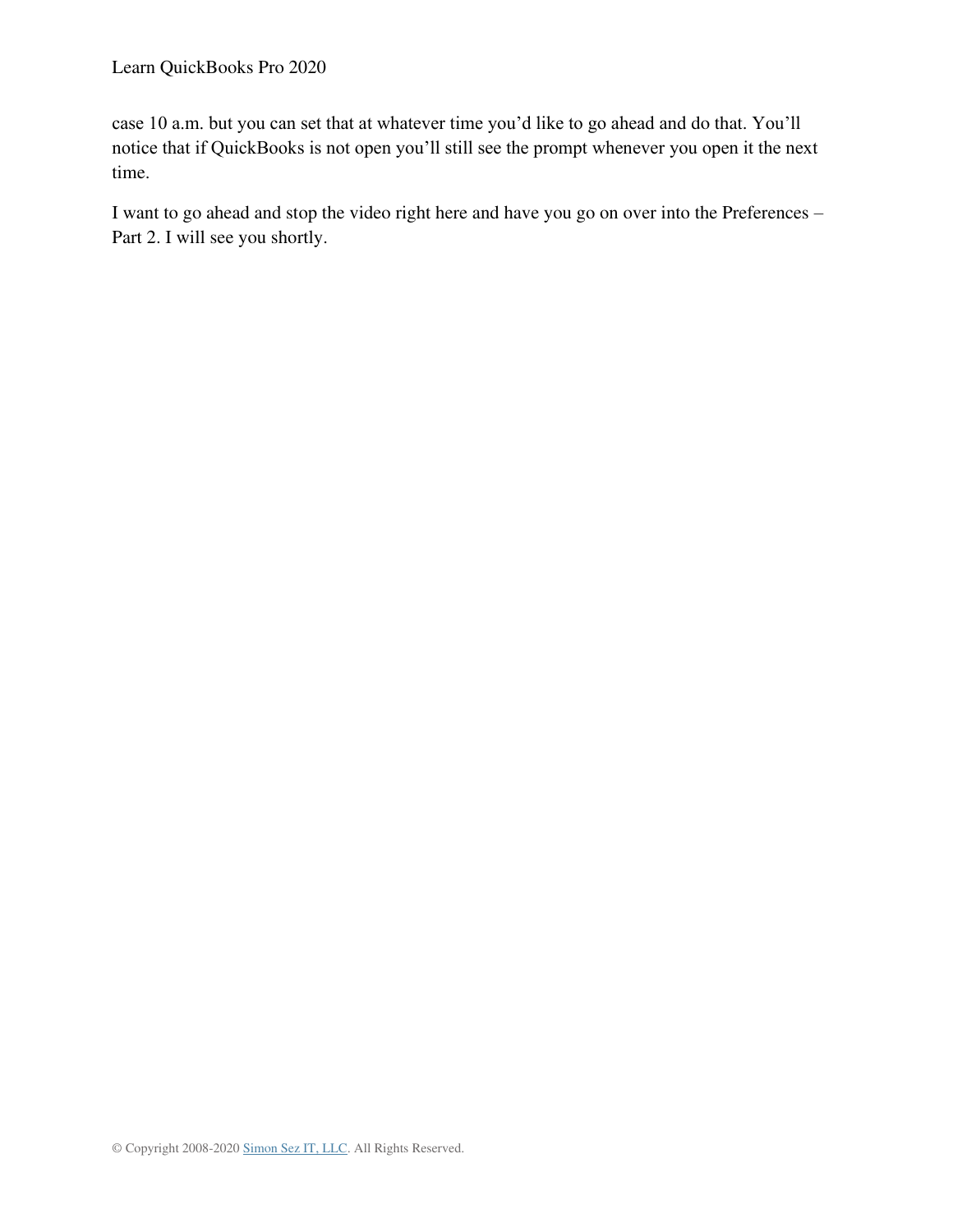case 10 a.m. but you can set that at whatever time you'd like to go ahead and do that. You'll notice that if QuickBooks is not open you'll still see the prompt whenever you open it the next time.

I want to go ahead and stop the video right here and have you go on over into the Preferences – Part 2. I will see you shortly.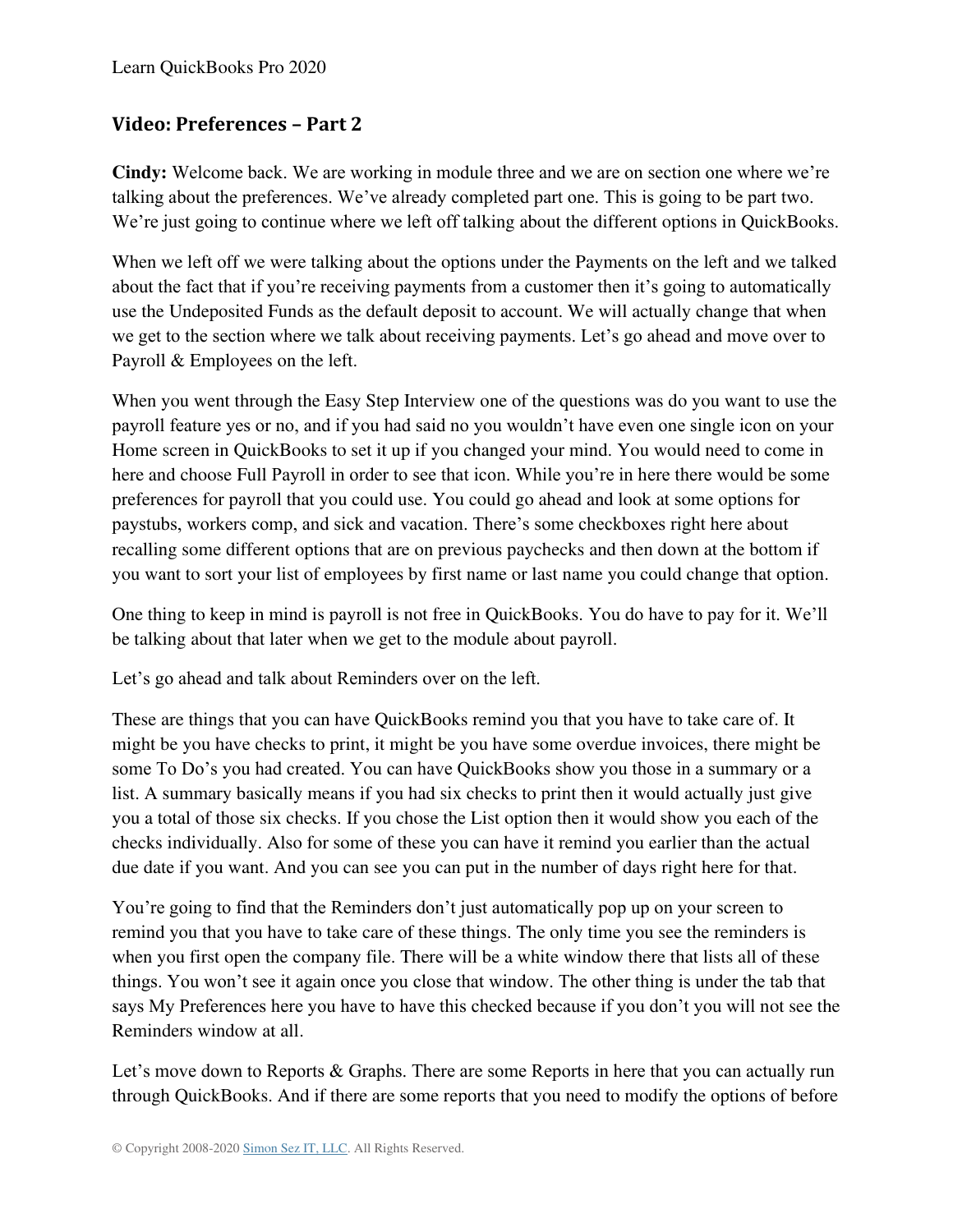### **Video: Preferences – Part 2**

**Cindy:** Welcome back. We are working in module three and we are on section one where we're talking about the preferences. We've already completed part one. This is going to be part two. We're just going to continue where we left off talking about the different options in QuickBooks.

When we left off we were talking about the options under the Payments on the left and we talked about the fact that if you're receiving payments from a customer then it's going to automatically use the Undeposited Funds as the default deposit to account. We will actually change that when we get to the section where we talk about receiving payments. Let's go ahead and move over to Payroll & Employees on the left.

When you went through the Easy Step Interview one of the questions was do you want to use the payroll feature yes or no, and if you had said no you wouldn't have even one single icon on your Home screen in QuickBooks to set it up if you changed your mind. You would need to come in here and choose Full Payroll in order to see that icon. While you're in here there would be some preferences for payroll that you could use. You could go ahead and look at some options for paystubs, workers comp, and sick and vacation. There's some checkboxes right here about recalling some different options that are on previous paychecks and then down at the bottom if you want to sort your list of employees by first name or last name you could change that option.

One thing to keep in mind is payroll is not free in QuickBooks. You do have to pay for it. We'll be talking about that later when we get to the module about payroll.

Let's go ahead and talk about Reminders over on the left.

These are things that you can have QuickBooks remind you that you have to take care of. It might be you have checks to print, it might be you have some overdue invoices, there might be some To Do's you had created. You can have QuickBooks show you those in a summary or a list. A summary basically means if you had six checks to print then it would actually just give you a total of those six checks. If you chose the List option then it would show you each of the checks individually. Also for some of these you can have it remind you earlier than the actual due date if you want. And you can see you can put in the number of days right here for that.

You're going to find that the Reminders don't just automatically pop up on your screen to remind you that you have to take care of these things. The only time you see the reminders is when you first open the company file. There will be a white window there that lists all of these things. You won't see it again once you close that window. The other thing is under the tab that says My Preferences here you have to have this checked because if you don't you will not see the Reminders window at all.

Let's move down to Reports & Graphs. There are some Reports in here that you can actually run through QuickBooks. And if there are some reports that you need to modify the options of before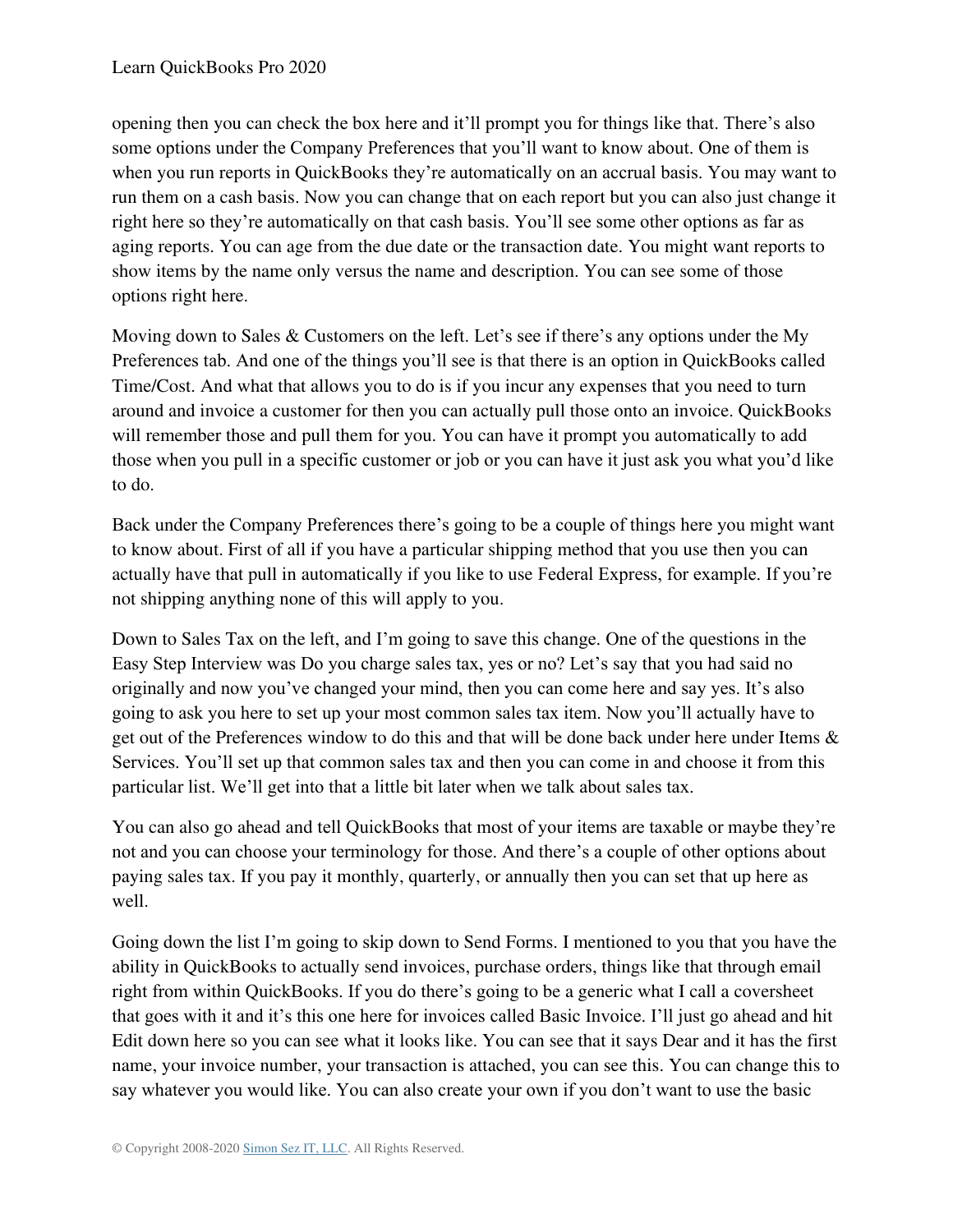opening then you can check the box here and it'll prompt you for things like that. There's also some options under the Company Preferences that you'll want to know about. One of them is when you run reports in QuickBooks they're automatically on an accrual basis. You may want to run them on a cash basis. Now you can change that on each report but you can also just change it right here so they're automatically on that cash basis. You'll see some other options as far as aging reports. You can age from the due date or the transaction date. You might want reports to show items by the name only versus the name and description. You can see some of those options right here.

Moving down to Sales & Customers on the left. Let's see if there's any options under the My Preferences tab. And one of the things you'll see is that there is an option in QuickBooks called Time/Cost. And what that allows you to do is if you incur any expenses that you need to turn around and invoice a customer for then you can actually pull those onto an invoice. QuickBooks will remember those and pull them for you. You can have it prompt you automatically to add those when you pull in a specific customer or job or you can have it just ask you what you'd like to do.

Back under the Company Preferences there's going to be a couple of things here you might want to know about. First of all if you have a particular shipping method that you use then you can actually have that pull in automatically if you like to use Federal Express, for example. If you're not shipping anything none of this will apply to you.

Down to Sales Tax on the left, and I'm going to save this change. One of the questions in the Easy Step Interview was Do you charge sales tax, yes or no? Let's say that you had said no originally and now you've changed your mind, then you can come here and say yes. It's also going to ask you here to set up your most common sales tax item. Now you'll actually have to get out of the Preferences window to do this and that will be done back under here under Items & Services. You'll set up that common sales tax and then you can come in and choose it from this particular list. We'll get into that a little bit later when we talk about sales tax.

You can also go ahead and tell QuickBooks that most of your items are taxable or maybe they're not and you can choose your terminology for those. And there's a couple of other options about paying sales tax. If you pay it monthly, quarterly, or annually then you can set that up here as well.

Going down the list I'm going to skip down to Send Forms. I mentioned to you that you have the ability in QuickBooks to actually send invoices, purchase orders, things like that through email right from within QuickBooks. If you do there's going to be a generic what I call a coversheet that goes with it and it's this one here for invoices called Basic Invoice. I'll just go ahead and hit Edit down here so you can see what it looks like. You can see that it says Dear and it has the first name, your invoice number, your transaction is attached, you can see this. You can change this to say whatever you would like. You can also create your own if you don't want to use the basic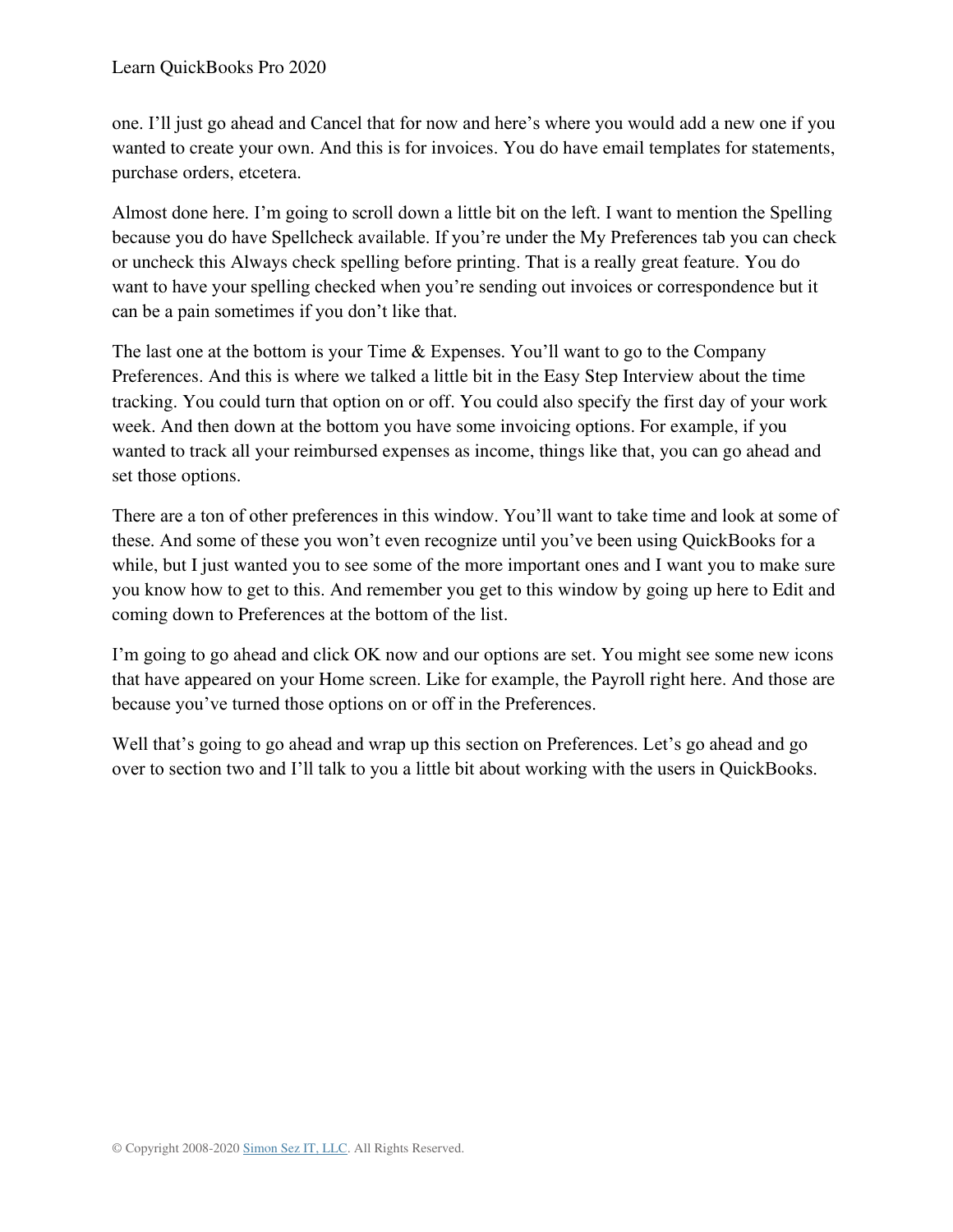one. I'll just go ahead and Cancel that for now and here's where you would add a new one if you wanted to create your own. And this is for invoices. You do have email templates for statements, purchase orders, etcetera.

Almost done here. I'm going to scroll down a little bit on the left. I want to mention the Spelling because you do have Spellcheck available. If you're under the My Preferences tab you can check or uncheck this Always check spelling before printing. That is a really great feature. You do want to have your spelling checked when you're sending out invoices or correspondence but it can be a pain sometimes if you don't like that.

The last one at the bottom is your Time & Expenses. You'll want to go to the Company Preferences. And this is where we talked a little bit in the Easy Step Interview about the time tracking. You could turn that option on or off. You could also specify the first day of your work week. And then down at the bottom you have some invoicing options. For example, if you wanted to track all your reimbursed expenses as income, things like that, you can go ahead and set those options.

There are a ton of other preferences in this window. You'll want to take time and look at some of these. And some of these you won't even recognize until you've been using QuickBooks for a while, but I just wanted you to see some of the more important ones and I want you to make sure you know how to get to this. And remember you get to this window by going up here to Edit and coming down to Preferences at the bottom of the list.

I'm going to go ahead and click OK now and our options are set. You might see some new icons that have appeared on your Home screen. Like for example, the Payroll right here. And those are because you've turned those options on or off in the Preferences.

Well that's going to go ahead and wrap up this section on Preferences. Let's go ahead and go over to section two and I'll talk to you a little bit about working with the users in QuickBooks.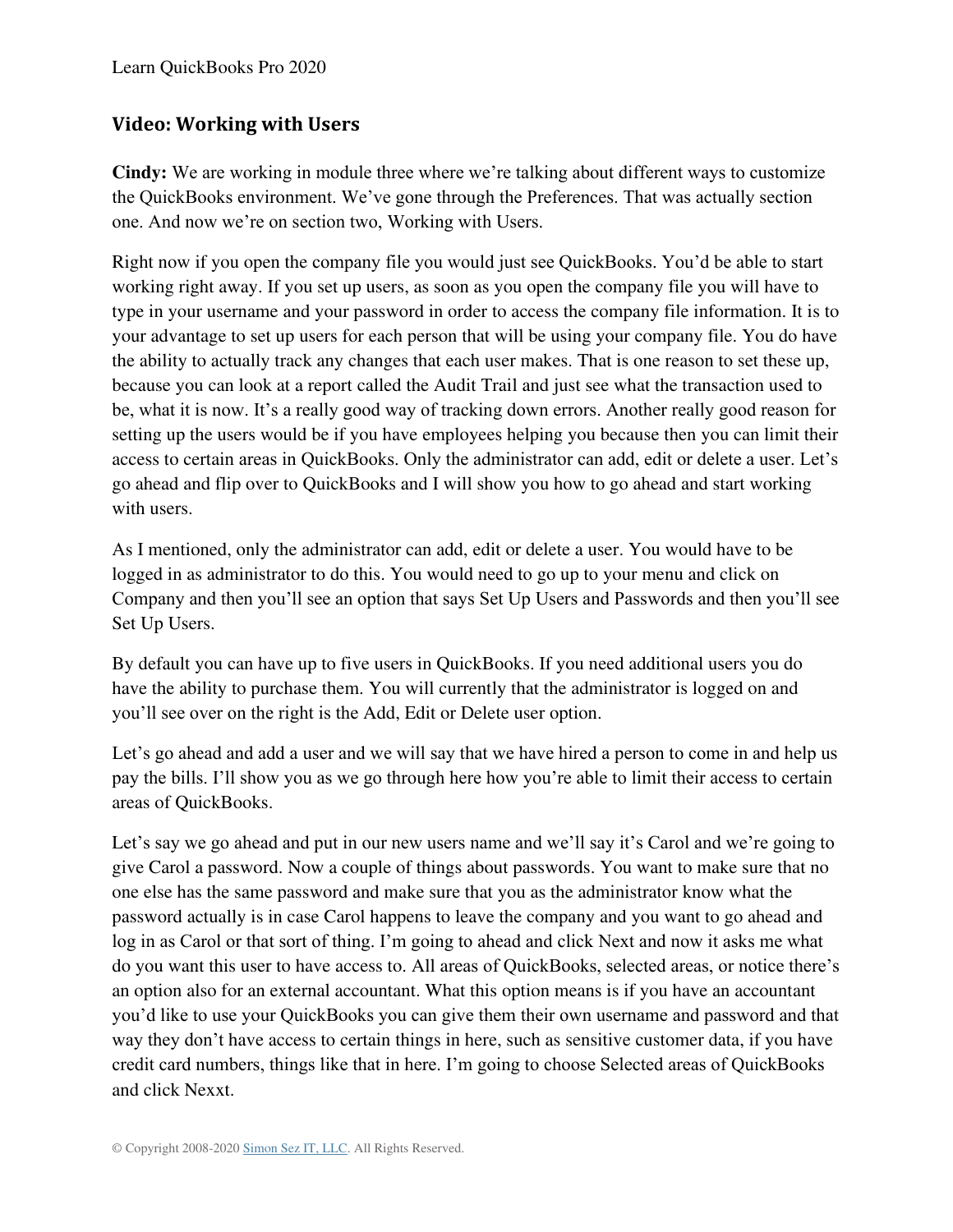### **Video: Working with Users**

**Cindy:** We are working in module three where we're talking about different ways to customize the QuickBooks environment. We've gone through the Preferences. That was actually section one. And now we're on section two, Working with Users.

Right now if you open the company file you would just see QuickBooks. You'd be able to start working right away. If you set up users, as soon as you open the company file you will have to type in your username and your password in order to access the company file information. It is to your advantage to set up users for each person that will be using your company file. You do have the ability to actually track any changes that each user makes. That is one reason to set these up, because you can look at a report called the Audit Trail and just see what the transaction used to be, what it is now. It's a really good way of tracking down errors. Another really good reason for setting up the users would be if you have employees helping you because then you can limit their access to certain areas in QuickBooks. Only the administrator can add, edit or delete a user. Let's go ahead and flip over to QuickBooks and I will show you how to go ahead and start working with users.

As I mentioned, only the administrator can add, edit or delete a user. You would have to be logged in as administrator to do this. You would need to go up to your menu and click on Company and then you'll see an option that says Set Up Users and Passwords and then you'll see Set Up Users.

By default you can have up to five users in QuickBooks. If you need additional users you do have the ability to purchase them. You will currently that the administrator is logged on and you'll see over on the right is the Add, Edit or Delete user option.

Let's go ahead and add a user and we will say that we have hired a person to come in and help us pay the bills. I'll show you as we go through here how you're able to limit their access to certain areas of QuickBooks.

Let's say we go ahead and put in our new users name and we'll say it's Carol and we're going to give Carol a password. Now a couple of things about passwords. You want to make sure that no one else has the same password and make sure that you as the administrator know what the password actually is in case Carol happens to leave the company and you want to go ahead and log in as Carol or that sort of thing. I'm going to ahead and click Next and now it asks me what do you want this user to have access to. All areas of QuickBooks, selected areas, or notice there's an option also for an external accountant. What this option means is if you have an accountant you'd like to use your QuickBooks you can give them their own username and password and that way they don't have access to certain things in here, such as sensitive customer data, if you have credit card numbers, things like that in here. I'm going to choose Selected areas of QuickBooks and click Nexxt.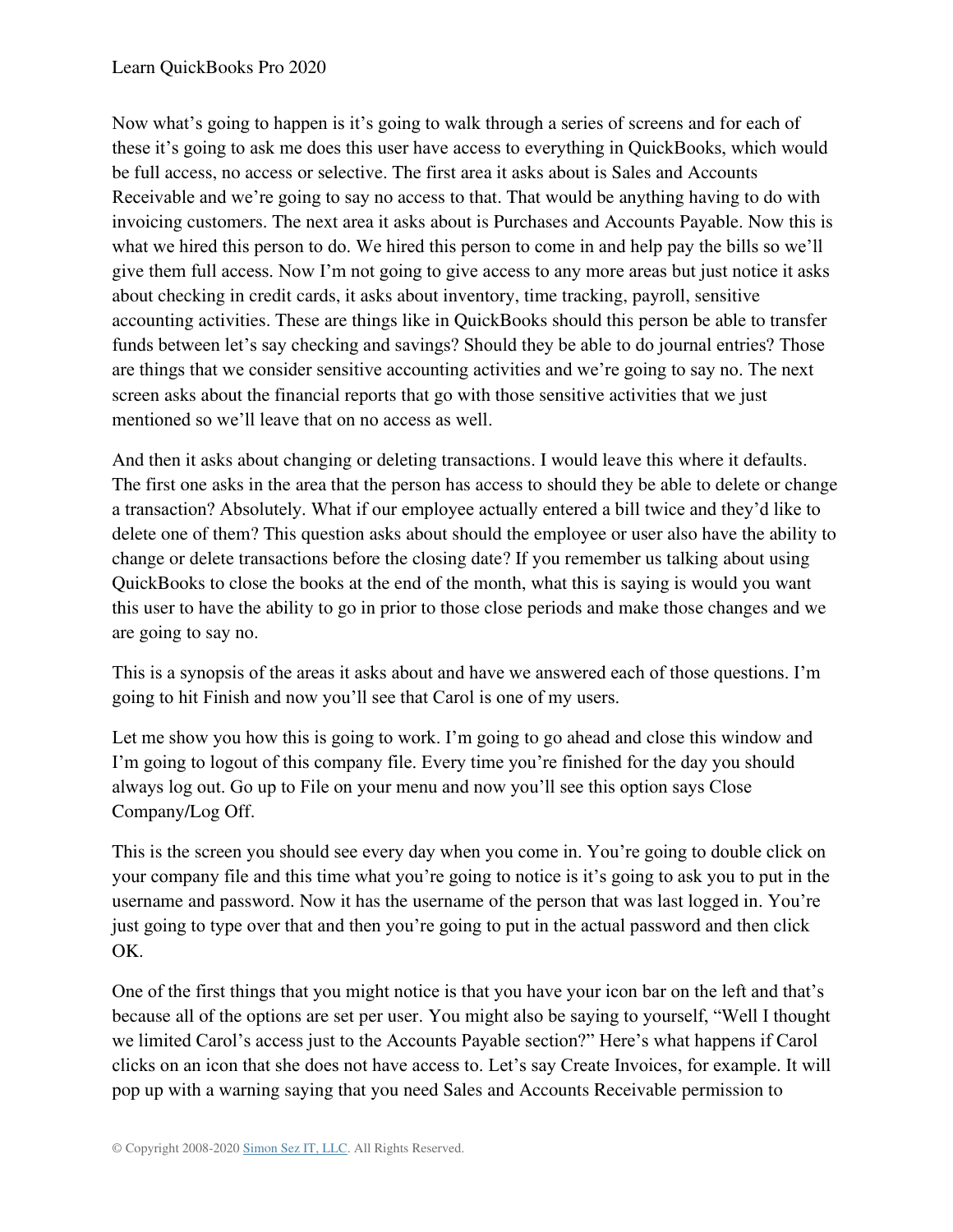Now what's going to happen is it's going to walk through a series of screens and for each of these it's going to ask me does this user have access to everything in QuickBooks, which would be full access, no access or selective. The first area it asks about is Sales and Accounts Receivable and we're going to say no access to that. That would be anything having to do with invoicing customers. The next area it asks about is Purchases and Accounts Payable. Now this is what we hired this person to do. We hired this person to come in and help pay the bills so we'll give them full access. Now I'm not going to give access to any more areas but just notice it asks about checking in credit cards, it asks about inventory, time tracking, payroll, sensitive accounting activities. These are things like in QuickBooks should this person be able to transfer funds between let's say checking and savings? Should they be able to do journal entries? Those are things that we consider sensitive accounting activities and we're going to say no. The next screen asks about the financial reports that go with those sensitive activities that we just mentioned so we'll leave that on no access as well.

And then it asks about changing or deleting transactions. I would leave this where it defaults. The first one asks in the area that the person has access to should they be able to delete or change a transaction? Absolutely. What if our employee actually entered a bill twice and they'd like to delete one of them? This question asks about should the employee or user also have the ability to change or delete transactions before the closing date? If you remember us talking about using QuickBooks to close the books at the end of the month, what this is saying is would you want this user to have the ability to go in prior to those close periods and make those changes and we are going to say no.

This is a synopsis of the areas it asks about and have we answered each of those questions. I'm going to hit Finish and now you'll see that Carol is one of my users.

Let me show you how this is going to work. I'm going to go ahead and close this window and I'm going to logout of this company file. Every time you're finished for the day you should always log out. Go up to File on your menu and now you'll see this option says Close Company/Log Off.

This is the screen you should see every day when you come in. You're going to double click on your company file and this time what you're going to notice is it's going to ask you to put in the username and password. Now it has the username of the person that was last logged in. You're just going to type over that and then you're going to put in the actual password and then click OK.

One of the first things that you might notice is that you have your icon bar on the left and that's because all of the options are set per user. You might also be saying to yourself, "Well I thought we limited Carol's access just to the Accounts Payable section?" Here's what happens if Carol clicks on an icon that she does not have access to. Let's say Create Invoices, for example. It will pop up with a warning saying that you need Sales and Accounts Receivable permission to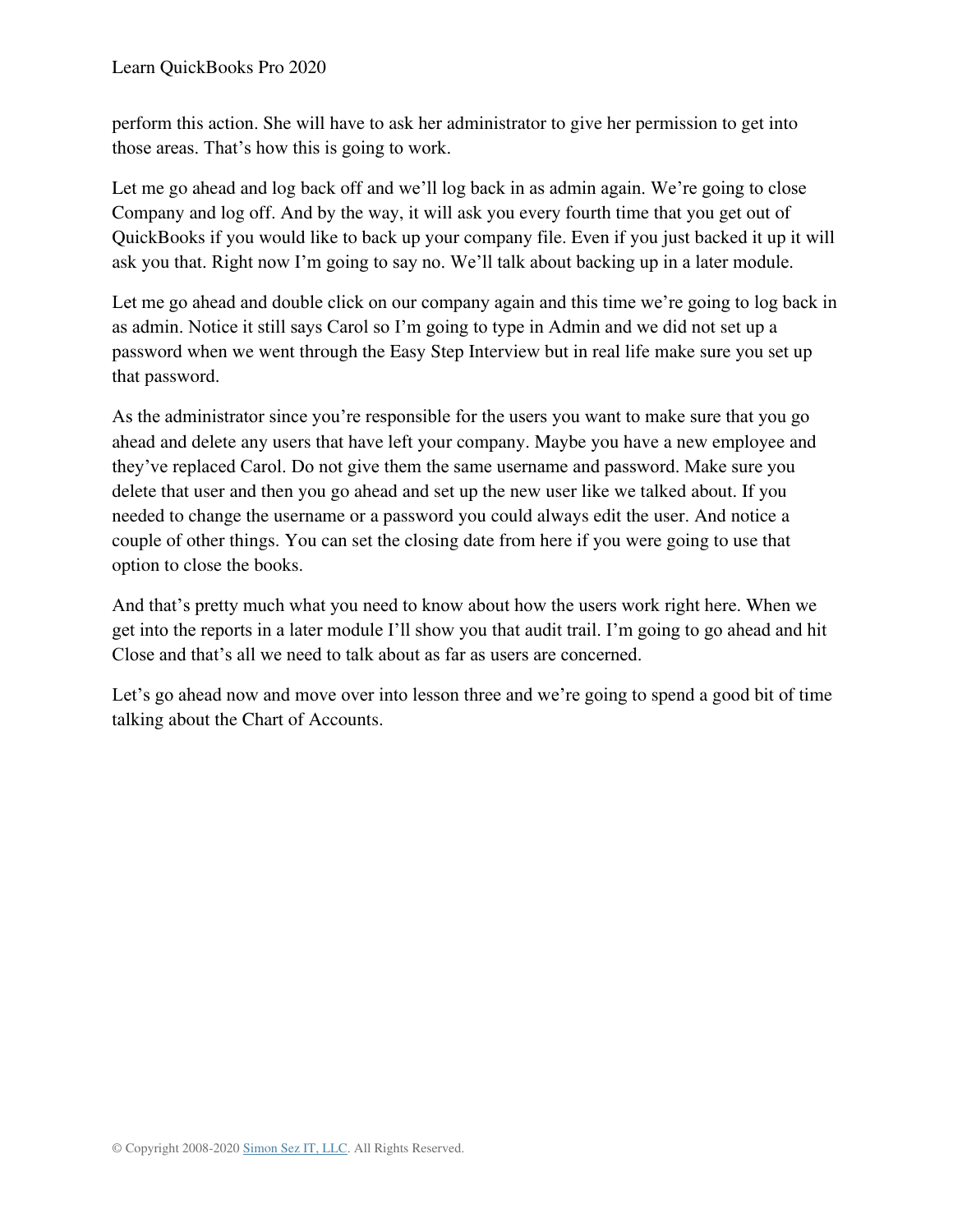perform this action. She will have to ask her administrator to give her permission to get into those areas. That's how this is going to work.

Let me go ahead and log back off and we'll log back in as admin again. We're going to close Company and log off. And by the way, it will ask you every fourth time that you get out of QuickBooks if you would like to back up your company file. Even if you just backed it up it will ask you that. Right now I'm going to say no. We'll talk about backing up in a later module.

Let me go ahead and double click on our company again and this time we're going to log back in as admin. Notice it still says Carol so I'm going to type in Admin and we did not set up a password when we went through the Easy Step Interview but in real life make sure you set up that password.

As the administrator since you're responsible for the users you want to make sure that you go ahead and delete any users that have left your company. Maybe you have a new employee and they've replaced Carol. Do not give them the same username and password. Make sure you delete that user and then you go ahead and set up the new user like we talked about. If you needed to change the username or a password you could always edit the user. And notice a couple of other things. You can set the closing date from here if you were going to use that option to close the books.

And that's pretty much what you need to know about how the users work right here. When we get into the reports in a later module I'll show you that audit trail. I'm going to go ahead and hit Close and that's all we need to talk about as far as users are concerned.

Let's go ahead now and move over into lesson three and we're going to spend a good bit of time talking about the Chart of Accounts.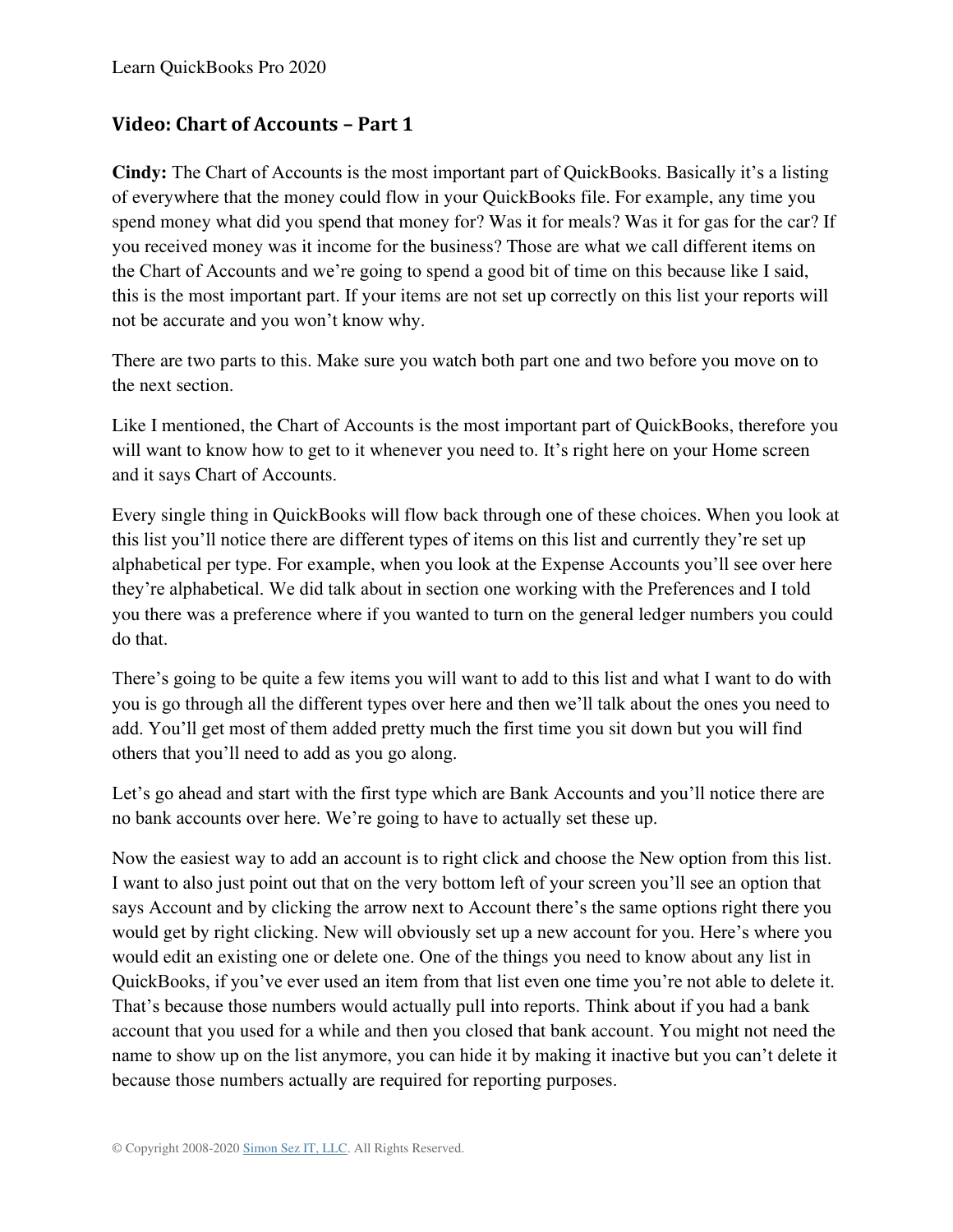### **Video: Chart of Accounts – Part 1**

**Cindy:** The Chart of Accounts is the most important part of QuickBooks. Basically it's a listing of everywhere that the money could flow in your QuickBooks file. For example, any time you spend money what did you spend that money for? Was it for meals? Was it for gas for the car? If you received money was it income for the business? Those are what we call different items on the Chart of Accounts and we're going to spend a good bit of time on this because like I said, this is the most important part. If your items are not set up correctly on this list your reports will not be accurate and you won't know why.

There are two parts to this. Make sure you watch both part one and two before you move on to the next section.

Like I mentioned, the Chart of Accounts is the most important part of QuickBooks, therefore you will want to know how to get to it whenever you need to. It's right here on your Home screen and it says Chart of Accounts.

Every single thing in QuickBooks will flow back through one of these choices. When you look at this list you'll notice there are different types of items on this list and currently they're set up alphabetical per type. For example, when you look at the Expense Accounts you'll see over here they're alphabetical. We did talk about in section one working with the Preferences and I told you there was a preference where if you wanted to turn on the general ledger numbers you could do that.

There's going to be quite a few items you will want to add to this list and what I want to do with you is go through all the different types over here and then we'll talk about the ones you need to add. You'll get most of them added pretty much the first time you sit down but you will find others that you'll need to add as you go along.

Let's go ahead and start with the first type which are Bank Accounts and you'll notice there are no bank accounts over here. We're going to have to actually set these up.

Now the easiest way to add an account is to right click and choose the New option from this list. I want to also just point out that on the very bottom left of your screen you'll see an option that says Account and by clicking the arrow next to Account there's the same options right there you would get by right clicking. New will obviously set up a new account for you. Here's where you would edit an existing one or delete one. One of the things you need to know about any list in QuickBooks, if you've ever used an item from that list even one time you're not able to delete it. That's because those numbers would actually pull into reports. Think about if you had a bank account that you used for a while and then you closed that bank account. You might not need the name to show up on the list anymore, you can hide it by making it inactive but you can't delete it because those numbers actually are required for reporting purposes.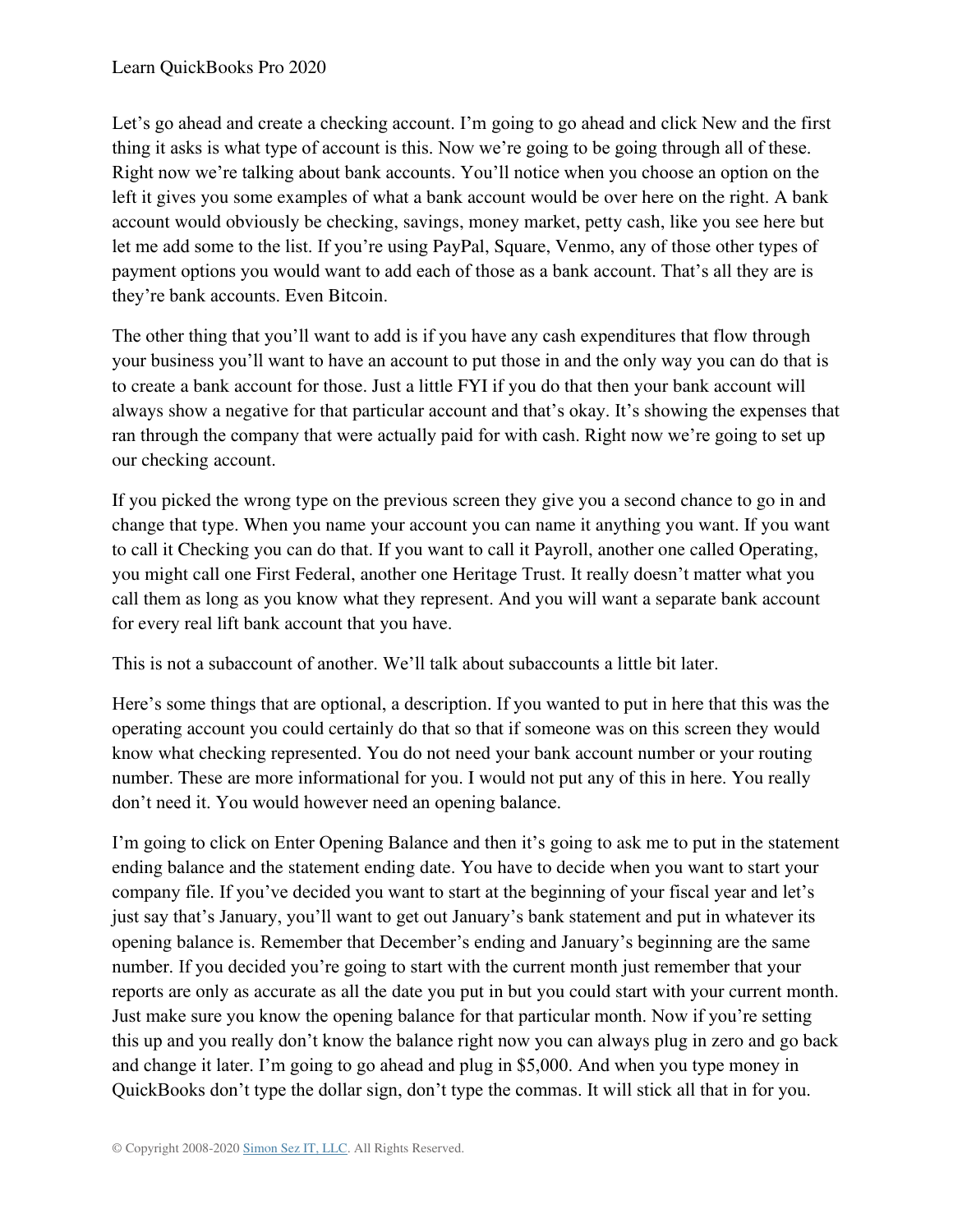Let's go ahead and create a checking account. I'm going to go ahead and click New and the first thing it asks is what type of account is this. Now we're going to be going through all of these. Right now we're talking about bank accounts. You'll notice when you choose an option on the left it gives you some examples of what a bank account would be over here on the right. A bank account would obviously be checking, savings, money market, petty cash, like you see here but let me add some to the list. If you're using PayPal, Square, Venmo, any of those other types of payment options you would want to add each of those as a bank account. That's all they are is they're bank accounts. Even Bitcoin.

The other thing that you'll want to add is if you have any cash expenditures that flow through your business you'll want to have an account to put those in and the only way you can do that is to create a bank account for those. Just a little FYI if you do that then your bank account will always show a negative for that particular account and that's okay. It's showing the expenses that ran through the company that were actually paid for with cash. Right now we're going to set up our checking account.

If you picked the wrong type on the previous screen they give you a second chance to go in and change that type. When you name your account you can name it anything you want. If you want to call it Checking you can do that. If you want to call it Payroll, another one called Operating, you might call one First Federal, another one Heritage Trust. It really doesn't matter what you call them as long as you know what they represent. And you will want a separate bank account for every real lift bank account that you have.

This is not a subaccount of another. We'll talk about subaccounts a little bit later.

Here's some things that are optional, a description. If you wanted to put in here that this was the operating account you could certainly do that so that if someone was on this screen they would know what checking represented. You do not need your bank account number or your routing number. These are more informational for you. I would not put any of this in here. You really don't need it. You would however need an opening balance.

I'm going to click on Enter Opening Balance and then it's going to ask me to put in the statement ending balance and the statement ending date. You have to decide when you want to start your company file. If you've decided you want to start at the beginning of your fiscal year and let's just say that's January, you'll want to get out January's bank statement and put in whatever its opening balance is. Remember that December's ending and January's beginning are the same number. If you decided you're going to start with the current month just remember that your reports are only as accurate as all the date you put in but you could start with your current month. Just make sure you know the opening balance for that particular month. Now if you're setting this up and you really don't know the balance right now you can always plug in zero and go back and change it later. I'm going to go ahead and plug in \$5,000. And when you type money in QuickBooks don't type the dollar sign, don't type the commas. It will stick all that in for you.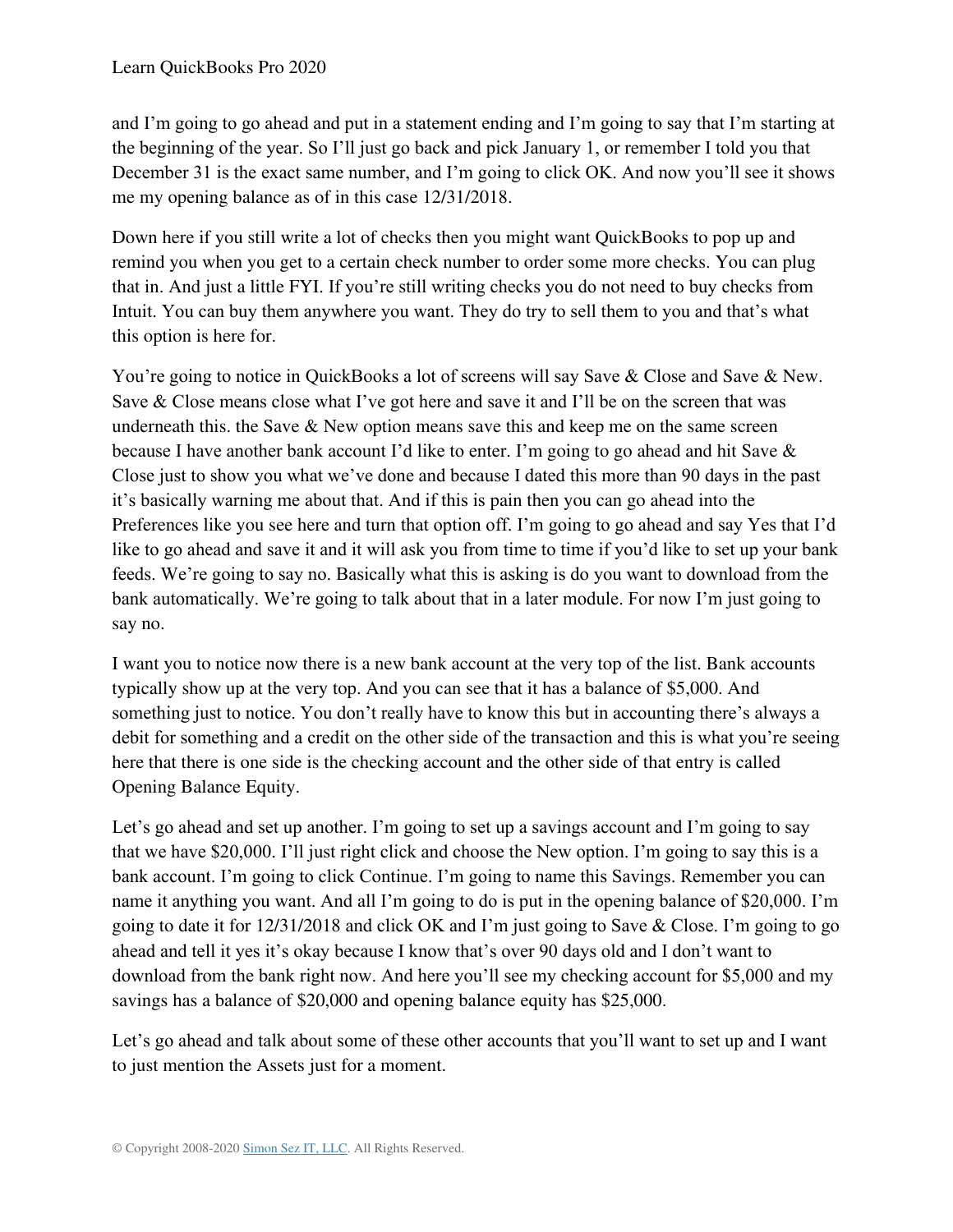and I'm going to go ahead and put in a statement ending and I'm going to say that I'm starting at the beginning of the year. So I'll just go back and pick January 1, or remember I told you that December 31 is the exact same number, and I'm going to click OK. And now you'll see it shows me my opening balance as of in this case 12/31/2018.

Down here if you still write a lot of checks then you might want QuickBooks to pop up and remind you when you get to a certain check number to order some more checks. You can plug that in. And just a little FYI. If you're still writing checks you do not need to buy checks from Intuit. You can buy them anywhere you want. They do try to sell them to you and that's what this option is here for.

You're going to notice in QuickBooks a lot of screens will say Save & Close and Save & New. Save & Close means close what I've got here and save it and I'll be on the screen that was underneath this. the Save & New option means save this and keep me on the same screen because I have another bank account I'd like to enter. I'm going to go ahead and hit Save & Close just to show you what we've done and because I dated this more than 90 days in the past it's basically warning me about that. And if this is pain then you can go ahead into the Preferences like you see here and turn that option off. I'm going to go ahead and say Yes that I'd like to go ahead and save it and it will ask you from time to time if you'd like to set up your bank feeds. We're going to say no. Basically what this is asking is do you want to download from the bank automatically. We're going to talk about that in a later module. For now I'm just going to say no.

I want you to notice now there is a new bank account at the very top of the list. Bank accounts typically show up at the very top. And you can see that it has a balance of \$5,000. And something just to notice. You don't really have to know this but in accounting there's always a debit for something and a credit on the other side of the transaction and this is what you're seeing here that there is one side is the checking account and the other side of that entry is called Opening Balance Equity.

Let's go ahead and set up another. I'm going to set up a savings account and I'm going to say that we have \$20,000. I'll just right click and choose the New option. I'm going to say this is a bank account. I'm going to click Continue. I'm going to name this Savings. Remember you can name it anything you want. And all I'm going to do is put in the opening balance of \$20,000. I'm going to date it for 12/31/2018 and click OK and I'm just going to Save & Close. I'm going to go ahead and tell it yes it's okay because I know that's over 90 days old and I don't want to download from the bank right now. And here you'll see my checking account for \$5,000 and my savings has a balance of \$20,000 and opening balance equity has \$25,000.

Let's go ahead and talk about some of these other accounts that you'll want to set up and I want to just mention the Assets just for a moment.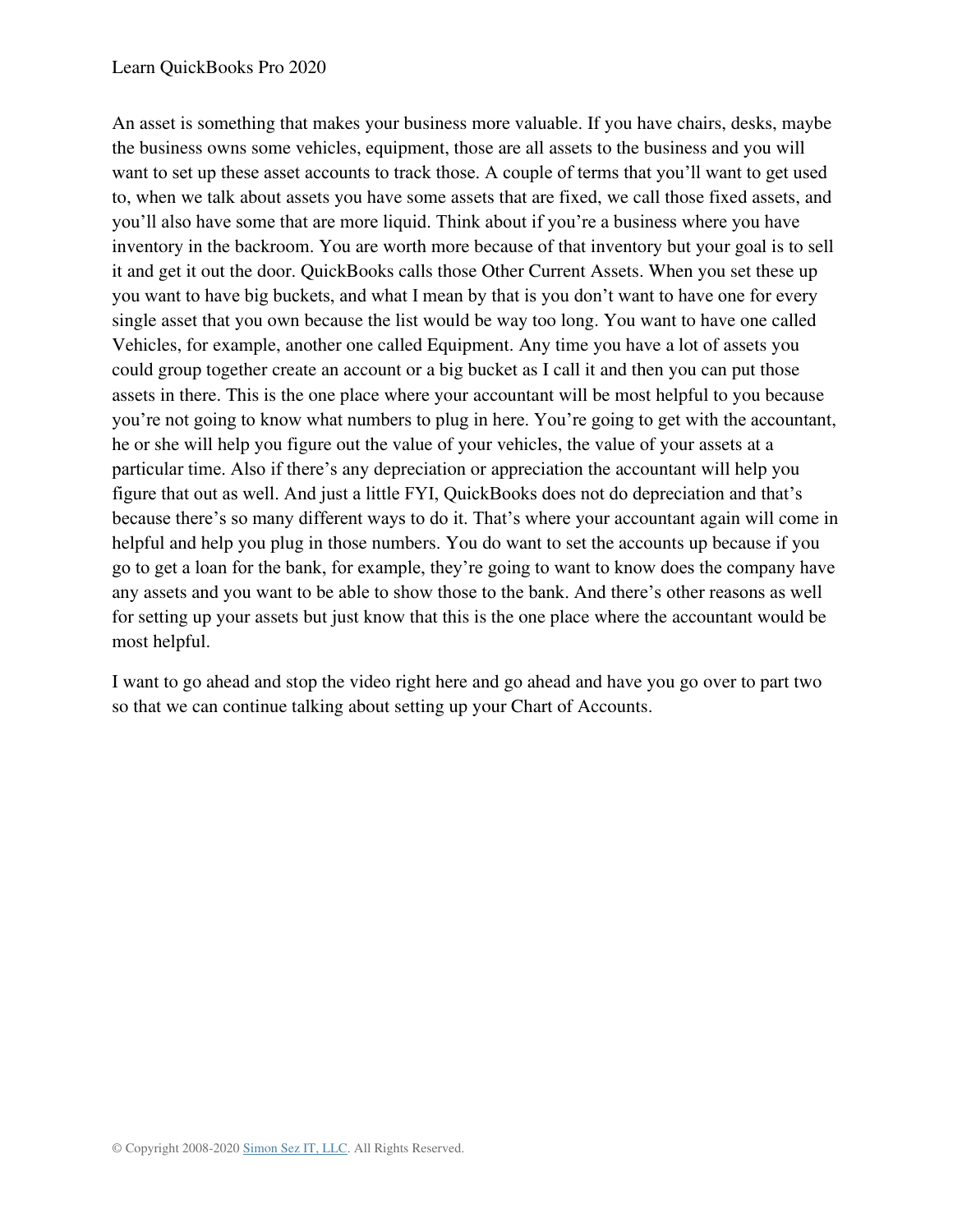#### Learn QuickBooks Pro 2020

An asset is something that makes your business more valuable. If you have chairs, desks, maybe the business owns some vehicles, equipment, those are all assets to the business and you will want to set up these asset accounts to track those. A couple of terms that you'll want to get used to, when we talk about assets you have some assets that are fixed, we call those fixed assets, and you'll also have some that are more liquid. Think about if you're a business where you have inventory in the backroom. You are worth more because of that inventory but your goal is to sell it and get it out the door. QuickBooks calls those Other Current Assets. When you set these up you want to have big buckets, and what I mean by that is you don't want to have one for every single asset that you own because the list would be way too long. You want to have one called Vehicles, for example, another one called Equipment. Any time you have a lot of assets you could group together create an account or a big bucket as I call it and then you can put those assets in there. This is the one place where your accountant will be most helpful to you because you're not going to know what numbers to plug in here. You're going to get with the accountant, he or she will help you figure out the value of your vehicles, the value of your assets at a particular time. Also if there's any depreciation or appreciation the accountant will help you figure that out as well. And just a little FYI, QuickBooks does not do depreciation and that's because there's so many different ways to do it. That's where your accountant again will come in helpful and help you plug in those numbers. You do want to set the accounts up because if you go to get a loan for the bank, for example, they're going to want to know does the company have any assets and you want to be able to show those to the bank. And there's other reasons as well for setting up your assets but just know that this is the one place where the accountant would be most helpful.

I want to go ahead and stop the video right here and go ahead and have you go over to part two so that we can continue talking about setting up your Chart of Accounts.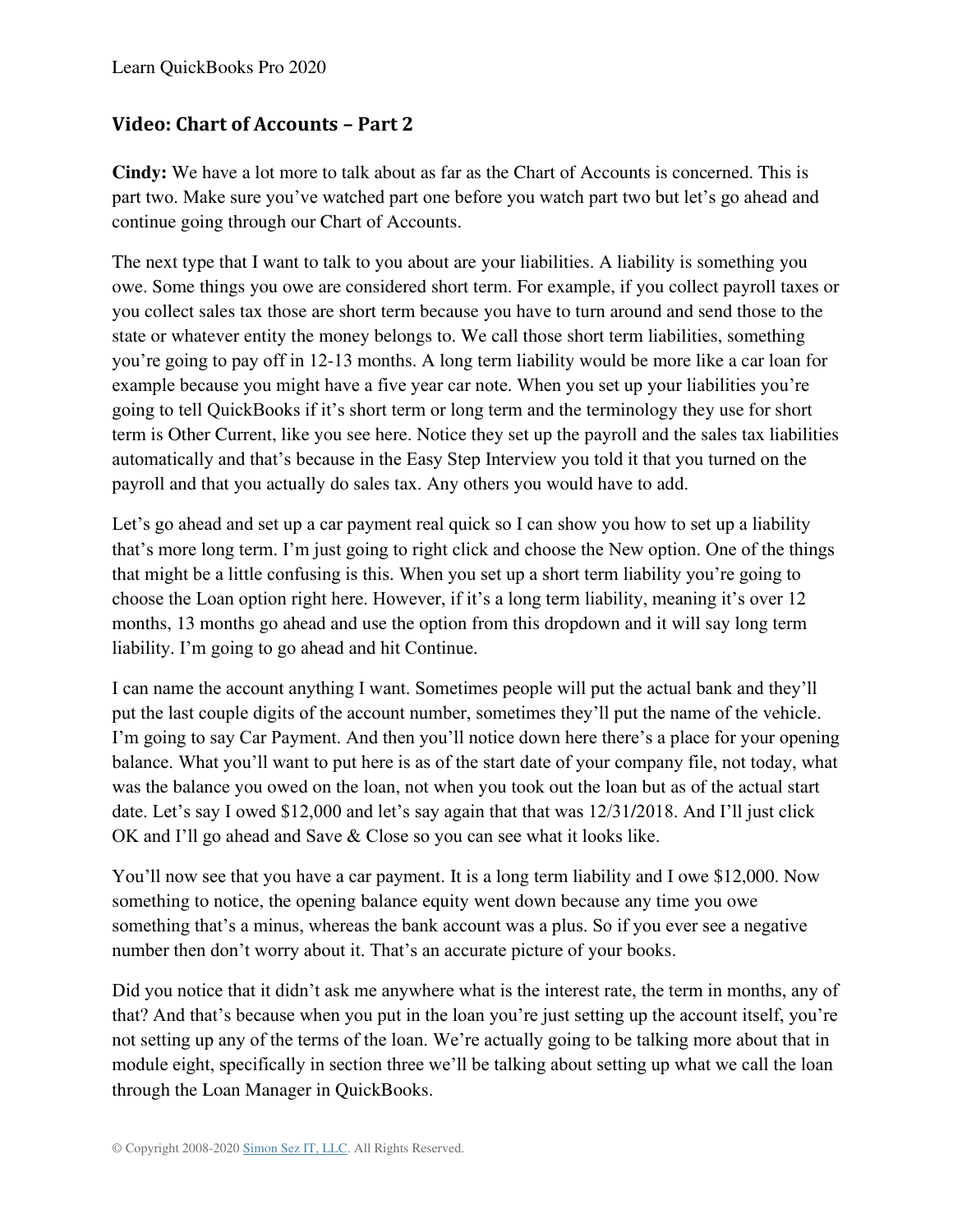### **Video: Chart of Accounts – Part 2**

**Cindy:** We have a lot more to talk about as far as the Chart of Accounts is concerned. This is part two. Make sure you've watched part one before you watch part two but let's go ahead and continue going through our Chart of Accounts.

The next type that I want to talk to you about are your liabilities. A liability is something you owe. Some things you owe are considered short term. For example, if you collect payroll taxes or you collect sales tax those are short term because you have to turn around and send those to the state or whatever entity the money belongs to. We call those short term liabilities, something you're going to pay off in 12-13 months. A long term liability would be more like a car loan for example because you might have a five year car note. When you set up your liabilities you're going to tell QuickBooks if it's short term or long term and the terminology they use for short term is Other Current, like you see here. Notice they set up the payroll and the sales tax liabilities automatically and that's because in the Easy Step Interview you told it that you turned on the payroll and that you actually do sales tax. Any others you would have to add.

Let's go ahead and set up a car payment real quick so I can show you how to set up a liability that's more long term. I'm just going to right click and choose the New option. One of the things that might be a little confusing is this. When you set up a short term liability you're going to choose the Loan option right here. However, if it's a long term liability, meaning it's over 12 months, 13 months go ahead and use the option from this dropdown and it will say long term liability. I'm going to go ahead and hit Continue.

I can name the account anything I want. Sometimes people will put the actual bank and they'll put the last couple digits of the account number, sometimes they'll put the name of the vehicle. I'm going to say Car Payment. And then you'll notice down here there's a place for your opening balance. What you'll want to put here is as of the start date of your company file, not today, what was the balance you owed on the loan, not when you took out the loan but as of the actual start date. Let's say I owed \$12,000 and let's say again that that was 12/31/2018. And I'll just click OK and I'll go ahead and Save & Close so you can see what it looks like.

You'll now see that you have a car payment. It is a long term liability and I owe \$12,000. Now something to notice, the opening balance equity went down because any time you owe something that's a minus, whereas the bank account was a plus. So if you ever see a negative number then don't worry about it. That's an accurate picture of your books.

Did you notice that it didn't ask me anywhere what is the interest rate, the term in months, any of that? And that's because when you put in the loan you're just setting up the account itself, you're not setting up any of the terms of the loan. We're actually going to be talking more about that in module eight, specifically in section three we'll be talking about setting up what we call the loan through the Loan Manager in QuickBooks.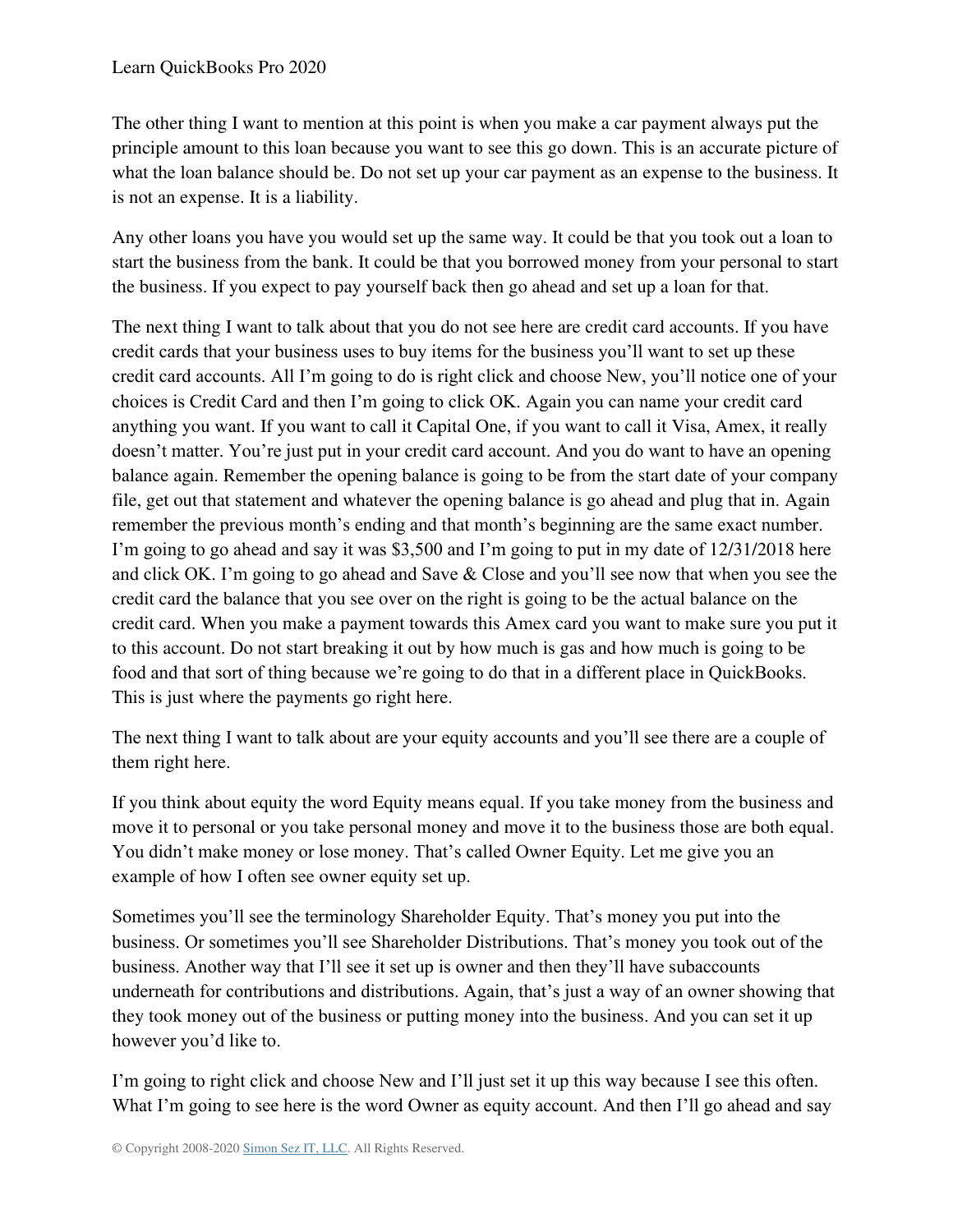The other thing I want to mention at this point is when you make a car payment always put the principle amount to this loan because you want to see this go down. This is an accurate picture of what the loan balance should be. Do not set up your car payment as an expense to the business. It is not an expense. It is a liability.

Any other loans you have you would set up the same way. It could be that you took out a loan to start the business from the bank. It could be that you borrowed money from your personal to start the business. If you expect to pay yourself back then go ahead and set up a loan for that.

The next thing I want to talk about that you do not see here are credit card accounts. If you have credit cards that your business uses to buy items for the business you'll want to set up these credit card accounts. All I'm going to do is right click and choose New, you'll notice one of your choices is Credit Card and then I'm going to click OK. Again you can name your credit card anything you want. If you want to call it Capital One, if you want to call it Visa, Amex, it really doesn't matter. You're just put in your credit card account. And you do want to have an opening balance again. Remember the opening balance is going to be from the start date of your company file, get out that statement and whatever the opening balance is go ahead and plug that in. Again remember the previous month's ending and that month's beginning are the same exact number. I'm going to go ahead and say it was \$3,500 and I'm going to put in my date of 12/31/2018 here and click OK. I'm going to go ahead and Save & Close and you'll see now that when you see the credit card the balance that you see over on the right is going to be the actual balance on the credit card. When you make a payment towards this Amex card you want to make sure you put it to this account. Do not start breaking it out by how much is gas and how much is going to be food and that sort of thing because we're going to do that in a different place in QuickBooks. This is just where the payments go right here.

The next thing I want to talk about are your equity accounts and you'll see there are a couple of them right here.

If you think about equity the word Equity means equal. If you take money from the business and move it to personal or you take personal money and move it to the business those are both equal. You didn't make money or lose money. That's called Owner Equity. Let me give you an example of how I often see owner equity set up.

Sometimes you'll see the terminology Shareholder Equity. That's money you put into the business. Or sometimes you'll see Shareholder Distributions. That's money you took out of the business. Another way that I'll see it set up is owner and then they'll have subaccounts underneath for contributions and distributions. Again, that's just a way of an owner showing that they took money out of the business or putting money into the business. And you can set it up however you'd like to.

I'm going to right click and choose New and I'll just set it up this way because I see this often. What I'm going to see here is the word Owner as equity account. And then I'll go ahead and say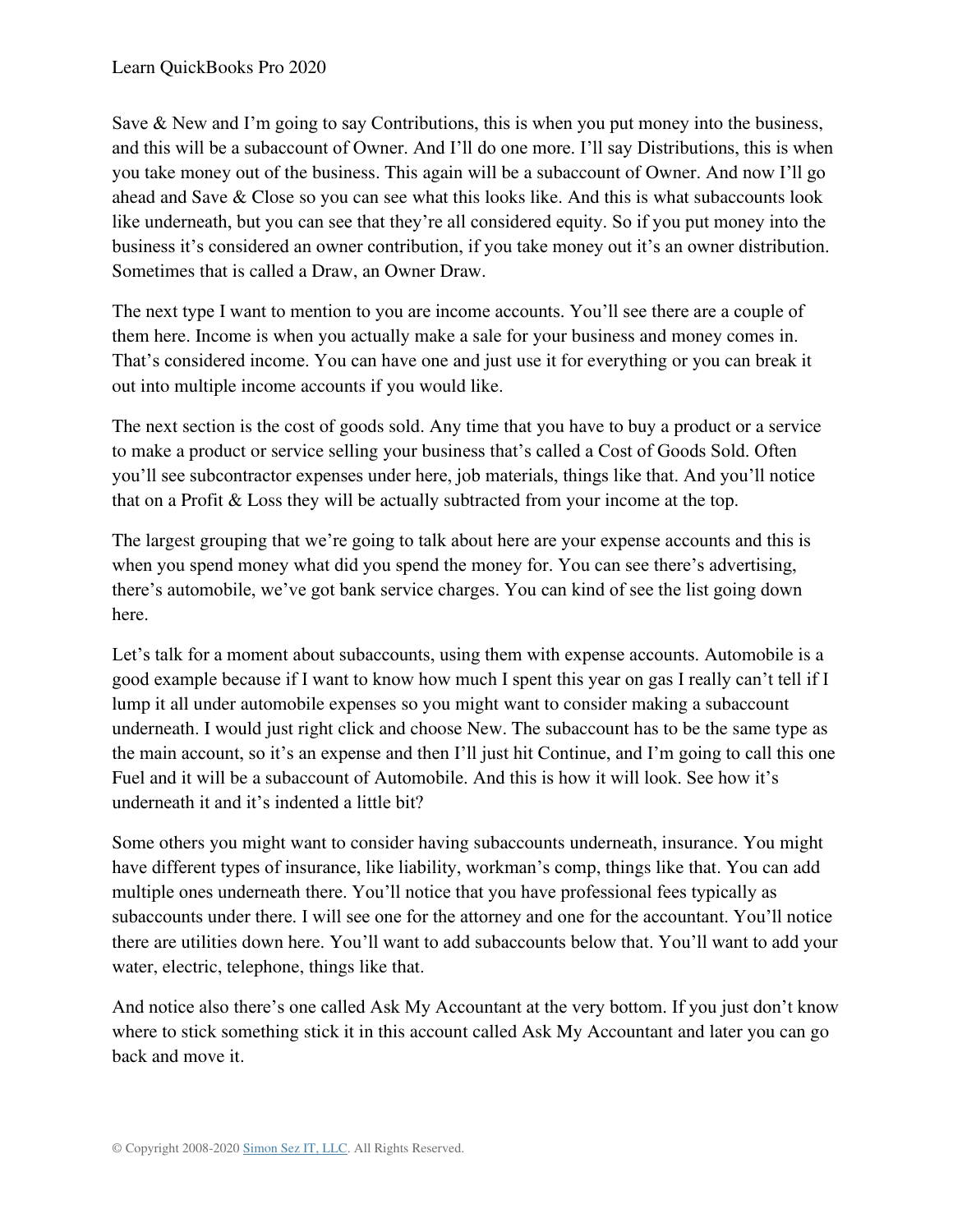Save & New and I'm going to say Contributions, this is when you put money into the business, and this will be a subaccount of Owner. And I'll do one more. I'll say Distributions, this is when you take money out of the business. This again will be a subaccount of Owner. And now I'll go ahead and Save & Close so you can see what this looks like. And this is what subaccounts look like underneath, but you can see that they're all considered equity. So if you put money into the business it's considered an owner contribution, if you take money out it's an owner distribution. Sometimes that is called a Draw, an Owner Draw.

The next type I want to mention to you are income accounts. You'll see there are a couple of them here. Income is when you actually make a sale for your business and money comes in. That's considered income. You can have one and just use it for everything or you can break it out into multiple income accounts if you would like.

The next section is the cost of goods sold. Any time that you have to buy a product or a service to make a product or service selling your business that's called a Cost of Goods Sold. Often you'll see subcontractor expenses under here, job materials, things like that. And you'll notice that on a Profit & Loss they will be actually subtracted from your income at the top.

The largest grouping that we're going to talk about here are your expense accounts and this is when you spend money what did you spend the money for. You can see there's advertising, there's automobile, we've got bank service charges. You can kind of see the list going down here.

Let's talk for a moment about subaccounts, using them with expense accounts. Automobile is a good example because if I want to know how much I spent this year on gas I really can't tell if I lump it all under automobile expenses so you might want to consider making a subaccount underneath. I would just right click and choose New. The subaccount has to be the same type as the main account, so it's an expense and then I'll just hit Continue, and I'm going to call this one Fuel and it will be a subaccount of Automobile. And this is how it will look. See how it's underneath it and it's indented a little bit?

Some others you might want to consider having subaccounts underneath, insurance. You might have different types of insurance, like liability, workman's comp, things like that. You can add multiple ones underneath there. You'll notice that you have professional fees typically as subaccounts under there. I will see one for the attorney and one for the accountant. You'll notice there are utilities down here. You'll want to add subaccounts below that. You'll want to add your water, electric, telephone, things like that.

And notice also there's one called Ask My Accountant at the very bottom. If you just don't know where to stick something stick it in this account called Ask My Accountant and later you can go back and move it.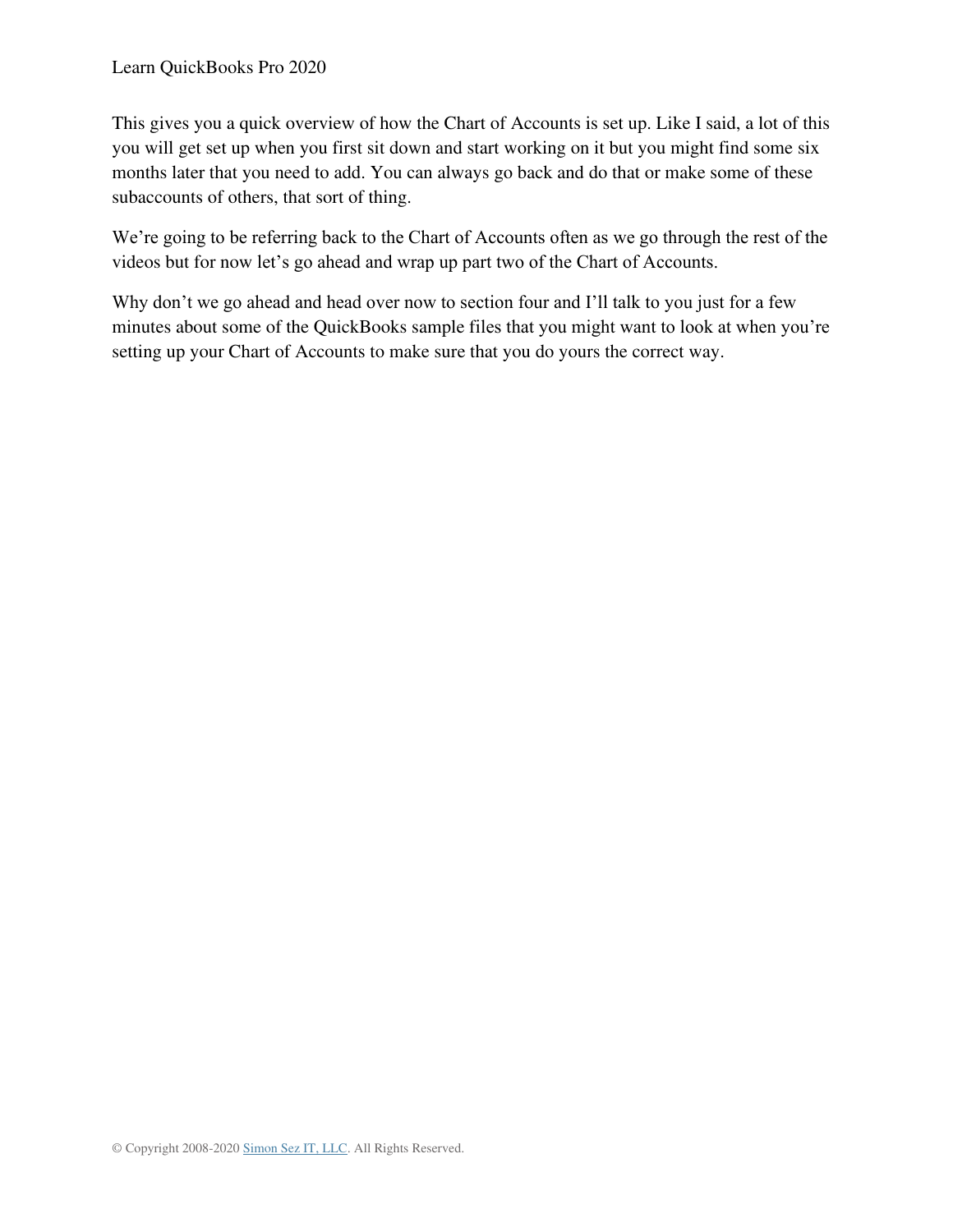This gives you a quick overview of how the Chart of Accounts is set up. Like I said, a lot of this you will get set up when you first sit down and start working on it but you might find some six months later that you need to add. You can always go back and do that or make some of these subaccounts of others, that sort of thing.

We're going to be referring back to the Chart of Accounts often as we go through the rest of the videos but for now let's go ahead and wrap up part two of the Chart of Accounts.

Why don't we go ahead and head over now to section four and I'll talk to you just for a few minutes about some of the QuickBooks sample files that you might want to look at when you're setting up your Chart of Accounts to make sure that you do yours the correct way.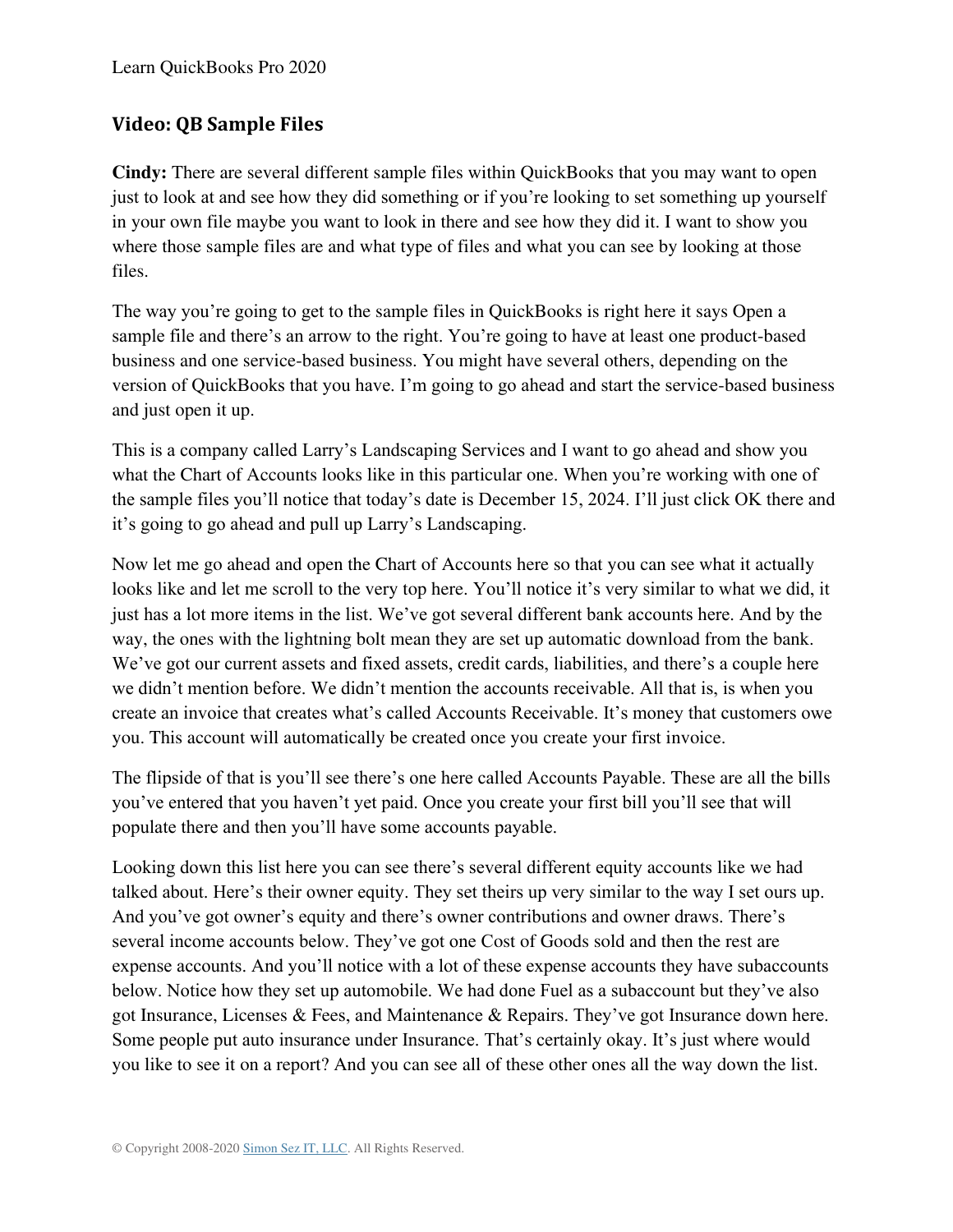### **Video: QB Sample Files**

**Cindy:** There are several different sample files within QuickBooks that you may want to open just to look at and see how they did something or if you're looking to set something up yourself in your own file maybe you want to look in there and see how they did it. I want to show you where those sample files are and what type of files and what you can see by looking at those files.

The way you're going to get to the sample files in QuickBooks is right here it says Open a sample file and there's an arrow to the right. You're going to have at least one product-based business and one service-based business. You might have several others, depending on the version of QuickBooks that you have. I'm going to go ahead and start the service-based business and just open it up.

This is a company called Larry's Landscaping Services and I want to go ahead and show you what the Chart of Accounts looks like in this particular one. When you're working with one of the sample files you'll notice that today's date is December 15, 2024. I'll just click OK there and it's going to go ahead and pull up Larry's Landscaping.

Now let me go ahead and open the Chart of Accounts here so that you can see what it actually looks like and let me scroll to the very top here. You'll notice it's very similar to what we did, it just has a lot more items in the list. We've got several different bank accounts here. And by the way, the ones with the lightning bolt mean they are set up automatic download from the bank. We've got our current assets and fixed assets, credit cards, liabilities, and there's a couple here we didn't mention before. We didn't mention the accounts receivable. All that is, is when you create an invoice that creates what's called Accounts Receivable. It's money that customers owe you. This account will automatically be created once you create your first invoice.

The flipside of that is you'll see there's one here called Accounts Payable. These are all the bills you've entered that you haven't yet paid. Once you create your first bill you'll see that will populate there and then you'll have some accounts payable.

Looking down this list here you can see there's several different equity accounts like we had talked about. Here's their owner equity. They set theirs up very similar to the way I set ours up. And you've got owner's equity and there's owner contributions and owner draws. There's several income accounts below. They've got one Cost of Goods sold and then the rest are expense accounts. And you'll notice with a lot of these expense accounts they have subaccounts below. Notice how they set up automobile. We had done Fuel as a subaccount but they've also got Insurance, Licenses & Fees, and Maintenance & Repairs. They've got Insurance down here. Some people put auto insurance under Insurance. That's certainly okay. It's just where would you like to see it on a report? And you can see all of these other ones all the way down the list.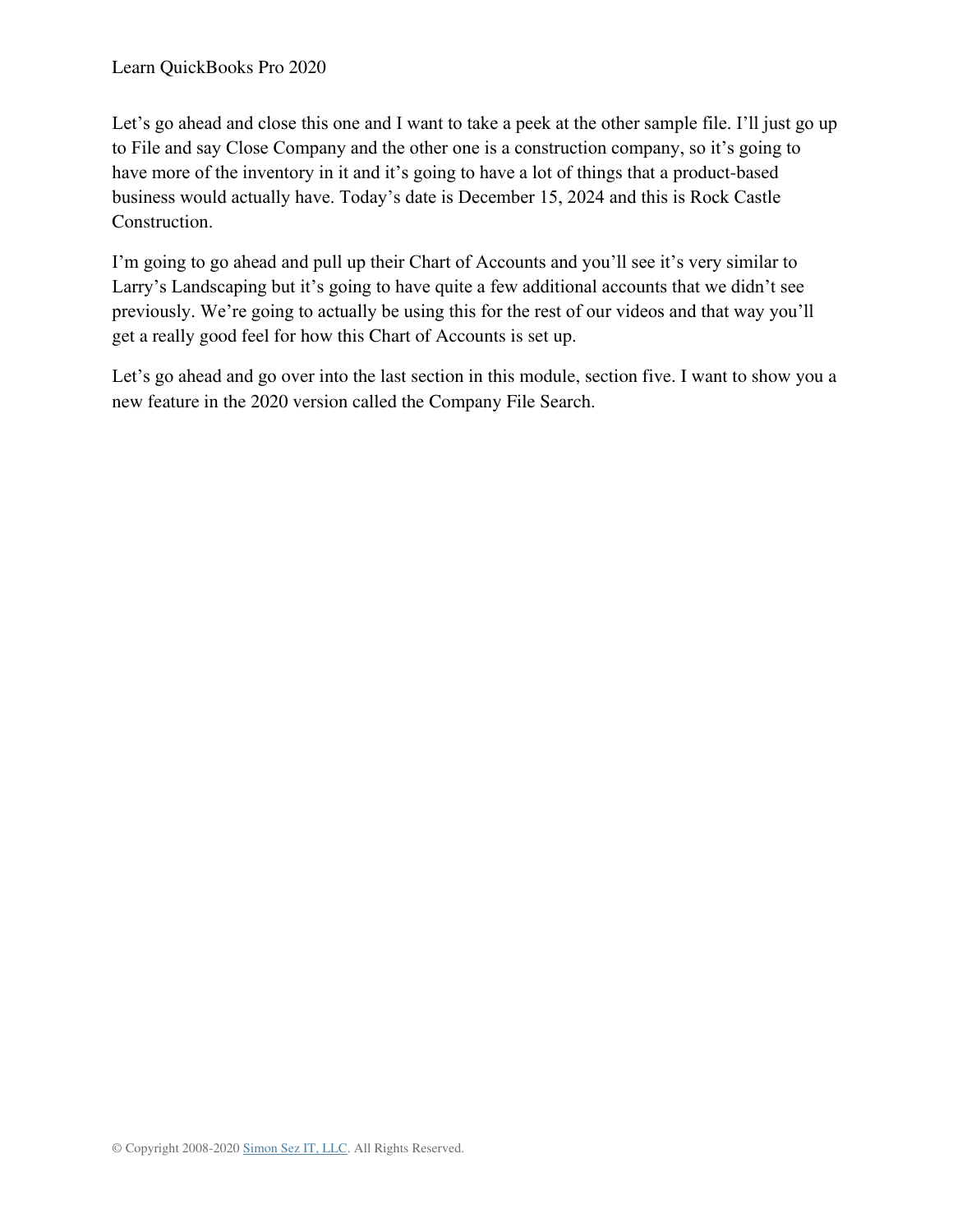Let's go ahead and close this one and I want to take a peek at the other sample file. I'll just go up to File and say Close Company and the other one is a construction company, so it's going to have more of the inventory in it and it's going to have a lot of things that a product-based business would actually have. Today's date is December 15, 2024 and this is Rock Castle Construction.

I'm going to go ahead and pull up their Chart of Accounts and you'll see it's very similar to Larry's Landscaping but it's going to have quite a few additional accounts that we didn't see previously. We're going to actually be using this for the rest of our videos and that way you'll get a really good feel for how this Chart of Accounts is set up.

Let's go ahead and go over into the last section in this module, section five. I want to show you a new feature in the 2020 version called the Company File Search.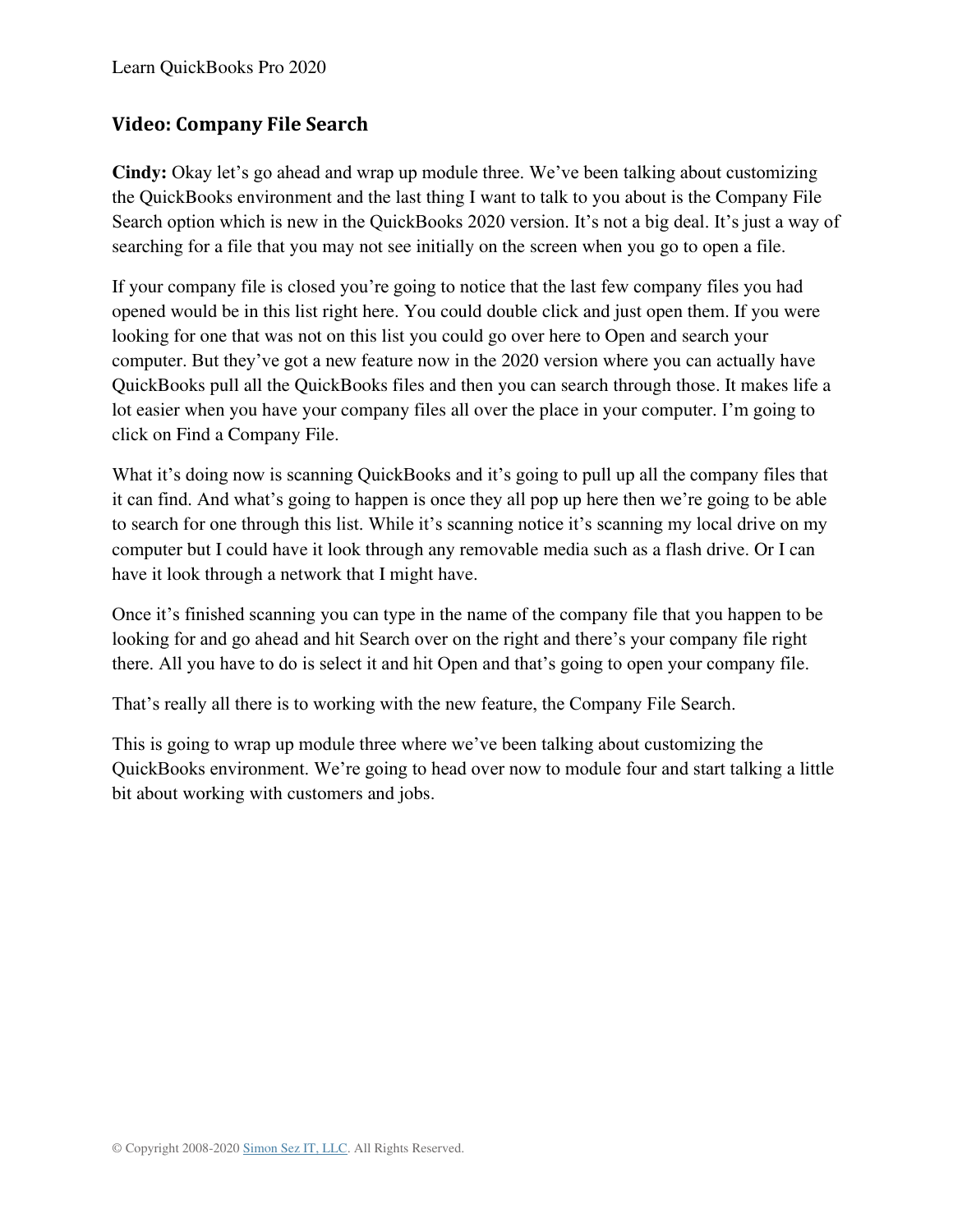### **Video: Company File Search**

**Cindy:** Okay let's go ahead and wrap up module three. We've been talking about customizing the QuickBooks environment and the last thing I want to talk to you about is the Company File Search option which is new in the QuickBooks 2020 version. It's not a big deal. It's just a way of searching for a file that you may not see initially on the screen when you go to open a file.

If your company file is closed you're going to notice that the last few company files you had opened would be in this list right here. You could double click and just open them. If you were looking for one that was not on this list you could go over here to Open and search your computer. But they've got a new feature now in the 2020 version where you can actually have QuickBooks pull all the QuickBooks files and then you can search through those. It makes life a lot easier when you have your company files all over the place in your computer. I'm going to click on Find a Company File.

What it's doing now is scanning QuickBooks and it's going to pull up all the company files that it can find. And what's going to happen is once they all pop up here then we're going to be able to search for one through this list. While it's scanning notice it's scanning my local drive on my computer but I could have it look through any removable media such as a flash drive. Or I can have it look through a network that I might have.

Once it's finished scanning you can type in the name of the company file that you happen to be looking for and go ahead and hit Search over on the right and there's your company file right there. All you have to do is select it and hit Open and that's going to open your company file.

That's really all there is to working with the new feature, the Company File Search.

This is going to wrap up module three where we've been talking about customizing the QuickBooks environment. We're going to head over now to module four and start talking a little bit about working with customers and jobs.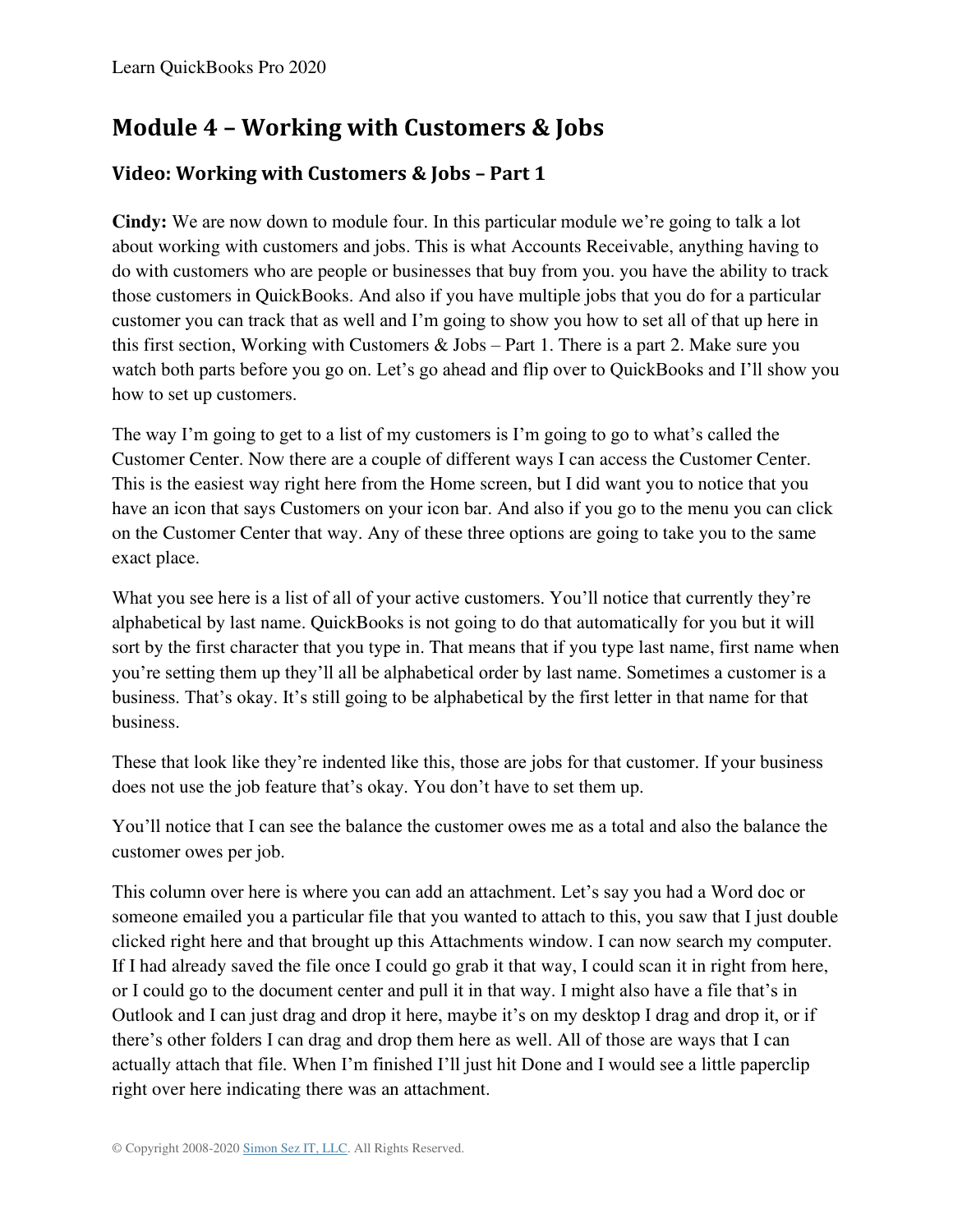# **Module 4 – Working with Customers & Jobs**

## **Video: Working with Customers & Jobs – Part 1**

**Cindy:** We are now down to module four. In this particular module we're going to talk a lot about working with customers and jobs. This is what Accounts Receivable, anything having to do with customers who are people or businesses that buy from you. you have the ability to track those customers in QuickBooks. And also if you have multiple jobs that you do for a particular customer you can track that as well and I'm going to show you how to set all of that up here in this first section, Working with Customers & Jobs – Part 1. There is a part 2. Make sure you watch both parts before you go on. Let's go ahead and flip over to QuickBooks and I'll show you how to set up customers.

The way I'm going to get to a list of my customers is I'm going to go to what's called the Customer Center. Now there are a couple of different ways I can access the Customer Center. This is the easiest way right here from the Home screen, but I did want you to notice that you have an icon that says Customers on your icon bar. And also if you go to the menu you can click on the Customer Center that way. Any of these three options are going to take you to the same exact place.

What you see here is a list of all of your active customers. You'll notice that currently they're alphabetical by last name. QuickBooks is not going to do that automatically for you but it will sort by the first character that you type in. That means that if you type last name, first name when you're setting them up they'll all be alphabetical order by last name. Sometimes a customer is a business. That's okay. It's still going to be alphabetical by the first letter in that name for that business.

These that look like they're indented like this, those are jobs for that customer. If your business does not use the job feature that's okay. You don't have to set them up.

You'll notice that I can see the balance the customer owes me as a total and also the balance the customer owes per job.

This column over here is where you can add an attachment. Let's say you had a Word doc or someone emailed you a particular file that you wanted to attach to this, you saw that I just double clicked right here and that brought up this Attachments window. I can now search my computer. If I had already saved the file once I could go grab it that way, I could scan it in right from here, or I could go to the document center and pull it in that way. I might also have a file that's in Outlook and I can just drag and drop it here, maybe it's on my desktop I drag and drop it, or if there's other folders I can drag and drop them here as well. All of those are ways that I can actually attach that file. When I'm finished I'll just hit Done and I would see a little paperclip right over here indicating there was an attachment.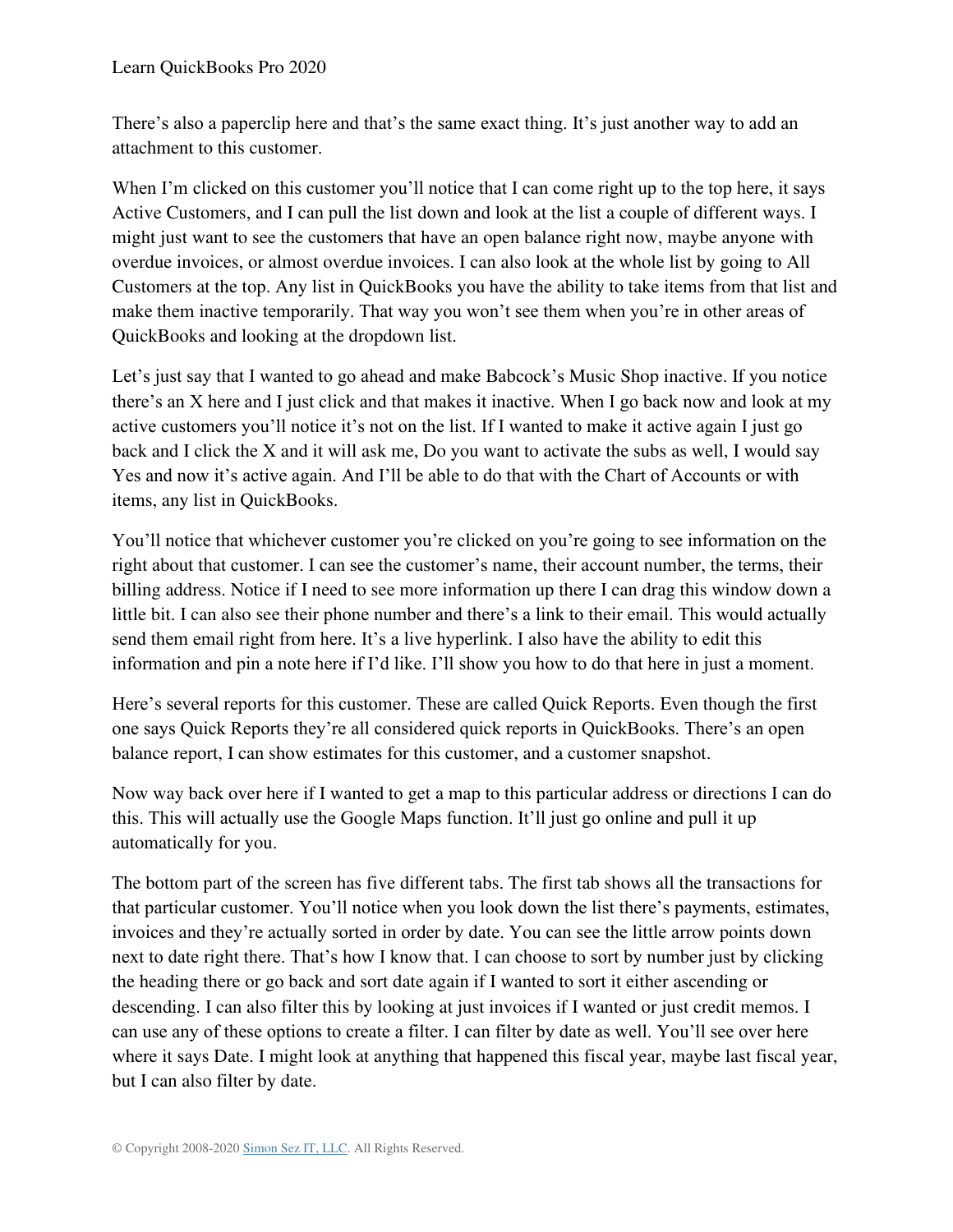There's also a paperclip here and that's the same exact thing. It's just another way to add an attachment to this customer.

When I'm clicked on this customer you'll notice that I can come right up to the top here, it says Active Customers, and I can pull the list down and look at the list a couple of different ways. I might just want to see the customers that have an open balance right now, maybe anyone with overdue invoices, or almost overdue invoices. I can also look at the whole list by going to All Customers at the top. Any list in QuickBooks you have the ability to take items from that list and make them inactive temporarily. That way you won't see them when you're in other areas of QuickBooks and looking at the dropdown list.

Let's just say that I wanted to go ahead and make Babcock's Music Shop inactive. If you notice there's an X here and I just click and that makes it inactive. When I go back now and look at my active customers you'll notice it's not on the list. If I wanted to make it active again I just go back and I click the X and it will ask me, Do you want to activate the subs as well, I would say Yes and now it's active again. And I'll be able to do that with the Chart of Accounts or with items, any list in QuickBooks.

You'll notice that whichever customer you're clicked on you're going to see information on the right about that customer. I can see the customer's name, their account number, the terms, their billing address. Notice if I need to see more information up there I can drag this window down a little bit. I can also see their phone number and there's a link to their email. This would actually send them email right from here. It's a live hyperlink. I also have the ability to edit this information and pin a note here if I'd like. I'll show you how to do that here in just a moment.

Here's several reports for this customer. These are called Quick Reports. Even though the first one says Quick Reports they're all considered quick reports in QuickBooks. There's an open balance report, I can show estimates for this customer, and a customer snapshot.

Now way back over here if I wanted to get a map to this particular address or directions I can do this. This will actually use the Google Maps function. It'll just go online and pull it up automatically for you.

The bottom part of the screen has five different tabs. The first tab shows all the transactions for that particular customer. You'll notice when you look down the list there's payments, estimates, invoices and they're actually sorted in order by date. You can see the little arrow points down next to date right there. That's how I know that. I can choose to sort by number just by clicking the heading there or go back and sort date again if I wanted to sort it either ascending or descending. I can also filter this by looking at just invoices if I wanted or just credit memos. I can use any of these options to create a filter. I can filter by date as well. You'll see over here where it says Date. I might look at anything that happened this fiscal year, maybe last fiscal year, but I can also filter by date.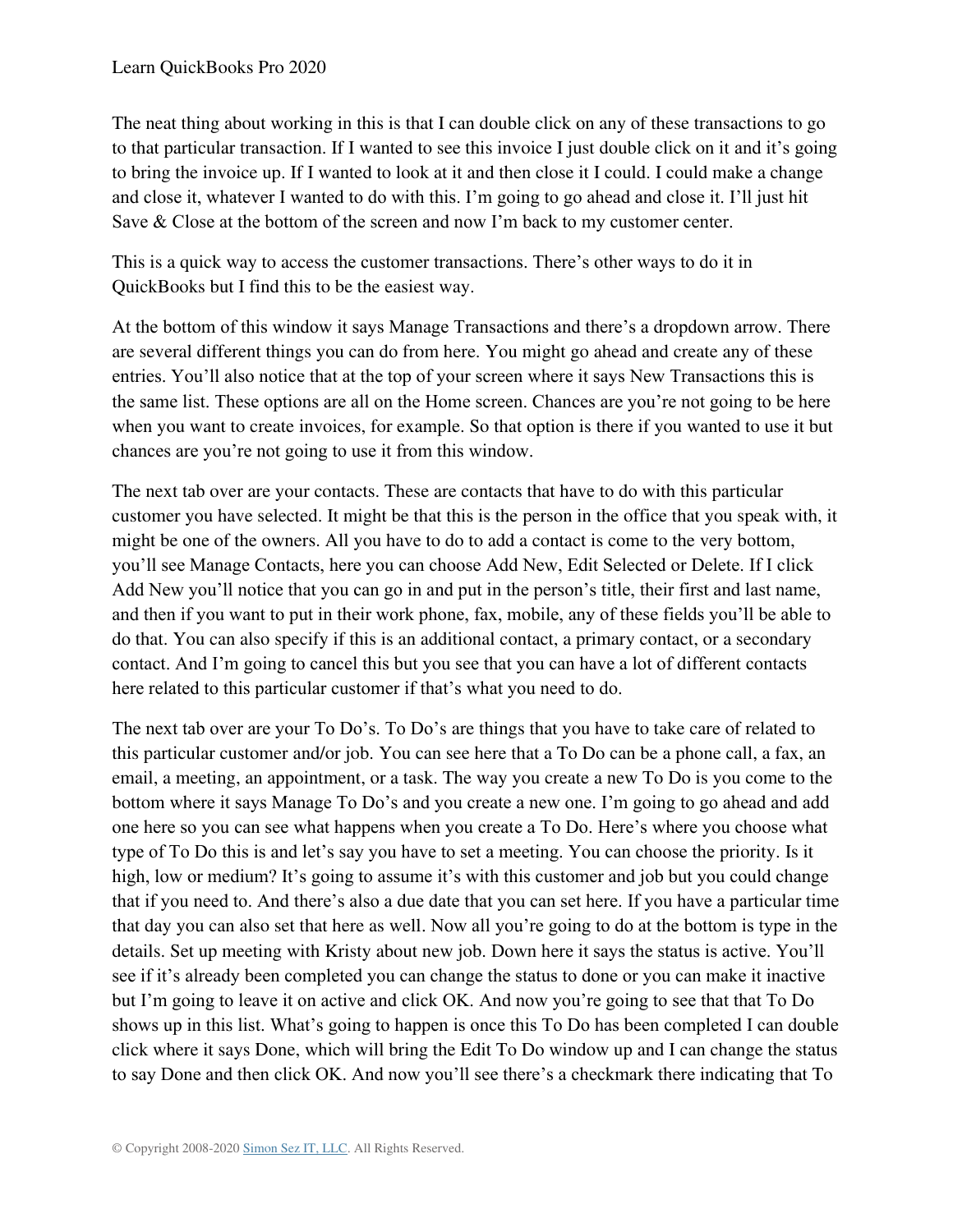The neat thing about working in this is that I can double click on any of these transactions to go to that particular transaction. If I wanted to see this invoice I just double click on it and it's going to bring the invoice up. If I wanted to look at it and then close it I could. I could make a change and close it, whatever I wanted to do with this. I'm going to go ahead and close it. I'll just hit Save & Close at the bottom of the screen and now I'm back to my customer center.

This is a quick way to access the customer transactions. There's other ways to do it in QuickBooks but I find this to be the easiest way.

At the bottom of this window it says Manage Transactions and there's a dropdown arrow. There are several different things you can do from here. You might go ahead and create any of these entries. You'll also notice that at the top of your screen where it says New Transactions this is the same list. These options are all on the Home screen. Chances are you're not going to be here when you want to create invoices, for example. So that option is there if you wanted to use it but chances are you're not going to use it from this window.

The next tab over are your contacts. These are contacts that have to do with this particular customer you have selected. It might be that this is the person in the office that you speak with, it might be one of the owners. All you have to do to add a contact is come to the very bottom, you'll see Manage Contacts, here you can choose Add New, Edit Selected or Delete. If I click Add New you'll notice that you can go in and put in the person's title, their first and last name, and then if you want to put in their work phone, fax, mobile, any of these fields you'll be able to do that. You can also specify if this is an additional contact, a primary contact, or a secondary contact. And I'm going to cancel this but you see that you can have a lot of different contacts here related to this particular customer if that's what you need to do.

The next tab over are your To Do's. To Do's are things that you have to take care of related to this particular customer and/or job. You can see here that a To Do can be a phone call, a fax, an email, a meeting, an appointment, or a task. The way you create a new To Do is you come to the bottom where it says Manage To Do's and you create a new one. I'm going to go ahead and add one here so you can see what happens when you create a To Do. Here's where you choose what type of To Do this is and let's say you have to set a meeting. You can choose the priority. Is it high, low or medium? It's going to assume it's with this customer and job but you could change that if you need to. And there's also a due date that you can set here. If you have a particular time that day you can also set that here as well. Now all you're going to do at the bottom is type in the details. Set up meeting with Kristy about new job. Down here it says the status is active. You'll see if it's already been completed you can change the status to done or you can make it inactive but I'm going to leave it on active and click OK. And now you're going to see that that To Do shows up in this list. What's going to happen is once this To Do has been completed I can double click where it says Done, which will bring the Edit To Do window up and I can change the status to say Done and then click OK. And now you'll see there's a checkmark there indicating that To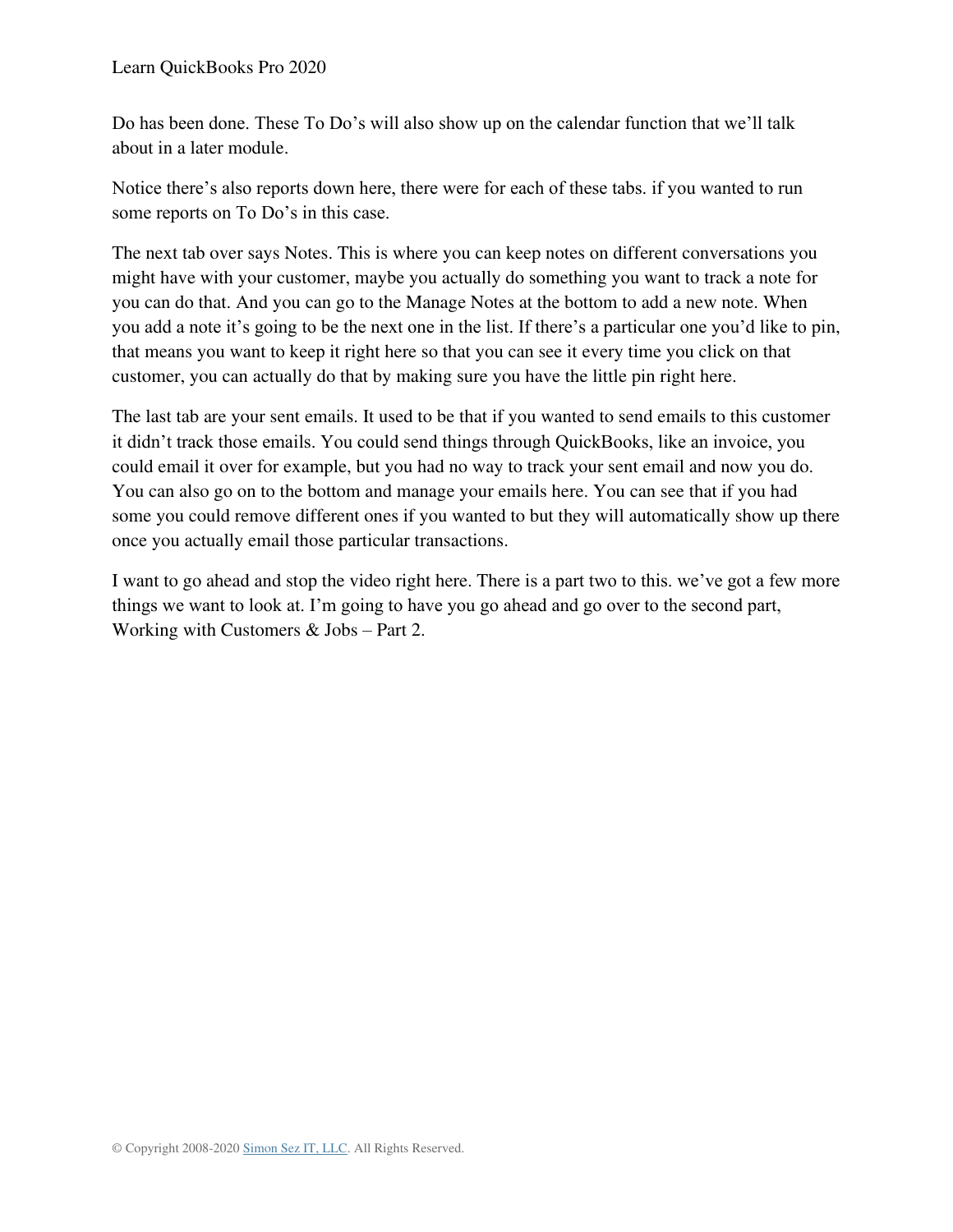Do has been done. These To Do's will also show up on the calendar function that we'll talk about in a later module.

Notice there's also reports down here, there were for each of these tabs. if you wanted to run some reports on To Do's in this case.

The next tab over says Notes. This is where you can keep notes on different conversations you might have with your customer, maybe you actually do something you want to track a note for you can do that. And you can go to the Manage Notes at the bottom to add a new note. When you add a note it's going to be the next one in the list. If there's a particular one you'd like to pin, that means you want to keep it right here so that you can see it every time you click on that customer, you can actually do that by making sure you have the little pin right here.

The last tab are your sent emails. It used to be that if you wanted to send emails to this customer it didn't track those emails. You could send things through QuickBooks, like an invoice, you could email it over for example, but you had no way to track your sent email and now you do. You can also go on to the bottom and manage your emails here. You can see that if you had some you could remove different ones if you wanted to but they will automatically show up there once you actually email those particular transactions.

I want to go ahead and stop the video right here. There is a part two to this. we've got a few more things we want to look at. I'm going to have you go ahead and go over to the second part, Working with Customers & Jobs – Part 2.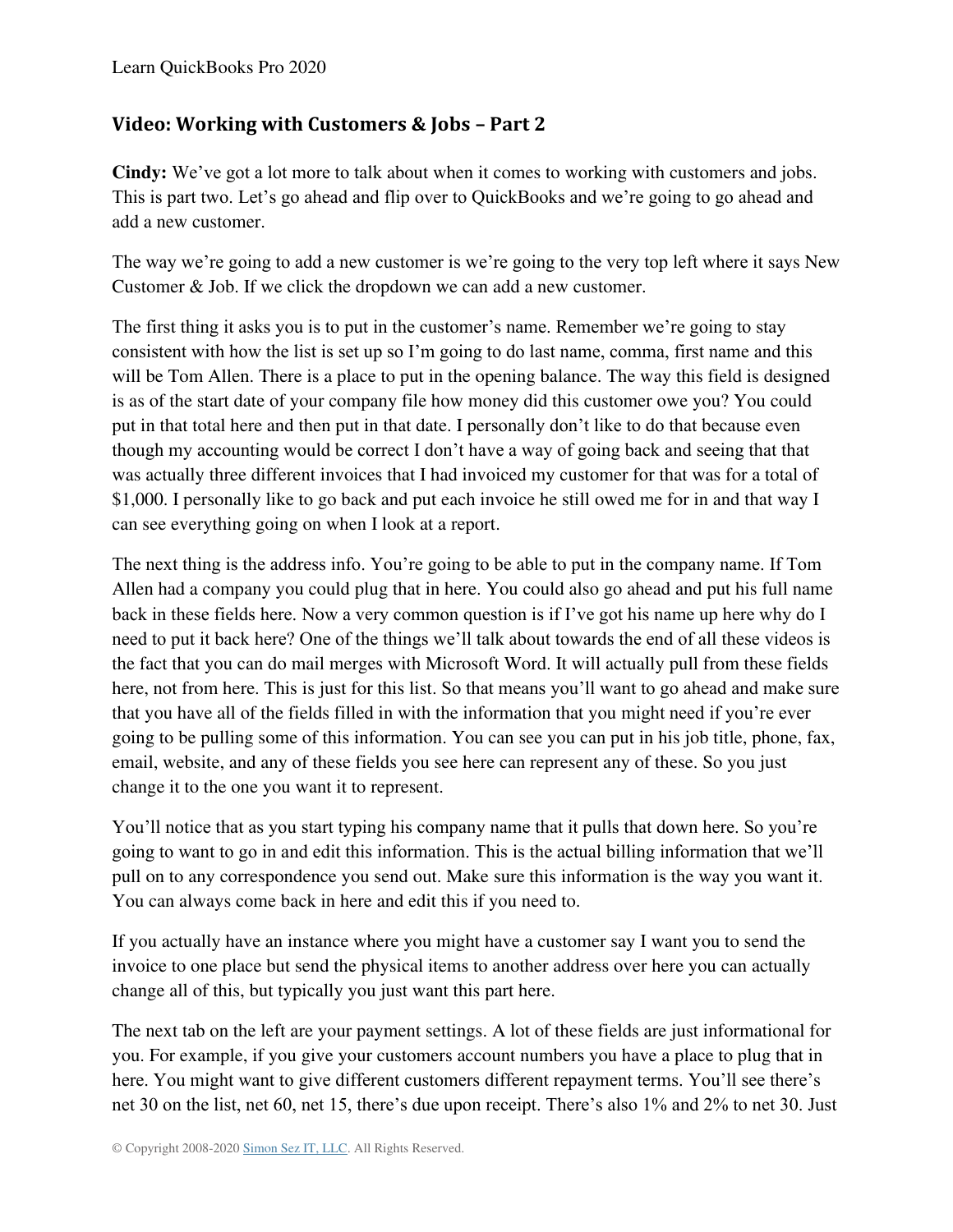### **Video: Working with Customers & Jobs – Part 2**

**Cindy:** We've got a lot more to talk about when it comes to working with customers and jobs. This is part two. Let's go ahead and flip over to QuickBooks and we're going to go ahead and add a new customer.

The way we're going to add a new customer is we're going to the very top left where it says New Customer & Job. If we click the dropdown we can add a new customer.

The first thing it asks you is to put in the customer's name. Remember we're going to stay consistent with how the list is set up so I'm going to do last name, comma, first name and this will be Tom Allen. There is a place to put in the opening balance. The way this field is designed is as of the start date of your company file how money did this customer owe you? You could put in that total here and then put in that date. I personally don't like to do that because even though my accounting would be correct I don't have a way of going back and seeing that that was actually three different invoices that I had invoiced my customer for that was for a total of \$1,000. I personally like to go back and put each invoice he still owed me for in and that way I can see everything going on when I look at a report.

The next thing is the address info. You're going to be able to put in the company name. If Tom Allen had a company you could plug that in here. You could also go ahead and put his full name back in these fields here. Now a very common question is if I've got his name up here why do I need to put it back here? One of the things we'll talk about towards the end of all these videos is the fact that you can do mail merges with Microsoft Word. It will actually pull from these fields here, not from here. This is just for this list. So that means you'll want to go ahead and make sure that you have all of the fields filled in with the information that you might need if you're ever going to be pulling some of this information. You can see you can put in his job title, phone, fax, email, website, and any of these fields you see here can represent any of these. So you just change it to the one you want it to represent.

You'll notice that as you start typing his company name that it pulls that down here. So you're going to want to go in and edit this information. This is the actual billing information that we'll pull on to any correspondence you send out. Make sure this information is the way you want it. You can always come back in here and edit this if you need to.

If you actually have an instance where you might have a customer say I want you to send the invoice to one place but send the physical items to another address over here you can actually change all of this, but typically you just want this part here.

The next tab on the left are your payment settings. A lot of these fields are just informational for you. For example, if you give your customers account numbers you have a place to plug that in here. You might want to give different customers different repayment terms. You'll see there's net 30 on the list, net 60, net 15, there's due upon receipt. There's also 1% and 2% to net 30. Just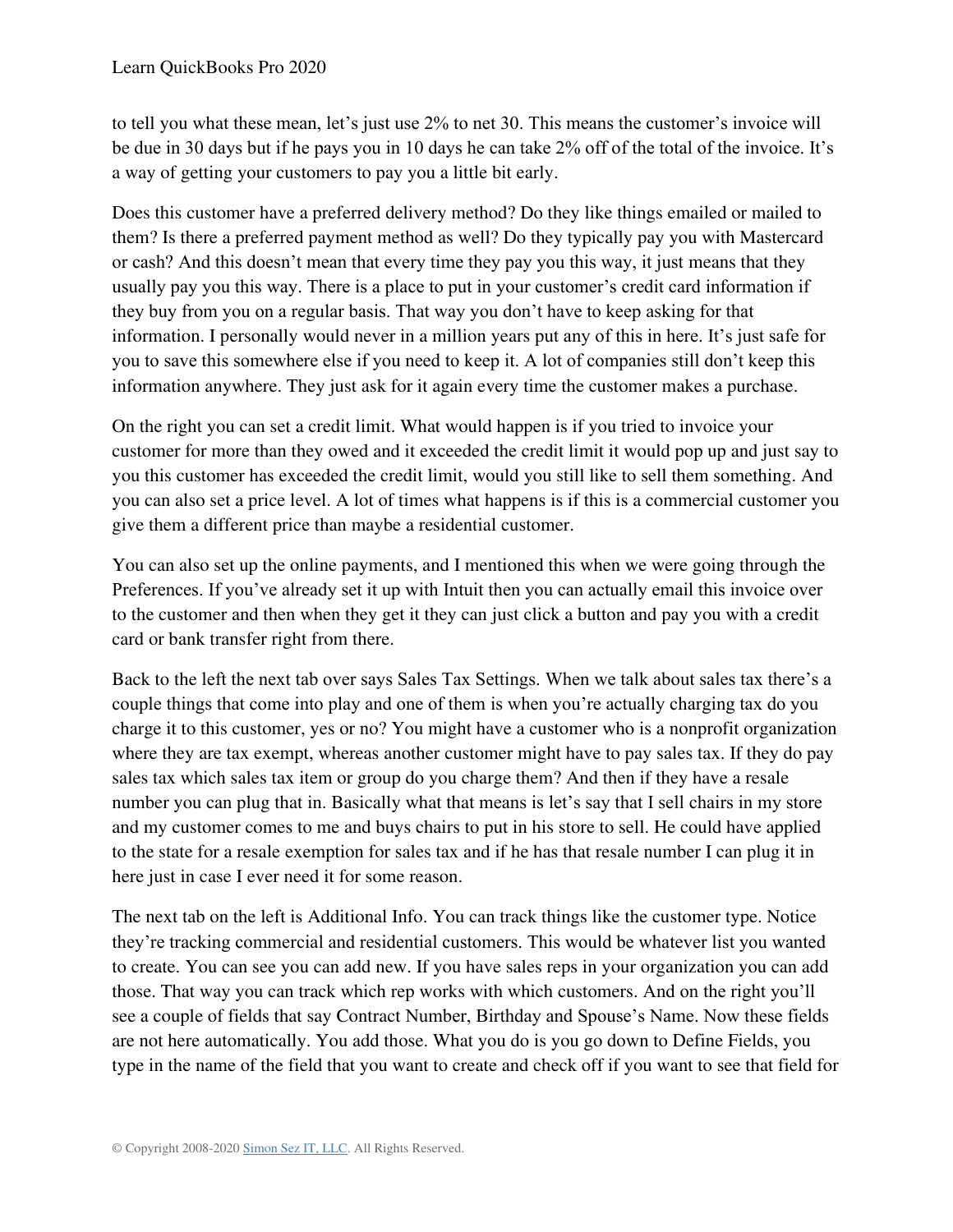to tell you what these mean, let's just use 2% to net 30. This means the customer's invoice will be due in 30 days but if he pays you in 10 days he can take 2% off of the total of the invoice. It's a way of getting your customers to pay you a little bit early.

Does this customer have a preferred delivery method? Do they like things emailed or mailed to them? Is there a preferred payment method as well? Do they typically pay you with Mastercard or cash? And this doesn't mean that every time they pay you this way, it just means that they usually pay you this way. There is a place to put in your customer's credit card information if they buy from you on a regular basis. That way you don't have to keep asking for that information. I personally would never in a million years put any of this in here. It's just safe for you to save this somewhere else if you need to keep it. A lot of companies still don't keep this information anywhere. They just ask for it again every time the customer makes a purchase.

On the right you can set a credit limit. What would happen is if you tried to invoice your customer for more than they owed and it exceeded the credit limit it would pop up and just say to you this customer has exceeded the credit limit, would you still like to sell them something. And you can also set a price level. A lot of times what happens is if this is a commercial customer you give them a different price than maybe a residential customer.

You can also set up the online payments, and I mentioned this when we were going through the Preferences. If you've already set it up with Intuit then you can actually email this invoice over to the customer and then when they get it they can just click a button and pay you with a credit card or bank transfer right from there.

Back to the left the next tab over says Sales Tax Settings. When we talk about sales tax there's a couple things that come into play and one of them is when you're actually charging tax do you charge it to this customer, yes or no? You might have a customer who is a nonprofit organization where they are tax exempt, whereas another customer might have to pay sales tax. If they do pay sales tax which sales tax item or group do you charge them? And then if they have a resale number you can plug that in. Basically what that means is let's say that I sell chairs in my store and my customer comes to me and buys chairs to put in his store to sell. He could have applied to the state for a resale exemption for sales tax and if he has that resale number I can plug it in here just in case I ever need it for some reason.

The next tab on the left is Additional Info. You can track things like the customer type. Notice they're tracking commercial and residential customers. This would be whatever list you wanted to create. You can see you can add new. If you have sales reps in your organization you can add those. That way you can track which rep works with which customers. And on the right you'll see a couple of fields that say Contract Number, Birthday and Spouse's Name. Now these fields are not here automatically. You add those. What you do is you go down to Define Fields, you type in the name of the field that you want to create and check off if you want to see that field for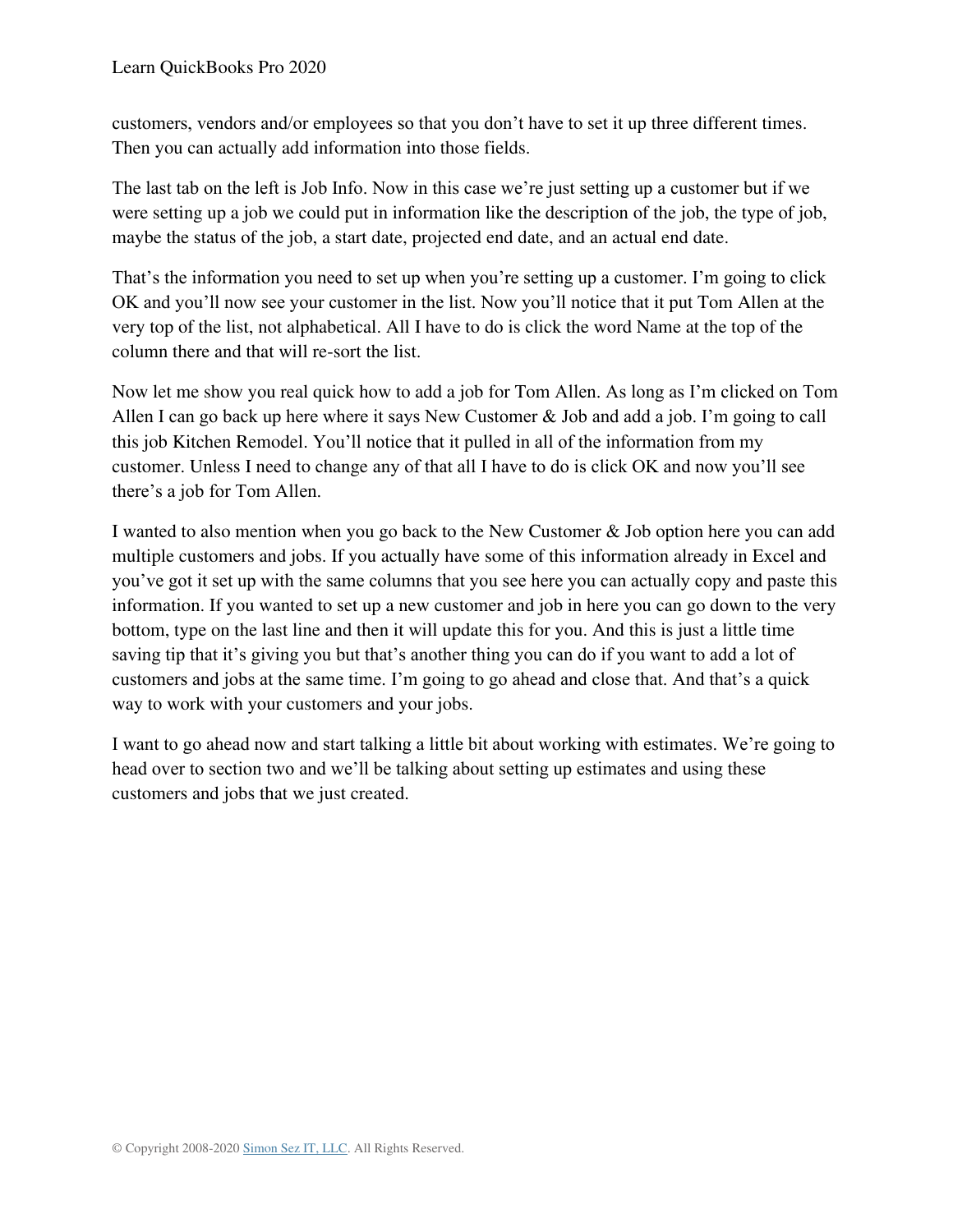customers, vendors and/or employees so that you don't have to set it up three different times. Then you can actually add information into those fields.

The last tab on the left is Job Info. Now in this case we're just setting up a customer but if we were setting up a job we could put in information like the description of the job, the type of job, maybe the status of the job, a start date, projected end date, and an actual end date.

That's the information you need to set up when you're setting up a customer. I'm going to click OK and you'll now see your customer in the list. Now you'll notice that it put Tom Allen at the very top of the list, not alphabetical. All I have to do is click the word Name at the top of the column there and that will re-sort the list.

Now let me show you real quick how to add a job for Tom Allen. As long as I'm clicked on Tom Allen I can go back up here where it says New Customer & Job and add a job. I'm going to call this job Kitchen Remodel. You'll notice that it pulled in all of the information from my customer. Unless I need to change any of that all I have to do is click OK and now you'll see there's a job for Tom Allen.

I wanted to also mention when you go back to the New Customer & Job option here you can add multiple customers and jobs. If you actually have some of this information already in Excel and you've got it set up with the same columns that you see here you can actually copy and paste this information. If you wanted to set up a new customer and job in here you can go down to the very bottom, type on the last line and then it will update this for you. And this is just a little time saving tip that it's giving you but that's another thing you can do if you want to add a lot of customers and jobs at the same time. I'm going to go ahead and close that. And that's a quick way to work with your customers and your jobs.

I want to go ahead now and start talking a little bit about working with estimates. We're going to head over to section two and we'll be talking about setting up estimates and using these customers and jobs that we just created.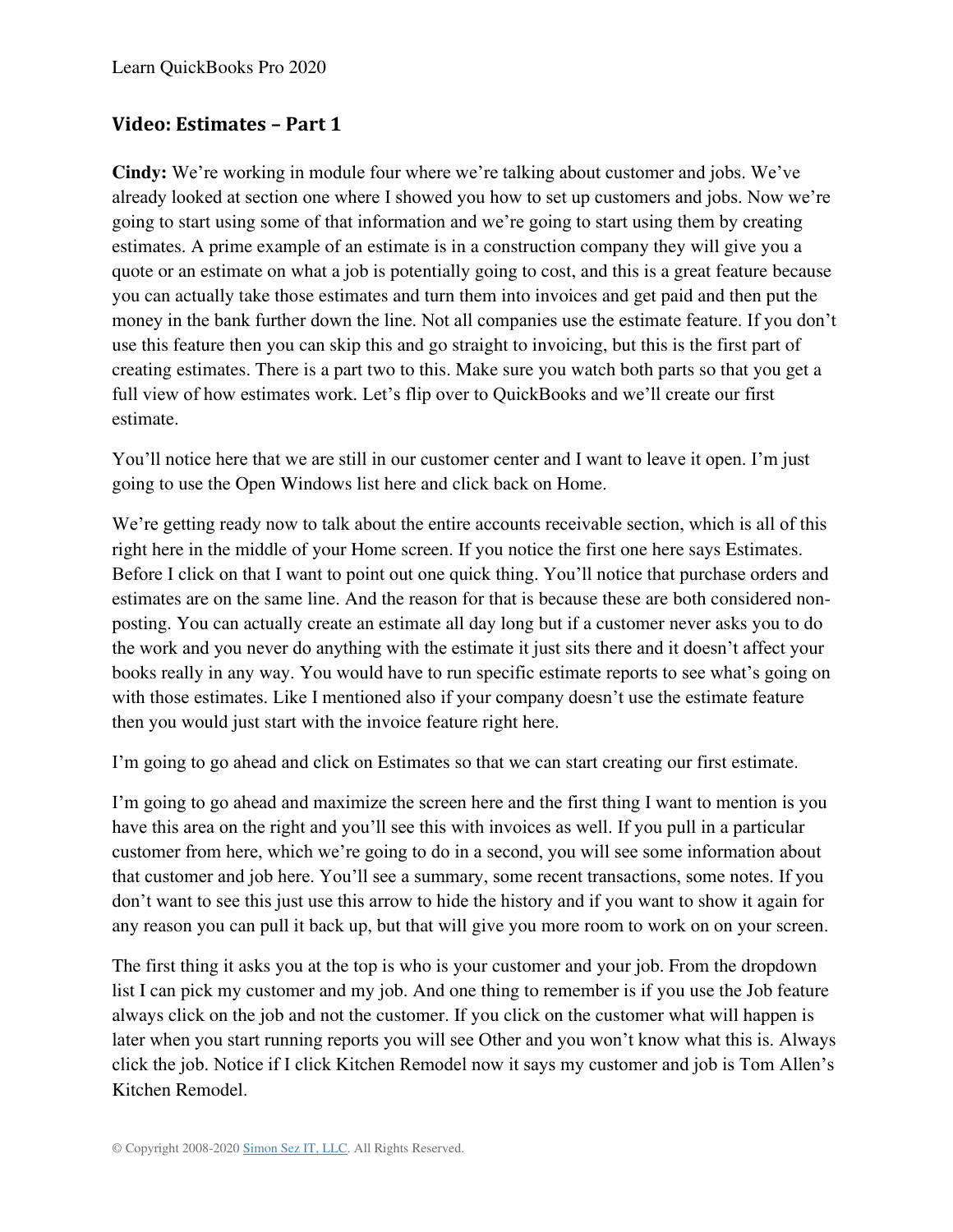### **Video: Estimates – Part 1**

**Cindy:** We're working in module four where we're talking about customer and jobs. We've already looked at section one where I showed you how to set up customers and jobs. Now we're going to start using some of that information and we're going to start using them by creating estimates. A prime example of an estimate is in a construction company they will give you a quote or an estimate on what a job is potentially going to cost, and this is a great feature because you can actually take those estimates and turn them into invoices and get paid and then put the money in the bank further down the line. Not all companies use the estimate feature. If you don't use this feature then you can skip this and go straight to invoicing, but this is the first part of creating estimates. There is a part two to this. Make sure you watch both parts so that you get a full view of how estimates work. Let's flip over to QuickBooks and we'll create our first estimate.

You'll notice here that we are still in our customer center and I want to leave it open. I'm just going to use the Open Windows list here and click back on Home.

We're getting ready now to talk about the entire accounts receivable section, which is all of this right here in the middle of your Home screen. If you notice the first one here says Estimates. Before I click on that I want to point out one quick thing. You'll notice that purchase orders and estimates are on the same line. And the reason for that is because these are both considered nonposting. You can actually create an estimate all day long but if a customer never asks you to do the work and you never do anything with the estimate it just sits there and it doesn't affect your books really in any way. You would have to run specific estimate reports to see what's going on with those estimates. Like I mentioned also if your company doesn't use the estimate feature then you would just start with the invoice feature right here.

I'm going to go ahead and click on Estimates so that we can start creating our first estimate.

I'm going to go ahead and maximize the screen here and the first thing I want to mention is you have this area on the right and you'll see this with invoices as well. If you pull in a particular customer from here, which we're going to do in a second, you will see some information about that customer and job here. You'll see a summary, some recent transactions, some notes. If you don't want to see this just use this arrow to hide the history and if you want to show it again for any reason you can pull it back up, but that will give you more room to work on on your screen.

The first thing it asks you at the top is who is your customer and your job. From the dropdown list I can pick my customer and my job. And one thing to remember is if you use the Job feature always click on the job and not the customer. If you click on the customer what will happen is later when you start running reports you will see Other and you won't know what this is. Always click the job. Notice if I click Kitchen Remodel now it says my customer and job is Tom Allen's Kitchen Remodel.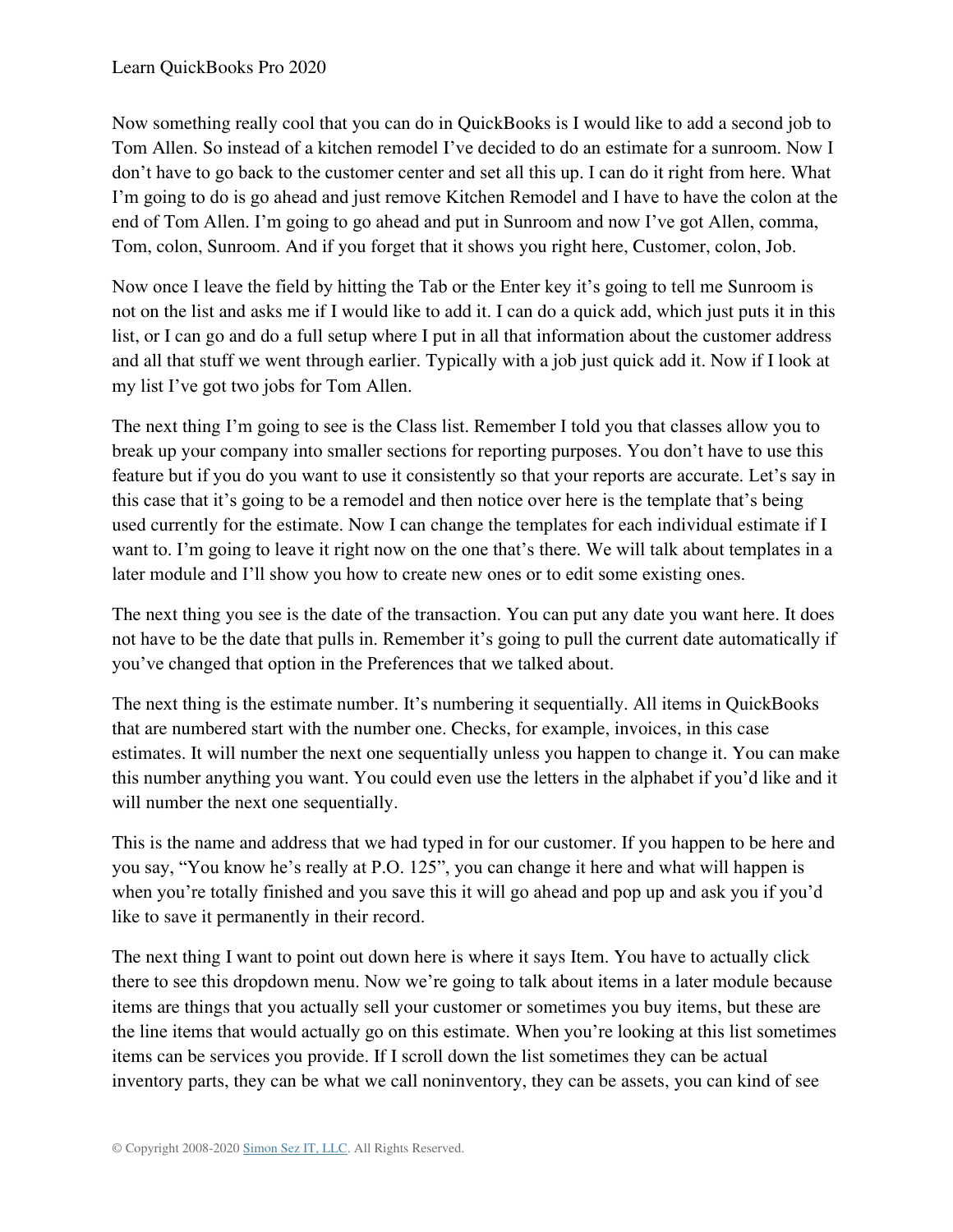Now something really cool that you can do in QuickBooks is I would like to add a second job to Tom Allen. So instead of a kitchen remodel I've decided to do an estimate for a sunroom. Now I don't have to go back to the customer center and set all this up. I can do it right from here. What I'm going to do is go ahead and just remove Kitchen Remodel and I have to have the colon at the end of Tom Allen. I'm going to go ahead and put in Sunroom and now I've got Allen, comma, Tom, colon, Sunroom. And if you forget that it shows you right here, Customer, colon, Job.

Now once I leave the field by hitting the Tab or the Enter key it's going to tell me Sunroom is not on the list and asks me if I would like to add it. I can do a quick add, which just puts it in this list, or I can go and do a full setup where I put in all that information about the customer address and all that stuff we went through earlier. Typically with a job just quick add it. Now if I look at my list I've got two jobs for Tom Allen.

The next thing I'm going to see is the Class list. Remember I told you that classes allow you to break up your company into smaller sections for reporting purposes. You don't have to use this feature but if you do you want to use it consistently so that your reports are accurate. Let's say in this case that it's going to be a remodel and then notice over here is the template that's being used currently for the estimate. Now I can change the templates for each individual estimate if I want to. I'm going to leave it right now on the one that's there. We will talk about templates in a later module and I'll show you how to create new ones or to edit some existing ones.

The next thing you see is the date of the transaction. You can put any date you want here. It does not have to be the date that pulls in. Remember it's going to pull the current date automatically if you've changed that option in the Preferences that we talked about.

The next thing is the estimate number. It's numbering it sequentially. All items in QuickBooks that are numbered start with the number one. Checks, for example, invoices, in this case estimates. It will number the next one sequentially unless you happen to change it. You can make this number anything you want. You could even use the letters in the alphabet if you'd like and it will number the next one sequentially.

This is the name and address that we had typed in for our customer. If you happen to be here and you say, "You know he's really at P.O. 125", you can change it here and what will happen is when you're totally finished and you save this it will go ahead and pop up and ask you if you'd like to save it permanently in their record.

The next thing I want to point out down here is where it says Item. You have to actually click there to see this dropdown menu. Now we're going to talk about items in a later module because items are things that you actually sell your customer or sometimes you buy items, but these are the line items that would actually go on this estimate. When you're looking at this list sometimes items can be services you provide. If I scroll down the list sometimes they can be actual inventory parts, they can be what we call noninventory, they can be assets, you can kind of see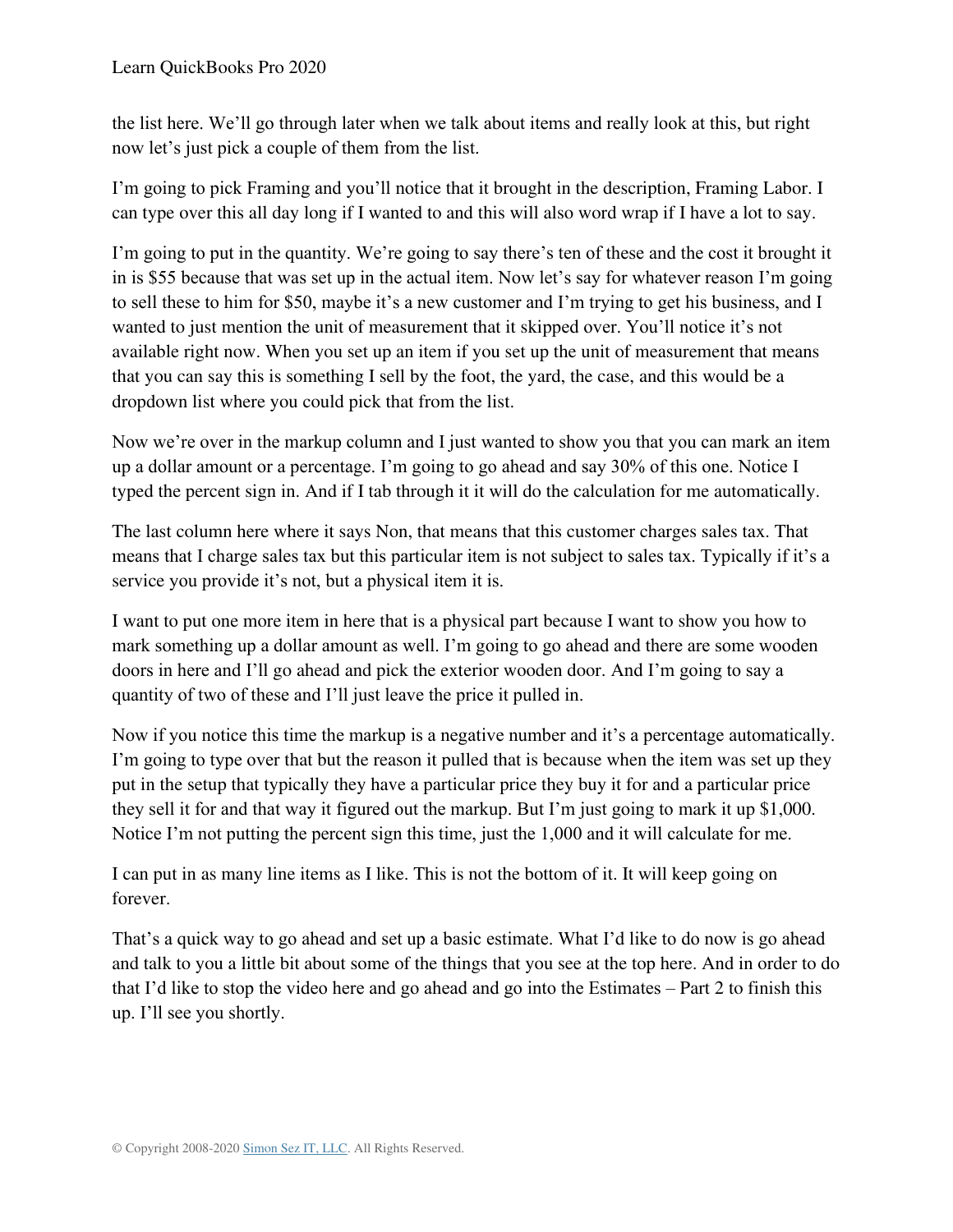the list here. We'll go through later when we talk about items and really look at this, but right now let's just pick a couple of them from the list.

I'm going to pick Framing and you'll notice that it brought in the description, Framing Labor. I can type over this all day long if I wanted to and this will also word wrap if I have a lot to say.

I'm going to put in the quantity. We're going to say there's ten of these and the cost it brought it in is \$55 because that was set up in the actual item. Now let's say for whatever reason I'm going to sell these to him for \$50, maybe it's a new customer and I'm trying to get his business, and I wanted to just mention the unit of measurement that it skipped over. You'll notice it's not available right now. When you set up an item if you set up the unit of measurement that means that you can say this is something I sell by the foot, the yard, the case, and this would be a dropdown list where you could pick that from the list.

Now we're over in the markup column and I just wanted to show you that you can mark an item up a dollar amount or a percentage. I'm going to go ahead and say 30% of this one. Notice I typed the percent sign in. And if I tab through it it will do the calculation for me automatically.

The last column here where it says Non, that means that this customer charges sales tax. That means that I charge sales tax but this particular item is not subject to sales tax. Typically if it's a service you provide it's not, but a physical item it is.

I want to put one more item in here that is a physical part because I want to show you how to mark something up a dollar amount as well. I'm going to go ahead and there are some wooden doors in here and I'll go ahead and pick the exterior wooden door. And I'm going to say a quantity of two of these and I'll just leave the price it pulled in.

Now if you notice this time the markup is a negative number and it's a percentage automatically. I'm going to type over that but the reason it pulled that is because when the item was set up they put in the setup that typically they have a particular price they buy it for and a particular price they sell it for and that way it figured out the markup. But I'm just going to mark it up \$1,000. Notice I'm not putting the percent sign this time, just the 1,000 and it will calculate for me.

I can put in as many line items as I like. This is not the bottom of it. It will keep going on forever.

That's a quick way to go ahead and set up a basic estimate. What I'd like to do now is go ahead and talk to you a little bit about some of the things that you see at the top here. And in order to do that I'd like to stop the video here and go ahead and go into the Estimates – Part 2 to finish this up. I'll see you shortly.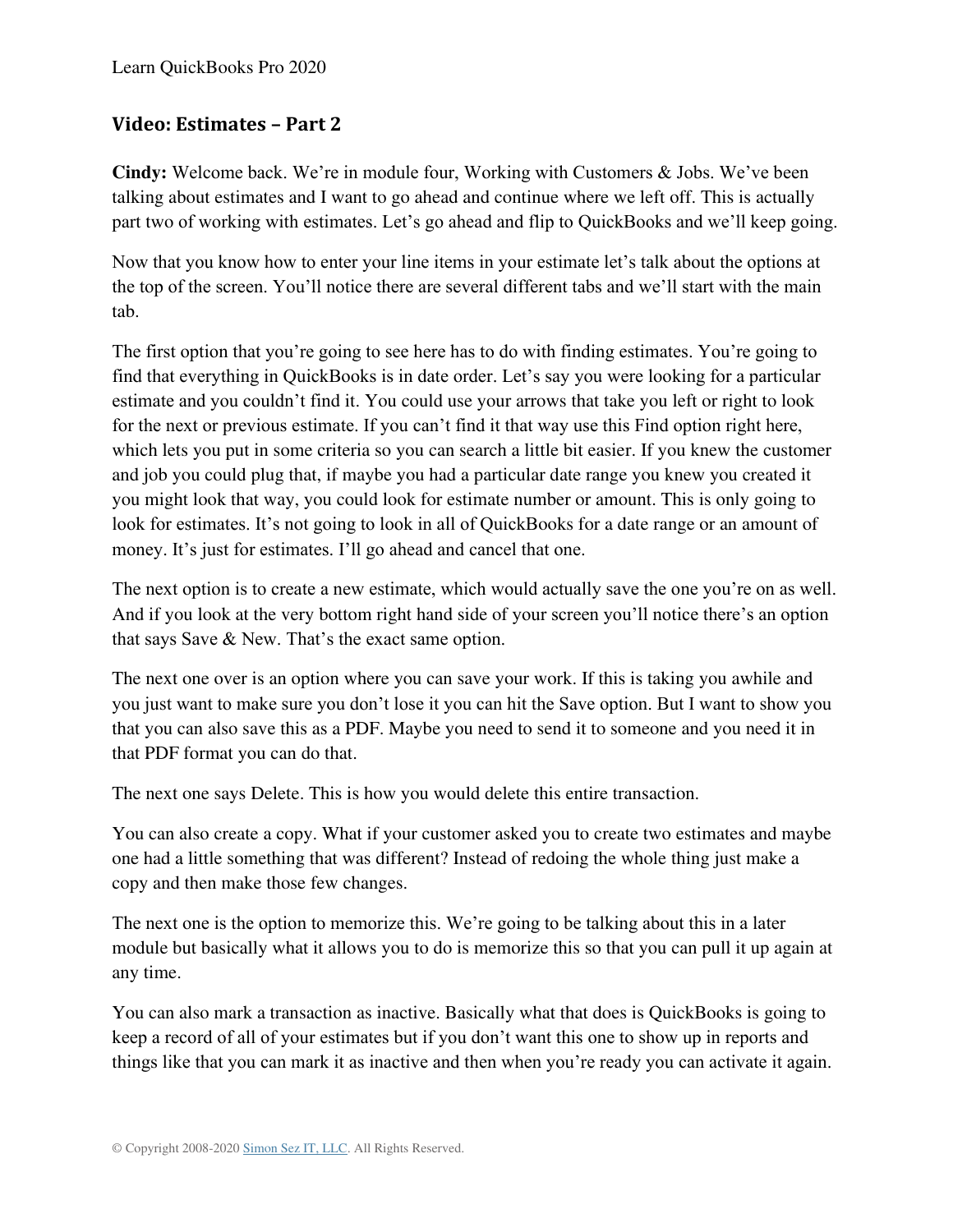### **Video: Estimates – Part 2**

**Cindy:** Welcome back. We're in module four, Working with Customers & Jobs. We've been talking about estimates and I want to go ahead and continue where we left off. This is actually part two of working with estimates. Let's go ahead and flip to QuickBooks and we'll keep going.

Now that you know how to enter your line items in your estimate let's talk about the options at the top of the screen. You'll notice there are several different tabs and we'll start with the main tab.

The first option that you're going to see here has to do with finding estimates. You're going to find that everything in QuickBooks is in date order. Let's say you were looking for a particular estimate and you couldn't find it. You could use your arrows that take you left or right to look for the next or previous estimate. If you can't find it that way use this Find option right here, which lets you put in some criteria so you can search a little bit easier. If you knew the customer and job you could plug that, if maybe you had a particular date range you knew you created it you might look that way, you could look for estimate number or amount. This is only going to look for estimates. It's not going to look in all of QuickBooks for a date range or an amount of money. It's just for estimates. I'll go ahead and cancel that one.

The next option is to create a new estimate, which would actually save the one you're on as well. And if you look at the very bottom right hand side of your screen you'll notice there's an option that says Save & New. That's the exact same option.

The next one over is an option where you can save your work. If this is taking you awhile and you just want to make sure you don't lose it you can hit the Save option. But I want to show you that you can also save this as a PDF. Maybe you need to send it to someone and you need it in that PDF format you can do that.

The next one says Delete. This is how you would delete this entire transaction.

You can also create a copy. What if your customer asked you to create two estimates and maybe one had a little something that was different? Instead of redoing the whole thing just make a copy and then make those few changes.

The next one is the option to memorize this. We're going to be talking about this in a later module but basically what it allows you to do is memorize this so that you can pull it up again at any time.

You can also mark a transaction as inactive. Basically what that does is QuickBooks is going to keep a record of all of your estimates but if you don't want this one to show up in reports and things like that you can mark it as inactive and then when you're ready you can activate it again.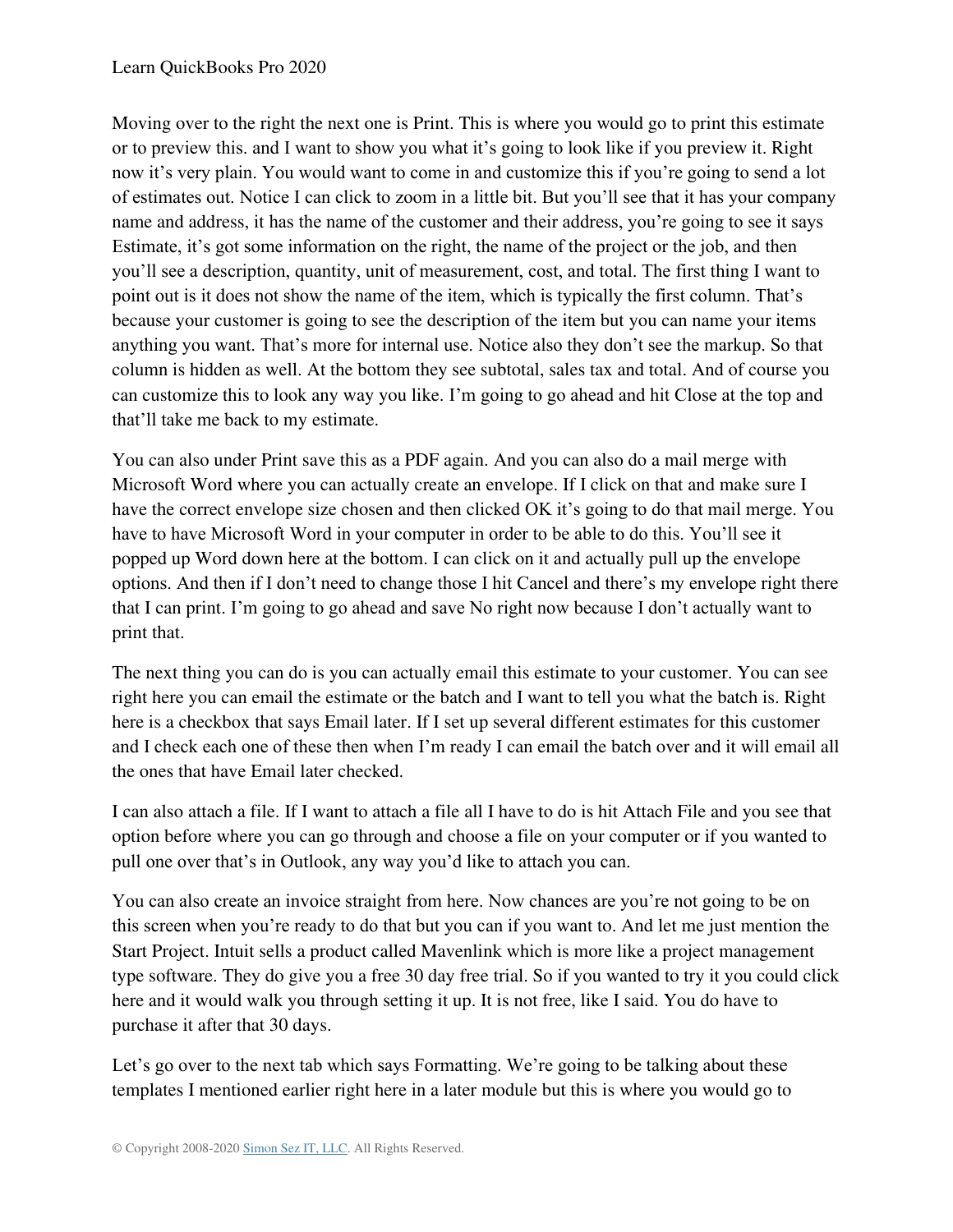Moving over to the right the next one is Print. This is where you would go to print this estimate or to preview this. and I want to show you what it's going to look like if you preview it. Right now it's very plain. You would want to come in and customize this if you're going to send a lot of estimates out. Notice I can click to zoom in a little bit. But you'll see that it has your company name and address, it has the name of the customer and their address, you're going to see it says Estimate, it's got some information on the right, the name of the project or the job, and then you'll see a description, quantity, unit of measurement, cost, and total. The first thing I want to point out is it does not show the name of the item, which is typically the first column. That's because your customer is going to see the description of the item but you can name your items anything you want. That's more for internal use. Notice also they don't see the markup. So that column is hidden as well. At the bottom they see subtotal, sales tax and total. And of course you can customize this to look any way you like. I'm going to go ahead and hit Close at the top and that'll take me back to my estimate.

You can also under Print save this as a PDF again. And you can also do a mail merge with Microsoft Word where you can actually create an envelope. If I click on that and make sure I have the correct envelope size chosen and then clicked OK it's going to do that mail merge. You have to have Microsoft Word in your computer in order to be able to do this. You'll see it popped up Word down here at the bottom. I can click on it and actually pull up the envelope options. And then if I don't need to change those I hit Cancel and there's my envelope right there that I can print. I'm going to go ahead and save No right now because I don't actually want to print that.

The next thing you can do is you can actually email this estimate to your customer. You can see right here you can email the estimate or the batch and I want to tell you what the batch is. Right here is a checkbox that says Email later. If I set up several different estimates for this customer and I check each one of these then when I'm ready I can email the batch over and it will email all the ones that have Email later checked.

I can also attach a file. If I want to attach a file all I have to do is hit Attach File and you see that option before where you can go through and choose a file on your computer or if you wanted to pull one over that's in Outlook, any way you'd like to attach you can.

You can also create an invoice straight from here. Now chances are you're not going to be on this screen when you're ready to do that but you can if you want to. And let me just mention the Start Project. Intuit sells a product called Mavenlink which is more like a project management type software. They do give you a free 30 day free trial. So if you wanted to try it you could click here and it would walk you through setting it up. It is not free, like I said. You do have to purchase it after that 30 days.

Let's go over to the next tab which says Formatting. We're going to be talking about these templates I mentioned earlier right here in a later module but this is where you would go to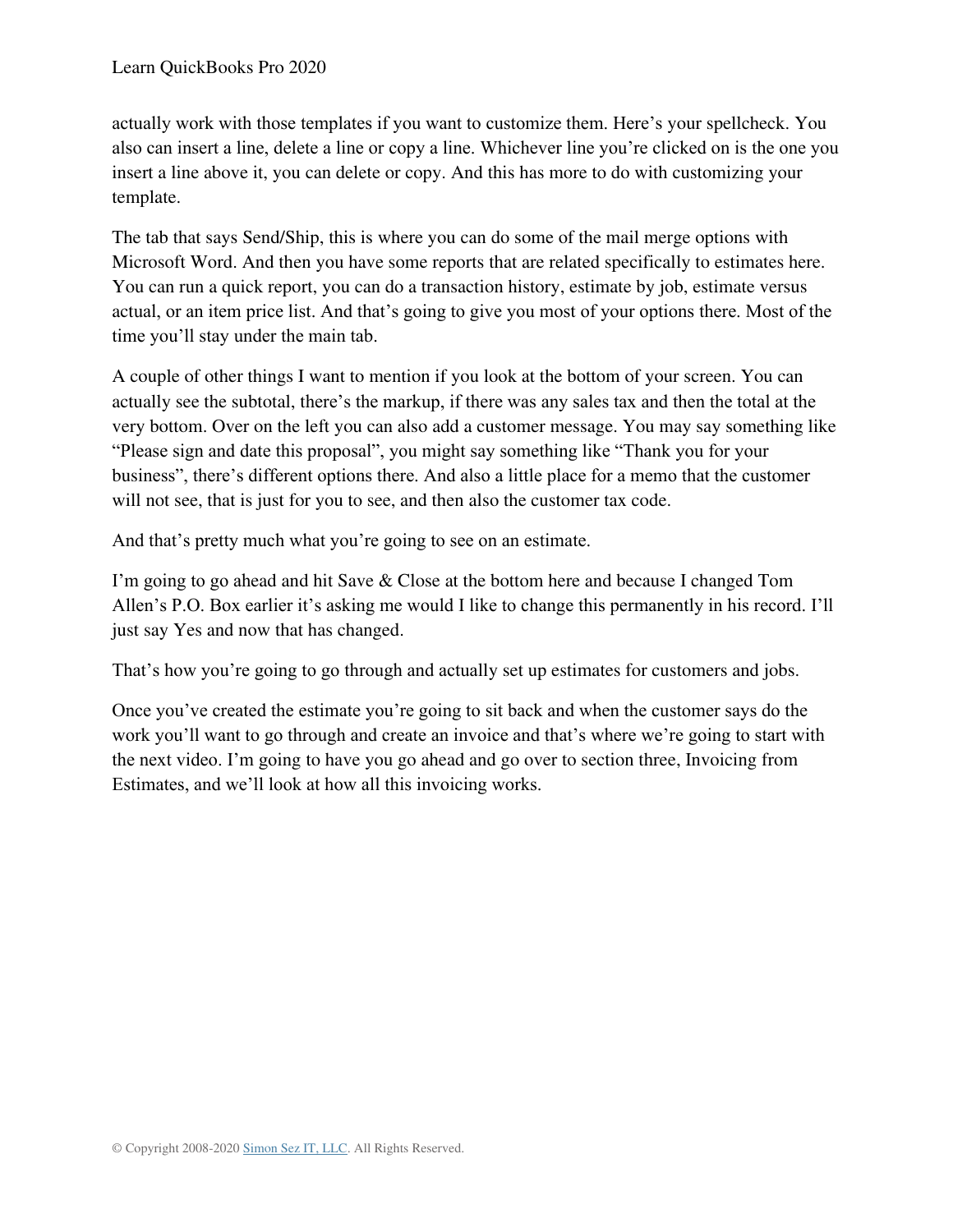actually work with those templates if you want to customize them. Here's your spellcheck. You also can insert a line, delete a line or copy a line. Whichever line you're clicked on is the one you insert a line above it, you can delete or copy. And this has more to do with customizing your template.

The tab that says Send/Ship, this is where you can do some of the mail merge options with Microsoft Word. And then you have some reports that are related specifically to estimates here. You can run a quick report, you can do a transaction history, estimate by job, estimate versus actual, or an item price list. And that's going to give you most of your options there. Most of the time you'll stay under the main tab.

A couple of other things I want to mention if you look at the bottom of your screen. You can actually see the subtotal, there's the markup, if there was any sales tax and then the total at the very bottom. Over on the left you can also add a customer message. You may say something like "Please sign and date this proposal", you might say something like "Thank you for your business", there's different options there. And also a little place for a memo that the customer will not see, that is just for you to see, and then also the customer tax code.

And that's pretty much what you're going to see on an estimate.

I'm going to go ahead and hit Save & Close at the bottom here and because I changed Tom Allen's P.O. Box earlier it's asking me would I like to change this permanently in his record. I'll just say Yes and now that has changed.

That's how you're going to go through and actually set up estimates for customers and jobs.

Once you've created the estimate you're going to sit back and when the customer says do the work you'll want to go through and create an invoice and that's where we're going to start with the next video. I'm going to have you go ahead and go over to section three, Invoicing from Estimates, and we'll look at how all this invoicing works.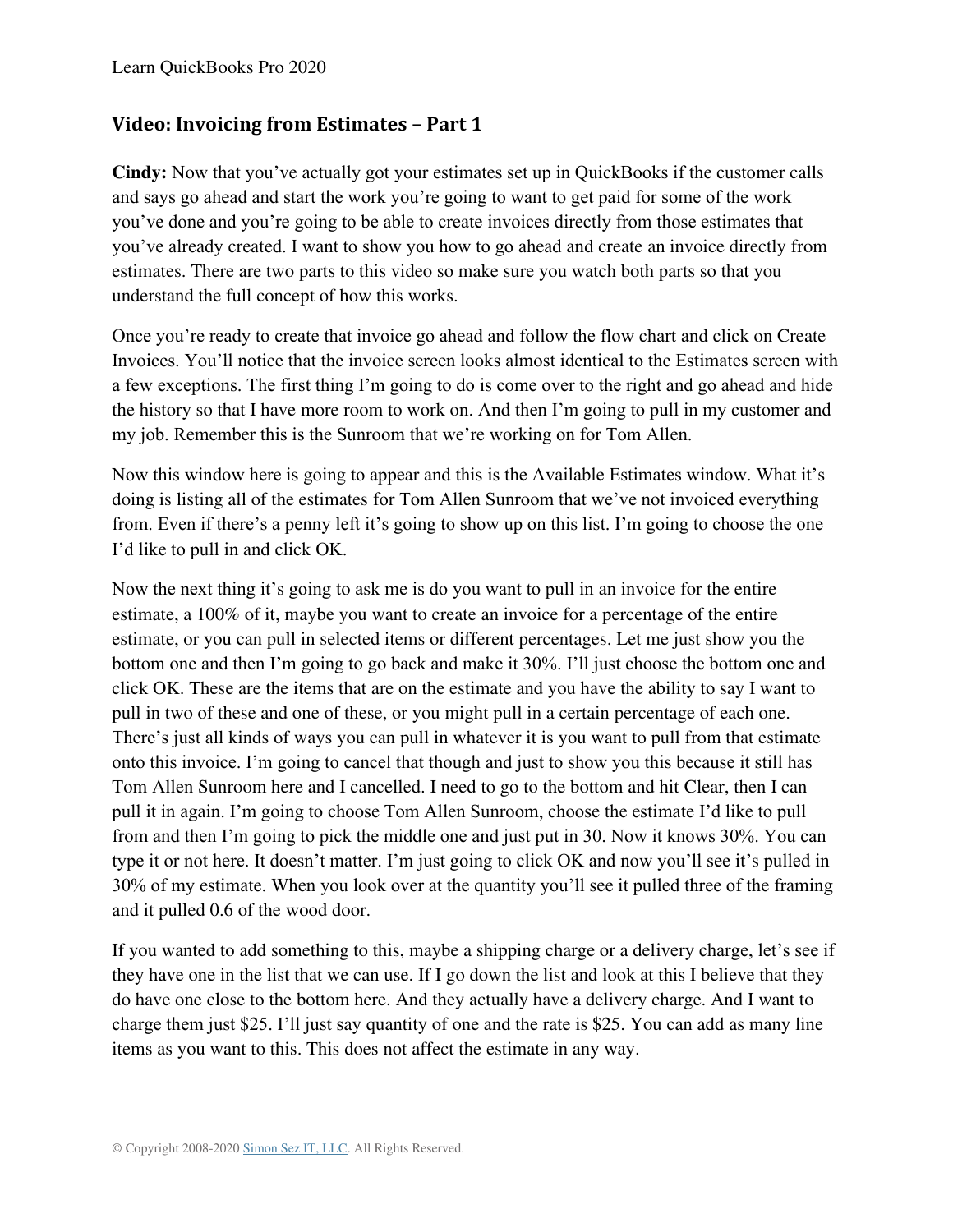### **Video: Invoicing from Estimates – Part 1**

**Cindy:** Now that you've actually got your estimates set up in QuickBooks if the customer calls and says go ahead and start the work you're going to want to get paid for some of the work you've done and you're going to be able to create invoices directly from those estimates that you've already created. I want to show you how to go ahead and create an invoice directly from estimates. There are two parts to this video so make sure you watch both parts so that you understand the full concept of how this works.

Once you're ready to create that invoice go ahead and follow the flow chart and click on Create Invoices. You'll notice that the invoice screen looks almost identical to the Estimates screen with a few exceptions. The first thing I'm going to do is come over to the right and go ahead and hide the history so that I have more room to work on. And then I'm going to pull in my customer and my job. Remember this is the Sunroom that we're working on for Tom Allen.

Now this window here is going to appear and this is the Available Estimates window. What it's doing is listing all of the estimates for Tom Allen Sunroom that we've not invoiced everything from. Even if there's a penny left it's going to show up on this list. I'm going to choose the one I'd like to pull in and click OK.

Now the next thing it's going to ask me is do you want to pull in an invoice for the entire estimate, a 100% of it, maybe you want to create an invoice for a percentage of the entire estimate, or you can pull in selected items or different percentages. Let me just show you the bottom one and then I'm going to go back and make it 30%. I'll just choose the bottom one and click OK. These are the items that are on the estimate and you have the ability to say I want to pull in two of these and one of these, or you might pull in a certain percentage of each one. There's just all kinds of ways you can pull in whatever it is you want to pull from that estimate onto this invoice. I'm going to cancel that though and just to show you this because it still has Tom Allen Sunroom here and I cancelled. I need to go to the bottom and hit Clear, then I can pull it in again. I'm going to choose Tom Allen Sunroom, choose the estimate I'd like to pull from and then I'm going to pick the middle one and just put in 30. Now it knows 30%. You can type it or not here. It doesn't matter. I'm just going to click OK and now you'll see it's pulled in 30% of my estimate. When you look over at the quantity you'll see it pulled three of the framing and it pulled 0.6 of the wood door.

If you wanted to add something to this, maybe a shipping charge or a delivery charge, let's see if they have one in the list that we can use. If I go down the list and look at this I believe that they do have one close to the bottom here. And they actually have a delivery charge. And I want to charge them just \$25. I'll just say quantity of one and the rate is \$25. You can add as many line items as you want to this. This does not affect the estimate in any way.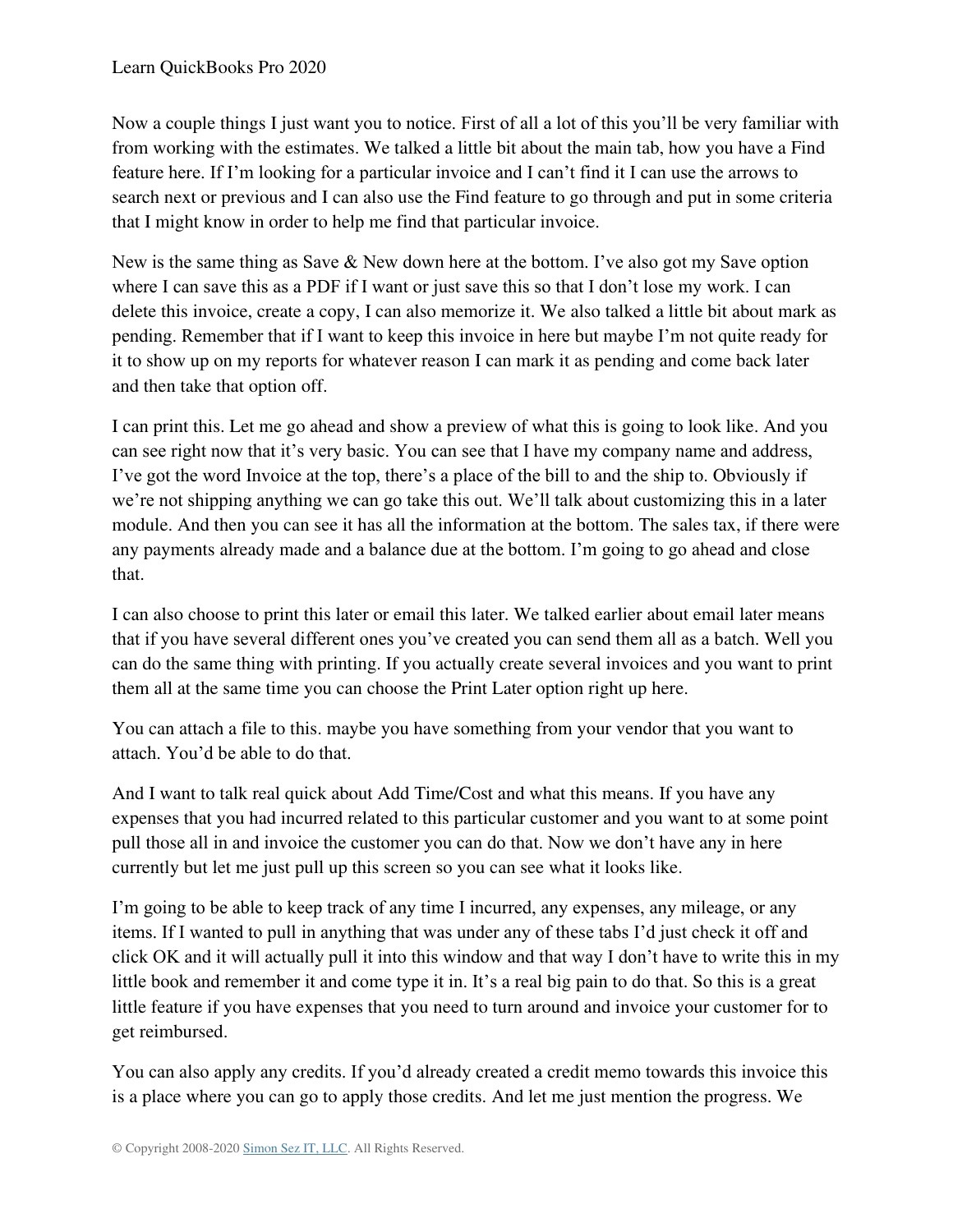Now a couple things I just want you to notice. First of all a lot of this you'll be very familiar with from working with the estimates. We talked a little bit about the main tab, how you have a Find feature here. If I'm looking for a particular invoice and I can't find it I can use the arrows to search next or previous and I can also use the Find feature to go through and put in some criteria that I might know in order to help me find that particular invoice.

New is the same thing as Save & New down here at the bottom. I've also got my Save option where I can save this as a PDF if I want or just save this so that I don't lose my work. I can delete this invoice, create a copy, I can also memorize it. We also talked a little bit about mark as pending. Remember that if I want to keep this invoice in here but maybe I'm not quite ready for it to show up on my reports for whatever reason I can mark it as pending and come back later and then take that option off.

I can print this. Let me go ahead and show a preview of what this is going to look like. And you can see right now that it's very basic. You can see that I have my company name and address, I've got the word Invoice at the top, there's a place of the bill to and the ship to. Obviously if we're not shipping anything we can go take this out. We'll talk about customizing this in a later module. And then you can see it has all the information at the bottom. The sales tax, if there were any payments already made and a balance due at the bottom. I'm going to go ahead and close that.

I can also choose to print this later or email this later. We talked earlier about email later means that if you have several different ones you've created you can send them all as a batch. Well you can do the same thing with printing. If you actually create several invoices and you want to print them all at the same time you can choose the Print Later option right up here.

You can attach a file to this. maybe you have something from your vendor that you want to attach. You'd be able to do that.

And I want to talk real quick about Add Time/Cost and what this means. If you have any expenses that you had incurred related to this particular customer and you want to at some point pull those all in and invoice the customer you can do that. Now we don't have any in here currently but let me just pull up this screen so you can see what it looks like.

I'm going to be able to keep track of any time I incurred, any expenses, any mileage, or any items. If I wanted to pull in anything that was under any of these tabs I'd just check it off and click OK and it will actually pull it into this window and that way I don't have to write this in my little book and remember it and come type it in. It's a real big pain to do that. So this is a great little feature if you have expenses that you need to turn around and invoice your customer for to get reimbursed.

You can also apply any credits. If you'd already created a credit memo towards this invoice this is a place where you can go to apply those credits. And let me just mention the progress. We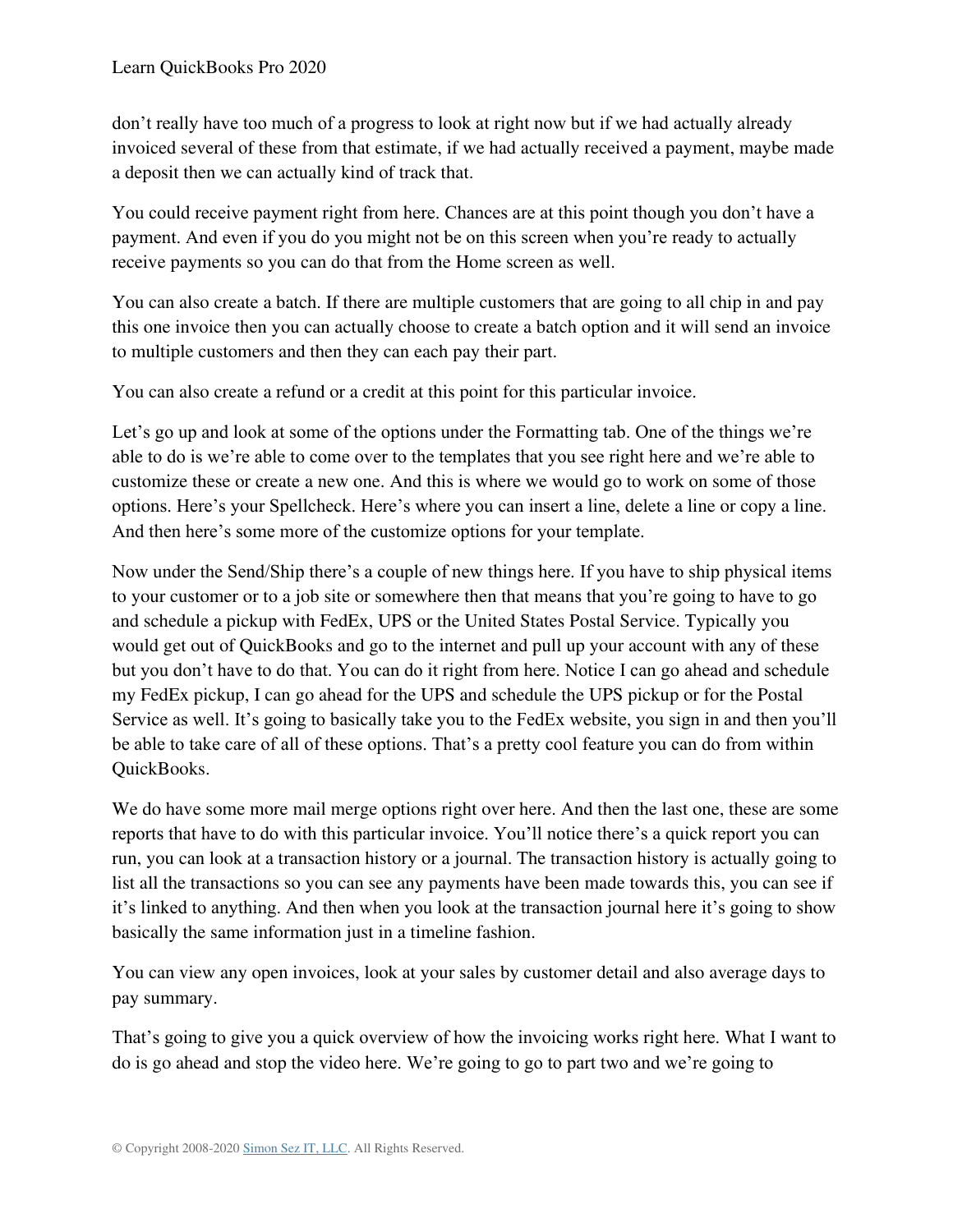don't really have too much of a progress to look at right now but if we had actually already invoiced several of these from that estimate, if we had actually received a payment, maybe made a deposit then we can actually kind of track that.

You could receive payment right from here. Chances are at this point though you don't have a payment. And even if you do you might not be on this screen when you're ready to actually receive payments so you can do that from the Home screen as well.

You can also create a batch. If there are multiple customers that are going to all chip in and pay this one invoice then you can actually choose to create a batch option and it will send an invoice to multiple customers and then they can each pay their part.

You can also create a refund or a credit at this point for this particular invoice.

Let's go up and look at some of the options under the Formatting tab. One of the things we're able to do is we're able to come over to the templates that you see right here and we're able to customize these or create a new one. And this is where we would go to work on some of those options. Here's your Spellcheck. Here's where you can insert a line, delete a line or copy a line. And then here's some more of the customize options for your template.

Now under the Send/Ship there's a couple of new things here. If you have to ship physical items to your customer or to a job site or somewhere then that means that you're going to have to go and schedule a pickup with FedEx, UPS or the United States Postal Service. Typically you would get out of QuickBooks and go to the internet and pull up your account with any of these but you don't have to do that. You can do it right from here. Notice I can go ahead and schedule my FedEx pickup, I can go ahead for the UPS and schedule the UPS pickup or for the Postal Service as well. It's going to basically take you to the FedEx website, you sign in and then you'll be able to take care of all of these options. That's a pretty cool feature you can do from within QuickBooks.

We do have some more mail merge options right over here. And then the last one, these are some reports that have to do with this particular invoice. You'll notice there's a quick report you can run, you can look at a transaction history or a journal. The transaction history is actually going to list all the transactions so you can see any payments have been made towards this, you can see if it's linked to anything. And then when you look at the transaction journal here it's going to show basically the same information just in a timeline fashion.

You can view any open invoices, look at your sales by customer detail and also average days to pay summary.

That's going to give you a quick overview of how the invoicing works right here. What I want to do is go ahead and stop the video here. We're going to go to part two and we're going to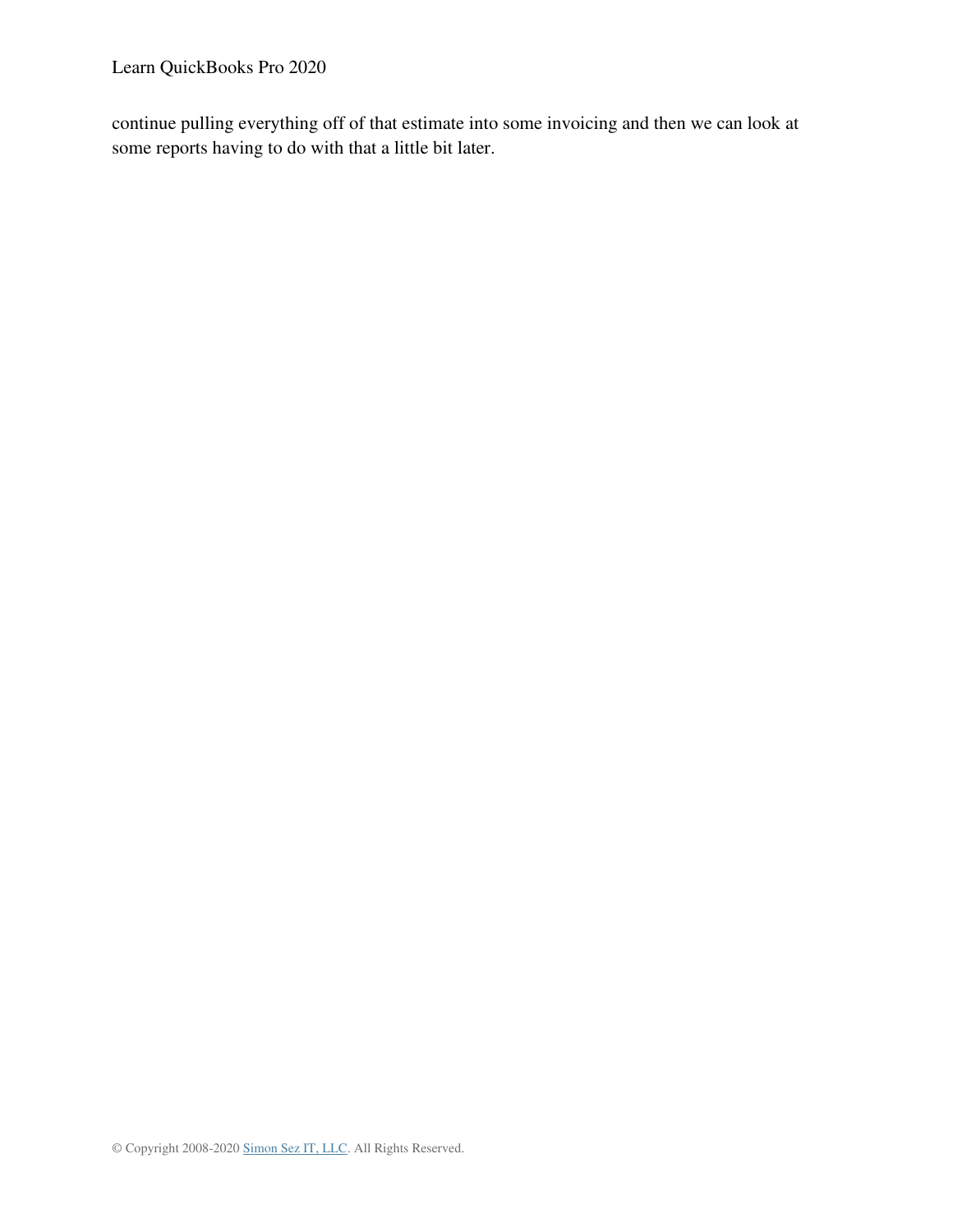Learn QuickBooks Pro 2020

continue pulling everything off of that estimate into some invoicing and then we can look at some reports having to do with that a little bit later.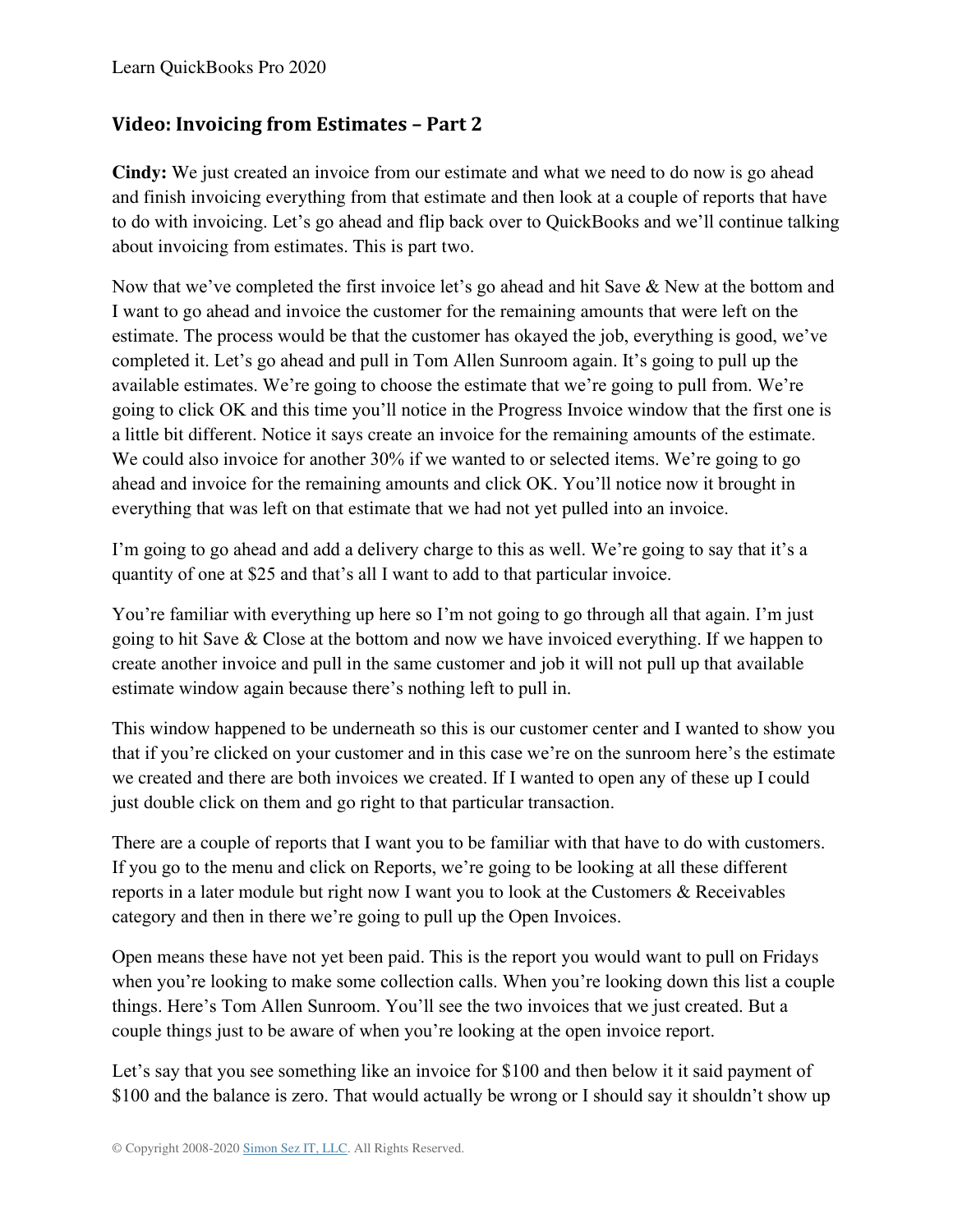### **Video: Invoicing from Estimates – Part 2**

**Cindy:** We just created an invoice from our estimate and what we need to do now is go ahead and finish invoicing everything from that estimate and then look at a couple of reports that have to do with invoicing. Let's go ahead and flip back over to QuickBooks and we'll continue talking about invoicing from estimates. This is part two.

Now that we've completed the first invoice let's go ahead and hit Save & New at the bottom and I want to go ahead and invoice the customer for the remaining amounts that were left on the estimate. The process would be that the customer has okayed the job, everything is good, we've completed it. Let's go ahead and pull in Tom Allen Sunroom again. It's going to pull up the available estimates. We're going to choose the estimate that we're going to pull from. We're going to click OK and this time you'll notice in the Progress Invoice window that the first one is a little bit different. Notice it says create an invoice for the remaining amounts of the estimate. We could also invoice for another 30% if we wanted to or selected items. We're going to go ahead and invoice for the remaining amounts and click OK. You'll notice now it brought in everything that was left on that estimate that we had not yet pulled into an invoice.

I'm going to go ahead and add a delivery charge to this as well. We're going to say that it's a quantity of one at \$25 and that's all I want to add to that particular invoice.

You're familiar with everything up here so I'm not going to go through all that again. I'm just going to hit Save & Close at the bottom and now we have invoiced everything. If we happen to create another invoice and pull in the same customer and job it will not pull up that available estimate window again because there's nothing left to pull in.

This window happened to be underneath so this is our customer center and I wanted to show you that if you're clicked on your customer and in this case we're on the sunroom here's the estimate we created and there are both invoices we created. If I wanted to open any of these up I could just double click on them and go right to that particular transaction.

There are a couple of reports that I want you to be familiar with that have to do with customers. If you go to the menu and click on Reports, we're going to be looking at all these different reports in a later module but right now I want you to look at the Customers & Receivables category and then in there we're going to pull up the Open Invoices.

Open means these have not yet been paid. This is the report you would want to pull on Fridays when you're looking to make some collection calls. When you're looking down this list a couple things. Here's Tom Allen Sunroom. You'll see the two invoices that we just created. But a couple things just to be aware of when you're looking at the open invoice report.

Let's say that you see something like an invoice for \$100 and then below it it said payment of \$100 and the balance is zero. That would actually be wrong or I should say it shouldn't show up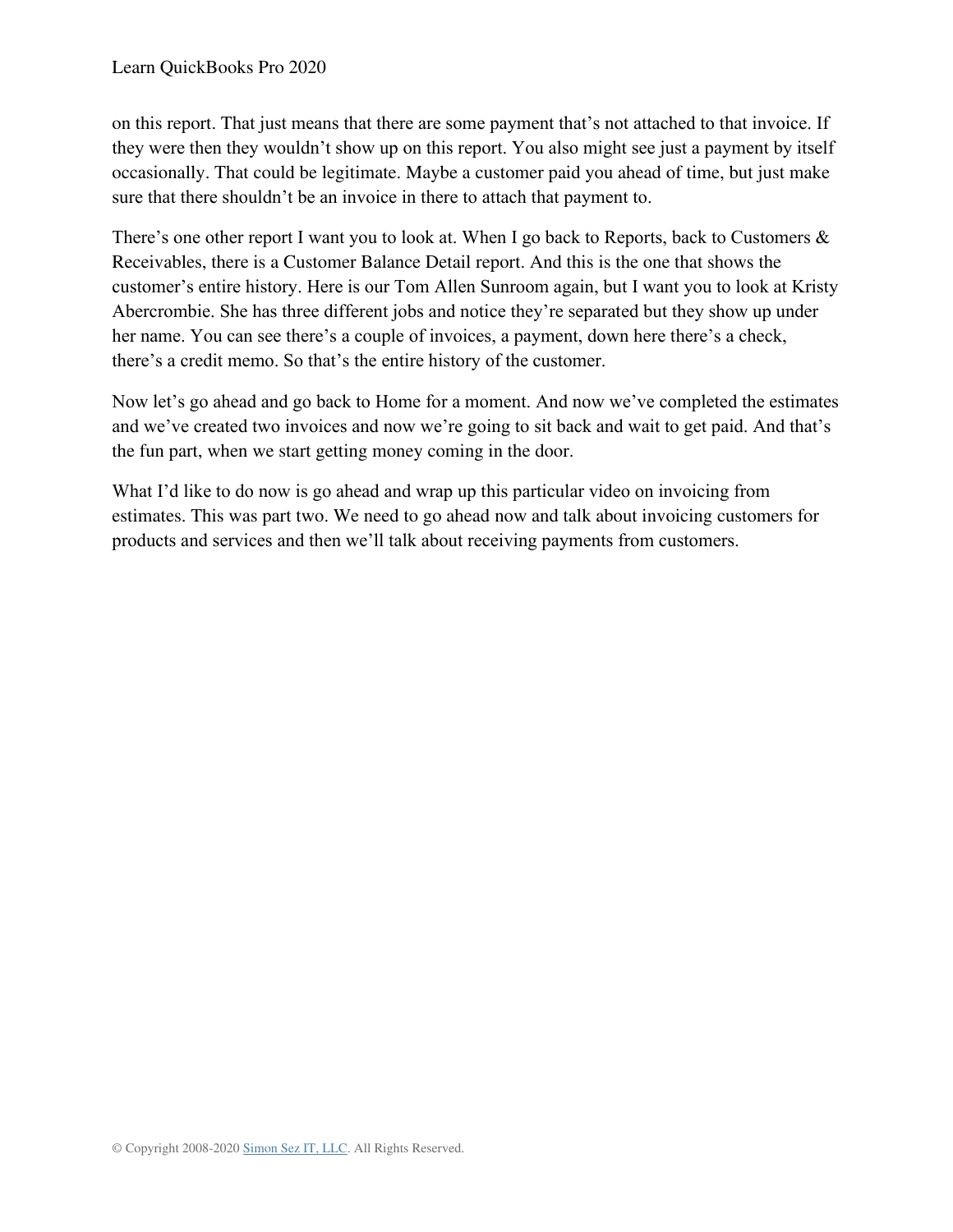on this report. That just means that there are some payment that's not attached to that invoice. If they were then they wouldn't show up on this report. You also might see just a payment by itself occasionally. That could be legitimate. Maybe a customer paid you ahead of time, but just make sure that there shouldn't be an invoice in there to attach that payment to.

There's one other report I want you to look at. When I go back to Reports, back to Customers  $\&$ Receivables, there is a Customer Balance Detail report. And this is the one that shows the customer's entire history. Here is our Tom Allen Sunroom again, but I want you to look at Kristy Abercrombie. She has three different jobs and notice they're separated but they show up under her name. You can see there's a couple of invoices, a payment, down here there's a check, there's a credit memo. So that's the entire history of the customer.

Now let's go ahead and go back to Home for a moment. And now we've completed the estimates and we've created two invoices and now we're going to sit back and wait to get paid. And that's the fun part, when we start getting money coming in the door.

What I'd like to do now is go ahead and wrap up this particular video on invoicing from estimates. This was part two. We need to go ahead now and talk about invoicing customers for products and services and then we'll talk about receiving payments from customers.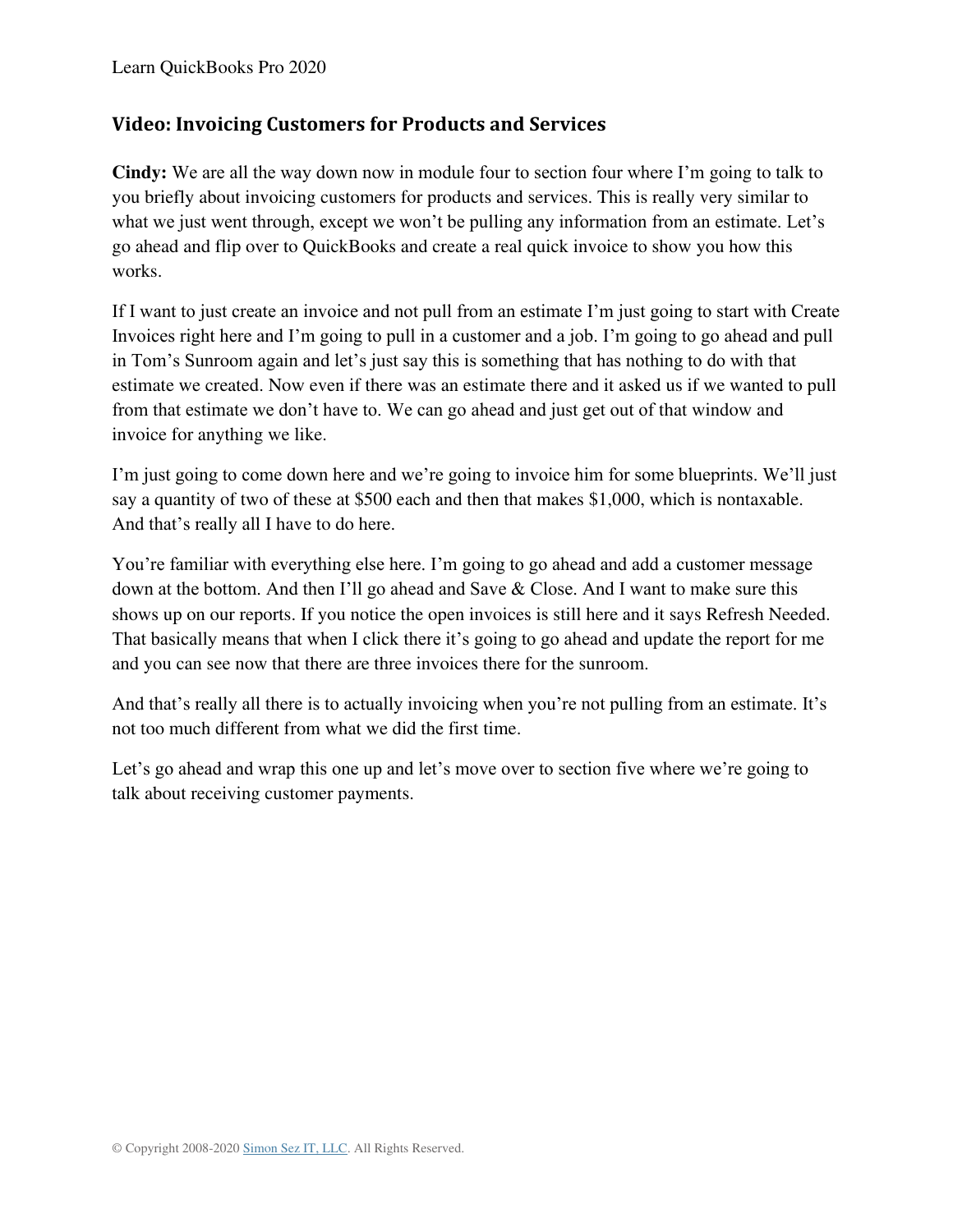### **Video: Invoicing Customers for Products and Services**

**Cindy:** We are all the way down now in module four to section four where I'm going to talk to you briefly about invoicing customers for products and services. This is really very similar to what we just went through, except we won't be pulling any information from an estimate. Let's go ahead and flip over to QuickBooks and create a real quick invoice to show you how this works.

If I want to just create an invoice and not pull from an estimate I'm just going to start with Create Invoices right here and I'm going to pull in a customer and a job. I'm going to go ahead and pull in Tom's Sunroom again and let's just say this is something that has nothing to do with that estimate we created. Now even if there was an estimate there and it asked us if we wanted to pull from that estimate we don't have to. We can go ahead and just get out of that window and invoice for anything we like.

I'm just going to come down here and we're going to invoice him for some blueprints. We'll just say a quantity of two of these at \$500 each and then that makes \$1,000, which is nontaxable. And that's really all I have to do here.

You're familiar with everything else here. I'm going to go ahead and add a customer message down at the bottom. And then I'll go ahead and Save & Close. And I want to make sure this shows up on our reports. If you notice the open invoices is still here and it says Refresh Needed. That basically means that when I click there it's going to go ahead and update the report for me and you can see now that there are three invoices there for the sunroom.

And that's really all there is to actually invoicing when you're not pulling from an estimate. It's not too much different from what we did the first time.

Let's go ahead and wrap this one up and let's move over to section five where we're going to talk about receiving customer payments.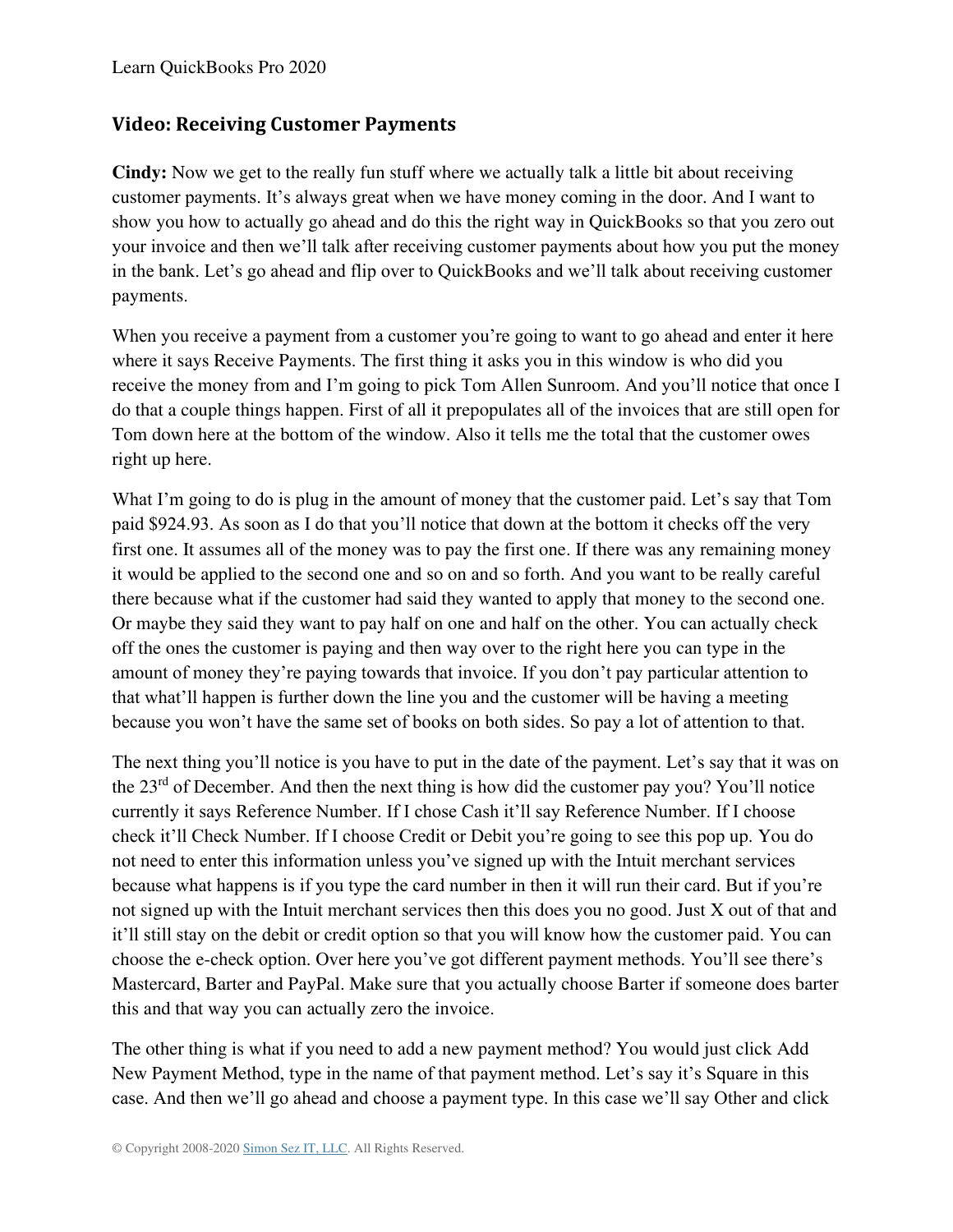### **Video: Receiving Customer Payments**

**Cindy:** Now we get to the really fun stuff where we actually talk a little bit about receiving customer payments. It's always great when we have money coming in the door. And I want to show you how to actually go ahead and do this the right way in QuickBooks so that you zero out your invoice and then we'll talk after receiving customer payments about how you put the money in the bank. Let's go ahead and flip over to QuickBooks and we'll talk about receiving customer payments.

When you receive a payment from a customer you're going to want to go ahead and enter it here where it says Receive Payments. The first thing it asks you in this window is who did you receive the money from and I'm going to pick Tom Allen Sunroom. And you'll notice that once I do that a couple things happen. First of all it prepopulates all of the invoices that are still open for Tom down here at the bottom of the window. Also it tells me the total that the customer owes right up here.

What I'm going to do is plug in the amount of money that the customer paid. Let's say that Tom paid \$924.93. As soon as I do that you'll notice that down at the bottom it checks off the very first one. It assumes all of the money was to pay the first one. If there was any remaining money it would be applied to the second one and so on and so forth. And you want to be really careful there because what if the customer had said they wanted to apply that money to the second one. Or maybe they said they want to pay half on one and half on the other. You can actually check off the ones the customer is paying and then way over to the right here you can type in the amount of money they're paying towards that invoice. If you don't pay particular attention to that what'll happen is further down the line you and the customer will be having a meeting because you won't have the same set of books on both sides. So pay a lot of attention to that.

The next thing you'll notice is you have to put in the date of the payment. Let's say that it was on the 23<sup>rd</sup> of December. And then the next thing is how did the customer pay you? You'll notice currently it says Reference Number. If I chose Cash it'll say Reference Number. If I choose check it'll Check Number. If I choose Credit or Debit you're going to see this pop up. You do not need to enter this information unless you've signed up with the Intuit merchant services because what happens is if you type the card number in then it will run their card. But if you're not signed up with the Intuit merchant services then this does you no good. Just X out of that and it'll still stay on the debit or credit option so that you will know how the customer paid. You can choose the e-check option. Over here you've got different payment methods. You'll see there's Mastercard, Barter and PayPal. Make sure that you actually choose Barter if someone does barter this and that way you can actually zero the invoice.

The other thing is what if you need to add a new payment method? You would just click Add New Payment Method, type in the name of that payment method. Let's say it's Square in this case. And then we'll go ahead and choose a payment type. In this case we'll say Other and click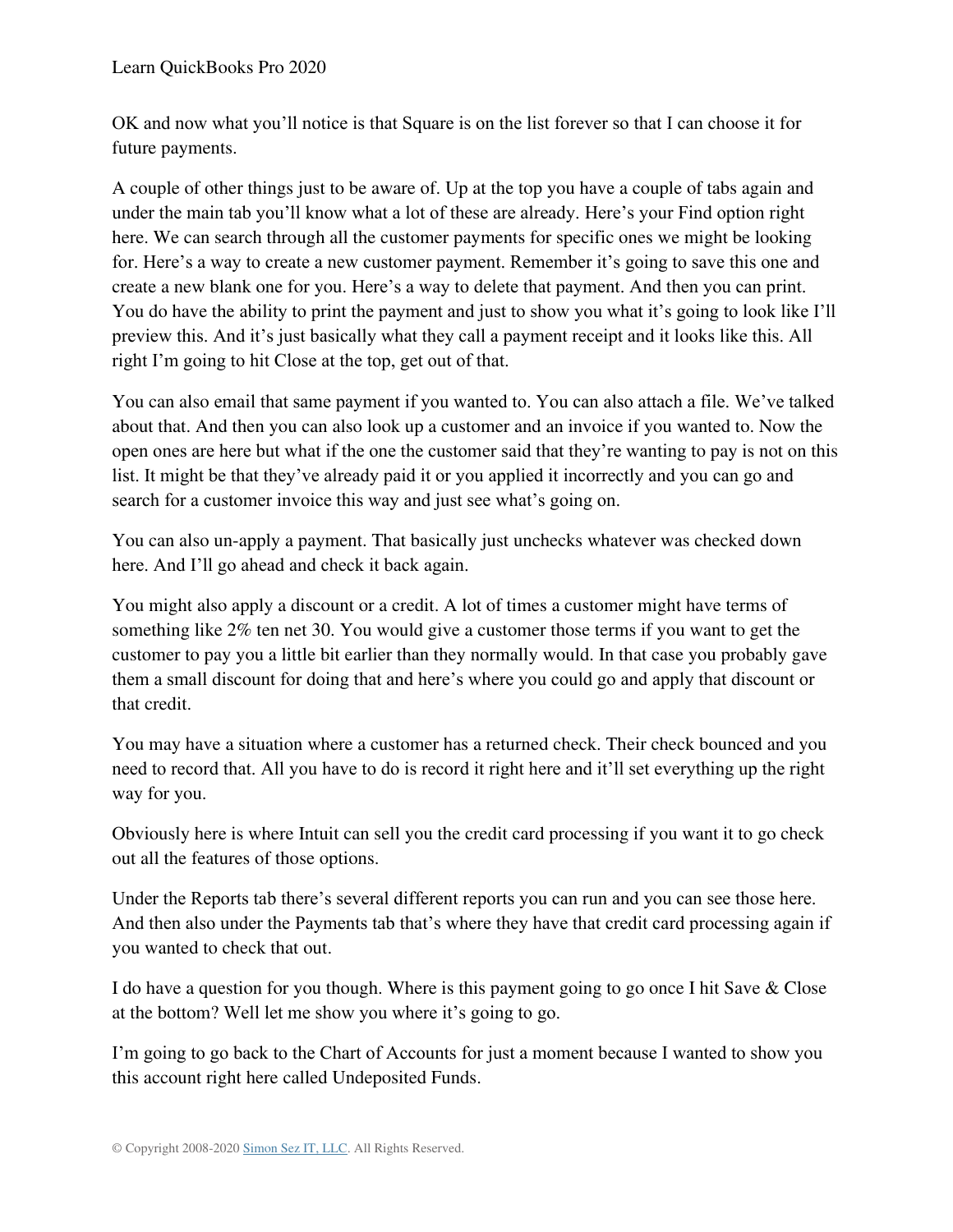OK and now what you'll notice is that Square is on the list forever so that I can choose it for future payments.

A couple of other things just to be aware of. Up at the top you have a couple of tabs again and under the main tab you'll know what a lot of these are already. Here's your Find option right here. We can search through all the customer payments for specific ones we might be looking for. Here's a way to create a new customer payment. Remember it's going to save this one and create a new blank one for you. Here's a way to delete that payment. And then you can print. You do have the ability to print the payment and just to show you what it's going to look like I'll preview this. And it's just basically what they call a payment receipt and it looks like this. All right I'm going to hit Close at the top, get out of that.

You can also email that same payment if you wanted to. You can also attach a file. We've talked about that. And then you can also look up a customer and an invoice if you wanted to. Now the open ones are here but what if the one the customer said that they're wanting to pay is not on this list. It might be that they've already paid it or you applied it incorrectly and you can go and search for a customer invoice this way and just see what's going on.

You can also un-apply a payment. That basically just unchecks whatever was checked down here. And I'll go ahead and check it back again.

You might also apply a discount or a credit. A lot of times a customer might have terms of something like 2% ten net 30. You would give a customer those terms if you want to get the customer to pay you a little bit earlier than they normally would. In that case you probably gave them a small discount for doing that and here's where you could go and apply that discount or that credit.

You may have a situation where a customer has a returned check. Their check bounced and you need to record that. All you have to do is record it right here and it'll set everything up the right way for you.

Obviously here is where Intuit can sell you the credit card processing if you want it to go check out all the features of those options.

Under the Reports tab there's several different reports you can run and you can see those here. And then also under the Payments tab that's where they have that credit card processing again if you wanted to check that out.

I do have a question for you though. Where is this payment going to go once I hit Save & Close at the bottom? Well let me show you where it's going to go.

I'm going to go back to the Chart of Accounts for just a moment because I wanted to show you this account right here called Undeposited Funds.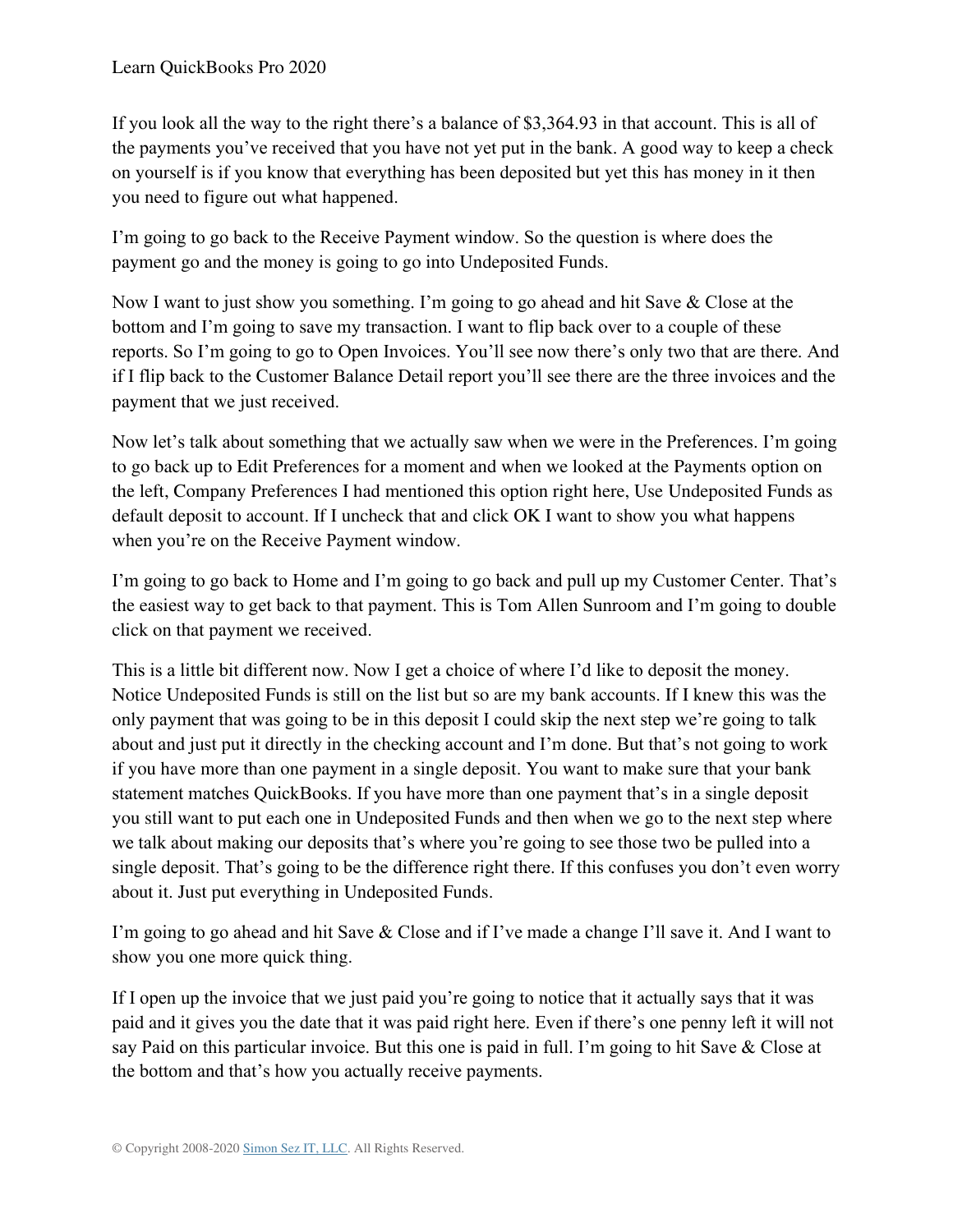If you look all the way to the right there's a balance of \$3,364.93 in that account. This is all of the payments you've received that you have not yet put in the bank. A good way to keep a check on yourself is if you know that everything has been deposited but yet this has money in it then you need to figure out what happened.

I'm going to go back to the Receive Payment window. So the question is where does the payment go and the money is going to go into Undeposited Funds.

Now I want to just show you something. I'm going to go ahead and hit Save & Close at the bottom and I'm going to save my transaction. I want to flip back over to a couple of these reports. So I'm going to go to Open Invoices. You'll see now there's only two that are there. And if I flip back to the Customer Balance Detail report you'll see there are the three invoices and the payment that we just received.

Now let's talk about something that we actually saw when we were in the Preferences. I'm going to go back up to Edit Preferences for a moment and when we looked at the Payments option on the left, Company Preferences I had mentioned this option right here, Use Undeposited Funds as default deposit to account. If I uncheck that and click OK I want to show you what happens when you're on the Receive Payment window.

I'm going to go back to Home and I'm going to go back and pull up my Customer Center. That's the easiest way to get back to that payment. This is Tom Allen Sunroom and I'm going to double click on that payment we received.

This is a little bit different now. Now I get a choice of where I'd like to deposit the money. Notice Undeposited Funds is still on the list but so are my bank accounts. If I knew this was the only payment that was going to be in this deposit I could skip the next step we're going to talk about and just put it directly in the checking account and I'm done. But that's not going to work if you have more than one payment in a single deposit. You want to make sure that your bank statement matches QuickBooks. If you have more than one payment that's in a single deposit you still want to put each one in Undeposited Funds and then when we go to the next step where we talk about making our deposits that's where you're going to see those two be pulled into a single deposit. That's going to be the difference right there. If this confuses you don't even worry about it. Just put everything in Undeposited Funds.

I'm going to go ahead and hit Save & Close and if I've made a change I'll save it. And I want to show you one more quick thing.

If I open up the invoice that we just paid you're going to notice that it actually says that it was paid and it gives you the date that it was paid right here. Even if there's one penny left it will not say Paid on this particular invoice. But this one is paid in full. I'm going to hit Save & Close at the bottom and that's how you actually receive payments.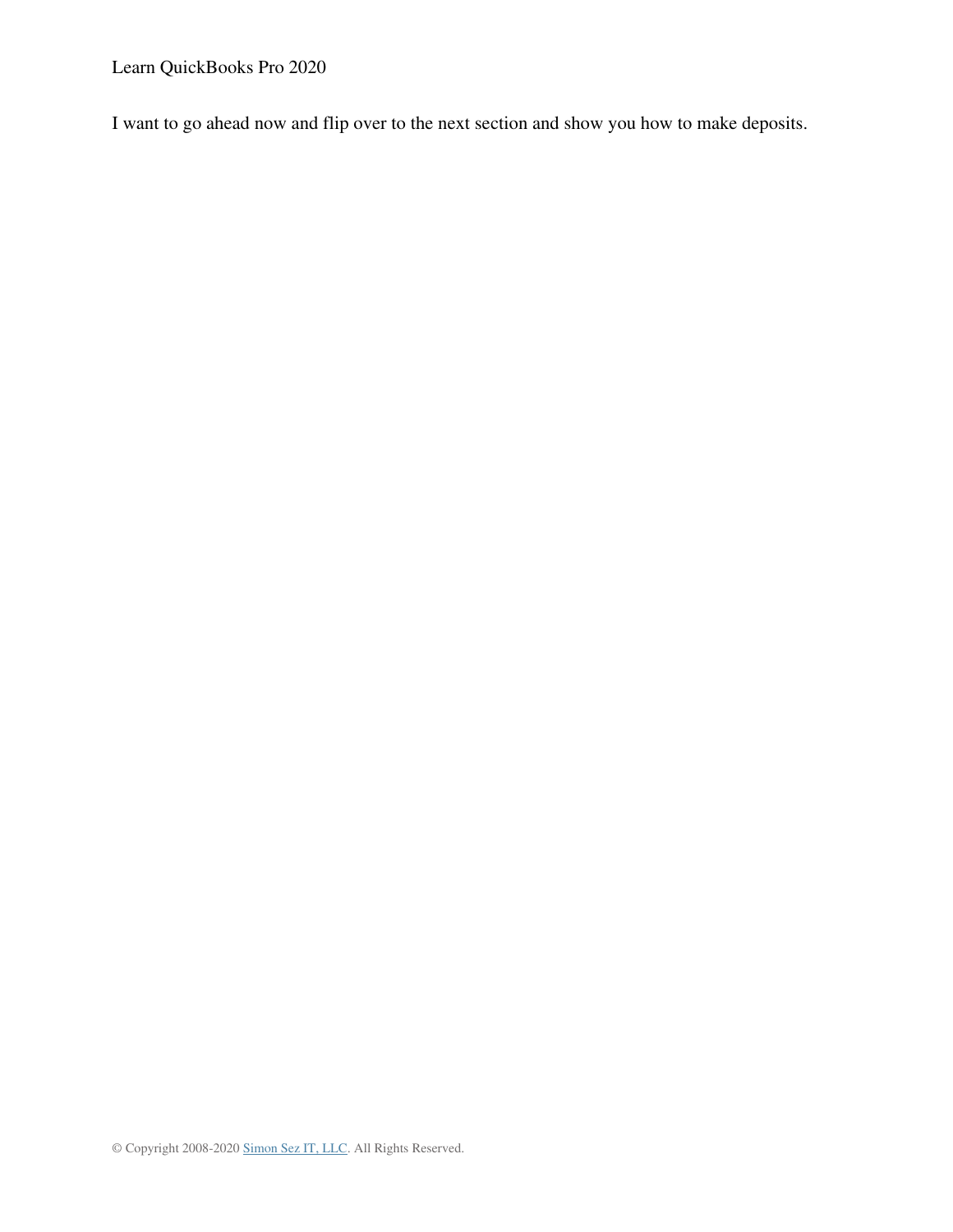Learn QuickBooks Pro 2020

I want to go ahead now and flip over to the next section and show you how to make deposits.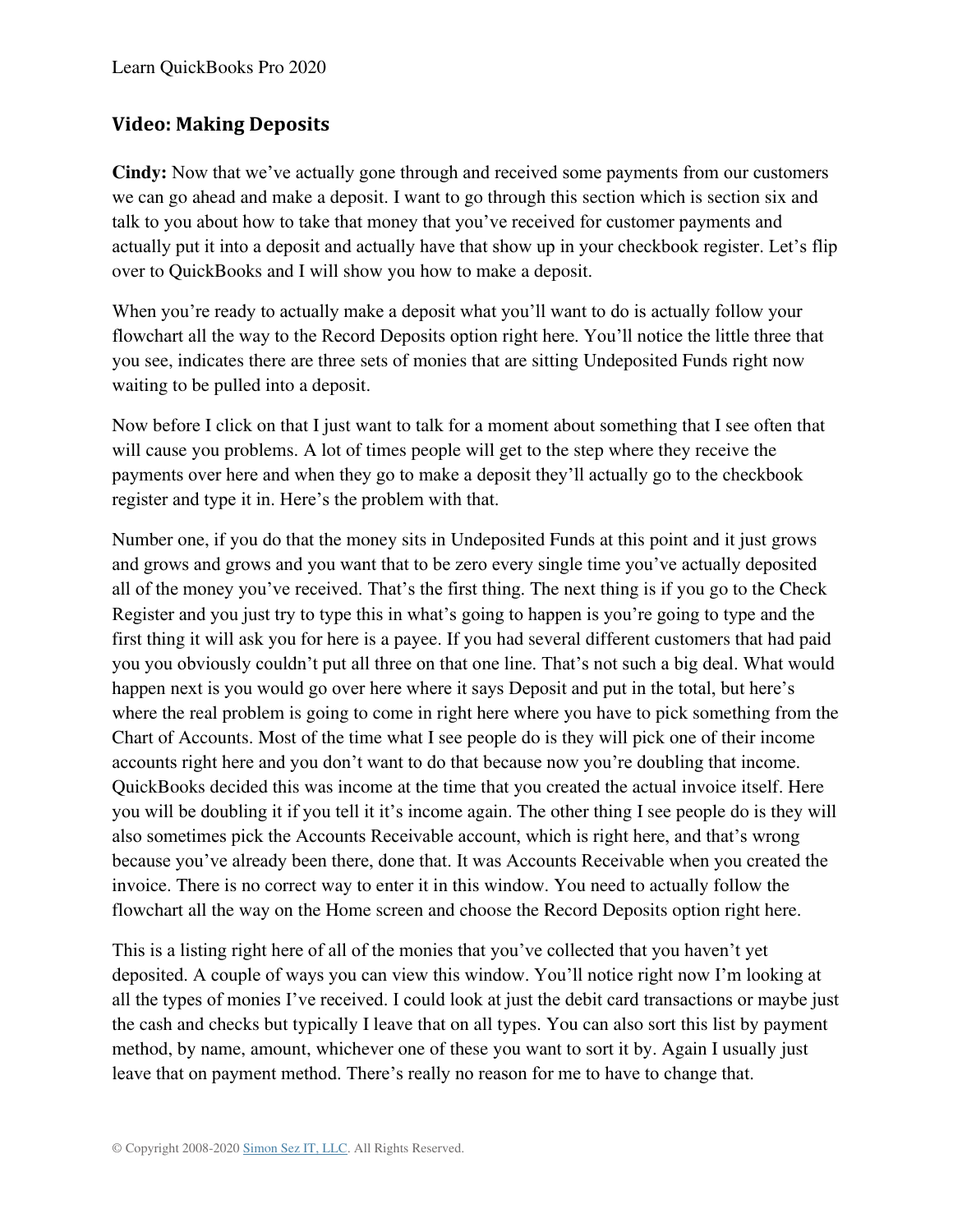## **Video: Making Deposits**

**Cindy:** Now that we've actually gone through and received some payments from our customers we can go ahead and make a deposit. I want to go through this section which is section six and talk to you about how to take that money that you've received for customer payments and actually put it into a deposit and actually have that show up in your checkbook register. Let's flip over to QuickBooks and I will show you how to make a deposit.

When you're ready to actually make a deposit what you'll want to do is actually follow your flowchart all the way to the Record Deposits option right here. You'll notice the little three that you see, indicates there are three sets of monies that are sitting Undeposited Funds right now waiting to be pulled into a deposit.

Now before I click on that I just want to talk for a moment about something that I see often that will cause you problems. A lot of times people will get to the step where they receive the payments over here and when they go to make a deposit they'll actually go to the checkbook register and type it in. Here's the problem with that.

Number one, if you do that the money sits in Undeposited Funds at this point and it just grows and grows and grows and you want that to be zero every single time you've actually deposited all of the money you've received. That's the first thing. The next thing is if you go to the Check Register and you just try to type this in what's going to happen is you're going to type and the first thing it will ask you for here is a payee. If you had several different customers that had paid you you obviously couldn't put all three on that one line. That's not such a big deal. What would happen next is you would go over here where it says Deposit and put in the total, but here's where the real problem is going to come in right here where you have to pick something from the Chart of Accounts. Most of the time what I see people do is they will pick one of their income accounts right here and you don't want to do that because now you're doubling that income. QuickBooks decided this was income at the time that you created the actual invoice itself. Here you will be doubling it if you tell it it's income again. The other thing I see people do is they will also sometimes pick the Accounts Receivable account, which is right here, and that's wrong because you've already been there, done that. It was Accounts Receivable when you created the invoice. There is no correct way to enter it in this window. You need to actually follow the flowchart all the way on the Home screen and choose the Record Deposits option right here.

This is a listing right here of all of the monies that you've collected that you haven't yet deposited. A couple of ways you can view this window. You'll notice right now I'm looking at all the types of monies I've received. I could look at just the debit card transactions or maybe just the cash and checks but typically I leave that on all types. You can also sort this list by payment method, by name, amount, whichever one of these you want to sort it by. Again I usually just leave that on payment method. There's really no reason for me to have to change that.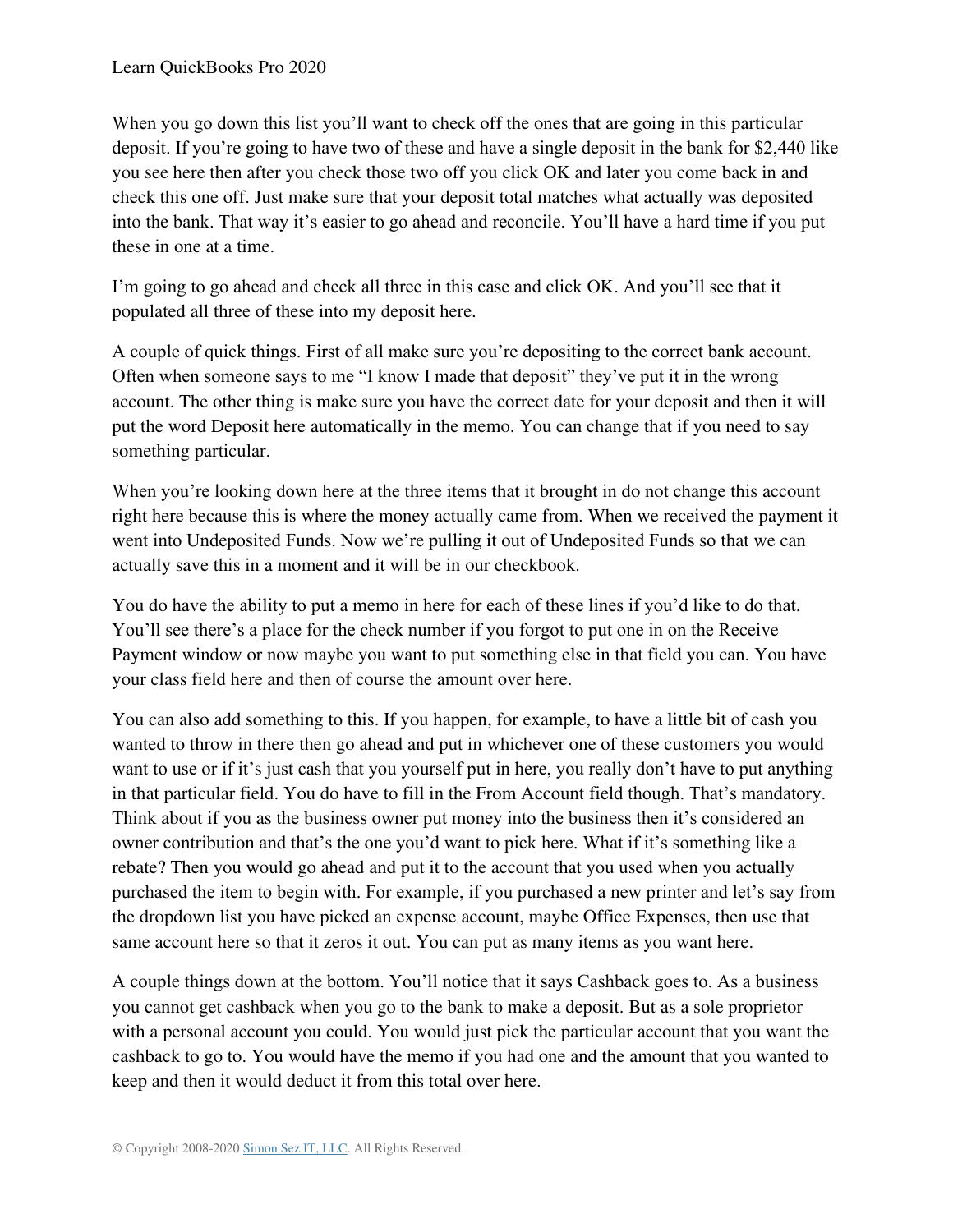When you go down this list you'll want to check off the ones that are going in this particular deposit. If you're going to have two of these and have a single deposit in the bank for \$2,440 like you see here then after you check those two off you click OK and later you come back in and check this one off. Just make sure that your deposit total matches what actually was deposited into the bank. That way it's easier to go ahead and reconcile. You'll have a hard time if you put these in one at a time.

I'm going to go ahead and check all three in this case and click OK. And you'll see that it populated all three of these into my deposit here.

A couple of quick things. First of all make sure you're depositing to the correct bank account. Often when someone says to me "I know I made that deposit" they've put it in the wrong account. The other thing is make sure you have the correct date for your deposit and then it will put the word Deposit here automatically in the memo. You can change that if you need to say something particular.

When you're looking down here at the three items that it brought in do not change this account right here because this is where the money actually came from. When we received the payment it went into Undeposited Funds. Now we're pulling it out of Undeposited Funds so that we can actually save this in a moment and it will be in our checkbook.

You do have the ability to put a memo in here for each of these lines if you'd like to do that. You'll see there's a place for the check number if you forgot to put one in on the Receive Payment window or now maybe you want to put something else in that field you can. You have your class field here and then of course the amount over here.

You can also add something to this. If you happen, for example, to have a little bit of cash you wanted to throw in there then go ahead and put in whichever one of these customers you would want to use or if it's just cash that you yourself put in here, you really don't have to put anything in that particular field. You do have to fill in the From Account field though. That's mandatory. Think about if you as the business owner put money into the business then it's considered an owner contribution and that's the one you'd want to pick here. What if it's something like a rebate? Then you would go ahead and put it to the account that you used when you actually purchased the item to begin with. For example, if you purchased a new printer and let's say from the dropdown list you have picked an expense account, maybe Office Expenses, then use that same account here so that it zeros it out. You can put as many items as you want here.

A couple things down at the bottom. You'll notice that it says Cashback goes to. As a business you cannot get cashback when you go to the bank to make a deposit. But as a sole proprietor with a personal account you could. You would just pick the particular account that you want the cashback to go to. You would have the memo if you had one and the amount that you wanted to keep and then it would deduct it from this total over here.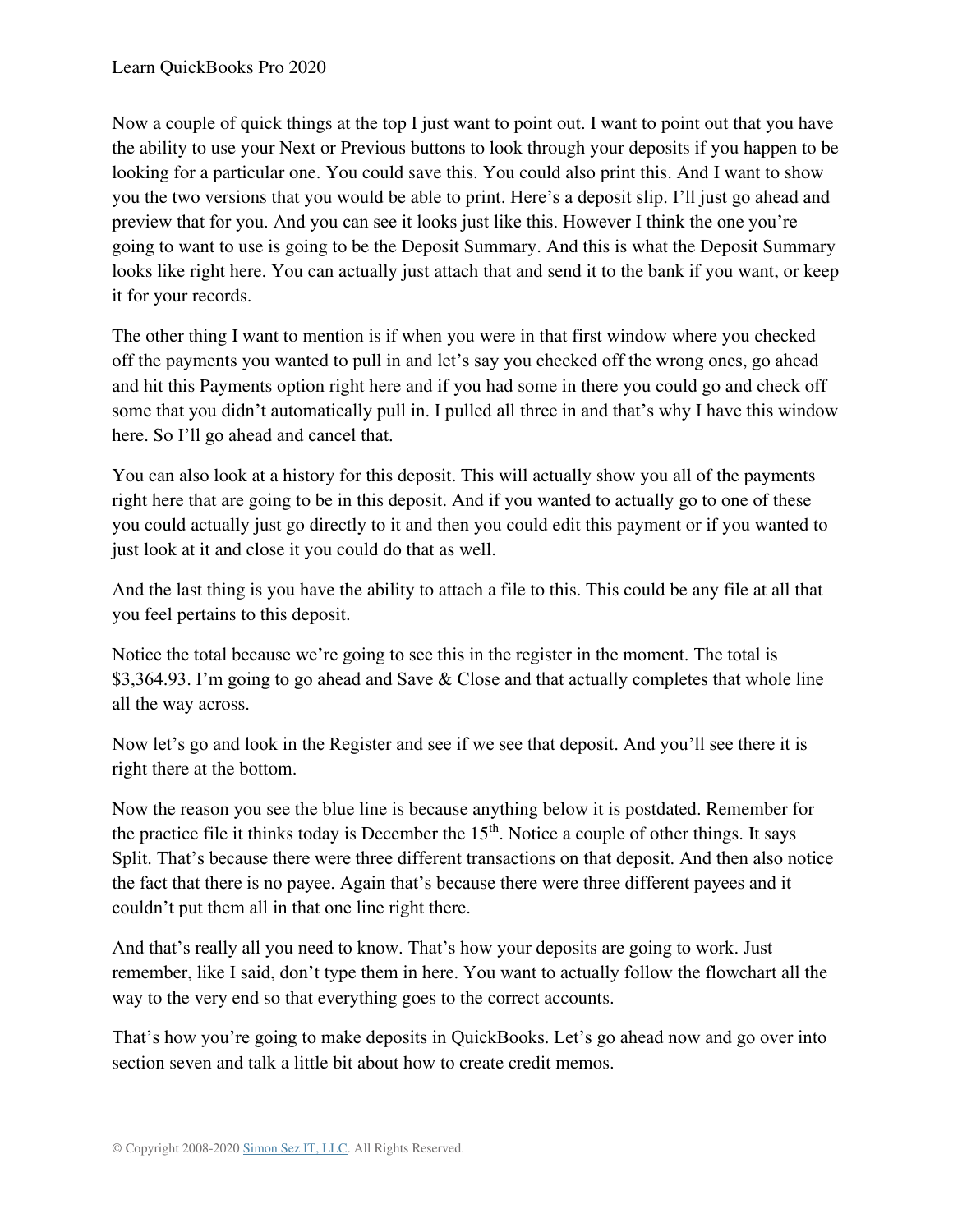Now a couple of quick things at the top I just want to point out. I want to point out that you have the ability to use your Next or Previous buttons to look through your deposits if you happen to be looking for a particular one. You could save this. You could also print this. And I want to show you the two versions that you would be able to print. Here's a deposit slip. I'll just go ahead and preview that for you. And you can see it looks just like this. However I think the one you're going to want to use is going to be the Deposit Summary. And this is what the Deposit Summary looks like right here. You can actually just attach that and send it to the bank if you want, or keep it for your records.

The other thing I want to mention is if when you were in that first window where you checked off the payments you wanted to pull in and let's say you checked off the wrong ones, go ahead and hit this Payments option right here and if you had some in there you could go and check off some that you didn't automatically pull in. I pulled all three in and that's why I have this window here. So I'll go ahead and cancel that.

You can also look at a history for this deposit. This will actually show you all of the payments right here that are going to be in this deposit. And if you wanted to actually go to one of these you could actually just go directly to it and then you could edit this payment or if you wanted to just look at it and close it you could do that as well.

And the last thing is you have the ability to attach a file to this. This could be any file at all that you feel pertains to this deposit.

Notice the total because we're going to see this in the register in the moment. The total is \$3,364.93. I'm going to go ahead and Save & Close and that actually completes that whole line all the way across.

Now let's go and look in the Register and see if we see that deposit. And you'll see there it is right there at the bottom.

Now the reason you see the blue line is because anything below it is postdated. Remember for the practice file it thinks today is December the  $15<sup>th</sup>$ . Notice a couple of other things. It says Split. That's because there were three different transactions on that deposit. And then also notice the fact that there is no payee. Again that's because there were three different payees and it couldn't put them all in that one line right there.

And that's really all you need to know. That's how your deposits are going to work. Just remember, like I said, don't type them in here. You want to actually follow the flowchart all the way to the very end so that everything goes to the correct accounts.

That's how you're going to make deposits in QuickBooks. Let's go ahead now and go over into section seven and talk a little bit about how to create credit memos.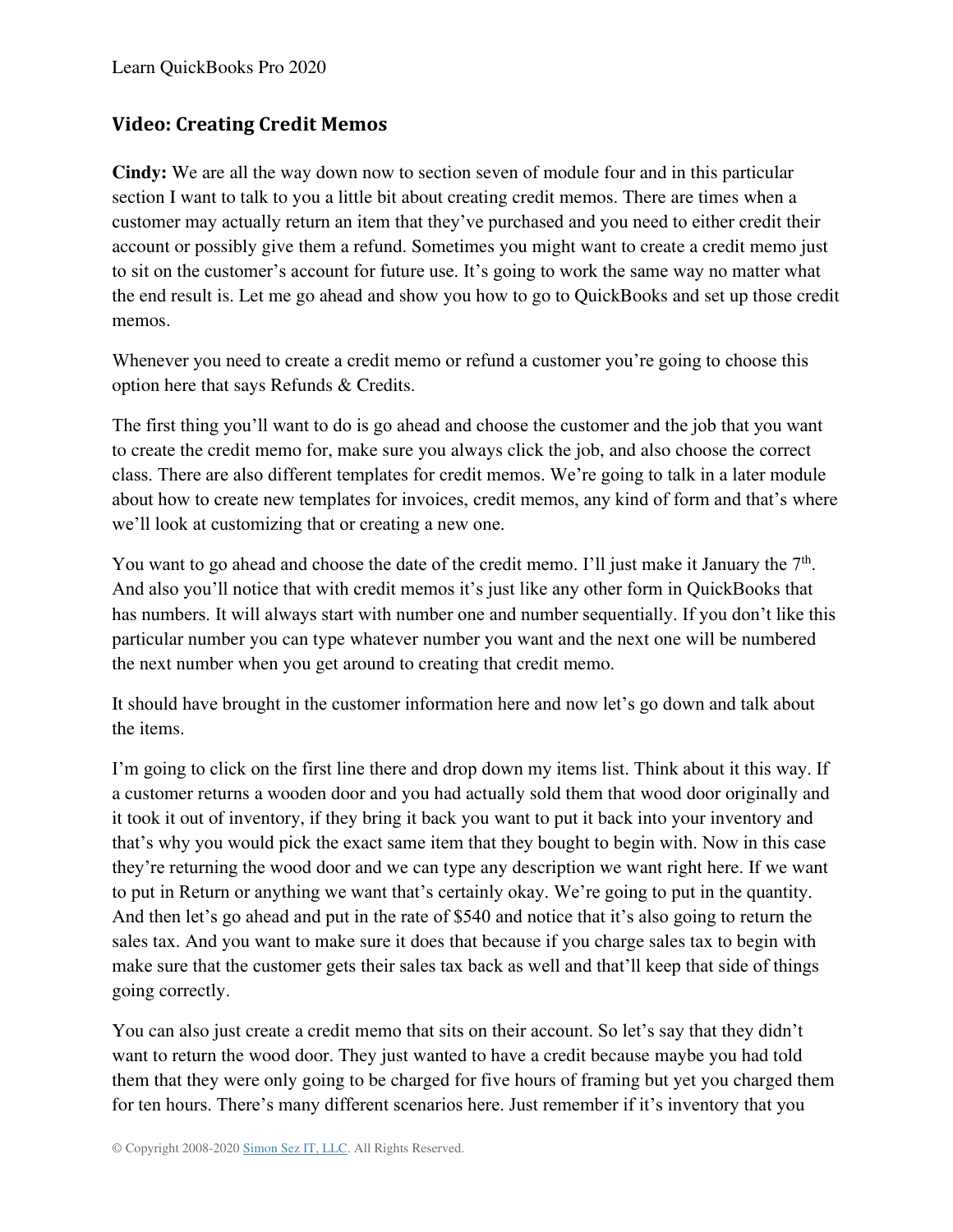# **Video: Creating Credit Memos**

**Cindy:** We are all the way down now to section seven of module four and in this particular section I want to talk to you a little bit about creating credit memos. There are times when a customer may actually return an item that they've purchased and you need to either credit their account or possibly give them a refund. Sometimes you might want to create a credit memo just to sit on the customer's account for future use. It's going to work the same way no matter what the end result is. Let me go ahead and show you how to go to QuickBooks and set up those credit memos.

Whenever you need to create a credit memo or refund a customer you're going to choose this option here that says Refunds & Credits.

The first thing you'll want to do is go ahead and choose the customer and the job that you want to create the credit memo for, make sure you always click the job, and also choose the correct class. There are also different templates for credit memos. We're going to talk in a later module about how to create new templates for invoices, credit memos, any kind of form and that's where we'll look at customizing that or creating a new one.

You want to go ahead and choose the date of the credit memo. I'll just make it January the  $7<sup>th</sup>$ . And also you'll notice that with credit memos it's just like any other form in QuickBooks that has numbers. It will always start with number one and number sequentially. If you don't like this particular number you can type whatever number you want and the next one will be numbered the next number when you get around to creating that credit memo.

It should have brought in the customer information here and now let's go down and talk about the items.

I'm going to click on the first line there and drop down my items list. Think about it this way. If a customer returns a wooden door and you had actually sold them that wood door originally and it took it out of inventory, if they bring it back you want to put it back into your inventory and that's why you would pick the exact same item that they bought to begin with. Now in this case they're returning the wood door and we can type any description we want right here. If we want to put in Return or anything we want that's certainly okay. We're going to put in the quantity. And then let's go ahead and put in the rate of \$540 and notice that it's also going to return the sales tax. And you want to make sure it does that because if you charge sales tax to begin with make sure that the customer gets their sales tax back as well and that'll keep that side of things going correctly.

You can also just create a credit memo that sits on their account. So let's say that they didn't want to return the wood door. They just wanted to have a credit because maybe you had told them that they were only going to be charged for five hours of framing but yet you charged them for ten hours. There's many different scenarios here. Just remember if it's inventory that you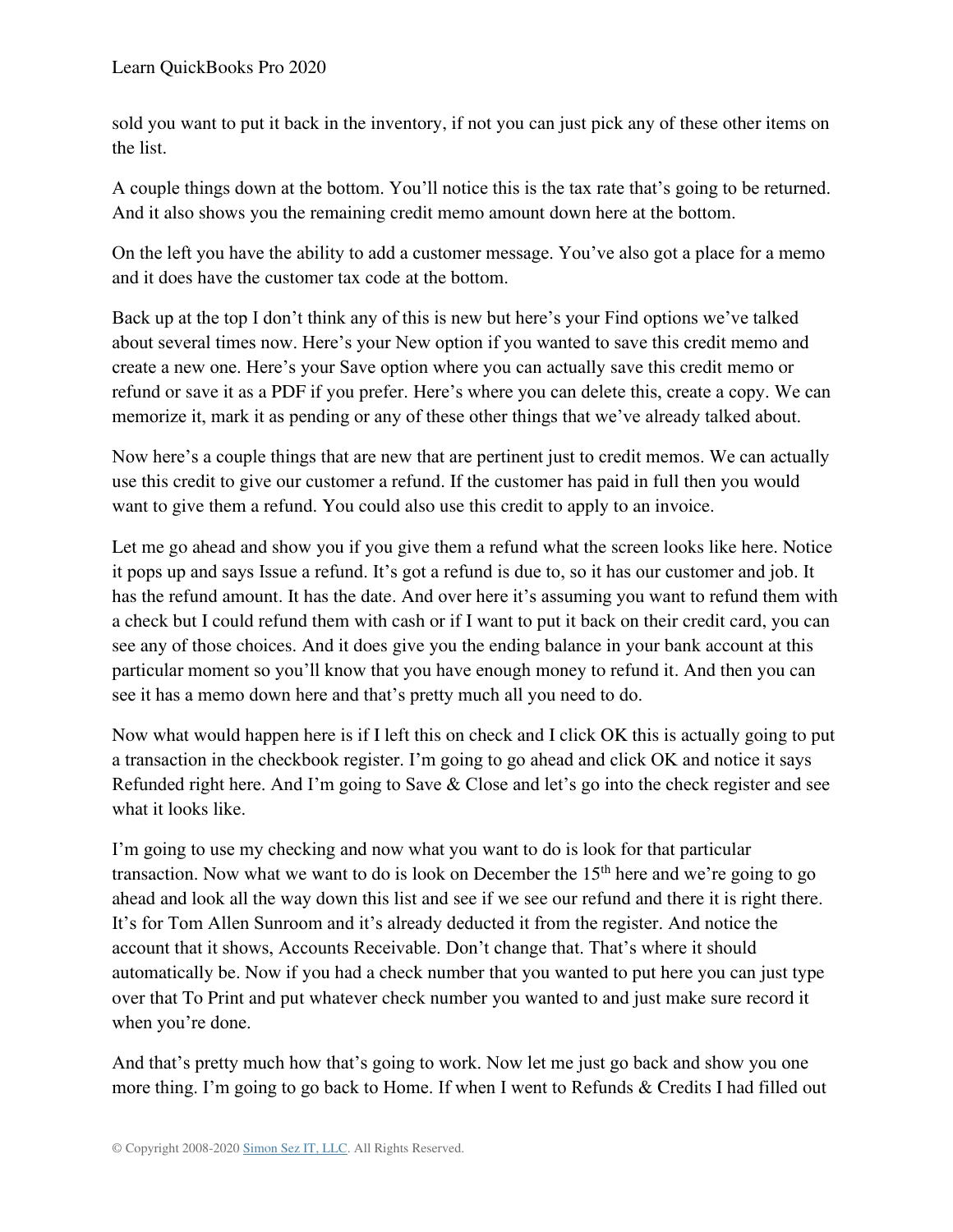sold you want to put it back in the inventory, if not you can just pick any of these other items on the list.

A couple things down at the bottom. You'll notice this is the tax rate that's going to be returned. And it also shows you the remaining credit memo amount down here at the bottom.

On the left you have the ability to add a customer message. You've also got a place for a memo and it does have the customer tax code at the bottom.

Back up at the top I don't think any of this is new but here's your Find options we've talked about several times now. Here's your New option if you wanted to save this credit memo and create a new one. Here's your Save option where you can actually save this credit memo or refund or save it as a PDF if you prefer. Here's where you can delete this, create a copy. We can memorize it, mark it as pending or any of these other things that we've already talked about.

Now here's a couple things that are new that are pertinent just to credit memos. We can actually use this credit to give our customer a refund. If the customer has paid in full then you would want to give them a refund. You could also use this credit to apply to an invoice.

Let me go ahead and show you if you give them a refund what the screen looks like here. Notice it pops up and says Issue a refund. It's got a refund is due to, so it has our customer and job. It has the refund amount. It has the date. And over here it's assuming you want to refund them with a check but I could refund them with cash or if I want to put it back on their credit card, you can see any of those choices. And it does give you the ending balance in your bank account at this particular moment so you'll know that you have enough money to refund it. And then you can see it has a memo down here and that's pretty much all you need to do.

Now what would happen here is if I left this on check and I click OK this is actually going to put a transaction in the checkbook register. I'm going to go ahead and click OK and notice it says Refunded right here. And I'm going to Save & Close and let's go into the check register and see what it looks like.

I'm going to use my checking and now what you want to do is look for that particular transaction. Now what we want to do is look on December the  $15<sup>th</sup>$  here and we're going to go ahead and look all the way down this list and see if we see our refund and there it is right there. It's for Tom Allen Sunroom and it's already deducted it from the register. And notice the account that it shows, Accounts Receivable. Don't change that. That's where it should automatically be. Now if you had a check number that you wanted to put here you can just type over that To Print and put whatever check number you wanted to and just make sure record it when you're done.

And that's pretty much how that's going to work. Now let me just go back and show you one more thing. I'm going to go back to Home. If when I went to Refunds & Credits I had filled out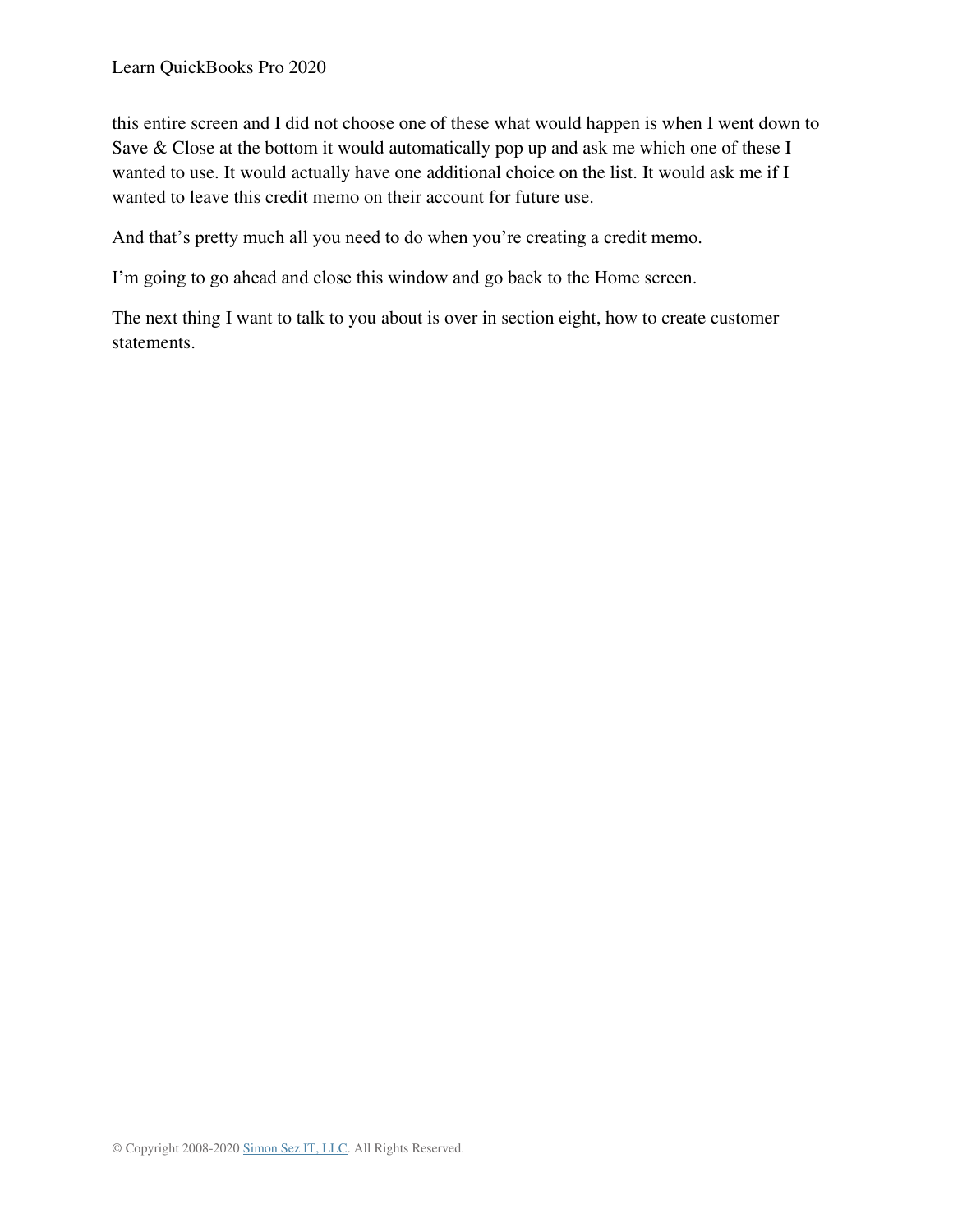this entire screen and I did not choose one of these what would happen is when I went down to Save & Close at the bottom it would automatically pop up and ask me which one of these I wanted to use. It would actually have one additional choice on the list. It would ask me if I wanted to leave this credit memo on their account for future use.

And that's pretty much all you need to do when you're creating a credit memo.

I'm going to go ahead and close this window and go back to the Home screen.

The next thing I want to talk to you about is over in section eight, how to create customer statements.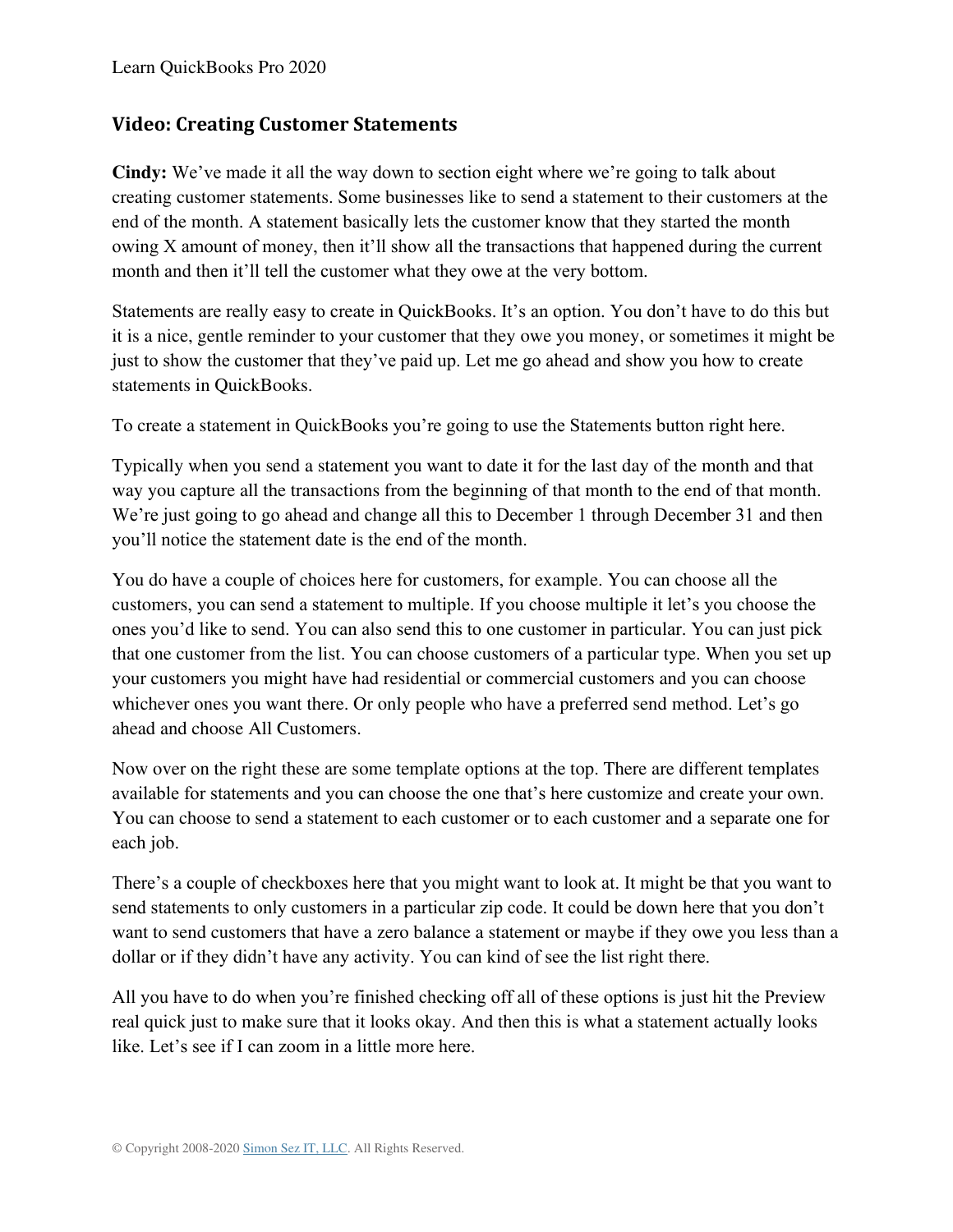## **Video: Creating Customer Statements**

**Cindy:** We've made it all the way down to section eight where we're going to talk about creating customer statements. Some businesses like to send a statement to their customers at the end of the month. A statement basically lets the customer know that they started the month owing X amount of money, then it'll show all the transactions that happened during the current month and then it'll tell the customer what they owe at the very bottom.

Statements are really easy to create in QuickBooks. It's an option. You don't have to do this but it is a nice, gentle reminder to your customer that they owe you money, or sometimes it might be just to show the customer that they've paid up. Let me go ahead and show you how to create statements in QuickBooks.

To create a statement in QuickBooks you're going to use the Statements button right here.

Typically when you send a statement you want to date it for the last day of the month and that way you capture all the transactions from the beginning of that month to the end of that month. We're just going to go ahead and change all this to December 1 through December 31 and then you'll notice the statement date is the end of the month.

You do have a couple of choices here for customers, for example. You can choose all the customers, you can send a statement to multiple. If you choose multiple it let's you choose the ones you'd like to send. You can also send this to one customer in particular. You can just pick that one customer from the list. You can choose customers of a particular type. When you set up your customers you might have had residential or commercial customers and you can choose whichever ones you want there. Or only people who have a preferred send method. Let's go ahead and choose All Customers.

Now over on the right these are some template options at the top. There are different templates available for statements and you can choose the one that's here customize and create your own. You can choose to send a statement to each customer or to each customer and a separate one for each job.

There's a couple of checkboxes here that you might want to look at. It might be that you want to send statements to only customers in a particular zip code. It could be down here that you don't want to send customers that have a zero balance a statement or maybe if they owe you less than a dollar or if they didn't have any activity. You can kind of see the list right there.

All you have to do when you're finished checking off all of these options is just hit the Preview real quick just to make sure that it looks okay. And then this is what a statement actually looks like. Let's see if I can zoom in a little more here.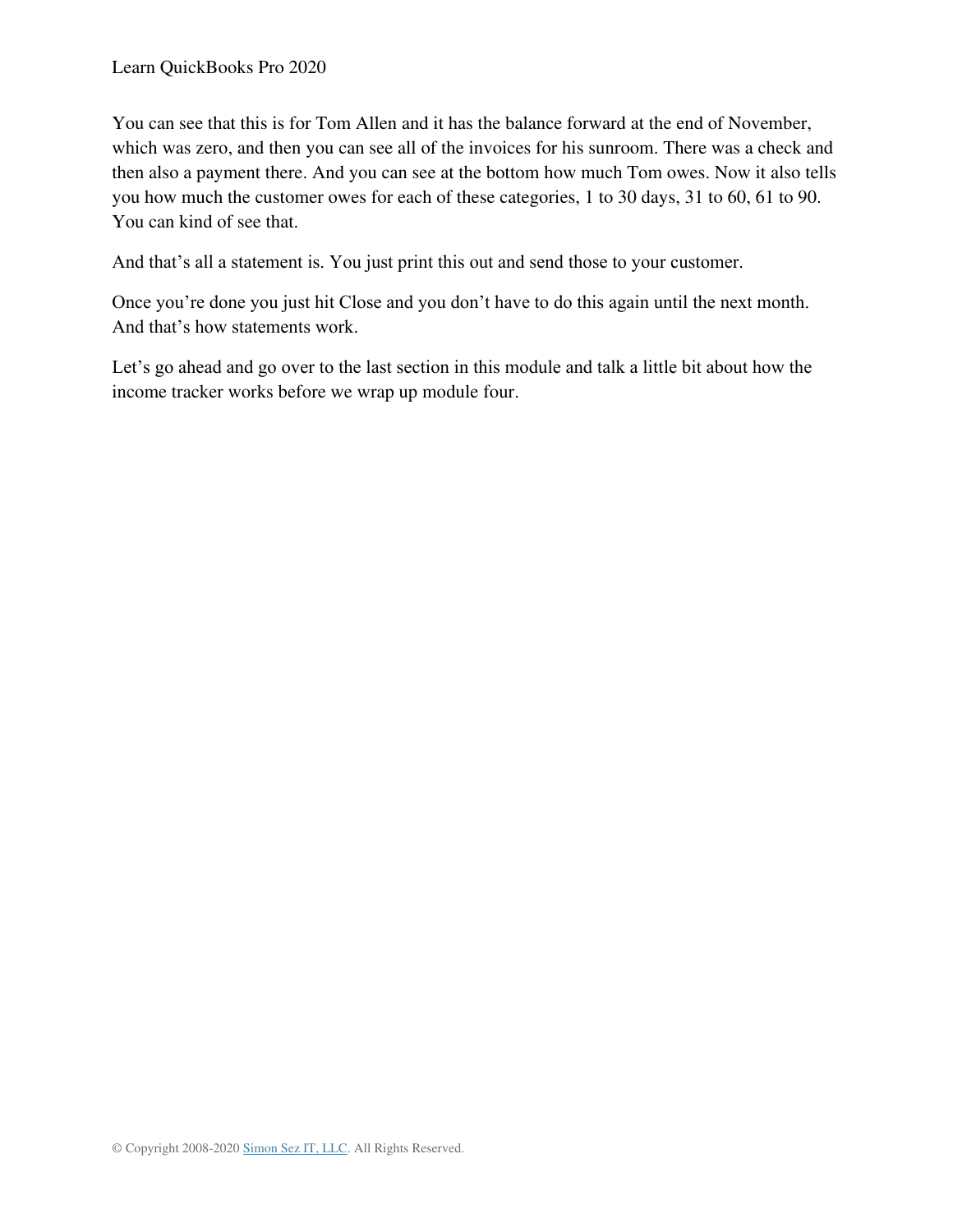You can see that this is for Tom Allen and it has the balance forward at the end of November, which was zero, and then you can see all of the invoices for his sunroom. There was a check and then also a payment there. And you can see at the bottom how much Tom owes. Now it also tells you how much the customer owes for each of these categories, 1 to 30 days, 31 to 60, 61 to 90. You can kind of see that.

And that's all a statement is. You just print this out and send those to your customer.

Once you're done you just hit Close and you don't have to do this again until the next month. And that's how statements work.

Let's go ahead and go over to the last section in this module and talk a little bit about how the income tracker works before we wrap up module four.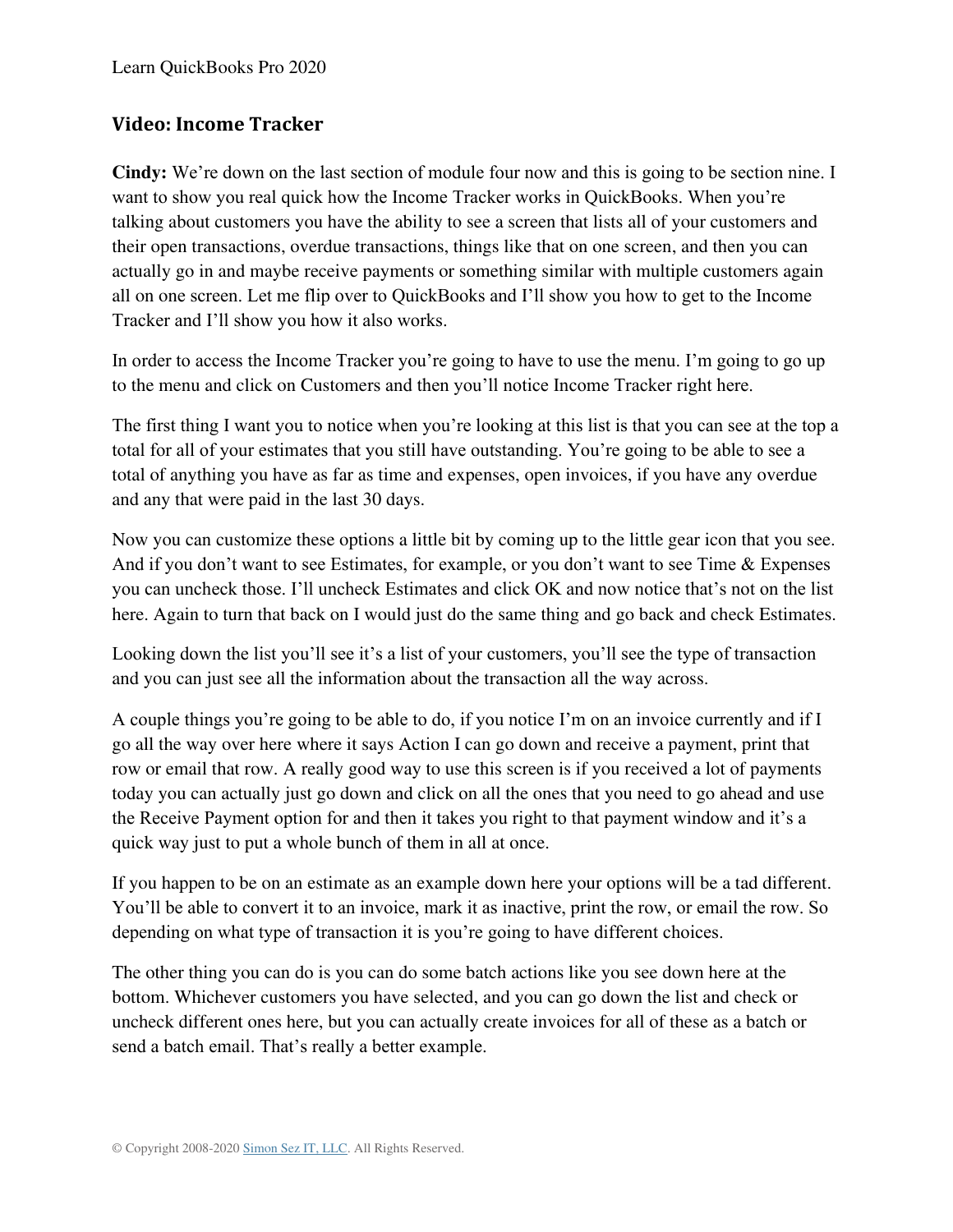### **Video: Income Tracker**

**Cindy:** We're down on the last section of module four now and this is going to be section nine. I want to show you real quick how the Income Tracker works in QuickBooks. When you're talking about customers you have the ability to see a screen that lists all of your customers and their open transactions, overdue transactions, things like that on one screen, and then you can actually go in and maybe receive payments or something similar with multiple customers again all on one screen. Let me flip over to QuickBooks and I'll show you how to get to the Income Tracker and I'll show you how it also works.

In order to access the Income Tracker you're going to have to use the menu. I'm going to go up to the menu and click on Customers and then you'll notice Income Tracker right here.

The first thing I want you to notice when you're looking at this list is that you can see at the top a total for all of your estimates that you still have outstanding. You're going to be able to see a total of anything you have as far as time and expenses, open invoices, if you have any overdue and any that were paid in the last 30 days.

Now you can customize these options a little bit by coming up to the little gear icon that you see. And if you don't want to see Estimates, for example, or you don't want to see Time & Expenses you can uncheck those. I'll uncheck Estimates and click OK and now notice that's not on the list here. Again to turn that back on I would just do the same thing and go back and check Estimates.

Looking down the list you'll see it's a list of your customers, you'll see the type of transaction and you can just see all the information about the transaction all the way across.

A couple things you're going to be able to do, if you notice I'm on an invoice currently and if I go all the way over here where it says Action I can go down and receive a payment, print that row or email that row. A really good way to use this screen is if you received a lot of payments today you can actually just go down and click on all the ones that you need to go ahead and use the Receive Payment option for and then it takes you right to that payment window and it's a quick way just to put a whole bunch of them in all at once.

If you happen to be on an estimate as an example down here your options will be a tad different. You'll be able to convert it to an invoice, mark it as inactive, print the row, or email the row. So depending on what type of transaction it is you're going to have different choices.

The other thing you can do is you can do some batch actions like you see down here at the bottom. Whichever customers you have selected, and you can go down the list and check or uncheck different ones here, but you can actually create invoices for all of these as a batch or send a batch email. That's really a better example.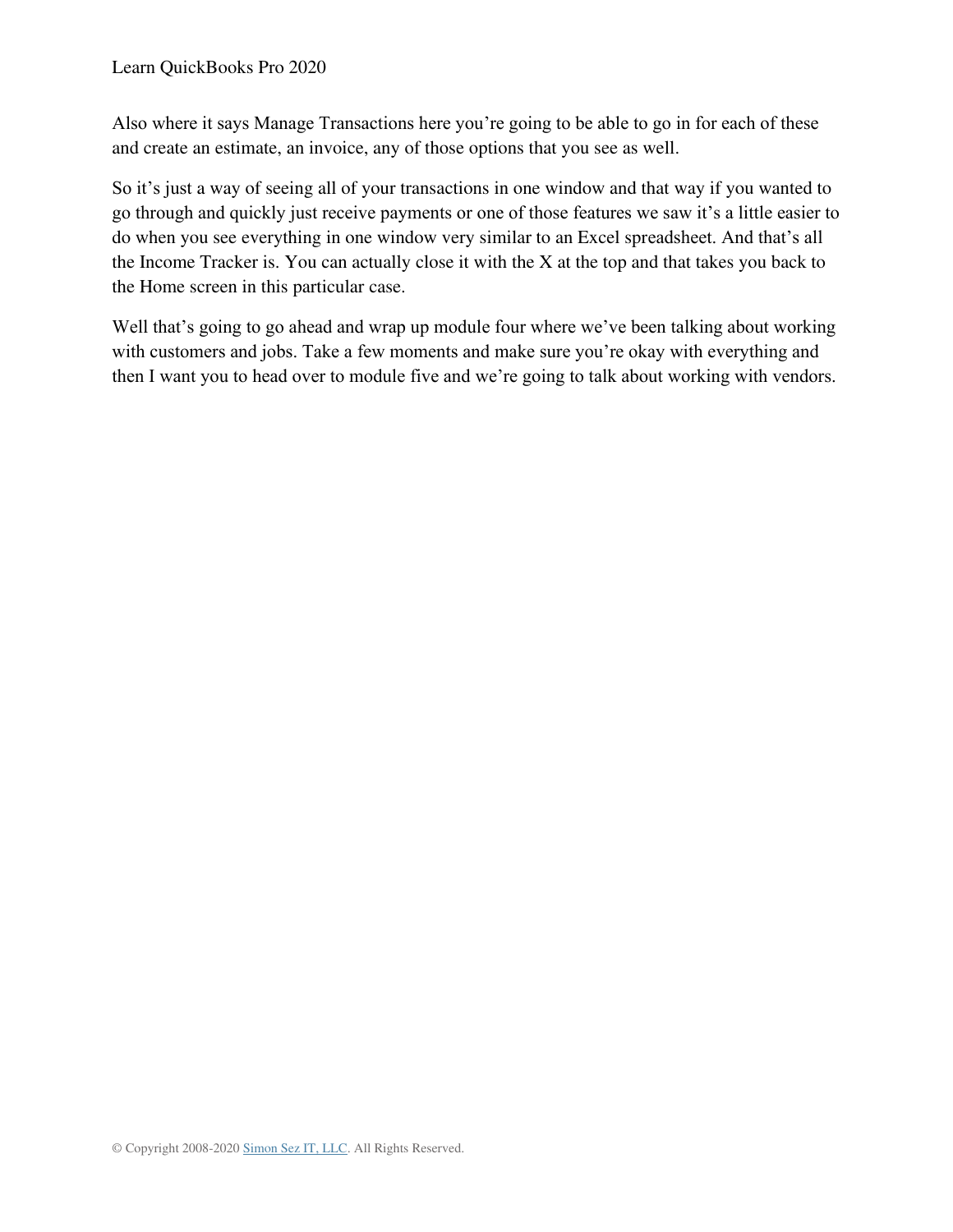Also where it says Manage Transactions here you're going to be able to go in for each of these and create an estimate, an invoice, any of those options that you see as well.

So it's just a way of seeing all of your transactions in one window and that way if you wanted to go through and quickly just receive payments or one of those features we saw it's a little easier to do when you see everything in one window very similar to an Excel spreadsheet. And that's all the Income Tracker is. You can actually close it with the X at the top and that takes you back to the Home screen in this particular case.

Well that's going to go ahead and wrap up module four where we've been talking about working with customers and jobs. Take a few moments and make sure you're okay with everything and then I want you to head over to module five and we're going to talk about working with vendors.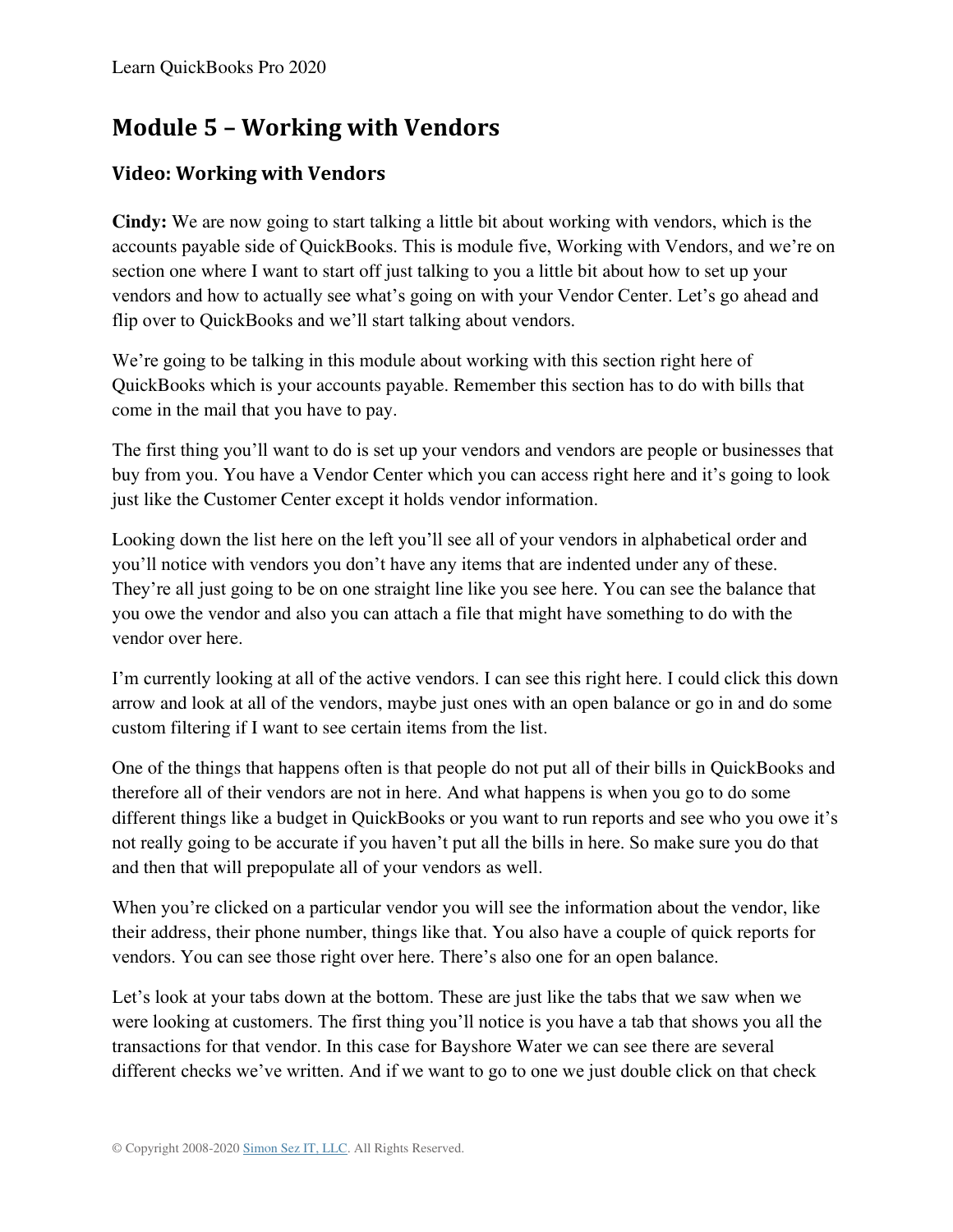# **Module 5 – Working with Vendors**

# **Video: Working with Vendors**

**Cindy:** We are now going to start talking a little bit about working with vendors, which is the accounts payable side of QuickBooks. This is module five, Working with Vendors, and we're on section one where I want to start off just talking to you a little bit about how to set up your vendors and how to actually see what's going on with your Vendor Center. Let's go ahead and flip over to QuickBooks and we'll start talking about vendors.

We're going to be talking in this module about working with this section right here of QuickBooks which is your accounts payable. Remember this section has to do with bills that come in the mail that you have to pay.

The first thing you'll want to do is set up your vendors and vendors are people or businesses that buy from you. You have a Vendor Center which you can access right here and it's going to look just like the Customer Center except it holds vendor information.

Looking down the list here on the left you'll see all of your vendors in alphabetical order and you'll notice with vendors you don't have any items that are indented under any of these. They're all just going to be on one straight line like you see here. You can see the balance that you owe the vendor and also you can attach a file that might have something to do with the vendor over here.

I'm currently looking at all of the active vendors. I can see this right here. I could click this down arrow and look at all of the vendors, maybe just ones with an open balance or go in and do some custom filtering if I want to see certain items from the list.

One of the things that happens often is that people do not put all of their bills in QuickBooks and therefore all of their vendors are not in here. And what happens is when you go to do some different things like a budget in QuickBooks or you want to run reports and see who you owe it's not really going to be accurate if you haven't put all the bills in here. So make sure you do that and then that will prepopulate all of your vendors as well.

When you're clicked on a particular vendor you will see the information about the vendor, like their address, their phone number, things like that. You also have a couple of quick reports for vendors. You can see those right over here. There's also one for an open balance.

Let's look at your tabs down at the bottom. These are just like the tabs that we saw when we were looking at customers. The first thing you'll notice is you have a tab that shows you all the transactions for that vendor. In this case for Bayshore Water we can see there are several different checks we've written. And if we want to go to one we just double click on that check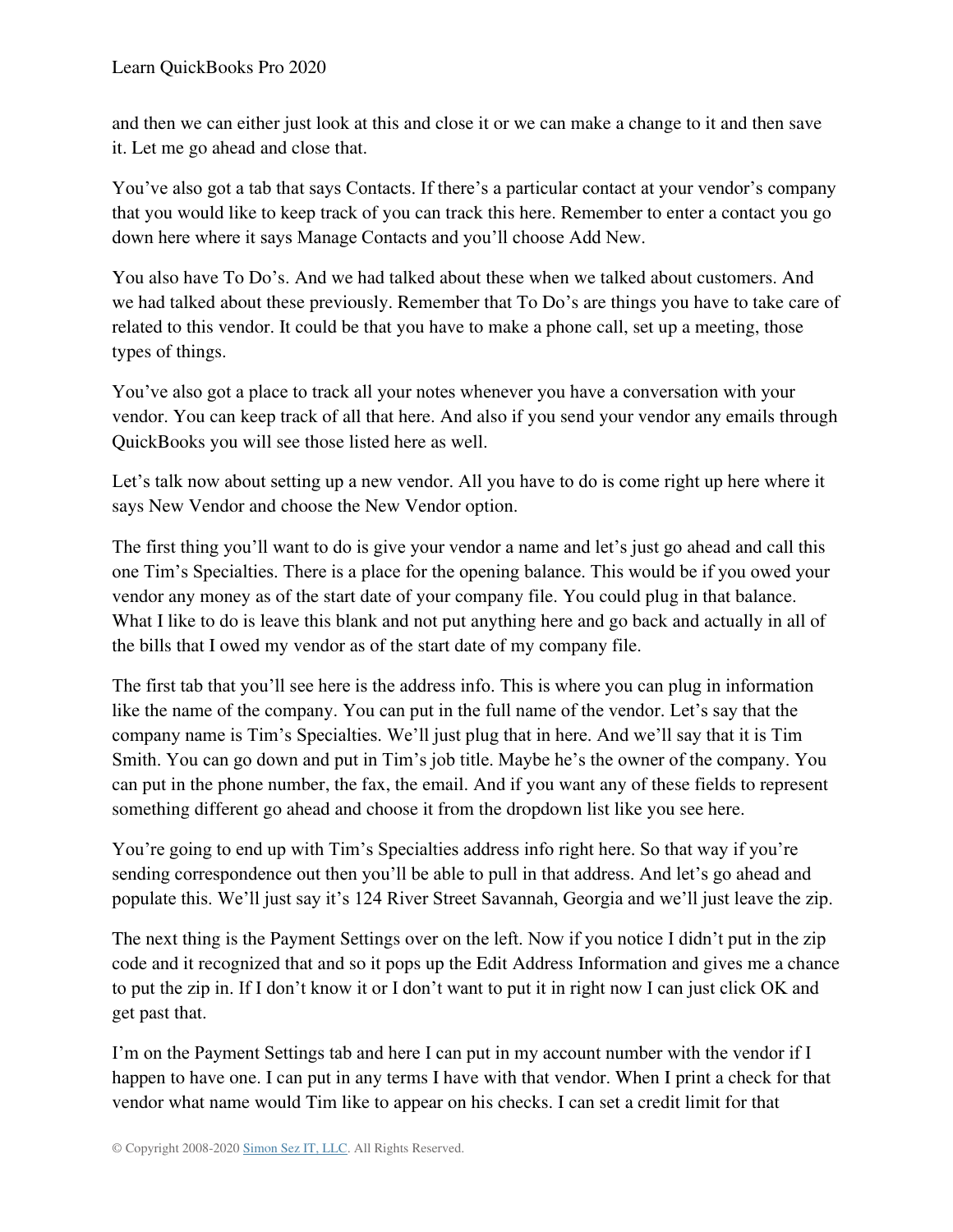and then we can either just look at this and close it or we can make a change to it and then save it. Let me go ahead and close that.

You've also got a tab that says Contacts. If there's a particular contact at your vendor's company that you would like to keep track of you can track this here. Remember to enter a contact you go down here where it says Manage Contacts and you'll choose Add New.

You also have To Do's. And we had talked about these when we talked about customers. And we had talked about these previously. Remember that To Do's are things you have to take care of related to this vendor. It could be that you have to make a phone call, set up a meeting, those types of things.

You've also got a place to track all your notes whenever you have a conversation with your vendor. You can keep track of all that here. And also if you send your vendor any emails through QuickBooks you will see those listed here as well.

Let's talk now about setting up a new vendor. All you have to do is come right up here where it says New Vendor and choose the New Vendor option.

The first thing you'll want to do is give your vendor a name and let's just go ahead and call this one Tim's Specialties. There is a place for the opening balance. This would be if you owed your vendor any money as of the start date of your company file. You could plug in that balance. What I like to do is leave this blank and not put anything here and go back and actually in all of the bills that I owed my vendor as of the start date of my company file.

The first tab that you'll see here is the address info. This is where you can plug in information like the name of the company. You can put in the full name of the vendor. Let's say that the company name is Tim's Specialties. We'll just plug that in here. And we'll say that it is Tim Smith. You can go down and put in Tim's job title. Maybe he's the owner of the company. You can put in the phone number, the fax, the email. And if you want any of these fields to represent something different go ahead and choose it from the dropdown list like you see here.

You're going to end up with Tim's Specialties address info right here. So that way if you're sending correspondence out then you'll be able to pull in that address. And let's go ahead and populate this. We'll just say it's 124 River Street Savannah, Georgia and we'll just leave the zip.

The next thing is the Payment Settings over on the left. Now if you notice I didn't put in the zip code and it recognized that and so it pops up the Edit Address Information and gives me a chance to put the zip in. If I don't know it or I don't want to put it in right now I can just click OK and get past that.

I'm on the Payment Settings tab and here I can put in my account number with the vendor if I happen to have one. I can put in any terms I have with that vendor. When I print a check for that vendor what name would Tim like to appear on his checks. I can set a credit limit for that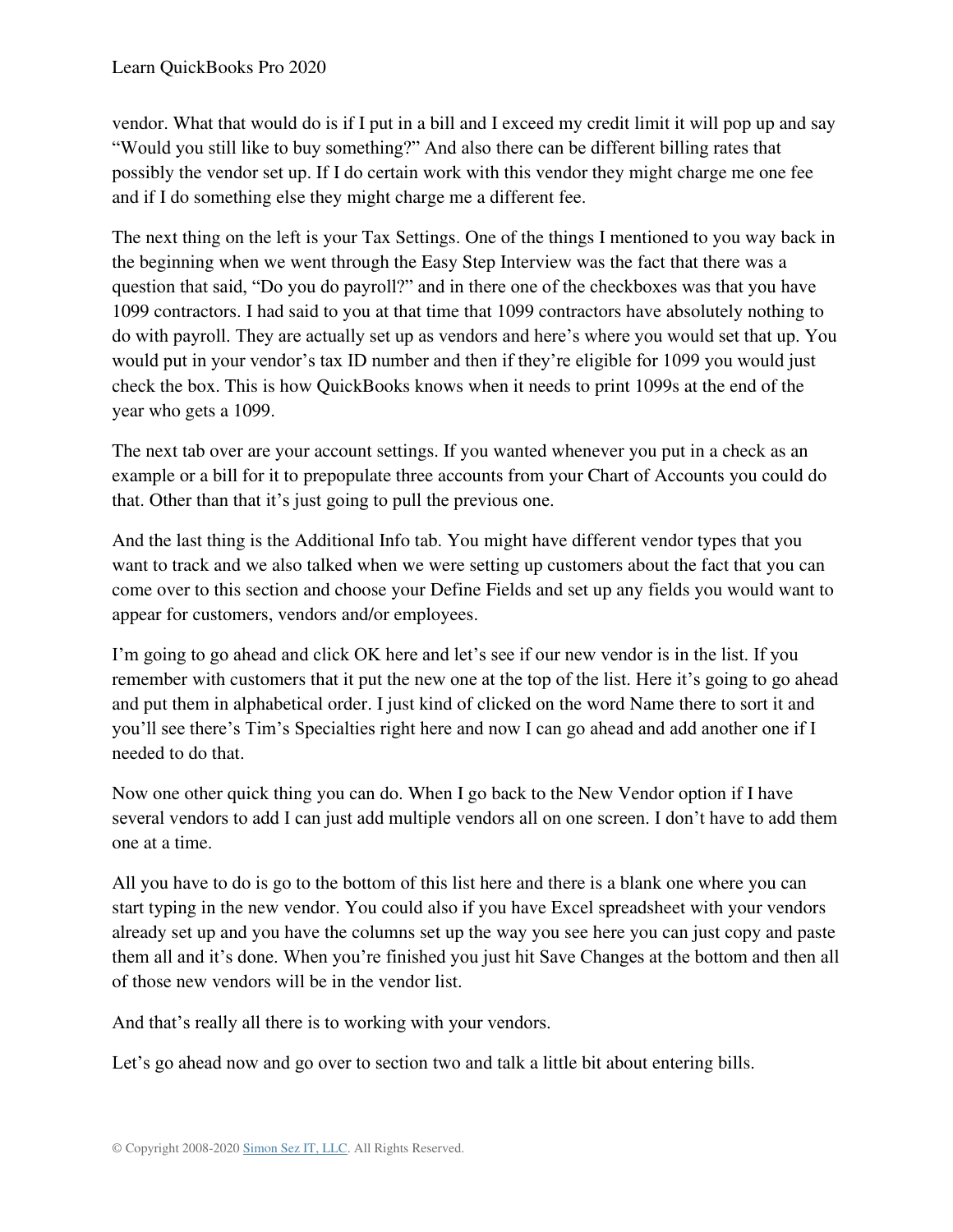#### Learn QuickBooks Pro 2020

vendor. What that would do is if I put in a bill and I exceed my credit limit it will pop up and say "Would you still like to buy something?" And also there can be different billing rates that possibly the vendor set up. If I do certain work with this vendor they might charge me one fee and if I do something else they might charge me a different fee.

The next thing on the left is your Tax Settings. One of the things I mentioned to you way back in the beginning when we went through the Easy Step Interview was the fact that there was a question that said, "Do you do payroll?" and in there one of the checkboxes was that you have 1099 contractors. I had said to you at that time that 1099 contractors have absolutely nothing to do with payroll. They are actually set up as vendors and here's where you would set that up. You would put in your vendor's tax ID number and then if they're eligible for 1099 you would just check the box. This is how QuickBooks knows when it needs to print 1099s at the end of the year who gets a 1099.

The next tab over are your account settings. If you wanted whenever you put in a check as an example or a bill for it to prepopulate three accounts from your Chart of Accounts you could do that. Other than that it's just going to pull the previous one.

And the last thing is the Additional Info tab. You might have different vendor types that you want to track and we also talked when we were setting up customers about the fact that you can come over to this section and choose your Define Fields and set up any fields you would want to appear for customers, vendors and/or employees.

I'm going to go ahead and click OK here and let's see if our new vendor is in the list. If you remember with customers that it put the new one at the top of the list. Here it's going to go ahead and put them in alphabetical order. I just kind of clicked on the word Name there to sort it and you'll see there's Tim's Specialties right here and now I can go ahead and add another one if I needed to do that.

Now one other quick thing you can do. When I go back to the New Vendor option if I have several vendors to add I can just add multiple vendors all on one screen. I don't have to add them one at a time.

All you have to do is go to the bottom of this list here and there is a blank one where you can start typing in the new vendor. You could also if you have Excel spreadsheet with your vendors already set up and you have the columns set up the way you see here you can just copy and paste them all and it's done. When you're finished you just hit Save Changes at the bottom and then all of those new vendors will be in the vendor list.

And that's really all there is to working with your vendors.

Let's go ahead now and go over to section two and talk a little bit about entering bills.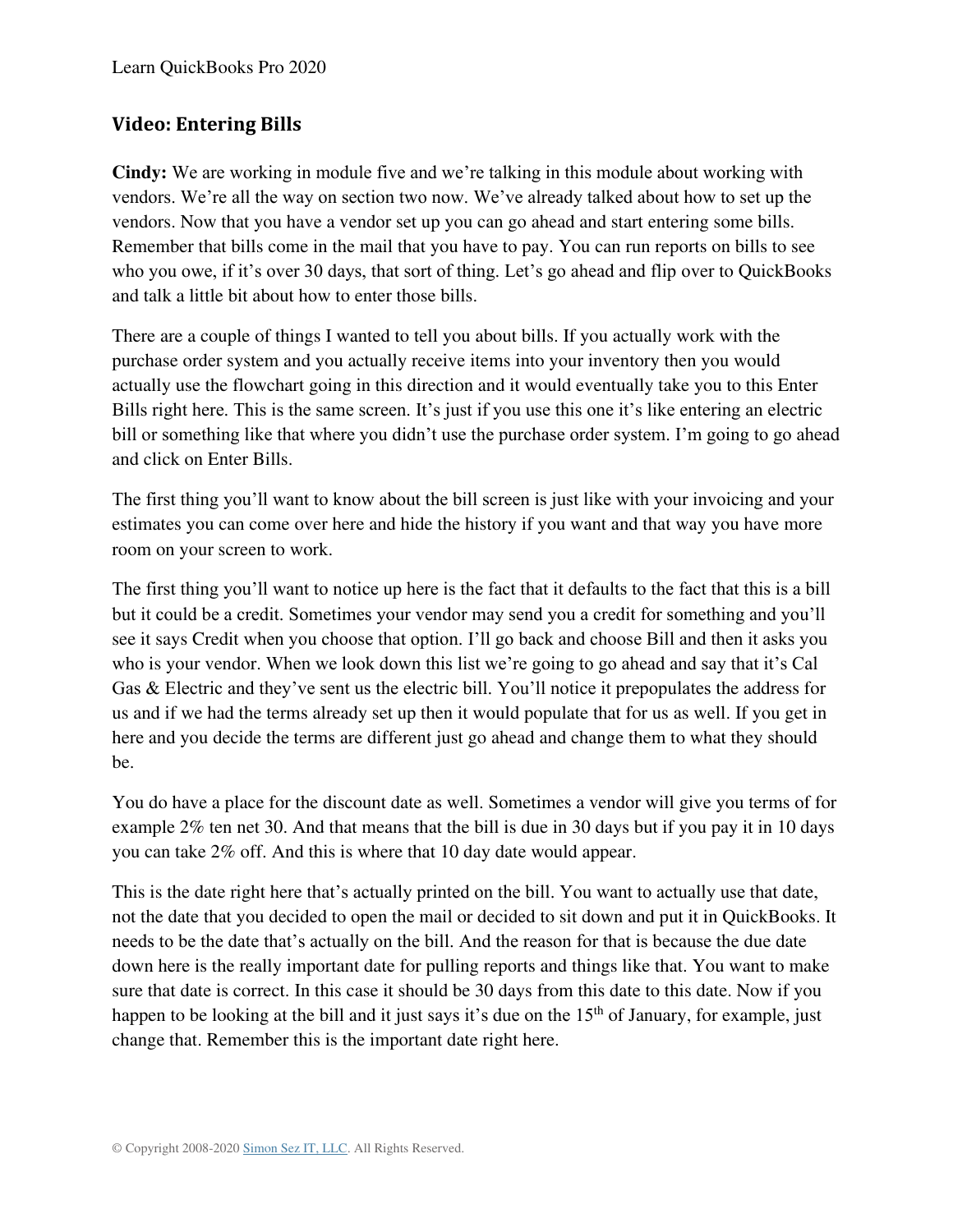### **Video: Entering Bills**

**Cindy:** We are working in module five and we're talking in this module about working with vendors. We're all the way on section two now. We've already talked about how to set up the vendors. Now that you have a vendor set up you can go ahead and start entering some bills. Remember that bills come in the mail that you have to pay. You can run reports on bills to see who you owe, if it's over 30 days, that sort of thing. Let's go ahead and flip over to QuickBooks and talk a little bit about how to enter those bills.

There are a couple of things I wanted to tell you about bills. If you actually work with the purchase order system and you actually receive items into your inventory then you would actually use the flowchart going in this direction and it would eventually take you to this Enter Bills right here. This is the same screen. It's just if you use this one it's like entering an electric bill or something like that where you didn't use the purchase order system. I'm going to go ahead and click on Enter Bills.

The first thing you'll want to know about the bill screen is just like with your invoicing and your estimates you can come over here and hide the history if you want and that way you have more room on your screen to work.

The first thing you'll want to notice up here is the fact that it defaults to the fact that this is a bill but it could be a credit. Sometimes your vendor may send you a credit for something and you'll see it says Credit when you choose that option. I'll go back and choose Bill and then it asks you who is your vendor. When we look down this list we're going to go ahead and say that it's Cal Gas & Electric and they've sent us the electric bill. You'll notice it prepopulates the address for us and if we had the terms already set up then it would populate that for us as well. If you get in here and you decide the terms are different just go ahead and change them to what they should be.

You do have a place for the discount date as well. Sometimes a vendor will give you terms of for example 2% ten net 30. And that means that the bill is due in 30 days but if you pay it in 10 days you can take 2% off. And this is where that 10 day date would appear.

This is the date right here that's actually printed on the bill. You want to actually use that date, not the date that you decided to open the mail or decided to sit down and put it in QuickBooks. It needs to be the date that's actually on the bill. And the reason for that is because the due date down here is the really important date for pulling reports and things like that. You want to make sure that date is correct. In this case it should be 30 days from this date to this date. Now if you happen to be looking at the bill and it just says it's due on the 15<sup>th</sup> of January, for example, just change that. Remember this is the important date right here.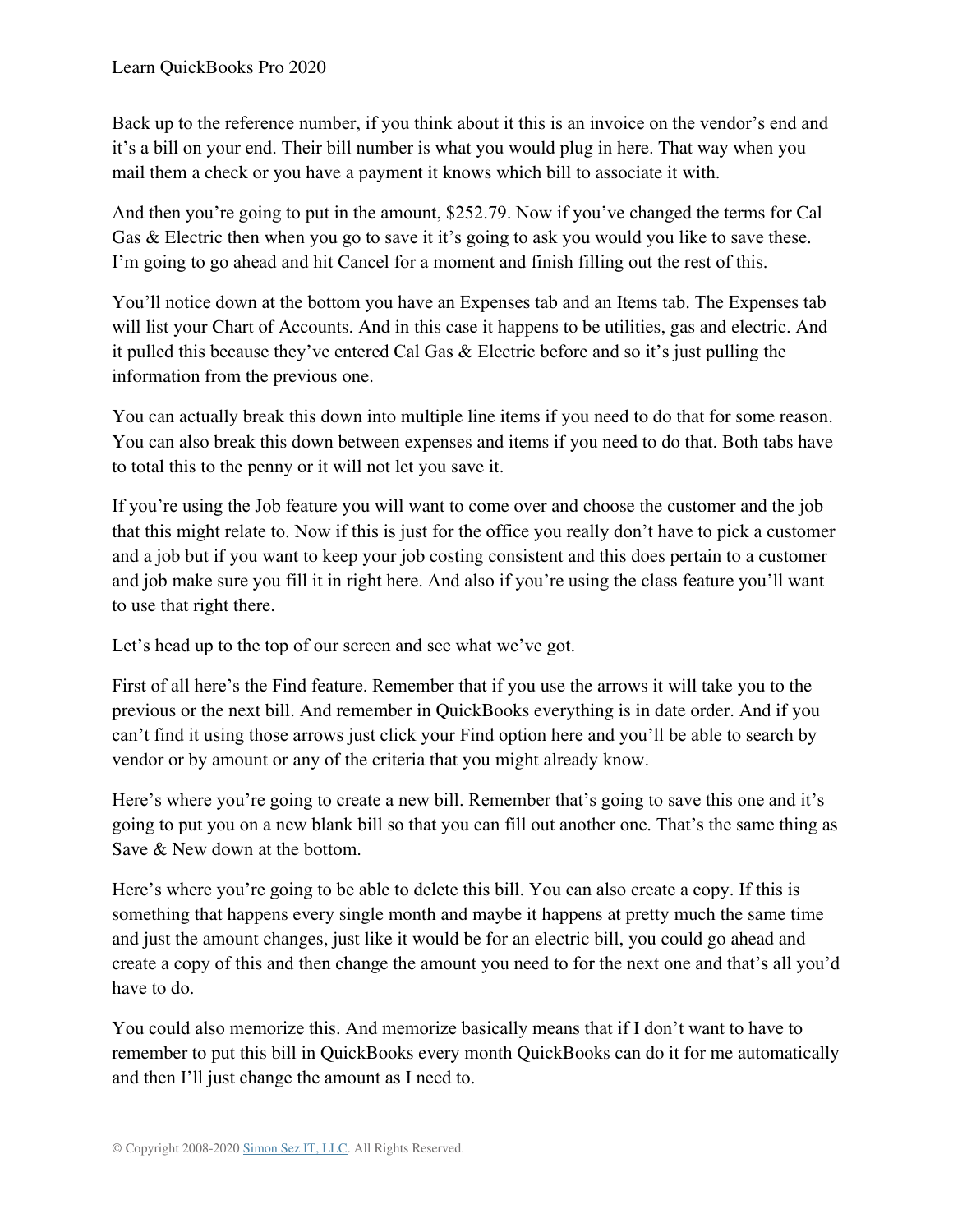Back up to the reference number, if you think about it this is an invoice on the vendor's end and it's a bill on your end. Their bill number is what you would plug in here. That way when you mail them a check or you have a payment it knows which bill to associate it with.

And then you're going to put in the amount, \$252.79. Now if you've changed the terms for Cal Gas & Electric then when you go to save it it's going to ask you would you like to save these. I'm going to go ahead and hit Cancel for a moment and finish filling out the rest of this.

You'll notice down at the bottom you have an Expenses tab and an Items tab. The Expenses tab will list your Chart of Accounts. And in this case it happens to be utilities, gas and electric. And it pulled this because they've entered Cal Gas & Electric before and so it's just pulling the information from the previous one.

You can actually break this down into multiple line items if you need to do that for some reason. You can also break this down between expenses and items if you need to do that. Both tabs have to total this to the penny or it will not let you save it.

If you're using the Job feature you will want to come over and choose the customer and the job that this might relate to. Now if this is just for the office you really don't have to pick a customer and a job but if you want to keep your job costing consistent and this does pertain to a customer and job make sure you fill it in right here. And also if you're using the class feature you'll want to use that right there.

Let's head up to the top of our screen and see what we've got.

First of all here's the Find feature. Remember that if you use the arrows it will take you to the previous or the next bill. And remember in QuickBooks everything is in date order. And if you can't find it using those arrows just click your Find option here and you'll be able to search by vendor or by amount or any of the criteria that you might already know.

Here's where you're going to create a new bill. Remember that's going to save this one and it's going to put you on a new blank bill so that you can fill out another one. That's the same thing as Save & New down at the bottom.

Here's where you're going to be able to delete this bill. You can also create a copy. If this is something that happens every single month and maybe it happens at pretty much the same time and just the amount changes, just like it would be for an electric bill, you could go ahead and create a copy of this and then change the amount you need to for the next one and that's all you'd have to do.

You could also memorize this. And memorize basically means that if I don't want to have to remember to put this bill in QuickBooks every month QuickBooks can do it for me automatically and then I'll just change the amount as I need to.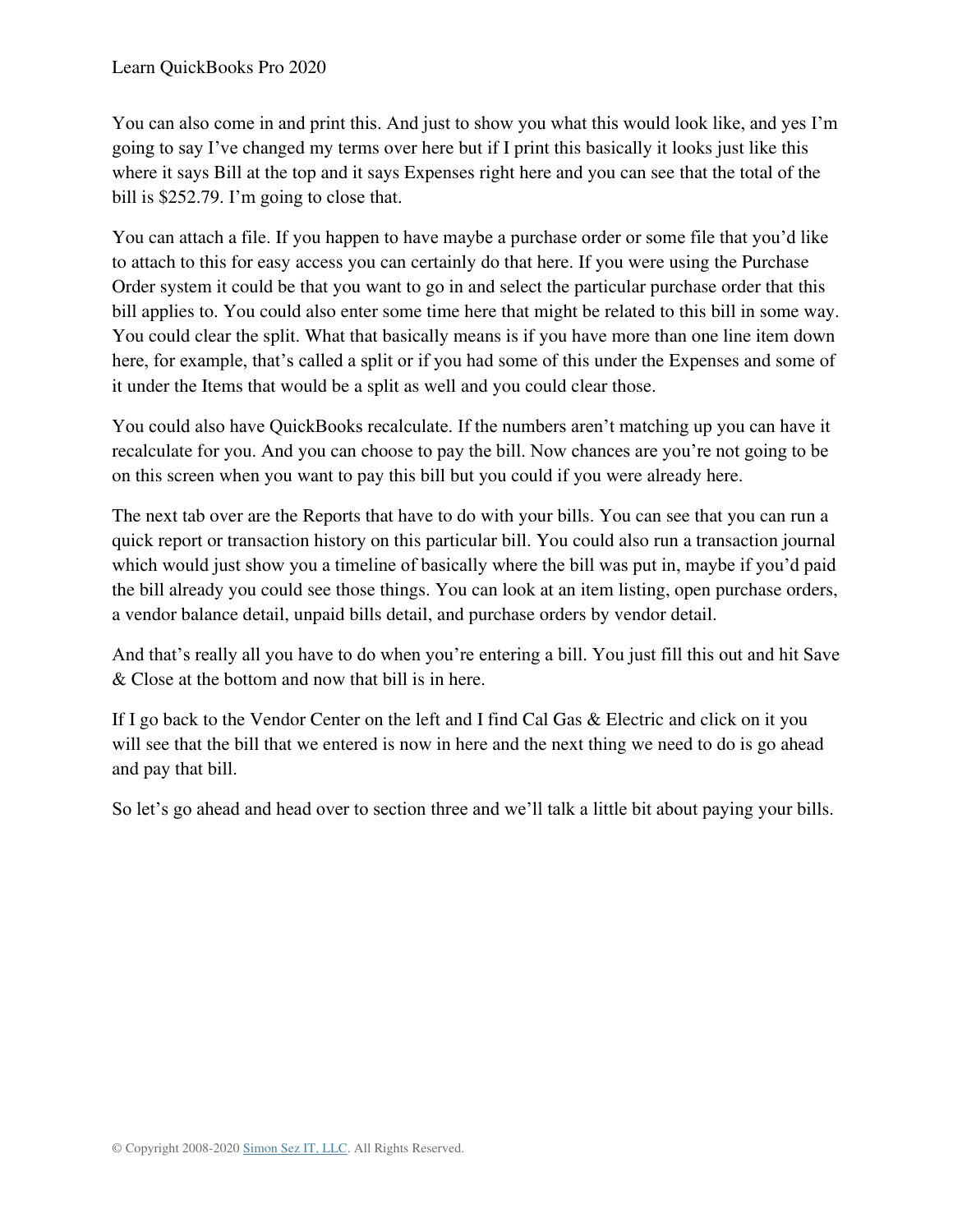#### Learn QuickBooks Pro 2020

You can also come in and print this. And just to show you what this would look like, and yes I'm going to say I've changed my terms over here but if I print this basically it looks just like this where it says Bill at the top and it says Expenses right here and you can see that the total of the bill is \$252.79. I'm going to close that.

You can attach a file. If you happen to have maybe a purchase order or some file that you'd like to attach to this for easy access you can certainly do that here. If you were using the Purchase Order system it could be that you want to go in and select the particular purchase order that this bill applies to. You could also enter some time here that might be related to this bill in some way. You could clear the split. What that basically means is if you have more than one line item down here, for example, that's called a split or if you had some of this under the Expenses and some of it under the Items that would be a split as well and you could clear those.

You could also have QuickBooks recalculate. If the numbers aren't matching up you can have it recalculate for you. And you can choose to pay the bill. Now chances are you're not going to be on this screen when you want to pay this bill but you could if you were already here.

The next tab over are the Reports that have to do with your bills. You can see that you can run a quick report or transaction history on this particular bill. You could also run a transaction journal which would just show you a timeline of basically where the bill was put in, maybe if you'd paid the bill already you could see those things. You can look at an item listing, open purchase orders, a vendor balance detail, unpaid bills detail, and purchase orders by vendor detail.

And that's really all you have to do when you're entering a bill. You just fill this out and hit Save & Close at the bottom and now that bill is in here.

If I go back to the Vendor Center on the left and I find Cal Gas & Electric and click on it you will see that the bill that we entered is now in here and the next thing we need to do is go ahead and pay that bill.

So let's go ahead and head over to section three and we'll talk a little bit about paying your bills.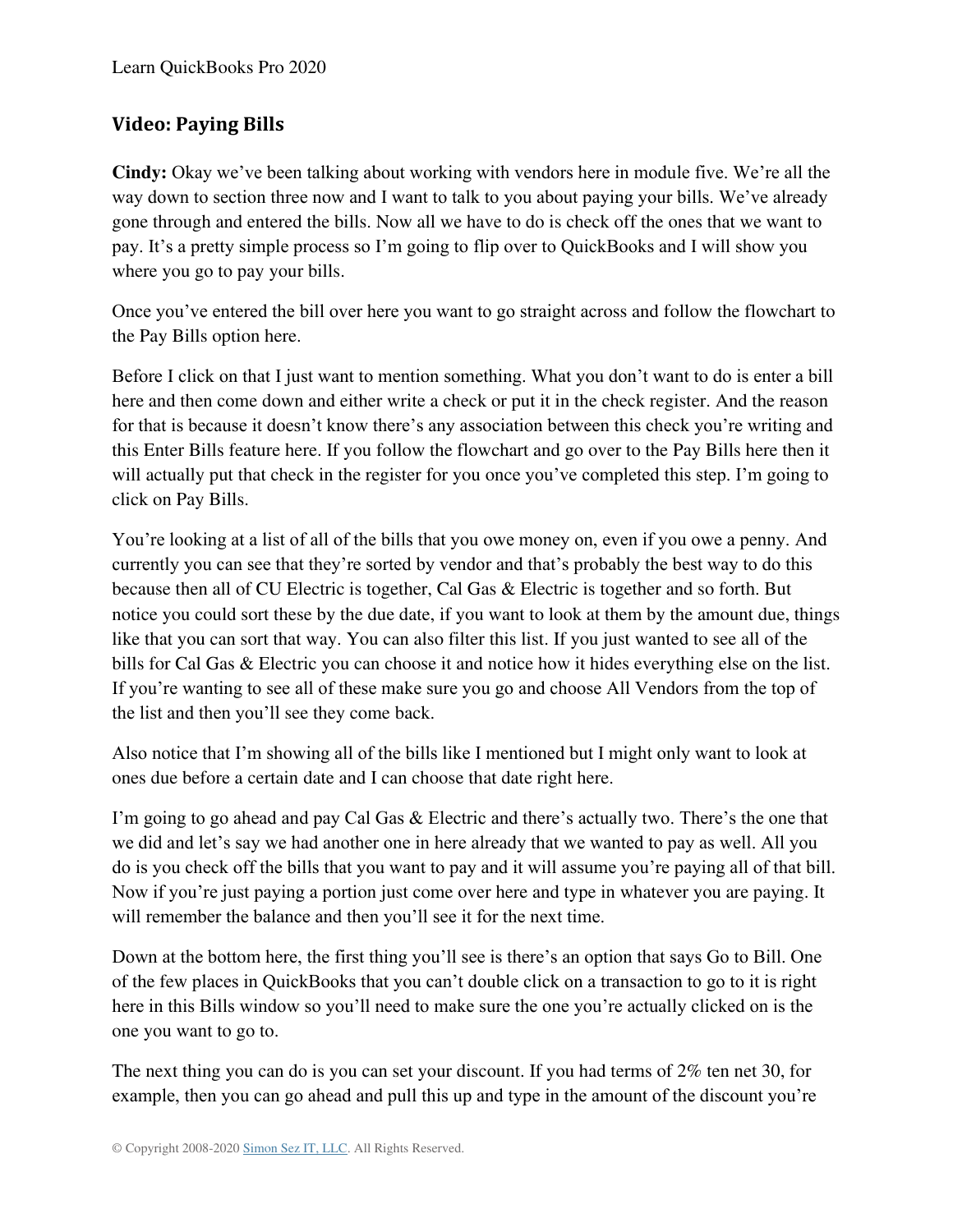# **Video: Paying Bills**

**Cindy:** Okay we've been talking about working with vendors here in module five. We're all the way down to section three now and I want to talk to you about paying your bills. We've already gone through and entered the bills. Now all we have to do is check off the ones that we want to pay. It's a pretty simple process so I'm going to flip over to QuickBooks and I will show you where you go to pay your bills.

Once you've entered the bill over here you want to go straight across and follow the flowchart to the Pay Bills option here.

Before I click on that I just want to mention something. What you don't want to do is enter a bill here and then come down and either write a check or put it in the check register. And the reason for that is because it doesn't know there's any association between this check you're writing and this Enter Bills feature here. If you follow the flowchart and go over to the Pay Bills here then it will actually put that check in the register for you once you've completed this step. I'm going to click on Pay Bills.

You're looking at a list of all of the bills that you owe money on, even if you owe a penny. And currently you can see that they're sorted by vendor and that's probably the best way to do this because then all of CU Electric is together, Cal Gas & Electric is together and so forth. But notice you could sort these by the due date, if you want to look at them by the amount due, things like that you can sort that way. You can also filter this list. If you just wanted to see all of the bills for Cal Gas & Electric you can choose it and notice how it hides everything else on the list. If you're wanting to see all of these make sure you go and choose All Vendors from the top of the list and then you'll see they come back.

Also notice that I'm showing all of the bills like I mentioned but I might only want to look at ones due before a certain date and I can choose that date right here.

I'm going to go ahead and pay Cal Gas & Electric and there's actually two. There's the one that we did and let's say we had another one in here already that we wanted to pay as well. All you do is you check off the bills that you want to pay and it will assume you're paying all of that bill. Now if you're just paying a portion just come over here and type in whatever you are paying. It will remember the balance and then you'll see it for the next time.

Down at the bottom here, the first thing you'll see is there's an option that says Go to Bill. One of the few places in QuickBooks that you can't double click on a transaction to go to it is right here in this Bills window so you'll need to make sure the one you're actually clicked on is the one you want to go to.

The next thing you can do is you can set your discount. If you had terms of 2% ten net 30, for example, then you can go ahead and pull this up and type in the amount of the discount you're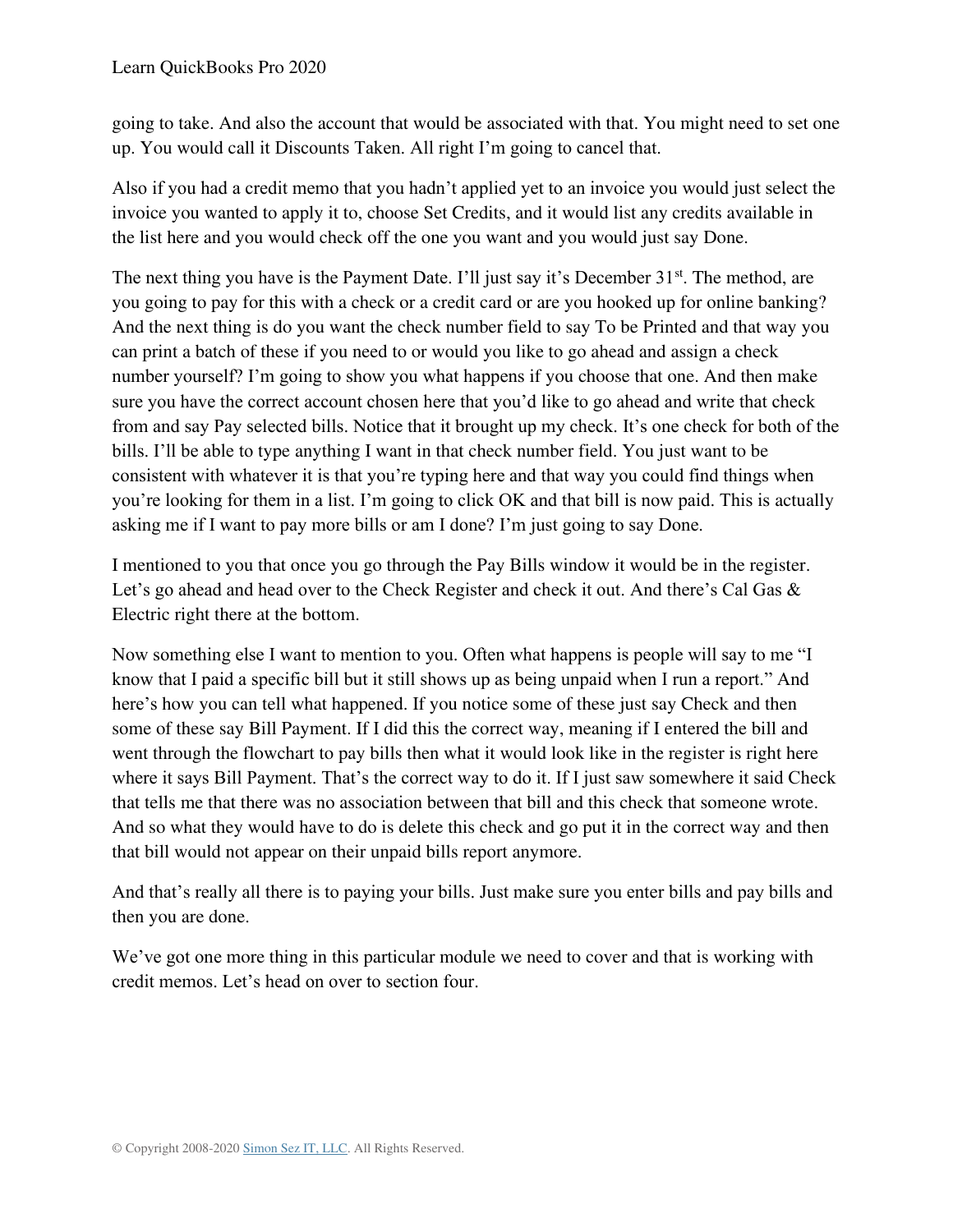going to take. And also the account that would be associated with that. You might need to set one up. You would call it Discounts Taken. All right I'm going to cancel that.

Also if you had a credit memo that you hadn't applied yet to an invoice you would just select the invoice you wanted to apply it to, choose Set Credits, and it would list any credits available in the list here and you would check off the one you want and you would just say Done.

The next thing you have is the Payment Date. I'll just say it's December  $31<sup>st</sup>$ . The method, are you going to pay for this with a check or a credit card or are you hooked up for online banking? And the next thing is do you want the check number field to say To be Printed and that way you can print a batch of these if you need to or would you like to go ahead and assign a check number yourself? I'm going to show you what happens if you choose that one. And then make sure you have the correct account chosen here that you'd like to go ahead and write that check from and say Pay selected bills. Notice that it brought up my check. It's one check for both of the bills. I'll be able to type anything I want in that check number field. You just want to be consistent with whatever it is that you're typing here and that way you could find things when you're looking for them in a list. I'm going to click OK and that bill is now paid. This is actually asking me if I want to pay more bills or am I done? I'm just going to say Done.

I mentioned to you that once you go through the Pay Bills window it would be in the register. Let's go ahead and head over to the Check Register and check it out. And there's Cal Gas & Electric right there at the bottom.

Now something else I want to mention to you. Often what happens is people will say to me "I know that I paid a specific bill but it still shows up as being unpaid when I run a report." And here's how you can tell what happened. If you notice some of these just say Check and then some of these say Bill Payment. If I did this the correct way, meaning if I entered the bill and went through the flowchart to pay bills then what it would look like in the register is right here where it says Bill Payment. That's the correct way to do it. If I just saw somewhere it said Check that tells me that there was no association between that bill and this check that someone wrote. And so what they would have to do is delete this check and go put it in the correct way and then that bill would not appear on their unpaid bills report anymore.

And that's really all there is to paying your bills. Just make sure you enter bills and pay bills and then you are done.

We've got one more thing in this particular module we need to cover and that is working with credit memos. Let's head on over to section four.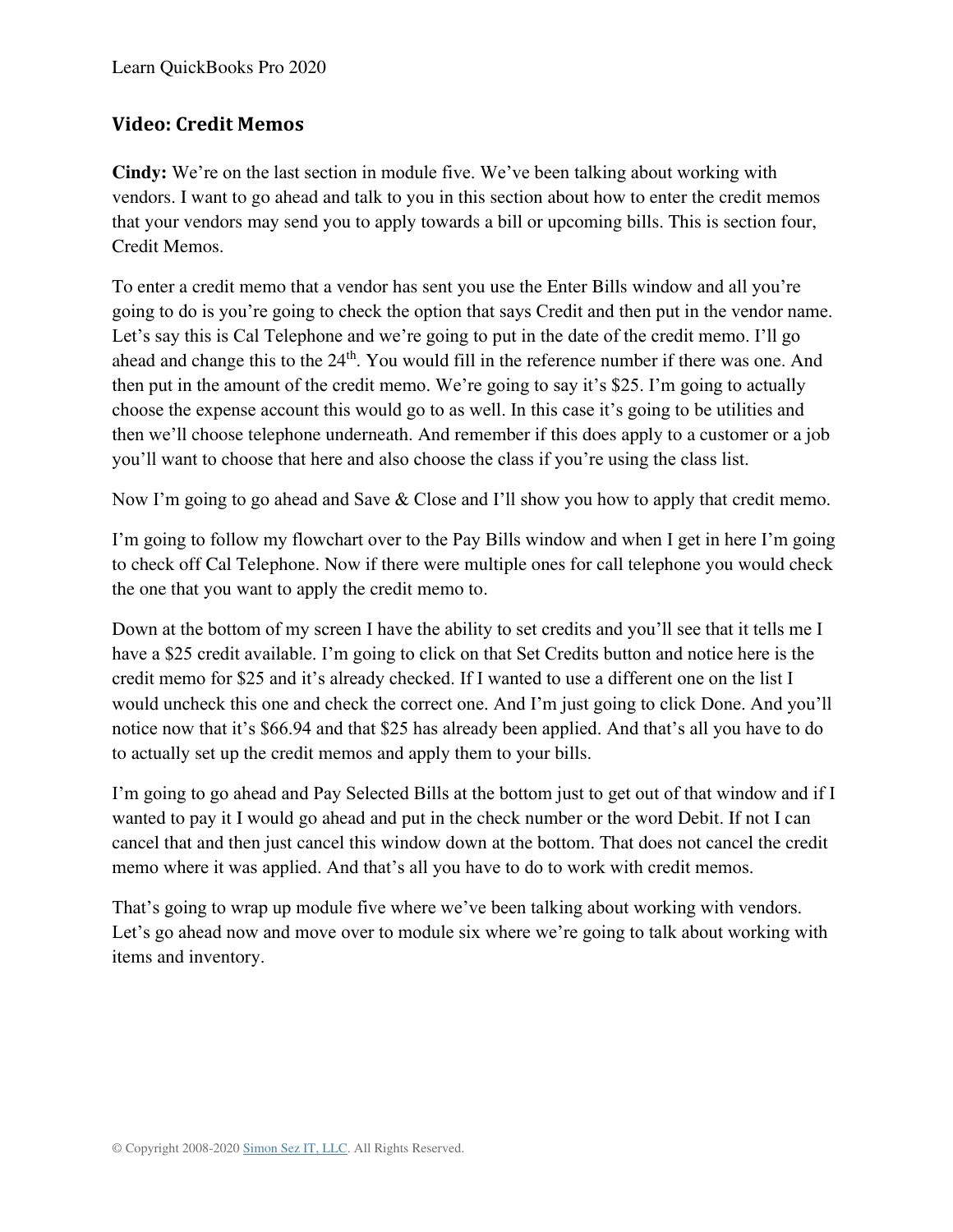# **Video: Credit Memos**

**Cindy:** We're on the last section in module five. We've been talking about working with vendors. I want to go ahead and talk to you in this section about how to enter the credit memos that your vendors may send you to apply towards a bill or upcoming bills. This is section four, Credit Memos.

To enter a credit memo that a vendor has sent you use the Enter Bills window and all you're going to do is you're going to check the option that says Credit and then put in the vendor name. Let's say this is Cal Telephone and we're going to put in the date of the credit memo. I'll go ahead and change this to the 24<sup>th</sup>. You would fill in the reference number if there was one. And then put in the amount of the credit memo. We're going to say it's \$25. I'm going to actually choose the expense account this would go to as well. In this case it's going to be utilities and then we'll choose telephone underneath. And remember if this does apply to a customer or a job you'll want to choose that here and also choose the class if you're using the class list.

Now I'm going to go ahead and Save & Close and I'll show you how to apply that credit memo.

I'm going to follow my flowchart over to the Pay Bills window and when I get in here I'm going to check off Cal Telephone. Now if there were multiple ones for call telephone you would check the one that you want to apply the credit memo to.

Down at the bottom of my screen I have the ability to set credits and you'll see that it tells me I have a \$25 credit available. I'm going to click on that Set Credits button and notice here is the credit memo for \$25 and it's already checked. If I wanted to use a different one on the list I would uncheck this one and check the correct one. And I'm just going to click Done. And you'll notice now that it's \$66.94 and that \$25 has already been applied. And that's all you have to do to actually set up the credit memos and apply them to your bills.

I'm going to go ahead and Pay Selected Bills at the bottom just to get out of that window and if I wanted to pay it I would go ahead and put in the check number or the word Debit. If not I can cancel that and then just cancel this window down at the bottom. That does not cancel the credit memo where it was applied. And that's all you have to do to work with credit memos.

That's going to wrap up module five where we've been talking about working with vendors. Let's go ahead now and move over to module six where we're going to talk about working with items and inventory.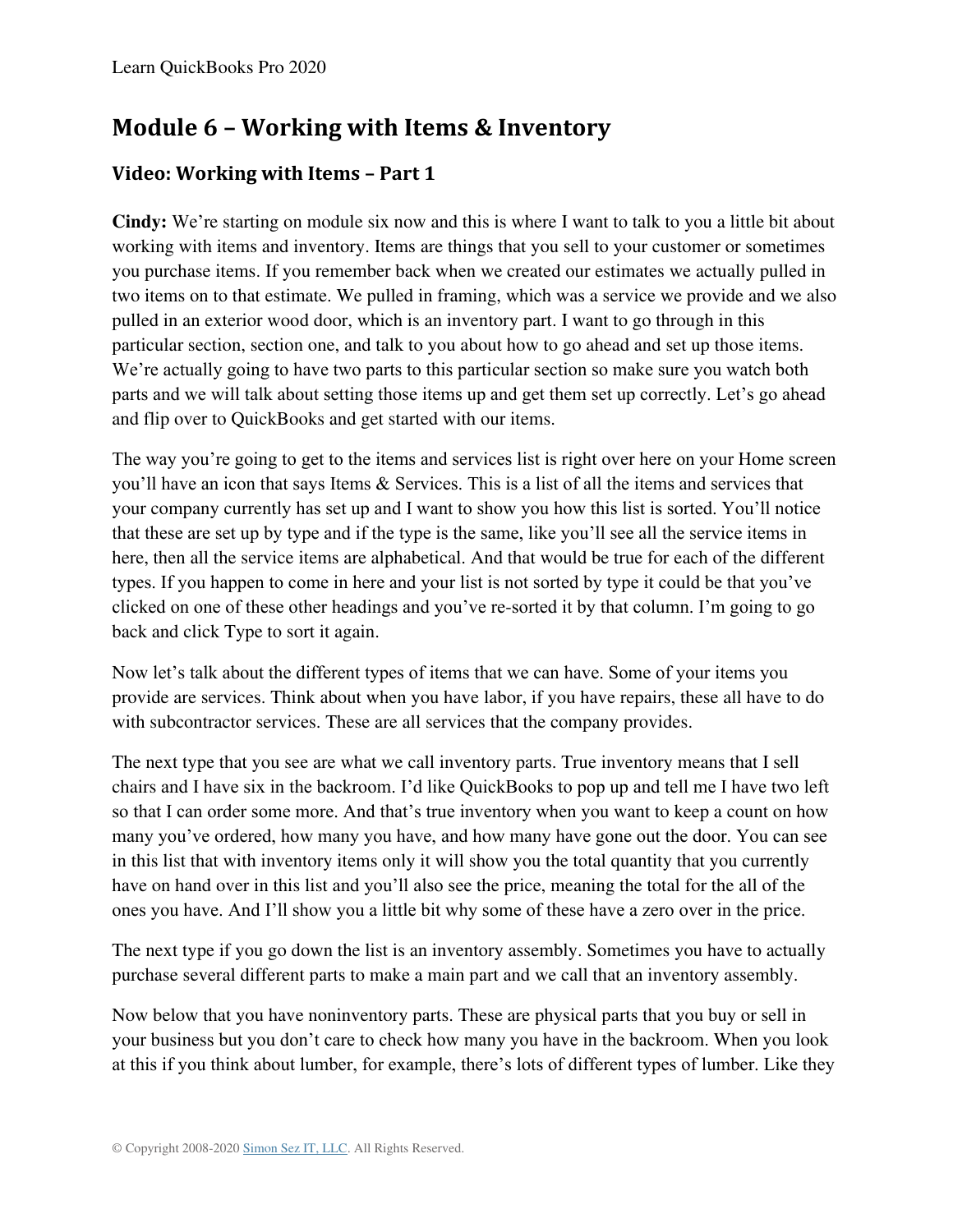# **Module 6 – Working with Items & Inventory**

# **Video: Working with Items – Part 1**

**Cindy:** We're starting on module six now and this is where I want to talk to you a little bit about working with items and inventory. Items are things that you sell to your customer or sometimes you purchase items. If you remember back when we created our estimates we actually pulled in two items on to that estimate. We pulled in framing, which was a service we provide and we also pulled in an exterior wood door, which is an inventory part. I want to go through in this particular section, section one, and talk to you about how to go ahead and set up those items. We're actually going to have two parts to this particular section so make sure you watch both parts and we will talk about setting those items up and get them set up correctly. Let's go ahead and flip over to QuickBooks and get started with our items.

The way you're going to get to the items and services list is right over here on your Home screen you'll have an icon that says Items & Services. This is a list of all the items and services that your company currently has set up and I want to show you how this list is sorted. You'll notice that these are set up by type and if the type is the same, like you'll see all the service items in here, then all the service items are alphabetical. And that would be true for each of the different types. If you happen to come in here and your list is not sorted by type it could be that you've clicked on one of these other headings and you've re-sorted it by that column. I'm going to go back and click Type to sort it again.

Now let's talk about the different types of items that we can have. Some of your items you provide are services. Think about when you have labor, if you have repairs, these all have to do with subcontractor services. These are all services that the company provides.

The next type that you see are what we call inventory parts. True inventory means that I sell chairs and I have six in the backroom. I'd like QuickBooks to pop up and tell me I have two left so that I can order some more. And that's true inventory when you want to keep a count on how many you've ordered, how many you have, and how many have gone out the door. You can see in this list that with inventory items only it will show you the total quantity that you currently have on hand over in this list and you'll also see the price, meaning the total for the all of the ones you have. And I'll show you a little bit why some of these have a zero over in the price.

The next type if you go down the list is an inventory assembly. Sometimes you have to actually purchase several different parts to make a main part and we call that an inventory assembly.

Now below that you have noninventory parts. These are physical parts that you buy or sell in your business but you don't care to check how many you have in the backroom. When you look at this if you think about lumber, for example, there's lots of different types of lumber. Like they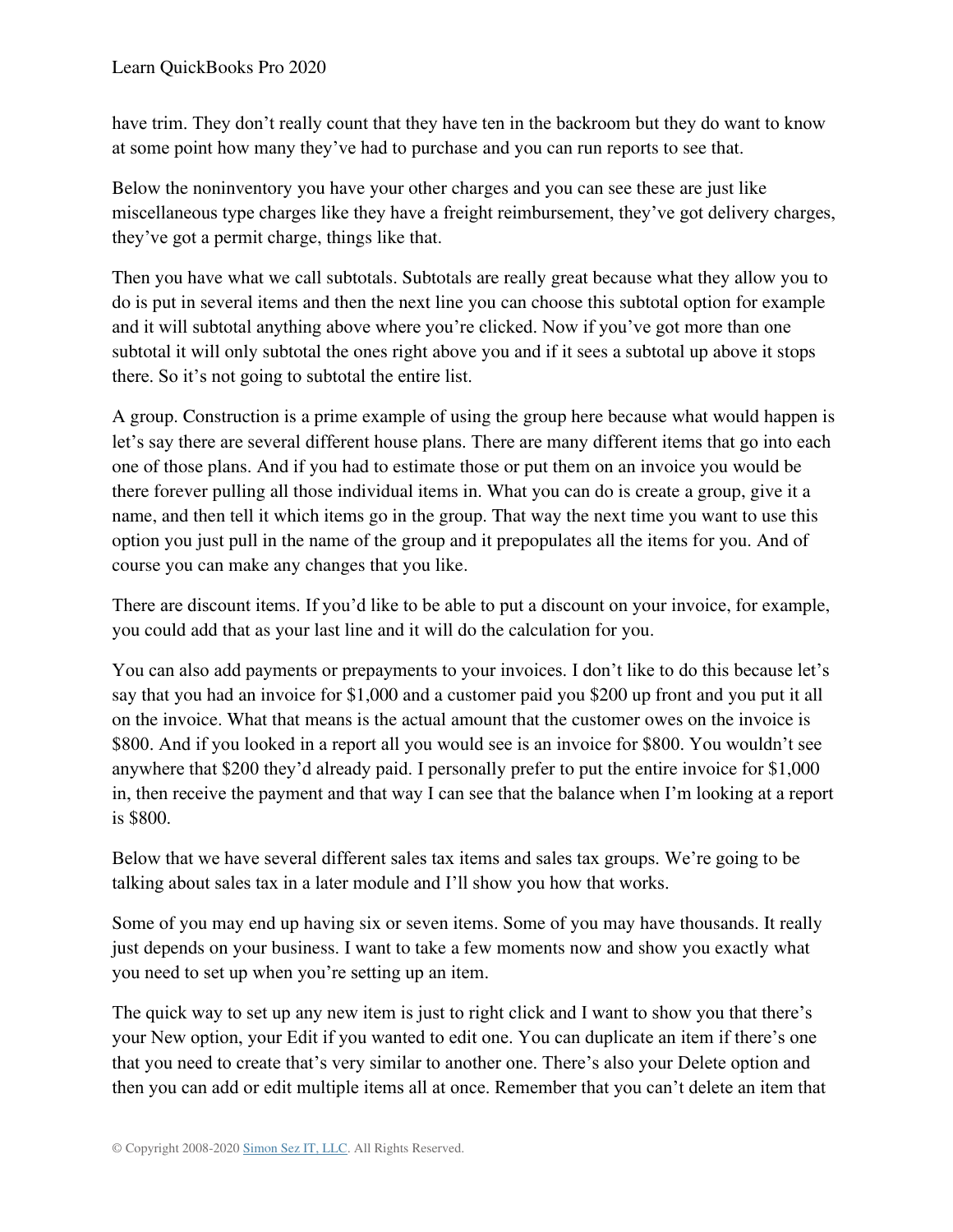have trim. They don't really count that they have ten in the backroom but they do want to know at some point how many they've had to purchase and you can run reports to see that.

Below the noninventory you have your other charges and you can see these are just like miscellaneous type charges like they have a freight reimbursement, they've got delivery charges, they've got a permit charge, things like that.

Then you have what we call subtotals. Subtotals are really great because what they allow you to do is put in several items and then the next line you can choose this subtotal option for example and it will subtotal anything above where you're clicked. Now if you've got more than one subtotal it will only subtotal the ones right above you and if it sees a subtotal up above it stops there. So it's not going to subtotal the entire list.

A group. Construction is a prime example of using the group here because what would happen is let's say there are several different house plans. There are many different items that go into each one of those plans. And if you had to estimate those or put them on an invoice you would be there forever pulling all those individual items in. What you can do is create a group, give it a name, and then tell it which items go in the group. That way the next time you want to use this option you just pull in the name of the group and it prepopulates all the items for you. And of course you can make any changes that you like.

There are discount items. If you'd like to be able to put a discount on your invoice, for example, you could add that as your last line and it will do the calculation for you.

You can also add payments or prepayments to your invoices. I don't like to do this because let's say that you had an invoice for \$1,000 and a customer paid you \$200 up front and you put it all on the invoice. What that means is the actual amount that the customer owes on the invoice is \$800. And if you looked in a report all you would see is an invoice for \$800. You wouldn't see anywhere that \$200 they'd already paid. I personally prefer to put the entire invoice for \$1,000 in, then receive the payment and that way I can see that the balance when I'm looking at a report is \$800.

Below that we have several different sales tax items and sales tax groups. We're going to be talking about sales tax in a later module and I'll show you how that works.

Some of you may end up having six or seven items. Some of you may have thousands. It really just depends on your business. I want to take a few moments now and show you exactly what you need to set up when you're setting up an item.

The quick way to set up any new item is just to right click and I want to show you that there's your New option, your Edit if you wanted to edit one. You can duplicate an item if there's one that you need to create that's very similar to another one. There's also your Delete option and then you can add or edit multiple items all at once. Remember that you can't delete an item that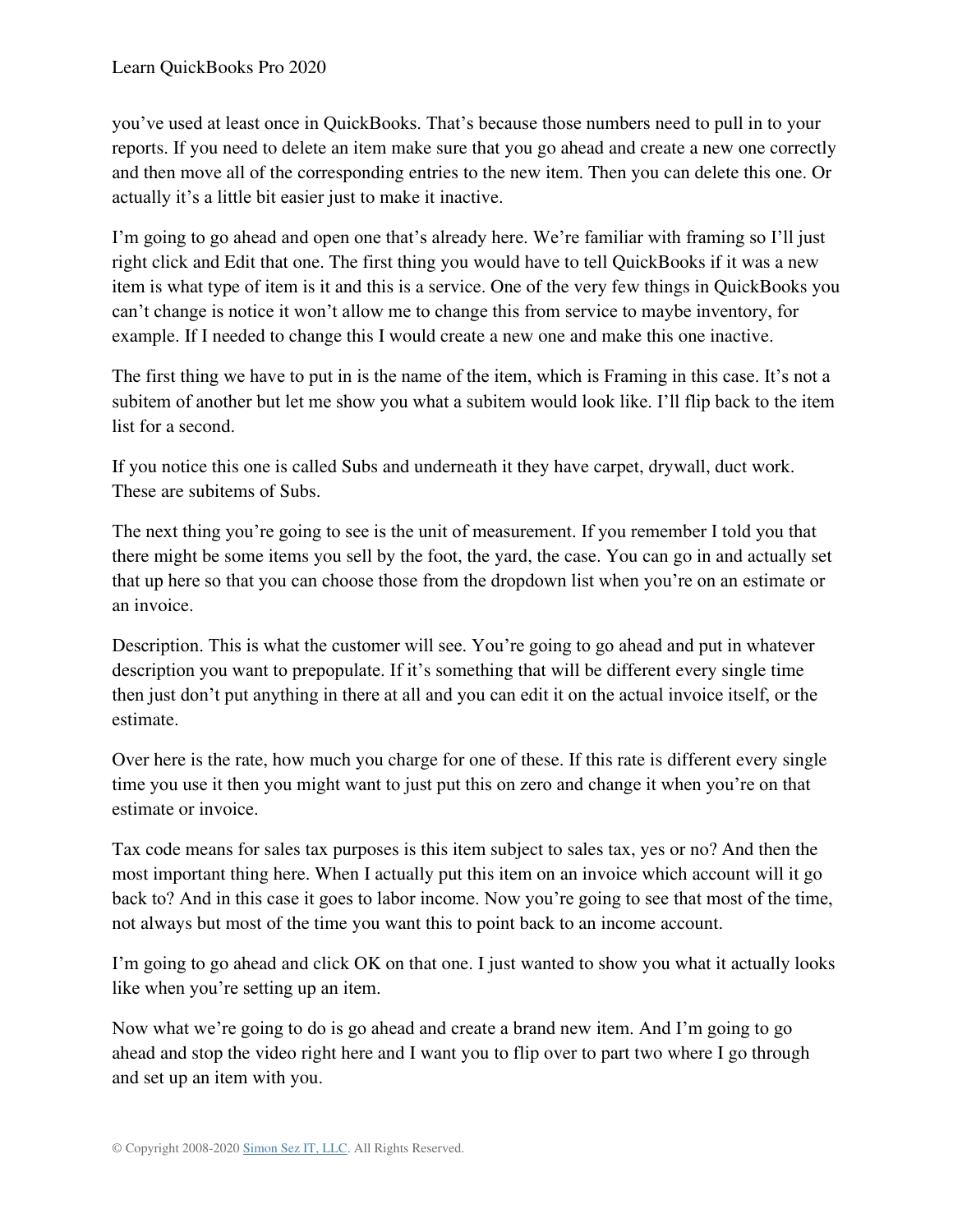you've used at least once in QuickBooks. That's because those numbers need to pull in to your reports. If you need to delete an item make sure that you go ahead and create a new one correctly and then move all of the corresponding entries to the new item. Then you can delete this one. Or actually it's a little bit easier just to make it inactive.

I'm going to go ahead and open one that's already here. We're familiar with framing so I'll just right click and Edit that one. The first thing you would have to tell QuickBooks if it was a new item is what type of item is it and this is a service. One of the very few things in QuickBooks you can't change is notice it won't allow me to change this from service to maybe inventory, for example. If I needed to change this I would create a new one and make this one inactive.

The first thing we have to put in is the name of the item, which is Framing in this case. It's not a subitem of another but let me show you what a subitem would look like. I'll flip back to the item list for a second.

If you notice this one is called Subs and underneath it they have carpet, drywall, duct work. These are subitems of Subs.

The next thing you're going to see is the unit of measurement. If you remember I told you that there might be some items you sell by the foot, the yard, the case. You can go in and actually set that up here so that you can choose those from the dropdown list when you're on an estimate or an invoice.

Description. This is what the customer will see. You're going to go ahead and put in whatever description you want to prepopulate. If it's something that will be different every single time then just don't put anything in there at all and you can edit it on the actual invoice itself, or the estimate.

Over here is the rate, how much you charge for one of these. If this rate is different every single time you use it then you might want to just put this on zero and change it when you're on that estimate or invoice.

Tax code means for sales tax purposes is this item subject to sales tax, yes or no? And then the most important thing here. When I actually put this item on an invoice which account will it go back to? And in this case it goes to labor income. Now you're going to see that most of the time, not always but most of the time you want this to point back to an income account.

I'm going to go ahead and click OK on that one. I just wanted to show you what it actually looks like when you're setting up an item.

Now what we're going to do is go ahead and create a brand new item. And I'm going to go ahead and stop the video right here and I want you to flip over to part two where I go through and set up an item with you.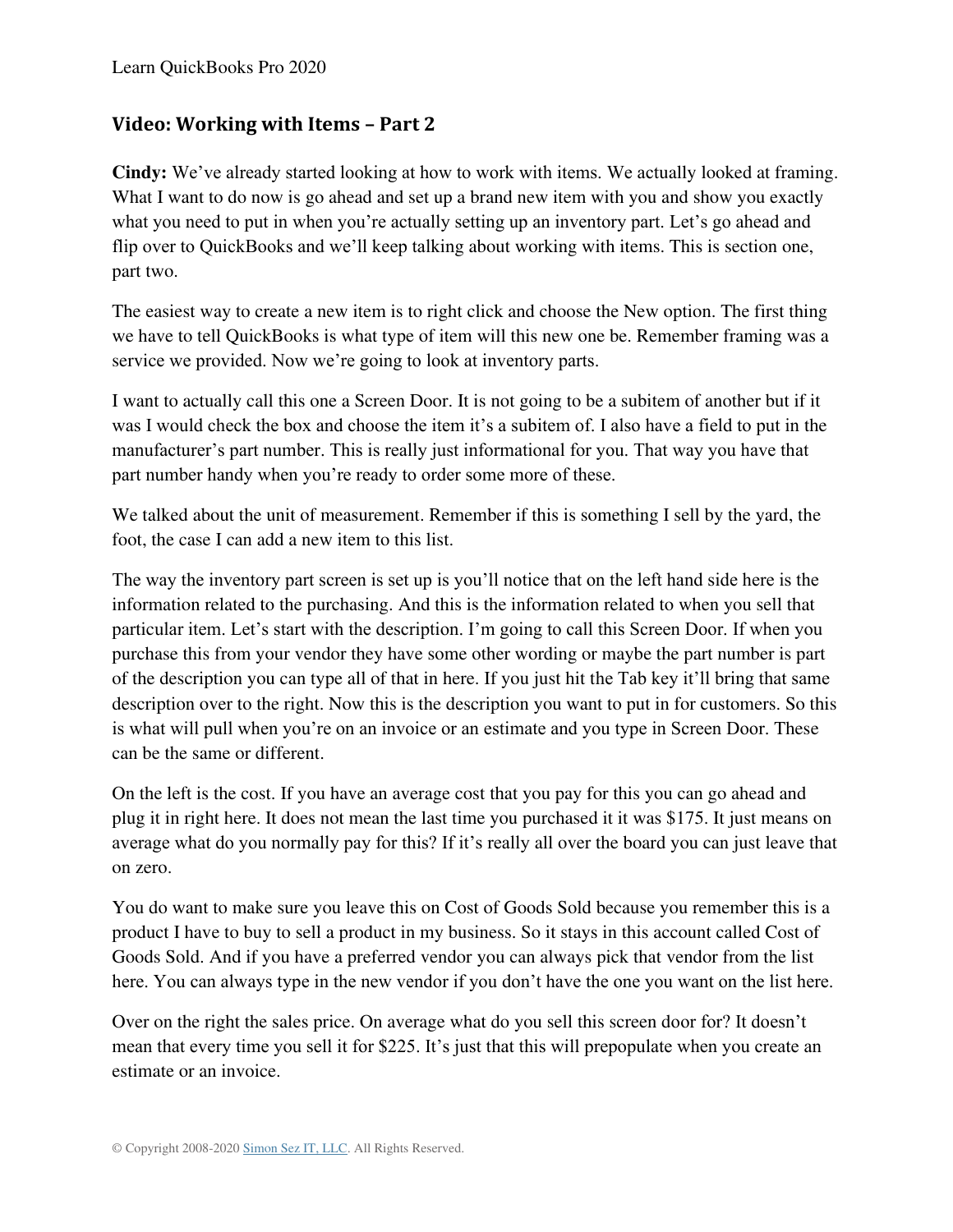Learn QuickBooks Pro 2020

### **Video: Working with Items – Part 2**

**Cindy:** We've already started looking at how to work with items. We actually looked at framing. What I want to do now is go ahead and set up a brand new item with you and show you exactly what you need to put in when you're actually setting up an inventory part. Let's go ahead and flip over to QuickBooks and we'll keep talking about working with items. This is section one, part two.

The easiest way to create a new item is to right click and choose the New option. The first thing we have to tell QuickBooks is what type of item will this new one be. Remember framing was a service we provided. Now we're going to look at inventory parts.

I want to actually call this one a Screen Door. It is not going to be a subitem of another but if it was I would check the box and choose the item it's a subitem of. I also have a field to put in the manufacturer's part number. This is really just informational for you. That way you have that part number handy when you're ready to order some more of these.

We talked about the unit of measurement. Remember if this is something I sell by the yard, the foot, the case I can add a new item to this list.

The way the inventory part screen is set up is you'll notice that on the left hand side here is the information related to the purchasing. And this is the information related to when you sell that particular item. Let's start with the description. I'm going to call this Screen Door. If when you purchase this from your vendor they have some other wording or maybe the part number is part of the description you can type all of that in here. If you just hit the Tab key it'll bring that same description over to the right. Now this is the description you want to put in for customers. So this is what will pull when you're on an invoice or an estimate and you type in Screen Door. These can be the same or different.

On the left is the cost. If you have an average cost that you pay for this you can go ahead and plug it in right here. It does not mean the last time you purchased it it was \$175. It just means on average what do you normally pay for this? If it's really all over the board you can just leave that on zero.

You do want to make sure you leave this on Cost of Goods Sold because you remember this is a product I have to buy to sell a product in my business. So it stays in this account called Cost of Goods Sold. And if you have a preferred vendor you can always pick that vendor from the list here. You can always type in the new vendor if you don't have the one you want on the list here.

Over on the right the sales price. On average what do you sell this screen door for? It doesn't mean that every time you sell it for \$225. It's just that this will prepopulate when you create an estimate or an invoice.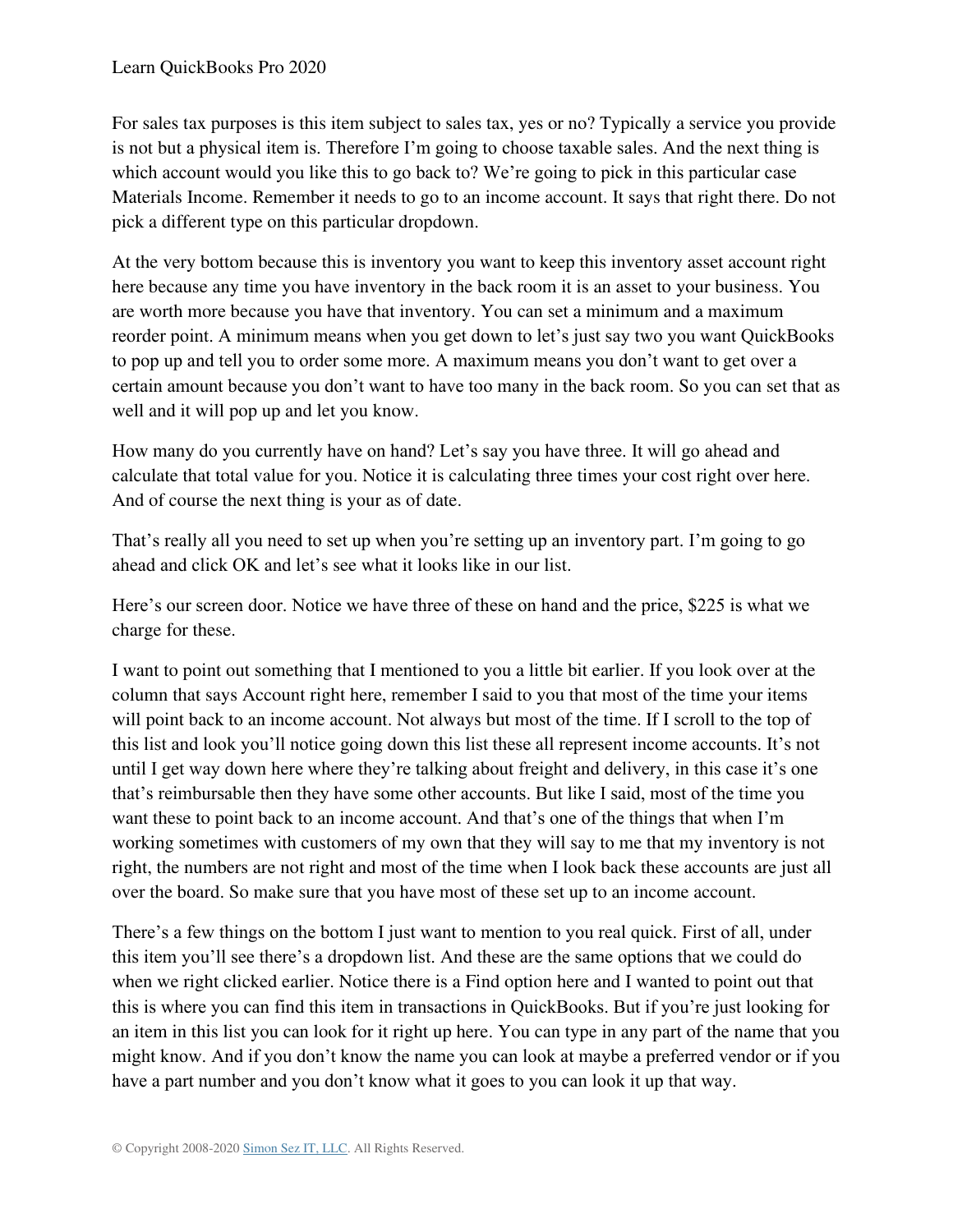For sales tax purposes is this item subject to sales tax, yes or no? Typically a service you provide is not but a physical item is. Therefore I'm going to choose taxable sales. And the next thing is which account would you like this to go back to? We're going to pick in this particular case Materials Income. Remember it needs to go to an income account. It says that right there. Do not pick a different type on this particular dropdown.

At the very bottom because this is inventory you want to keep this inventory asset account right here because any time you have inventory in the back room it is an asset to your business. You are worth more because you have that inventory. You can set a minimum and a maximum reorder point. A minimum means when you get down to let's just say two you want QuickBooks to pop up and tell you to order some more. A maximum means you don't want to get over a certain amount because you don't want to have too many in the back room. So you can set that as well and it will pop up and let you know.

How many do you currently have on hand? Let's say you have three. It will go ahead and calculate that total value for you. Notice it is calculating three times your cost right over here. And of course the next thing is your as of date.

That's really all you need to set up when you're setting up an inventory part. I'm going to go ahead and click OK and let's see what it looks like in our list.

Here's our screen door. Notice we have three of these on hand and the price, \$225 is what we charge for these.

I want to point out something that I mentioned to you a little bit earlier. If you look over at the column that says Account right here, remember I said to you that most of the time your items will point back to an income account. Not always but most of the time. If I scroll to the top of this list and look you'll notice going down this list these all represent income accounts. It's not until I get way down here where they're talking about freight and delivery, in this case it's one that's reimbursable then they have some other accounts. But like I said, most of the time you want these to point back to an income account. And that's one of the things that when I'm working sometimes with customers of my own that they will say to me that my inventory is not right, the numbers are not right and most of the time when I look back these accounts are just all over the board. So make sure that you have most of these set up to an income account.

There's a few things on the bottom I just want to mention to you real quick. First of all, under this item you'll see there's a dropdown list. And these are the same options that we could do when we right clicked earlier. Notice there is a Find option here and I wanted to point out that this is where you can find this item in transactions in QuickBooks. But if you're just looking for an item in this list you can look for it right up here. You can type in any part of the name that you might know. And if you don't know the name you can look at maybe a preferred vendor or if you have a part number and you don't know what it goes to you can look it up that way.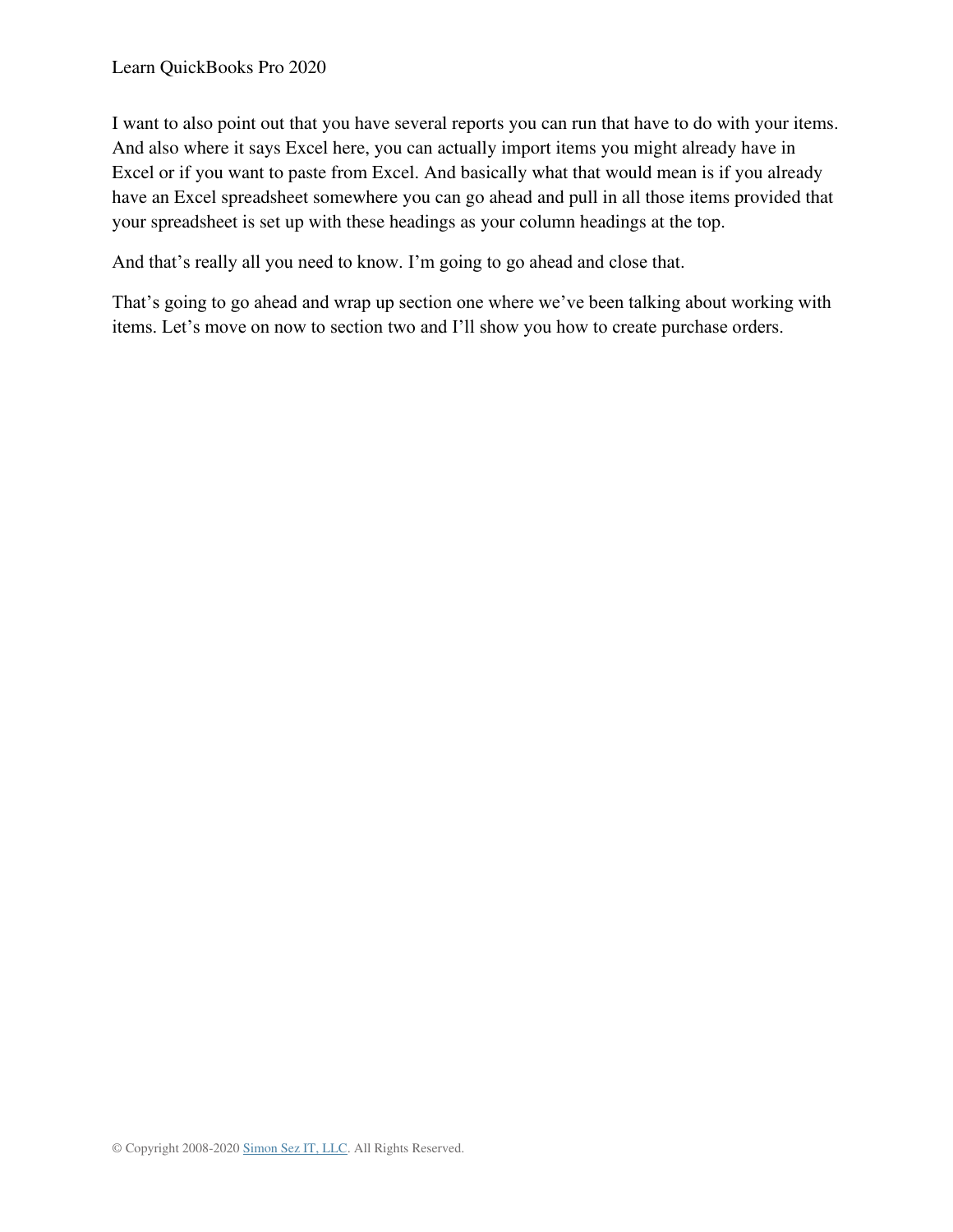I want to also point out that you have several reports you can run that have to do with your items. And also where it says Excel here, you can actually import items you might already have in Excel or if you want to paste from Excel. And basically what that would mean is if you already have an Excel spreadsheet somewhere you can go ahead and pull in all those items provided that your spreadsheet is set up with these headings as your column headings at the top.

And that's really all you need to know. I'm going to go ahead and close that.

That's going to go ahead and wrap up section one where we've been talking about working with items. Let's move on now to section two and I'll show you how to create purchase orders.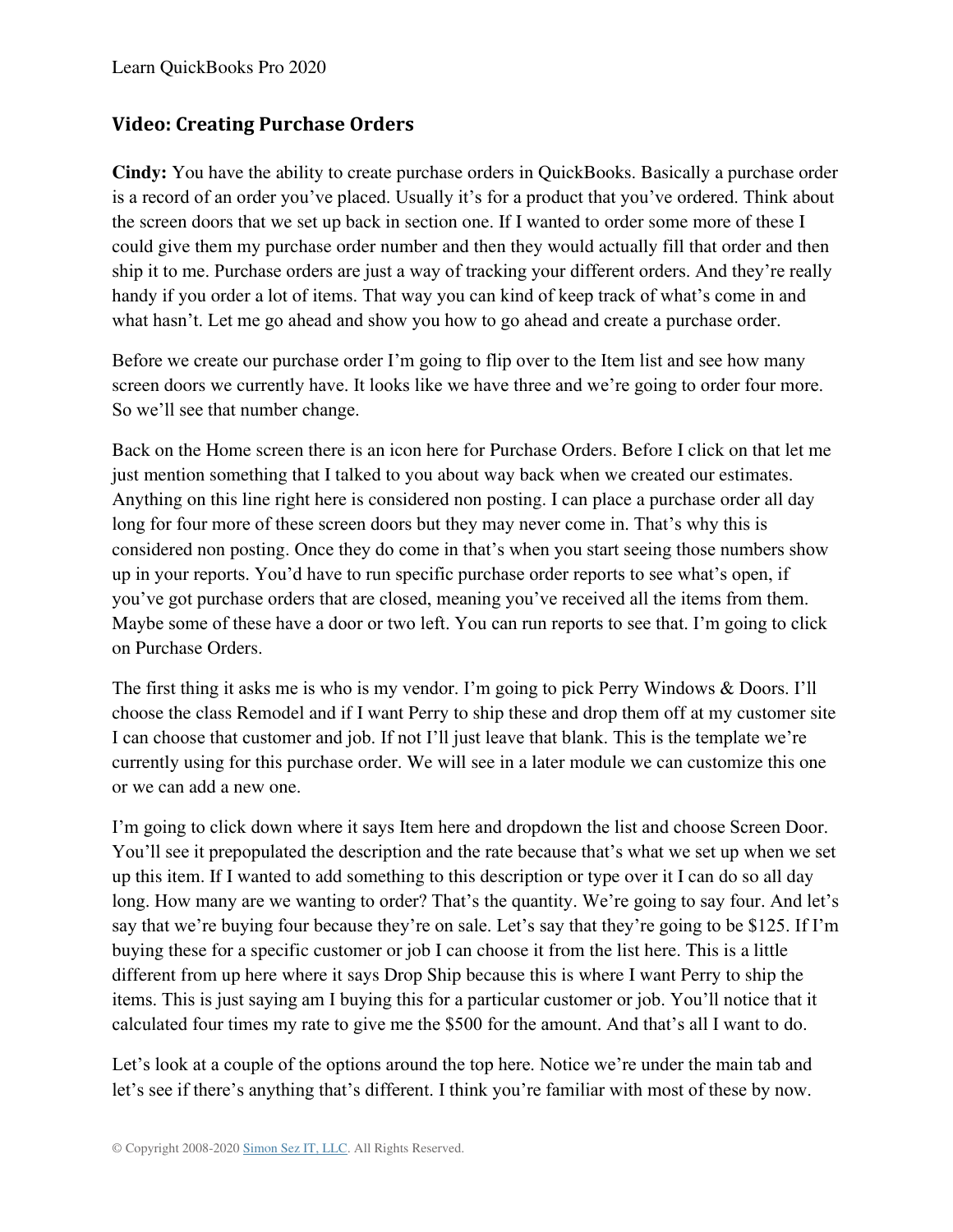### **Video: Creating Purchase Orders**

**Cindy:** You have the ability to create purchase orders in QuickBooks. Basically a purchase order is a record of an order you've placed. Usually it's for a product that you've ordered. Think about the screen doors that we set up back in section one. If I wanted to order some more of these I could give them my purchase order number and then they would actually fill that order and then ship it to me. Purchase orders are just a way of tracking your different orders. And they're really handy if you order a lot of items. That way you can kind of keep track of what's come in and what hasn't. Let me go ahead and show you how to go ahead and create a purchase order.

Before we create our purchase order I'm going to flip over to the Item list and see how many screen doors we currently have. It looks like we have three and we're going to order four more. So we'll see that number change.

Back on the Home screen there is an icon here for Purchase Orders. Before I click on that let me just mention something that I talked to you about way back when we created our estimates. Anything on this line right here is considered non posting. I can place a purchase order all day long for four more of these screen doors but they may never come in. That's why this is considered non posting. Once they do come in that's when you start seeing those numbers show up in your reports. You'd have to run specific purchase order reports to see what's open, if you've got purchase orders that are closed, meaning you've received all the items from them. Maybe some of these have a door or two left. You can run reports to see that. I'm going to click on Purchase Orders.

The first thing it asks me is who is my vendor. I'm going to pick Perry Windows & Doors. I'll choose the class Remodel and if I want Perry to ship these and drop them off at my customer site I can choose that customer and job. If not I'll just leave that blank. This is the template we're currently using for this purchase order. We will see in a later module we can customize this one or we can add a new one.

I'm going to click down where it says Item here and dropdown the list and choose Screen Door. You'll see it prepopulated the description and the rate because that's what we set up when we set up this item. If I wanted to add something to this description or type over it I can do so all day long. How many are we wanting to order? That's the quantity. We're going to say four. And let's say that we're buying four because they're on sale. Let's say that they're going to be \$125. If I'm buying these for a specific customer or job I can choose it from the list here. This is a little different from up here where it says Drop Ship because this is where I want Perry to ship the items. This is just saying am I buying this for a particular customer or job. You'll notice that it calculated four times my rate to give me the \$500 for the amount. And that's all I want to do.

Let's look at a couple of the options around the top here. Notice we're under the main tab and let's see if there's anything that's different. I think you're familiar with most of these by now.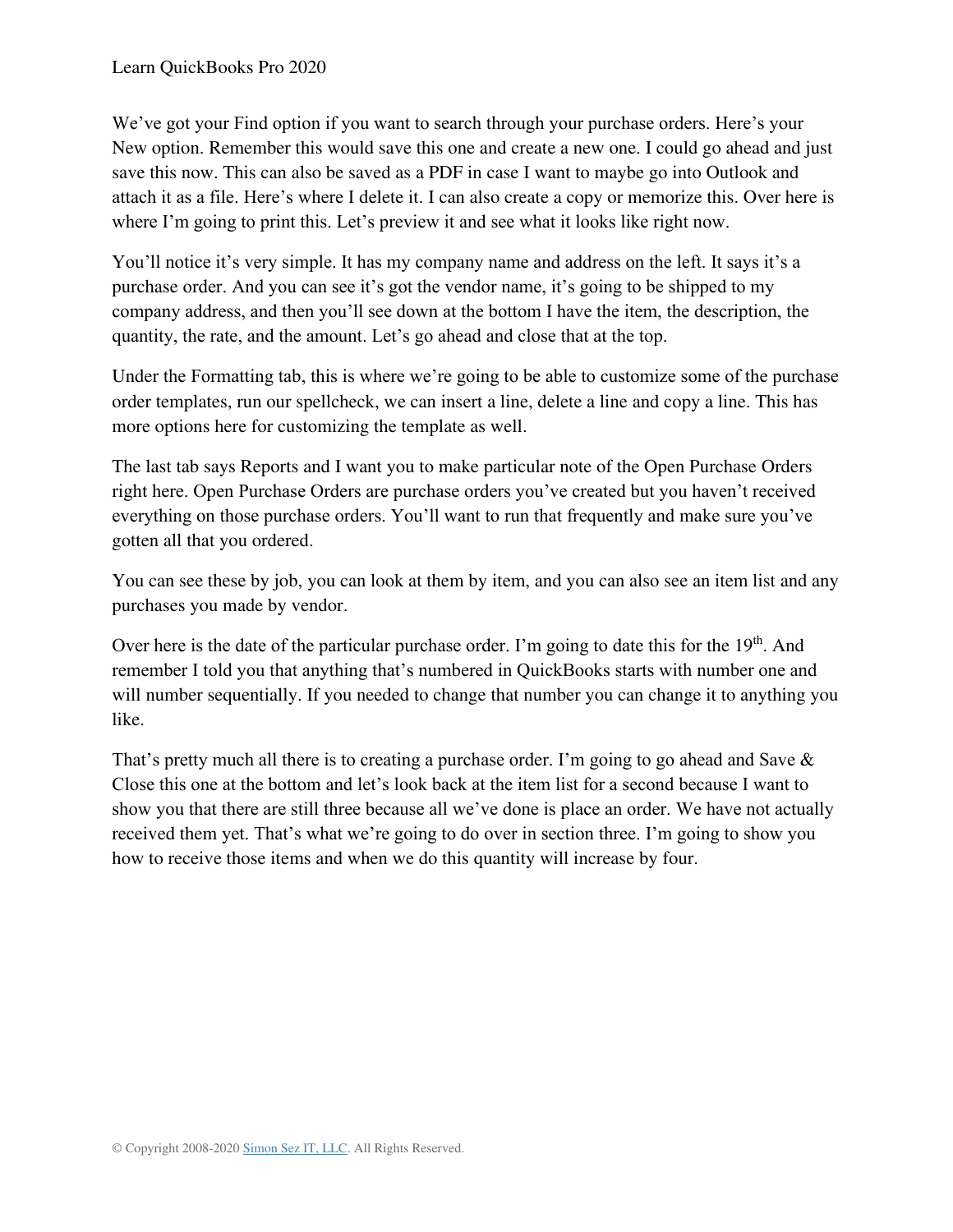We've got your Find option if you want to search through your purchase orders. Here's your New option. Remember this would save this one and create a new one. I could go ahead and just save this now. This can also be saved as a PDF in case I want to maybe go into Outlook and attach it as a file. Here's where I delete it. I can also create a copy or memorize this. Over here is where I'm going to print this. Let's preview it and see what it looks like right now.

You'll notice it's very simple. It has my company name and address on the left. It says it's a purchase order. And you can see it's got the vendor name, it's going to be shipped to my company address, and then you'll see down at the bottom I have the item, the description, the quantity, the rate, and the amount. Let's go ahead and close that at the top.

Under the Formatting tab, this is where we're going to be able to customize some of the purchase order templates, run our spellcheck, we can insert a line, delete a line and copy a line. This has more options here for customizing the template as well.

The last tab says Reports and I want you to make particular note of the Open Purchase Orders right here. Open Purchase Orders are purchase orders you've created but you haven't received everything on those purchase orders. You'll want to run that frequently and make sure you've gotten all that you ordered.

You can see these by job, you can look at them by item, and you can also see an item list and any purchases you made by vendor.

Over here is the date of the particular purchase order. I'm going to date this for the 19<sup>th</sup>. And remember I told you that anything that's numbered in QuickBooks starts with number one and will number sequentially. If you needed to change that number you can change it to anything you like.

That's pretty much all there is to creating a purchase order. I'm going to go ahead and Save & Close this one at the bottom and let's look back at the item list for a second because I want to show you that there are still three because all we've done is place an order. We have not actually received them yet. That's what we're going to do over in section three. I'm going to show you how to receive those items and when we do this quantity will increase by four.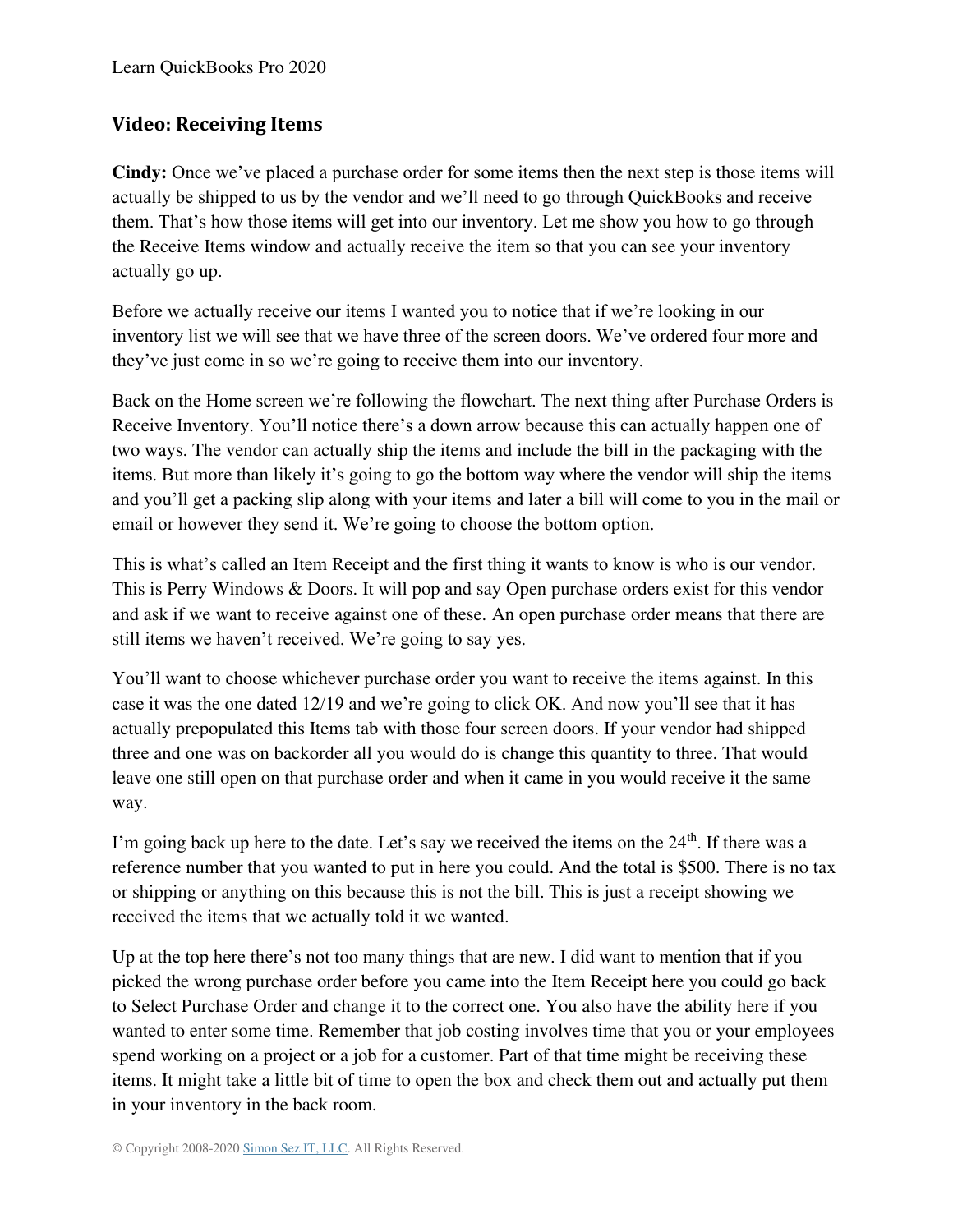## **Video: Receiving Items**

**Cindy:** Once we've placed a purchase order for some items then the next step is those items will actually be shipped to us by the vendor and we'll need to go through QuickBooks and receive them. That's how those items will get into our inventory. Let me show you how to go through the Receive Items window and actually receive the item so that you can see your inventory actually go up.

Before we actually receive our items I wanted you to notice that if we're looking in our inventory list we will see that we have three of the screen doors. We've ordered four more and they've just come in so we're going to receive them into our inventory.

Back on the Home screen we're following the flowchart. The next thing after Purchase Orders is Receive Inventory. You'll notice there's a down arrow because this can actually happen one of two ways. The vendor can actually ship the items and include the bill in the packaging with the items. But more than likely it's going to go the bottom way where the vendor will ship the items and you'll get a packing slip along with your items and later a bill will come to you in the mail or email or however they send it. We're going to choose the bottom option.

This is what's called an Item Receipt and the first thing it wants to know is who is our vendor. This is Perry Windows & Doors. It will pop and say Open purchase orders exist for this vendor and ask if we want to receive against one of these. An open purchase order means that there are still items we haven't received. We're going to say yes.

You'll want to choose whichever purchase order you want to receive the items against. In this case it was the one dated 12/19 and we're going to click OK. And now you'll see that it has actually prepopulated this Items tab with those four screen doors. If your vendor had shipped three and one was on backorder all you would do is change this quantity to three. That would leave one still open on that purchase order and when it came in you would receive it the same way.

I'm going back up here to the date. Let's say we received the items on the 24<sup>th</sup>. If there was a reference number that you wanted to put in here you could. And the total is \$500. There is no tax or shipping or anything on this because this is not the bill. This is just a receipt showing we received the items that we actually told it we wanted.

Up at the top here there's not too many things that are new. I did want to mention that if you picked the wrong purchase order before you came into the Item Receipt here you could go back to Select Purchase Order and change it to the correct one. You also have the ability here if you wanted to enter some time. Remember that job costing involves time that you or your employees spend working on a project or a job for a customer. Part of that time might be receiving these items. It might take a little bit of time to open the box and check them out and actually put them in your inventory in the back room.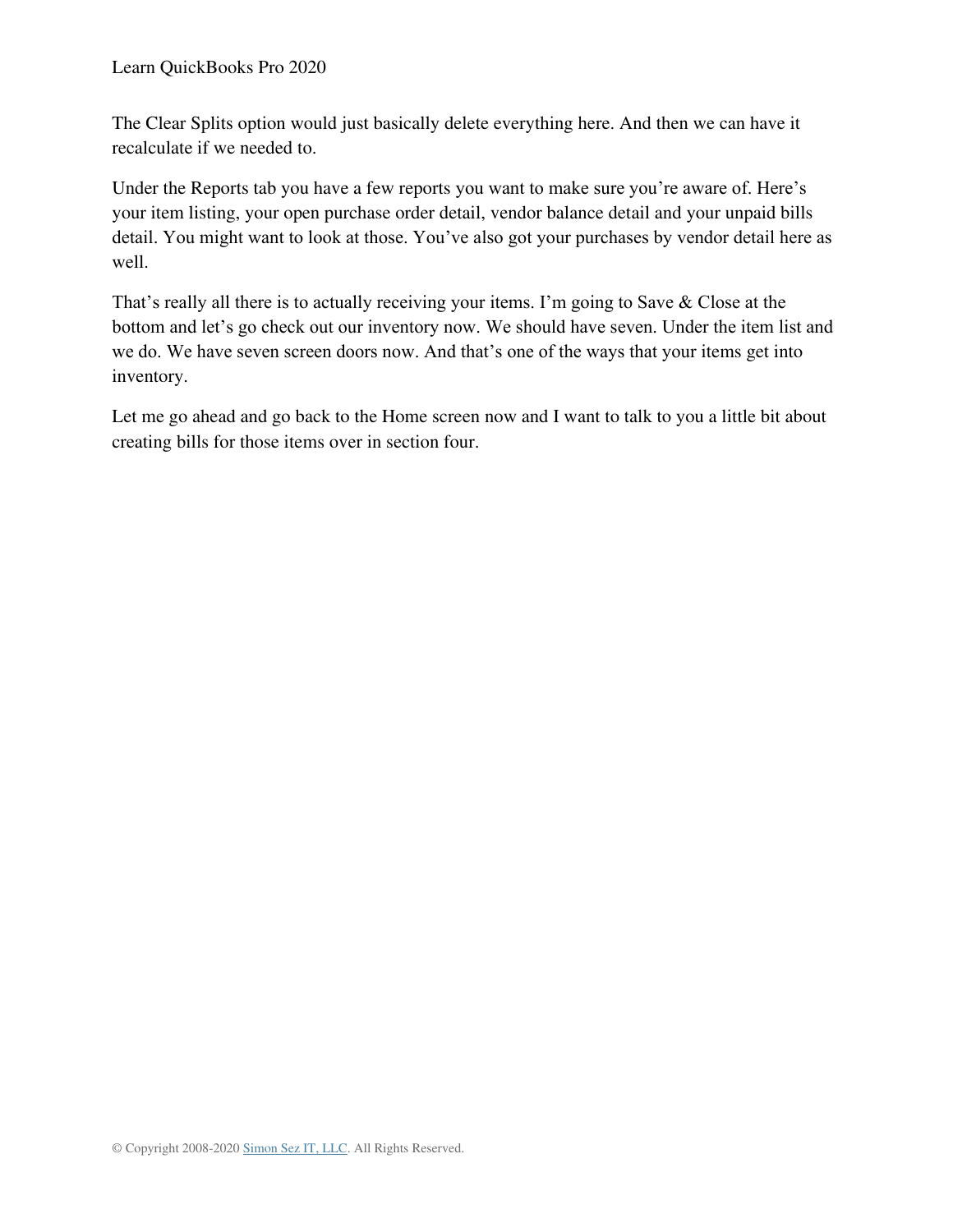The Clear Splits option would just basically delete everything here. And then we can have it recalculate if we needed to.

Under the Reports tab you have a few reports you want to make sure you're aware of. Here's your item listing, your open purchase order detail, vendor balance detail and your unpaid bills detail. You might want to look at those. You've also got your purchases by vendor detail here as well.

That's really all there is to actually receiving your items. I'm going to Save & Close at the bottom and let's go check out our inventory now. We should have seven. Under the item list and we do. We have seven screen doors now. And that's one of the ways that your items get into inventory.

Let me go ahead and go back to the Home screen now and I want to talk to you a little bit about creating bills for those items over in section four.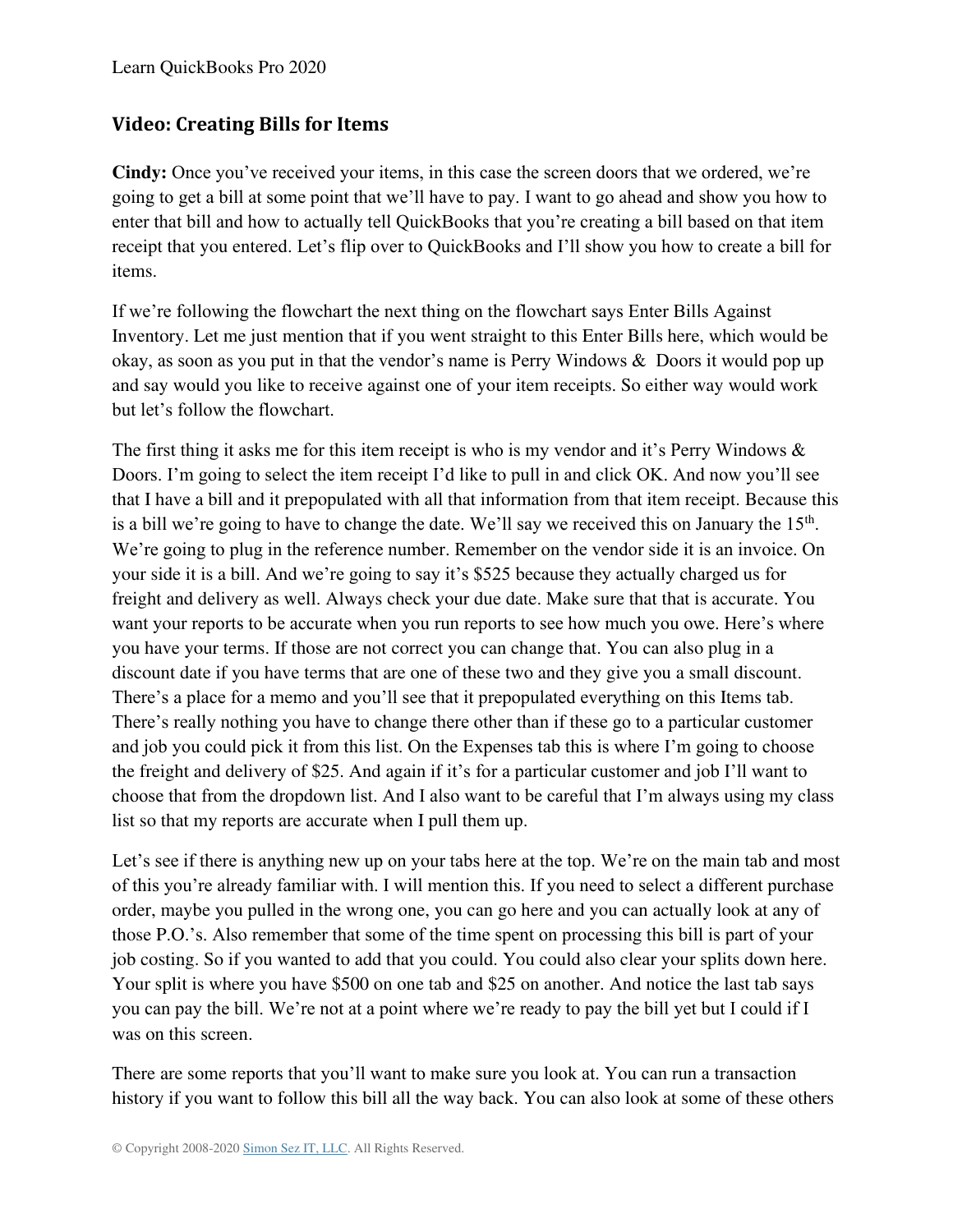## **Video: Creating Bills for Items**

**Cindy:** Once you've received your items, in this case the screen doors that we ordered, we're going to get a bill at some point that we'll have to pay. I want to go ahead and show you how to enter that bill and how to actually tell QuickBooks that you're creating a bill based on that item receipt that you entered. Let's flip over to QuickBooks and I'll show you how to create a bill for items.

If we're following the flowchart the next thing on the flowchart says Enter Bills Against Inventory. Let me just mention that if you went straight to this Enter Bills here, which would be okay, as soon as you put in that the vendor's name is Perry Windows & Doors it would pop up and say would you like to receive against one of your item receipts. So either way would work but let's follow the flowchart.

The first thing it asks me for this item receipt is who is my vendor and it's Perry Windows & Doors. I'm going to select the item receipt I'd like to pull in and click OK. And now you'll see that I have a bill and it prepopulated with all that information from that item receipt. Because this is a bill we're going to have to change the date. We'll say we received this on January the  $15<sup>th</sup>$ . We're going to plug in the reference number. Remember on the vendor side it is an invoice. On your side it is a bill. And we're going to say it's \$525 because they actually charged us for freight and delivery as well. Always check your due date. Make sure that that is accurate. You want your reports to be accurate when you run reports to see how much you owe. Here's where you have your terms. If those are not correct you can change that. You can also plug in a discount date if you have terms that are one of these two and they give you a small discount. There's a place for a memo and you'll see that it prepopulated everything on this Items tab. There's really nothing you have to change there other than if these go to a particular customer and job you could pick it from this list. On the Expenses tab this is where I'm going to choose the freight and delivery of \$25. And again if it's for a particular customer and job I'll want to choose that from the dropdown list. And I also want to be careful that I'm always using my class list so that my reports are accurate when I pull them up.

Let's see if there is anything new up on your tabs here at the top. We're on the main tab and most of this you're already familiar with. I will mention this. If you need to select a different purchase order, maybe you pulled in the wrong one, you can go here and you can actually look at any of those P.O.'s. Also remember that some of the time spent on processing this bill is part of your job costing. So if you wanted to add that you could. You could also clear your splits down here. Your split is where you have \$500 on one tab and \$25 on another. And notice the last tab says you can pay the bill. We're not at a point where we're ready to pay the bill yet but I could if I was on this screen.

There are some reports that you'll want to make sure you look at. You can run a transaction history if you want to follow this bill all the way back. You can also look at some of these others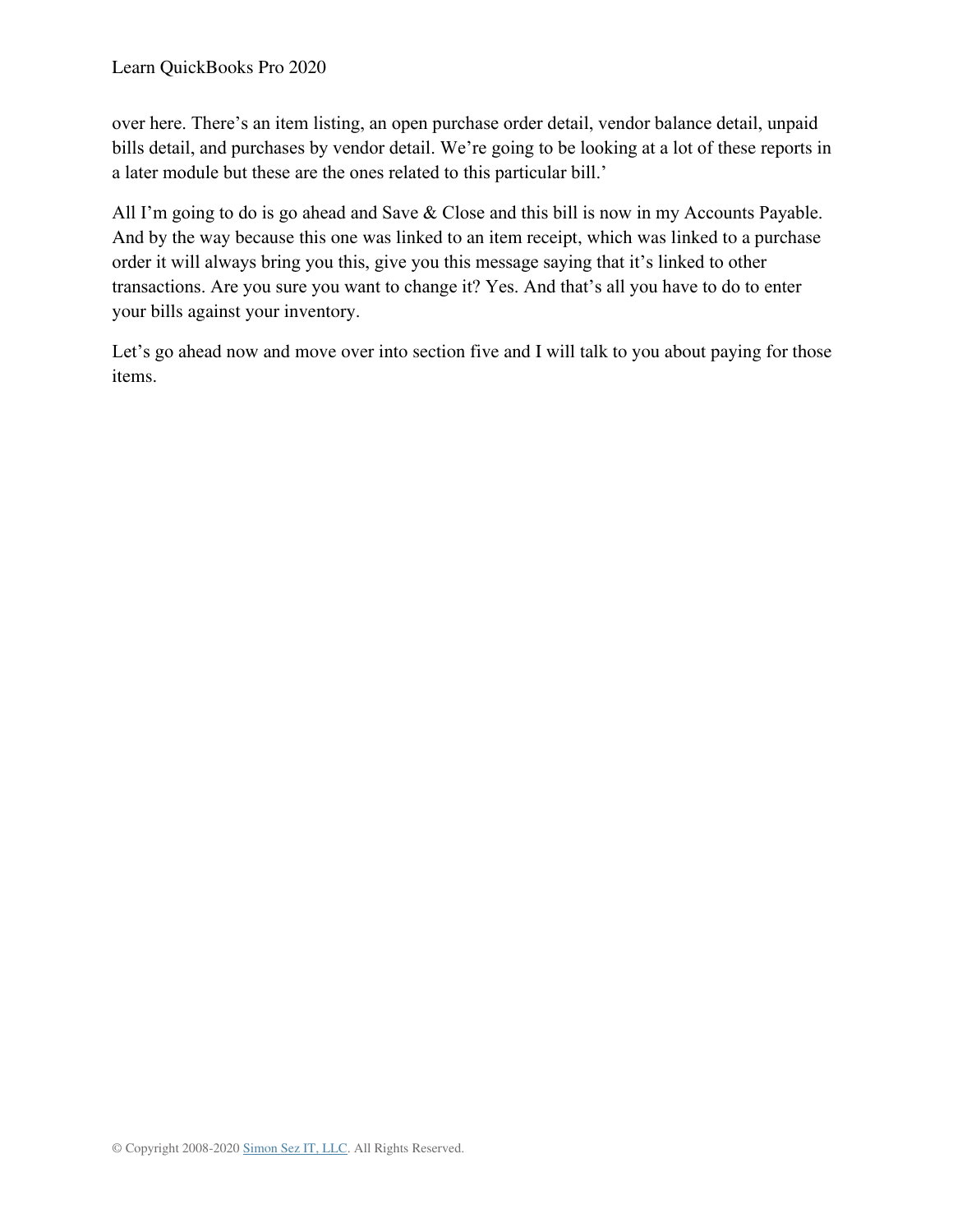over here. There's an item listing, an open purchase order detail, vendor balance detail, unpaid bills detail, and purchases by vendor detail. We're going to be looking at a lot of these reports in a later module but these are the ones related to this particular bill.'

All I'm going to do is go ahead and Save & Close and this bill is now in my Accounts Payable. And by the way because this one was linked to an item receipt, which was linked to a purchase order it will always bring you this, give you this message saying that it's linked to other transactions. Are you sure you want to change it? Yes. And that's all you have to do to enter your bills against your inventory.

Let's go ahead now and move over into section five and I will talk to you about paying for those items.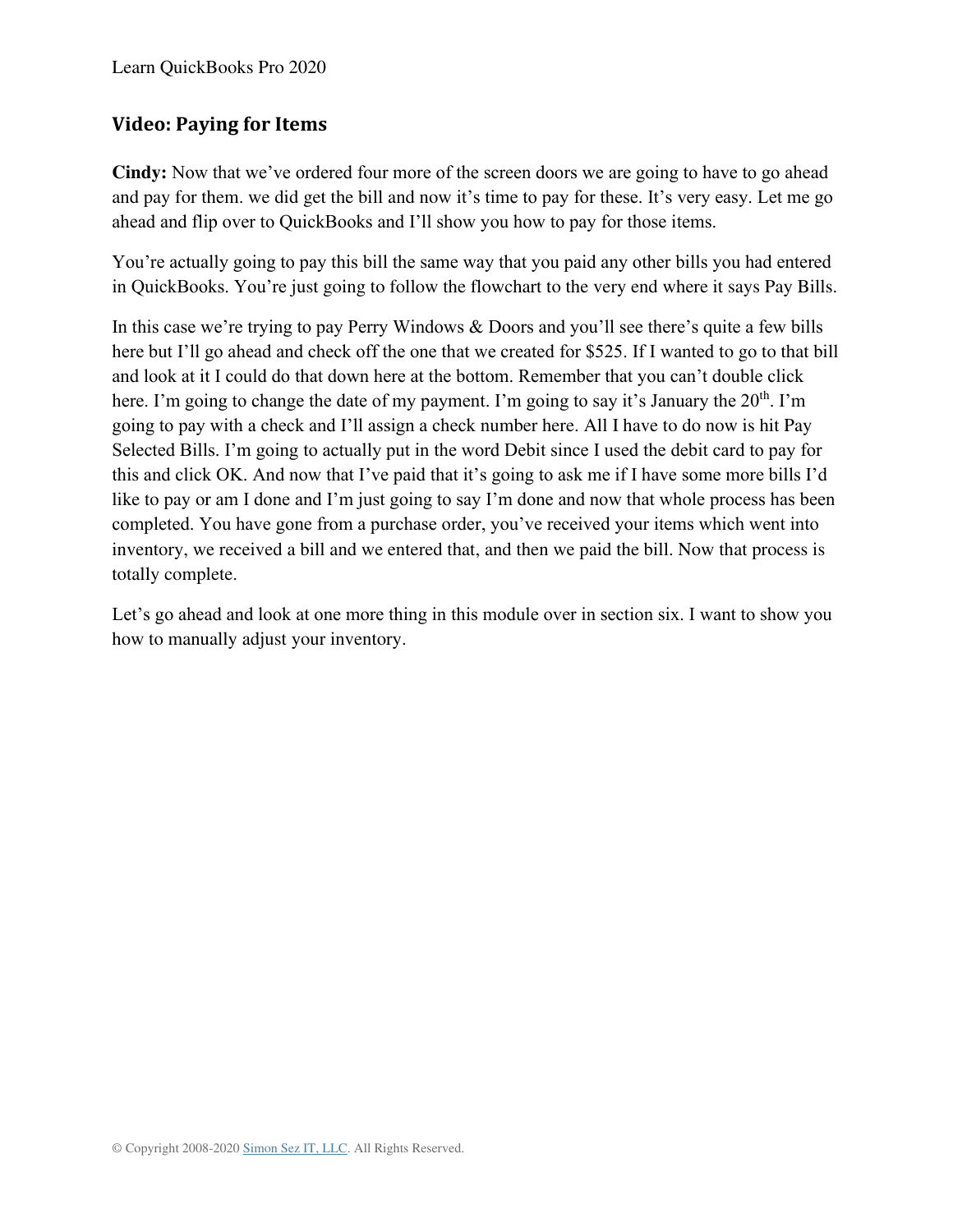#### **Video: Paying for Items**

**Cindy:** Now that we've ordered four more of the screen doors we are going to have to go ahead and pay for them. we did get the bill and now it's time to pay for these. It's very easy. Let me go ahead and flip over to QuickBooks and I'll show you how to pay for those items.

You're actually going to pay this bill the same way that you paid any other bills you had entered in QuickBooks. You're just going to follow the flowchart to the very end where it says Pay Bills.

In this case we're trying to pay Perry Windows & Doors and you'll see there's quite a few bills here but I'll go ahead and check off the one that we created for \$525. If I wanted to go to that bill and look at it I could do that down here at the bottom. Remember that you can't double click here. I'm going to change the date of my payment. I'm going to say it's January the  $20<sup>th</sup>$ . I'm going to pay with a check and I'll assign a check number here. All I have to do now is hit Pay Selected Bills. I'm going to actually put in the word Debit since I used the debit card to pay for this and click OK. And now that I've paid that it's going to ask me if I have some more bills I'd like to pay or am I done and I'm just going to say I'm done and now that whole process has been completed. You have gone from a purchase order, you've received your items which went into inventory, we received a bill and we entered that, and then we paid the bill. Now that process is totally complete.

Let's go ahead and look at one more thing in this module over in section six. I want to show you how to manually adjust your inventory.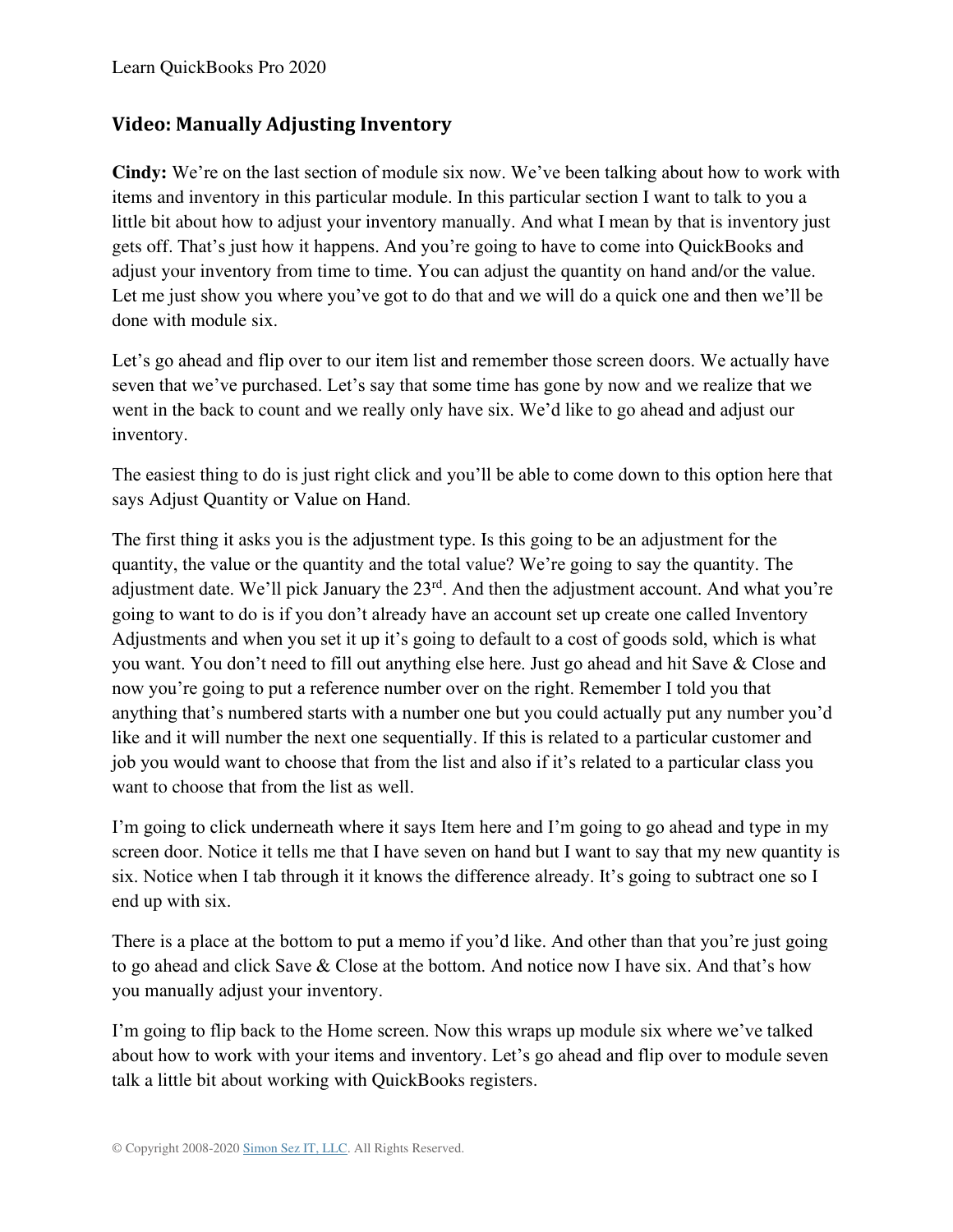#### **Video: Manually Adjusting Inventory**

**Cindy:** We're on the last section of module six now. We've been talking about how to work with items and inventory in this particular module. In this particular section I want to talk to you a little bit about how to adjust your inventory manually. And what I mean by that is inventory just gets off. That's just how it happens. And you're going to have to come into QuickBooks and adjust your inventory from time to time. You can adjust the quantity on hand and/or the value. Let me just show you where you've got to do that and we will do a quick one and then we'll be done with module six.

Let's go ahead and flip over to our item list and remember those screen doors. We actually have seven that we've purchased. Let's say that some time has gone by now and we realize that we went in the back to count and we really only have six. We'd like to go ahead and adjust our inventory.

The easiest thing to do is just right click and you'll be able to come down to this option here that says Adjust Quantity or Value on Hand.

The first thing it asks you is the adjustment type. Is this going to be an adjustment for the quantity, the value or the quantity and the total value? We're going to say the quantity. The adjustment date. We'll pick January the 23<sup>rd</sup>. And then the adjustment account. And what you're going to want to do is if you don't already have an account set up create one called Inventory Adjustments and when you set it up it's going to default to a cost of goods sold, which is what you want. You don't need to fill out anything else here. Just go ahead and hit Save & Close and now you're going to put a reference number over on the right. Remember I told you that anything that's numbered starts with a number one but you could actually put any number you'd like and it will number the next one sequentially. If this is related to a particular customer and job you would want to choose that from the list and also if it's related to a particular class you want to choose that from the list as well.

I'm going to click underneath where it says Item here and I'm going to go ahead and type in my screen door. Notice it tells me that I have seven on hand but I want to say that my new quantity is six. Notice when I tab through it it knows the difference already. It's going to subtract one so I end up with six.

There is a place at the bottom to put a memo if you'd like. And other than that you're just going to go ahead and click Save & Close at the bottom. And notice now I have six. And that's how you manually adjust your inventory.

I'm going to flip back to the Home screen. Now this wraps up module six where we've talked about how to work with your items and inventory. Let's go ahead and flip over to module seven talk a little bit about working with QuickBooks registers.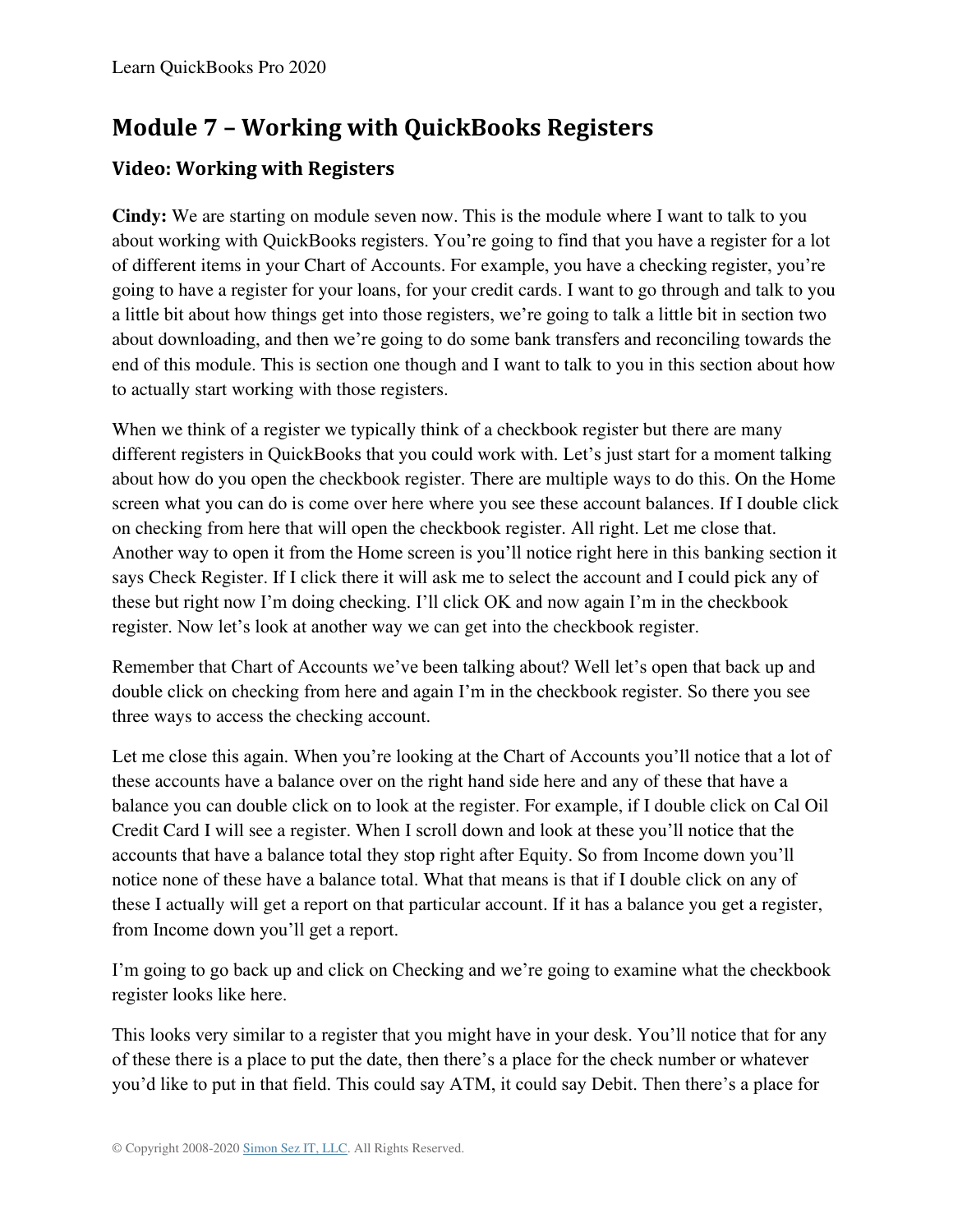# **Module 7 – Working with QuickBooks Registers**

## **Video: Working with Registers**

**Cindy:** We are starting on module seven now. This is the module where I want to talk to you about working with QuickBooks registers. You're going to find that you have a register for a lot of different items in your Chart of Accounts. For example, you have a checking register, you're going to have a register for your loans, for your credit cards. I want to go through and talk to you a little bit about how things get into those registers, we're going to talk a little bit in section two about downloading, and then we're going to do some bank transfers and reconciling towards the end of this module. This is section one though and I want to talk to you in this section about how to actually start working with those registers.

When we think of a register we typically think of a checkbook register but there are many different registers in QuickBooks that you could work with. Let's just start for a moment talking about how do you open the checkbook register. There are multiple ways to do this. On the Home screen what you can do is come over here where you see these account balances. If I double click on checking from here that will open the checkbook register. All right. Let me close that. Another way to open it from the Home screen is you'll notice right here in this banking section it says Check Register. If I click there it will ask me to select the account and I could pick any of these but right now I'm doing checking. I'll click OK and now again I'm in the checkbook register. Now let's look at another way we can get into the checkbook register.

Remember that Chart of Accounts we've been talking about? Well let's open that back up and double click on checking from here and again I'm in the checkbook register. So there you see three ways to access the checking account.

Let me close this again. When you're looking at the Chart of Accounts you'll notice that a lot of these accounts have a balance over on the right hand side here and any of these that have a balance you can double click on to look at the register. For example, if I double click on Cal Oil Credit Card I will see a register. When I scroll down and look at these you'll notice that the accounts that have a balance total they stop right after Equity. So from Income down you'll notice none of these have a balance total. What that means is that if I double click on any of these I actually will get a report on that particular account. If it has a balance you get a register, from Income down you'll get a report.

I'm going to go back up and click on Checking and we're going to examine what the checkbook register looks like here.

This looks very similar to a register that you might have in your desk. You'll notice that for any of these there is a place to put the date, then there's a place for the check number or whatever you'd like to put in that field. This could say ATM, it could say Debit. Then there's a place for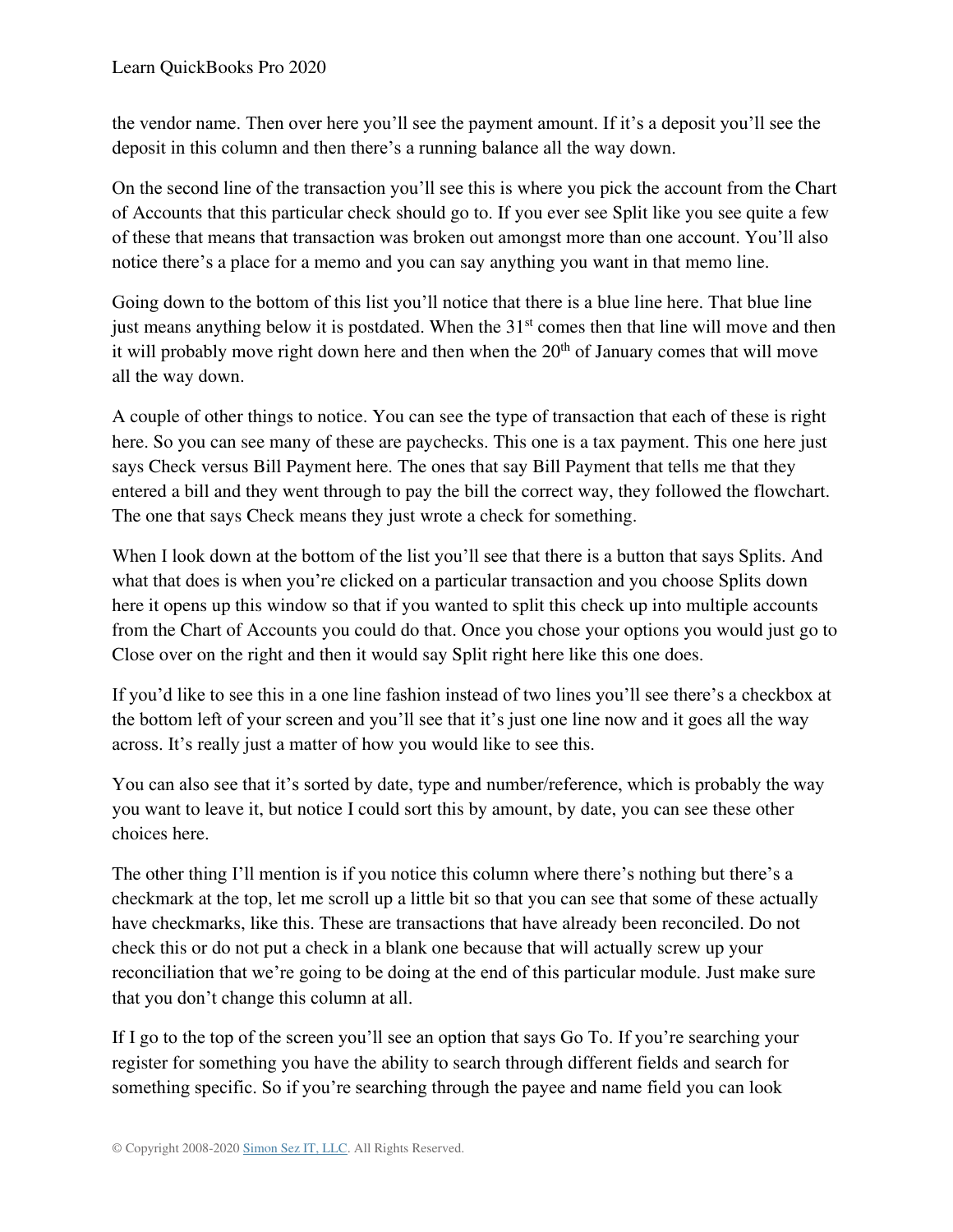the vendor name. Then over here you'll see the payment amount. If it's a deposit you'll see the deposit in this column and then there's a running balance all the way down.

On the second line of the transaction you'll see this is where you pick the account from the Chart of Accounts that this particular check should go to. If you ever see Split like you see quite a few of these that means that transaction was broken out amongst more than one account. You'll also notice there's a place for a memo and you can say anything you want in that memo line.

Going down to the bottom of this list you'll notice that there is a blue line here. That blue line just means anything below it is postdated. When the  $31<sup>st</sup>$  comes then that line will move and then it will probably move right down here and then when the  $20<sup>th</sup>$  of January comes that will move all the way down.

A couple of other things to notice. You can see the type of transaction that each of these is right here. So you can see many of these are paychecks. This one is a tax payment. This one here just says Check versus Bill Payment here. The ones that say Bill Payment that tells me that they entered a bill and they went through to pay the bill the correct way, they followed the flowchart. The one that says Check means they just wrote a check for something.

When I look down at the bottom of the list you'll see that there is a button that says Splits. And what that does is when you're clicked on a particular transaction and you choose Splits down here it opens up this window so that if you wanted to split this check up into multiple accounts from the Chart of Accounts you could do that. Once you chose your options you would just go to Close over on the right and then it would say Split right here like this one does.

If you'd like to see this in a one line fashion instead of two lines you'll see there's a checkbox at the bottom left of your screen and you'll see that it's just one line now and it goes all the way across. It's really just a matter of how you would like to see this.

You can also see that it's sorted by date, type and number/reference, which is probably the way you want to leave it, but notice I could sort this by amount, by date, you can see these other choices here.

The other thing I'll mention is if you notice this column where there's nothing but there's a checkmark at the top, let me scroll up a little bit so that you can see that some of these actually have checkmarks, like this. These are transactions that have already been reconciled. Do not check this or do not put a check in a blank one because that will actually screw up your reconciliation that we're going to be doing at the end of this particular module. Just make sure that you don't change this column at all.

If I go to the top of the screen you'll see an option that says Go To. If you're searching your register for something you have the ability to search through different fields and search for something specific. So if you're searching through the payee and name field you can look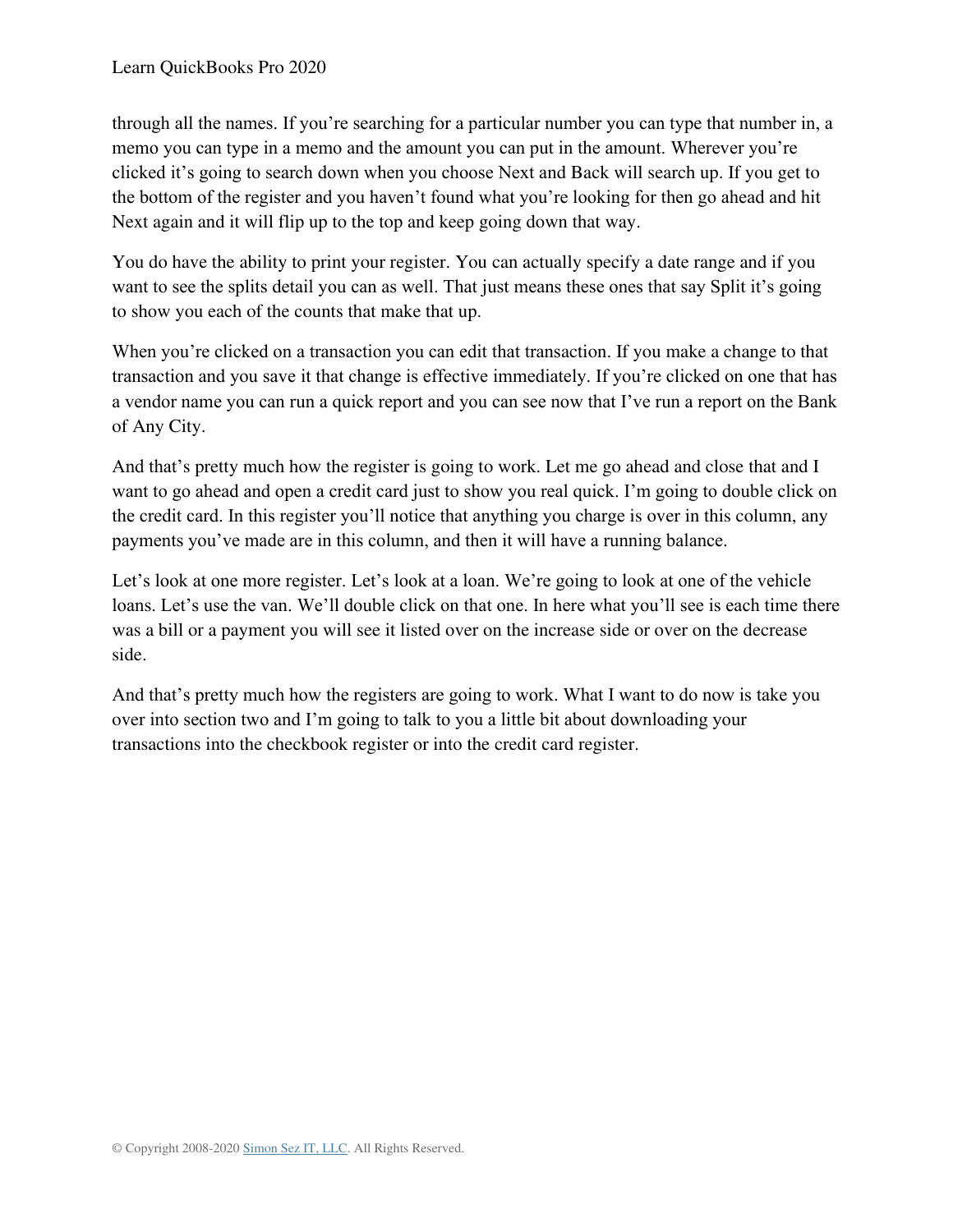through all the names. If you're searching for a particular number you can type that number in, a memo you can type in a memo and the amount you can put in the amount. Wherever you're clicked it's going to search down when you choose Next and Back will search up. If you get to the bottom of the register and you haven't found what you're looking for then go ahead and hit Next again and it will flip up to the top and keep going down that way.

You do have the ability to print your register. You can actually specify a date range and if you want to see the splits detail you can as well. That just means these ones that say Split it's going to show you each of the counts that make that up.

When you're clicked on a transaction you can edit that transaction. If you make a change to that transaction and you save it that change is effective immediately. If you're clicked on one that has a vendor name you can run a quick report and you can see now that I've run a report on the Bank of Any City.

And that's pretty much how the register is going to work. Let me go ahead and close that and I want to go ahead and open a credit card just to show you real quick. I'm going to double click on the credit card. In this register you'll notice that anything you charge is over in this column, any payments you've made are in this column, and then it will have a running balance.

Let's look at one more register. Let's look at a loan. We're going to look at one of the vehicle loans. Let's use the van. We'll double click on that one. In here what you'll see is each time there was a bill or a payment you will see it listed over on the increase side or over on the decrease side.

And that's pretty much how the registers are going to work. What I want to do now is take you over into section two and I'm going to talk to you a little bit about downloading your transactions into the checkbook register or into the credit card register.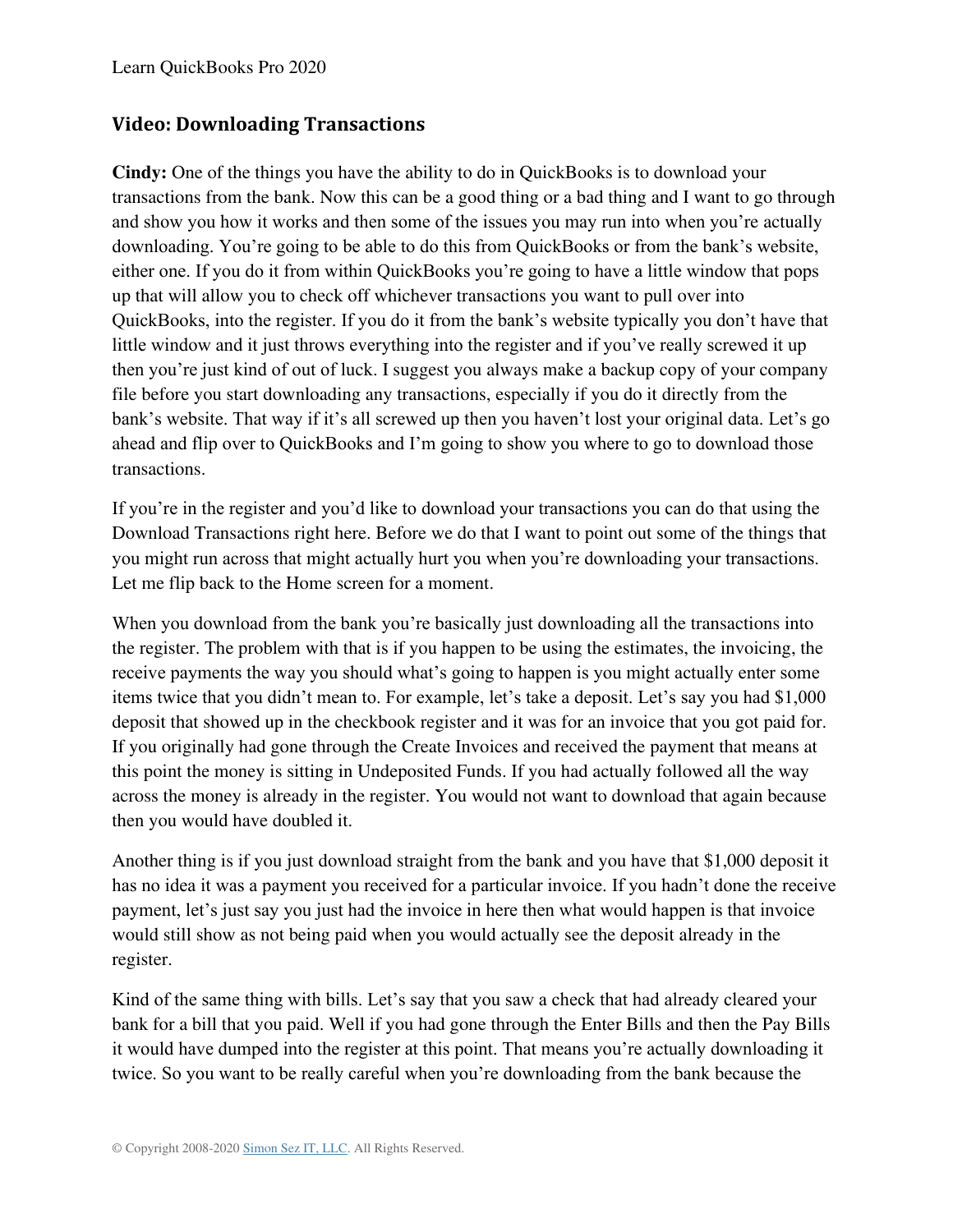#### **Video: Downloading Transactions**

**Cindy:** One of the things you have the ability to do in QuickBooks is to download your transactions from the bank. Now this can be a good thing or a bad thing and I want to go through and show you how it works and then some of the issues you may run into when you're actually downloading. You're going to be able to do this from QuickBooks or from the bank's website, either one. If you do it from within QuickBooks you're going to have a little window that pops up that will allow you to check off whichever transactions you want to pull over into QuickBooks, into the register. If you do it from the bank's website typically you don't have that little window and it just throws everything into the register and if you've really screwed it up then you're just kind of out of luck. I suggest you always make a backup copy of your company file before you start downloading any transactions, especially if you do it directly from the bank's website. That way if it's all screwed up then you haven't lost your original data. Let's go ahead and flip over to QuickBooks and I'm going to show you where to go to download those transactions.

If you're in the register and you'd like to download your transactions you can do that using the Download Transactions right here. Before we do that I want to point out some of the things that you might run across that might actually hurt you when you're downloading your transactions. Let me flip back to the Home screen for a moment.

When you download from the bank you're basically just downloading all the transactions into the register. The problem with that is if you happen to be using the estimates, the invoicing, the receive payments the way you should what's going to happen is you might actually enter some items twice that you didn't mean to. For example, let's take a deposit. Let's say you had \$1,000 deposit that showed up in the checkbook register and it was for an invoice that you got paid for. If you originally had gone through the Create Invoices and received the payment that means at this point the money is sitting in Undeposited Funds. If you had actually followed all the way across the money is already in the register. You would not want to download that again because then you would have doubled it.

Another thing is if you just download straight from the bank and you have that \$1,000 deposit it has no idea it was a payment you received for a particular invoice. If you hadn't done the receive payment, let's just say you just had the invoice in here then what would happen is that invoice would still show as not being paid when you would actually see the deposit already in the register.

Kind of the same thing with bills. Let's say that you saw a check that had already cleared your bank for a bill that you paid. Well if you had gone through the Enter Bills and then the Pay Bills it would have dumped into the register at this point. That means you're actually downloading it twice. So you want to be really careful when you're downloading from the bank because the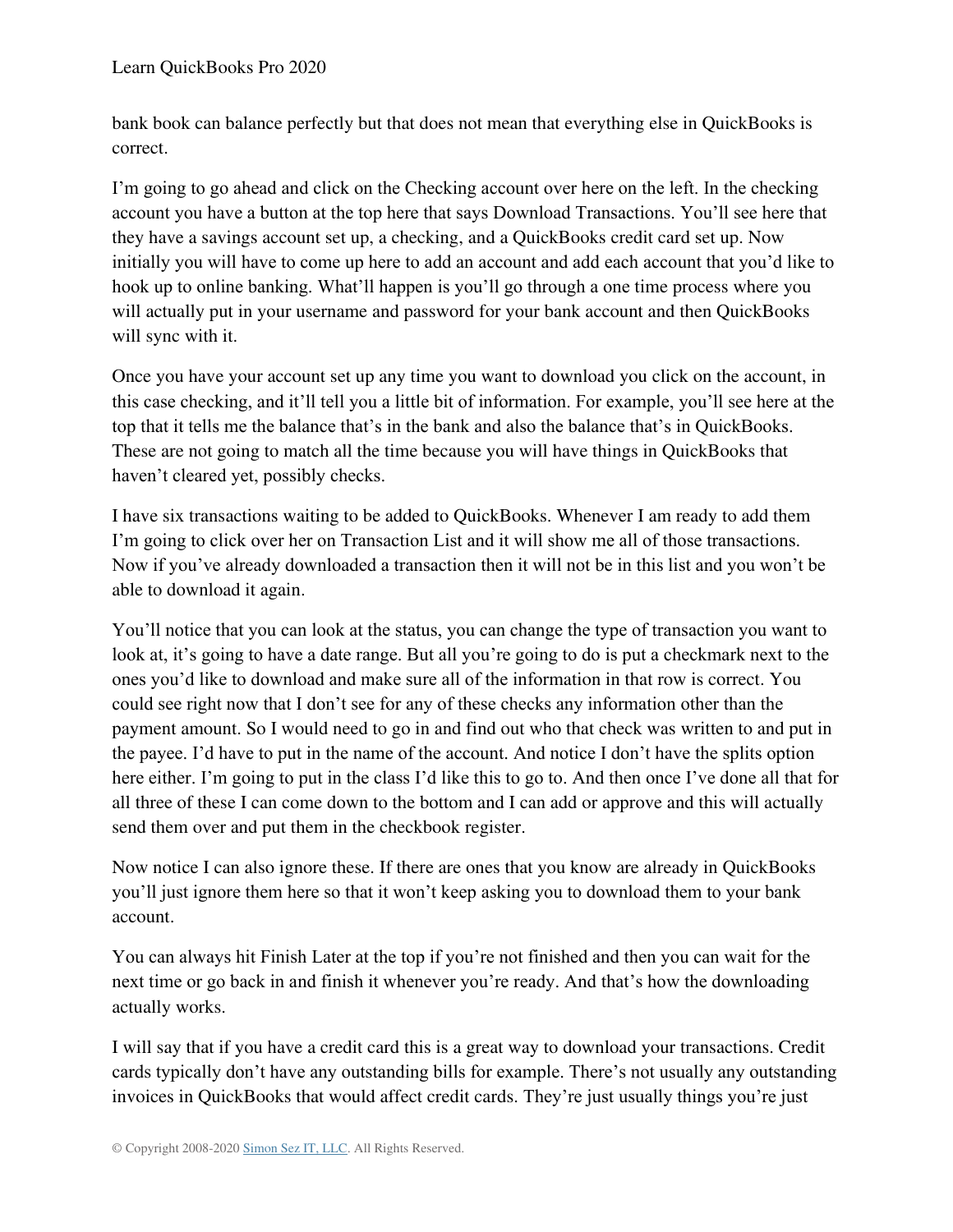bank book can balance perfectly but that does not mean that everything else in QuickBooks is correct.

I'm going to go ahead and click on the Checking account over here on the left. In the checking account you have a button at the top here that says Download Transactions. You'll see here that they have a savings account set up, a checking, and a QuickBooks credit card set up. Now initially you will have to come up here to add an account and add each account that you'd like to hook up to online banking. What'll happen is you'll go through a one time process where you will actually put in your username and password for your bank account and then QuickBooks will sync with it.

Once you have your account set up any time you want to download you click on the account, in this case checking, and it'll tell you a little bit of information. For example, you'll see here at the top that it tells me the balance that's in the bank and also the balance that's in QuickBooks. These are not going to match all the time because you will have things in QuickBooks that haven't cleared yet, possibly checks.

I have six transactions waiting to be added to QuickBooks. Whenever I am ready to add them I'm going to click over her on Transaction List and it will show me all of those transactions. Now if you've already downloaded a transaction then it will not be in this list and you won't be able to download it again.

You'll notice that you can look at the status, you can change the type of transaction you want to look at, it's going to have a date range. But all you're going to do is put a checkmark next to the ones you'd like to download and make sure all of the information in that row is correct. You could see right now that I don't see for any of these checks any information other than the payment amount. So I would need to go in and find out who that check was written to and put in the payee. I'd have to put in the name of the account. And notice I don't have the splits option here either. I'm going to put in the class I'd like this to go to. And then once I've done all that for all three of these I can come down to the bottom and I can add or approve and this will actually send them over and put them in the checkbook register.

Now notice I can also ignore these. If there are ones that you know are already in QuickBooks you'll just ignore them here so that it won't keep asking you to download them to your bank account.

You can always hit Finish Later at the top if you're not finished and then you can wait for the next time or go back in and finish it whenever you're ready. And that's how the downloading actually works.

I will say that if you have a credit card this is a great way to download your transactions. Credit cards typically don't have any outstanding bills for example. There's not usually any outstanding invoices in QuickBooks that would affect credit cards. They're just usually things you're just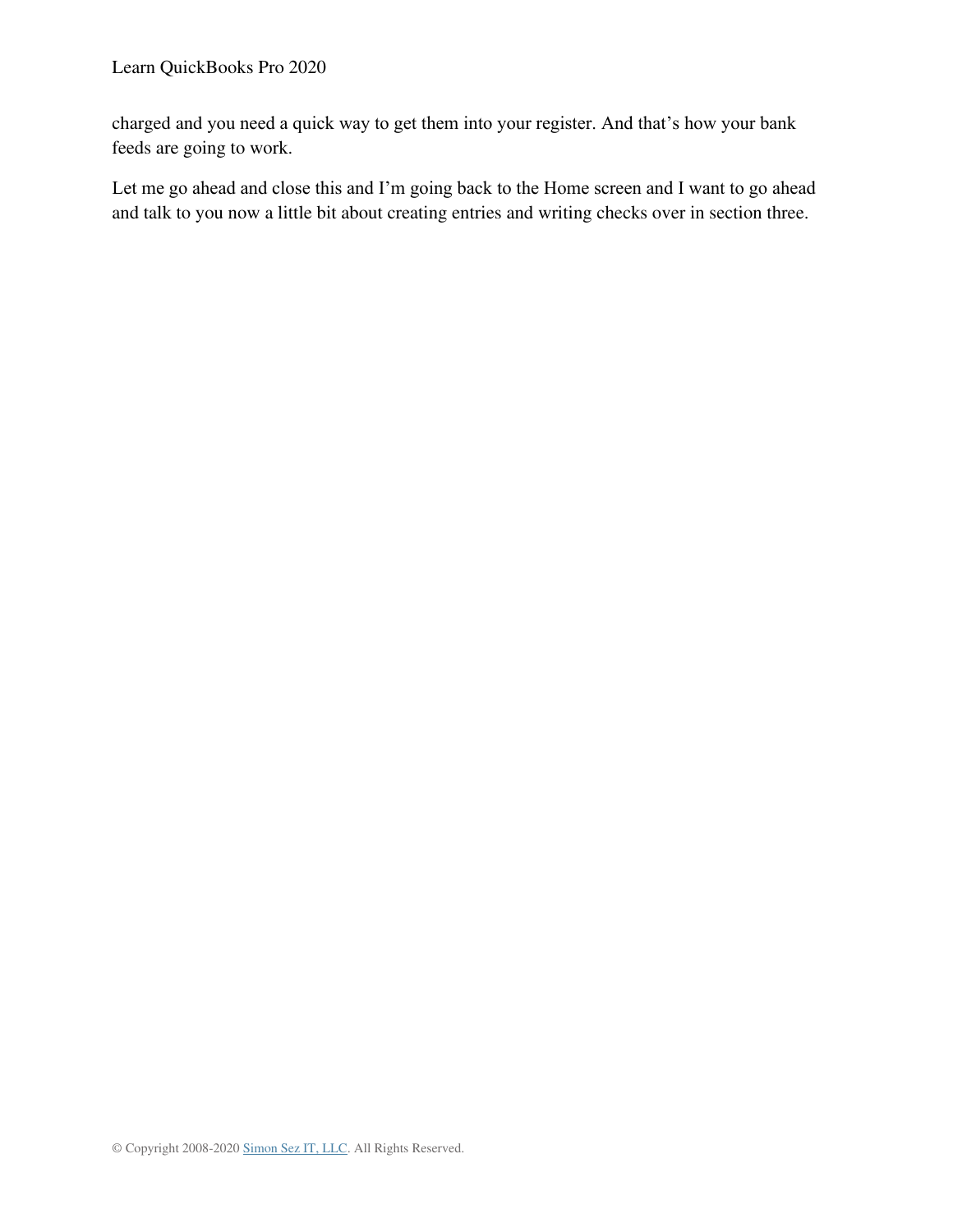charged and you need a quick way to get them into your register. And that's how your bank feeds are going to work.

Let me go ahead and close this and I'm going back to the Home screen and I want to go ahead and talk to you now a little bit about creating entries and writing checks over in section three.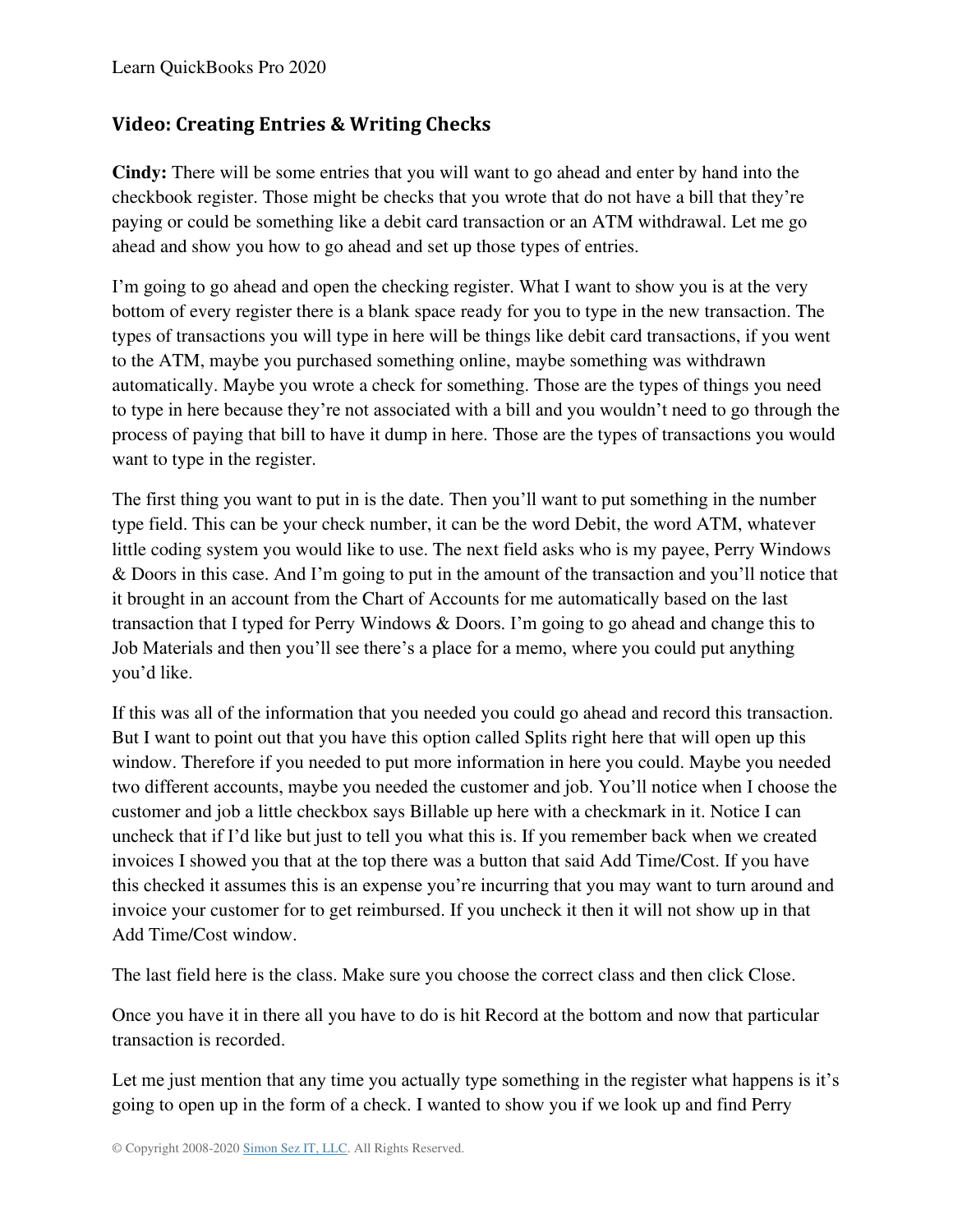## **Video: Creating Entries & Writing Checks**

**Cindy:** There will be some entries that you will want to go ahead and enter by hand into the checkbook register. Those might be checks that you wrote that do not have a bill that they're paying or could be something like a debit card transaction or an ATM withdrawal. Let me go ahead and show you how to go ahead and set up those types of entries.

I'm going to go ahead and open the checking register. What I want to show you is at the very bottom of every register there is a blank space ready for you to type in the new transaction. The types of transactions you will type in here will be things like debit card transactions, if you went to the ATM, maybe you purchased something online, maybe something was withdrawn automatically. Maybe you wrote a check for something. Those are the types of things you need to type in here because they're not associated with a bill and you wouldn't need to go through the process of paying that bill to have it dump in here. Those are the types of transactions you would want to type in the register.

The first thing you want to put in is the date. Then you'll want to put something in the number type field. This can be your check number, it can be the word Debit, the word ATM, whatever little coding system you would like to use. The next field asks who is my payee, Perry Windows & Doors in this case. And I'm going to put in the amount of the transaction and you'll notice that it brought in an account from the Chart of Accounts for me automatically based on the last transaction that I typed for Perry Windows & Doors. I'm going to go ahead and change this to Job Materials and then you'll see there's a place for a memo, where you could put anything you'd like.

If this was all of the information that you needed you could go ahead and record this transaction. But I want to point out that you have this option called Splits right here that will open up this window. Therefore if you needed to put more information in here you could. Maybe you needed two different accounts, maybe you needed the customer and job. You'll notice when I choose the customer and job a little checkbox says Billable up here with a checkmark in it. Notice I can uncheck that if I'd like but just to tell you what this is. If you remember back when we created invoices I showed you that at the top there was a button that said Add Time/Cost. If you have this checked it assumes this is an expense you're incurring that you may want to turn around and invoice your customer for to get reimbursed. If you uncheck it then it will not show up in that Add Time/Cost window.

The last field here is the class. Make sure you choose the correct class and then click Close.

Once you have it in there all you have to do is hit Record at the bottom and now that particular transaction is recorded.

Let me just mention that any time you actually type something in the register what happens is it's going to open up in the form of a check. I wanted to show you if we look up and find Perry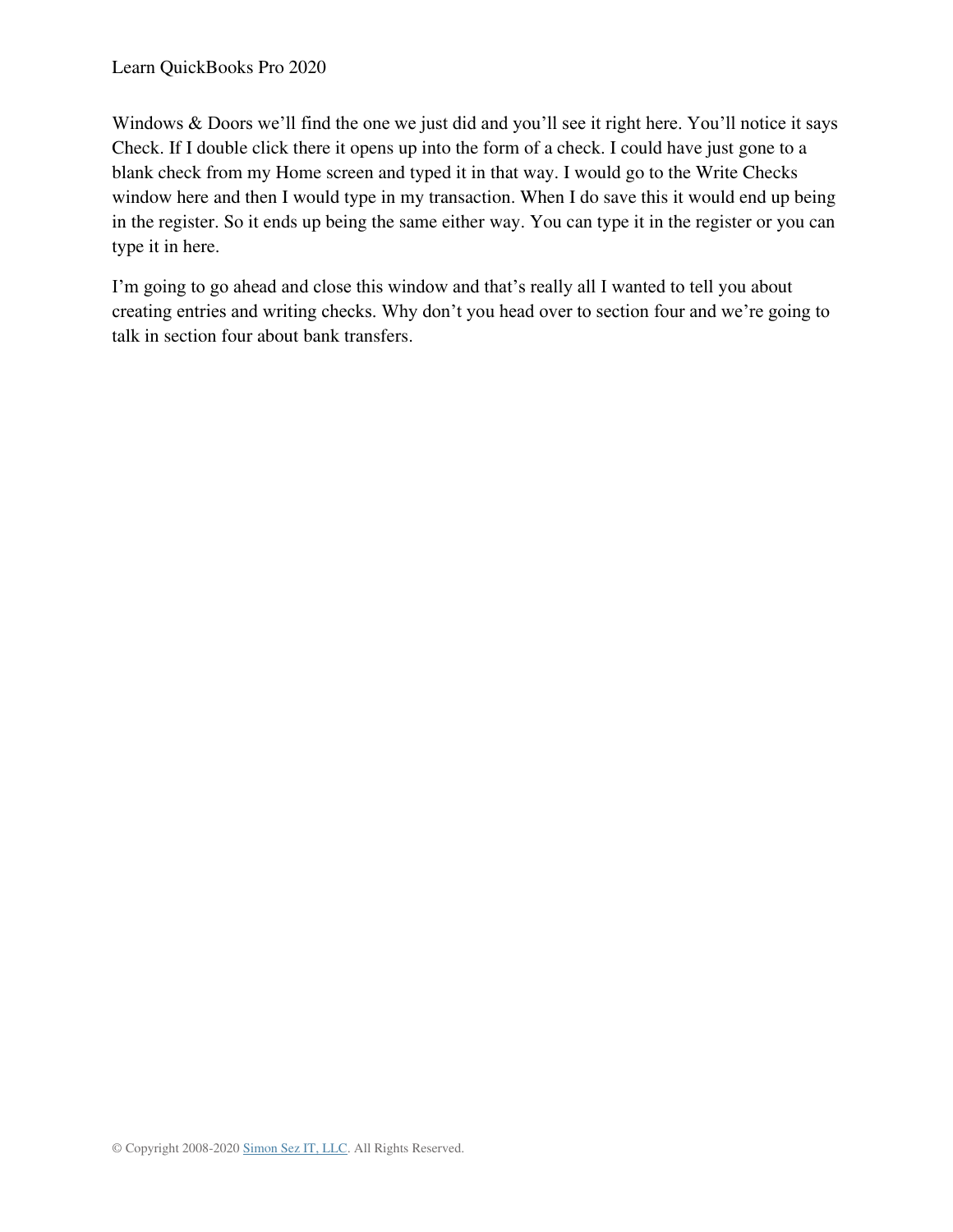Windows & Doors we'll find the one we just did and you'll see it right here. You'll notice it says Check. If I double click there it opens up into the form of a check. I could have just gone to a blank check from my Home screen and typed it in that way. I would go to the Write Checks window here and then I would type in my transaction. When I do save this it would end up being in the register. So it ends up being the same either way. You can type it in the register or you can type it in here.

I'm going to go ahead and close this window and that's really all I wanted to tell you about creating entries and writing checks. Why don't you head over to section four and we're going to talk in section four about bank transfers.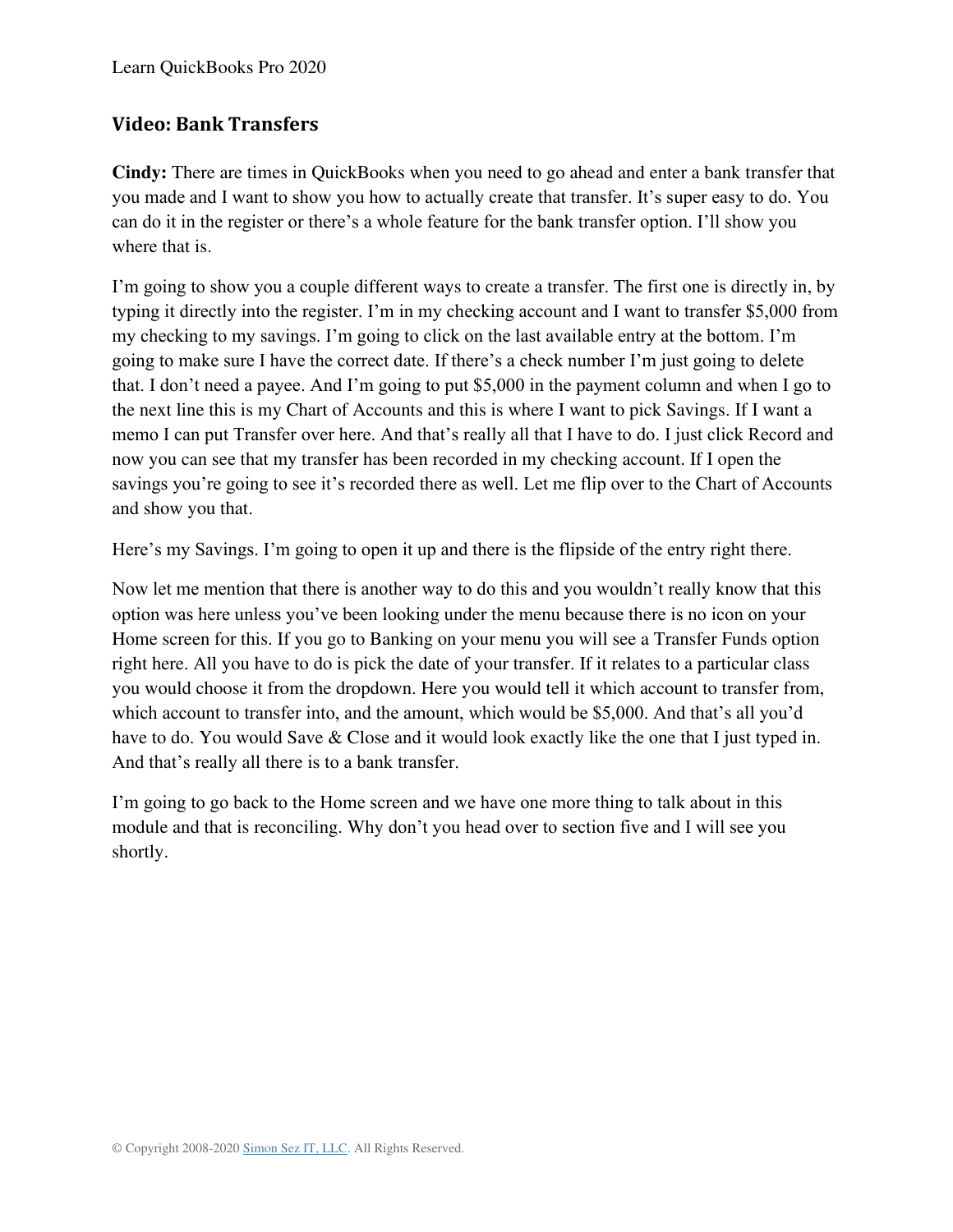#### **Video: Bank Transfers**

**Cindy:** There are times in QuickBooks when you need to go ahead and enter a bank transfer that you made and I want to show you how to actually create that transfer. It's super easy to do. You can do it in the register or there's a whole feature for the bank transfer option. I'll show you where that is.

I'm going to show you a couple different ways to create a transfer. The first one is directly in, by typing it directly into the register. I'm in my checking account and I want to transfer \$5,000 from my checking to my savings. I'm going to click on the last available entry at the bottom. I'm going to make sure I have the correct date. If there's a check number I'm just going to delete that. I don't need a payee. And I'm going to put \$5,000 in the payment column and when I go to the next line this is my Chart of Accounts and this is where I want to pick Savings. If I want a memo I can put Transfer over here. And that's really all that I have to do. I just click Record and now you can see that my transfer has been recorded in my checking account. If I open the savings you're going to see it's recorded there as well. Let me flip over to the Chart of Accounts and show you that.

Here's my Savings. I'm going to open it up and there is the flipside of the entry right there.

Now let me mention that there is another way to do this and you wouldn't really know that this option was here unless you've been looking under the menu because there is no icon on your Home screen for this. If you go to Banking on your menu you will see a Transfer Funds option right here. All you have to do is pick the date of your transfer. If it relates to a particular class you would choose it from the dropdown. Here you would tell it which account to transfer from, which account to transfer into, and the amount, which would be \$5,000. And that's all you'd have to do. You would Save & Close and it would look exactly like the one that I just typed in. And that's really all there is to a bank transfer.

I'm going to go back to the Home screen and we have one more thing to talk about in this module and that is reconciling. Why don't you head over to section five and I will see you shortly.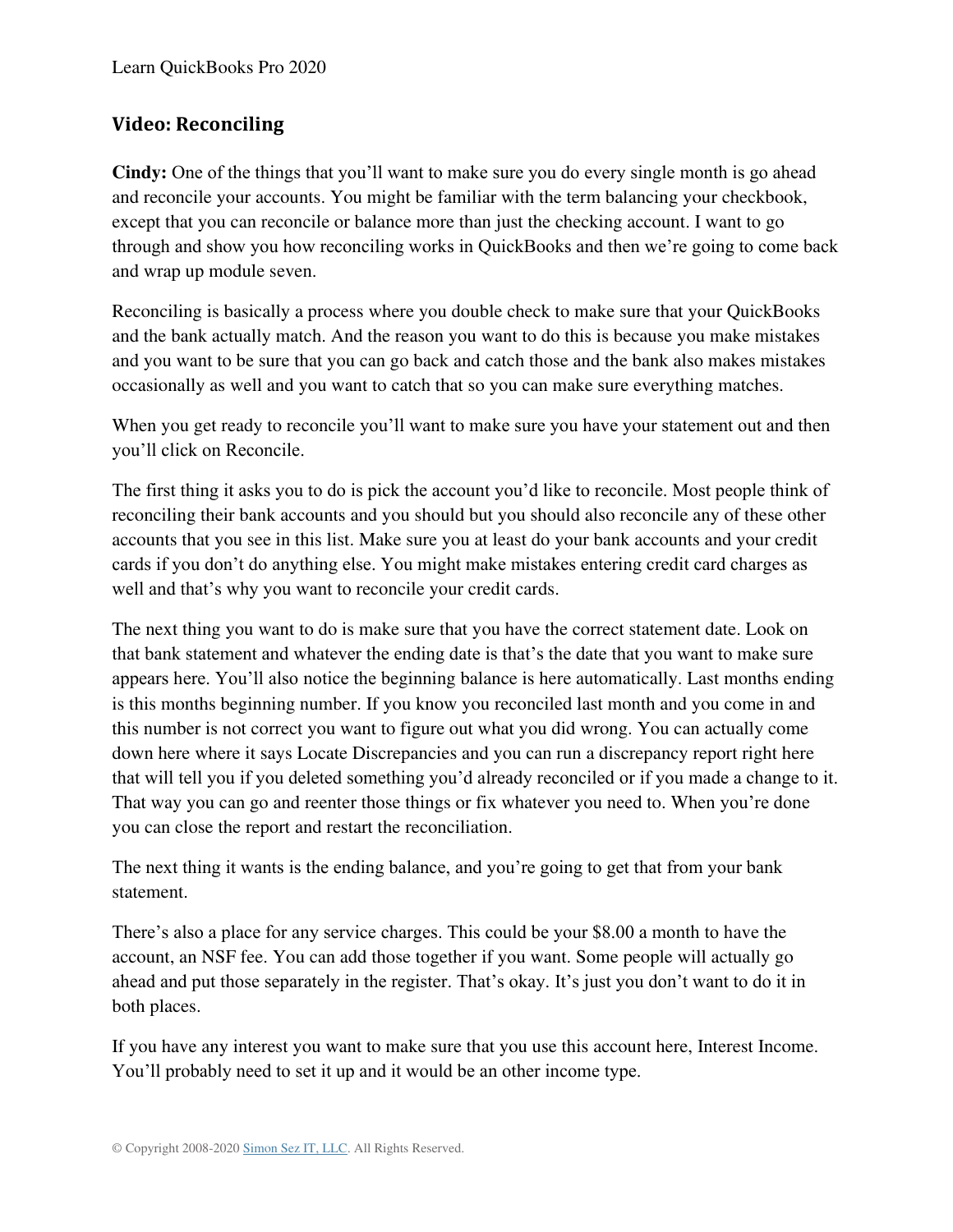#### **Video: Reconciling**

**Cindy:** One of the things that you'll want to make sure you do every single month is go ahead and reconcile your accounts. You might be familiar with the term balancing your checkbook, except that you can reconcile or balance more than just the checking account. I want to go through and show you how reconciling works in QuickBooks and then we're going to come back and wrap up module seven.

Reconciling is basically a process where you double check to make sure that your QuickBooks and the bank actually match. And the reason you want to do this is because you make mistakes and you want to be sure that you can go back and catch those and the bank also makes mistakes occasionally as well and you want to catch that so you can make sure everything matches.

When you get ready to reconcile you'll want to make sure you have your statement out and then you'll click on Reconcile.

The first thing it asks you to do is pick the account you'd like to reconcile. Most people think of reconciling their bank accounts and you should but you should also reconcile any of these other accounts that you see in this list. Make sure you at least do your bank accounts and your credit cards if you don't do anything else. You might make mistakes entering credit card charges as well and that's why you want to reconcile your credit cards.

The next thing you want to do is make sure that you have the correct statement date. Look on that bank statement and whatever the ending date is that's the date that you want to make sure appears here. You'll also notice the beginning balance is here automatically. Last months ending is this months beginning number. If you know you reconciled last month and you come in and this number is not correct you want to figure out what you did wrong. You can actually come down here where it says Locate Discrepancies and you can run a discrepancy report right here that will tell you if you deleted something you'd already reconciled or if you made a change to it. That way you can go and reenter those things or fix whatever you need to. When you're done you can close the report and restart the reconciliation.

The next thing it wants is the ending balance, and you're going to get that from your bank statement.

There's also a place for any service charges. This could be your \$8.00 a month to have the account, an NSF fee. You can add those together if you want. Some people will actually go ahead and put those separately in the register. That's okay. It's just you don't want to do it in both places.

If you have any interest you want to make sure that you use this account here, Interest Income. You'll probably need to set it up and it would be an other income type.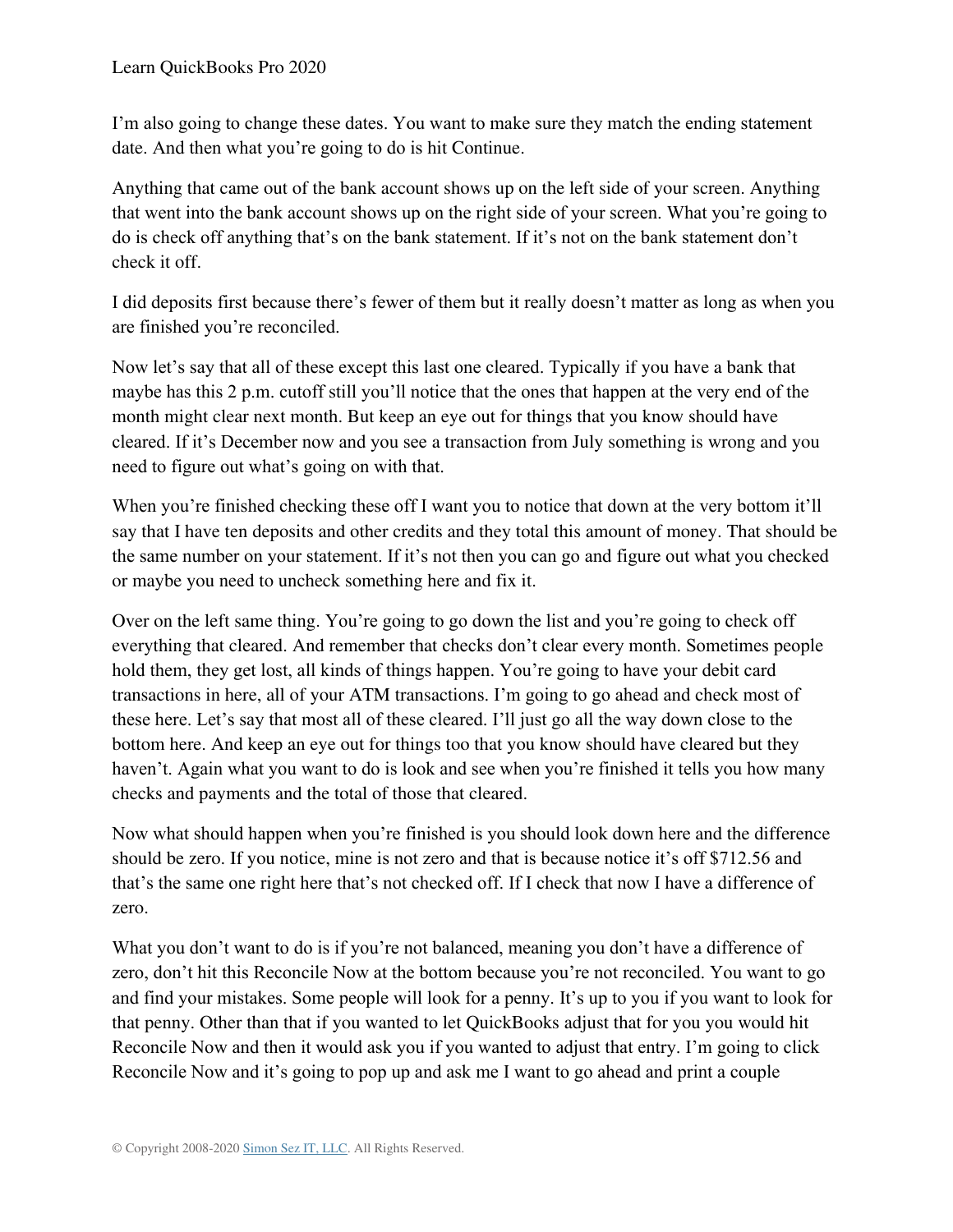I'm also going to change these dates. You want to make sure they match the ending statement date. And then what you're going to do is hit Continue.

Anything that came out of the bank account shows up on the left side of your screen. Anything that went into the bank account shows up on the right side of your screen. What you're going to do is check off anything that's on the bank statement. If it's not on the bank statement don't check it off.

I did deposits first because there's fewer of them but it really doesn't matter as long as when you are finished you're reconciled.

Now let's say that all of these except this last one cleared. Typically if you have a bank that maybe has this 2 p.m. cutoff still you'll notice that the ones that happen at the very end of the month might clear next month. But keep an eye out for things that you know should have cleared. If it's December now and you see a transaction from July something is wrong and you need to figure out what's going on with that.

When you're finished checking these off I want you to notice that down at the very bottom it'll say that I have ten deposits and other credits and they total this amount of money. That should be the same number on your statement. If it's not then you can go and figure out what you checked or maybe you need to uncheck something here and fix it.

Over on the left same thing. You're going to go down the list and you're going to check off everything that cleared. And remember that checks don't clear every month. Sometimes people hold them, they get lost, all kinds of things happen. You're going to have your debit card transactions in here, all of your ATM transactions. I'm going to go ahead and check most of these here. Let's say that most all of these cleared. I'll just go all the way down close to the bottom here. And keep an eye out for things too that you know should have cleared but they haven't. Again what you want to do is look and see when you're finished it tells you how many checks and payments and the total of those that cleared.

Now what should happen when you're finished is you should look down here and the difference should be zero. If you notice, mine is not zero and that is because notice it's off \$712.56 and that's the same one right here that's not checked off. If I check that now I have a difference of zero.

What you don't want to do is if you're not balanced, meaning you don't have a difference of zero, don't hit this Reconcile Now at the bottom because you're not reconciled. You want to go and find your mistakes. Some people will look for a penny. It's up to you if you want to look for that penny. Other than that if you wanted to let QuickBooks adjust that for you you would hit Reconcile Now and then it would ask you if you wanted to adjust that entry. I'm going to click Reconcile Now and it's going to pop up and ask me I want to go ahead and print a couple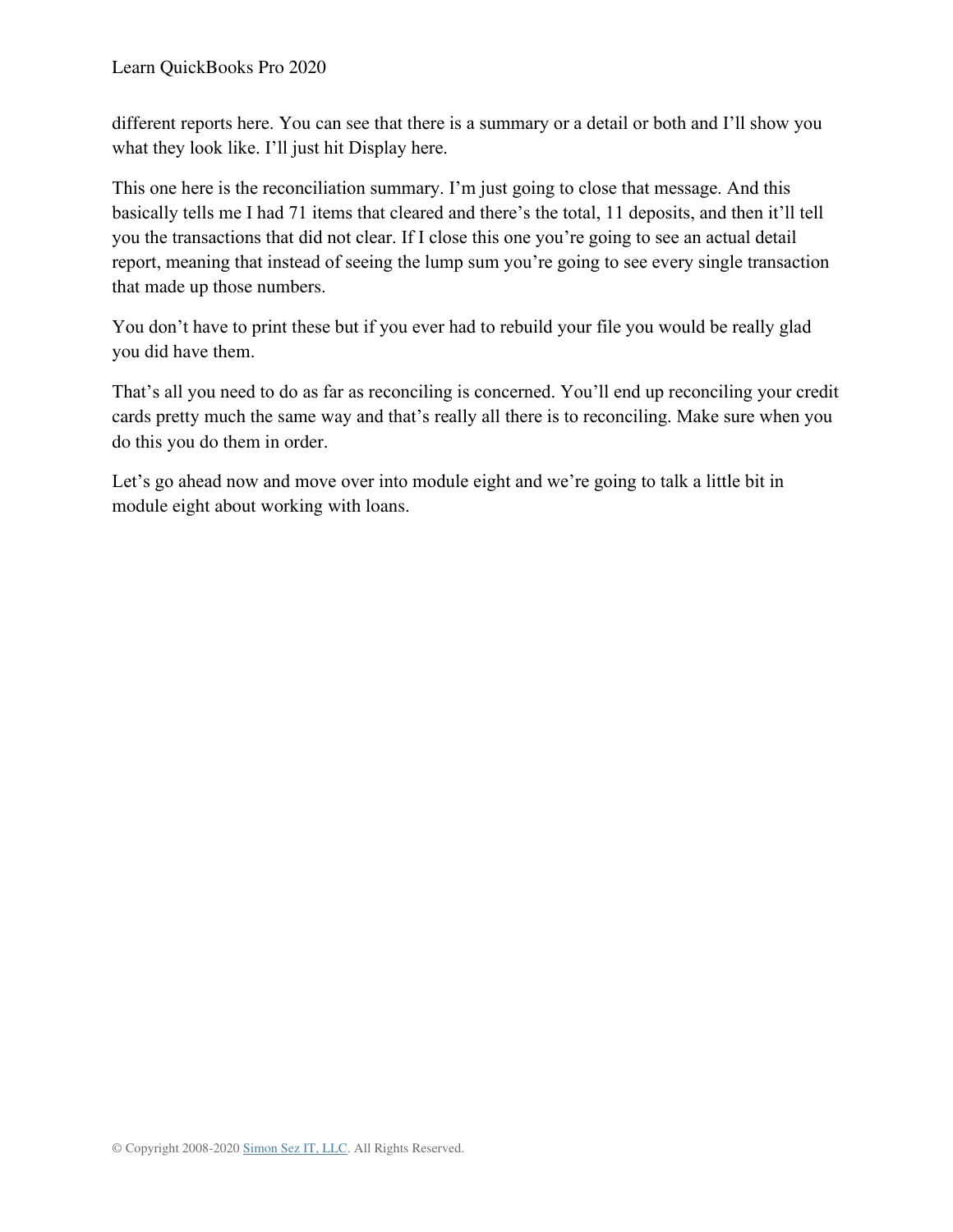different reports here. You can see that there is a summary or a detail or both and I'll show you what they look like. I'll just hit Display here.

This one here is the reconciliation summary. I'm just going to close that message. And this basically tells me I had 71 items that cleared and there's the total, 11 deposits, and then it'll tell you the transactions that did not clear. If I close this one you're going to see an actual detail report, meaning that instead of seeing the lump sum you're going to see every single transaction that made up those numbers.

You don't have to print these but if you ever had to rebuild your file you would be really glad you did have them.

That's all you need to do as far as reconciling is concerned. You'll end up reconciling your credit cards pretty much the same way and that's really all there is to reconciling. Make sure when you do this you do them in order.

Let's go ahead now and move over into module eight and we're going to talk a little bit in module eight about working with loans.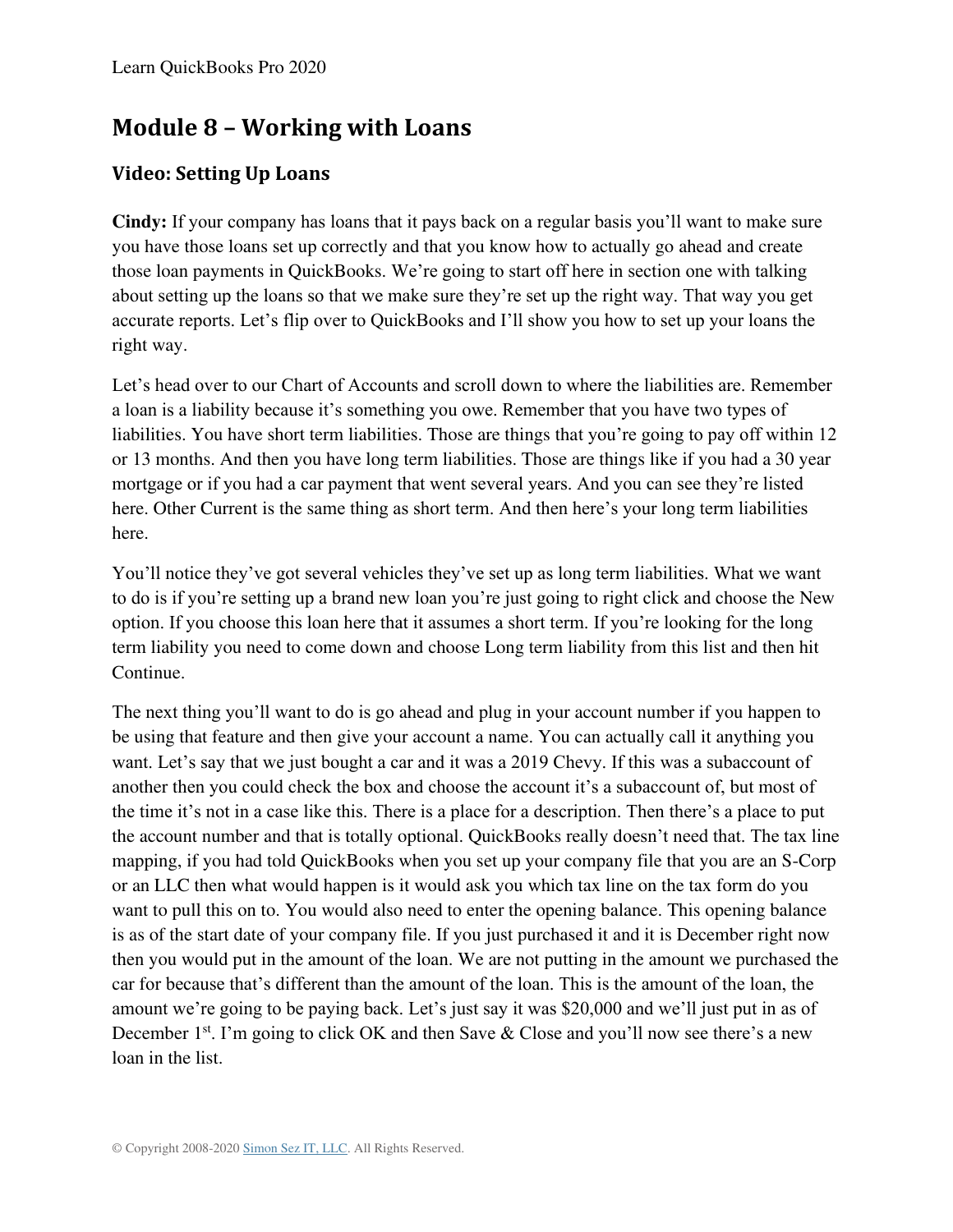## **Module 8 – Working with Loans**

## **Video: Setting Up Loans**

**Cindy:** If your company has loans that it pays back on a regular basis you'll want to make sure you have those loans set up correctly and that you know how to actually go ahead and create those loan payments in QuickBooks. We're going to start off here in section one with talking about setting up the loans so that we make sure they're set up the right way. That way you get accurate reports. Let's flip over to QuickBooks and I'll show you how to set up your loans the right way.

Let's head over to our Chart of Accounts and scroll down to where the liabilities are. Remember a loan is a liability because it's something you owe. Remember that you have two types of liabilities. You have short term liabilities. Those are things that you're going to pay off within 12 or 13 months. And then you have long term liabilities. Those are things like if you had a 30 year mortgage or if you had a car payment that went several years. And you can see they're listed here. Other Current is the same thing as short term. And then here's your long term liabilities here.

You'll notice they've got several vehicles they've set up as long term liabilities. What we want to do is if you're setting up a brand new loan you're just going to right click and choose the New option. If you choose this loan here that it assumes a short term. If you're looking for the long term liability you need to come down and choose Long term liability from this list and then hit Continue.

The next thing you'll want to do is go ahead and plug in your account number if you happen to be using that feature and then give your account a name. You can actually call it anything you want. Let's say that we just bought a car and it was a 2019 Chevy. If this was a subaccount of another then you could check the box and choose the account it's a subaccount of, but most of the time it's not in a case like this. There is a place for a description. Then there's a place to put the account number and that is totally optional. QuickBooks really doesn't need that. The tax line mapping, if you had told QuickBooks when you set up your company file that you are an S-Corp or an LLC then what would happen is it would ask you which tax line on the tax form do you want to pull this on to. You would also need to enter the opening balance. This opening balance is as of the start date of your company file. If you just purchased it and it is December right now then you would put in the amount of the loan. We are not putting in the amount we purchased the car for because that's different than the amount of the loan. This is the amount of the loan, the amount we're going to be paying back. Let's just say it was \$20,000 and we'll just put in as of December  $1<sup>st</sup>$ . I'm going to click OK and then Save & Close and you'll now see there's a new loan in the list.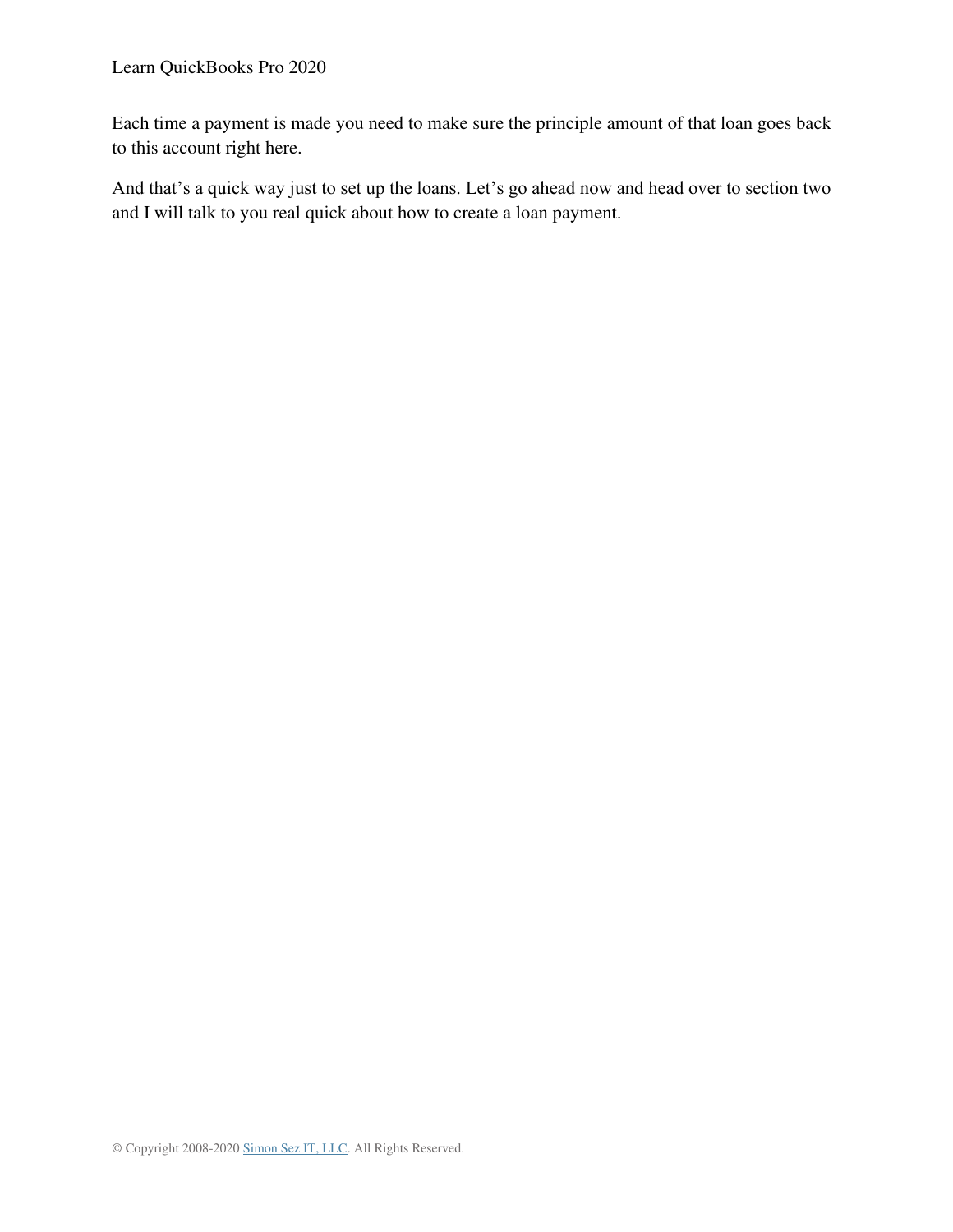Each time a payment is made you need to make sure the principle amount of that loan goes back to this account right here.

And that's a quick way just to set up the loans. Let's go ahead now and head over to section two and I will talk to you real quick about how to create a loan payment.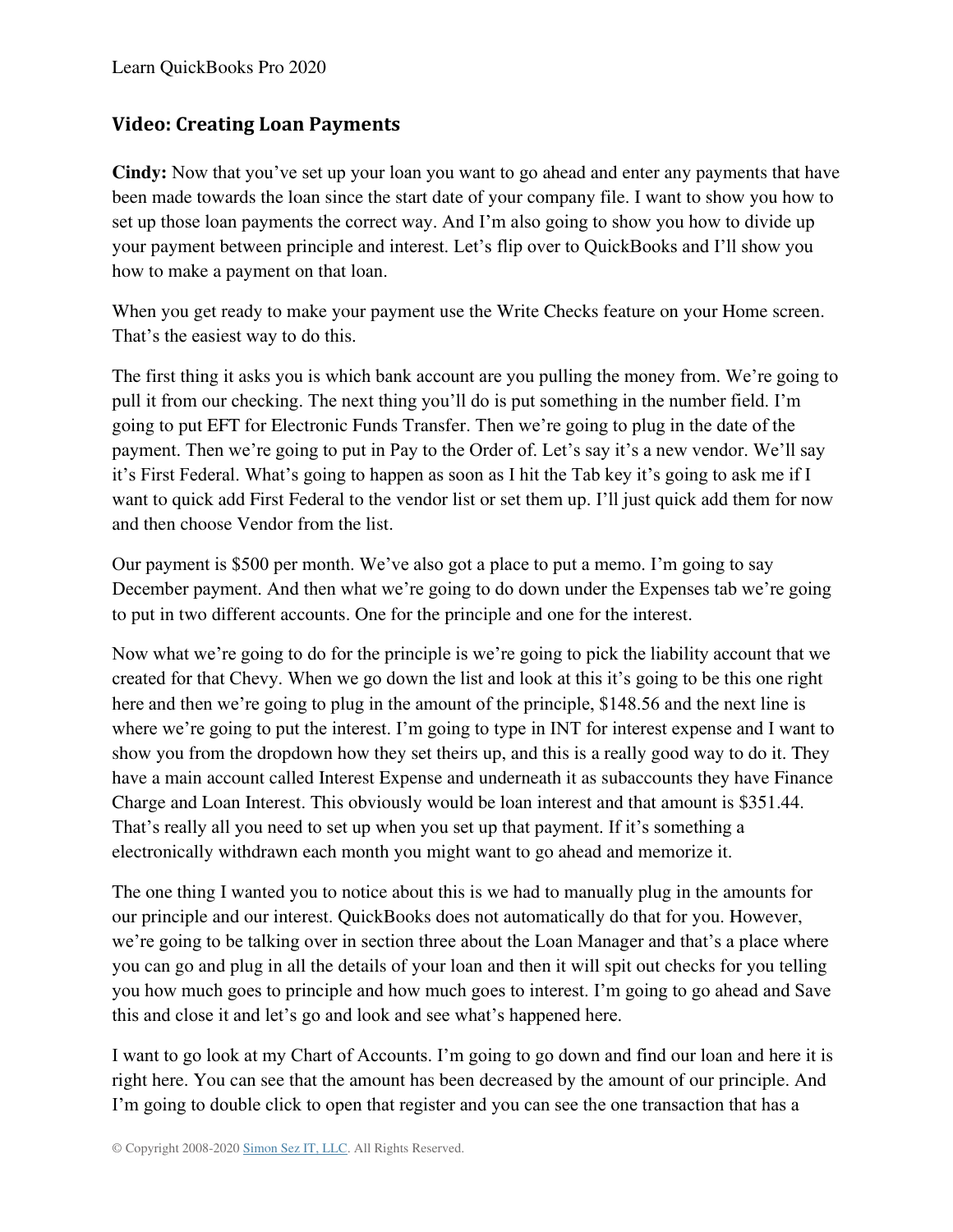## **Video: Creating Loan Payments**

**Cindy:** Now that you've set up your loan you want to go ahead and enter any payments that have been made towards the loan since the start date of your company file. I want to show you how to set up those loan payments the correct way. And I'm also going to show you how to divide up your payment between principle and interest. Let's flip over to QuickBooks and I'll show you how to make a payment on that loan.

When you get ready to make your payment use the Write Checks feature on your Home screen. That's the easiest way to do this.

The first thing it asks you is which bank account are you pulling the money from. We're going to pull it from our checking. The next thing you'll do is put something in the number field. I'm going to put EFT for Electronic Funds Transfer. Then we're going to plug in the date of the payment. Then we're going to put in Pay to the Order of. Let's say it's a new vendor. We'll say it's First Federal. What's going to happen as soon as I hit the Tab key it's going to ask me if I want to quick add First Federal to the vendor list or set them up. I'll just quick add them for now and then choose Vendor from the list.

Our payment is \$500 per month. We've also got a place to put a memo. I'm going to say December payment. And then what we're going to do down under the Expenses tab we're going to put in two different accounts. One for the principle and one for the interest.

Now what we're going to do for the principle is we're going to pick the liability account that we created for that Chevy. When we go down the list and look at this it's going to be this one right here and then we're going to plug in the amount of the principle, \$148.56 and the next line is where we're going to put the interest. I'm going to type in INT for interest expense and I want to show you from the dropdown how they set theirs up, and this is a really good way to do it. They have a main account called Interest Expense and underneath it as subaccounts they have Finance Charge and Loan Interest. This obviously would be loan interest and that amount is \$351.44. That's really all you need to set up when you set up that payment. If it's something a electronically withdrawn each month you might want to go ahead and memorize it.

The one thing I wanted you to notice about this is we had to manually plug in the amounts for our principle and our interest. QuickBooks does not automatically do that for you. However, we're going to be talking over in section three about the Loan Manager and that's a place where you can go and plug in all the details of your loan and then it will spit out checks for you telling you how much goes to principle and how much goes to interest. I'm going to go ahead and Save this and close it and let's go and look and see what's happened here.

I want to go look at my Chart of Accounts. I'm going to go down and find our loan and here it is right here. You can see that the amount has been decreased by the amount of our principle. And I'm going to double click to open that register and you can see the one transaction that has a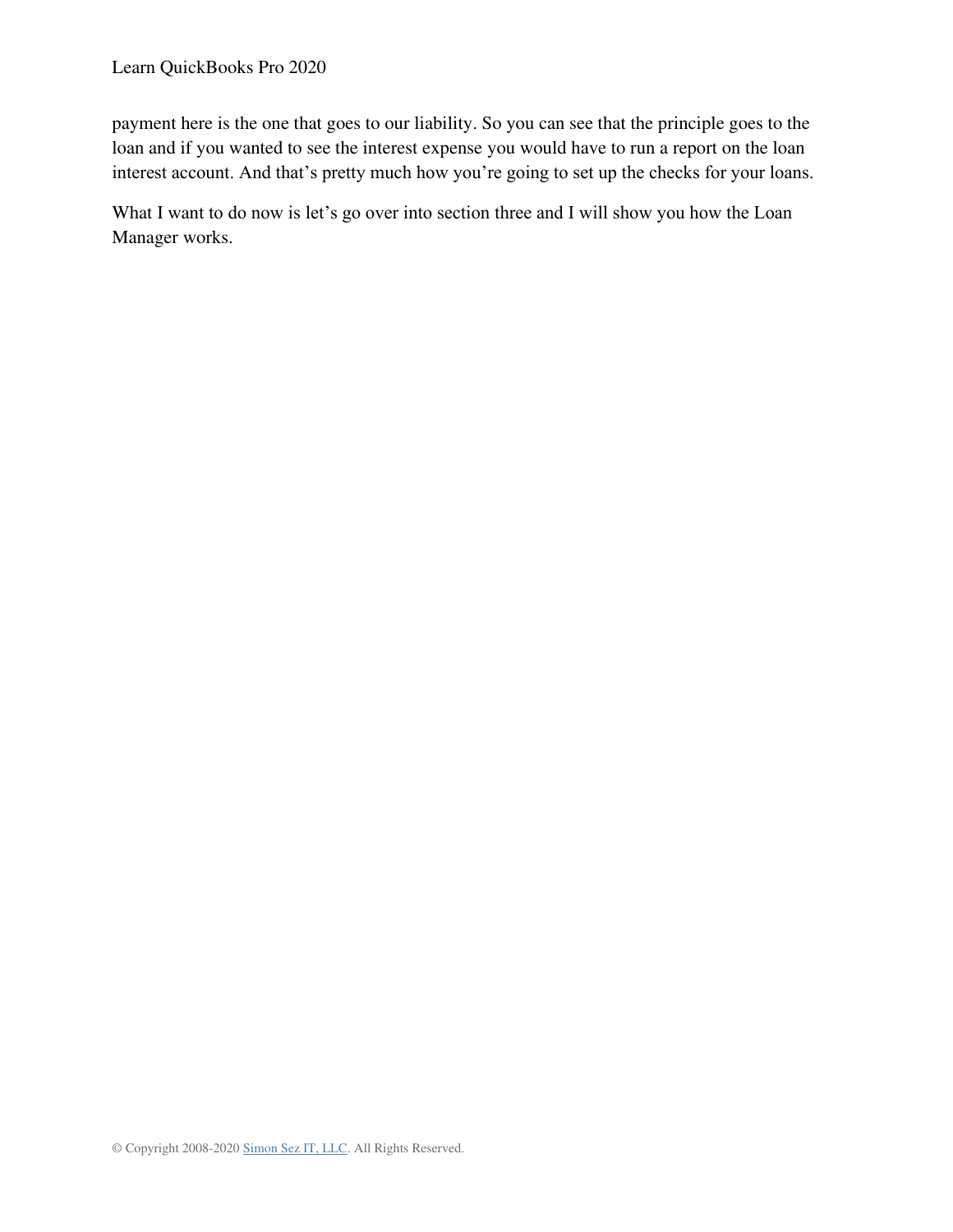payment here is the one that goes to our liability. So you can see that the principle goes to the loan and if you wanted to see the interest expense you would have to run a report on the loan interest account. And that's pretty much how you're going to set up the checks for your loans.

What I want to do now is let's go over into section three and I will show you how the Loan Manager works.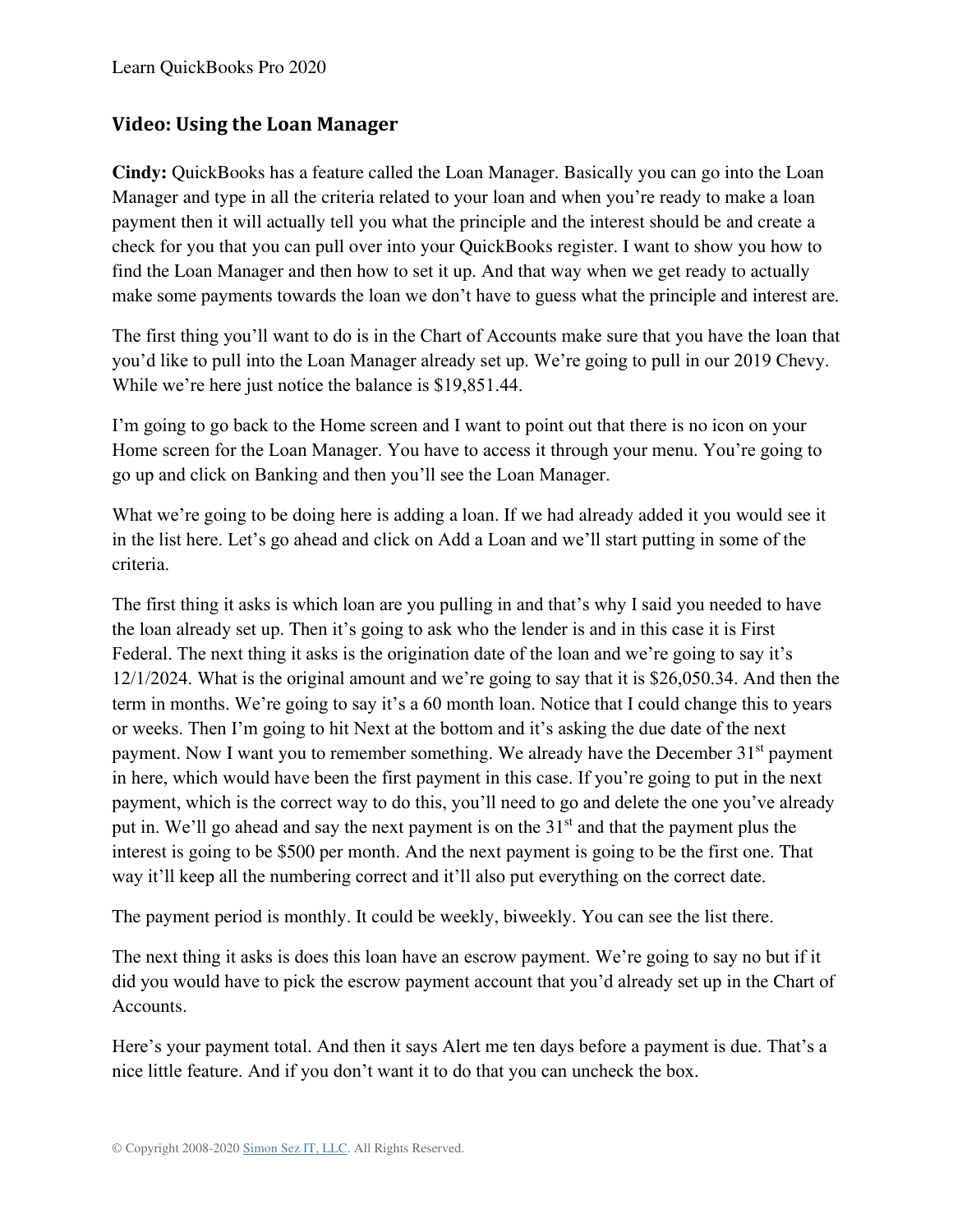#### **Video: Using the Loan Manager**

**Cindy:** QuickBooks has a feature called the Loan Manager. Basically you can go into the Loan Manager and type in all the criteria related to your loan and when you're ready to make a loan payment then it will actually tell you what the principle and the interest should be and create a check for you that you can pull over into your QuickBooks register. I want to show you how to find the Loan Manager and then how to set it up. And that way when we get ready to actually make some payments towards the loan we don't have to guess what the principle and interest are.

The first thing you'll want to do is in the Chart of Accounts make sure that you have the loan that you'd like to pull into the Loan Manager already set up. We're going to pull in our 2019 Chevy. While we're here just notice the balance is \$19,851.44.

I'm going to go back to the Home screen and I want to point out that there is no icon on your Home screen for the Loan Manager. You have to access it through your menu. You're going to go up and click on Banking and then you'll see the Loan Manager.

What we're going to be doing here is adding a loan. If we had already added it you would see it in the list here. Let's go ahead and click on Add a Loan and we'll start putting in some of the criteria.

The first thing it asks is which loan are you pulling in and that's why I said you needed to have the loan already set up. Then it's going to ask who the lender is and in this case it is First Federal. The next thing it asks is the origination date of the loan and we're going to say it's 12/1/2024. What is the original amount and we're going to say that it is \$26,050.34. And then the term in months. We're going to say it's a 60 month loan. Notice that I could change this to years or weeks. Then I'm going to hit Next at the bottom and it's asking the due date of the next payment. Now I want you to remember something. We already have the December 31<sup>st</sup> payment in here, which would have been the first payment in this case. If you're going to put in the next payment, which is the correct way to do this, you'll need to go and delete the one you've already put in. We'll go ahead and say the next payment is on the 31<sup>st</sup> and that the payment plus the interest is going to be \$500 per month. And the next payment is going to be the first one. That way it'll keep all the numbering correct and it'll also put everything on the correct date.

The payment period is monthly. It could be weekly, biweekly. You can see the list there.

The next thing it asks is does this loan have an escrow payment. We're going to say no but if it did you would have to pick the escrow payment account that you'd already set up in the Chart of Accounts.

Here's your payment total. And then it says Alert me ten days before a payment is due. That's a nice little feature. And if you don't want it to do that you can uncheck the box.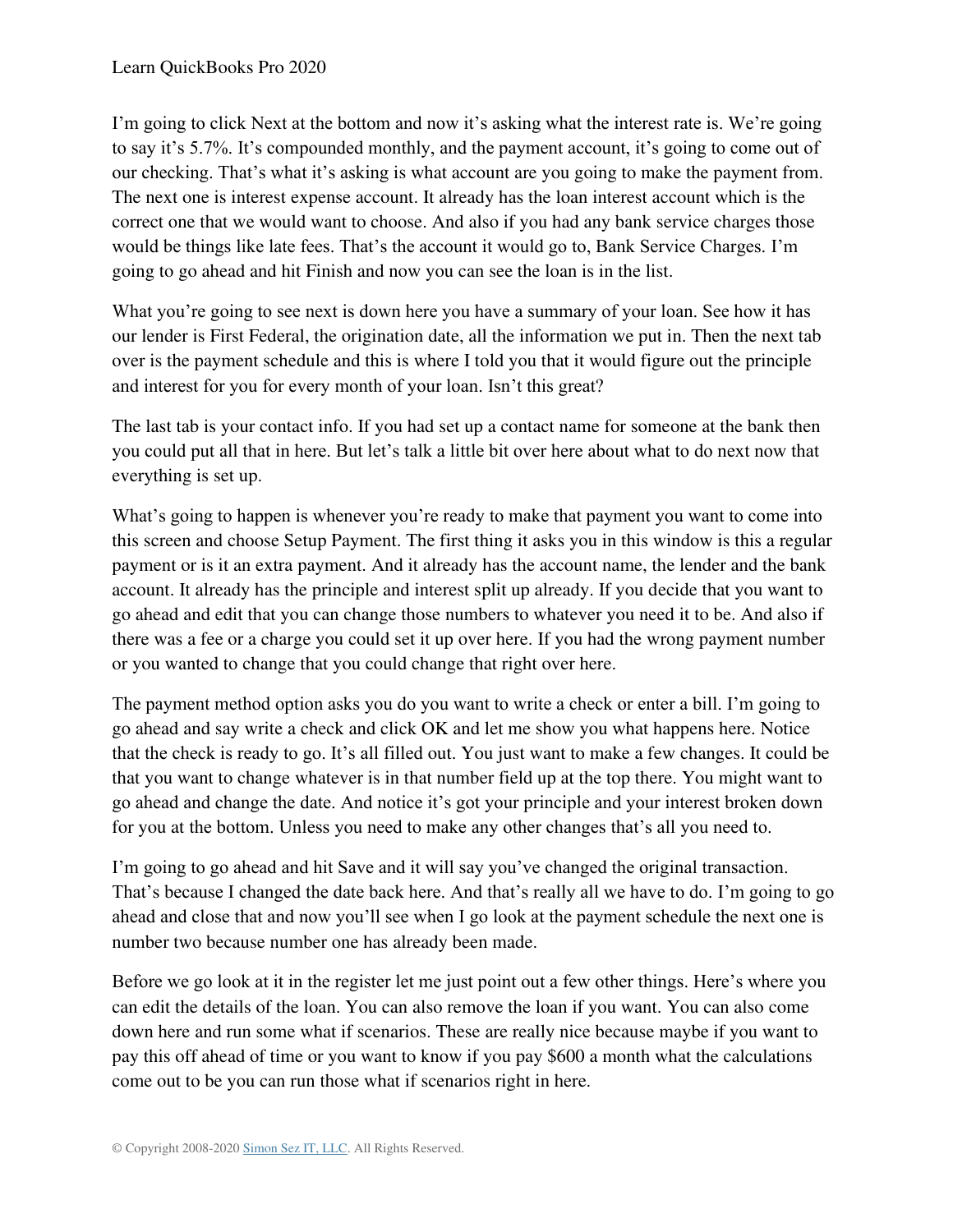I'm going to click Next at the bottom and now it's asking what the interest rate is. We're going to say it's 5.7%. It's compounded monthly, and the payment account, it's going to come out of our checking. That's what it's asking is what account are you going to make the payment from. The next one is interest expense account. It already has the loan interest account which is the correct one that we would want to choose. And also if you had any bank service charges those would be things like late fees. That's the account it would go to, Bank Service Charges. I'm going to go ahead and hit Finish and now you can see the loan is in the list.

What you're going to see next is down here you have a summary of your loan. See how it has our lender is First Federal, the origination date, all the information we put in. Then the next tab over is the payment schedule and this is where I told you that it would figure out the principle and interest for you for every month of your loan. Isn't this great?

The last tab is your contact info. If you had set up a contact name for someone at the bank then you could put all that in here. But let's talk a little bit over here about what to do next now that everything is set up.

What's going to happen is whenever you're ready to make that payment you want to come into this screen and choose Setup Payment. The first thing it asks you in this window is this a regular payment or is it an extra payment. And it already has the account name, the lender and the bank account. It already has the principle and interest split up already. If you decide that you want to go ahead and edit that you can change those numbers to whatever you need it to be. And also if there was a fee or a charge you could set it up over here. If you had the wrong payment number or you wanted to change that you could change that right over here.

The payment method option asks you do you want to write a check or enter a bill. I'm going to go ahead and say write a check and click OK and let me show you what happens here. Notice that the check is ready to go. It's all filled out. You just want to make a few changes. It could be that you want to change whatever is in that number field up at the top there. You might want to go ahead and change the date. And notice it's got your principle and your interest broken down for you at the bottom. Unless you need to make any other changes that's all you need to.

I'm going to go ahead and hit Save and it will say you've changed the original transaction. That's because I changed the date back here. And that's really all we have to do. I'm going to go ahead and close that and now you'll see when I go look at the payment schedule the next one is number two because number one has already been made.

Before we go look at it in the register let me just point out a few other things. Here's where you can edit the details of the loan. You can also remove the loan if you want. You can also come down here and run some what if scenarios. These are really nice because maybe if you want to pay this off ahead of time or you want to know if you pay \$600 a month what the calculations come out to be you can run those what if scenarios right in here.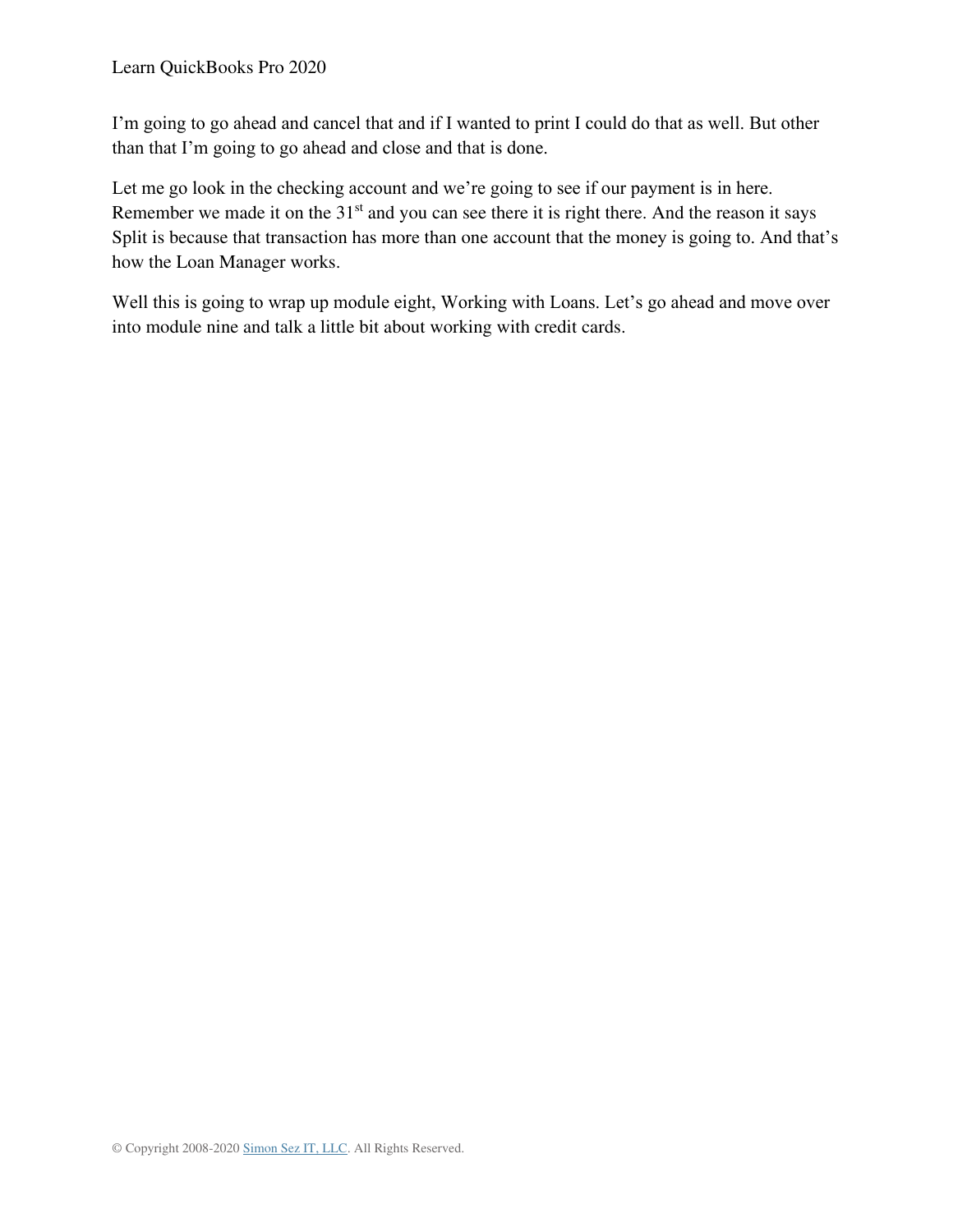I'm going to go ahead and cancel that and if I wanted to print I could do that as well. But other than that I'm going to go ahead and close and that is done.

Let me go look in the checking account and we're going to see if our payment is in here. Remember we made it on the 31<sup>st</sup> and you can see there it is right there. And the reason it says Split is because that transaction has more than one account that the money is going to. And that's how the Loan Manager works.

Well this is going to wrap up module eight, Working with Loans. Let's go ahead and move over into module nine and talk a little bit about working with credit cards.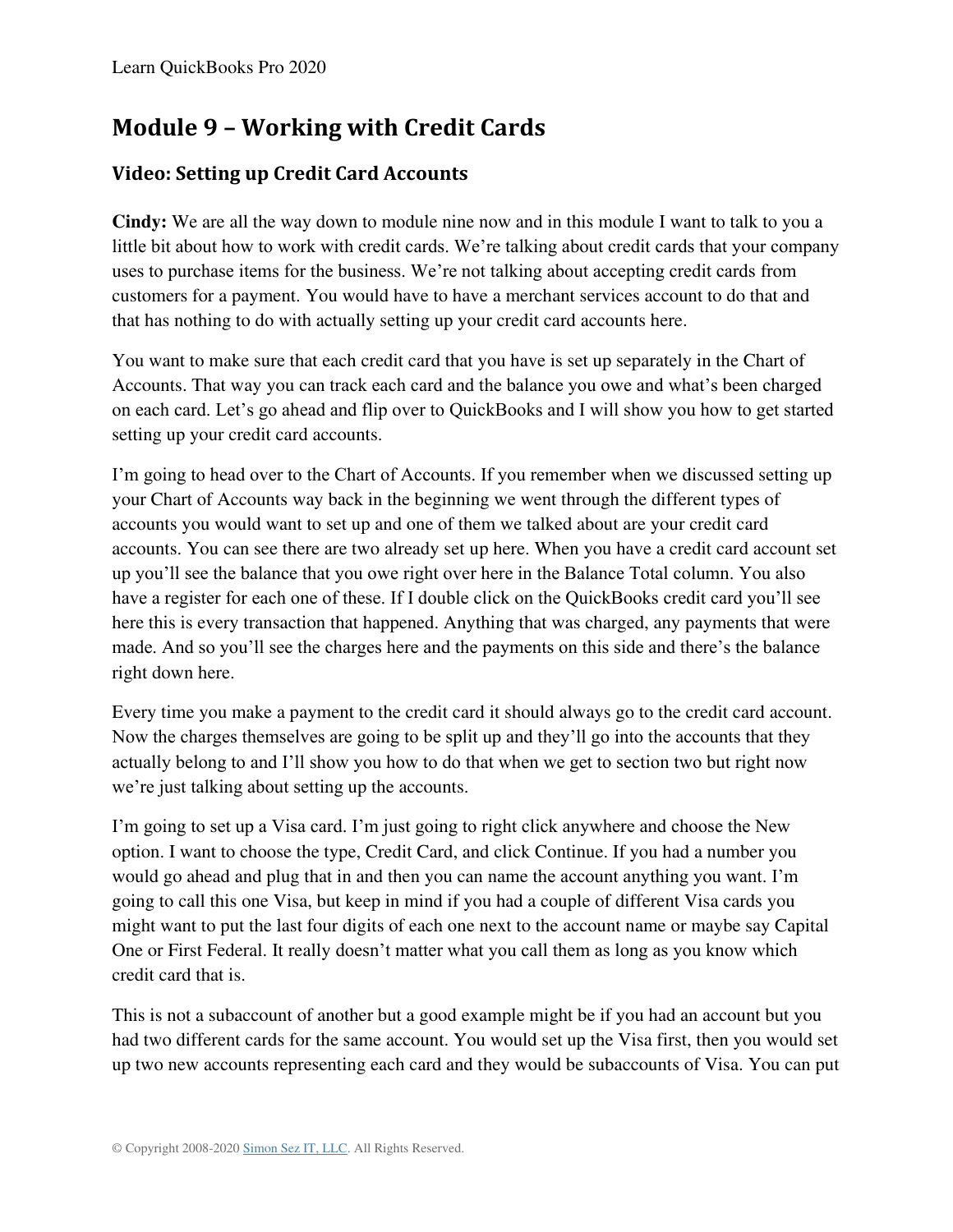# **Module 9 – Working with Credit Cards**

## **Video: Setting up Credit Card Accounts**

**Cindy:** We are all the way down to module nine now and in this module I want to talk to you a little bit about how to work with credit cards. We're talking about credit cards that your company uses to purchase items for the business. We're not talking about accepting credit cards from customers for a payment. You would have to have a merchant services account to do that and that has nothing to do with actually setting up your credit card accounts here.

You want to make sure that each credit card that you have is set up separately in the Chart of Accounts. That way you can track each card and the balance you owe and what's been charged on each card. Let's go ahead and flip over to QuickBooks and I will show you how to get started setting up your credit card accounts.

I'm going to head over to the Chart of Accounts. If you remember when we discussed setting up your Chart of Accounts way back in the beginning we went through the different types of accounts you would want to set up and one of them we talked about are your credit card accounts. You can see there are two already set up here. When you have a credit card account set up you'll see the balance that you owe right over here in the Balance Total column. You also have a register for each one of these. If I double click on the QuickBooks credit card you'll see here this is every transaction that happened. Anything that was charged, any payments that were made. And so you'll see the charges here and the payments on this side and there's the balance right down here.

Every time you make a payment to the credit card it should always go to the credit card account. Now the charges themselves are going to be split up and they'll go into the accounts that they actually belong to and I'll show you how to do that when we get to section two but right now we're just talking about setting up the accounts.

I'm going to set up a Visa card. I'm just going to right click anywhere and choose the New option. I want to choose the type, Credit Card, and click Continue. If you had a number you would go ahead and plug that in and then you can name the account anything you want. I'm going to call this one Visa, but keep in mind if you had a couple of different Visa cards you might want to put the last four digits of each one next to the account name or maybe say Capital One or First Federal. It really doesn't matter what you call them as long as you know which credit card that is.

This is not a subaccount of another but a good example might be if you had an account but you had two different cards for the same account. You would set up the Visa first, then you would set up two new accounts representing each card and they would be subaccounts of Visa. You can put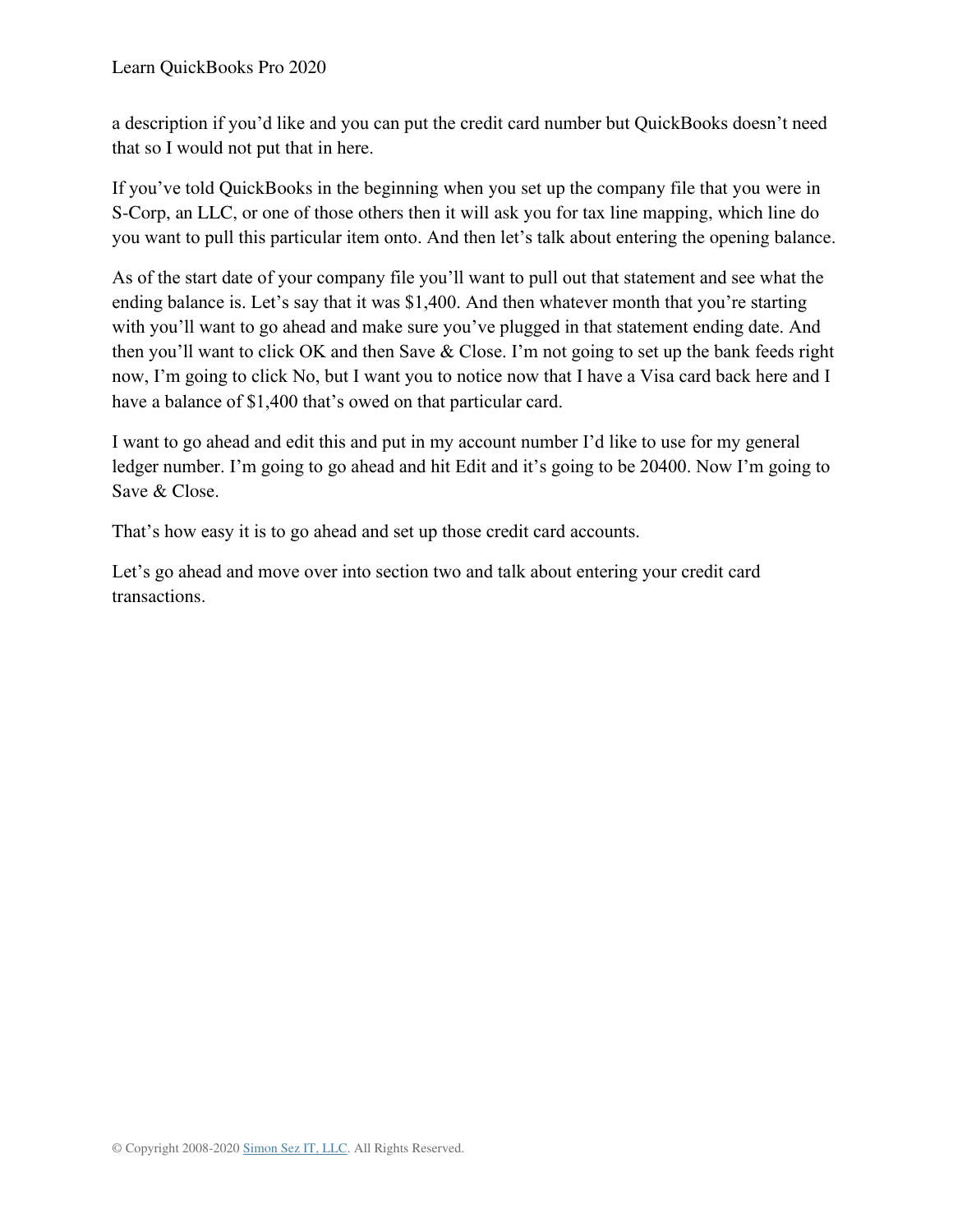a description if you'd like and you can put the credit card number but QuickBooks doesn't need that so I would not put that in here.

If you've told QuickBooks in the beginning when you set up the company file that you were in S-Corp, an LLC, or one of those others then it will ask you for tax line mapping, which line do you want to pull this particular item onto. And then let's talk about entering the opening balance.

As of the start date of your company file you'll want to pull out that statement and see what the ending balance is. Let's say that it was \$1,400. And then whatever month that you're starting with you'll want to go ahead and make sure you've plugged in that statement ending date. And then you'll want to click OK and then Save & Close. I'm not going to set up the bank feeds right now, I'm going to click No, but I want you to notice now that I have a Visa card back here and I have a balance of \$1,400 that's owed on that particular card.

I want to go ahead and edit this and put in my account number I'd like to use for my general ledger number. I'm going to go ahead and hit Edit and it's going to be 20400. Now I'm going to Save & Close.

That's how easy it is to go ahead and set up those credit card accounts.

Let's go ahead and move over into section two and talk about entering your credit card transactions.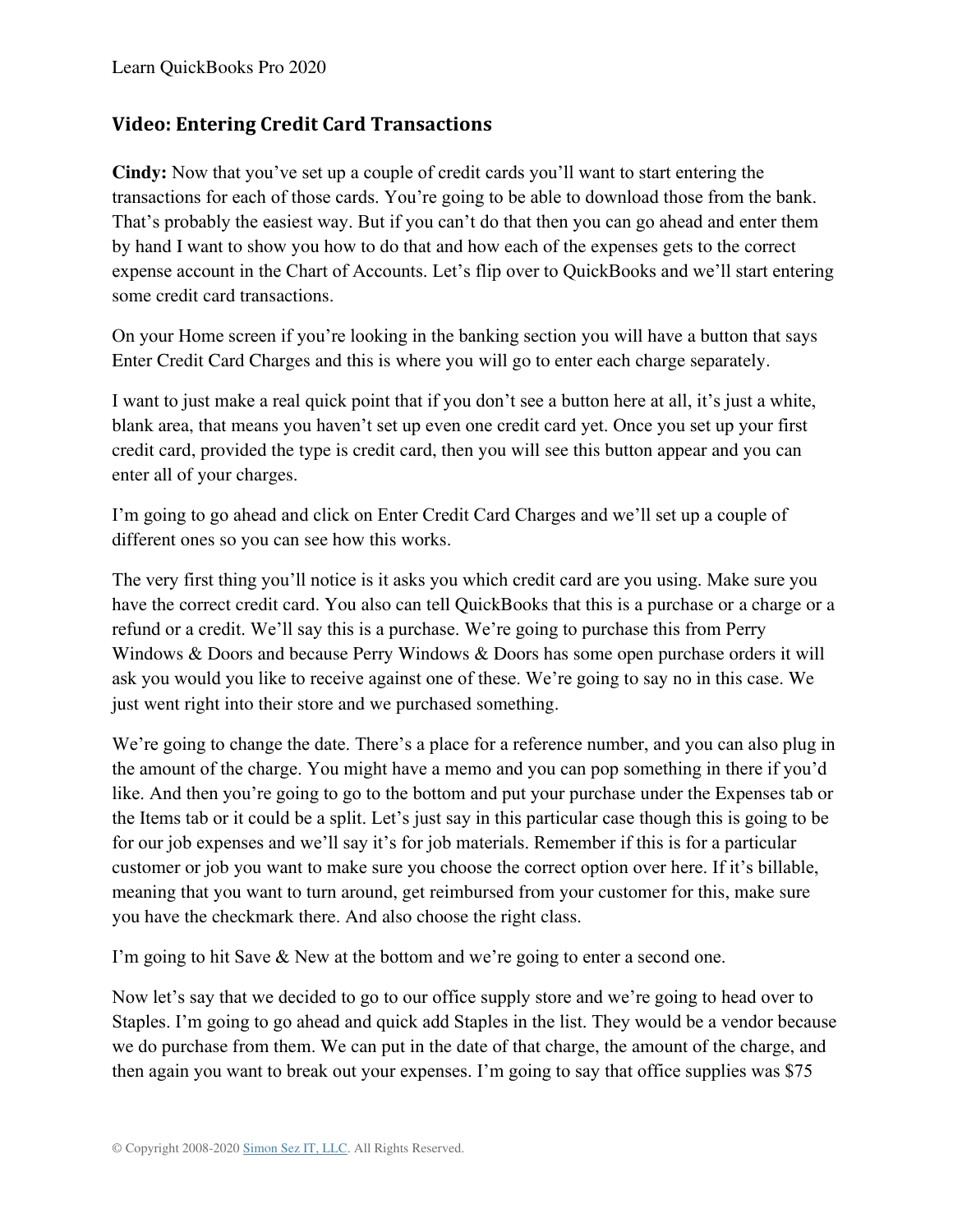#### **Video: Entering Credit Card Transactions**

**Cindy:** Now that you've set up a couple of credit cards you'll want to start entering the transactions for each of those cards. You're going to be able to download those from the bank. That's probably the easiest way. But if you can't do that then you can go ahead and enter them by hand I want to show you how to do that and how each of the expenses gets to the correct expense account in the Chart of Accounts. Let's flip over to QuickBooks and we'll start entering some credit card transactions.

On your Home screen if you're looking in the banking section you will have a button that says Enter Credit Card Charges and this is where you will go to enter each charge separately.

I want to just make a real quick point that if you don't see a button here at all, it's just a white, blank area, that means you haven't set up even one credit card yet. Once you set up your first credit card, provided the type is credit card, then you will see this button appear and you can enter all of your charges.

I'm going to go ahead and click on Enter Credit Card Charges and we'll set up a couple of different ones so you can see how this works.

The very first thing you'll notice is it asks you which credit card are you using. Make sure you have the correct credit card. You also can tell QuickBooks that this is a purchase or a charge or a refund or a credit. We'll say this is a purchase. We're going to purchase this from Perry Windows & Doors and because Perry Windows & Doors has some open purchase orders it will ask you would you like to receive against one of these. We're going to say no in this case. We just went right into their store and we purchased something.

We're going to change the date. There's a place for a reference number, and you can also plug in the amount of the charge. You might have a memo and you can pop something in there if you'd like. And then you're going to go to the bottom and put your purchase under the Expenses tab or the Items tab or it could be a split. Let's just say in this particular case though this is going to be for our job expenses and we'll say it's for job materials. Remember if this is for a particular customer or job you want to make sure you choose the correct option over here. If it's billable, meaning that you want to turn around, get reimbursed from your customer for this, make sure you have the checkmark there. And also choose the right class.

I'm going to hit Save & New at the bottom and we're going to enter a second one.

Now let's say that we decided to go to our office supply store and we're going to head over to Staples. I'm going to go ahead and quick add Staples in the list. They would be a vendor because we do purchase from them. We can put in the date of that charge, the amount of the charge, and then again you want to break out your expenses. I'm going to say that office supplies was \$75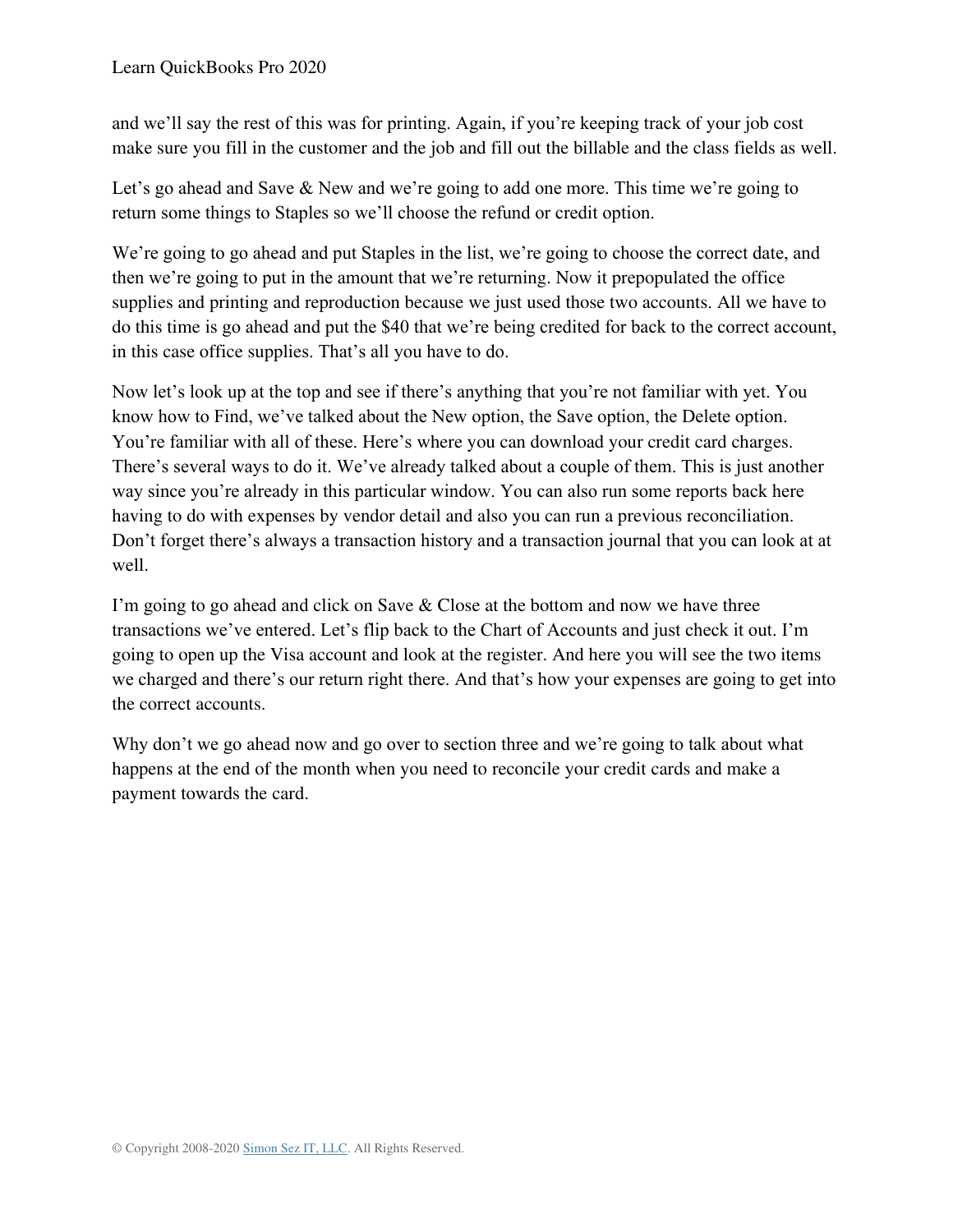and we'll say the rest of this was for printing. Again, if you're keeping track of your job cost make sure you fill in the customer and the job and fill out the billable and the class fields as well.

Let's go ahead and Save & New and we're going to add one more. This time we're going to return some things to Staples so we'll choose the refund or credit option.

We're going to go ahead and put Staples in the list, we're going to choose the correct date, and then we're going to put in the amount that we're returning. Now it prepopulated the office supplies and printing and reproduction because we just used those two accounts. All we have to do this time is go ahead and put the \$40 that we're being credited for back to the correct account, in this case office supplies. That's all you have to do.

Now let's look up at the top and see if there's anything that you're not familiar with yet. You know how to Find, we've talked about the New option, the Save option, the Delete option. You're familiar with all of these. Here's where you can download your credit card charges. There's several ways to do it. We've already talked about a couple of them. This is just another way since you're already in this particular window. You can also run some reports back here having to do with expenses by vendor detail and also you can run a previous reconciliation. Don't forget there's always a transaction history and a transaction journal that you can look at at well.

I'm going to go ahead and click on Save & Close at the bottom and now we have three transactions we've entered. Let's flip back to the Chart of Accounts and just check it out. I'm going to open up the Visa account and look at the register. And here you will see the two items we charged and there's our return right there. And that's how your expenses are going to get into the correct accounts.

Why don't we go ahead now and go over to section three and we're going to talk about what happens at the end of the month when you need to reconcile your credit cards and make a payment towards the card.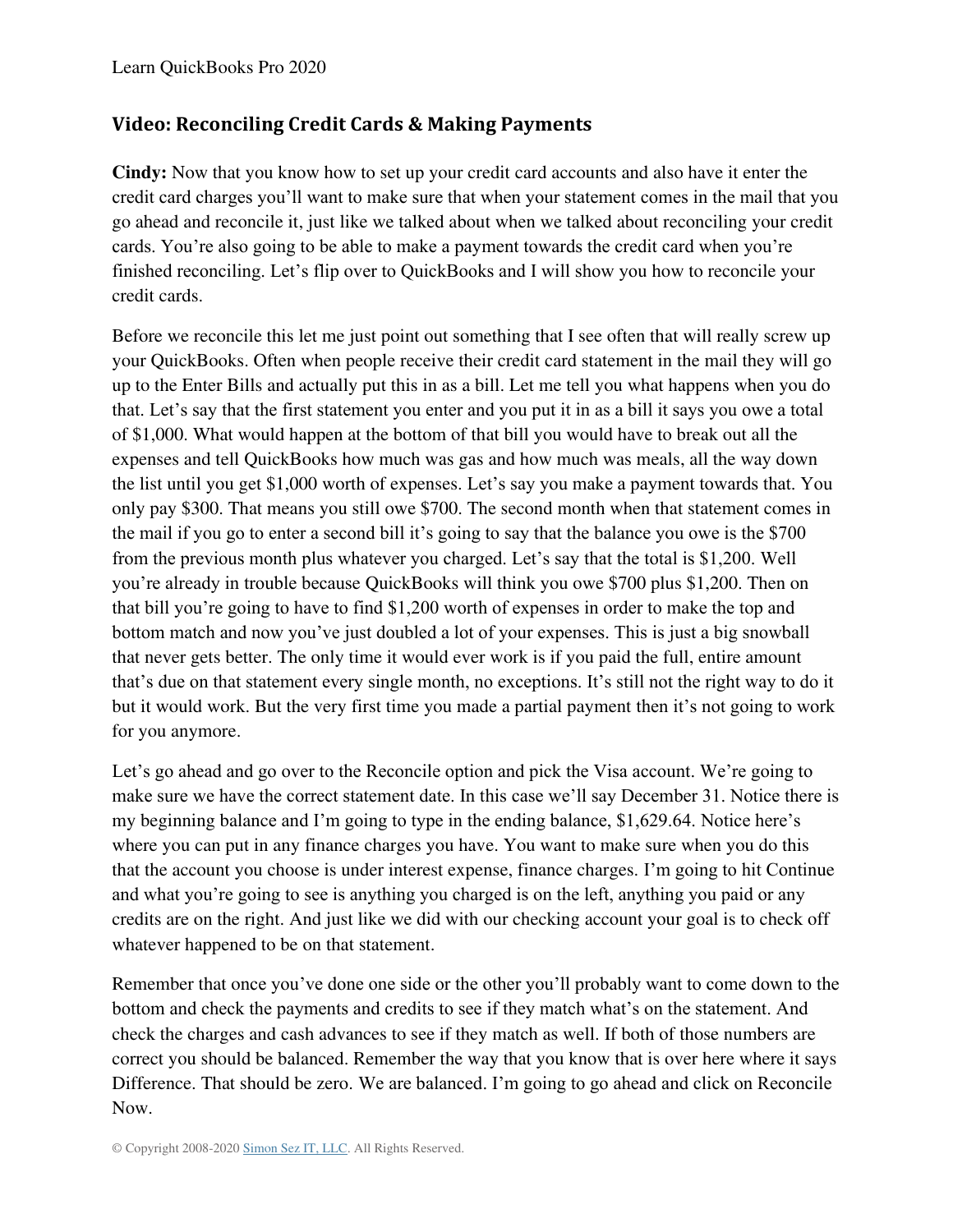#### **Video: Reconciling Credit Cards & Making Payments**

**Cindy:** Now that you know how to set up your credit card accounts and also have it enter the credit card charges you'll want to make sure that when your statement comes in the mail that you go ahead and reconcile it, just like we talked about when we talked about reconciling your credit cards. You're also going to be able to make a payment towards the credit card when you're finished reconciling. Let's flip over to QuickBooks and I will show you how to reconcile your credit cards.

Before we reconcile this let me just point out something that I see often that will really screw up your QuickBooks. Often when people receive their credit card statement in the mail they will go up to the Enter Bills and actually put this in as a bill. Let me tell you what happens when you do that. Let's say that the first statement you enter and you put it in as a bill it says you owe a total of \$1,000. What would happen at the bottom of that bill you would have to break out all the expenses and tell QuickBooks how much was gas and how much was meals, all the way down the list until you get \$1,000 worth of expenses. Let's say you make a payment towards that. You only pay \$300. That means you still owe \$700. The second month when that statement comes in the mail if you go to enter a second bill it's going to say that the balance you owe is the \$700 from the previous month plus whatever you charged. Let's say that the total is \$1,200. Well you're already in trouble because QuickBooks will think you owe \$700 plus \$1,200. Then on that bill you're going to have to find \$1,200 worth of expenses in order to make the top and bottom match and now you've just doubled a lot of your expenses. This is just a big snowball that never gets better. The only time it would ever work is if you paid the full, entire amount that's due on that statement every single month, no exceptions. It's still not the right way to do it but it would work. But the very first time you made a partial payment then it's not going to work for you anymore.

Let's go ahead and go over to the Reconcile option and pick the Visa account. We're going to make sure we have the correct statement date. In this case we'll say December 31. Notice there is my beginning balance and I'm going to type in the ending balance, \$1,629.64. Notice here's where you can put in any finance charges you have. You want to make sure when you do this that the account you choose is under interest expense, finance charges. I'm going to hit Continue and what you're going to see is anything you charged is on the left, anything you paid or any credits are on the right. And just like we did with our checking account your goal is to check off whatever happened to be on that statement.

Remember that once you've done one side or the other you'll probably want to come down to the bottom and check the payments and credits to see if they match what's on the statement. And check the charges and cash advances to see if they match as well. If both of those numbers are correct you should be balanced. Remember the way that you know that is over here where it says Difference. That should be zero. We are balanced. I'm going to go ahead and click on Reconcile Now.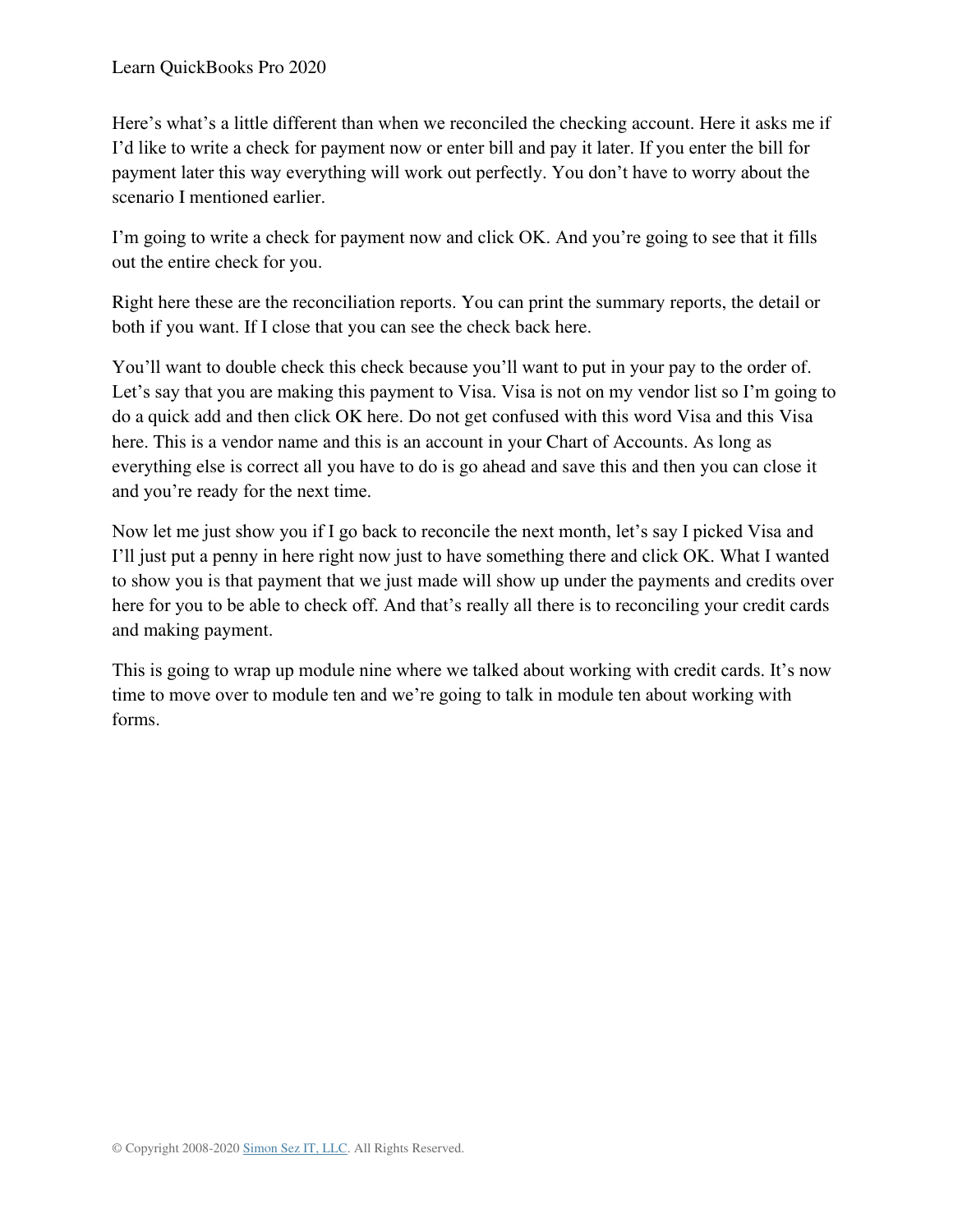Here's what's a little different than when we reconciled the checking account. Here it asks me if I'd like to write a check for payment now or enter bill and pay it later. If you enter the bill for payment later this way everything will work out perfectly. You don't have to worry about the scenario I mentioned earlier.

I'm going to write a check for payment now and click OK. And you're going to see that it fills out the entire check for you.

Right here these are the reconciliation reports. You can print the summary reports, the detail or both if you want. If I close that you can see the check back here.

You'll want to double check this check because you'll want to put in your pay to the order of. Let's say that you are making this payment to Visa. Visa is not on my vendor list so I'm going to do a quick add and then click OK here. Do not get confused with this word Visa and this Visa here. This is a vendor name and this is an account in your Chart of Accounts. As long as everything else is correct all you have to do is go ahead and save this and then you can close it and you're ready for the next time.

Now let me just show you if I go back to reconcile the next month, let's say I picked Visa and I'll just put a penny in here right now just to have something there and click OK. What I wanted to show you is that payment that we just made will show up under the payments and credits over here for you to be able to check off. And that's really all there is to reconciling your credit cards and making payment.

This is going to wrap up module nine where we talked about working with credit cards. It's now time to move over to module ten and we're going to talk in module ten about working with forms.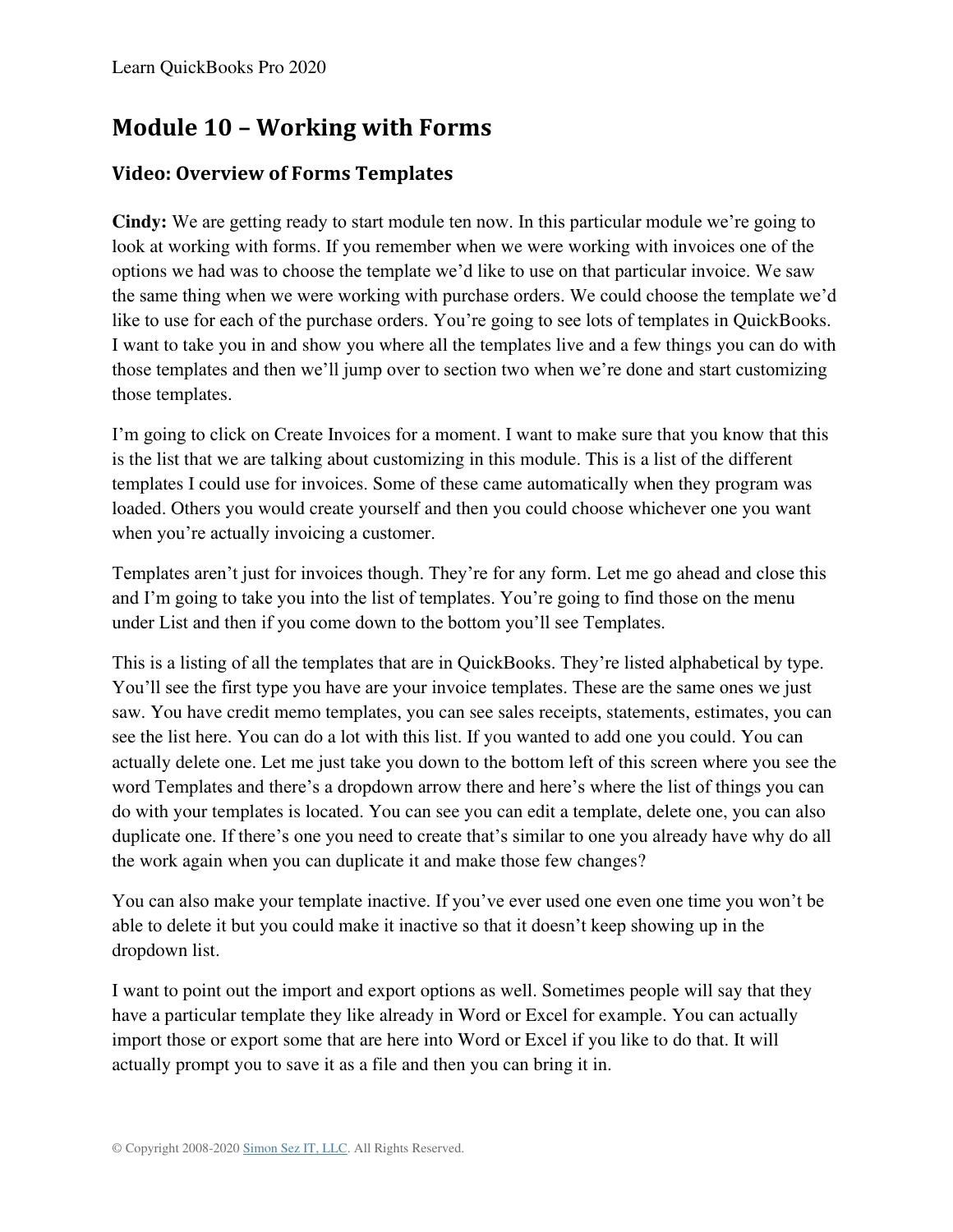## **Module 10 – Working with Forms**

## **Video: Overview of Forms Templates**

**Cindy:** We are getting ready to start module ten now. In this particular module we're going to look at working with forms. If you remember when we were working with invoices one of the options we had was to choose the template we'd like to use on that particular invoice. We saw the same thing when we were working with purchase orders. We could choose the template we'd like to use for each of the purchase orders. You're going to see lots of templates in QuickBooks. I want to take you in and show you where all the templates live and a few things you can do with those templates and then we'll jump over to section two when we're done and start customizing those templates.

I'm going to click on Create Invoices for a moment. I want to make sure that you know that this is the list that we are talking about customizing in this module. This is a list of the different templates I could use for invoices. Some of these came automatically when they program was loaded. Others you would create yourself and then you could choose whichever one you want when you're actually invoicing a customer.

Templates aren't just for invoices though. They're for any form. Let me go ahead and close this and I'm going to take you into the list of templates. You're going to find those on the menu under List and then if you come down to the bottom you'll see Templates.

This is a listing of all the templates that are in QuickBooks. They're listed alphabetical by type. You'll see the first type you have are your invoice templates. These are the same ones we just saw. You have credit memo templates, you can see sales receipts, statements, estimates, you can see the list here. You can do a lot with this list. If you wanted to add one you could. You can actually delete one. Let me just take you down to the bottom left of this screen where you see the word Templates and there's a dropdown arrow there and here's where the list of things you can do with your templates is located. You can see you can edit a template, delete one, you can also duplicate one. If there's one you need to create that's similar to one you already have why do all the work again when you can duplicate it and make those few changes?

You can also make your template inactive. If you've ever used one even one time you won't be able to delete it but you could make it inactive so that it doesn't keep showing up in the dropdown list.

I want to point out the import and export options as well. Sometimes people will say that they have a particular template they like already in Word or Excel for example. You can actually import those or export some that are here into Word or Excel if you like to do that. It will actually prompt you to save it as a file and then you can bring it in.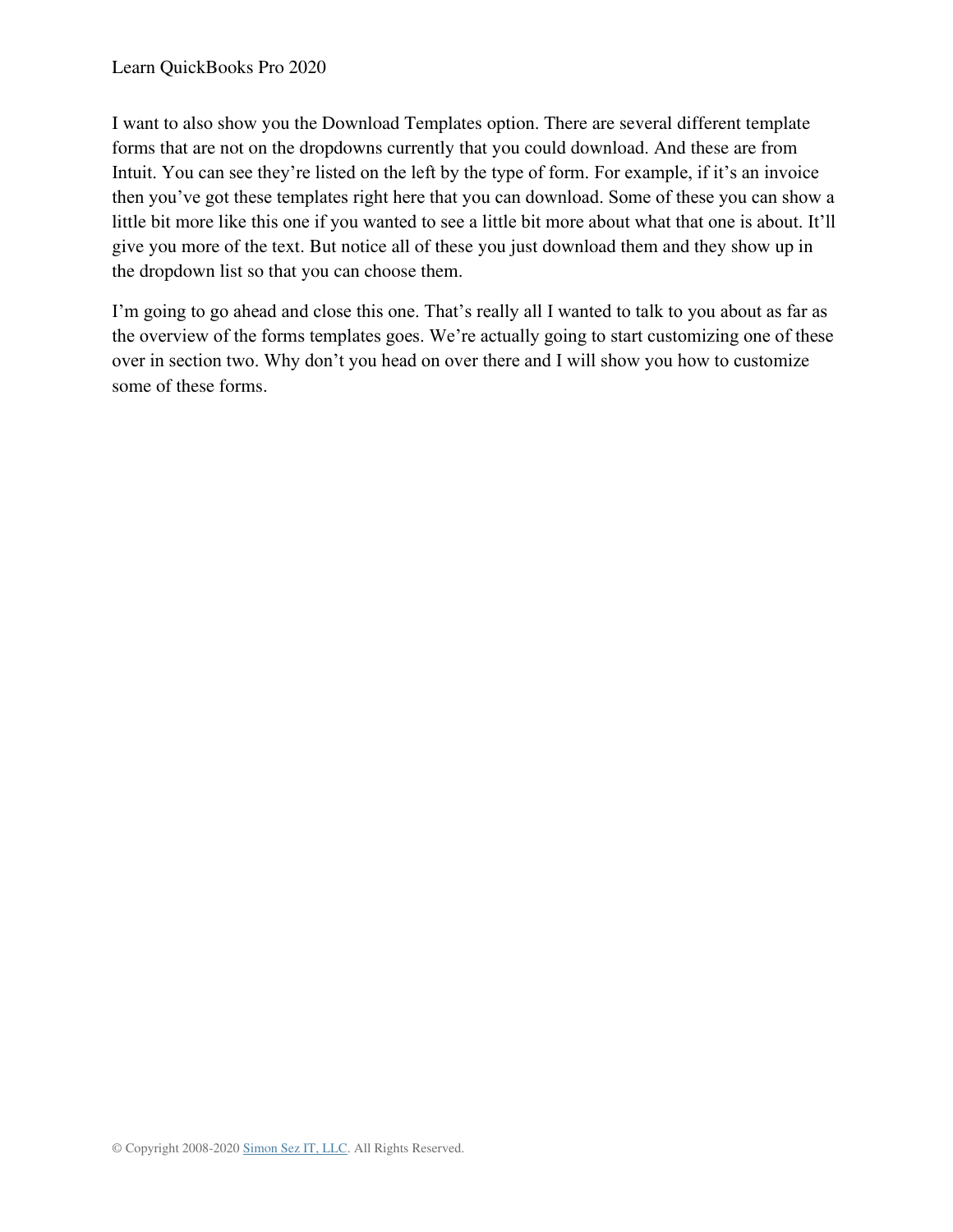I want to also show you the Download Templates option. There are several different template forms that are not on the dropdowns currently that you could download. And these are from Intuit. You can see they're listed on the left by the type of form. For example, if it's an invoice then you've got these templates right here that you can download. Some of these you can show a little bit more like this one if you wanted to see a little bit more about what that one is about. It'll give you more of the text. But notice all of these you just download them and they show up in the dropdown list so that you can choose them.

I'm going to go ahead and close this one. That's really all I wanted to talk to you about as far as the overview of the forms templates goes. We're actually going to start customizing one of these over in section two. Why don't you head on over there and I will show you how to customize some of these forms.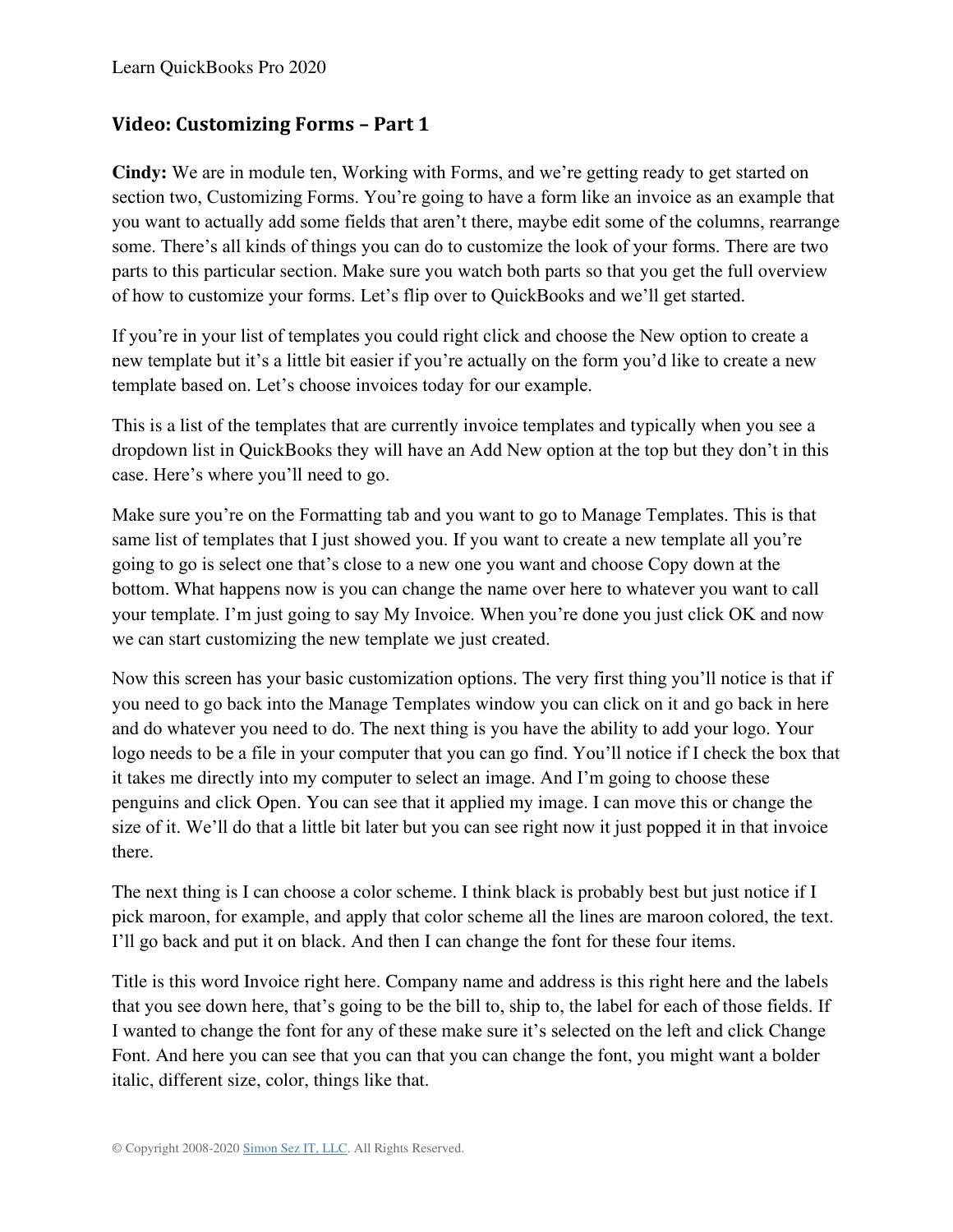#### **Video: Customizing Forms – Part 1**

**Cindy:** We are in module ten, Working with Forms, and we're getting ready to get started on section two, Customizing Forms. You're going to have a form like an invoice as an example that you want to actually add some fields that aren't there, maybe edit some of the columns, rearrange some. There's all kinds of things you can do to customize the look of your forms. There are two parts to this particular section. Make sure you watch both parts so that you get the full overview of how to customize your forms. Let's flip over to QuickBooks and we'll get started.

If you're in your list of templates you could right click and choose the New option to create a new template but it's a little bit easier if you're actually on the form you'd like to create a new template based on. Let's choose invoices today for our example.

This is a list of the templates that are currently invoice templates and typically when you see a dropdown list in QuickBooks they will have an Add New option at the top but they don't in this case. Here's where you'll need to go.

Make sure you're on the Formatting tab and you want to go to Manage Templates. This is that same list of templates that I just showed you. If you want to create a new template all you're going to go is select one that's close to a new one you want and choose Copy down at the bottom. What happens now is you can change the name over here to whatever you want to call your template. I'm just going to say My Invoice. When you're done you just click OK and now we can start customizing the new template we just created.

Now this screen has your basic customization options. The very first thing you'll notice is that if you need to go back into the Manage Templates window you can click on it and go back in here and do whatever you need to do. The next thing is you have the ability to add your logo. Your logo needs to be a file in your computer that you can go find. You'll notice if I check the box that it takes me directly into my computer to select an image. And I'm going to choose these penguins and click Open. You can see that it applied my image. I can move this or change the size of it. We'll do that a little bit later but you can see right now it just popped it in that invoice there.

The next thing is I can choose a color scheme. I think black is probably best but just notice if I pick maroon, for example, and apply that color scheme all the lines are maroon colored, the text. I'll go back and put it on black. And then I can change the font for these four items.

Title is this word Invoice right here. Company name and address is this right here and the labels that you see down here, that's going to be the bill to, ship to, the label for each of those fields. If I wanted to change the font for any of these make sure it's selected on the left and click Change Font. And here you can see that you can that you can change the font, you might want a bolder italic, different size, color, things like that.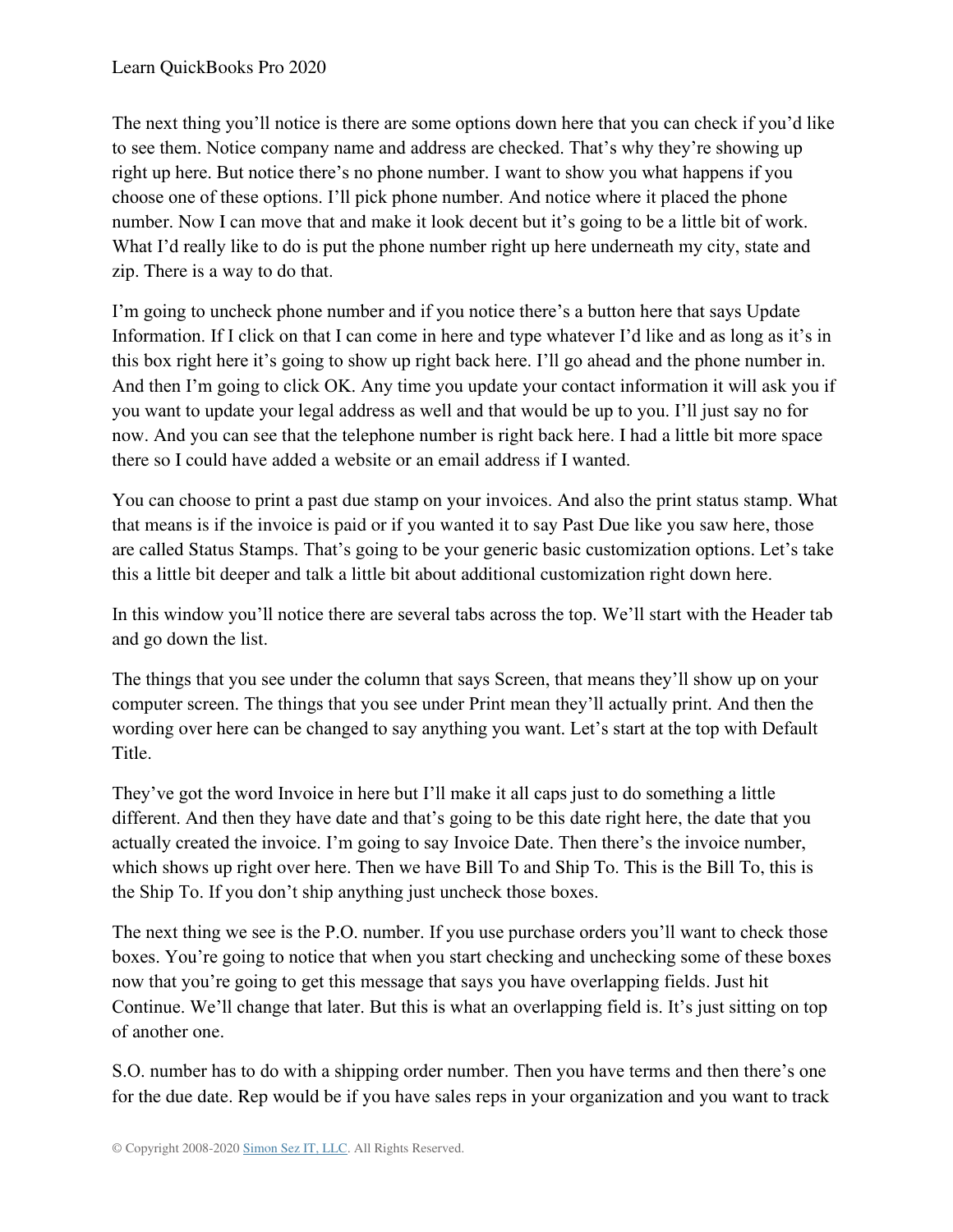The next thing you'll notice is there are some options down here that you can check if you'd like to see them. Notice company name and address are checked. That's why they're showing up right up here. But notice there's no phone number. I want to show you what happens if you choose one of these options. I'll pick phone number. And notice where it placed the phone number. Now I can move that and make it look decent but it's going to be a little bit of work. What I'd really like to do is put the phone number right up here underneath my city, state and zip. There is a way to do that.

I'm going to uncheck phone number and if you notice there's a button here that says Update Information. If I click on that I can come in here and type whatever I'd like and as long as it's in this box right here it's going to show up right back here. I'll go ahead and the phone number in. And then I'm going to click OK. Any time you update your contact information it will ask you if you want to update your legal address as well and that would be up to you. I'll just say no for now. And you can see that the telephone number is right back here. I had a little bit more space there so I could have added a website or an email address if I wanted.

You can choose to print a past due stamp on your invoices. And also the print status stamp. What that means is if the invoice is paid or if you wanted it to say Past Due like you saw here, those are called Status Stamps. That's going to be your generic basic customization options. Let's take this a little bit deeper and talk a little bit about additional customization right down here.

In this window you'll notice there are several tabs across the top. We'll start with the Header tab and go down the list.

The things that you see under the column that says Screen, that means they'll show up on your computer screen. The things that you see under Print mean they'll actually print. And then the wording over here can be changed to say anything you want. Let's start at the top with Default Title.

They've got the word Invoice in here but I'll make it all caps just to do something a little different. And then they have date and that's going to be this date right here, the date that you actually created the invoice. I'm going to say Invoice Date. Then there's the invoice number, which shows up right over here. Then we have Bill To and Ship To. This is the Bill To, this is the Ship To. If you don't ship anything just uncheck those boxes.

The next thing we see is the P.O. number. If you use purchase orders you'll want to check those boxes. You're going to notice that when you start checking and unchecking some of these boxes now that you're going to get this message that says you have overlapping fields. Just hit Continue. We'll change that later. But this is what an overlapping field is. It's just sitting on top of another one.

S.O. number has to do with a shipping order number. Then you have terms and then there's one for the due date. Rep would be if you have sales reps in your organization and you want to track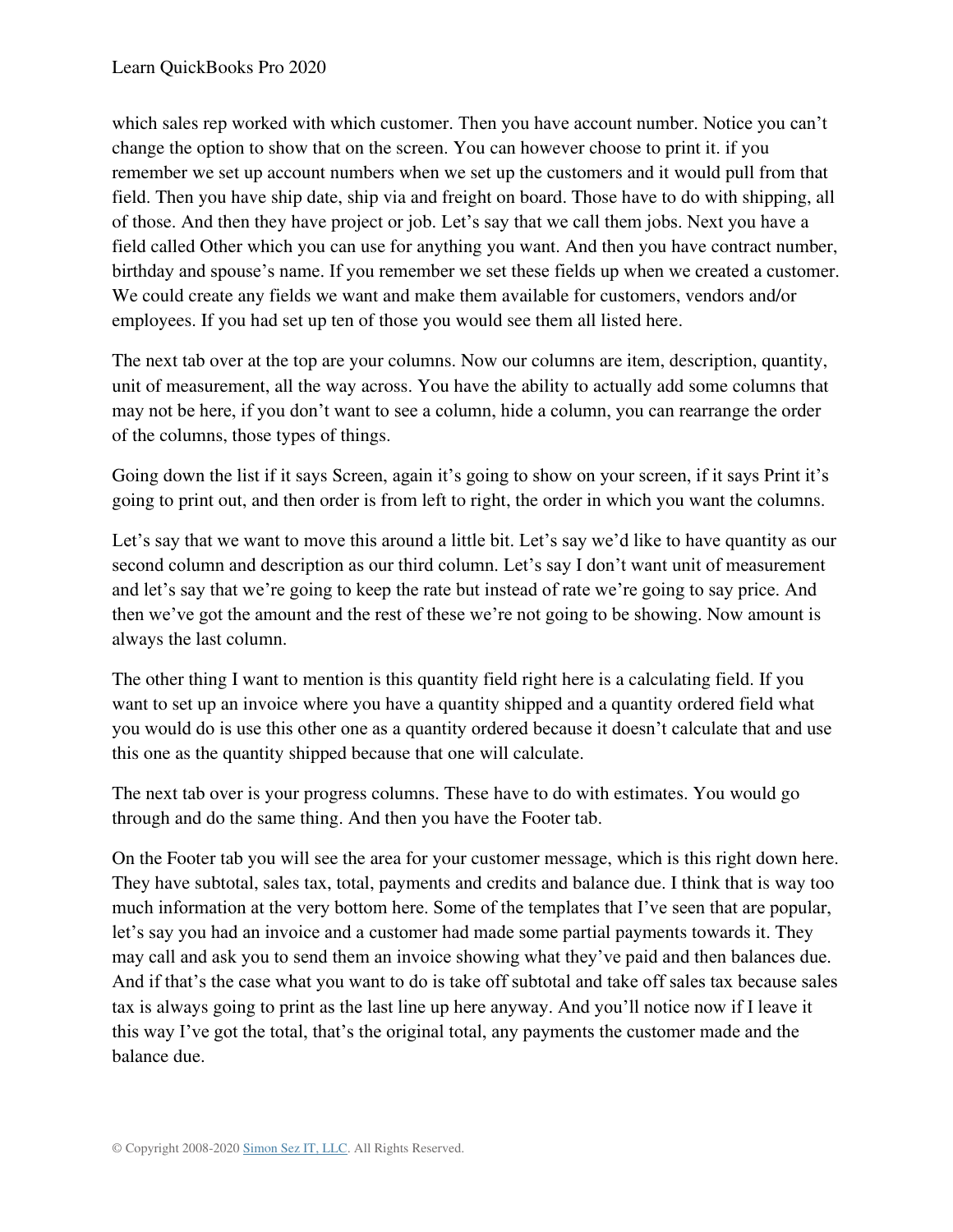which sales rep worked with which customer. Then you have account number. Notice you can't change the option to show that on the screen. You can however choose to print it. if you remember we set up account numbers when we set up the customers and it would pull from that field. Then you have ship date, ship via and freight on board. Those have to do with shipping, all of those. And then they have project or job. Let's say that we call them jobs. Next you have a field called Other which you can use for anything you want. And then you have contract number, birthday and spouse's name. If you remember we set these fields up when we created a customer. We could create any fields we want and make them available for customers, vendors and/or employees. If you had set up ten of those you would see them all listed here.

The next tab over at the top are your columns. Now our columns are item, description, quantity, unit of measurement, all the way across. You have the ability to actually add some columns that may not be here, if you don't want to see a column, hide a column, you can rearrange the order of the columns, those types of things.

Going down the list if it says Screen, again it's going to show on your screen, if it says Print it's going to print out, and then order is from left to right, the order in which you want the columns.

Let's say that we want to move this around a little bit. Let's say we'd like to have quantity as our second column and description as our third column. Let's say I don't want unit of measurement and let's say that we're going to keep the rate but instead of rate we're going to say price. And then we've got the amount and the rest of these we're not going to be showing. Now amount is always the last column.

The other thing I want to mention is this quantity field right here is a calculating field. If you want to set up an invoice where you have a quantity shipped and a quantity ordered field what you would do is use this other one as a quantity ordered because it doesn't calculate that and use this one as the quantity shipped because that one will calculate.

The next tab over is your progress columns. These have to do with estimates. You would go through and do the same thing. And then you have the Footer tab.

On the Footer tab you will see the area for your customer message, which is this right down here. They have subtotal, sales tax, total, payments and credits and balance due. I think that is way too much information at the very bottom here. Some of the templates that I've seen that are popular, let's say you had an invoice and a customer had made some partial payments towards it. They may call and ask you to send them an invoice showing what they've paid and then balances due. And if that's the case what you want to do is take off subtotal and take off sales tax because sales tax is always going to print as the last line up here anyway. And you'll notice now if I leave it this way I've got the total, that's the original total, any payments the customer made and the balance due.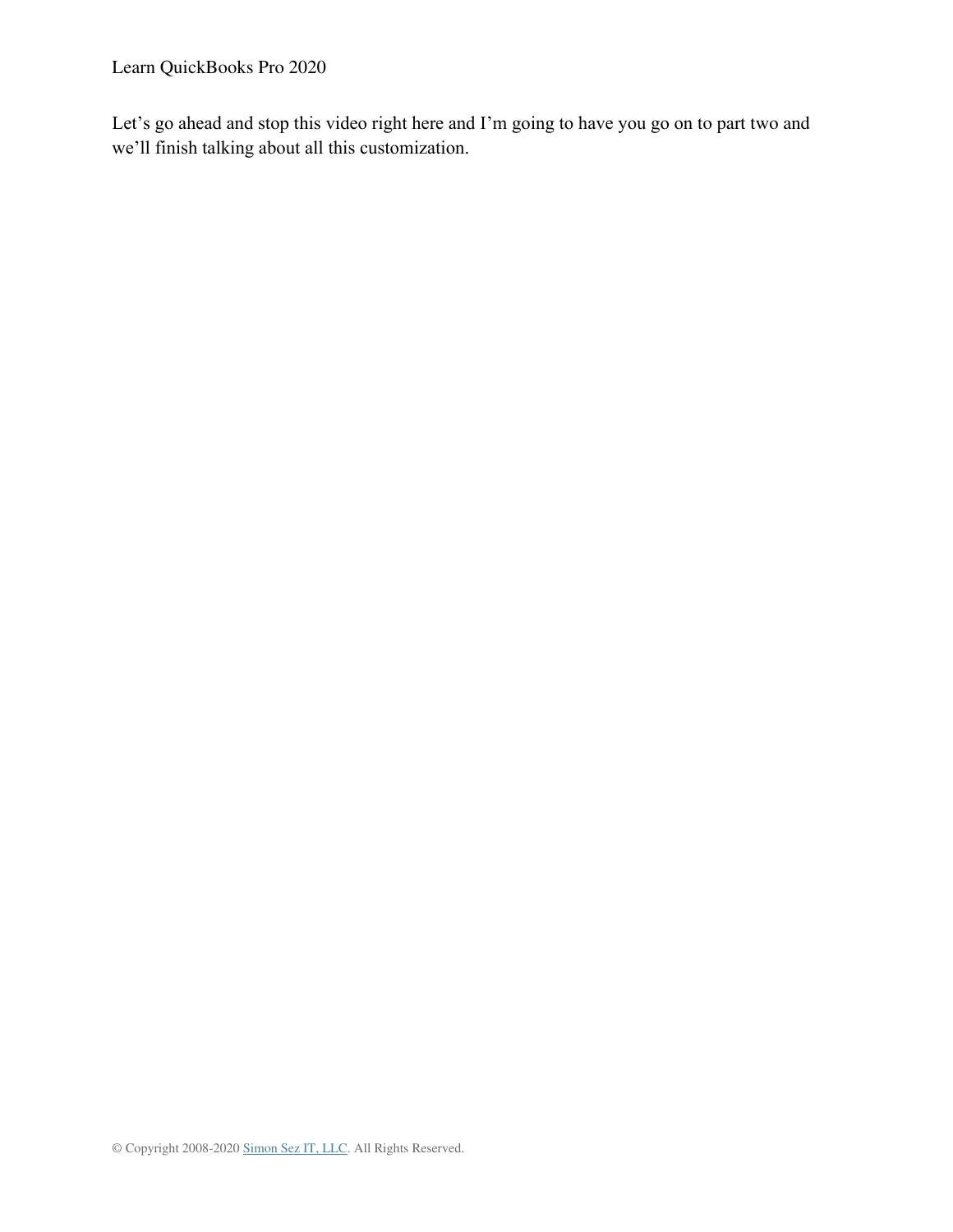Learn QuickBooks Pro 2020

Let's go ahead and stop this video right here and I'm going to have you go on to part two and we'll finish talking about all this customization.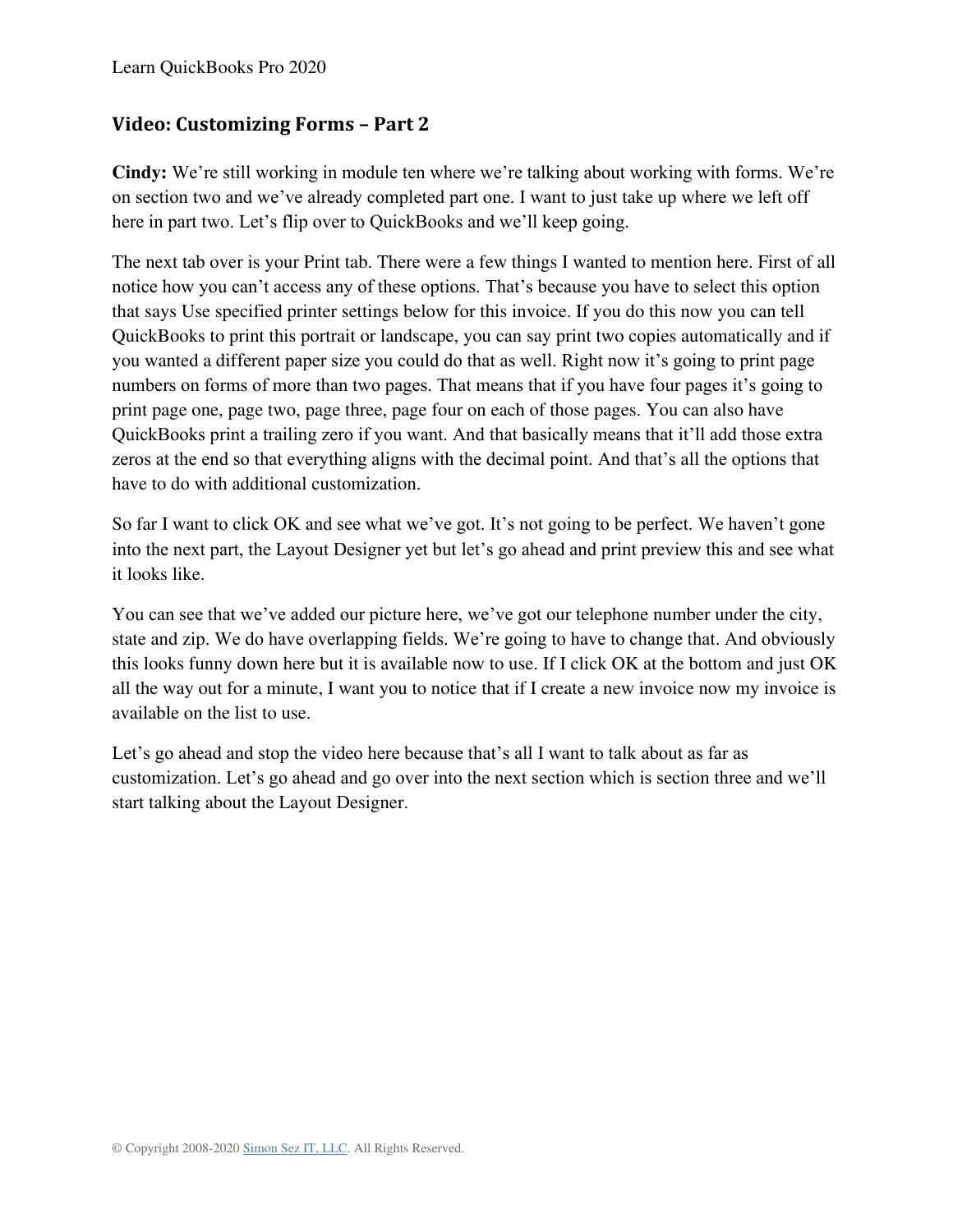#### **Video: Customizing Forms – Part 2**

**Cindy:** We're still working in module ten where we're talking about working with forms. We're on section two and we've already completed part one. I want to just take up where we left off here in part two. Let's flip over to QuickBooks and we'll keep going.

The next tab over is your Print tab. There were a few things I wanted to mention here. First of all notice how you can't access any of these options. That's because you have to select this option that says Use specified printer settings below for this invoice. If you do this now you can tell QuickBooks to print this portrait or landscape, you can say print two copies automatically and if you wanted a different paper size you could do that as well. Right now it's going to print page numbers on forms of more than two pages. That means that if you have four pages it's going to print page one, page two, page three, page four on each of those pages. You can also have QuickBooks print a trailing zero if you want. And that basically means that it'll add those extra zeros at the end so that everything aligns with the decimal point. And that's all the options that have to do with additional customization.

So far I want to click OK and see what we've got. It's not going to be perfect. We haven't gone into the next part, the Layout Designer yet but let's go ahead and print preview this and see what it looks like.

You can see that we've added our picture here, we've got our telephone number under the city, state and zip. We do have overlapping fields. We're going to have to change that. And obviously this looks funny down here but it is available now to use. If I click OK at the bottom and just OK all the way out for a minute, I want you to notice that if I create a new invoice now my invoice is available on the list to use.

Let's go ahead and stop the video here because that's all I want to talk about as far as customization. Let's go ahead and go over into the next section which is section three and we'll start talking about the Layout Designer.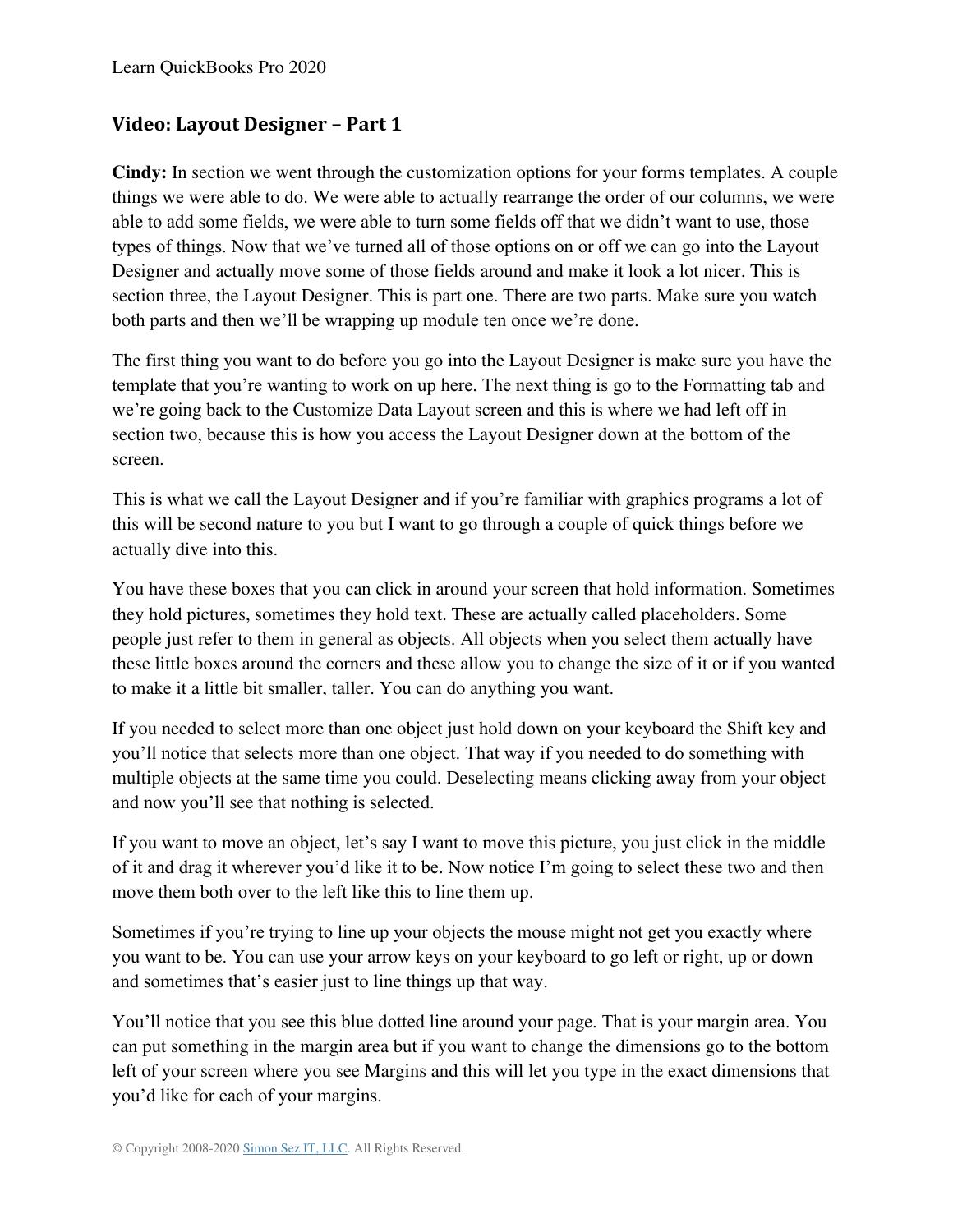#### **Video: Layout Designer – Part 1**

**Cindy:** In section we went through the customization options for your forms templates. A couple things we were able to do. We were able to actually rearrange the order of our columns, we were able to add some fields, we were able to turn some fields off that we didn't want to use, those types of things. Now that we've turned all of those options on or off we can go into the Layout Designer and actually move some of those fields around and make it look a lot nicer. This is section three, the Layout Designer. This is part one. There are two parts. Make sure you watch both parts and then we'll be wrapping up module ten once we're done.

The first thing you want to do before you go into the Layout Designer is make sure you have the template that you're wanting to work on up here. The next thing is go to the Formatting tab and we're going back to the Customize Data Layout screen and this is where we had left off in section two, because this is how you access the Layout Designer down at the bottom of the screen.

This is what we call the Layout Designer and if you're familiar with graphics programs a lot of this will be second nature to you but I want to go through a couple of quick things before we actually dive into this.

You have these boxes that you can click in around your screen that hold information. Sometimes they hold pictures, sometimes they hold text. These are actually called placeholders. Some people just refer to them in general as objects. All objects when you select them actually have these little boxes around the corners and these allow you to change the size of it or if you wanted to make it a little bit smaller, taller. You can do anything you want.

If you needed to select more than one object just hold down on your keyboard the Shift key and you'll notice that selects more than one object. That way if you needed to do something with multiple objects at the same time you could. Deselecting means clicking away from your object and now you'll see that nothing is selected.

If you want to move an object, let's say I want to move this picture, you just click in the middle of it and drag it wherever you'd like it to be. Now notice I'm going to select these two and then move them both over to the left like this to line them up.

Sometimes if you're trying to line up your objects the mouse might not get you exactly where you want to be. You can use your arrow keys on your keyboard to go left or right, up or down and sometimes that's easier just to line things up that way.

You'll notice that you see this blue dotted line around your page. That is your margin area. You can put something in the margin area but if you want to change the dimensions go to the bottom left of your screen where you see Margins and this will let you type in the exact dimensions that you'd like for each of your margins.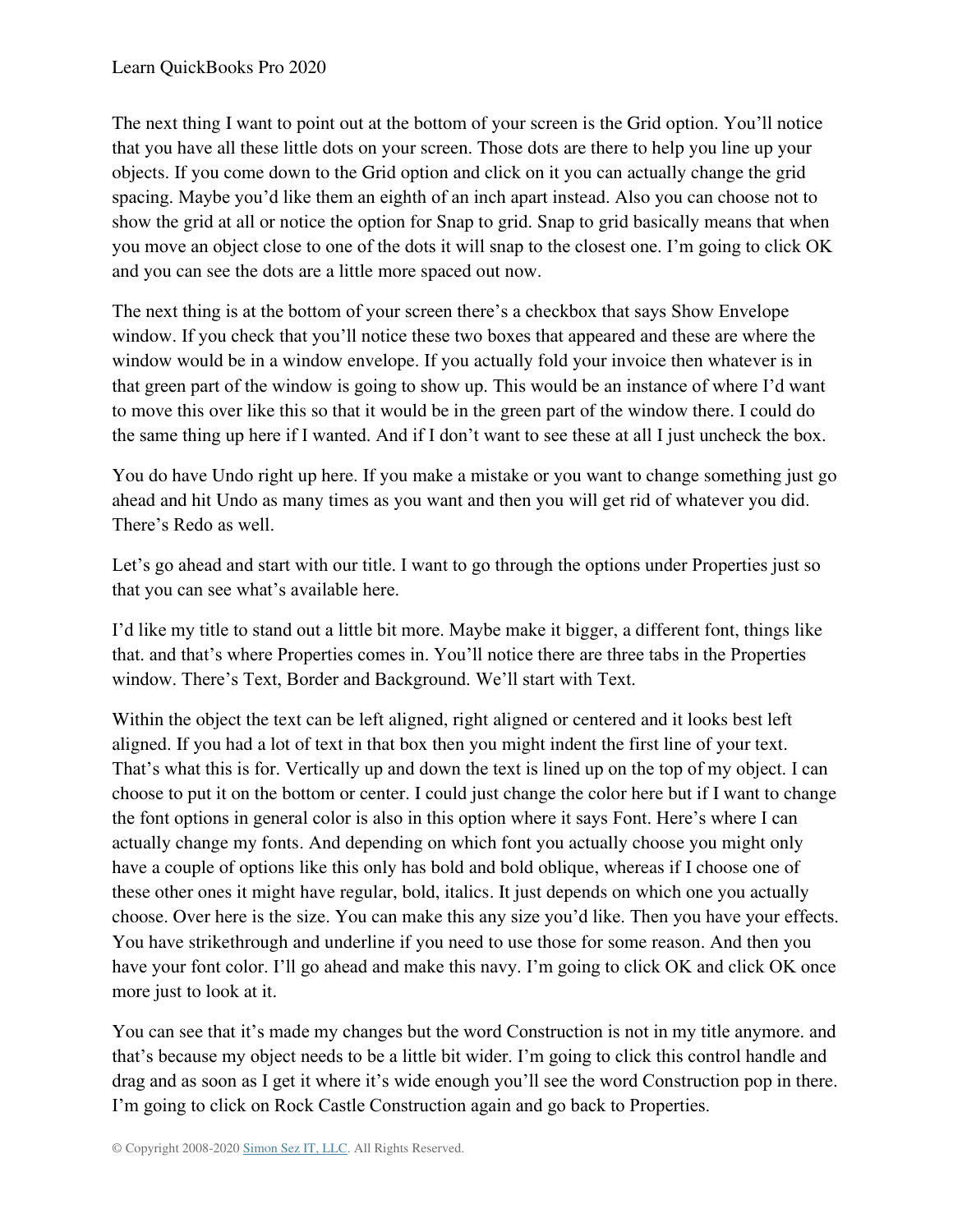The next thing I want to point out at the bottom of your screen is the Grid option. You'll notice that you have all these little dots on your screen. Those dots are there to help you line up your objects. If you come down to the Grid option and click on it you can actually change the grid spacing. Maybe you'd like them an eighth of an inch apart instead. Also you can choose not to show the grid at all or notice the option for Snap to grid. Snap to grid basically means that when you move an object close to one of the dots it will snap to the closest one. I'm going to click OK and you can see the dots are a little more spaced out now.

The next thing is at the bottom of your screen there's a checkbox that says Show Envelope window. If you check that you'll notice these two boxes that appeared and these are where the window would be in a window envelope. If you actually fold your invoice then whatever is in that green part of the window is going to show up. This would be an instance of where I'd want to move this over like this so that it would be in the green part of the window there. I could do the same thing up here if I wanted. And if I don't want to see these at all I just uncheck the box.

You do have Undo right up here. If you make a mistake or you want to change something just go ahead and hit Undo as many times as you want and then you will get rid of whatever you did. There's Redo as well.

Let's go ahead and start with our title. I want to go through the options under Properties just so that you can see what's available here.

I'd like my title to stand out a little bit more. Maybe make it bigger, a different font, things like that. and that's where Properties comes in. You'll notice there are three tabs in the Properties window. There's Text, Border and Background. We'll start with Text.

Within the object the text can be left aligned, right aligned or centered and it looks best left aligned. If you had a lot of text in that box then you might indent the first line of your text. That's what this is for. Vertically up and down the text is lined up on the top of my object. I can choose to put it on the bottom or center. I could just change the color here but if I want to change the font options in general color is also in this option where it says Font. Here's where I can actually change my fonts. And depending on which font you actually choose you might only have a couple of options like this only has bold and bold oblique, whereas if I choose one of these other ones it might have regular, bold, italics. It just depends on which one you actually choose. Over here is the size. You can make this any size you'd like. Then you have your effects. You have strikethrough and underline if you need to use those for some reason. And then you have your font color. I'll go ahead and make this navy. I'm going to click OK and click OK once more just to look at it.

You can see that it's made my changes but the word Construction is not in my title anymore. and that's because my object needs to be a little bit wider. I'm going to click this control handle and drag and as soon as I get it where it's wide enough you'll see the word Construction pop in there. I'm going to click on Rock Castle Construction again and go back to Properties.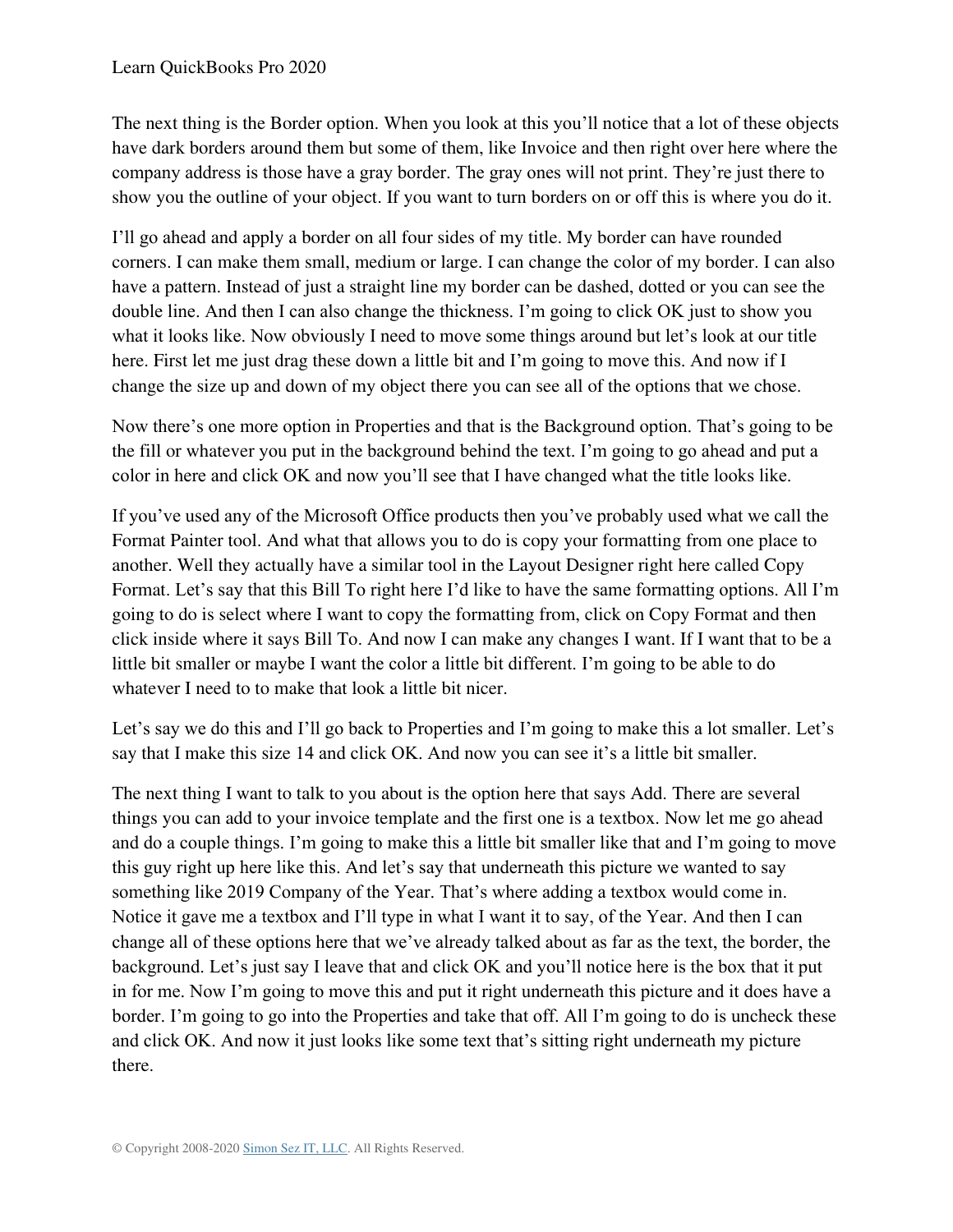The next thing is the Border option. When you look at this you'll notice that a lot of these objects have dark borders around them but some of them, like Invoice and then right over here where the company address is those have a gray border. The gray ones will not print. They're just there to show you the outline of your object. If you want to turn borders on or off this is where you do it.

I'll go ahead and apply a border on all four sides of my title. My border can have rounded corners. I can make them small, medium or large. I can change the color of my border. I can also have a pattern. Instead of just a straight line my border can be dashed, dotted or you can see the double line. And then I can also change the thickness. I'm going to click OK just to show you what it looks like. Now obviously I need to move some things around but let's look at our title here. First let me just drag these down a little bit and I'm going to move this. And now if I change the size up and down of my object there you can see all of the options that we chose.

Now there's one more option in Properties and that is the Background option. That's going to be the fill or whatever you put in the background behind the text. I'm going to go ahead and put a color in here and click OK and now you'll see that I have changed what the title looks like.

If you've used any of the Microsoft Office products then you've probably used what we call the Format Painter tool. And what that allows you to do is copy your formatting from one place to another. Well they actually have a similar tool in the Layout Designer right here called Copy Format. Let's say that this Bill To right here I'd like to have the same formatting options. All I'm going to do is select where I want to copy the formatting from, click on Copy Format and then click inside where it says Bill To. And now I can make any changes I want. If I want that to be a little bit smaller or maybe I want the color a little bit different. I'm going to be able to do whatever I need to to make that look a little bit nicer.

Let's say we do this and I'll go back to Properties and I'm going to make this a lot smaller. Let's say that I make this size 14 and click OK. And now you can see it's a little bit smaller.

The next thing I want to talk to you about is the option here that says Add. There are several things you can add to your invoice template and the first one is a textbox. Now let me go ahead and do a couple things. I'm going to make this a little bit smaller like that and I'm going to move this guy right up here like this. And let's say that underneath this picture we wanted to say something like 2019 Company of the Year. That's where adding a textbox would come in. Notice it gave me a textbox and I'll type in what I want it to say, of the Year. And then I can change all of these options here that we've already talked about as far as the text, the border, the background. Let's just say I leave that and click OK and you'll notice here is the box that it put in for me. Now I'm going to move this and put it right underneath this picture and it does have a border. I'm going to go into the Properties and take that off. All I'm going to do is uncheck these and click OK. And now it just looks like some text that's sitting right underneath my picture there.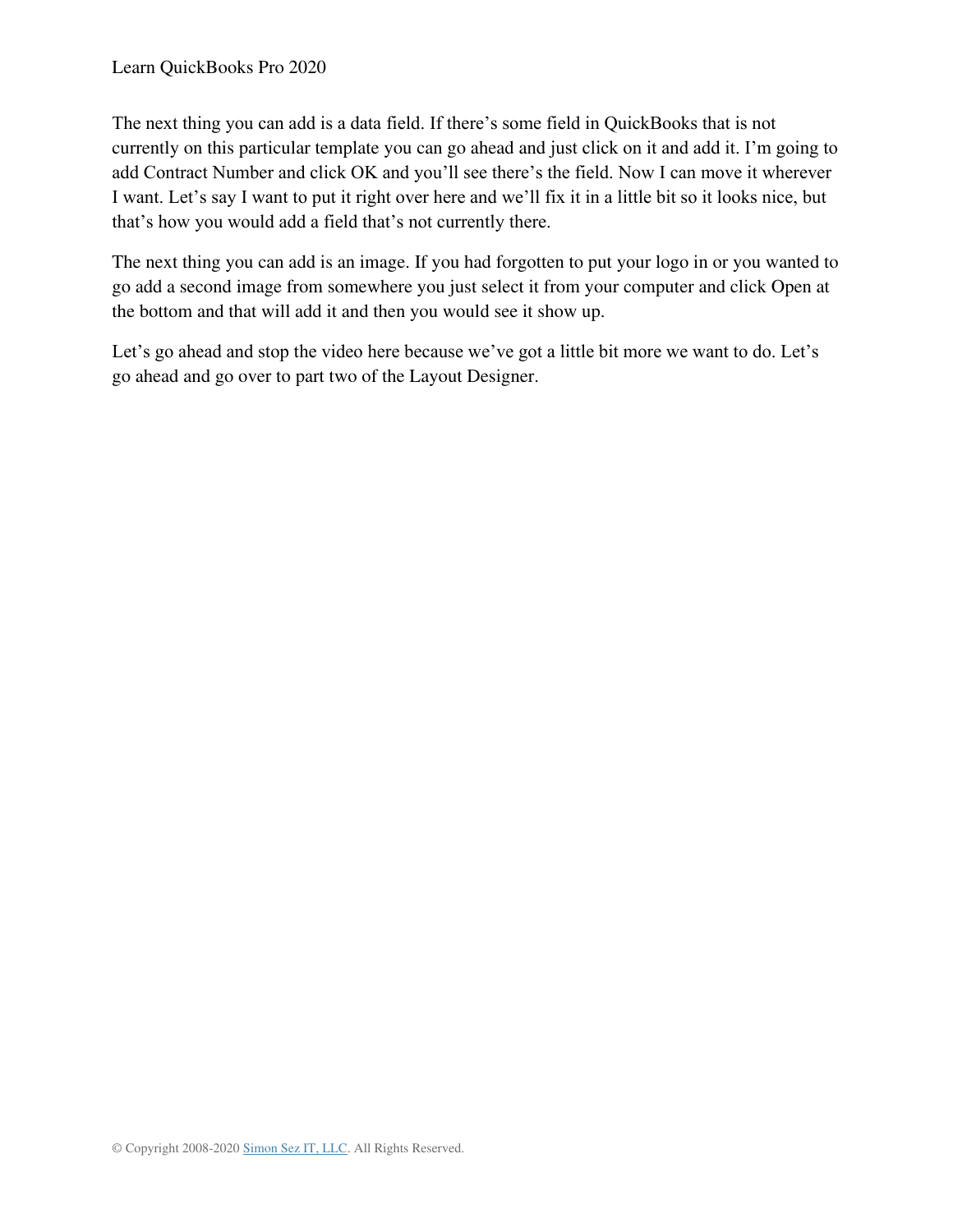The next thing you can add is a data field. If there's some field in QuickBooks that is not currently on this particular template you can go ahead and just click on it and add it. I'm going to add Contract Number and click OK and you'll see there's the field. Now I can move it wherever I want. Let's say I want to put it right over here and we'll fix it in a little bit so it looks nice, but that's how you would add a field that's not currently there.

The next thing you can add is an image. If you had forgotten to put your logo in or you wanted to go add a second image from somewhere you just select it from your computer and click Open at the bottom and that will add it and then you would see it show up.

Let's go ahead and stop the video here because we've got a little bit more we want to do. Let's go ahead and go over to part two of the Layout Designer.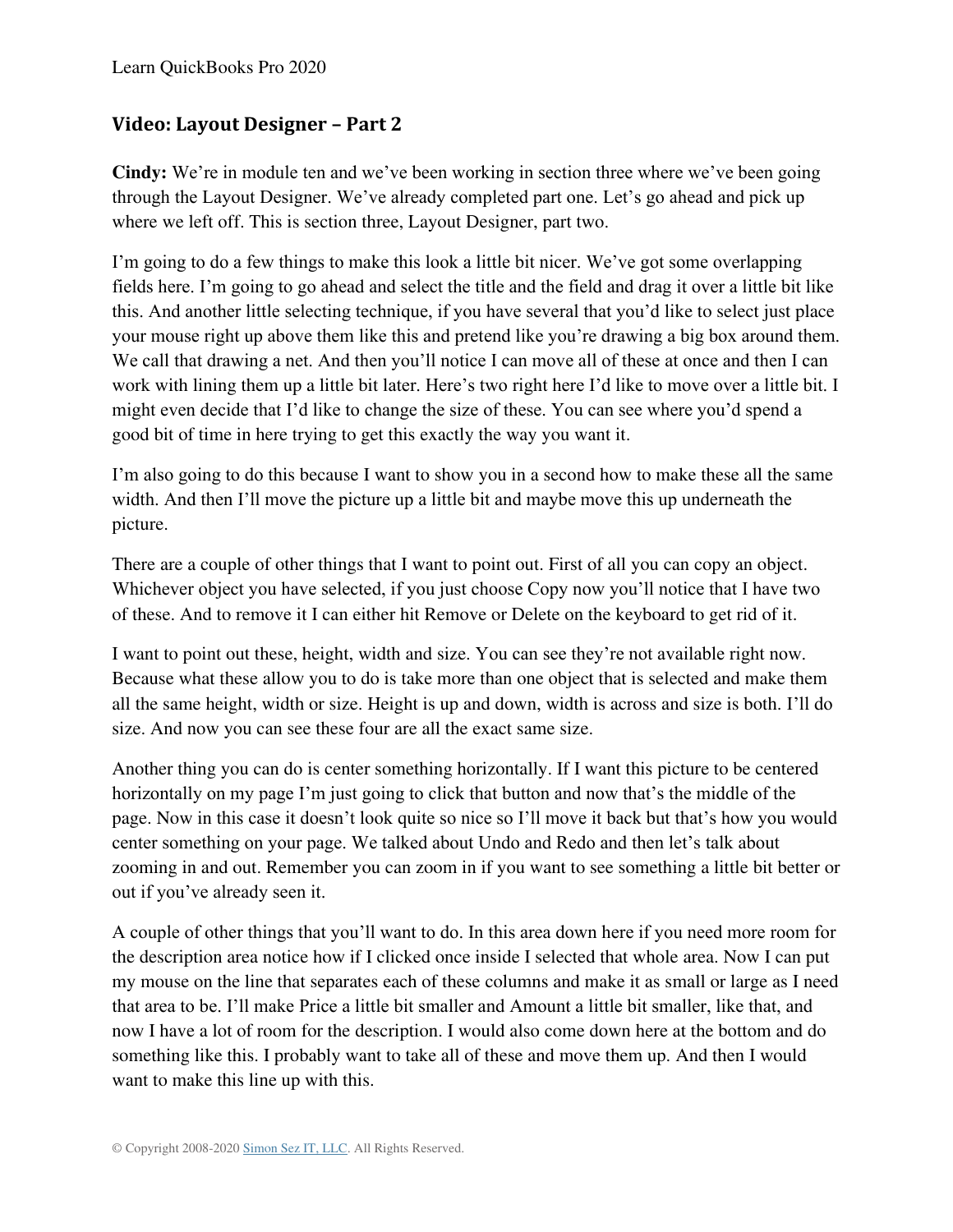#### **Video: Layout Designer – Part 2**

**Cindy:** We're in module ten and we've been working in section three where we've been going through the Layout Designer. We've already completed part one. Let's go ahead and pick up where we left off. This is section three, Layout Designer, part two.

I'm going to do a few things to make this look a little bit nicer. We've got some overlapping fields here. I'm going to go ahead and select the title and the field and drag it over a little bit like this. And another little selecting technique, if you have several that you'd like to select just place your mouse right up above them like this and pretend like you're drawing a big box around them. We call that drawing a net. And then you'll notice I can move all of these at once and then I can work with lining them up a little bit later. Here's two right here I'd like to move over a little bit. I might even decide that I'd like to change the size of these. You can see where you'd spend a good bit of time in here trying to get this exactly the way you want it.

I'm also going to do this because I want to show you in a second how to make these all the same width. And then I'll move the picture up a little bit and maybe move this up underneath the picture.

There are a couple of other things that I want to point out. First of all you can copy an object. Whichever object you have selected, if you just choose Copy now you'll notice that I have two of these. And to remove it I can either hit Remove or Delete on the keyboard to get rid of it.

I want to point out these, height, width and size. You can see they're not available right now. Because what these allow you to do is take more than one object that is selected and make them all the same height, width or size. Height is up and down, width is across and size is both. I'll do size. And now you can see these four are all the exact same size.

Another thing you can do is center something horizontally. If I want this picture to be centered horizontally on my page I'm just going to click that button and now that's the middle of the page. Now in this case it doesn't look quite so nice so I'll move it back but that's how you would center something on your page. We talked about Undo and Redo and then let's talk about zooming in and out. Remember you can zoom in if you want to see something a little bit better or out if you've already seen it.

A couple of other things that you'll want to do. In this area down here if you need more room for the description area notice how if I clicked once inside I selected that whole area. Now I can put my mouse on the line that separates each of these columns and make it as small or large as I need that area to be. I'll make Price a little bit smaller and Amount a little bit smaller, like that, and now I have a lot of room for the description. I would also come down here at the bottom and do something like this. I probably want to take all of these and move them up. And then I would want to make this line up with this.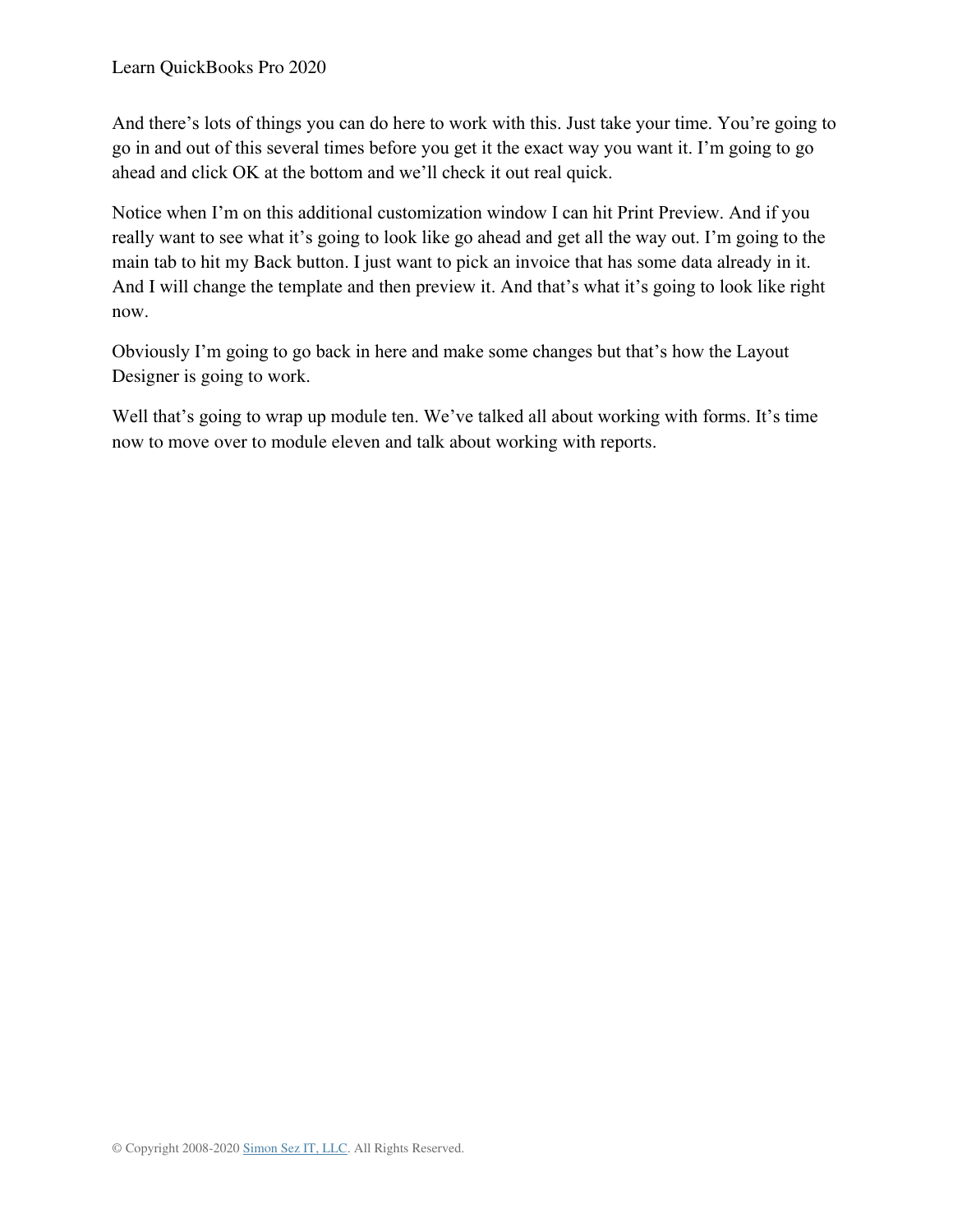And there's lots of things you can do here to work with this. Just take your time. You're going to go in and out of this several times before you get it the exact way you want it. I'm going to go ahead and click OK at the bottom and we'll check it out real quick.

Notice when I'm on this additional customization window I can hit Print Preview. And if you really want to see what it's going to look like go ahead and get all the way out. I'm going to the main tab to hit my Back button. I just want to pick an invoice that has some data already in it. And I will change the template and then preview it. And that's what it's going to look like right now.

Obviously I'm going to go back in here and make some changes but that's how the Layout Designer is going to work.

Well that's going to wrap up module ten. We've talked all about working with forms. It's time now to move over to module eleven and talk about working with reports.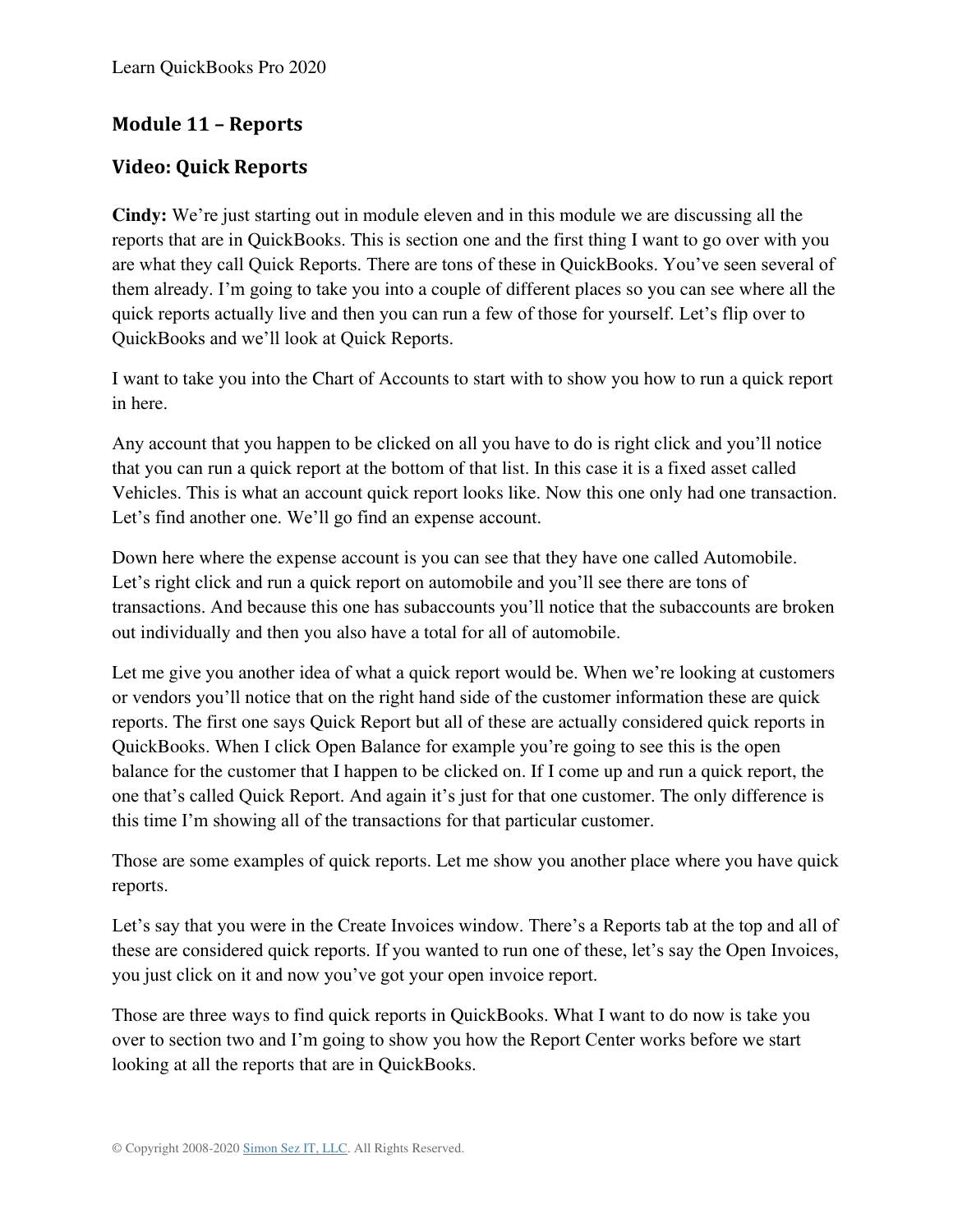# **Module 11 – Reports**

# **Video: Quick Reports**

**Cindy:** We're just starting out in module eleven and in this module we are discussing all the reports that are in QuickBooks. This is section one and the first thing I want to go over with you are what they call Quick Reports. There are tons of these in QuickBooks. You've seen several of them already. I'm going to take you into a couple of different places so you can see where all the quick reports actually live and then you can run a few of those for yourself. Let's flip over to QuickBooks and we'll look at Quick Reports.

I want to take you into the Chart of Accounts to start with to show you how to run a quick report in here.

Any account that you happen to be clicked on all you have to do is right click and you'll notice that you can run a quick report at the bottom of that list. In this case it is a fixed asset called Vehicles. This is what an account quick report looks like. Now this one only had one transaction. Let's find another one. We'll go find an expense account.

Down here where the expense account is you can see that they have one called Automobile. Let's right click and run a quick report on automobile and you'll see there are tons of transactions. And because this one has subaccounts you'll notice that the subaccounts are broken out individually and then you also have a total for all of automobile.

Let me give you another idea of what a quick report would be. When we're looking at customers or vendors you'll notice that on the right hand side of the customer information these are quick reports. The first one says Quick Report but all of these are actually considered quick reports in QuickBooks. When I click Open Balance for example you're going to see this is the open balance for the customer that I happen to be clicked on. If I come up and run a quick report, the one that's called Quick Report. And again it's just for that one customer. The only difference is this time I'm showing all of the transactions for that particular customer.

Those are some examples of quick reports. Let me show you another place where you have quick reports.

Let's say that you were in the Create Invoices window. There's a Reports tab at the top and all of these are considered quick reports. If you wanted to run one of these, let's say the Open Invoices, you just click on it and now you've got your open invoice report.

Those are three ways to find quick reports in QuickBooks. What I want to do now is take you over to section two and I'm going to show you how the Report Center works before we start looking at all the reports that are in QuickBooks.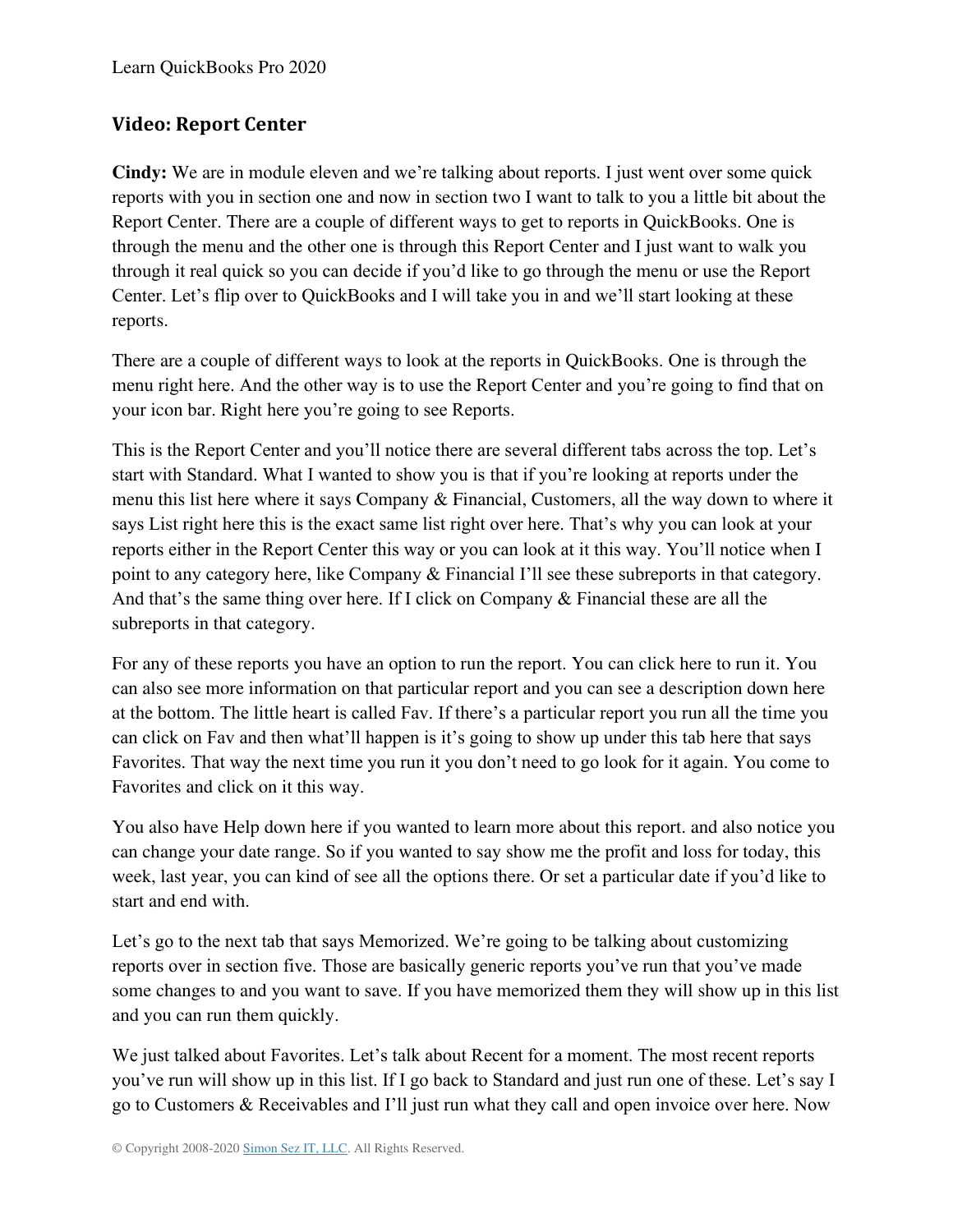## **Video: Report Center**

**Cindy:** We are in module eleven and we're talking about reports. I just went over some quick reports with you in section one and now in section two I want to talk to you a little bit about the Report Center. There are a couple of different ways to get to reports in QuickBooks. One is through the menu and the other one is through this Report Center and I just want to walk you through it real quick so you can decide if you'd like to go through the menu or use the Report Center. Let's flip over to QuickBooks and I will take you in and we'll start looking at these reports.

There are a couple of different ways to look at the reports in QuickBooks. One is through the menu right here. And the other way is to use the Report Center and you're going to find that on your icon bar. Right here you're going to see Reports.

This is the Report Center and you'll notice there are several different tabs across the top. Let's start with Standard. What I wanted to show you is that if you're looking at reports under the menu this list here where it says Company & Financial, Customers, all the way down to where it says List right here this is the exact same list right over here. That's why you can look at your reports either in the Report Center this way or you can look at it this way. You'll notice when I point to any category here, like Company & Financial I'll see these subreports in that category. And that's the same thing over here. If I click on Company & Financial these are all the subreports in that category.

For any of these reports you have an option to run the report. You can click here to run it. You can also see more information on that particular report and you can see a description down here at the bottom. The little heart is called Fav. If there's a particular report you run all the time you can click on Fav and then what'll happen is it's going to show up under this tab here that says Favorites. That way the next time you run it you don't need to go look for it again. You come to Favorites and click on it this way.

You also have Help down here if you wanted to learn more about this report. and also notice you can change your date range. So if you wanted to say show me the profit and loss for today, this week, last year, you can kind of see all the options there. Or set a particular date if you'd like to start and end with.

Let's go to the next tab that says Memorized. We're going to be talking about customizing reports over in section five. Those are basically generic reports you've run that you've made some changes to and you want to save. If you have memorized them they will show up in this list and you can run them quickly.

We just talked about Favorites. Let's talk about Recent for a moment. The most recent reports you've run will show up in this list. If I go back to Standard and just run one of these. Let's say I go to Customers & Receivables and I'll just run what they call and open invoice over here. Now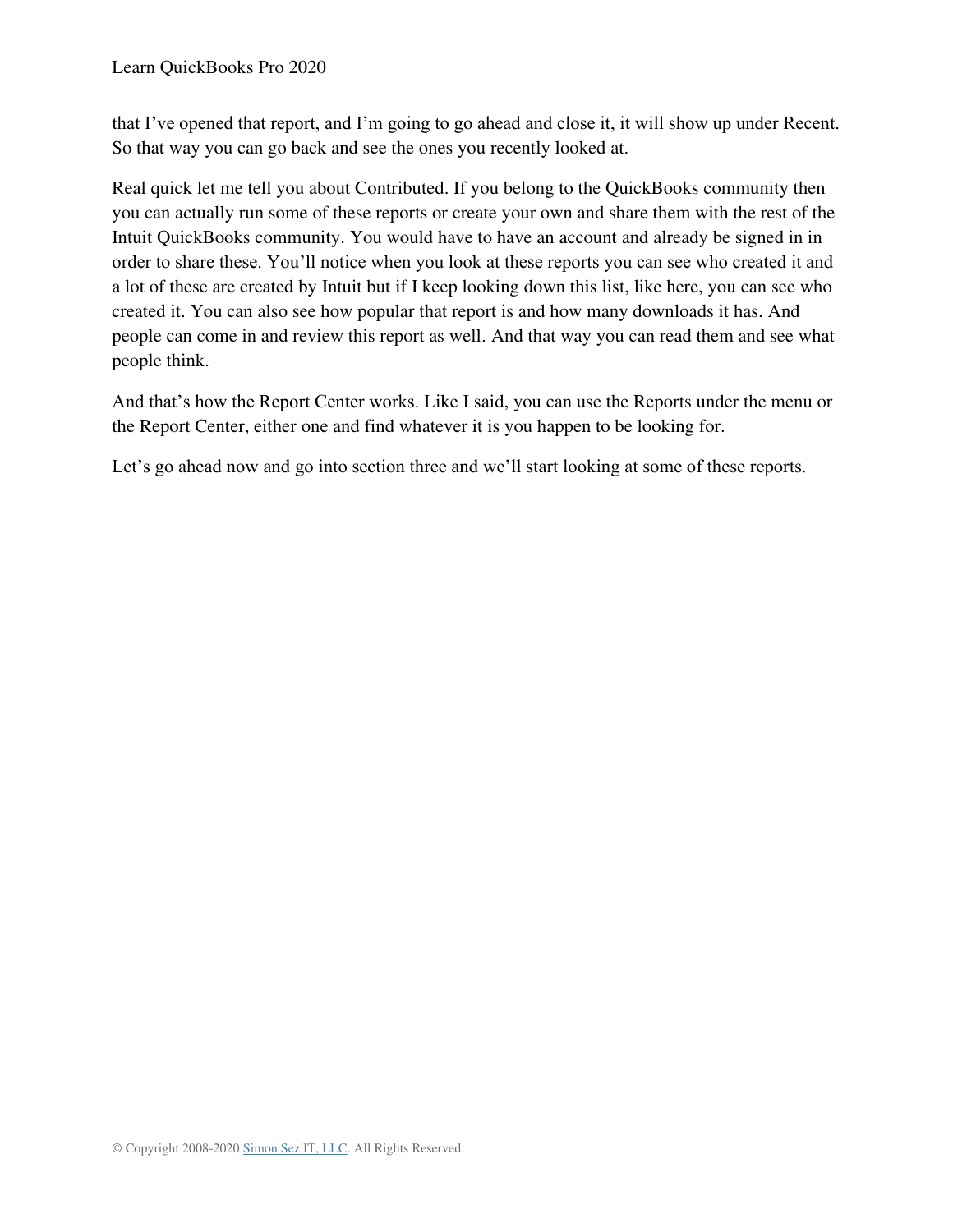that I've opened that report, and I'm going to go ahead and close it, it will show up under Recent. So that way you can go back and see the ones you recently looked at.

Real quick let me tell you about Contributed. If you belong to the QuickBooks community then you can actually run some of these reports or create your own and share them with the rest of the Intuit QuickBooks community. You would have to have an account and already be signed in in order to share these. You'll notice when you look at these reports you can see who created it and a lot of these are created by Intuit but if I keep looking down this list, like here, you can see who created it. You can also see how popular that report is and how many downloads it has. And people can come in and review this report as well. And that way you can read them and see what people think.

And that's how the Report Center works. Like I said, you can use the Reports under the menu or the Report Center, either one and find whatever it is you happen to be looking for.

Let's go ahead now and go into section three and we'll start looking at some of these reports.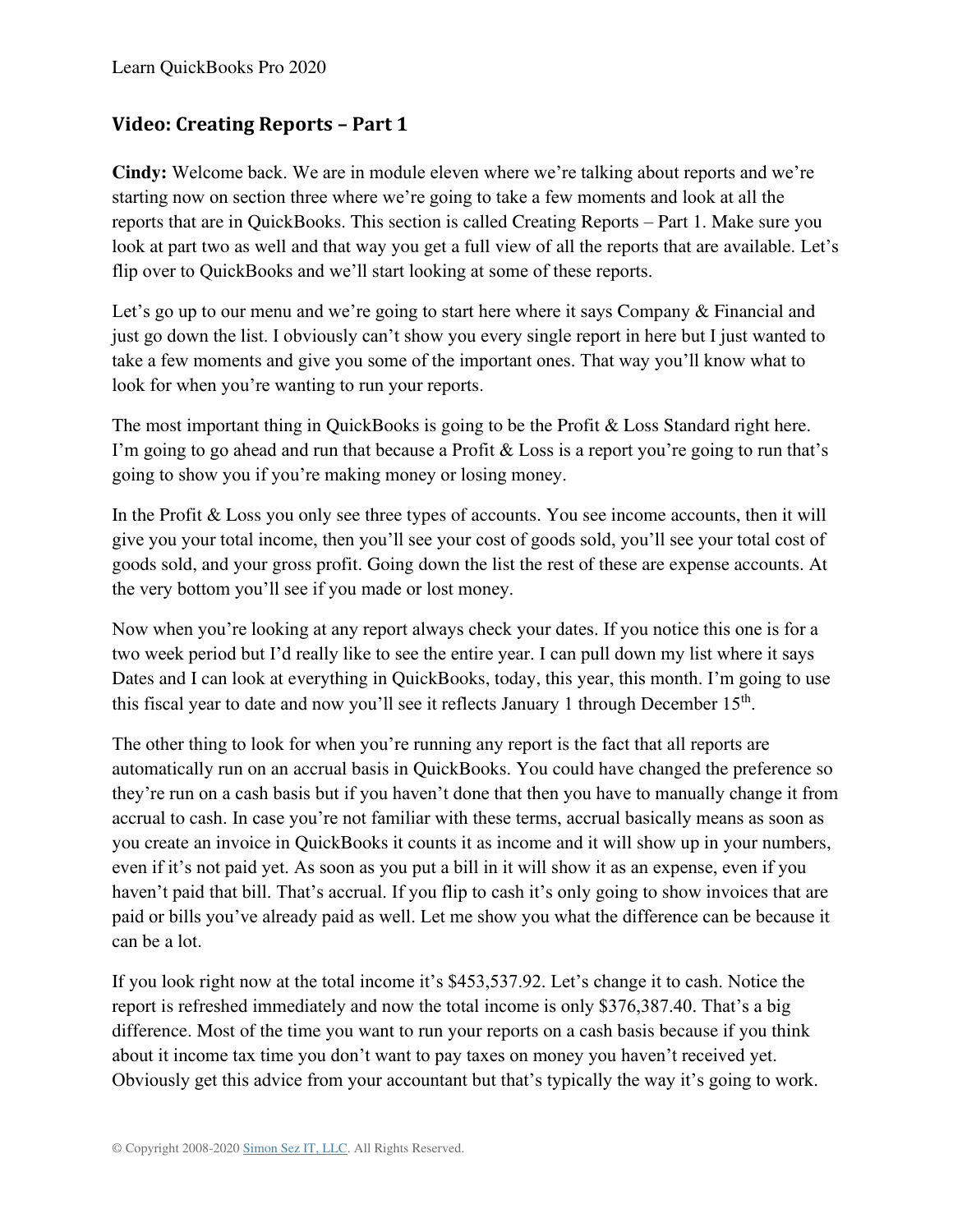# **Video: Creating Reports – Part 1**

**Cindy:** Welcome back. We are in module eleven where we're talking about reports and we're starting now on section three where we're going to take a few moments and look at all the reports that are in QuickBooks. This section is called Creating Reports – Part 1. Make sure you look at part two as well and that way you get a full view of all the reports that are available. Let's flip over to QuickBooks and we'll start looking at some of these reports.

Let's go up to our menu and we're going to start here where it says Company & Financial and just go down the list. I obviously can't show you every single report in here but I just wanted to take a few moments and give you some of the important ones. That way you'll know what to look for when you're wanting to run your reports.

The most important thing in QuickBooks is going to be the Profit & Loss Standard right here. I'm going to go ahead and run that because a Profit & Loss is a report you're going to run that's going to show you if you're making money or losing money.

In the Profit & Loss you only see three types of accounts. You see income accounts, then it will give you your total income, then you'll see your cost of goods sold, you'll see your total cost of goods sold, and your gross profit. Going down the list the rest of these are expense accounts. At the very bottom you'll see if you made or lost money.

Now when you're looking at any report always check your dates. If you notice this one is for a two week period but I'd really like to see the entire year. I can pull down my list where it says Dates and I can look at everything in QuickBooks, today, this year, this month. I'm going to use this fiscal year to date and now you'll see it reflects January 1 through December  $15<sup>th</sup>$ .

The other thing to look for when you're running any report is the fact that all reports are automatically run on an accrual basis in QuickBooks. You could have changed the preference so they're run on a cash basis but if you haven't done that then you have to manually change it from accrual to cash. In case you're not familiar with these terms, accrual basically means as soon as you create an invoice in QuickBooks it counts it as income and it will show up in your numbers, even if it's not paid yet. As soon as you put a bill in it will show it as an expense, even if you haven't paid that bill. That's accrual. If you flip to cash it's only going to show invoices that are paid or bills you've already paid as well. Let me show you what the difference can be because it can be a lot.

If you look right now at the total income it's \$453,537.92. Let's change it to cash. Notice the report is refreshed immediately and now the total income is only \$376,387.40. That's a big difference. Most of the time you want to run your reports on a cash basis because if you think about it income tax time you don't want to pay taxes on money you haven't received yet. Obviously get this advice from your accountant but that's typically the way it's going to work.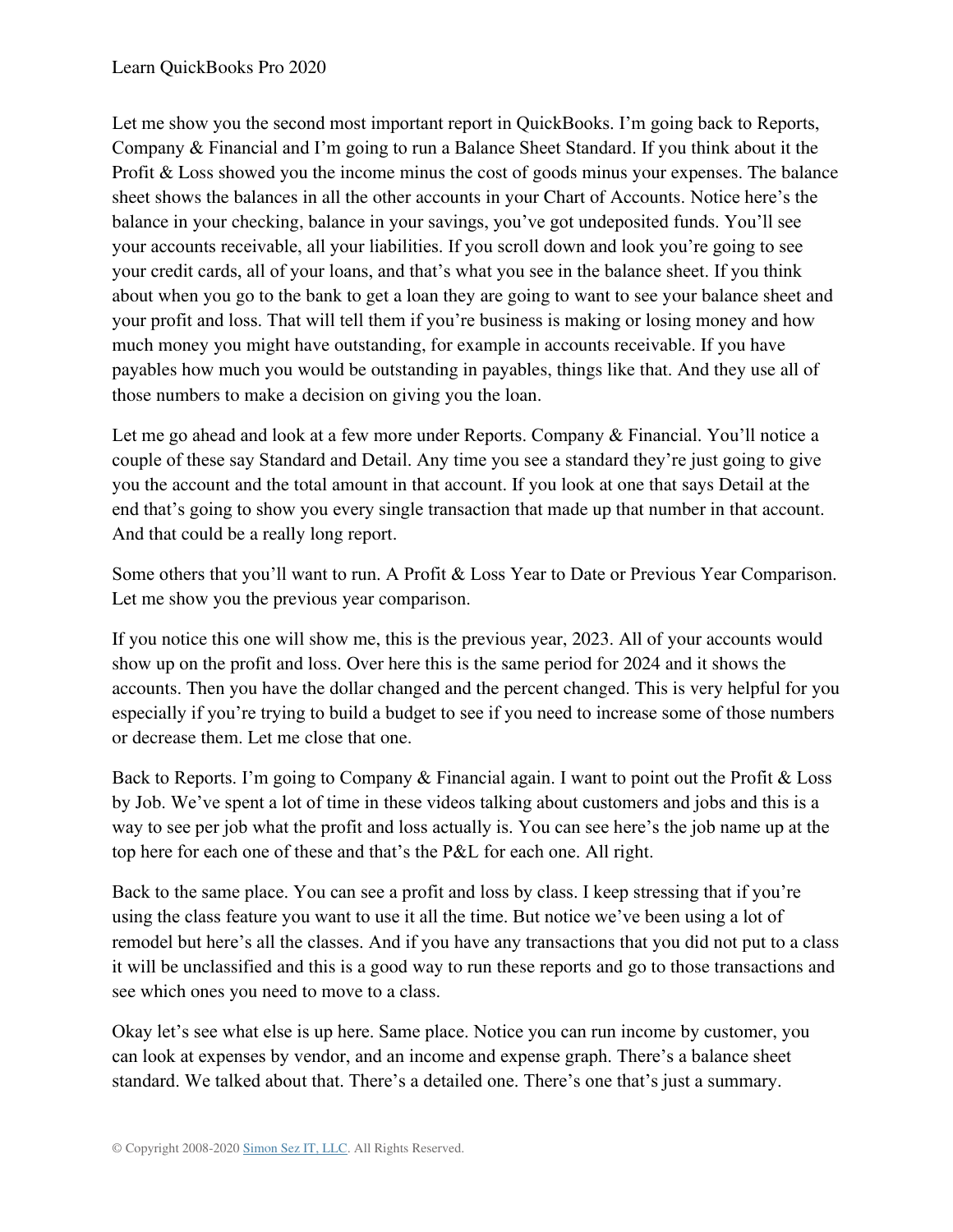Let me show you the second most important report in QuickBooks. I'm going back to Reports, Company & Financial and I'm going to run a Balance Sheet Standard. If you think about it the Profit & Loss showed you the income minus the cost of goods minus your expenses. The balance sheet shows the balances in all the other accounts in your Chart of Accounts. Notice here's the balance in your checking, balance in your savings, you've got undeposited funds. You'll see your accounts receivable, all your liabilities. If you scroll down and look you're going to see your credit cards, all of your loans, and that's what you see in the balance sheet. If you think about when you go to the bank to get a loan they are going to want to see your balance sheet and your profit and loss. That will tell them if you're business is making or losing money and how much money you might have outstanding, for example in accounts receivable. If you have payables how much you would be outstanding in payables, things like that. And they use all of those numbers to make a decision on giving you the loan.

Let me go ahead and look at a few more under Reports. Company & Financial. You'll notice a couple of these say Standard and Detail. Any time you see a standard they're just going to give you the account and the total amount in that account. If you look at one that says Detail at the end that's going to show you every single transaction that made up that number in that account. And that could be a really long report.

Some others that you'll want to run. A Profit & Loss Year to Date or Previous Year Comparison. Let me show you the previous year comparison.

If you notice this one will show me, this is the previous year, 2023. All of your accounts would show up on the profit and loss. Over here this is the same period for 2024 and it shows the accounts. Then you have the dollar changed and the percent changed. This is very helpful for you especially if you're trying to build a budget to see if you need to increase some of those numbers or decrease them. Let me close that one.

Back to Reports. I'm going to Company & Financial again. I want to point out the Profit & Loss by Job. We've spent a lot of time in these videos talking about customers and jobs and this is a way to see per job what the profit and loss actually is. You can see here's the job name up at the top here for each one of these and that's the P&L for each one. All right.

Back to the same place. You can see a profit and loss by class. I keep stressing that if you're using the class feature you want to use it all the time. But notice we've been using a lot of remodel but here's all the classes. And if you have any transactions that you did not put to a class it will be unclassified and this is a good way to run these reports and go to those transactions and see which ones you need to move to a class.

Okay let's see what else is up here. Same place. Notice you can run income by customer, you can look at expenses by vendor, and an income and expense graph. There's a balance sheet standard. We talked about that. There's a detailed one. There's one that's just a summary.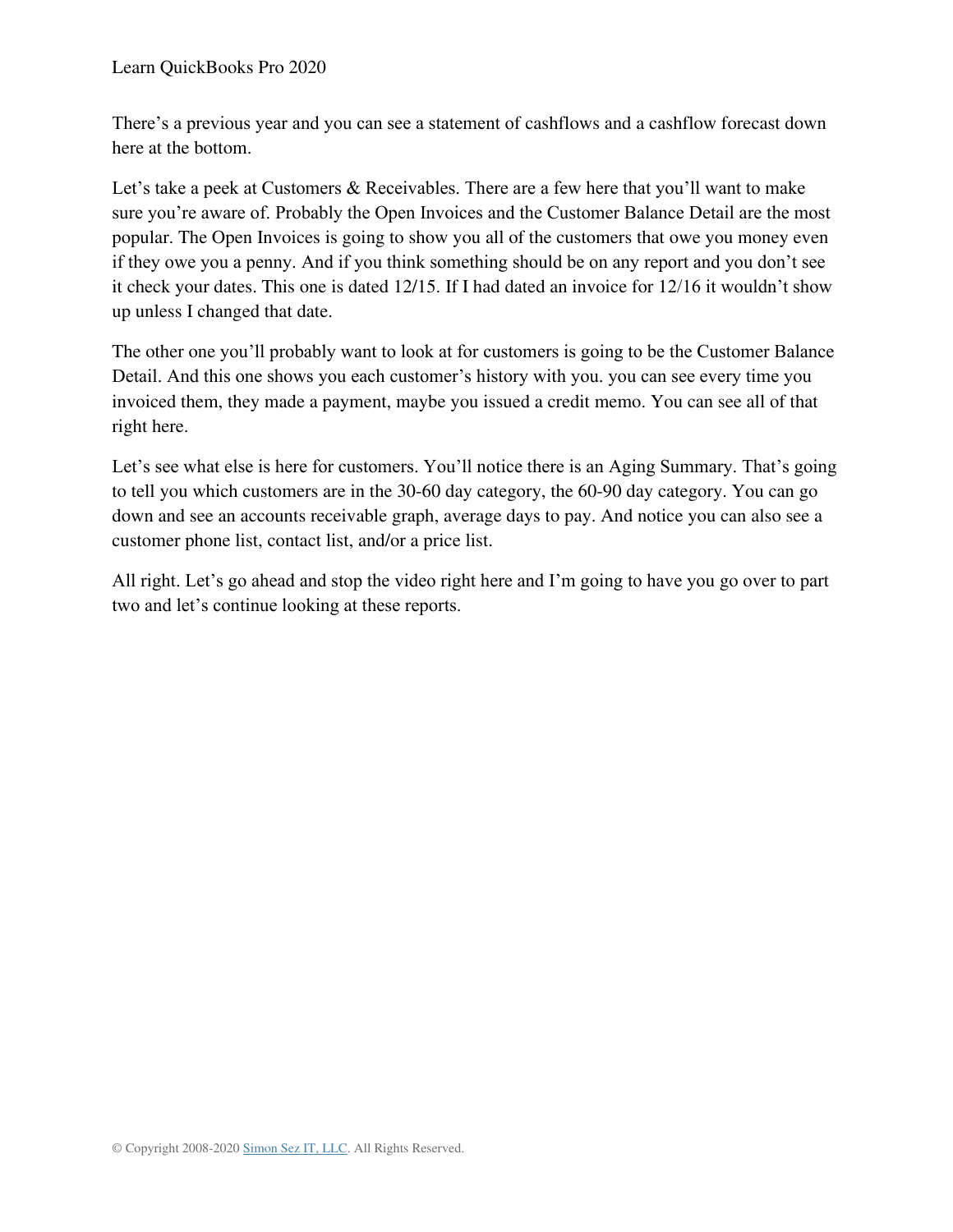There's a previous year and you can see a statement of cashflows and a cashflow forecast down here at the bottom.

Let's take a peek at Customers & Receivables. There are a few here that you'll want to make sure you're aware of. Probably the Open Invoices and the Customer Balance Detail are the most popular. The Open Invoices is going to show you all of the customers that owe you money even if they owe you a penny. And if you think something should be on any report and you don't see it check your dates. This one is dated 12/15. If I had dated an invoice for 12/16 it wouldn't show up unless I changed that date.

The other one you'll probably want to look at for customers is going to be the Customer Balance Detail. And this one shows you each customer's history with you. you can see every time you invoiced them, they made a payment, maybe you issued a credit memo. You can see all of that right here.

Let's see what else is here for customers. You'll notice there is an Aging Summary. That's going to tell you which customers are in the 30-60 day category, the 60-90 day category. You can go down and see an accounts receivable graph, average days to pay. And notice you can also see a customer phone list, contact list, and/or a price list.

All right. Let's go ahead and stop the video right here and I'm going to have you go over to part two and let's continue looking at these reports.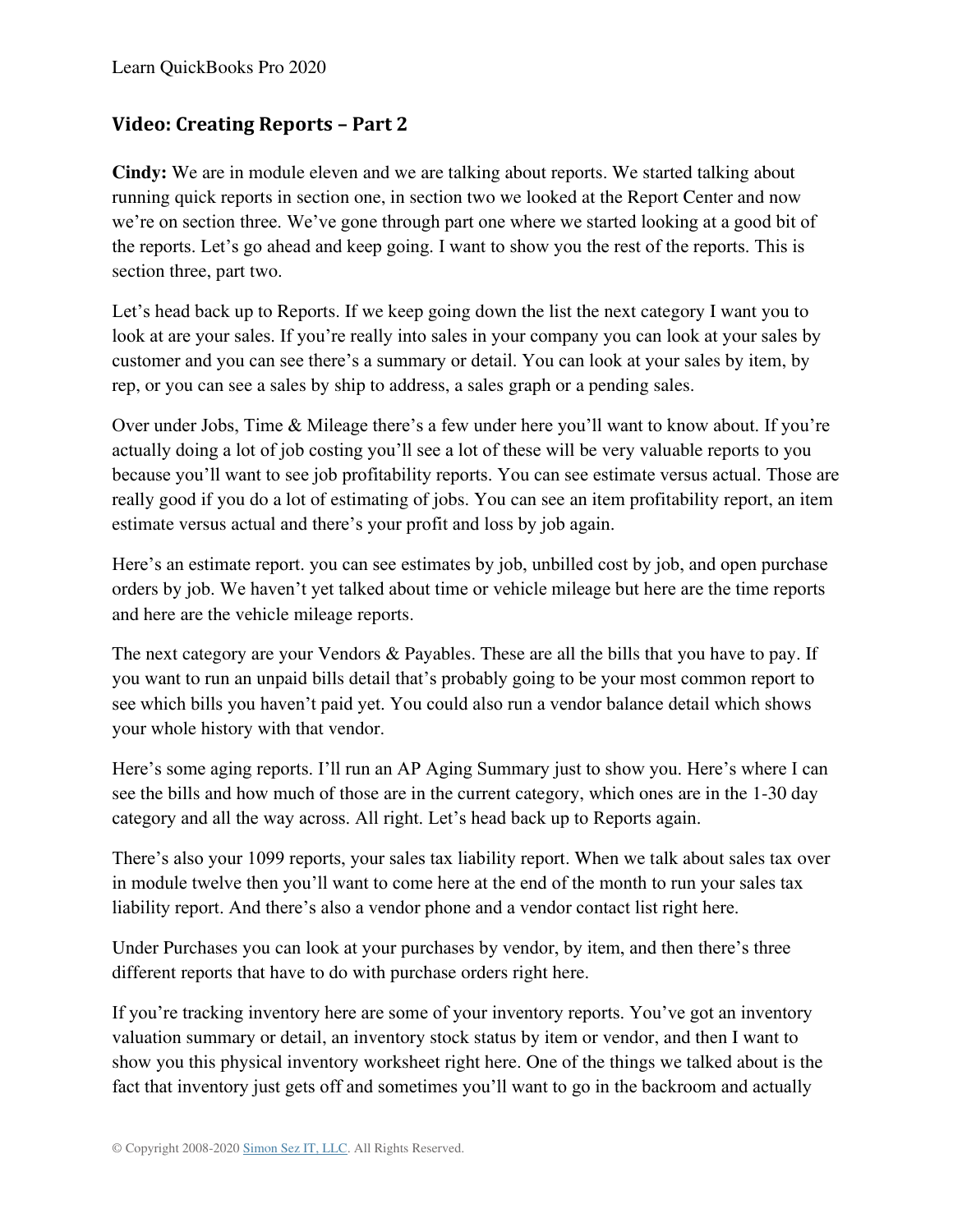## **Video: Creating Reports – Part 2**

**Cindy:** We are in module eleven and we are talking about reports. We started talking about running quick reports in section one, in section two we looked at the Report Center and now we're on section three. We've gone through part one where we started looking at a good bit of the reports. Let's go ahead and keep going. I want to show you the rest of the reports. This is section three, part two.

Let's head back up to Reports. If we keep going down the list the next category I want you to look at are your sales. If you're really into sales in your company you can look at your sales by customer and you can see there's a summary or detail. You can look at your sales by item, by rep, or you can see a sales by ship to address, a sales graph or a pending sales.

Over under Jobs, Time & Mileage there's a few under here you'll want to know about. If you're actually doing a lot of job costing you'll see a lot of these will be very valuable reports to you because you'll want to see job profitability reports. You can see estimate versus actual. Those are really good if you do a lot of estimating of jobs. You can see an item profitability report, an item estimate versus actual and there's your profit and loss by job again.

Here's an estimate report. you can see estimates by job, unbilled cost by job, and open purchase orders by job. We haven't yet talked about time or vehicle mileage but here are the time reports and here are the vehicle mileage reports.

The next category are your Vendors & Payables. These are all the bills that you have to pay. If you want to run an unpaid bills detail that's probably going to be your most common report to see which bills you haven't paid yet. You could also run a vendor balance detail which shows your whole history with that vendor.

Here's some aging reports. I'll run an AP Aging Summary just to show you. Here's where I can see the bills and how much of those are in the current category, which ones are in the 1-30 day category and all the way across. All right. Let's head back up to Reports again.

There's also your 1099 reports, your sales tax liability report. When we talk about sales tax over in module twelve then you'll want to come here at the end of the month to run your sales tax liability report. And there's also a vendor phone and a vendor contact list right here.

Under Purchases you can look at your purchases by vendor, by item, and then there's three different reports that have to do with purchase orders right here.

If you're tracking inventory here are some of your inventory reports. You've got an inventory valuation summary or detail, an inventory stock status by item or vendor, and then I want to show you this physical inventory worksheet right here. One of the things we talked about is the fact that inventory just gets off and sometimes you'll want to go in the backroom and actually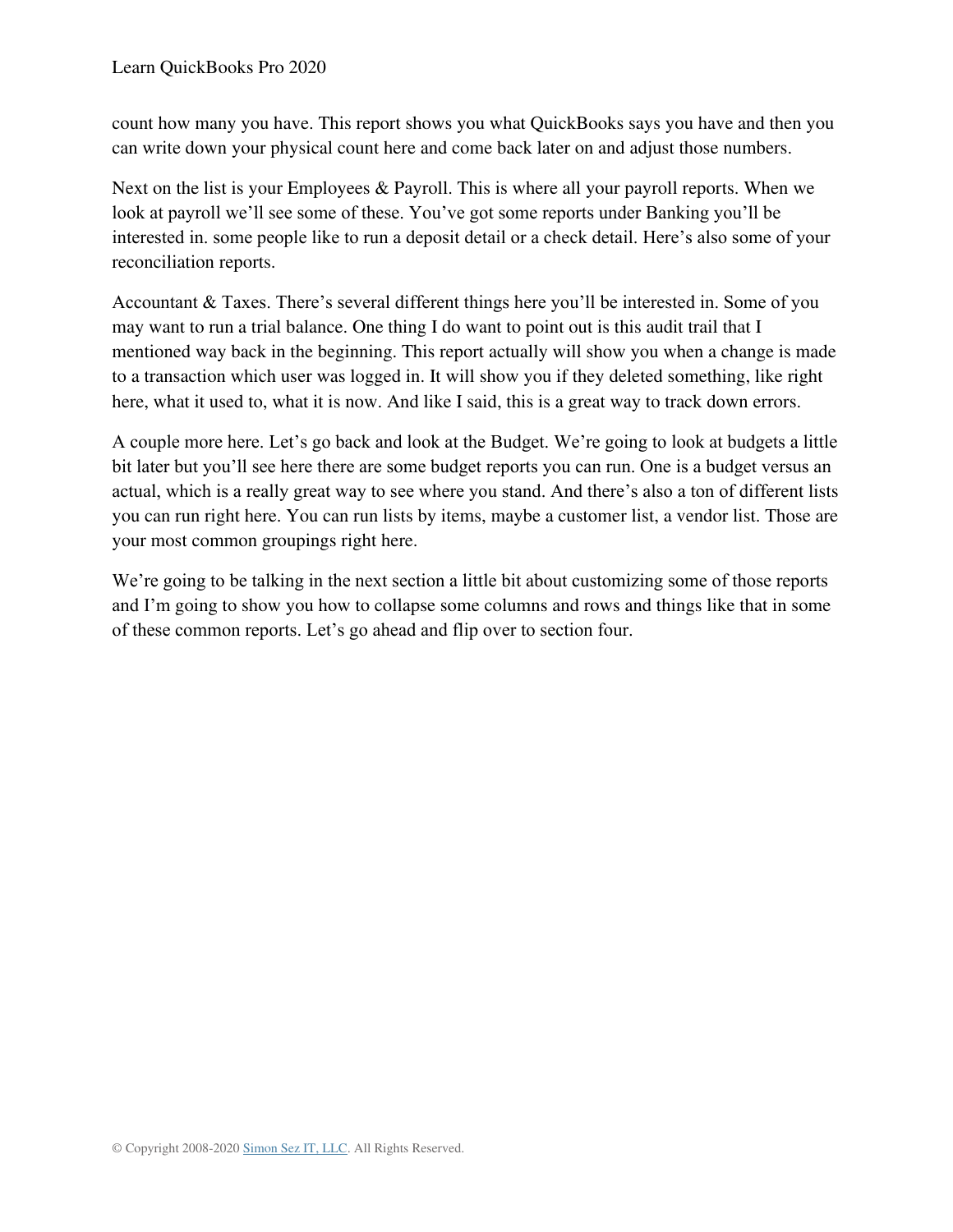count how many you have. This report shows you what QuickBooks says you have and then you can write down your physical count here and come back later on and adjust those numbers.

Next on the list is your Employees & Payroll. This is where all your payroll reports. When we look at payroll we'll see some of these. You've got some reports under Banking you'll be interested in. some people like to run a deposit detail or a check detail. Here's also some of your reconciliation reports.

Accountant & Taxes. There's several different things here you'll be interested in. Some of you may want to run a trial balance. One thing I do want to point out is this audit trail that I mentioned way back in the beginning. This report actually will show you when a change is made to a transaction which user was logged in. It will show you if they deleted something, like right here, what it used to, what it is now. And like I said, this is a great way to track down errors.

A couple more here. Let's go back and look at the Budget. We're going to look at budgets a little bit later but you'll see here there are some budget reports you can run. One is a budget versus an actual, which is a really great way to see where you stand. And there's also a ton of different lists you can run right here. You can run lists by items, maybe a customer list, a vendor list. Those are your most common groupings right here.

We're going to be talking in the next section a little bit about customizing some of those reports and I'm going to show you how to collapse some columns and rows and things like that in some of these common reports. Let's go ahead and flip over to section four.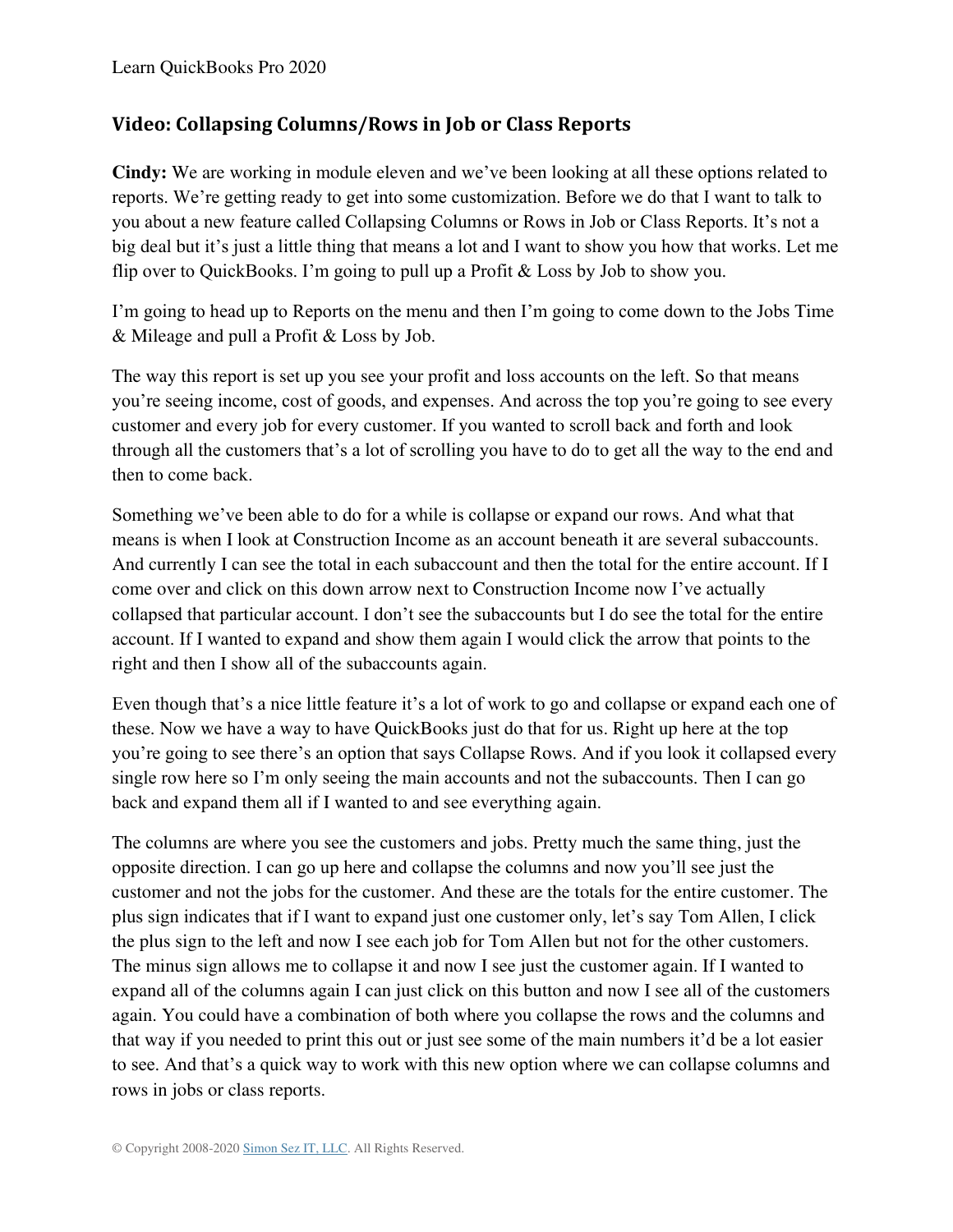## **Video: Collapsing Columns/Rows in Job or Class Reports**

**Cindy:** We are working in module eleven and we've been looking at all these options related to reports. We're getting ready to get into some customization. Before we do that I want to talk to you about a new feature called Collapsing Columns or Rows in Job or Class Reports. It's not a big deal but it's just a little thing that means a lot and I want to show you how that works. Let me flip over to QuickBooks. I'm going to pull up a Profit & Loss by Job to show you.

I'm going to head up to Reports on the menu and then I'm going to come down to the Jobs Time & Mileage and pull a Profit & Loss by Job.

The way this report is set up you see your profit and loss accounts on the left. So that means you're seeing income, cost of goods, and expenses. And across the top you're going to see every customer and every job for every customer. If you wanted to scroll back and forth and look through all the customers that's a lot of scrolling you have to do to get all the way to the end and then to come back.

Something we've been able to do for a while is collapse or expand our rows. And what that means is when I look at Construction Income as an account beneath it are several subaccounts. And currently I can see the total in each subaccount and then the total for the entire account. If I come over and click on this down arrow next to Construction Income now I've actually collapsed that particular account. I don't see the subaccounts but I do see the total for the entire account. If I wanted to expand and show them again I would click the arrow that points to the right and then I show all of the subaccounts again.

Even though that's a nice little feature it's a lot of work to go and collapse or expand each one of these. Now we have a way to have QuickBooks just do that for us. Right up here at the top you're going to see there's an option that says Collapse Rows. And if you look it collapsed every single row here so I'm only seeing the main accounts and not the subaccounts. Then I can go back and expand them all if I wanted to and see everything again.

The columns are where you see the customers and jobs. Pretty much the same thing, just the opposite direction. I can go up here and collapse the columns and now you'll see just the customer and not the jobs for the customer. And these are the totals for the entire customer. The plus sign indicates that if I want to expand just one customer only, let's say Tom Allen, I click the plus sign to the left and now I see each job for Tom Allen but not for the other customers. The minus sign allows me to collapse it and now I see just the customer again. If I wanted to expand all of the columns again I can just click on this button and now I see all of the customers again. You could have a combination of both where you collapse the rows and the columns and that way if you needed to print this out or just see some of the main numbers it'd be a lot easier to see. And that's a quick way to work with this new option where we can collapse columns and rows in jobs or class reports.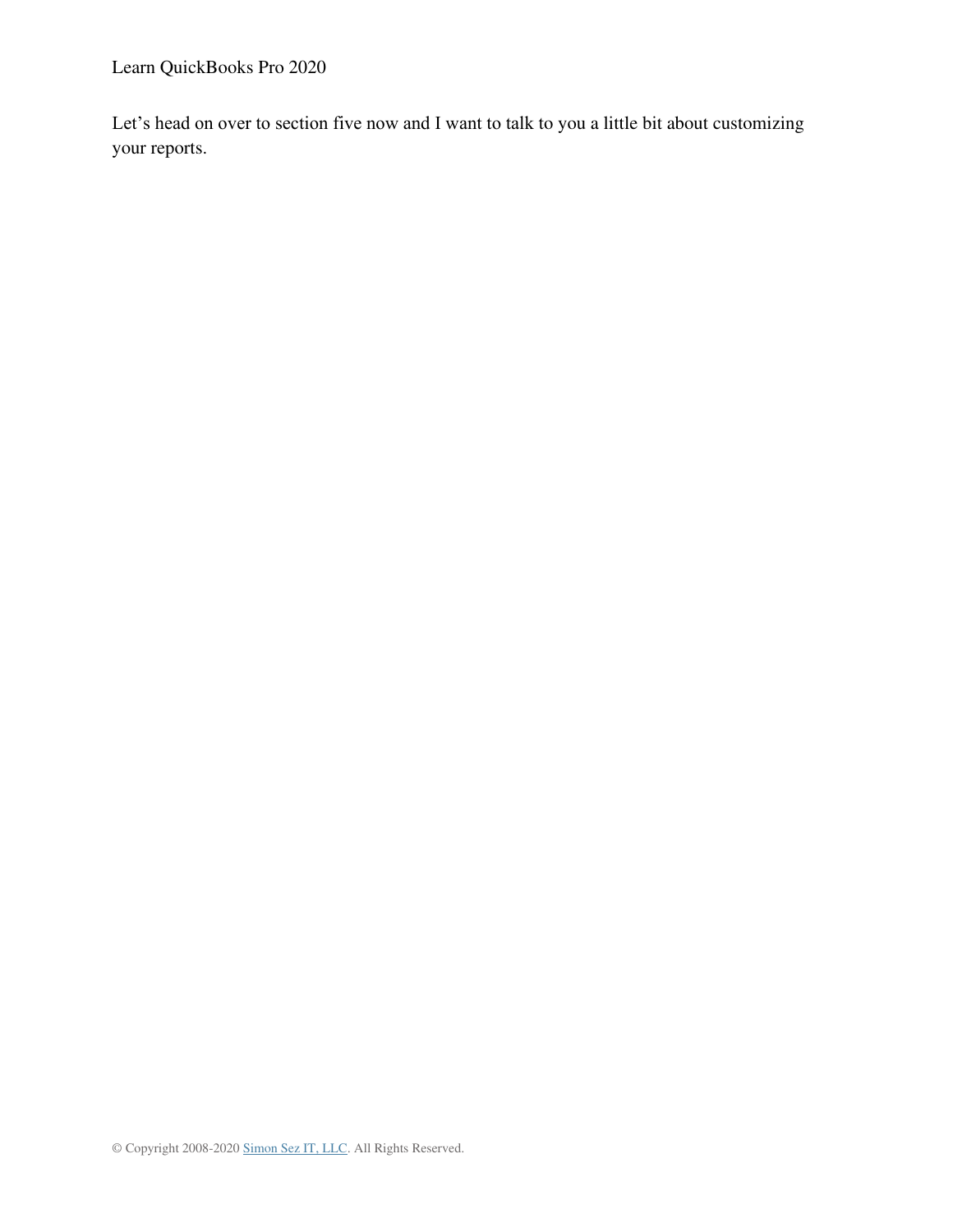Learn QuickBooks Pro 2020

Let's head on over to section five now and I want to talk to you a little bit about customizing your reports.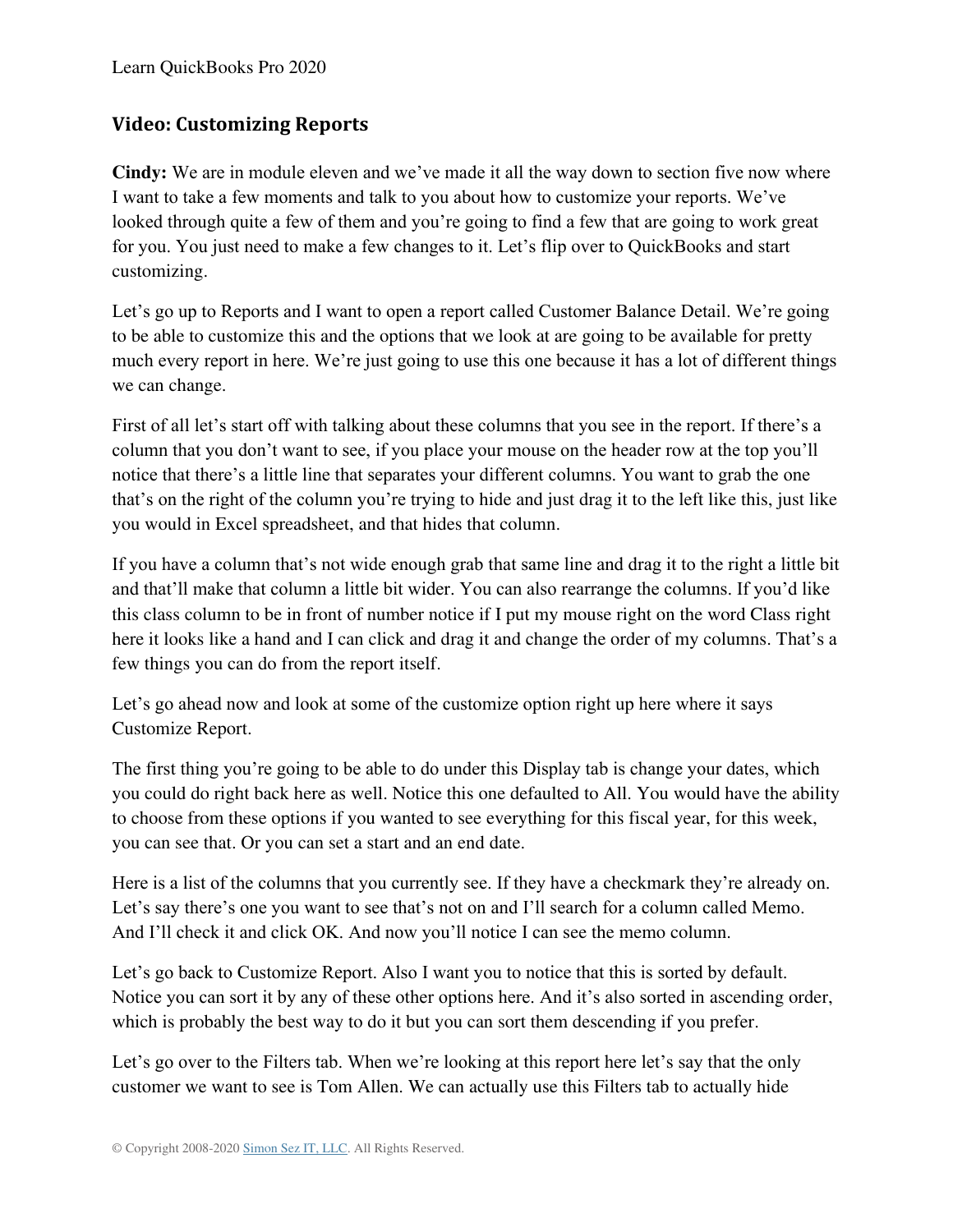# **Video: Customizing Reports**

**Cindy:** We are in module eleven and we've made it all the way down to section five now where I want to take a few moments and talk to you about how to customize your reports. We've looked through quite a few of them and you're going to find a few that are going to work great for you. You just need to make a few changes to it. Let's flip over to QuickBooks and start customizing.

Let's go up to Reports and I want to open a report called Customer Balance Detail. We're going to be able to customize this and the options that we look at are going to be available for pretty much every report in here. We're just going to use this one because it has a lot of different things we can change.

First of all let's start off with talking about these columns that you see in the report. If there's a column that you don't want to see, if you place your mouse on the header row at the top you'll notice that there's a little line that separates your different columns. You want to grab the one that's on the right of the column you're trying to hide and just drag it to the left like this, just like you would in Excel spreadsheet, and that hides that column.

If you have a column that's not wide enough grab that same line and drag it to the right a little bit and that'll make that column a little bit wider. You can also rearrange the columns. If you'd like this class column to be in front of number notice if I put my mouse right on the word Class right here it looks like a hand and I can click and drag it and change the order of my columns. That's a few things you can do from the report itself.

Let's go ahead now and look at some of the customize option right up here where it says Customize Report.

The first thing you're going to be able to do under this Display tab is change your dates, which you could do right back here as well. Notice this one defaulted to All. You would have the ability to choose from these options if you wanted to see everything for this fiscal year, for this week, you can see that. Or you can set a start and an end date.

Here is a list of the columns that you currently see. If they have a checkmark they're already on. Let's say there's one you want to see that's not on and I'll search for a column called Memo. And I'll check it and click OK. And now you'll notice I can see the memo column.

Let's go back to Customize Report. Also I want you to notice that this is sorted by default. Notice you can sort it by any of these other options here. And it's also sorted in ascending order, which is probably the best way to do it but you can sort them descending if you prefer.

Let's go over to the Filters tab. When we're looking at this report here let's say that the only customer we want to see is Tom Allen. We can actually use this Filters tab to actually hide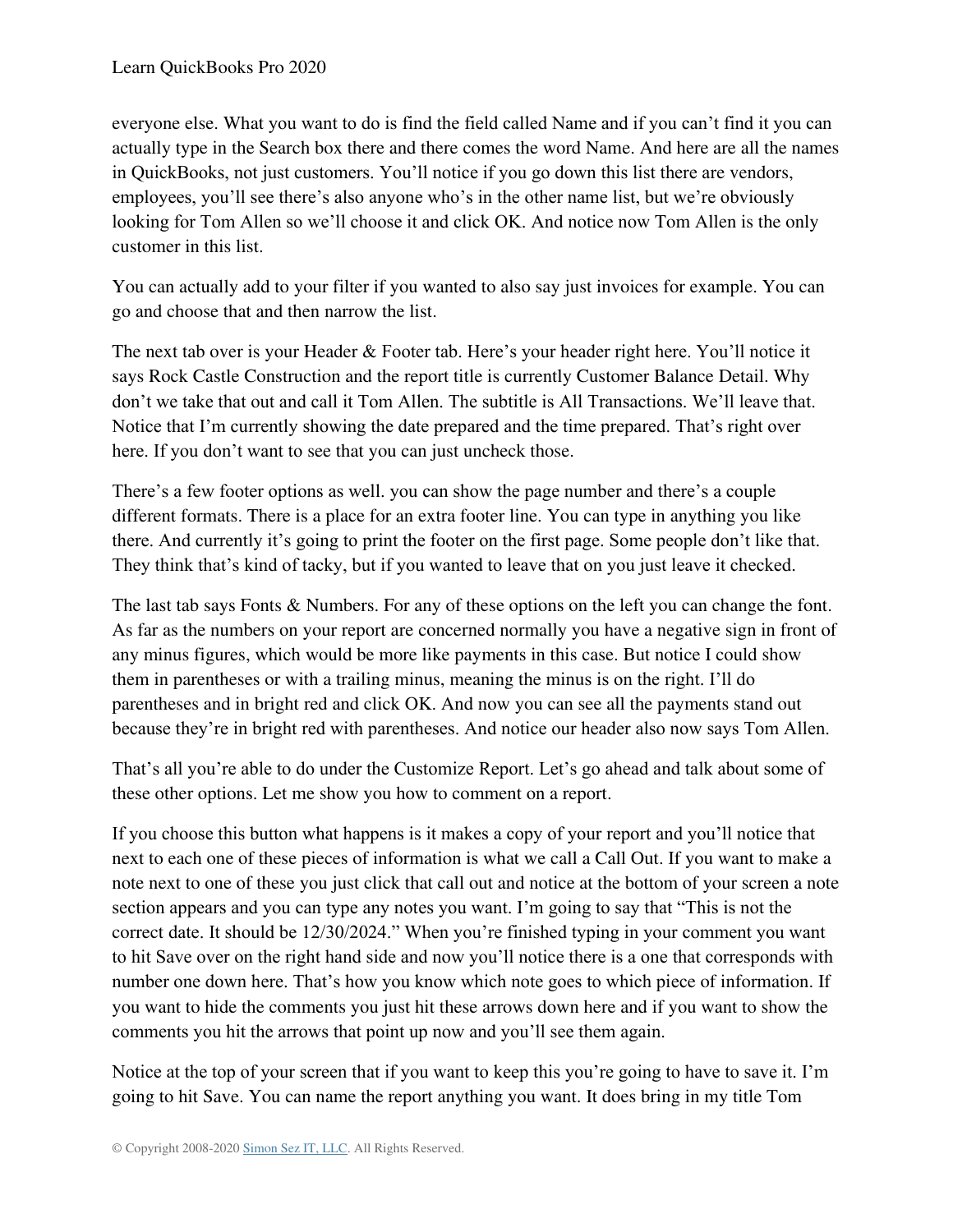everyone else. What you want to do is find the field called Name and if you can't find it you can actually type in the Search box there and there comes the word Name. And here are all the names in QuickBooks, not just customers. You'll notice if you go down this list there are vendors, employees, you'll see there's also anyone who's in the other name list, but we're obviously looking for Tom Allen so we'll choose it and click OK. And notice now Tom Allen is the only customer in this list.

You can actually add to your filter if you wanted to also say just invoices for example. You can go and choose that and then narrow the list.

The next tab over is your Header & Footer tab. Here's your header right here. You'll notice it says Rock Castle Construction and the report title is currently Customer Balance Detail. Why don't we take that out and call it Tom Allen. The subtitle is All Transactions. We'll leave that. Notice that I'm currently showing the date prepared and the time prepared. That's right over here. If you don't want to see that you can just uncheck those.

There's a few footer options as well. you can show the page number and there's a couple different formats. There is a place for an extra footer line. You can type in anything you like there. And currently it's going to print the footer on the first page. Some people don't like that. They think that's kind of tacky, but if you wanted to leave that on you just leave it checked.

The last tab says Fonts & Numbers. For any of these options on the left you can change the font. As far as the numbers on your report are concerned normally you have a negative sign in front of any minus figures, which would be more like payments in this case. But notice I could show them in parentheses or with a trailing minus, meaning the minus is on the right. I'll do parentheses and in bright red and click OK. And now you can see all the payments stand out because they're in bright red with parentheses. And notice our header also now says Tom Allen.

That's all you're able to do under the Customize Report. Let's go ahead and talk about some of these other options. Let me show you how to comment on a report.

If you choose this button what happens is it makes a copy of your report and you'll notice that next to each one of these pieces of information is what we call a Call Out. If you want to make a note next to one of these you just click that call out and notice at the bottom of your screen a note section appears and you can type any notes you want. I'm going to say that "This is not the correct date. It should be 12/30/2024." When you're finished typing in your comment you want to hit Save over on the right hand side and now you'll notice there is a one that corresponds with number one down here. That's how you know which note goes to which piece of information. If you want to hide the comments you just hit these arrows down here and if you want to show the comments you hit the arrows that point up now and you'll see them again.

Notice at the top of your screen that if you want to keep this you're going to have to save it. I'm going to hit Save. You can name the report anything you want. It does bring in my title Tom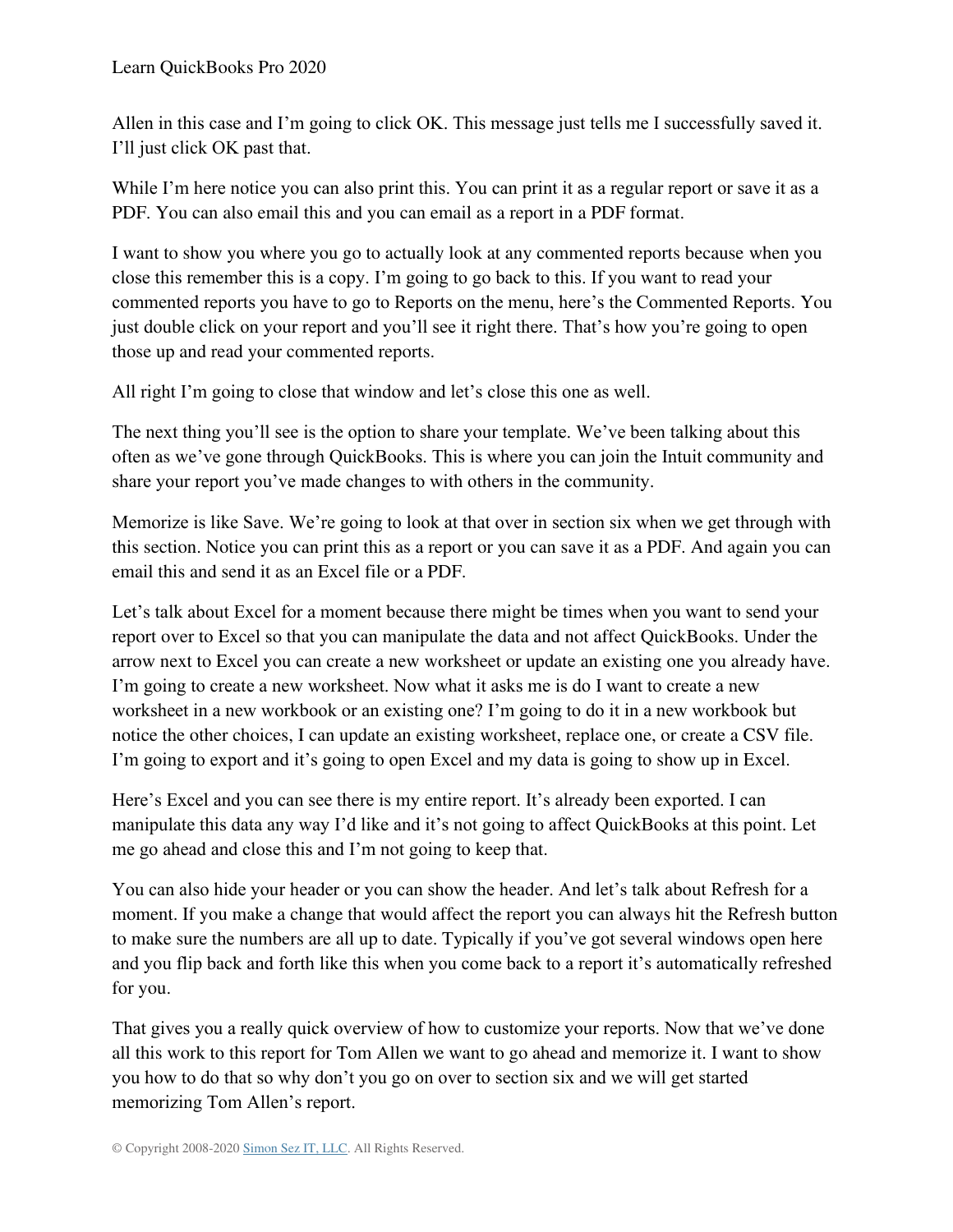Allen in this case and I'm going to click OK. This message just tells me I successfully saved it. I'll just click OK past that.

While I'm here notice you can also print this. You can print it as a regular report or save it as a PDF. You can also email this and you can email as a report in a PDF format.

I want to show you where you go to actually look at any commented reports because when you close this remember this is a copy. I'm going to go back to this. If you want to read your commented reports you have to go to Reports on the menu, here's the Commented Reports. You just double click on your report and you'll see it right there. That's how you're going to open those up and read your commented reports.

All right I'm going to close that window and let's close this one as well.

The next thing you'll see is the option to share your template. We've been talking about this often as we've gone through QuickBooks. This is where you can join the Intuit community and share your report you've made changes to with others in the community.

Memorize is like Save. We're going to look at that over in section six when we get through with this section. Notice you can print this as a report or you can save it as a PDF. And again you can email this and send it as an Excel file or a PDF.

Let's talk about Excel for a moment because there might be times when you want to send your report over to Excel so that you can manipulate the data and not affect QuickBooks. Under the arrow next to Excel you can create a new worksheet or update an existing one you already have. I'm going to create a new worksheet. Now what it asks me is do I want to create a new worksheet in a new workbook or an existing one? I'm going to do it in a new workbook but notice the other choices, I can update an existing worksheet, replace one, or create a CSV file. I'm going to export and it's going to open Excel and my data is going to show up in Excel.

Here's Excel and you can see there is my entire report. It's already been exported. I can manipulate this data any way I'd like and it's not going to affect QuickBooks at this point. Let me go ahead and close this and I'm not going to keep that.

You can also hide your header or you can show the header. And let's talk about Refresh for a moment. If you make a change that would affect the report you can always hit the Refresh button to make sure the numbers are all up to date. Typically if you've got several windows open here and you flip back and forth like this when you come back to a report it's automatically refreshed for you.

That gives you a really quick overview of how to customize your reports. Now that we've done all this work to this report for Tom Allen we want to go ahead and memorize it. I want to show you how to do that so why don't you go on over to section six and we will get started memorizing Tom Allen's report.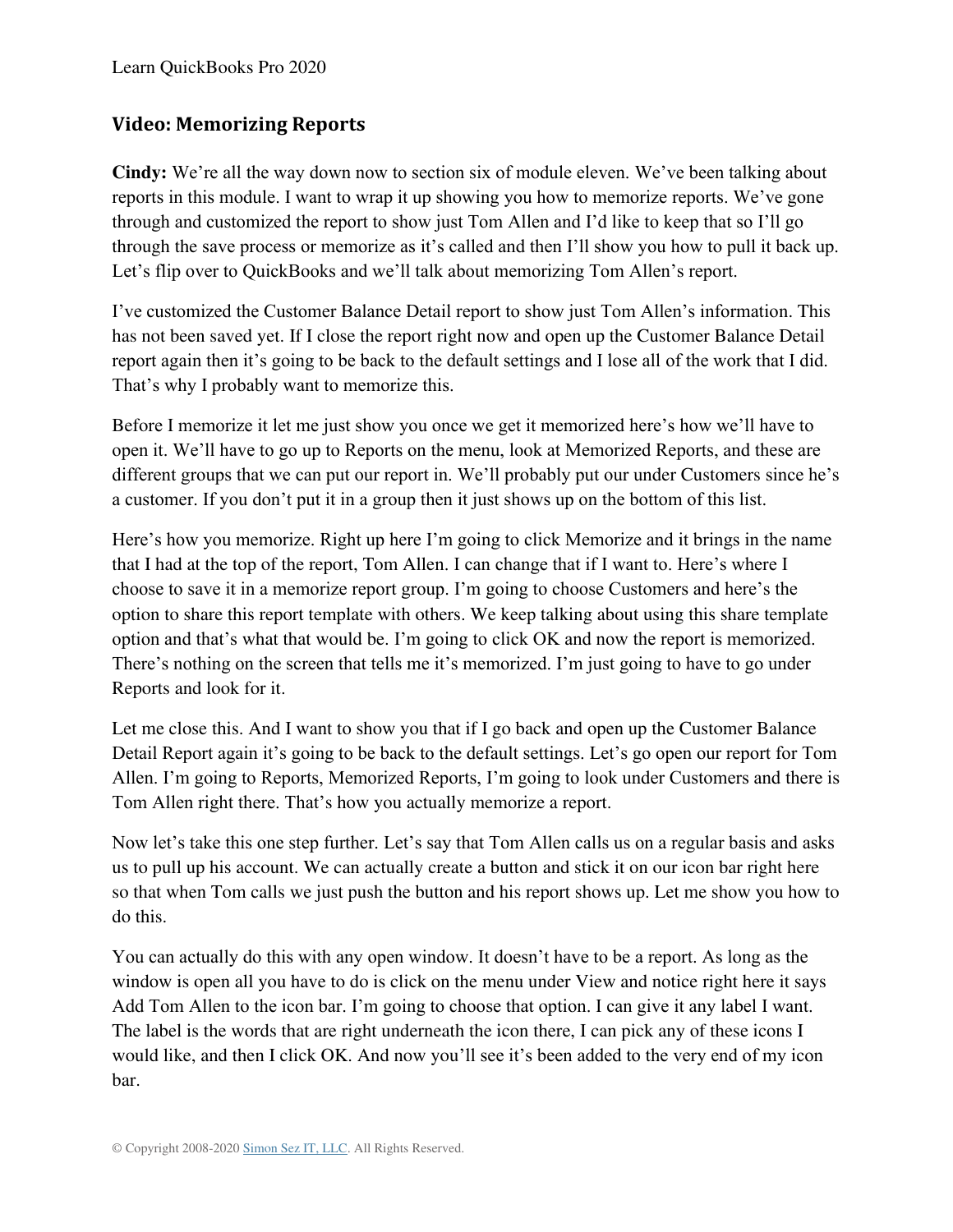### **Video: Memorizing Reports**

**Cindy:** We're all the way down now to section six of module eleven. We've been talking about reports in this module. I want to wrap it up showing you how to memorize reports. We've gone through and customized the report to show just Tom Allen and I'd like to keep that so I'll go through the save process or memorize as it's called and then I'll show you how to pull it back up. Let's flip over to QuickBooks and we'll talk about memorizing Tom Allen's report.

I've customized the Customer Balance Detail report to show just Tom Allen's information. This has not been saved yet. If I close the report right now and open up the Customer Balance Detail report again then it's going to be back to the default settings and I lose all of the work that I did. That's why I probably want to memorize this.

Before I memorize it let me just show you once we get it memorized here's how we'll have to open it. We'll have to go up to Reports on the menu, look at Memorized Reports, and these are different groups that we can put our report in. We'll probably put our under Customers since he's a customer. If you don't put it in a group then it just shows up on the bottom of this list.

Here's how you memorize. Right up here I'm going to click Memorize and it brings in the name that I had at the top of the report, Tom Allen. I can change that if I want to. Here's where I choose to save it in a memorize report group. I'm going to choose Customers and here's the option to share this report template with others. We keep talking about using this share template option and that's what that would be. I'm going to click OK and now the report is memorized. There's nothing on the screen that tells me it's memorized. I'm just going to have to go under Reports and look for it.

Let me close this. And I want to show you that if I go back and open up the Customer Balance Detail Report again it's going to be back to the default settings. Let's go open our report for Tom Allen. I'm going to Reports, Memorized Reports, I'm going to look under Customers and there is Tom Allen right there. That's how you actually memorize a report.

Now let's take this one step further. Let's say that Tom Allen calls us on a regular basis and asks us to pull up his account. We can actually create a button and stick it on our icon bar right here so that when Tom calls we just push the button and his report shows up. Let me show you how to do this.

You can actually do this with any open window. It doesn't have to be a report. As long as the window is open all you have to do is click on the menu under View and notice right here it says Add Tom Allen to the icon bar. I'm going to choose that option. I can give it any label I want. The label is the words that are right underneath the icon there, I can pick any of these icons I would like, and then I click OK. And now you'll see it's been added to the very end of my icon bar.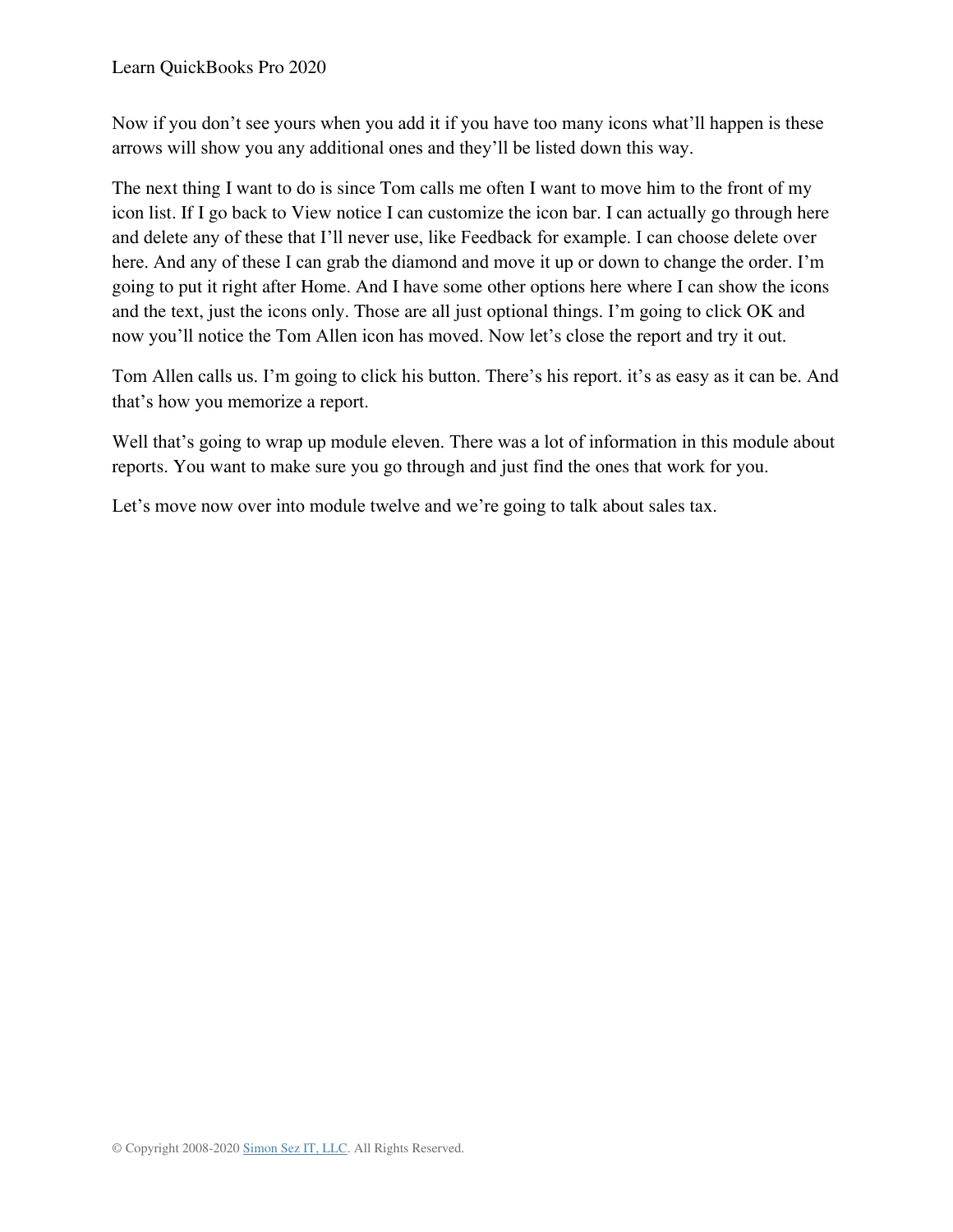Now if you don't see yours when you add it if you have too many icons what'll happen is these arrows will show you any additional ones and they'll be listed down this way.

The next thing I want to do is since Tom calls me often I want to move him to the front of my icon list. If I go back to View notice I can customize the icon bar. I can actually go through here and delete any of these that I'll never use, like Feedback for example. I can choose delete over here. And any of these I can grab the diamond and move it up or down to change the order. I'm going to put it right after Home. And I have some other options here where I can show the icons and the text, just the icons only. Those are all just optional things. I'm going to click OK and now you'll notice the Tom Allen icon has moved. Now let's close the report and try it out.

Tom Allen calls us. I'm going to click his button. There's his report. it's as easy as it can be. And that's how you memorize a report.

Well that's going to wrap up module eleven. There was a lot of information in this module about reports. You want to make sure you go through and just find the ones that work for you.

Let's move now over into module twelve and we're going to talk about sales tax.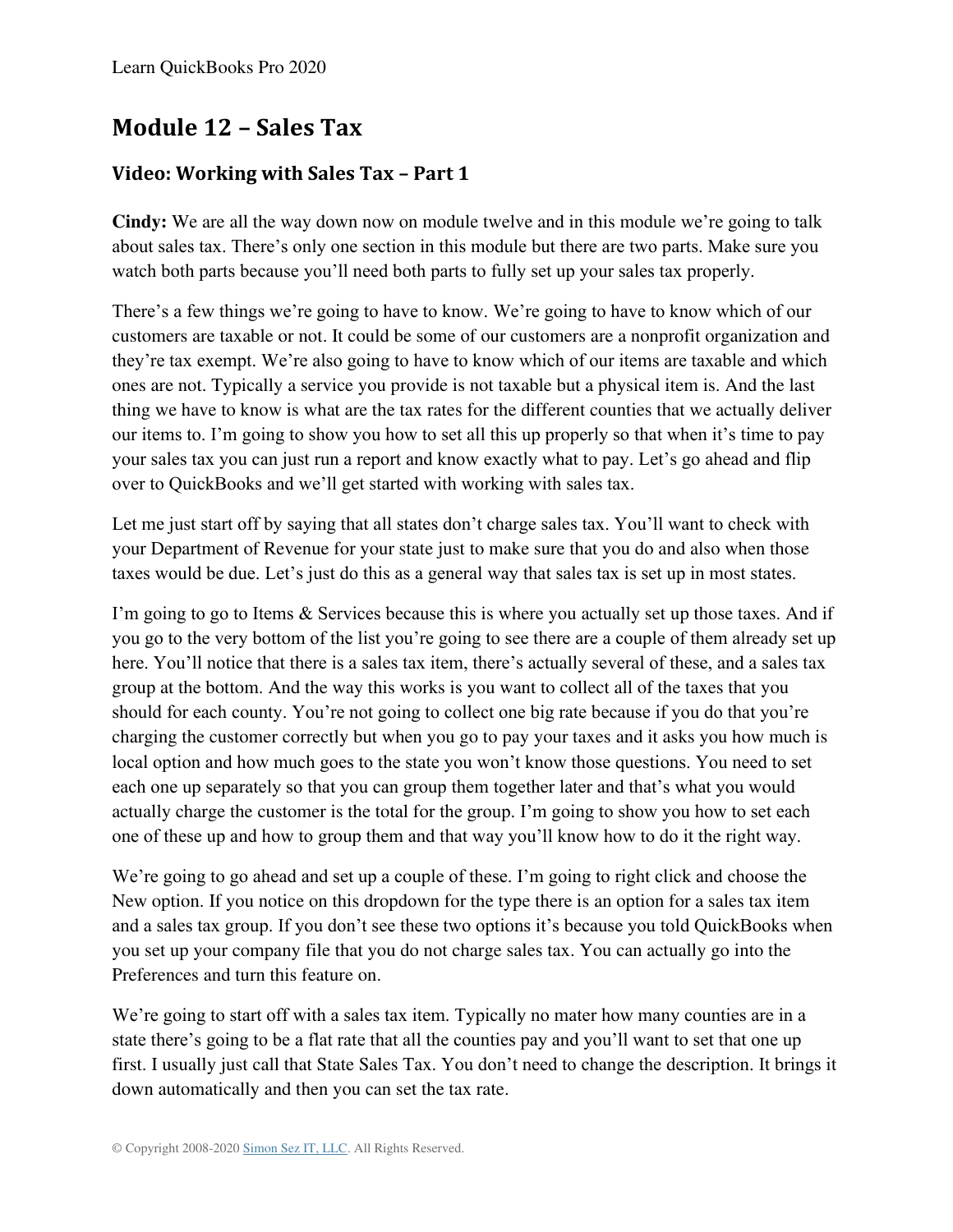# **Module 12 – Sales Tax**

# **Video: Working with Sales Tax – Part 1**

**Cindy:** We are all the way down now on module twelve and in this module we're going to talk about sales tax. There's only one section in this module but there are two parts. Make sure you watch both parts because you'll need both parts to fully set up your sales tax properly.

There's a few things we're going to have to know. We're going to have to know which of our customers are taxable or not. It could be some of our customers are a nonprofit organization and they're tax exempt. We're also going to have to know which of our items are taxable and which ones are not. Typically a service you provide is not taxable but a physical item is. And the last thing we have to know is what are the tax rates for the different counties that we actually deliver our items to. I'm going to show you how to set all this up properly so that when it's time to pay your sales tax you can just run a report and know exactly what to pay. Let's go ahead and flip over to QuickBooks and we'll get started with working with sales tax.

Let me just start off by saying that all states don't charge sales tax. You'll want to check with your Department of Revenue for your state just to make sure that you do and also when those taxes would be due. Let's just do this as a general way that sales tax is set up in most states.

I'm going to go to Items & Services because this is where you actually set up those taxes. And if you go to the very bottom of the list you're going to see there are a couple of them already set up here. You'll notice that there is a sales tax item, there's actually several of these, and a sales tax group at the bottom. And the way this works is you want to collect all of the taxes that you should for each county. You're not going to collect one big rate because if you do that you're charging the customer correctly but when you go to pay your taxes and it asks you how much is local option and how much goes to the state you won't know those questions. You need to set each one up separately so that you can group them together later and that's what you would actually charge the customer is the total for the group. I'm going to show you how to set each one of these up and how to group them and that way you'll know how to do it the right way.

We're going to go ahead and set up a couple of these. I'm going to right click and choose the New option. If you notice on this dropdown for the type there is an option for a sales tax item and a sales tax group. If you don't see these two options it's because you told QuickBooks when you set up your company file that you do not charge sales tax. You can actually go into the Preferences and turn this feature on.

We're going to start off with a sales tax item. Typically no mater how many counties are in a state there's going to be a flat rate that all the counties pay and you'll want to set that one up first. I usually just call that State Sales Tax. You don't need to change the description. It brings it down automatically and then you can set the tax rate.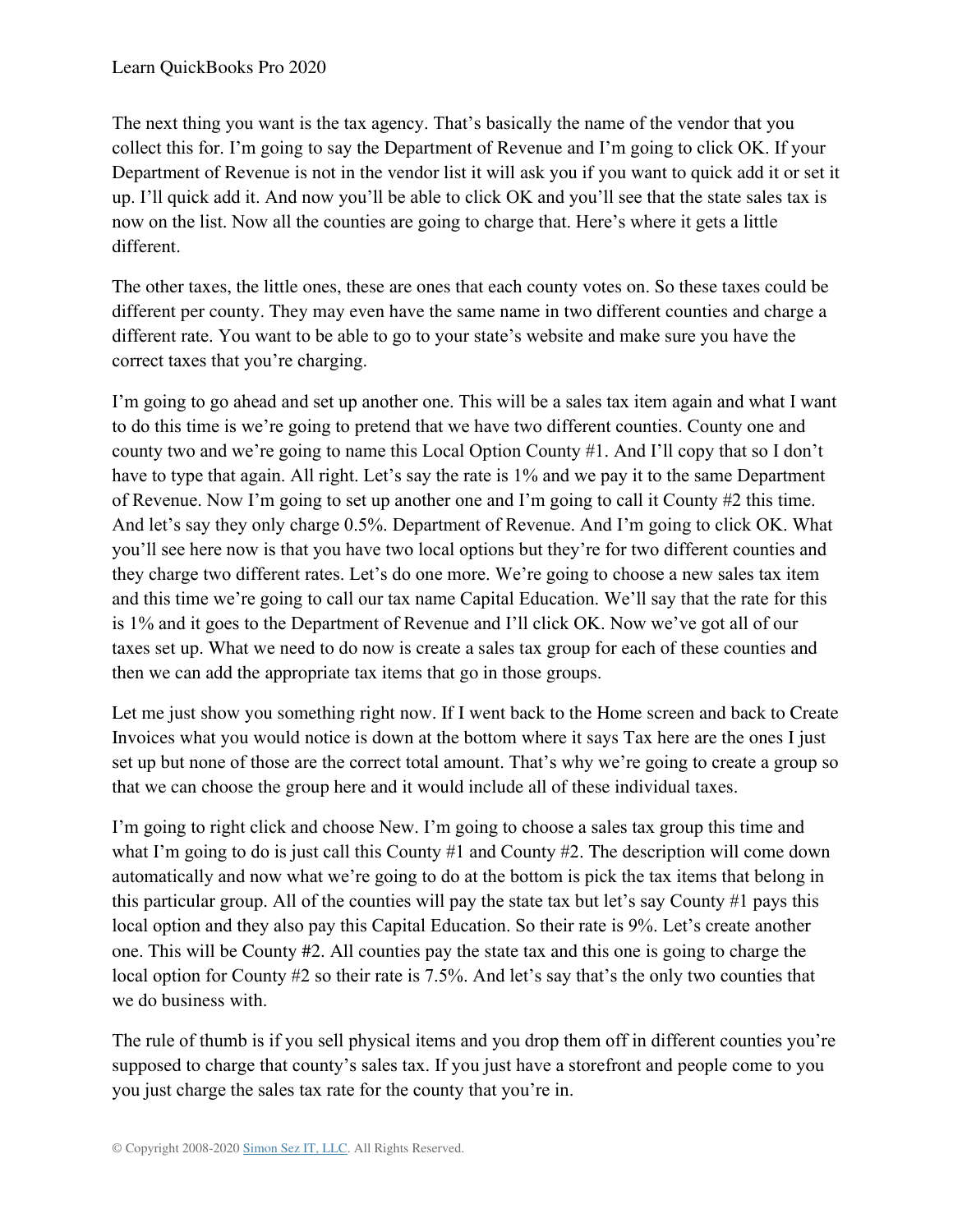The next thing you want is the tax agency. That's basically the name of the vendor that you collect this for. I'm going to say the Department of Revenue and I'm going to click OK. If your Department of Revenue is not in the vendor list it will ask you if you want to quick add it or set it up. I'll quick add it. And now you'll be able to click OK and you'll see that the state sales tax is now on the list. Now all the counties are going to charge that. Here's where it gets a little different.

The other taxes, the little ones, these are ones that each county votes on. So these taxes could be different per county. They may even have the same name in two different counties and charge a different rate. You want to be able to go to your state's website and make sure you have the correct taxes that you're charging.

I'm going to go ahead and set up another one. This will be a sales tax item again and what I want to do this time is we're going to pretend that we have two different counties. County one and county two and we're going to name this Local Option County #1. And I'll copy that so I don't have to type that again. All right. Let's say the rate is 1% and we pay it to the same Department of Revenue. Now I'm going to set up another one and I'm going to call it County #2 this time. And let's say they only charge 0.5%. Department of Revenue. And I'm going to click OK. What you'll see here now is that you have two local options but they're for two different counties and they charge two different rates. Let's do one more. We're going to choose a new sales tax item and this time we're going to call our tax name Capital Education. We'll say that the rate for this is 1% and it goes to the Department of Revenue and I'll click OK. Now we've got all of our taxes set up. What we need to do now is create a sales tax group for each of these counties and then we can add the appropriate tax items that go in those groups.

Let me just show you something right now. If I went back to the Home screen and back to Create Invoices what you would notice is down at the bottom where it says Tax here are the ones I just set up but none of those are the correct total amount. That's why we're going to create a group so that we can choose the group here and it would include all of these individual taxes.

I'm going to right click and choose New. I'm going to choose a sales tax group this time and what I'm going to do is just call this County #1 and County #2. The description will come down automatically and now what we're going to do at the bottom is pick the tax items that belong in this particular group. All of the counties will pay the state tax but let's say County #1 pays this local option and they also pay this Capital Education. So their rate is 9%. Let's create another one. This will be County #2. All counties pay the state tax and this one is going to charge the local option for County #2 so their rate is 7.5%. And let's say that's the only two counties that we do business with.

The rule of thumb is if you sell physical items and you drop them off in different counties you're supposed to charge that county's sales tax. If you just have a storefront and people come to you you just charge the sales tax rate for the county that you're in.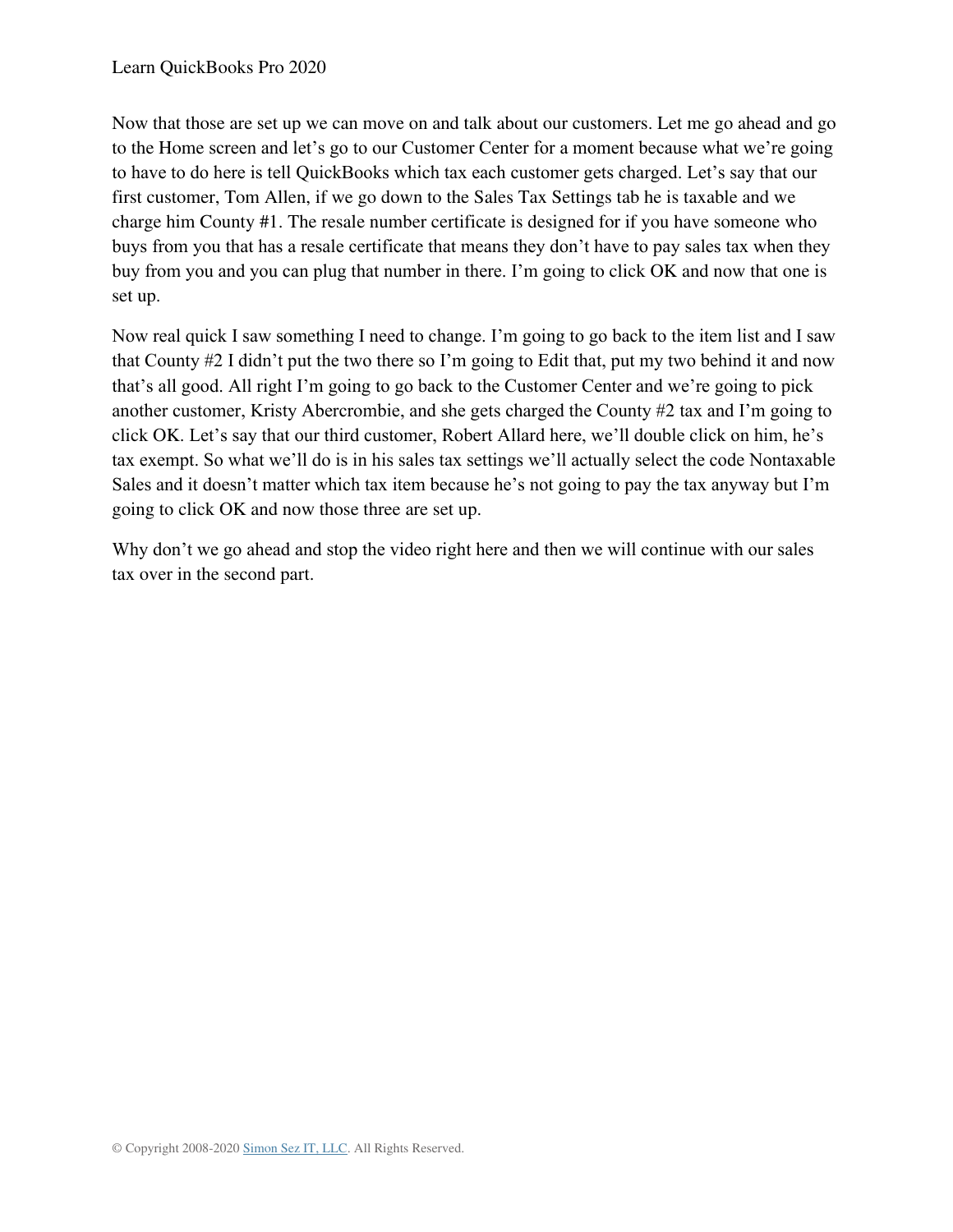Now that those are set up we can move on and talk about our customers. Let me go ahead and go to the Home screen and let's go to our Customer Center for a moment because what we're going to have to do here is tell QuickBooks which tax each customer gets charged. Let's say that our first customer, Tom Allen, if we go down to the Sales Tax Settings tab he is taxable and we charge him County #1. The resale number certificate is designed for if you have someone who buys from you that has a resale certificate that means they don't have to pay sales tax when they buy from you and you can plug that number in there. I'm going to click OK and now that one is set up.

Now real quick I saw something I need to change. I'm going to go back to the item list and I saw that County #2 I didn't put the two there so I'm going to Edit that, put my two behind it and now that's all good. All right I'm going to go back to the Customer Center and we're going to pick another customer, Kristy Abercrombie, and she gets charged the County #2 tax and I'm going to click OK. Let's say that our third customer, Robert Allard here, we'll double click on him, he's tax exempt. So what we'll do is in his sales tax settings we'll actually select the code Nontaxable Sales and it doesn't matter which tax item because he's not going to pay the tax anyway but I'm going to click OK and now those three are set up.

Why don't we go ahead and stop the video right here and then we will continue with our sales tax over in the second part.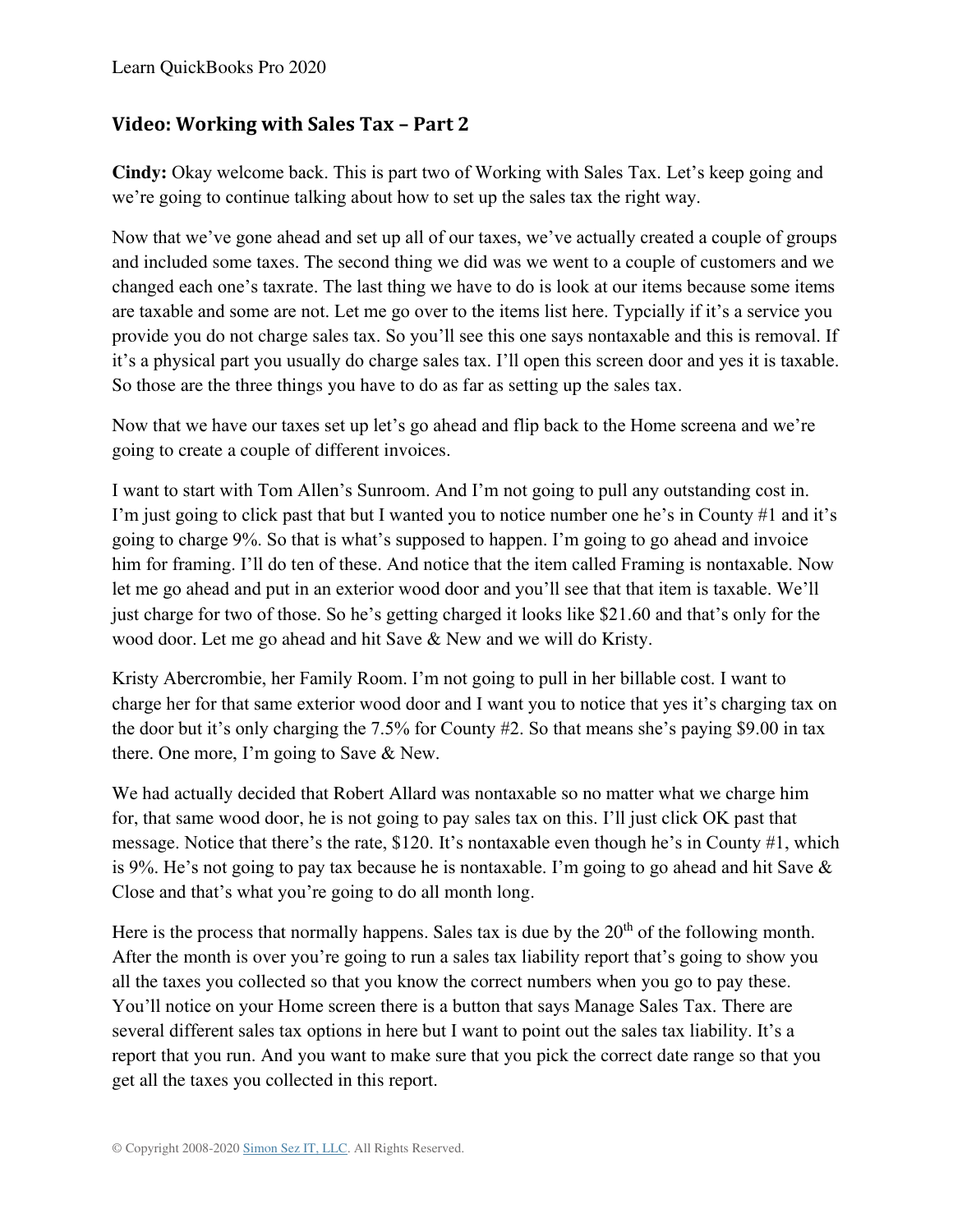## **Video: Working with Sales Tax – Part 2**

**Cindy:** Okay welcome back. This is part two of Working with Sales Tax. Let's keep going and we're going to continue talking about how to set up the sales tax the right way.

Now that we've gone ahead and set up all of our taxes, we've actually created a couple of groups and included some taxes. The second thing we did was we went to a couple of customers and we changed each one's taxrate. The last thing we have to do is look at our items because some items are taxable and some are not. Let me go over to the items list here. Typcially if it's a service you provide you do not charge sales tax. So you'll see this one says nontaxable and this is removal. If it's a physical part you usually do charge sales tax. I'll open this screen door and yes it is taxable. So those are the three things you have to do as far as setting up the sales tax.

Now that we have our taxes set up let's go ahead and flip back to the Home screena and we're going to create a couple of different invoices.

I want to start with Tom Allen's Sunroom. And I'm not going to pull any outstanding cost in. I'm just going to click past that but I wanted you to notice number one he's in County #1 and it's going to charge 9%. So that is what's supposed to happen. I'm going to go ahead and invoice him for framing. I'll do ten of these. And notice that the item called Framing is nontaxable. Now let me go ahead and put in an exterior wood door and you'll see that that item is taxable. We'll just charge for two of those. So he's getting charged it looks like \$21.60 and that's only for the wood door. Let me go ahead and hit Save & New and we will do Kristy.

Kristy Abercrombie, her Family Room. I'm not going to pull in her billable cost. I want to charge her for that same exterior wood door and I want you to notice that yes it's charging tax on the door but it's only charging the 7.5% for County #2. So that means she's paying \$9.00 in tax there. One more, I'm going to Save & New.

We had actually decided that Robert Allard was nontaxable so no matter what we charge him for, that same wood door, he is not going to pay sales tax on this. I'll just click OK past that message. Notice that there's the rate, \$120. It's nontaxable even though he's in County #1, which is 9%. He's not going to pay tax because he is nontaxable. I'm going to go ahead and hit Save & Close and that's what you're going to do all month long.

Here is the process that normally happens. Sales tax is due by the  $20<sup>th</sup>$  of the following month. After the month is over you're going to run a sales tax liability report that's going to show you all the taxes you collected so that you know the correct numbers when you go to pay these. You'll notice on your Home screen there is a button that says Manage Sales Tax. There are several different sales tax options in here but I want to point out the sales tax liability. It's a report that you run. And you want to make sure that you pick the correct date range so that you get all the taxes you collected in this report.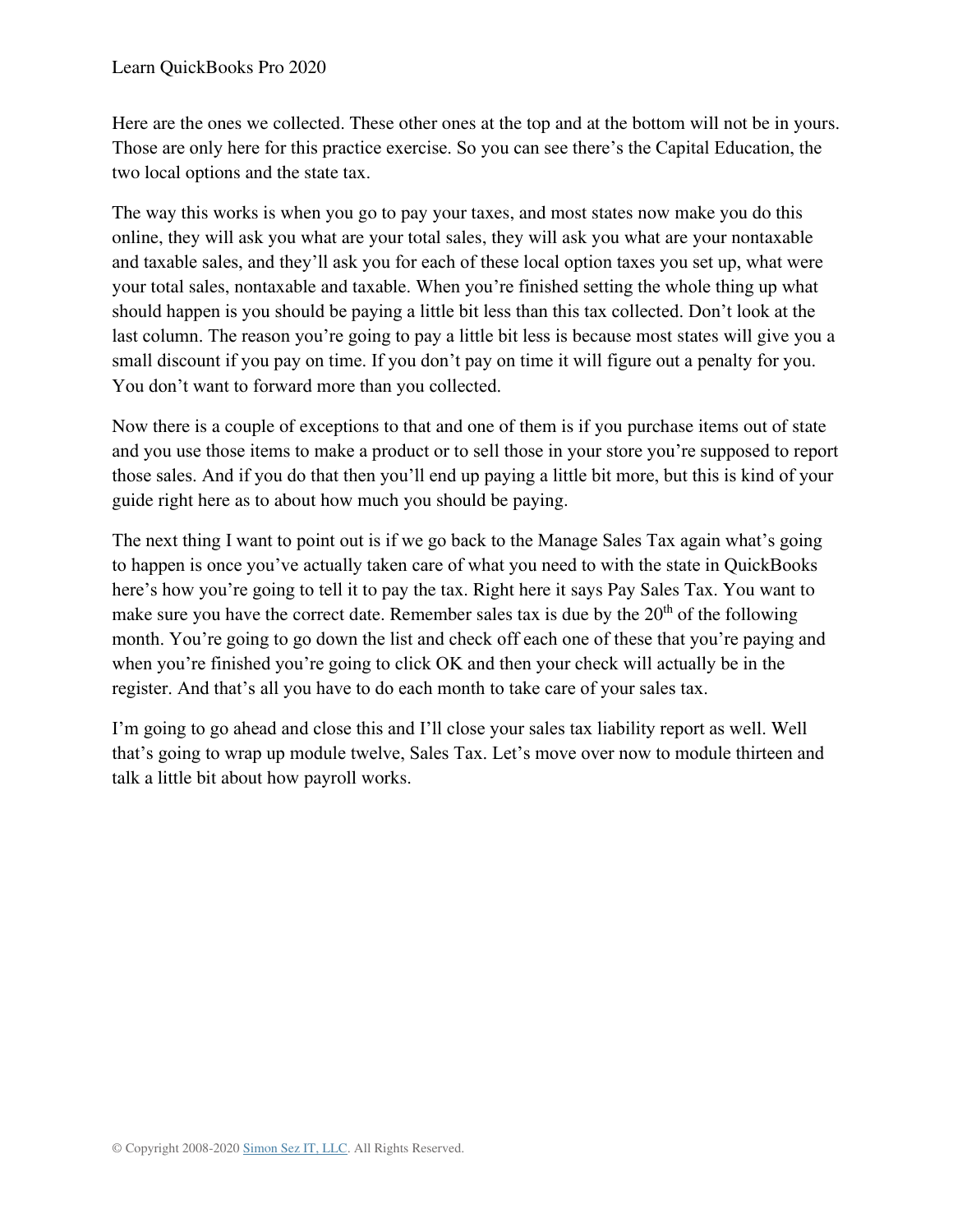Here are the ones we collected. These other ones at the top and at the bottom will not be in yours. Those are only here for this practice exercise. So you can see there's the Capital Education, the two local options and the state tax.

The way this works is when you go to pay your taxes, and most states now make you do this online, they will ask you what are your total sales, they will ask you what are your nontaxable and taxable sales, and they'll ask you for each of these local option taxes you set up, what were your total sales, nontaxable and taxable. When you're finished setting the whole thing up what should happen is you should be paying a little bit less than this tax collected. Don't look at the last column. The reason you're going to pay a little bit less is because most states will give you a small discount if you pay on time. If you don't pay on time it will figure out a penalty for you. You don't want to forward more than you collected.

Now there is a couple of exceptions to that and one of them is if you purchase items out of state and you use those items to make a product or to sell those in your store you're supposed to report those sales. And if you do that then you'll end up paying a little bit more, but this is kind of your guide right here as to about how much you should be paying.

The next thing I want to point out is if we go back to the Manage Sales Tax again what's going to happen is once you've actually taken care of what you need to with the state in QuickBooks here's how you're going to tell it to pay the tax. Right here it says Pay Sales Tax. You want to make sure you have the correct date. Remember sales tax is due by the  $20<sup>th</sup>$  of the following month. You're going to go down the list and check off each one of these that you're paying and when you're finished you're going to click OK and then your check will actually be in the register. And that's all you have to do each month to take care of your sales tax.

I'm going to go ahead and close this and I'll close your sales tax liability report as well. Well that's going to wrap up module twelve, Sales Tax. Let's move over now to module thirteen and talk a little bit about how payroll works.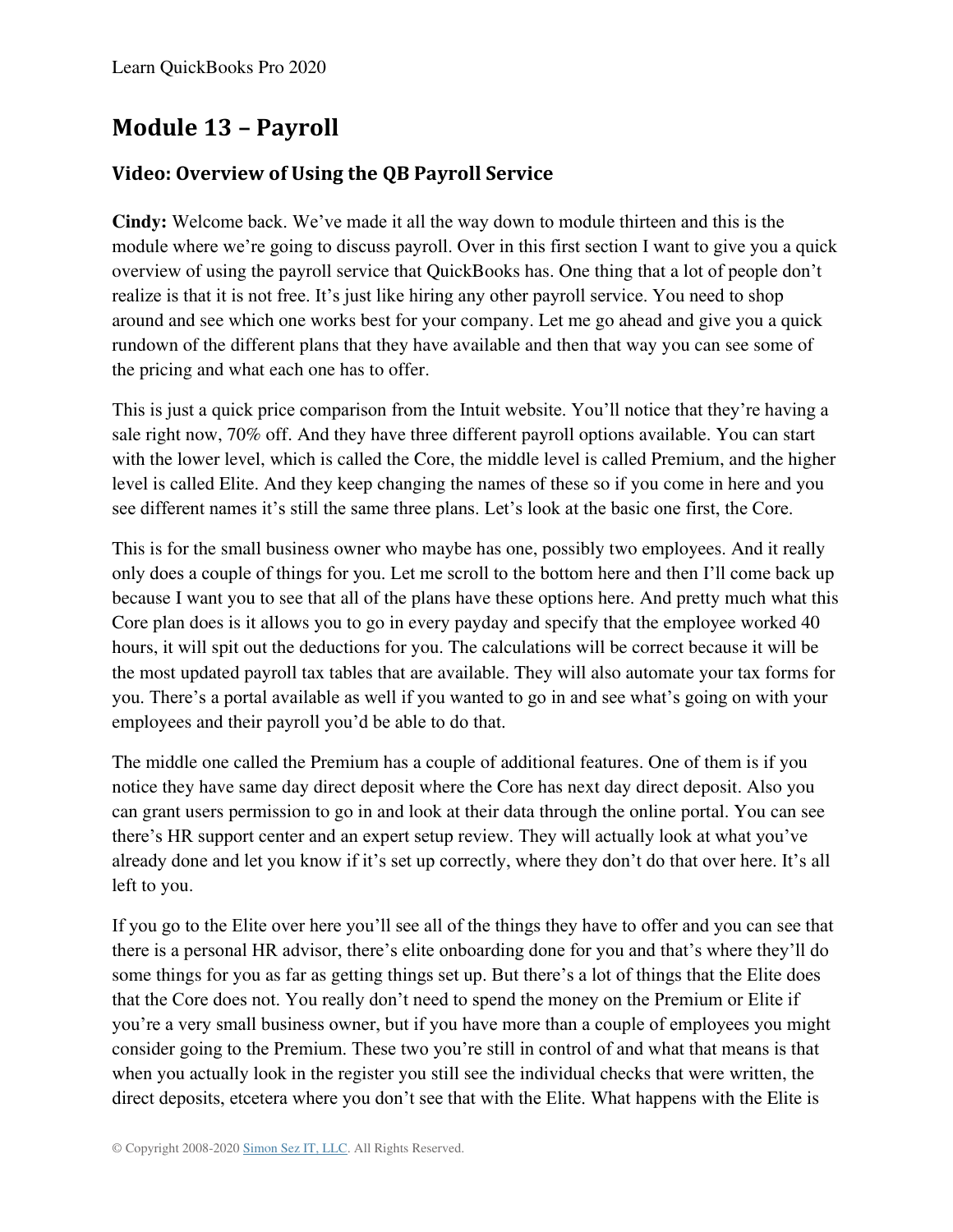# **Module 13 – Payroll**

# **Video: Overview of Using the QB Payroll Service**

**Cindy:** Welcome back. We've made it all the way down to module thirteen and this is the module where we're going to discuss payroll. Over in this first section I want to give you a quick overview of using the payroll service that QuickBooks has. One thing that a lot of people don't realize is that it is not free. It's just like hiring any other payroll service. You need to shop around and see which one works best for your company. Let me go ahead and give you a quick rundown of the different plans that they have available and then that way you can see some of the pricing and what each one has to offer.

This is just a quick price comparison from the Intuit website. You'll notice that they're having a sale right now, 70% off. And they have three different payroll options available. You can start with the lower level, which is called the Core, the middle level is called Premium, and the higher level is called Elite. And they keep changing the names of these so if you come in here and you see different names it's still the same three plans. Let's look at the basic one first, the Core.

This is for the small business owner who maybe has one, possibly two employees. And it really only does a couple of things for you. Let me scroll to the bottom here and then I'll come back up because I want you to see that all of the plans have these options here. And pretty much what this Core plan does is it allows you to go in every payday and specify that the employee worked 40 hours, it will spit out the deductions for you. The calculations will be correct because it will be the most updated payroll tax tables that are available. They will also automate your tax forms for you. There's a portal available as well if you wanted to go in and see what's going on with your employees and their payroll you'd be able to do that.

The middle one called the Premium has a couple of additional features. One of them is if you notice they have same day direct deposit where the Core has next day direct deposit. Also you can grant users permission to go in and look at their data through the online portal. You can see there's HR support center and an expert setup review. They will actually look at what you've already done and let you know if it's set up correctly, where they don't do that over here. It's all left to you.

If you go to the Elite over here you'll see all of the things they have to offer and you can see that there is a personal HR advisor, there's elite onboarding done for you and that's where they'll do some things for you as far as getting things set up. But there's a lot of things that the Elite does that the Core does not. You really don't need to spend the money on the Premium or Elite if you're a very small business owner, but if you have more than a couple of employees you might consider going to the Premium. These two you're still in control of and what that means is that when you actually look in the register you still see the individual checks that were written, the direct deposits, etcetera where you don't see that with the Elite. What happens with the Elite is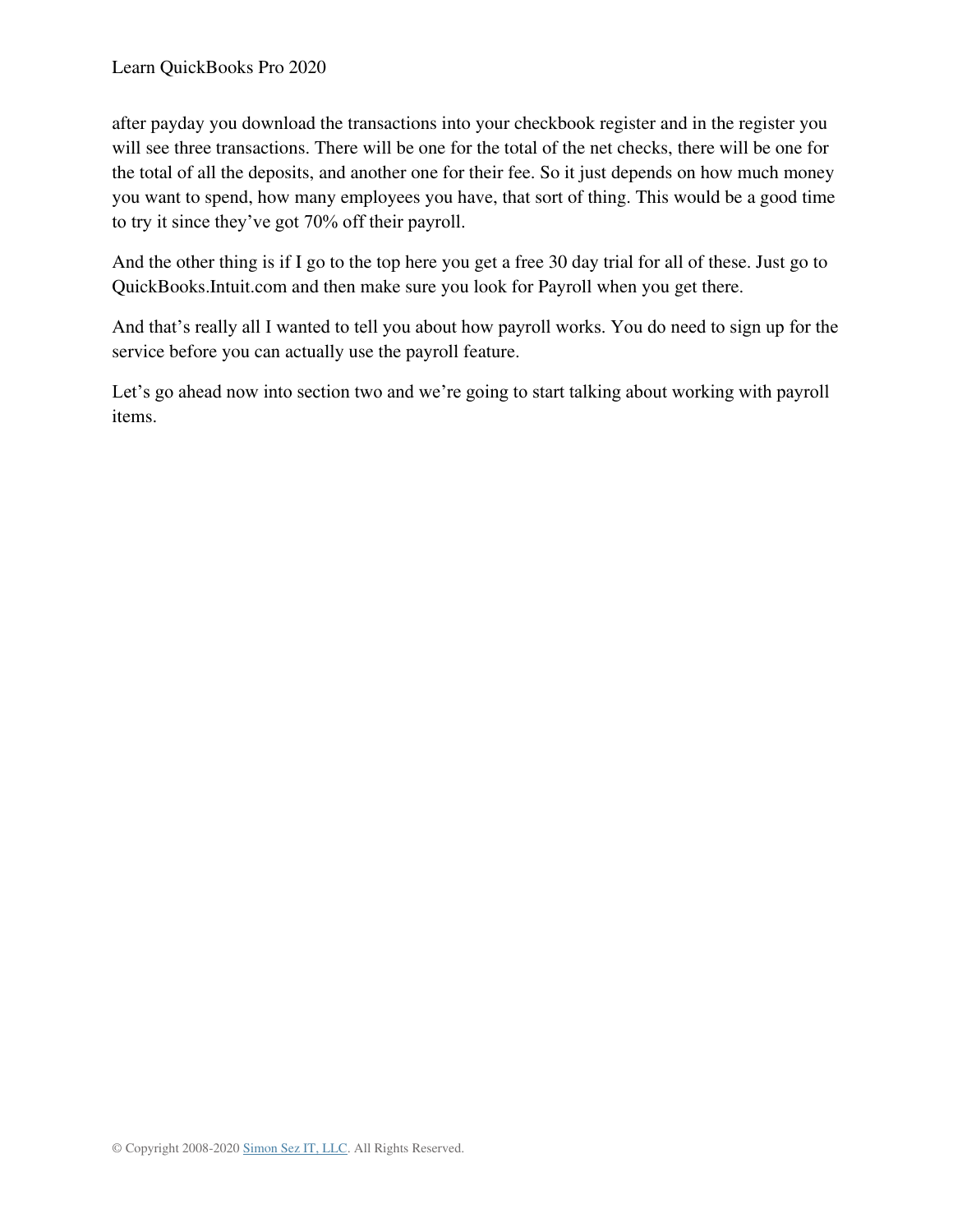after payday you download the transactions into your checkbook register and in the register you will see three transactions. There will be one for the total of the net checks, there will be one for the total of all the deposits, and another one for their fee. So it just depends on how much money you want to spend, how many employees you have, that sort of thing. This would be a good time to try it since they've got 70% off their payroll.

And the other thing is if I go to the top here you get a free 30 day trial for all of these. Just go to QuickBooks.Intuit.com and then make sure you look for Payroll when you get there.

And that's really all I wanted to tell you about how payroll works. You do need to sign up for the service before you can actually use the payroll feature.

Let's go ahead now into section two and we're going to start talking about working with payroll items.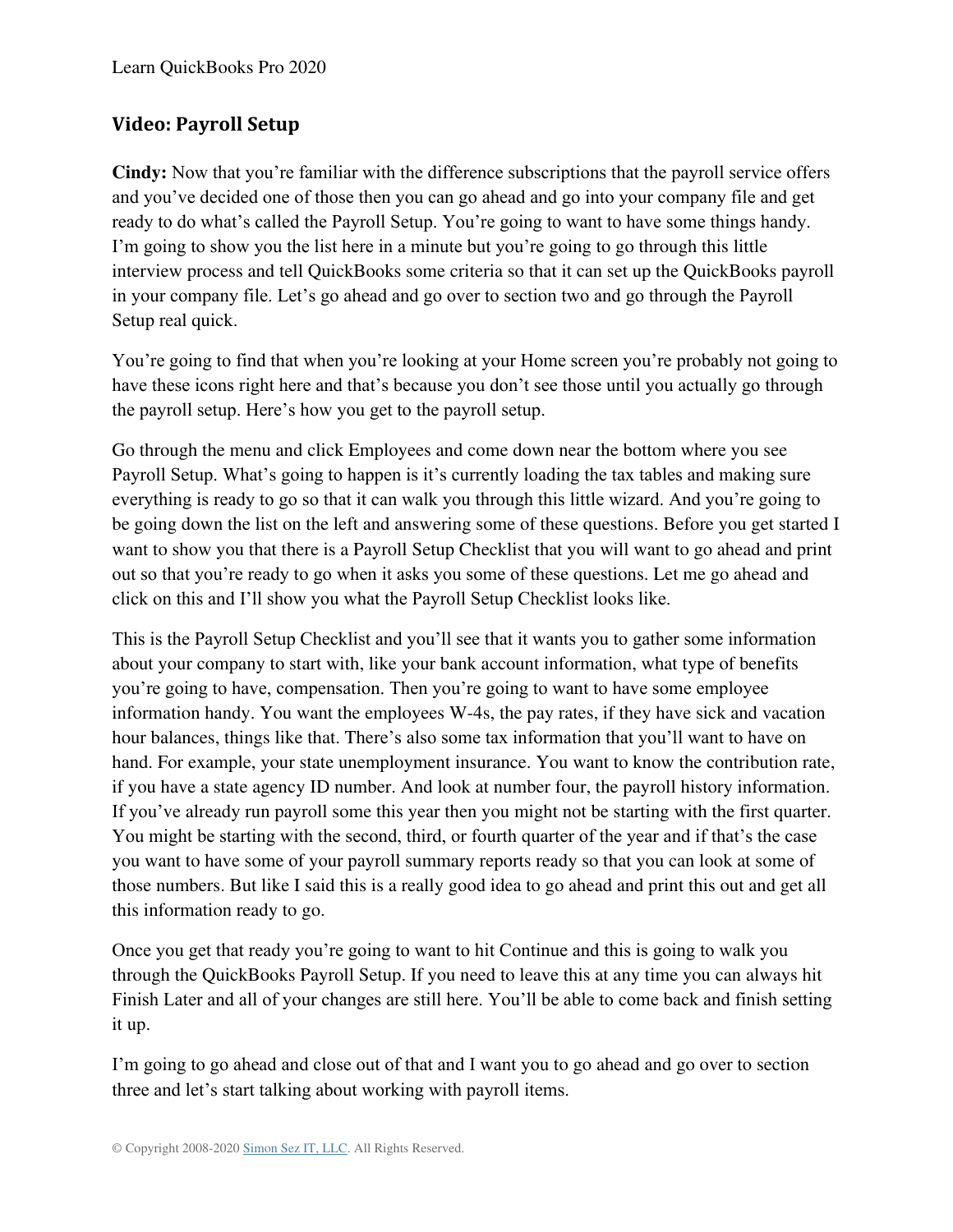# **Video: Payroll Setup**

**Cindy:** Now that you're familiar with the difference subscriptions that the payroll service offers and you've decided one of those then you can go ahead and go into your company file and get ready to do what's called the Payroll Setup. You're going to want to have some things handy. I'm going to show you the list here in a minute but you're going to go through this little interview process and tell QuickBooks some criteria so that it can set up the QuickBooks payroll in your company file. Let's go ahead and go over to section two and go through the Payroll Setup real quick.

You're going to find that when you're looking at your Home screen you're probably not going to have these icons right here and that's because you don't see those until you actually go through the payroll setup. Here's how you get to the payroll setup.

Go through the menu and click Employees and come down near the bottom where you see Payroll Setup. What's going to happen is it's currently loading the tax tables and making sure everything is ready to go so that it can walk you through this little wizard. And you're going to be going down the list on the left and answering some of these questions. Before you get started I want to show you that there is a Payroll Setup Checklist that you will want to go ahead and print out so that you're ready to go when it asks you some of these questions. Let me go ahead and click on this and I'll show you what the Payroll Setup Checklist looks like.

This is the Payroll Setup Checklist and you'll see that it wants you to gather some information about your company to start with, like your bank account information, what type of benefits you're going to have, compensation. Then you're going to want to have some employee information handy. You want the employees W-4s, the pay rates, if they have sick and vacation hour balances, things like that. There's also some tax information that you'll want to have on hand. For example, your state unemployment insurance. You want to know the contribution rate, if you have a state agency ID number. And look at number four, the payroll history information. If you've already run payroll some this year then you might not be starting with the first quarter. You might be starting with the second, third, or fourth quarter of the year and if that's the case you want to have some of your payroll summary reports ready so that you can look at some of those numbers. But like I said this is a really good idea to go ahead and print this out and get all this information ready to go.

Once you get that ready you're going to want to hit Continue and this is going to walk you through the QuickBooks Payroll Setup. If you need to leave this at any time you can always hit Finish Later and all of your changes are still here. You'll be able to come back and finish setting it up.

I'm going to go ahead and close out of that and I want you to go ahead and go over to section three and let's start talking about working with payroll items.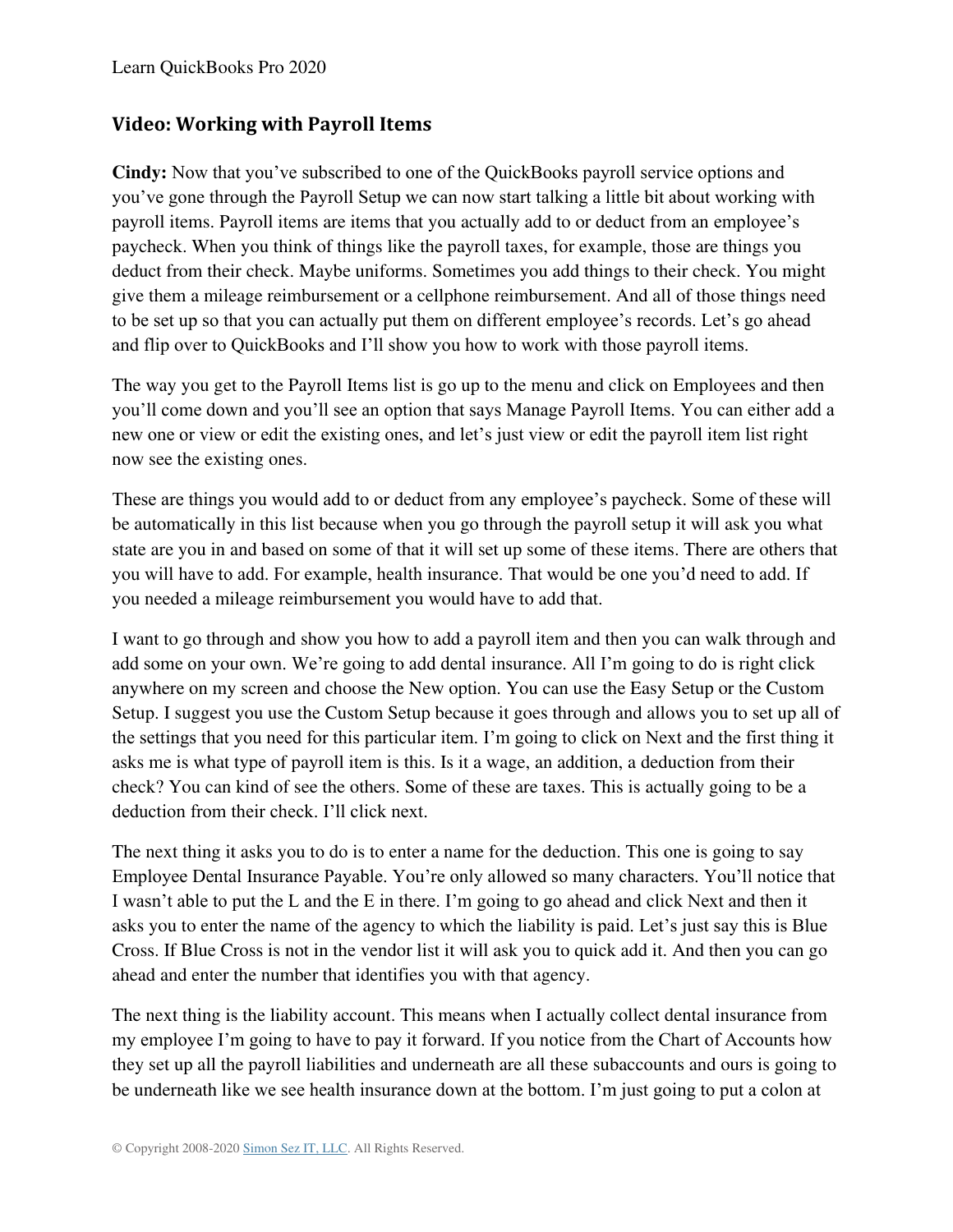#### **Video: Working with Payroll Items**

**Cindy:** Now that you've subscribed to one of the QuickBooks payroll service options and you've gone through the Payroll Setup we can now start talking a little bit about working with payroll items. Payroll items are items that you actually add to or deduct from an employee's paycheck. When you think of things like the payroll taxes, for example, those are things you deduct from their check. Maybe uniforms. Sometimes you add things to their check. You might give them a mileage reimbursement or a cellphone reimbursement. And all of those things need to be set up so that you can actually put them on different employee's records. Let's go ahead and flip over to QuickBooks and I'll show you how to work with those payroll items.

The way you get to the Payroll Items list is go up to the menu and click on Employees and then you'll come down and you'll see an option that says Manage Payroll Items. You can either add a new one or view or edit the existing ones, and let's just view or edit the payroll item list right now see the existing ones.

These are things you would add to or deduct from any employee's paycheck. Some of these will be automatically in this list because when you go through the payroll setup it will ask you what state are you in and based on some of that it will set up some of these items. There are others that you will have to add. For example, health insurance. That would be one you'd need to add. If you needed a mileage reimbursement you would have to add that.

I want to go through and show you how to add a payroll item and then you can walk through and add some on your own. We're going to add dental insurance. All I'm going to do is right click anywhere on my screen and choose the New option. You can use the Easy Setup or the Custom Setup. I suggest you use the Custom Setup because it goes through and allows you to set up all of the settings that you need for this particular item. I'm going to click on Next and the first thing it asks me is what type of payroll item is this. Is it a wage, an addition, a deduction from their check? You can kind of see the others. Some of these are taxes. This is actually going to be a deduction from their check. I'll click next.

The next thing it asks you to do is to enter a name for the deduction. This one is going to say Employee Dental Insurance Payable. You're only allowed so many characters. You'll notice that I wasn't able to put the L and the E in there. I'm going to go ahead and click Next and then it asks you to enter the name of the agency to which the liability is paid. Let's just say this is Blue Cross. If Blue Cross is not in the vendor list it will ask you to quick add it. And then you can go ahead and enter the number that identifies you with that agency.

The next thing is the liability account. This means when I actually collect dental insurance from my employee I'm going to have to pay it forward. If you notice from the Chart of Accounts how they set up all the payroll liabilities and underneath are all these subaccounts and ours is going to be underneath like we see health insurance down at the bottom. I'm just going to put a colon at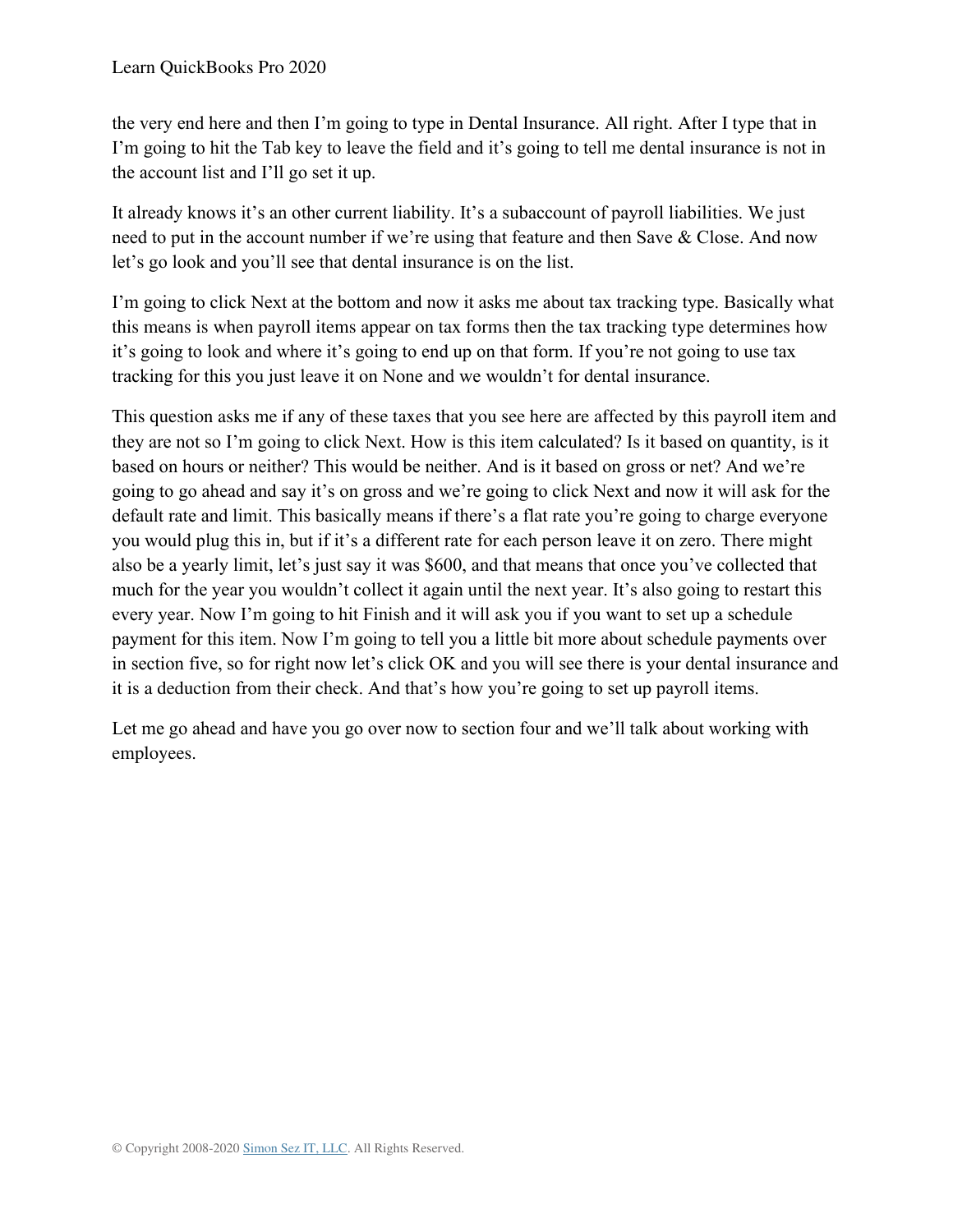the very end here and then I'm going to type in Dental Insurance. All right. After I type that in I'm going to hit the Tab key to leave the field and it's going to tell me dental insurance is not in the account list and I'll go set it up.

It already knows it's an other current liability. It's a subaccount of payroll liabilities. We just need to put in the account number if we're using that feature and then Save & Close. And now let's go look and you'll see that dental insurance is on the list.

I'm going to click Next at the bottom and now it asks me about tax tracking type. Basically what this means is when payroll items appear on tax forms then the tax tracking type determines how it's going to look and where it's going to end up on that form. If you're not going to use tax tracking for this you just leave it on None and we wouldn't for dental insurance.

This question asks me if any of these taxes that you see here are affected by this payroll item and they are not so I'm going to click Next. How is this item calculated? Is it based on quantity, is it based on hours or neither? This would be neither. And is it based on gross or net? And we're going to go ahead and say it's on gross and we're going to click Next and now it will ask for the default rate and limit. This basically means if there's a flat rate you're going to charge everyone you would plug this in, but if it's a different rate for each person leave it on zero. There might also be a yearly limit, let's just say it was \$600, and that means that once you've collected that much for the year you wouldn't collect it again until the next year. It's also going to restart this every year. Now I'm going to hit Finish and it will ask you if you want to set up a schedule payment for this item. Now I'm going to tell you a little bit more about schedule payments over in section five, so for right now let's click OK and you will see there is your dental insurance and it is a deduction from their check. And that's how you're going to set up payroll items.

Let me go ahead and have you go over now to section four and we'll talk about working with employees.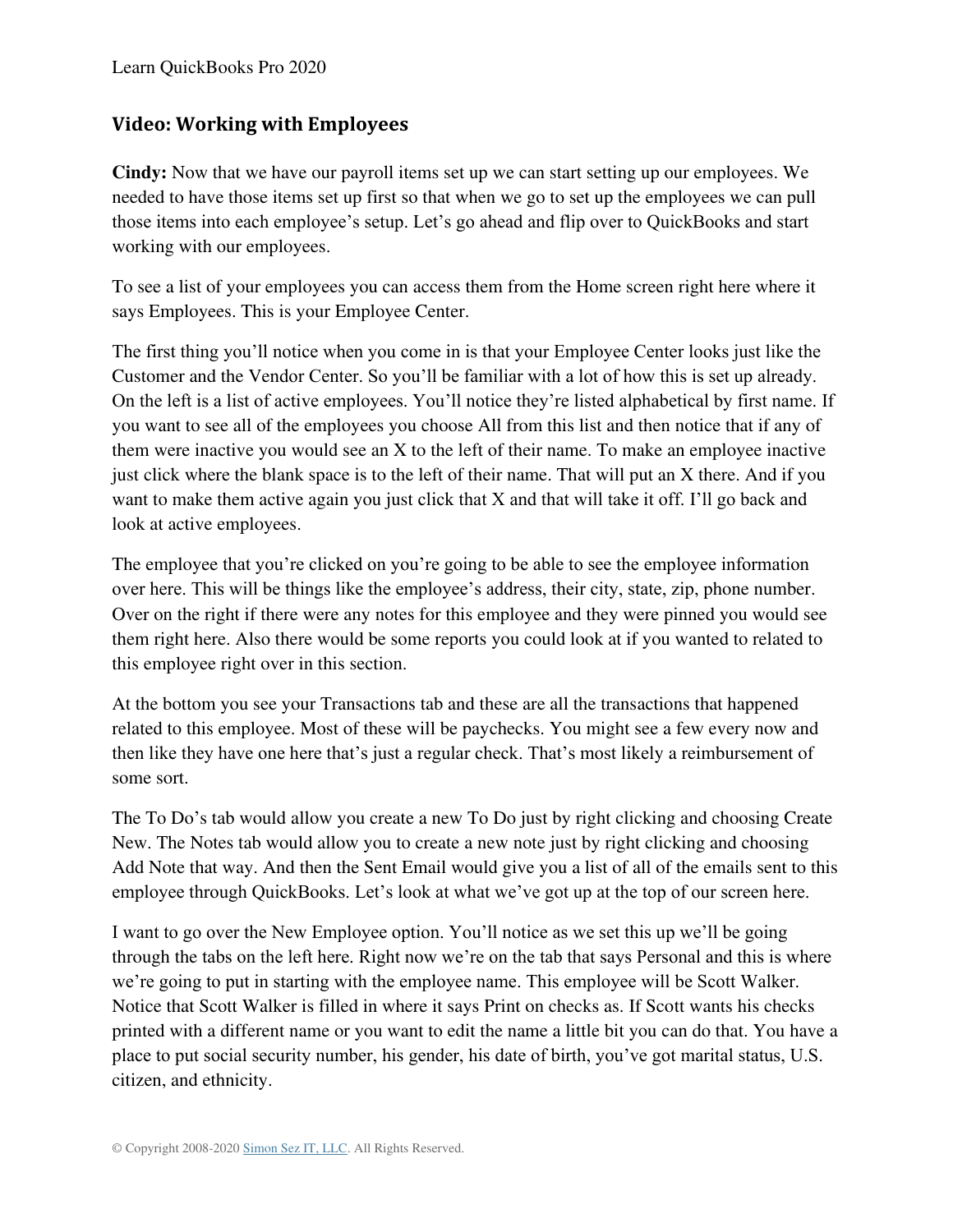#### **Video: Working with Employees**

**Cindy:** Now that we have our payroll items set up we can start setting up our employees. We needed to have those items set up first so that when we go to set up the employees we can pull those items into each employee's setup. Let's go ahead and flip over to QuickBooks and start working with our employees.

To see a list of your employees you can access them from the Home screen right here where it says Employees. This is your Employee Center.

The first thing you'll notice when you come in is that your Employee Center looks just like the Customer and the Vendor Center. So you'll be familiar with a lot of how this is set up already. On the left is a list of active employees. You'll notice they're listed alphabetical by first name. If you want to see all of the employees you choose All from this list and then notice that if any of them were inactive you would see an X to the left of their name. To make an employee inactive just click where the blank space is to the left of their name. That will put an X there. And if you want to make them active again you just click that X and that will take it off. I'll go back and look at active employees.

The employee that you're clicked on you're going to be able to see the employee information over here. This will be things like the employee's address, their city, state, zip, phone number. Over on the right if there were any notes for this employee and they were pinned you would see them right here. Also there would be some reports you could look at if you wanted to related to this employee right over in this section.

At the bottom you see your Transactions tab and these are all the transactions that happened related to this employee. Most of these will be paychecks. You might see a few every now and then like they have one here that's just a regular check. That's most likely a reimbursement of some sort.

The To Do's tab would allow you create a new To Do just by right clicking and choosing Create New. The Notes tab would allow you to create a new note just by right clicking and choosing Add Note that way. And then the Sent Email would give you a list of all of the emails sent to this employee through QuickBooks. Let's look at what we've got up at the top of our screen here.

I want to go over the New Employee option. You'll notice as we set this up we'll be going through the tabs on the left here. Right now we're on the tab that says Personal and this is where we're going to put in starting with the employee name. This employee will be Scott Walker. Notice that Scott Walker is filled in where it says Print on checks as. If Scott wants his checks printed with a different name or you want to edit the name a little bit you can do that. You have a place to put social security number, his gender, his date of birth, you've got marital status, U.S. citizen, and ethnicity.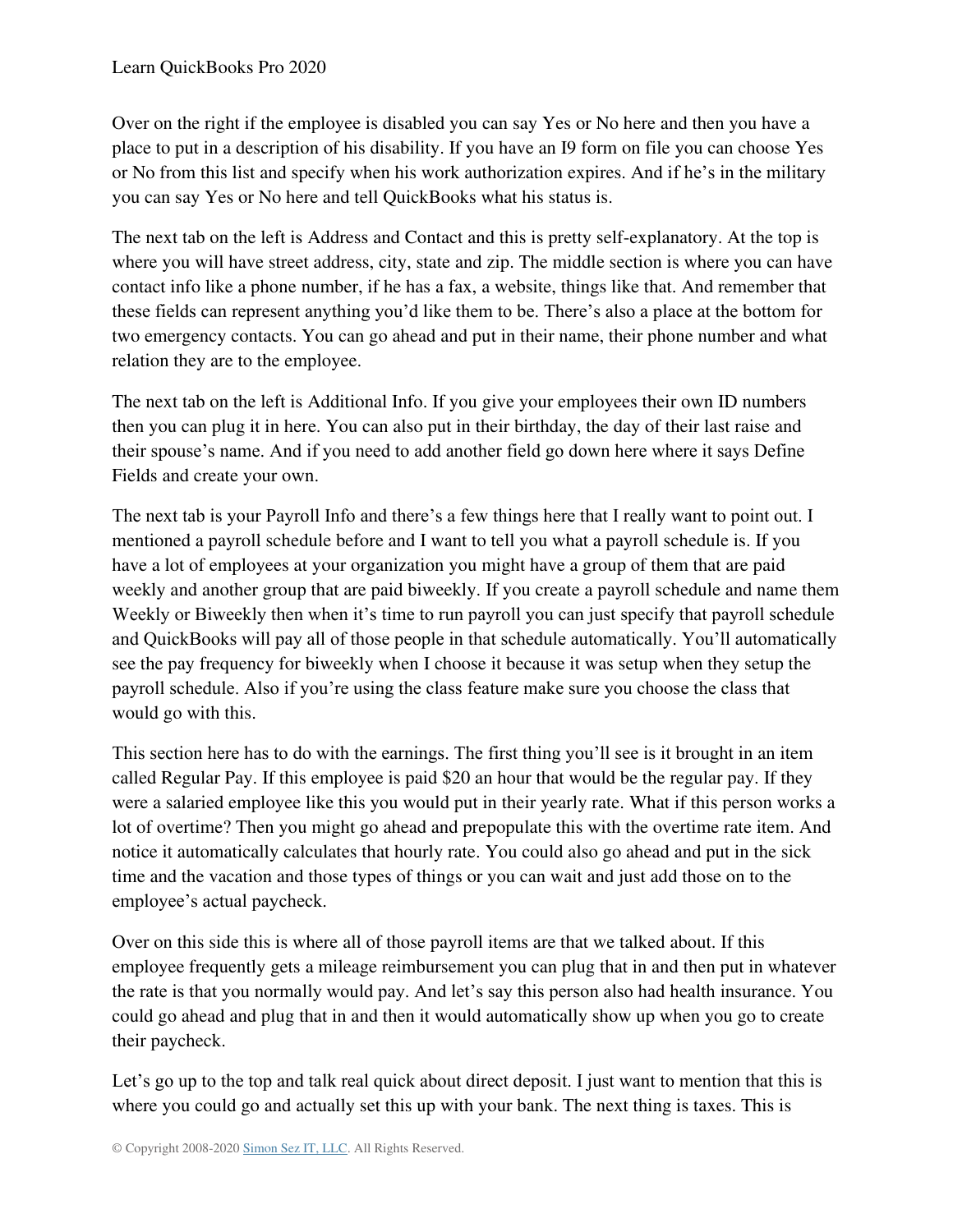Over on the right if the employee is disabled you can say Yes or No here and then you have a place to put in a description of his disability. If you have an I9 form on file you can choose Yes or No from this list and specify when his work authorization expires. And if he's in the military you can say Yes or No here and tell QuickBooks what his status is.

The next tab on the left is Address and Contact and this is pretty self-explanatory. At the top is where you will have street address, city, state and zip. The middle section is where you can have contact info like a phone number, if he has a fax, a website, things like that. And remember that these fields can represent anything you'd like them to be. There's also a place at the bottom for two emergency contacts. You can go ahead and put in their name, their phone number and what relation they are to the employee.

The next tab on the left is Additional Info. If you give your employees their own ID numbers then you can plug it in here. You can also put in their birthday, the day of their last raise and their spouse's name. And if you need to add another field go down here where it says Define Fields and create your own.

The next tab is your Payroll Info and there's a few things here that I really want to point out. I mentioned a payroll schedule before and I want to tell you what a payroll schedule is. If you have a lot of employees at your organization you might have a group of them that are paid weekly and another group that are paid biweekly. If you create a payroll schedule and name them Weekly or Biweekly then when it's time to run payroll you can just specify that payroll schedule and QuickBooks will pay all of those people in that schedule automatically. You'll automatically see the pay frequency for biweekly when I choose it because it was setup when they setup the payroll schedule. Also if you're using the class feature make sure you choose the class that would go with this.

This section here has to do with the earnings. The first thing you'll see is it brought in an item called Regular Pay. If this employee is paid \$20 an hour that would be the regular pay. If they were a salaried employee like this you would put in their yearly rate. What if this person works a lot of overtime? Then you might go ahead and prepopulate this with the overtime rate item. And notice it automatically calculates that hourly rate. You could also go ahead and put in the sick time and the vacation and those types of things or you can wait and just add those on to the employee's actual paycheck.

Over on this side this is where all of those payroll items are that we talked about. If this employee frequently gets a mileage reimbursement you can plug that in and then put in whatever the rate is that you normally would pay. And let's say this person also had health insurance. You could go ahead and plug that in and then it would automatically show up when you go to create their paycheck.

Let's go up to the top and talk real quick about direct deposit. I just want to mention that this is where you could go and actually set this up with your bank. The next thing is taxes. This is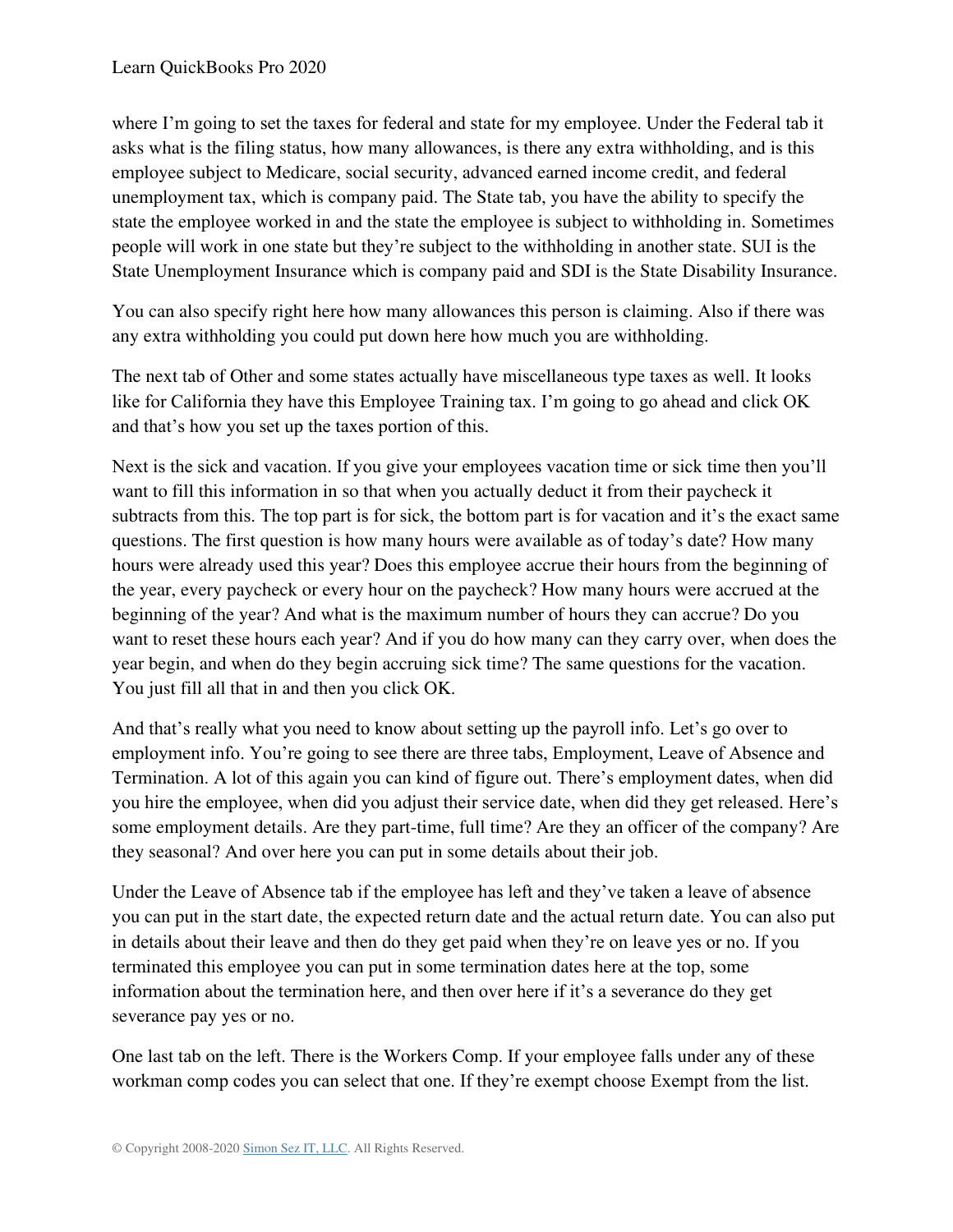where I'm going to set the taxes for federal and state for my employee. Under the Federal tab it asks what is the filing status, how many allowances, is there any extra withholding, and is this employee subject to Medicare, social security, advanced earned income credit, and federal unemployment tax, which is company paid. The State tab, you have the ability to specify the state the employee worked in and the state the employee is subject to withholding in. Sometimes people will work in one state but they're subject to the withholding in another state. SUI is the State Unemployment Insurance which is company paid and SDI is the State Disability Insurance.

You can also specify right here how many allowances this person is claiming. Also if there was any extra withholding you could put down here how much you are withholding.

The next tab of Other and some states actually have miscellaneous type taxes as well. It looks like for California they have this Employee Training tax. I'm going to go ahead and click OK and that's how you set up the taxes portion of this.

Next is the sick and vacation. If you give your employees vacation time or sick time then you'll want to fill this information in so that when you actually deduct it from their paycheck it subtracts from this. The top part is for sick, the bottom part is for vacation and it's the exact same questions. The first question is how many hours were available as of today's date? How many hours were already used this year? Does this employee accrue their hours from the beginning of the year, every paycheck or every hour on the paycheck? How many hours were accrued at the beginning of the year? And what is the maximum number of hours they can accrue? Do you want to reset these hours each year? And if you do how many can they carry over, when does the year begin, and when do they begin accruing sick time? The same questions for the vacation. You just fill all that in and then you click OK.

And that's really what you need to know about setting up the payroll info. Let's go over to employment info. You're going to see there are three tabs, Employment, Leave of Absence and Termination. A lot of this again you can kind of figure out. There's employment dates, when did you hire the employee, when did you adjust their service date, when did they get released. Here's some employment details. Are they part-time, full time? Are they an officer of the company? Are they seasonal? And over here you can put in some details about their job.

Under the Leave of Absence tab if the employee has left and they've taken a leave of absence you can put in the start date, the expected return date and the actual return date. You can also put in details about their leave and then do they get paid when they're on leave yes or no. If you terminated this employee you can put in some termination dates here at the top, some information about the termination here, and then over here if it's a severance do they get severance pay yes or no.

One last tab on the left. There is the Workers Comp. If your employee falls under any of these workman comp codes you can select that one. If they're exempt choose Exempt from the list.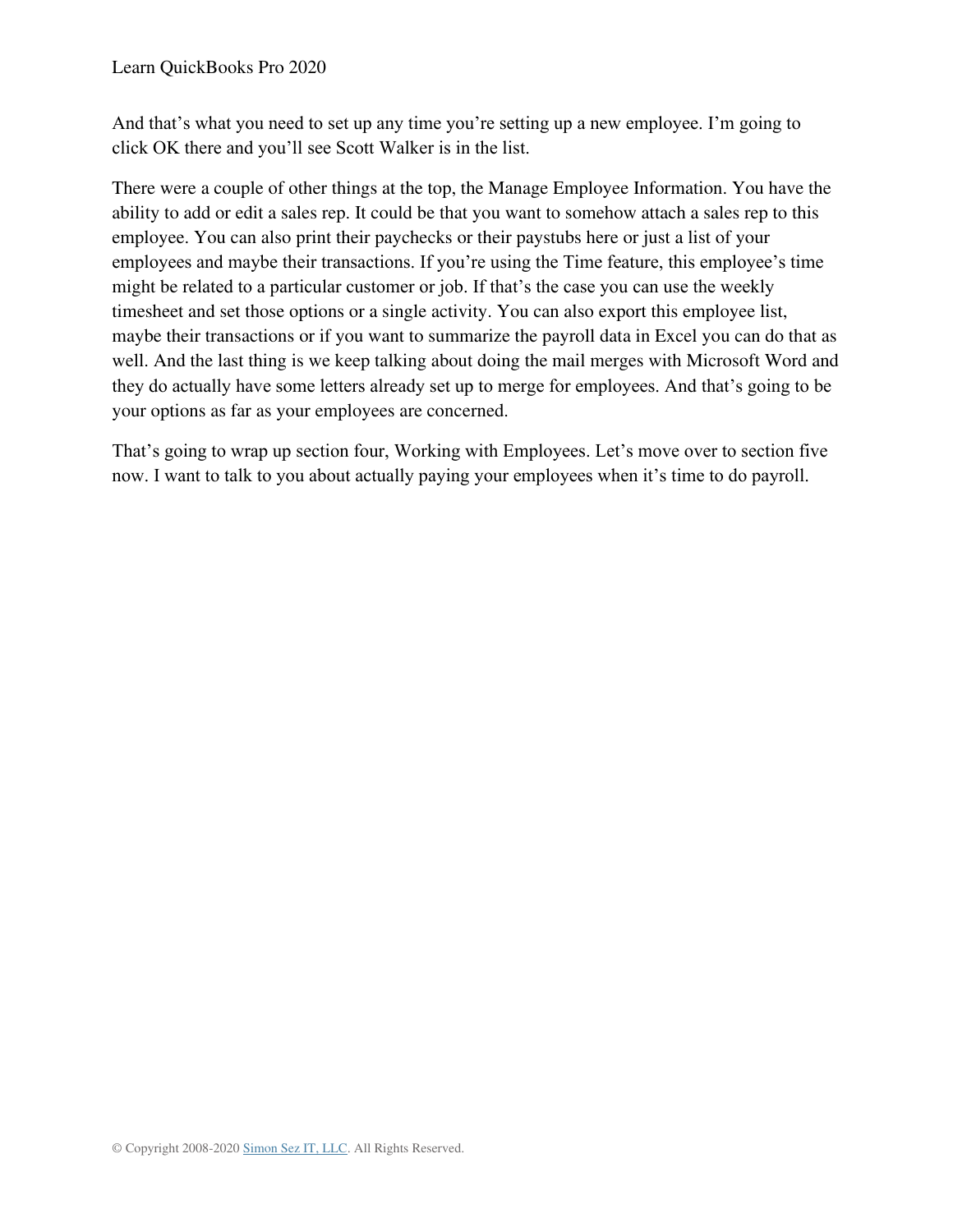And that's what you need to set up any time you're setting up a new employee. I'm going to click OK there and you'll see Scott Walker is in the list.

There were a couple of other things at the top, the Manage Employee Information. You have the ability to add or edit a sales rep. It could be that you want to somehow attach a sales rep to this employee. You can also print their paychecks or their paystubs here or just a list of your employees and maybe their transactions. If you're using the Time feature, this employee's time might be related to a particular customer or job. If that's the case you can use the weekly timesheet and set those options or a single activity. You can also export this employee list, maybe their transactions or if you want to summarize the payroll data in Excel you can do that as well. And the last thing is we keep talking about doing the mail merges with Microsoft Word and they do actually have some letters already set up to merge for employees. And that's going to be your options as far as your employees are concerned.

That's going to wrap up section four, Working with Employees. Let's move over to section five now. I want to talk to you about actually paying your employees when it's time to do payroll.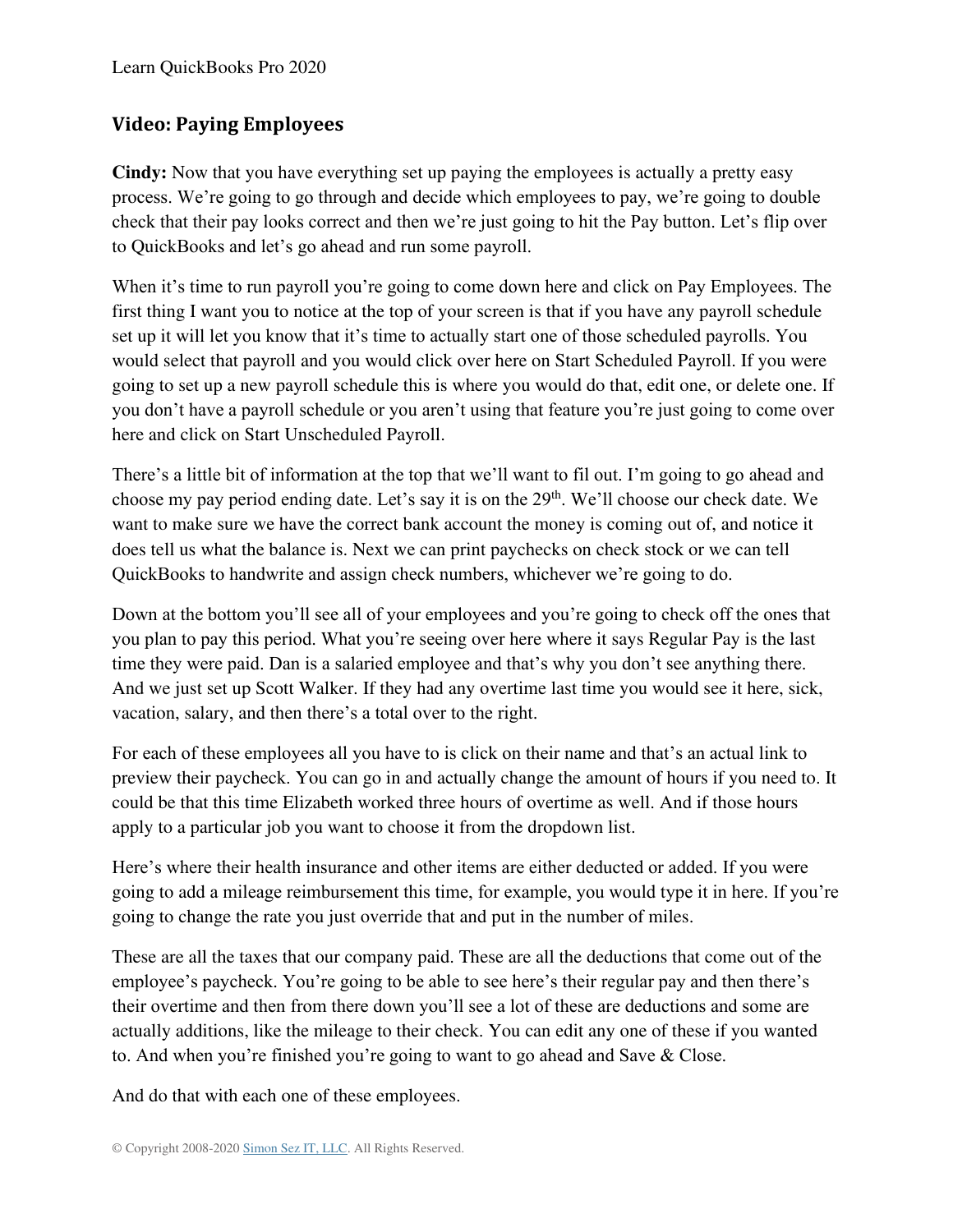## **Video: Paying Employees**

**Cindy:** Now that you have everything set up paying the employees is actually a pretty easy process. We're going to go through and decide which employees to pay, we're going to double check that their pay looks correct and then we're just going to hit the Pay button. Let's flip over to QuickBooks and let's go ahead and run some payroll.

When it's time to run payroll you're going to come down here and click on Pay Employees. The first thing I want you to notice at the top of your screen is that if you have any payroll schedule set up it will let you know that it's time to actually start one of those scheduled payrolls. You would select that payroll and you would click over here on Start Scheduled Payroll. If you were going to set up a new payroll schedule this is where you would do that, edit one, or delete one. If you don't have a payroll schedule or you aren't using that feature you're just going to come over here and click on Start Unscheduled Payroll.

There's a little bit of information at the top that we'll want to fil out. I'm going to go ahead and choose my pay period ending date. Let's say it is on the 29<sup>th</sup>. We'll choose our check date. We want to make sure we have the correct bank account the money is coming out of, and notice it does tell us what the balance is. Next we can print paychecks on check stock or we can tell QuickBooks to handwrite and assign check numbers, whichever we're going to do.

Down at the bottom you'll see all of your employees and you're going to check off the ones that you plan to pay this period. What you're seeing over here where it says Regular Pay is the last time they were paid. Dan is a salaried employee and that's why you don't see anything there. And we just set up Scott Walker. If they had any overtime last time you would see it here, sick, vacation, salary, and then there's a total over to the right.

For each of these employees all you have to is click on their name and that's an actual link to preview their paycheck. You can go in and actually change the amount of hours if you need to. It could be that this time Elizabeth worked three hours of overtime as well. And if those hours apply to a particular job you want to choose it from the dropdown list.

Here's where their health insurance and other items are either deducted or added. If you were going to add a mileage reimbursement this time, for example, you would type it in here. If you're going to change the rate you just override that and put in the number of miles.

These are all the taxes that our company paid. These are all the deductions that come out of the employee's paycheck. You're going to be able to see here's their regular pay and then there's their overtime and then from there down you'll see a lot of these are deductions and some are actually additions, like the mileage to their check. You can edit any one of these if you wanted to. And when you're finished you're going to want to go ahead and Save & Close.

And do that with each one of these employees.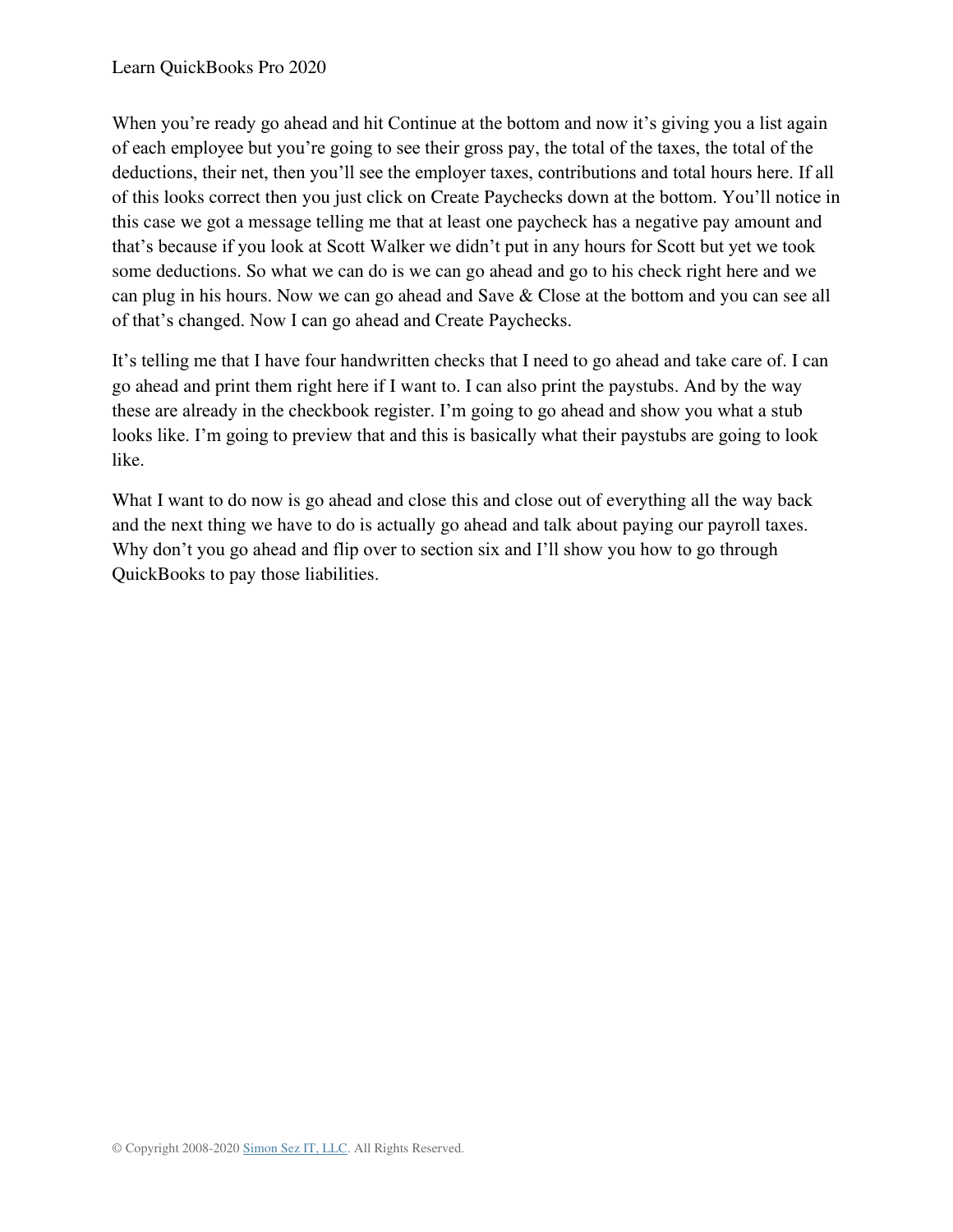When you're ready go ahead and hit Continue at the bottom and now it's giving you a list again of each employee but you're going to see their gross pay, the total of the taxes, the total of the deductions, their net, then you'll see the employer taxes, contributions and total hours here. If all of this looks correct then you just click on Create Paychecks down at the bottom. You'll notice in this case we got a message telling me that at least one paycheck has a negative pay amount and that's because if you look at Scott Walker we didn't put in any hours for Scott but yet we took some deductions. So what we can do is we can go ahead and go to his check right here and we can plug in his hours. Now we can go ahead and Save & Close at the bottom and you can see all of that's changed. Now I can go ahead and Create Paychecks.

It's telling me that I have four handwritten checks that I need to go ahead and take care of. I can go ahead and print them right here if I want to. I can also print the paystubs. And by the way these are already in the checkbook register. I'm going to go ahead and show you what a stub looks like. I'm going to preview that and this is basically what their paystubs are going to look like.

What I want to do now is go ahead and close this and close out of everything all the way back and the next thing we have to do is actually go ahead and talk about paying our payroll taxes. Why don't you go ahead and flip over to section six and I'll show you how to go through QuickBooks to pay those liabilities.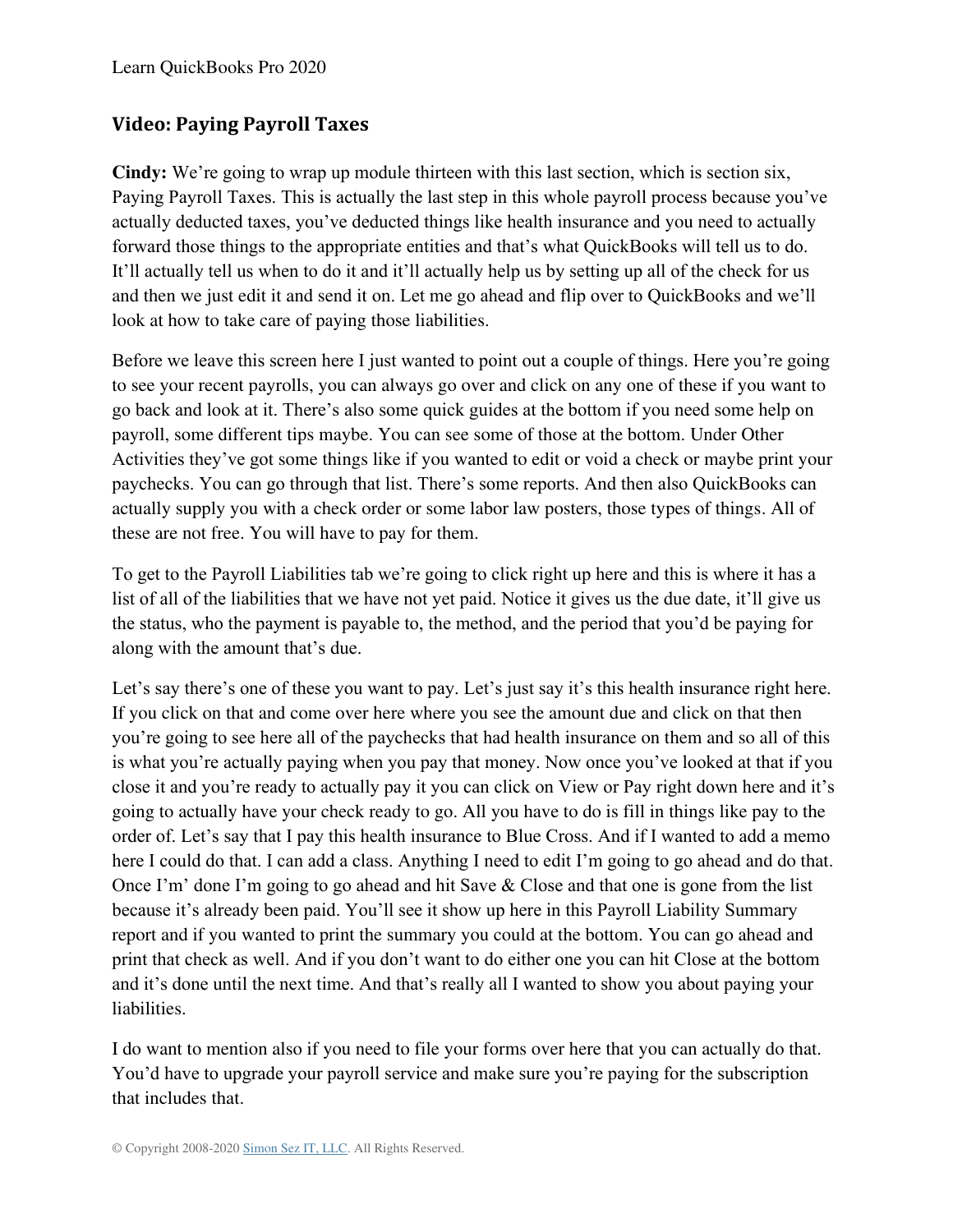## **Video: Paying Payroll Taxes**

**Cindy:** We're going to wrap up module thirteen with this last section, which is section six, Paying Payroll Taxes. This is actually the last step in this whole payroll process because you've actually deducted taxes, you've deducted things like health insurance and you need to actually forward those things to the appropriate entities and that's what QuickBooks will tell us to do. It'll actually tell us when to do it and it'll actually help us by setting up all of the check for us and then we just edit it and send it on. Let me go ahead and flip over to QuickBooks and we'll look at how to take care of paying those liabilities.

Before we leave this screen here I just wanted to point out a couple of things. Here you're going to see your recent payrolls, you can always go over and click on any one of these if you want to go back and look at it. There's also some quick guides at the bottom if you need some help on payroll, some different tips maybe. You can see some of those at the bottom. Under Other Activities they've got some things like if you wanted to edit or void a check or maybe print your paychecks. You can go through that list. There's some reports. And then also QuickBooks can actually supply you with a check order or some labor law posters, those types of things. All of these are not free. You will have to pay for them.

To get to the Payroll Liabilities tab we're going to click right up here and this is where it has a list of all of the liabilities that we have not yet paid. Notice it gives us the due date, it'll give us the status, who the payment is payable to, the method, and the period that you'd be paying for along with the amount that's due.

Let's say there's one of these you want to pay. Let's just say it's this health insurance right here. If you click on that and come over here where you see the amount due and click on that then you're going to see here all of the paychecks that had health insurance on them and so all of this is what you're actually paying when you pay that money. Now once you've looked at that if you close it and you're ready to actually pay it you can click on View or Pay right down here and it's going to actually have your check ready to go. All you have to do is fill in things like pay to the order of. Let's say that I pay this health insurance to Blue Cross. And if I wanted to add a memo here I could do that. I can add a class. Anything I need to edit I'm going to go ahead and do that. Once I'm' done I'm going to go ahead and hit Save & Close and that one is gone from the list because it's already been paid. You'll see it show up here in this Payroll Liability Summary report and if you wanted to print the summary you could at the bottom. You can go ahead and print that check as well. And if you don't want to do either one you can hit Close at the bottom and it's done until the next time. And that's really all I wanted to show you about paying your liabilities.

I do want to mention also if you need to file your forms over here that you can actually do that. You'd have to upgrade your payroll service and make sure you're paying for the subscription that includes that.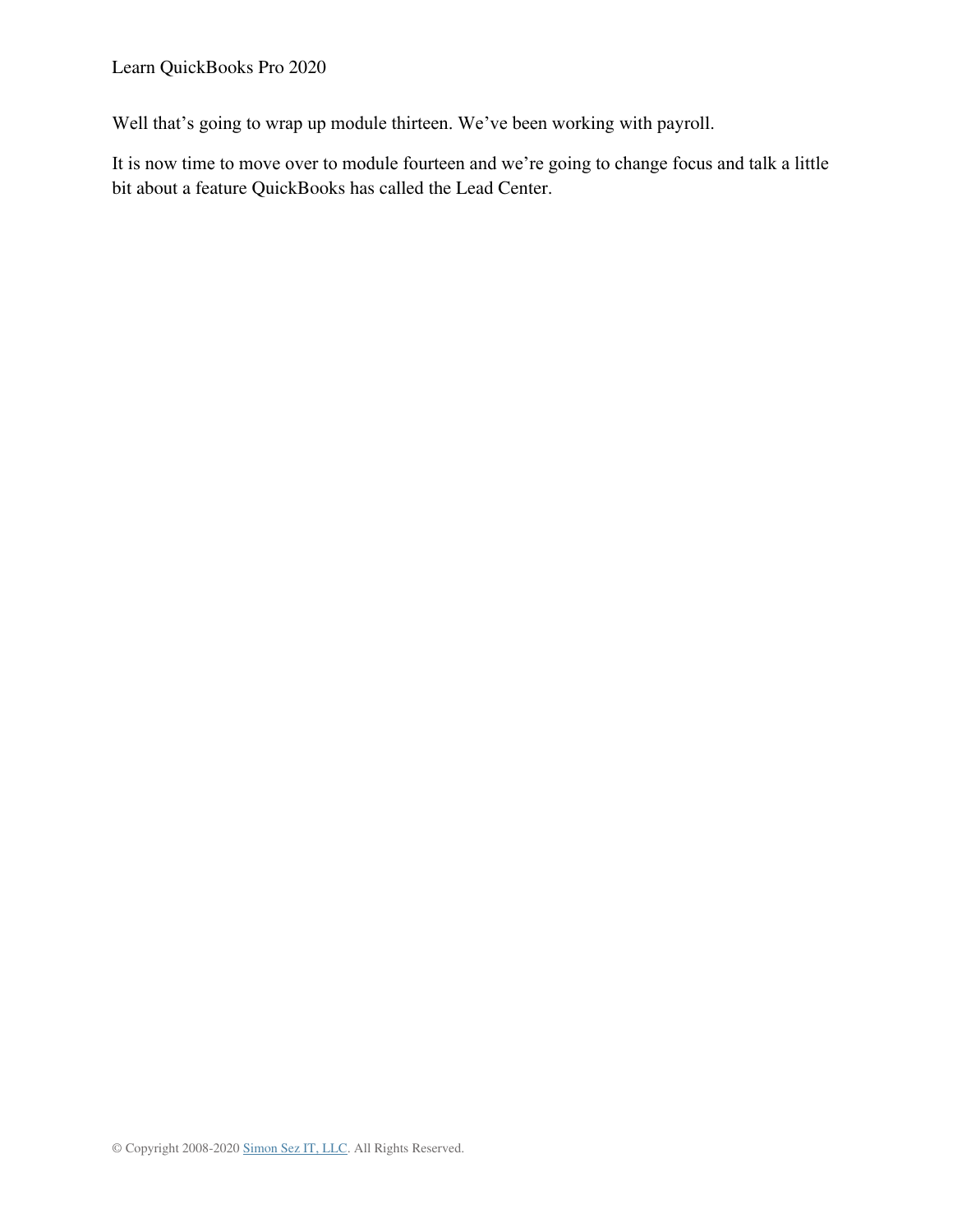Well that's going to wrap up module thirteen. We've been working with payroll.

It is now time to move over to module fourteen and we're going to change focus and talk a little bit about a feature QuickBooks has called the Lead Center.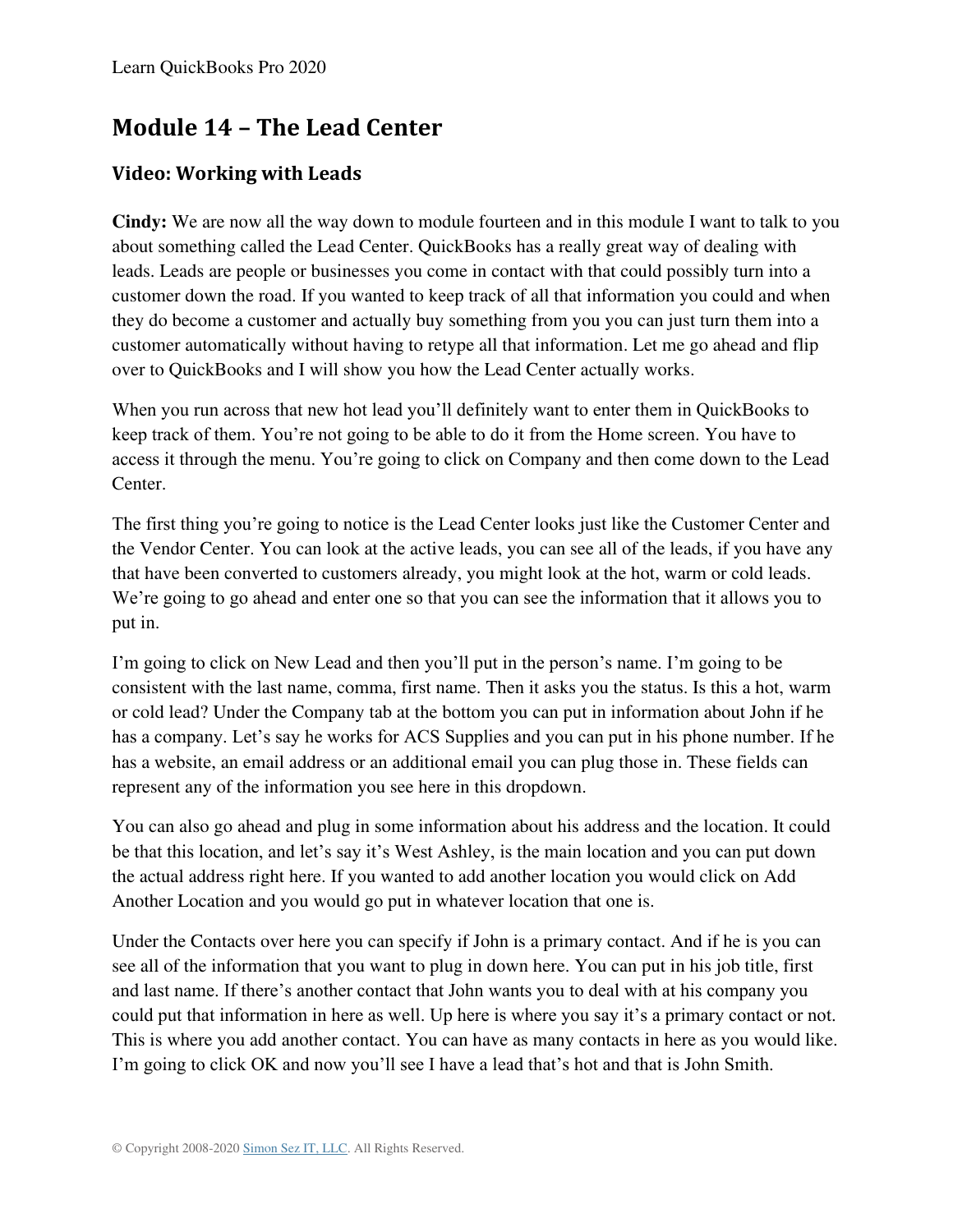## **Module 14 – The Lead Center**

### **Video: Working with Leads**

**Cindy:** We are now all the way down to module fourteen and in this module I want to talk to you about something called the Lead Center. QuickBooks has a really great way of dealing with leads. Leads are people or businesses you come in contact with that could possibly turn into a customer down the road. If you wanted to keep track of all that information you could and when they do become a customer and actually buy something from you you can just turn them into a customer automatically without having to retype all that information. Let me go ahead and flip over to QuickBooks and I will show you how the Lead Center actually works.

When you run across that new hot lead you'll definitely want to enter them in QuickBooks to keep track of them. You're not going to be able to do it from the Home screen. You have to access it through the menu. You're going to click on Company and then come down to the Lead Center.

The first thing you're going to notice is the Lead Center looks just like the Customer Center and the Vendor Center. You can look at the active leads, you can see all of the leads, if you have any that have been converted to customers already, you might look at the hot, warm or cold leads. We're going to go ahead and enter one so that you can see the information that it allows you to put in.

I'm going to click on New Lead and then you'll put in the person's name. I'm going to be consistent with the last name, comma, first name. Then it asks you the status. Is this a hot, warm or cold lead? Under the Company tab at the bottom you can put in information about John if he has a company. Let's say he works for ACS Supplies and you can put in his phone number. If he has a website, an email address or an additional email you can plug those in. These fields can represent any of the information you see here in this dropdown.

You can also go ahead and plug in some information about his address and the location. It could be that this location, and let's say it's West Ashley, is the main location and you can put down the actual address right here. If you wanted to add another location you would click on Add Another Location and you would go put in whatever location that one is.

Under the Contacts over here you can specify if John is a primary contact. And if he is you can see all of the information that you want to plug in down here. You can put in his job title, first and last name. If there's another contact that John wants you to deal with at his company you could put that information in here as well. Up here is where you say it's a primary contact or not. This is where you add another contact. You can have as many contacts in here as you would like. I'm going to click OK and now you'll see I have a lead that's hot and that is John Smith.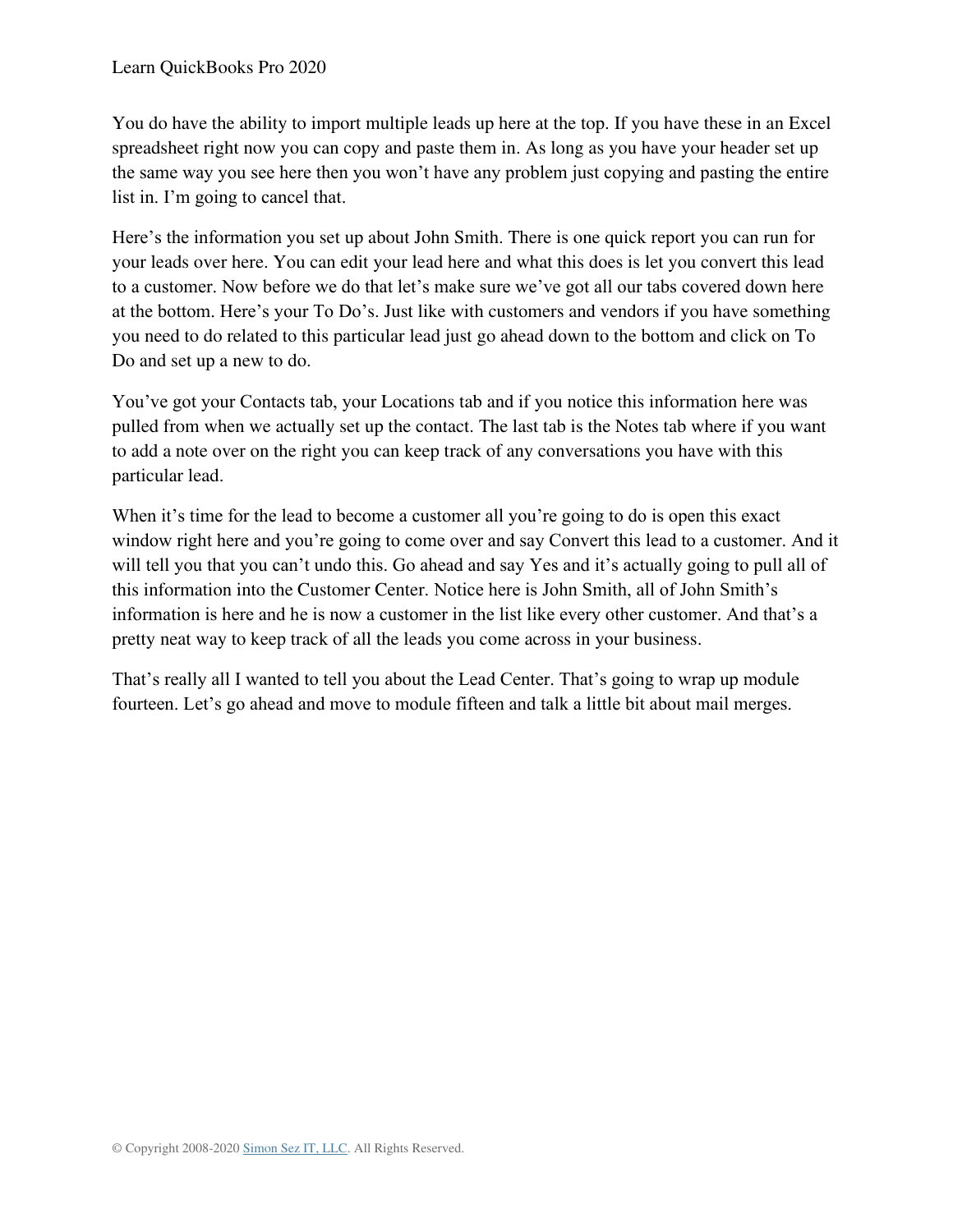You do have the ability to import multiple leads up here at the top. If you have these in an Excel spreadsheet right now you can copy and paste them in. As long as you have your header set up the same way you see here then you won't have any problem just copying and pasting the entire list in. I'm going to cancel that.

Here's the information you set up about John Smith. There is one quick report you can run for your leads over here. You can edit your lead here and what this does is let you convert this lead to a customer. Now before we do that let's make sure we've got all our tabs covered down here at the bottom. Here's your To Do's. Just like with customers and vendors if you have something you need to do related to this particular lead just go ahead down to the bottom and click on To Do and set up a new to do.

You've got your Contacts tab, your Locations tab and if you notice this information here was pulled from when we actually set up the contact. The last tab is the Notes tab where if you want to add a note over on the right you can keep track of any conversations you have with this particular lead.

When it's time for the lead to become a customer all you're going to do is open this exact window right here and you're going to come over and say Convert this lead to a customer. And it will tell you that you can't undo this. Go ahead and say Yes and it's actually going to pull all of this information into the Customer Center. Notice here is John Smith, all of John Smith's information is here and he is now a customer in the list like every other customer. And that's a pretty neat way to keep track of all the leads you come across in your business.

That's really all I wanted to tell you about the Lead Center. That's going to wrap up module fourteen. Let's go ahead and move to module fifteen and talk a little bit about mail merges.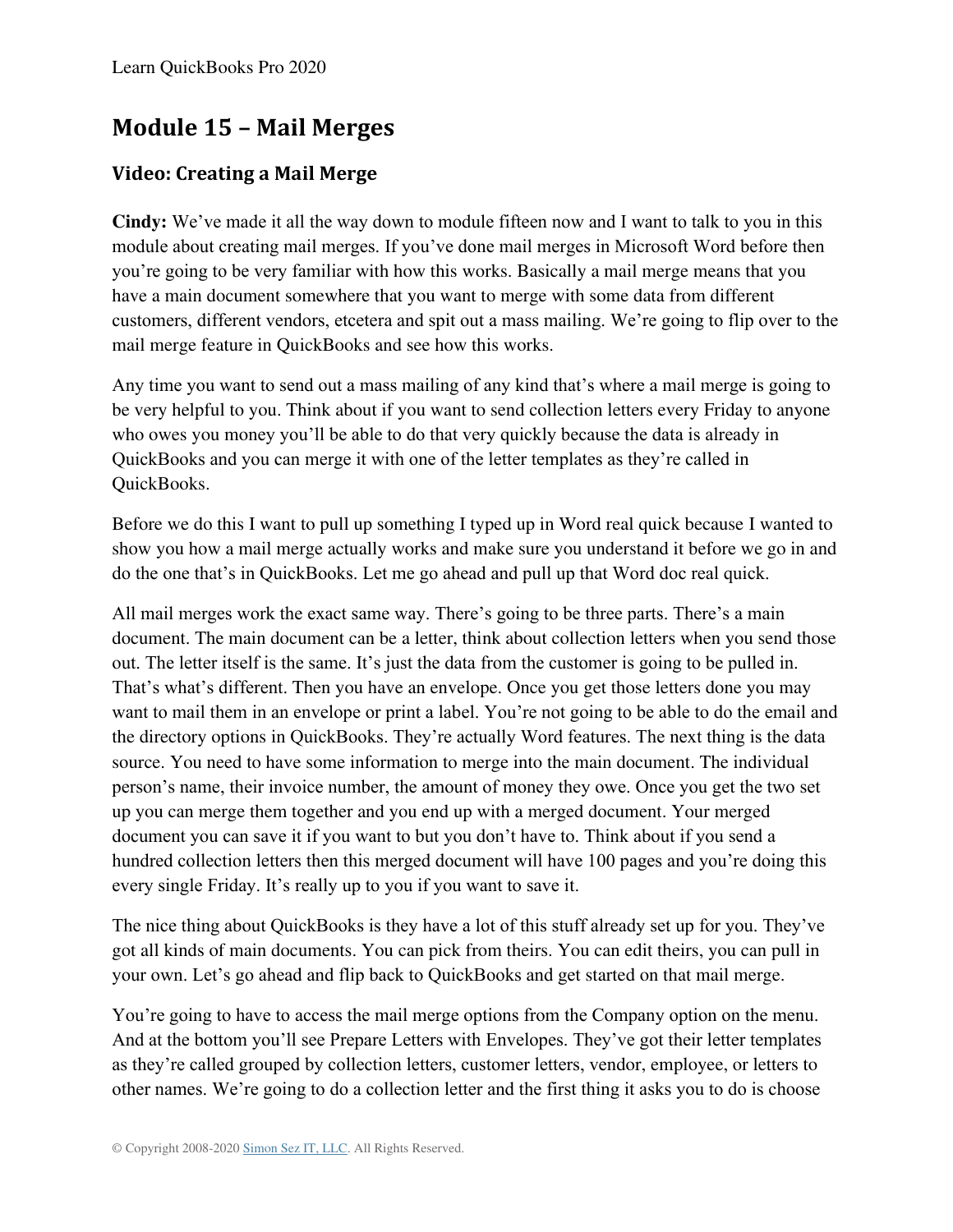# **Module 15 – Mail Merges**

### **Video: Creating a Mail Merge**

**Cindy:** We've made it all the way down to module fifteen now and I want to talk to you in this module about creating mail merges. If you've done mail merges in Microsoft Word before then you're going to be very familiar with how this works. Basically a mail merge means that you have a main document somewhere that you want to merge with some data from different customers, different vendors, etcetera and spit out a mass mailing. We're going to flip over to the mail merge feature in QuickBooks and see how this works.

Any time you want to send out a mass mailing of any kind that's where a mail merge is going to be very helpful to you. Think about if you want to send collection letters every Friday to anyone who owes you money you'll be able to do that very quickly because the data is already in QuickBooks and you can merge it with one of the letter templates as they're called in QuickBooks.

Before we do this I want to pull up something I typed up in Word real quick because I wanted to show you how a mail merge actually works and make sure you understand it before we go in and do the one that's in QuickBooks. Let me go ahead and pull up that Word doc real quick.

All mail merges work the exact same way. There's going to be three parts. There's a main document. The main document can be a letter, think about collection letters when you send those out. The letter itself is the same. It's just the data from the customer is going to be pulled in. That's what's different. Then you have an envelope. Once you get those letters done you may want to mail them in an envelope or print a label. You're not going to be able to do the email and the directory options in QuickBooks. They're actually Word features. The next thing is the data source. You need to have some information to merge into the main document. The individual person's name, their invoice number, the amount of money they owe. Once you get the two set up you can merge them together and you end up with a merged document. Your merged document you can save it if you want to but you don't have to. Think about if you send a hundred collection letters then this merged document will have 100 pages and you're doing this every single Friday. It's really up to you if you want to save it.

The nice thing about QuickBooks is they have a lot of this stuff already set up for you. They've got all kinds of main documents. You can pick from theirs. You can edit theirs, you can pull in your own. Let's go ahead and flip back to QuickBooks and get started on that mail merge.

You're going to have to access the mail merge options from the Company option on the menu. And at the bottom you'll see Prepare Letters with Envelopes. They've got their letter templates as they're called grouped by collection letters, customer letters, vendor, employee, or letters to other names. We're going to do a collection letter and the first thing it asks you to do is choose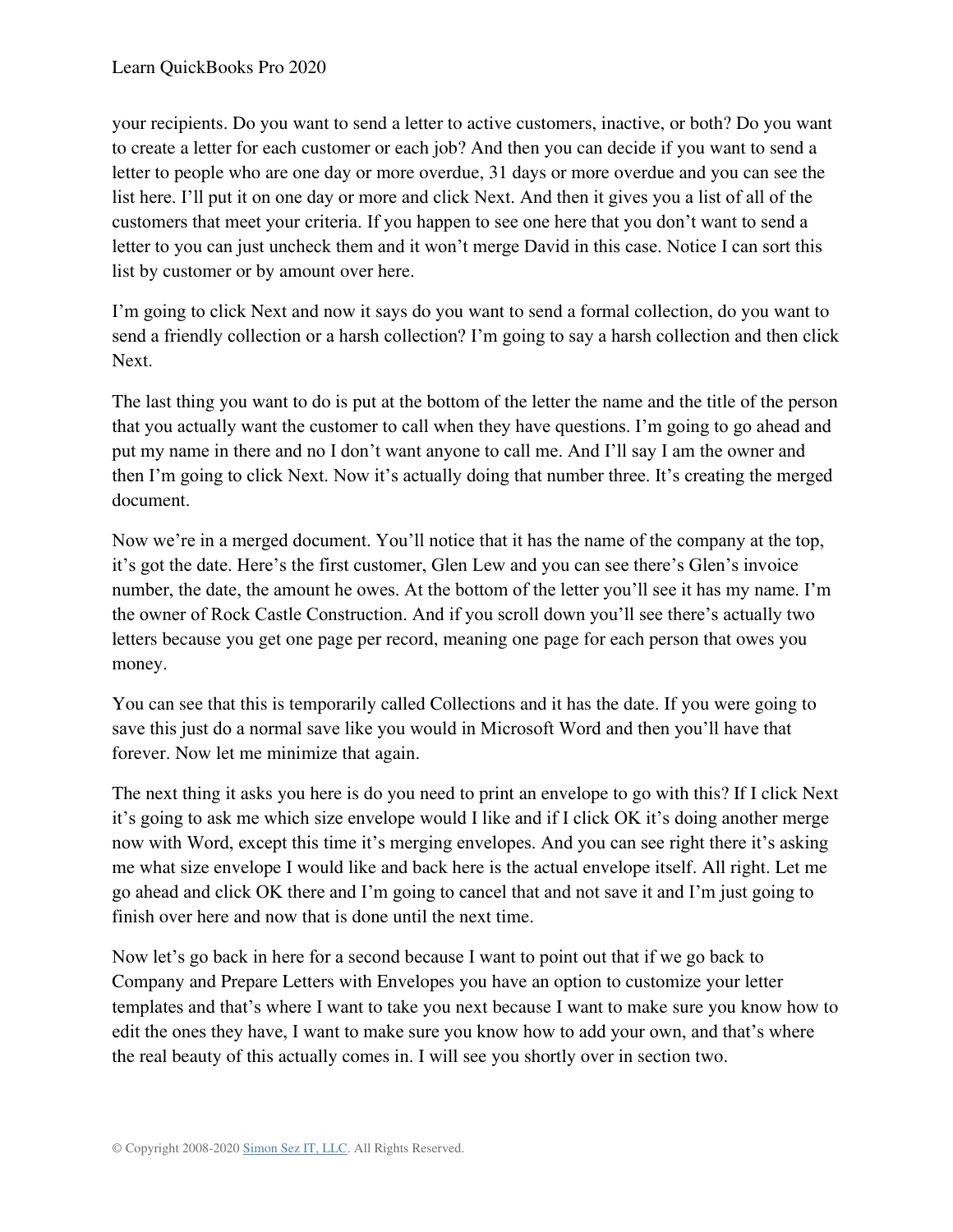your recipients. Do you want to send a letter to active customers, inactive, or both? Do you want to create a letter for each customer or each job? And then you can decide if you want to send a letter to people who are one day or more overdue, 31 days or more overdue and you can see the list here. I'll put it on one day or more and click Next. And then it gives you a list of all of the customers that meet your criteria. If you happen to see one here that you don't want to send a letter to you can just uncheck them and it won't merge David in this case. Notice I can sort this list by customer or by amount over here.

I'm going to click Next and now it says do you want to send a formal collection, do you want to send a friendly collection or a harsh collection? I'm going to say a harsh collection and then click Next.

The last thing you want to do is put at the bottom of the letter the name and the title of the person that you actually want the customer to call when they have questions. I'm going to go ahead and put my name in there and no I don't want anyone to call me. And I'll say I am the owner and then I'm going to click Next. Now it's actually doing that number three. It's creating the merged document.

Now we're in a merged document. You'll notice that it has the name of the company at the top, it's got the date. Here's the first customer, Glen Lew and you can see there's Glen's invoice number, the date, the amount he owes. At the bottom of the letter you'll see it has my name. I'm the owner of Rock Castle Construction. And if you scroll down you'll see there's actually two letters because you get one page per record, meaning one page for each person that owes you money.

You can see that this is temporarily called Collections and it has the date. If you were going to save this just do a normal save like you would in Microsoft Word and then you'll have that forever. Now let me minimize that again.

The next thing it asks you here is do you need to print an envelope to go with this? If I click Next it's going to ask me which size envelope would I like and if I click OK it's doing another merge now with Word, except this time it's merging envelopes. And you can see right there it's asking me what size envelope I would like and back here is the actual envelope itself. All right. Let me go ahead and click OK there and I'm going to cancel that and not save it and I'm just going to finish over here and now that is done until the next time.

Now let's go back in here for a second because I want to point out that if we go back to Company and Prepare Letters with Envelopes you have an option to customize your letter templates and that's where I want to take you next because I want to make sure you know how to edit the ones they have, I want to make sure you know how to add your own, and that's where the real beauty of this actually comes in. I will see you shortly over in section two.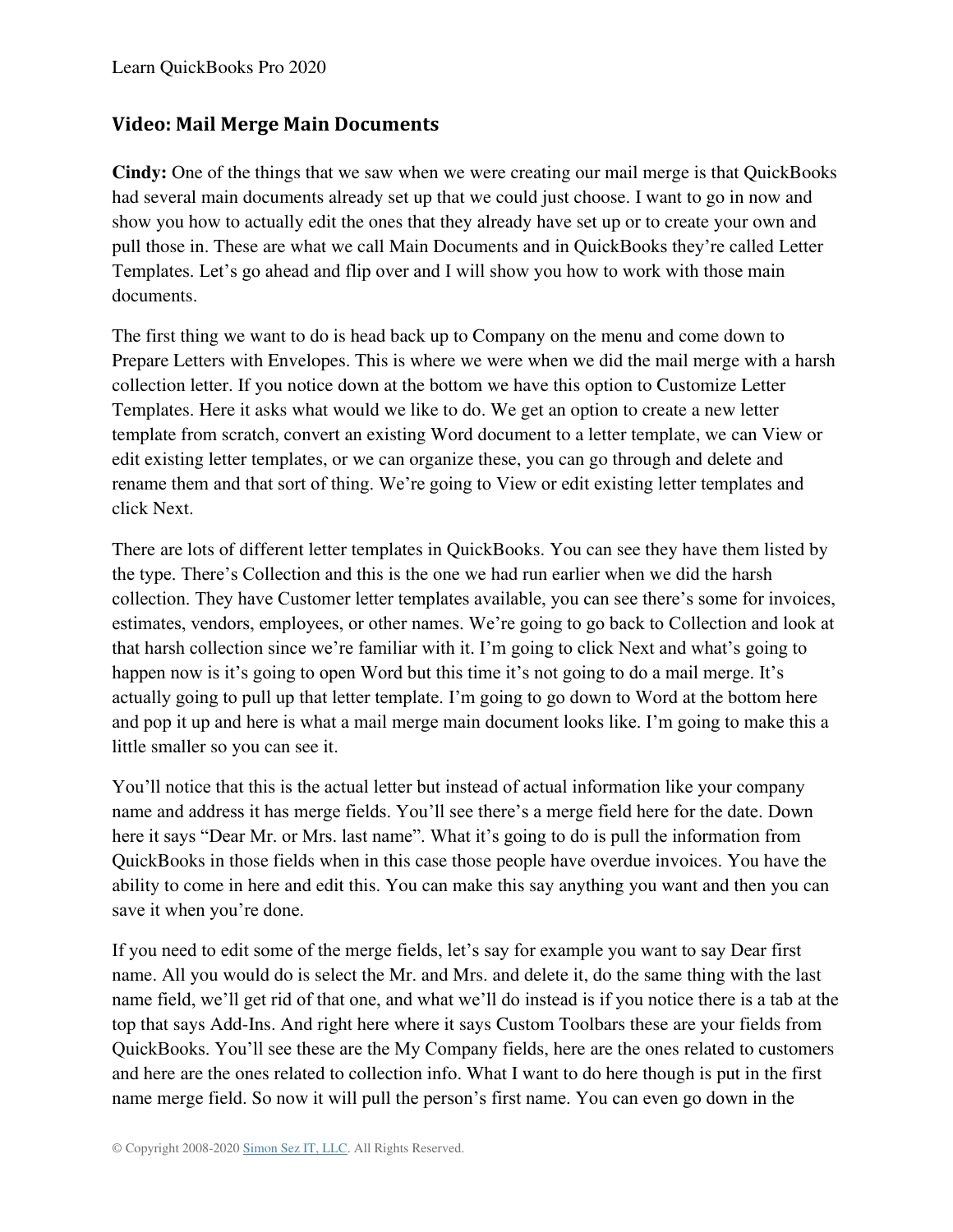#### **Video: Mail Merge Main Documents**

**Cindy:** One of the things that we saw when we were creating our mail merge is that QuickBooks had several main documents already set up that we could just choose. I want to go in now and show you how to actually edit the ones that they already have set up or to create your own and pull those in. These are what we call Main Documents and in QuickBooks they're called Letter Templates. Let's go ahead and flip over and I will show you how to work with those main documents.

The first thing we want to do is head back up to Company on the menu and come down to Prepare Letters with Envelopes. This is where we were when we did the mail merge with a harsh collection letter. If you notice down at the bottom we have this option to Customize Letter Templates. Here it asks what would we like to do. We get an option to create a new letter template from scratch, convert an existing Word document to a letter template, we can View or edit existing letter templates, or we can organize these, you can go through and delete and rename them and that sort of thing. We're going to View or edit existing letter templates and click Next.

There are lots of different letter templates in QuickBooks. You can see they have them listed by the type. There's Collection and this is the one we had run earlier when we did the harsh collection. They have Customer letter templates available, you can see there's some for invoices, estimates, vendors, employees, or other names. We're going to go back to Collection and look at that harsh collection since we're familiar with it. I'm going to click Next and what's going to happen now is it's going to open Word but this time it's not going to do a mail merge. It's actually going to pull up that letter template. I'm going to go down to Word at the bottom here and pop it up and here is what a mail merge main document looks like. I'm going to make this a little smaller so you can see it.

You'll notice that this is the actual letter but instead of actual information like your company name and address it has merge fields. You'll see there's a merge field here for the date. Down here it says "Dear Mr. or Mrs. last name". What it's going to do is pull the information from QuickBooks in those fields when in this case those people have overdue invoices. You have the ability to come in here and edit this. You can make this say anything you want and then you can save it when you're done.

If you need to edit some of the merge fields, let's say for example you want to say Dear first name. All you would do is select the Mr. and Mrs. and delete it, do the same thing with the last name field, we'll get rid of that one, and what we'll do instead is if you notice there is a tab at the top that says Add-Ins. And right here where it says Custom Toolbars these are your fields from QuickBooks. You'll see these are the My Company fields, here are the ones related to customers and here are the ones related to collection info. What I want to do here though is put in the first name merge field. So now it will pull the person's first name. You can even go down in the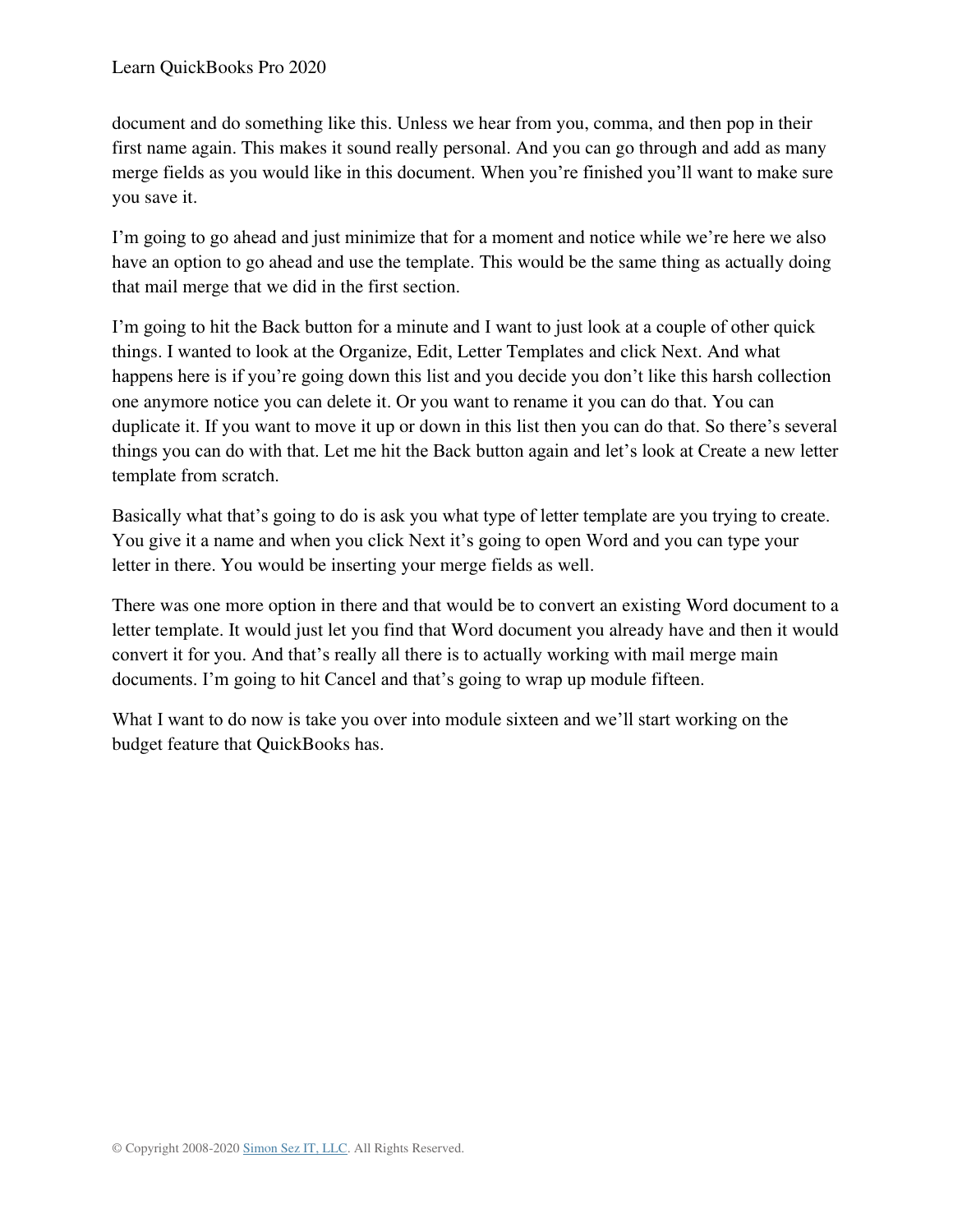document and do something like this. Unless we hear from you, comma, and then pop in their first name again. This makes it sound really personal. And you can go through and add as many merge fields as you would like in this document. When you're finished you'll want to make sure you save it.

I'm going to go ahead and just minimize that for a moment and notice while we're here we also have an option to go ahead and use the template. This would be the same thing as actually doing that mail merge that we did in the first section.

I'm going to hit the Back button for a minute and I want to just look at a couple of other quick things. I wanted to look at the Organize, Edit, Letter Templates and click Next. And what happens here is if you're going down this list and you decide you don't like this harsh collection one anymore notice you can delete it. Or you want to rename it you can do that. You can duplicate it. If you want to move it up or down in this list then you can do that. So there's several things you can do with that. Let me hit the Back button again and let's look at Create a new letter template from scratch.

Basically what that's going to do is ask you what type of letter template are you trying to create. You give it a name and when you click Next it's going to open Word and you can type your letter in there. You would be inserting your merge fields as well.

There was one more option in there and that would be to convert an existing Word document to a letter template. It would just let you find that Word document you already have and then it would convert it for you. And that's really all there is to actually working with mail merge main documents. I'm going to hit Cancel and that's going to wrap up module fifteen.

What I want to do now is take you over into module sixteen and we'll start working on the budget feature that QuickBooks has.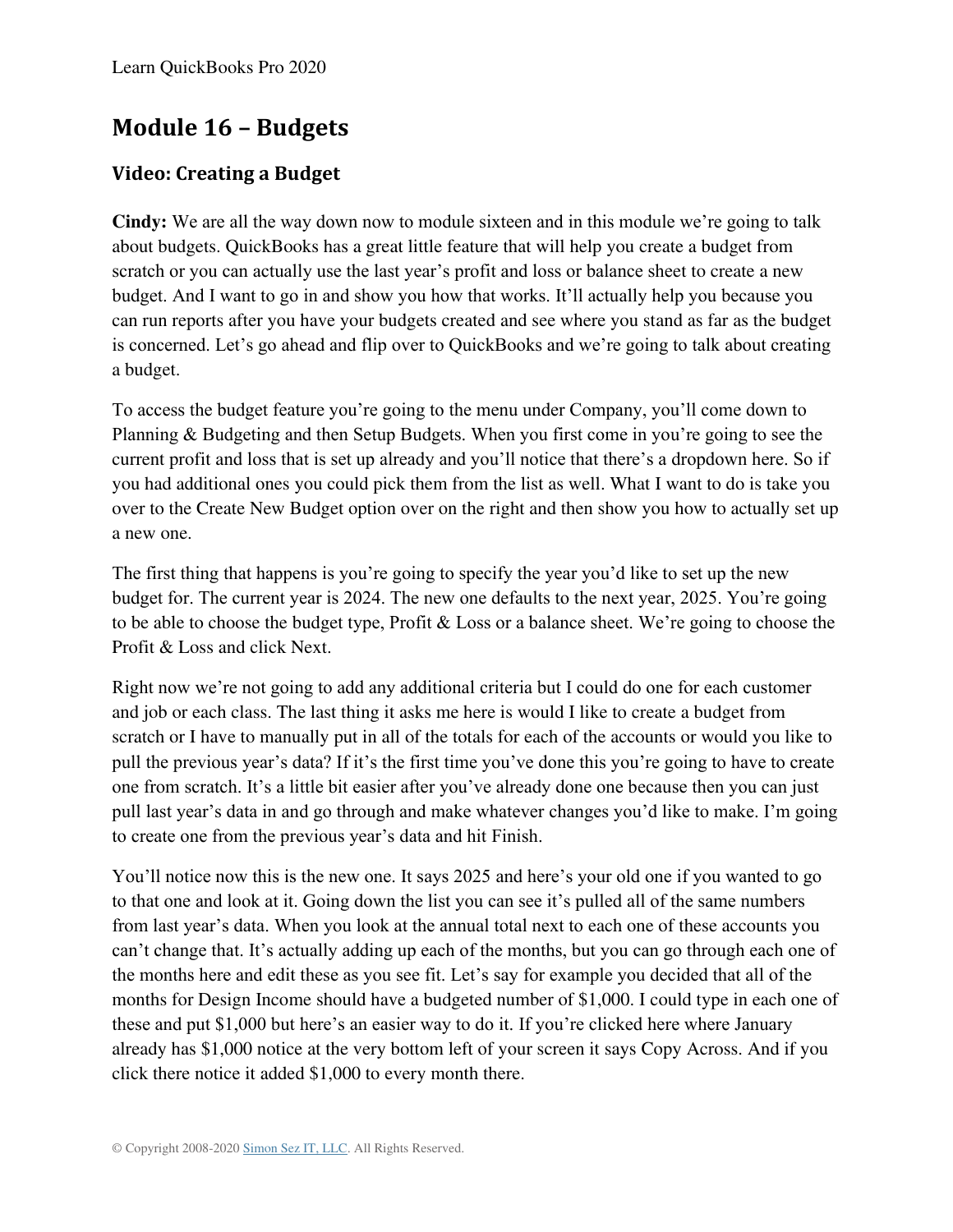## **Module 16 – Budgets**

### **Video: Creating a Budget**

**Cindy:** We are all the way down now to module sixteen and in this module we're going to talk about budgets. QuickBooks has a great little feature that will help you create a budget from scratch or you can actually use the last year's profit and loss or balance sheet to create a new budget. And I want to go in and show you how that works. It'll actually help you because you can run reports after you have your budgets created and see where you stand as far as the budget is concerned. Let's go ahead and flip over to QuickBooks and we're going to talk about creating a budget.

To access the budget feature you're going to the menu under Company, you'll come down to Planning & Budgeting and then Setup Budgets. When you first come in you're going to see the current profit and loss that is set up already and you'll notice that there's a dropdown here. So if you had additional ones you could pick them from the list as well. What I want to do is take you over to the Create New Budget option over on the right and then show you how to actually set up a new one.

The first thing that happens is you're going to specify the year you'd like to set up the new budget for. The current year is 2024. The new one defaults to the next year, 2025. You're going to be able to choose the budget type, Profit & Loss or a balance sheet. We're going to choose the Profit & Loss and click Next.

Right now we're not going to add any additional criteria but I could do one for each customer and job or each class. The last thing it asks me here is would I like to create a budget from scratch or I have to manually put in all of the totals for each of the accounts or would you like to pull the previous year's data? If it's the first time you've done this you're going to have to create one from scratch. It's a little bit easier after you've already done one because then you can just pull last year's data in and go through and make whatever changes you'd like to make. I'm going to create one from the previous year's data and hit Finish.

You'll notice now this is the new one. It says 2025 and here's your old one if you wanted to go to that one and look at it. Going down the list you can see it's pulled all of the same numbers from last year's data. When you look at the annual total next to each one of these accounts you can't change that. It's actually adding up each of the months, but you can go through each one of the months here and edit these as you see fit. Let's say for example you decided that all of the months for Design Income should have a budgeted number of \$1,000. I could type in each one of these and put \$1,000 but here's an easier way to do it. If you're clicked here where January already has \$1,000 notice at the very bottom left of your screen it says Copy Across. And if you click there notice it added \$1,000 to every month there.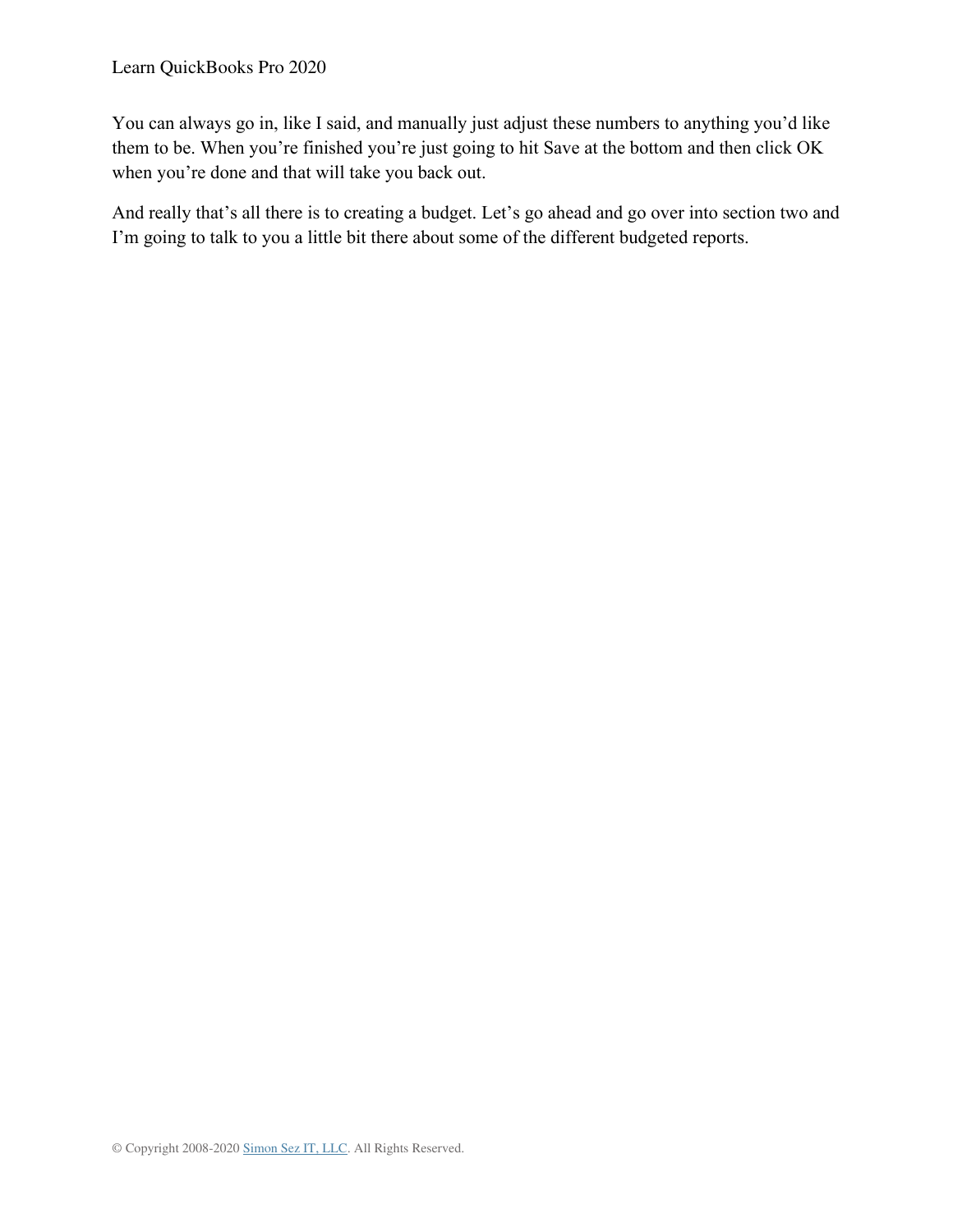You can always go in, like I said, and manually just adjust these numbers to anything you'd like them to be. When you're finished you're just going to hit Save at the bottom and then click OK when you're done and that will take you back out.

And really that's all there is to creating a budget. Let's go ahead and go over into section two and I'm going to talk to you a little bit there about some of the different budgeted reports.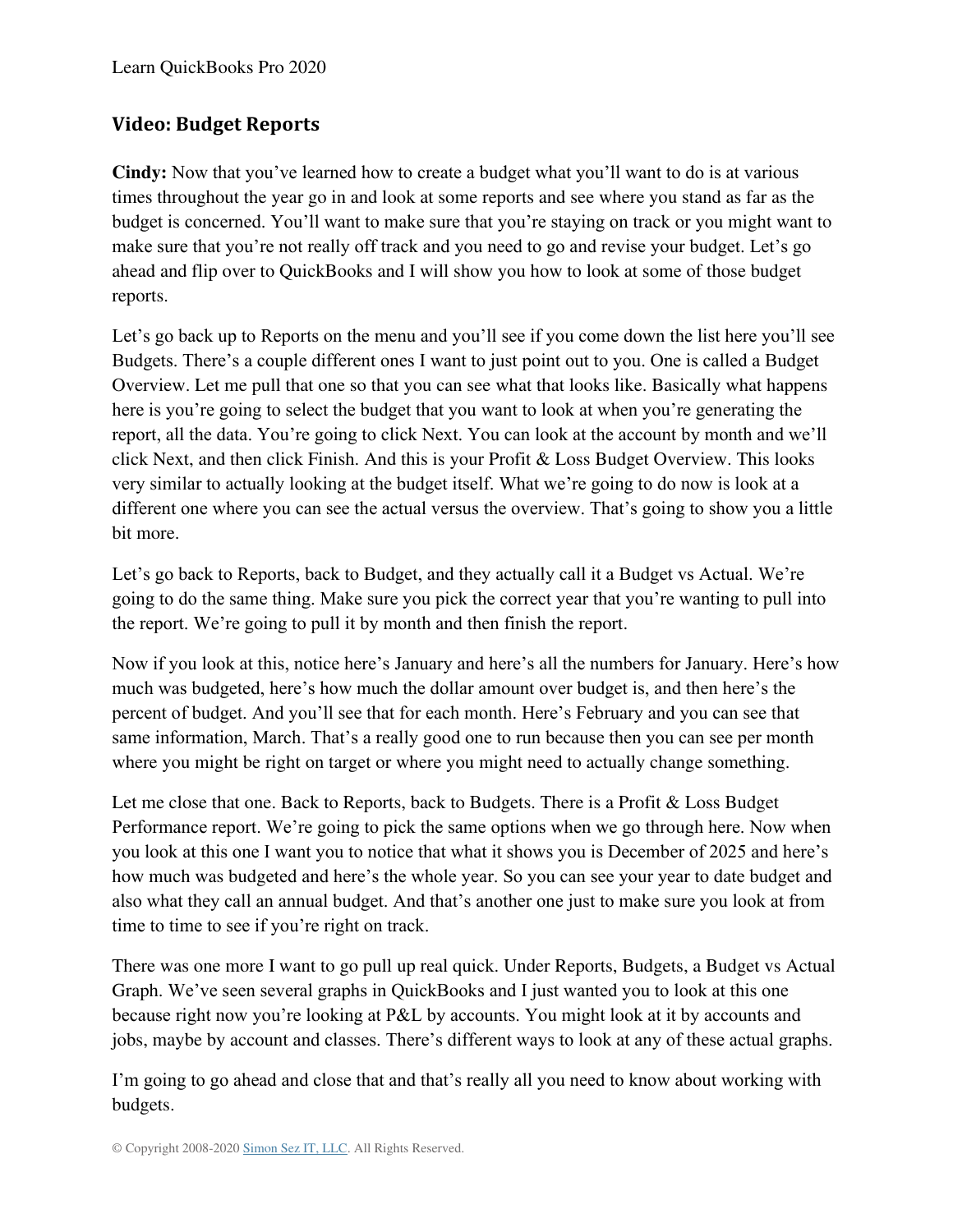### **Video: Budget Reports**

**Cindy:** Now that you've learned how to create a budget what you'll want to do is at various times throughout the year go in and look at some reports and see where you stand as far as the budget is concerned. You'll want to make sure that you're staying on track or you might want to make sure that you're not really off track and you need to go and revise your budget. Let's go ahead and flip over to QuickBooks and I will show you how to look at some of those budget reports.

Let's go back up to Reports on the menu and you'll see if you come down the list here you'll see Budgets. There's a couple different ones I want to just point out to you. One is called a Budget Overview. Let me pull that one so that you can see what that looks like. Basically what happens here is you're going to select the budget that you want to look at when you're generating the report, all the data. You're going to click Next. You can look at the account by month and we'll click Next, and then click Finish. And this is your Profit & Loss Budget Overview. This looks very similar to actually looking at the budget itself. What we're going to do now is look at a different one where you can see the actual versus the overview. That's going to show you a little bit more.

Let's go back to Reports, back to Budget, and they actually call it a Budget vs Actual. We're going to do the same thing. Make sure you pick the correct year that you're wanting to pull into the report. We're going to pull it by month and then finish the report.

Now if you look at this, notice here's January and here's all the numbers for January. Here's how much was budgeted, here's how much the dollar amount over budget is, and then here's the percent of budget. And you'll see that for each month. Here's February and you can see that same information, March. That's a really good one to run because then you can see per month where you might be right on target or where you might need to actually change something.

Let me close that one. Back to Reports, back to Budgets. There is a Profit & Loss Budget Performance report. We're going to pick the same options when we go through here. Now when you look at this one I want you to notice that what it shows you is December of 2025 and here's how much was budgeted and here's the whole year. So you can see your year to date budget and also what they call an annual budget. And that's another one just to make sure you look at from time to time to see if you're right on track.

There was one more I want to go pull up real quick. Under Reports, Budgets, a Budget vs Actual Graph. We've seen several graphs in QuickBooks and I just wanted you to look at this one because right now you're looking at P&L by accounts. You might look at it by accounts and jobs, maybe by account and classes. There's different ways to look at any of these actual graphs.

I'm going to go ahead and close that and that's really all you need to know about working with budgets.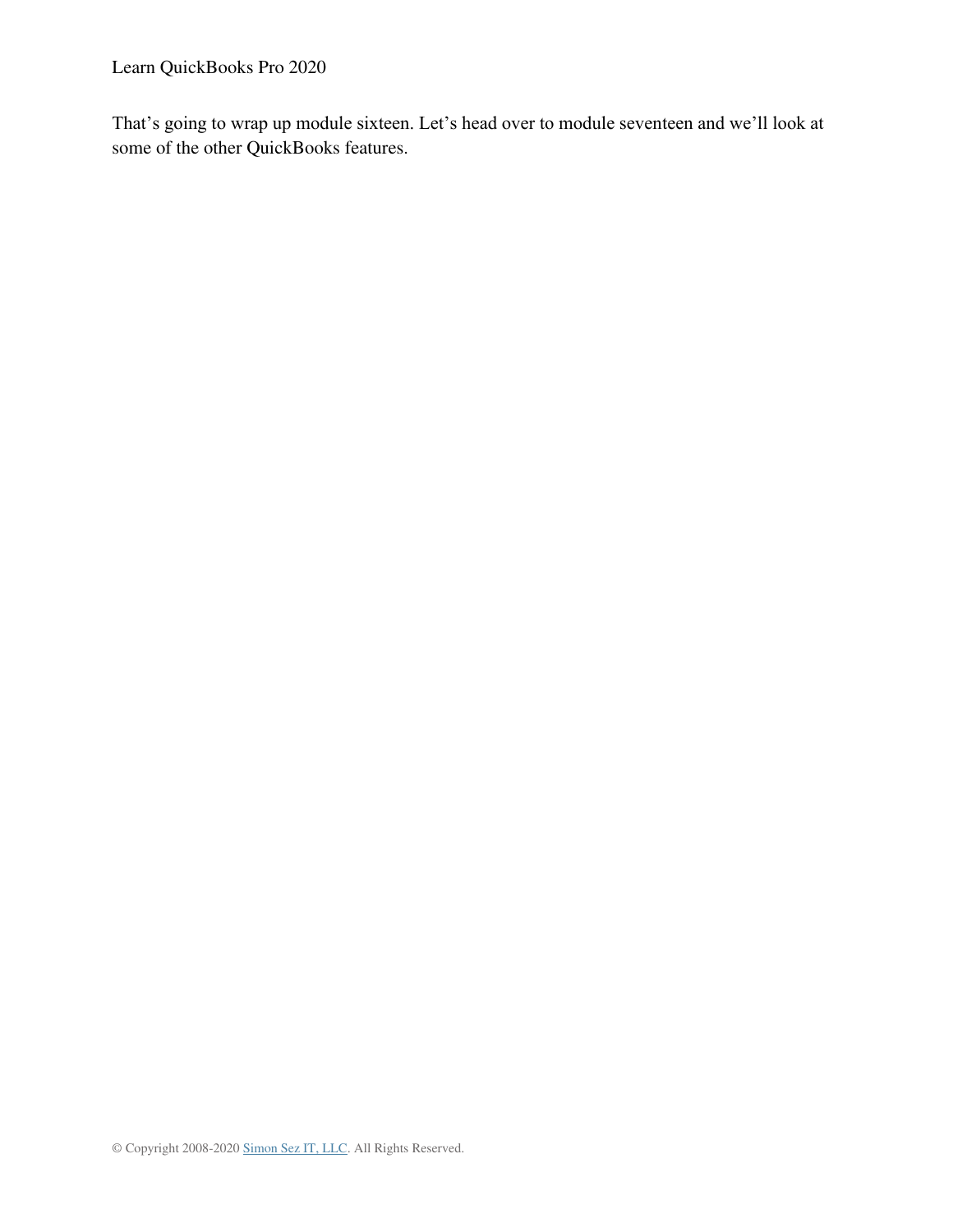Learn QuickBooks Pro 2020

That's going to wrap up module sixteen. Let's head over to module seventeen and we'll look at some of the other QuickBooks features.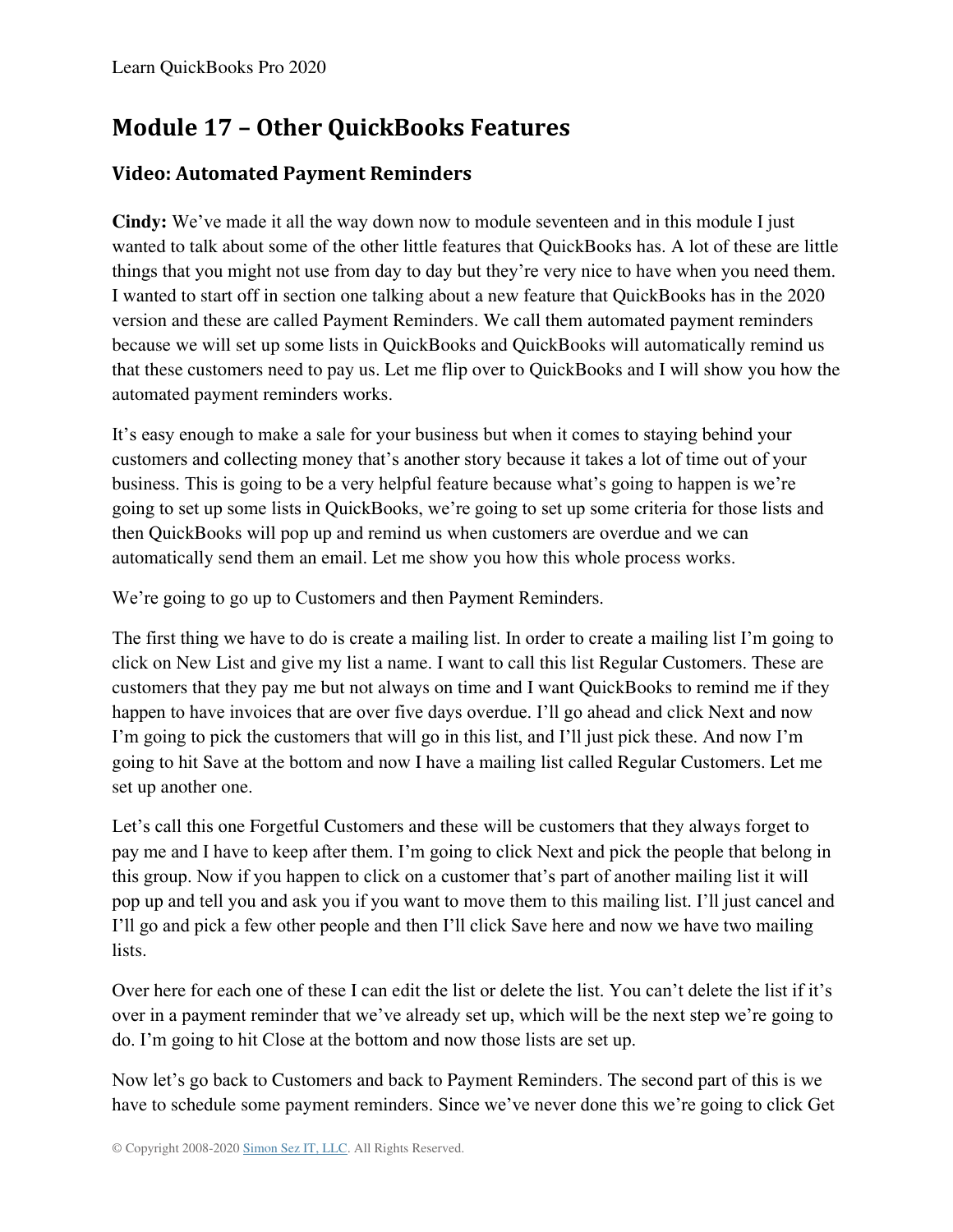# **Module 17 – Other QuickBooks Features**

### **Video: Automated Payment Reminders**

**Cindy:** We've made it all the way down now to module seventeen and in this module I just wanted to talk about some of the other little features that QuickBooks has. A lot of these are little things that you might not use from day to day but they're very nice to have when you need them. I wanted to start off in section one talking about a new feature that QuickBooks has in the 2020 version and these are called Payment Reminders. We call them automated payment reminders because we will set up some lists in QuickBooks and QuickBooks will automatically remind us that these customers need to pay us. Let me flip over to QuickBooks and I will show you how the automated payment reminders works.

It's easy enough to make a sale for your business but when it comes to staying behind your customers and collecting money that's another story because it takes a lot of time out of your business. This is going to be a very helpful feature because what's going to happen is we're going to set up some lists in QuickBooks, we're going to set up some criteria for those lists and then QuickBooks will pop up and remind us when customers are overdue and we can automatically send them an email. Let me show you how this whole process works.

We're going to go up to Customers and then Payment Reminders.

The first thing we have to do is create a mailing list. In order to create a mailing list I'm going to click on New List and give my list a name. I want to call this list Regular Customers. These are customers that they pay me but not always on time and I want QuickBooks to remind me if they happen to have invoices that are over five days overdue. I'll go ahead and click Next and now I'm going to pick the customers that will go in this list, and I'll just pick these. And now I'm going to hit Save at the bottom and now I have a mailing list called Regular Customers. Let me set up another one.

Let's call this one Forgetful Customers and these will be customers that they always forget to pay me and I have to keep after them. I'm going to click Next and pick the people that belong in this group. Now if you happen to click on a customer that's part of another mailing list it will pop up and tell you and ask you if you want to move them to this mailing list. I'll just cancel and I'll go and pick a few other people and then I'll click Save here and now we have two mailing lists.

Over here for each one of these I can edit the list or delete the list. You can't delete the list if it's over in a payment reminder that we've already set up, which will be the next step we're going to do. I'm going to hit Close at the bottom and now those lists are set up.

Now let's go back to Customers and back to Payment Reminders. The second part of this is we have to schedule some payment reminders. Since we've never done this we're going to click Get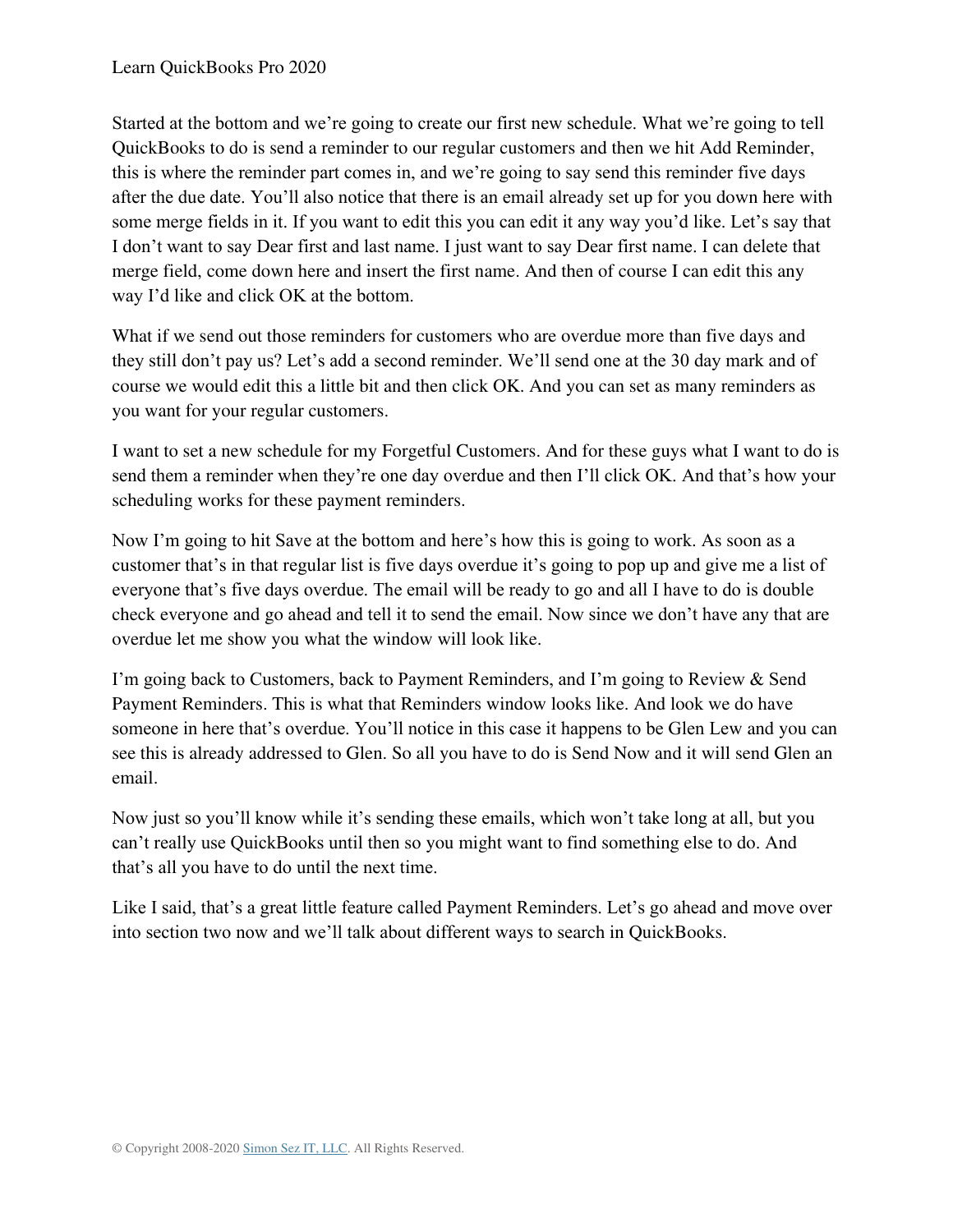Started at the bottom and we're going to create our first new schedule. What we're going to tell QuickBooks to do is send a reminder to our regular customers and then we hit Add Reminder, this is where the reminder part comes in, and we're going to say send this reminder five days after the due date. You'll also notice that there is an email already set up for you down here with some merge fields in it. If you want to edit this you can edit it any way you'd like. Let's say that I don't want to say Dear first and last name. I just want to say Dear first name. I can delete that merge field, come down here and insert the first name. And then of course I can edit this any way I'd like and click OK at the bottom.

What if we send out those reminders for customers who are overdue more than five days and they still don't pay us? Let's add a second reminder. We'll send one at the 30 day mark and of course we would edit this a little bit and then click OK. And you can set as many reminders as you want for your regular customers.

I want to set a new schedule for my Forgetful Customers. And for these guys what I want to do is send them a reminder when they're one day overdue and then I'll click OK. And that's how your scheduling works for these payment reminders.

Now I'm going to hit Save at the bottom and here's how this is going to work. As soon as a customer that's in that regular list is five days overdue it's going to pop up and give me a list of everyone that's five days overdue. The email will be ready to go and all I have to do is double check everyone and go ahead and tell it to send the email. Now since we don't have any that are overdue let me show you what the window will look like.

I'm going back to Customers, back to Payment Reminders, and I'm going to Review & Send Payment Reminders. This is what that Reminders window looks like. And look we do have someone in here that's overdue. You'll notice in this case it happens to be Glen Lew and you can see this is already addressed to Glen. So all you have to do is Send Now and it will send Glen an email.

Now just so you'll know while it's sending these emails, which won't take long at all, but you can't really use QuickBooks until then so you might want to find something else to do. And that's all you have to do until the next time.

Like I said, that's a great little feature called Payment Reminders. Let's go ahead and move over into section two now and we'll talk about different ways to search in QuickBooks.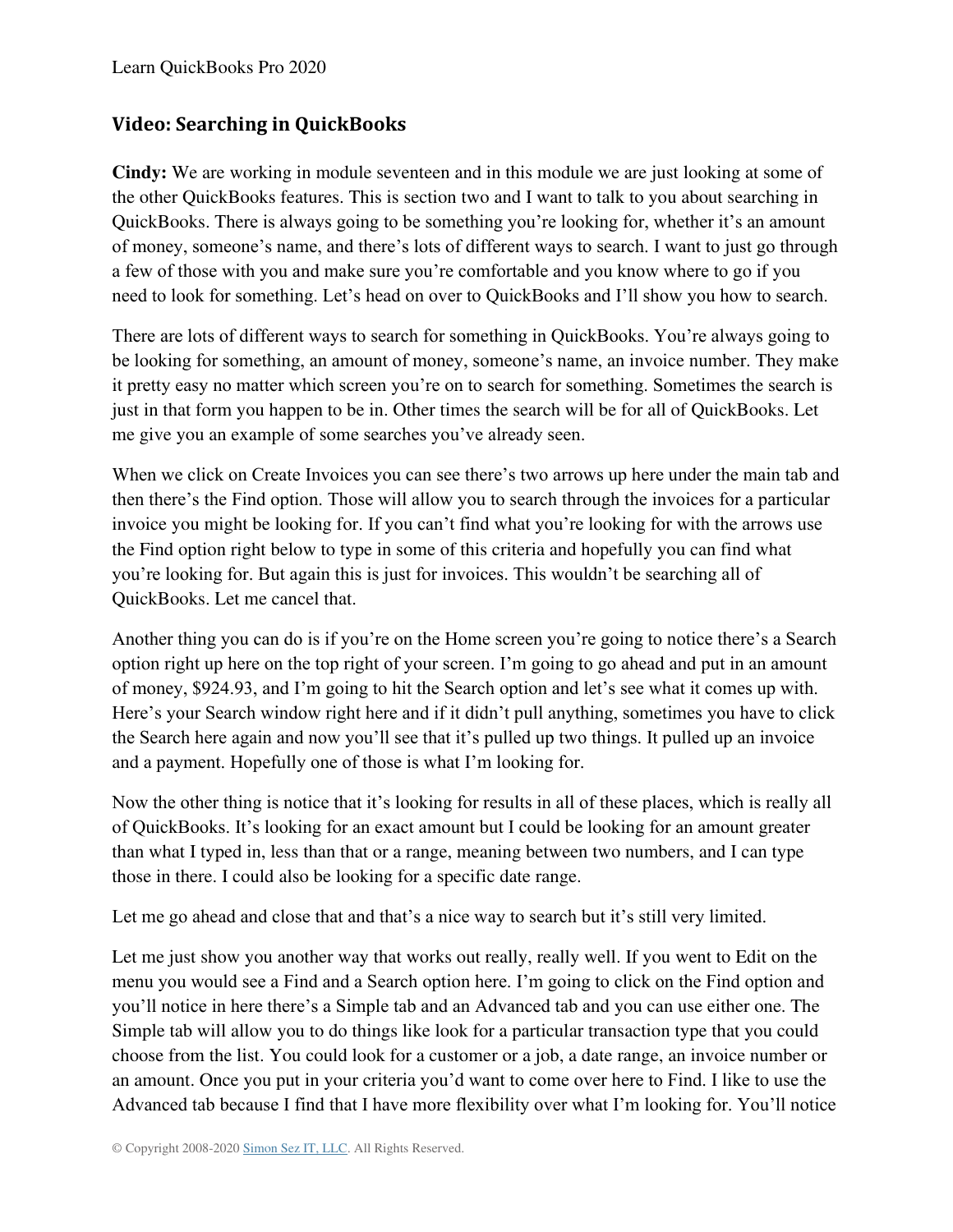#### **Video: Searching in QuickBooks**

**Cindy:** We are working in module seventeen and in this module we are just looking at some of the other QuickBooks features. This is section two and I want to talk to you about searching in QuickBooks. There is always going to be something you're looking for, whether it's an amount of money, someone's name, and there's lots of different ways to search. I want to just go through a few of those with you and make sure you're comfortable and you know where to go if you need to look for something. Let's head on over to QuickBooks and I'll show you how to search.

There are lots of different ways to search for something in QuickBooks. You're always going to be looking for something, an amount of money, someone's name, an invoice number. They make it pretty easy no matter which screen you're on to search for something. Sometimes the search is just in that form you happen to be in. Other times the search will be for all of QuickBooks. Let me give you an example of some searches you've already seen.

When we click on Create Invoices you can see there's two arrows up here under the main tab and then there's the Find option. Those will allow you to search through the invoices for a particular invoice you might be looking for. If you can't find what you're looking for with the arrows use the Find option right below to type in some of this criteria and hopefully you can find what you're looking for. But again this is just for invoices. This wouldn't be searching all of QuickBooks. Let me cancel that.

Another thing you can do is if you're on the Home screen you're going to notice there's a Search option right up here on the top right of your screen. I'm going to go ahead and put in an amount of money, \$924.93, and I'm going to hit the Search option and let's see what it comes up with. Here's your Search window right here and if it didn't pull anything, sometimes you have to click the Search here again and now you'll see that it's pulled up two things. It pulled up an invoice and a payment. Hopefully one of those is what I'm looking for.

Now the other thing is notice that it's looking for results in all of these places, which is really all of QuickBooks. It's looking for an exact amount but I could be looking for an amount greater than what I typed in, less than that or a range, meaning between two numbers, and I can type those in there. I could also be looking for a specific date range.

Let me go ahead and close that and that's a nice way to search but it's still very limited.

Let me just show you another way that works out really, really well. If you went to Edit on the menu you would see a Find and a Search option here. I'm going to click on the Find option and you'll notice in here there's a Simple tab and an Advanced tab and you can use either one. The Simple tab will allow you to do things like look for a particular transaction type that you could choose from the list. You could look for a customer or a job, a date range, an invoice number or an amount. Once you put in your criteria you'd want to come over here to Find. I like to use the Advanced tab because I find that I have more flexibility over what I'm looking for. You'll notice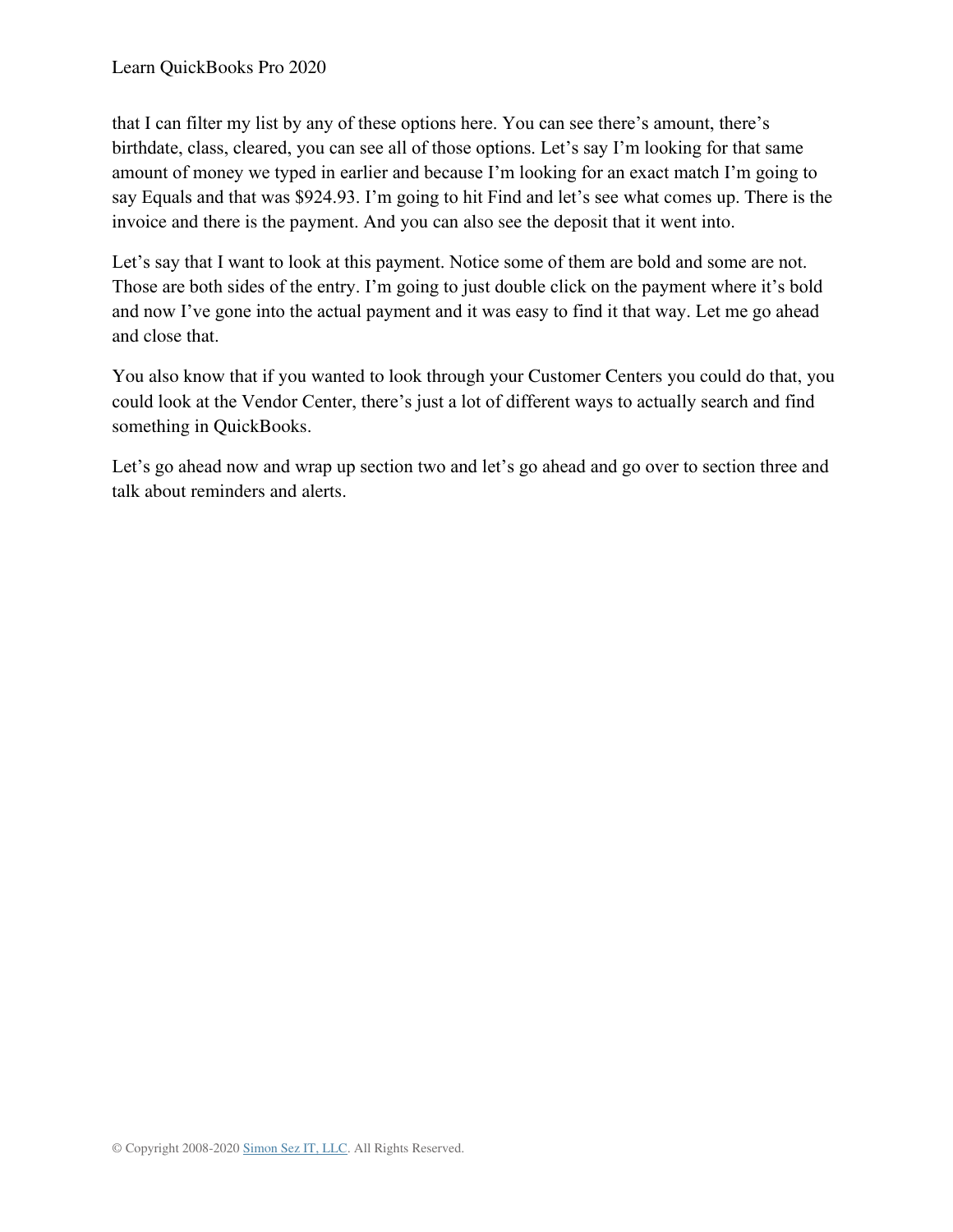that I can filter my list by any of these options here. You can see there's amount, there's birthdate, class, cleared, you can see all of those options. Let's say I'm looking for that same amount of money we typed in earlier and because I'm looking for an exact match I'm going to say Equals and that was \$924.93. I'm going to hit Find and let's see what comes up. There is the invoice and there is the payment. And you can also see the deposit that it went into.

Let's say that I want to look at this payment. Notice some of them are bold and some are not. Those are both sides of the entry. I'm going to just double click on the payment where it's bold and now I've gone into the actual payment and it was easy to find it that way. Let me go ahead and close that.

You also know that if you wanted to look through your Customer Centers you could do that, you could look at the Vendor Center, there's just a lot of different ways to actually search and find something in QuickBooks.

Let's go ahead now and wrap up section two and let's go ahead and go over to section three and talk about reminders and alerts.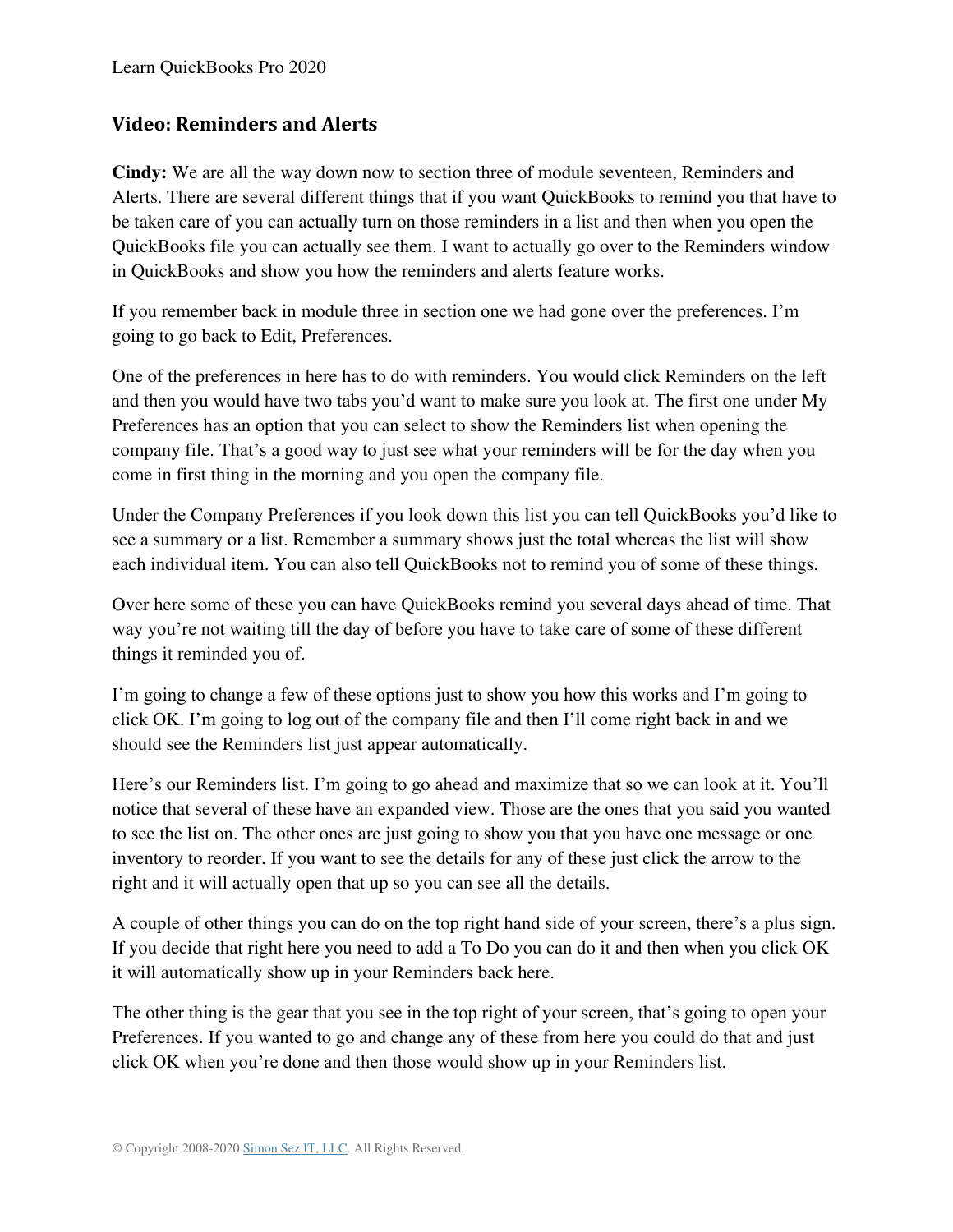#### **Video: Reminders and Alerts**

**Cindy:** We are all the way down now to section three of module seventeen, Reminders and Alerts. There are several different things that if you want QuickBooks to remind you that have to be taken care of you can actually turn on those reminders in a list and then when you open the QuickBooks file you can actually see them. I want to actually go over to the Reminders window in QuickBooks and show you how the reminders and alerts feature works.

If you remember back in module three in section one we had gone over the preferences. I'm going to go back to Edit, Preferences.

One of the preferences in here has to do with reminders. You would click Reminders on the left and then you would have two tabs you'd want to make sure you look at. The first one under My Preferences has an option that you can select to show the Reminders list when opening the company file. That's a good way to just see what your reminders will be for the day when you come in first thing in the morning and you open the company file.

Under the Company Preferences if you look down this list you can tell QuickBooks you'd like to see a summary or a list. Remember a summary shows just the total whereas the list will show each individual item. You can also tell QuickBooks not to remind you of some of these things.

Over here some of these you can have QuickBooks remind you several days ahead of time. That way you're not waiting till the day of before you have to take care of some of these different things it reminded you of.

I'm going to change a few of these options just to show you how this works and I'm going to click OK. I'm going to log out of the company file and then I'll come right back in and we should see the Reminders list just appear automatically.

Here's our Reminders list. I'm going to go ahead and maximize that so we can look at it. You'll notice that several of these have an expanded view. Those are the ones that you said you wanted to see the list on. The other ones are just going to show you that you have one message or one inventory to reorder. If you want to see the details for any of these just click the arrow to the right and it will actually open that up so you can see all the details.

A couple of other things you can do on the top right hand side of your screen, there's a plus sign. If you decide that right here you need to add a To Do you can do it and then when you click OK it will automatically show up in your Reminders back here.

The other thing is the gear that you see in the top right of your screen, that's going to open your Preferences. If you wanted to go and change any of these from here you could do that and just click OK when you're done and then those would show up in your Reminders list.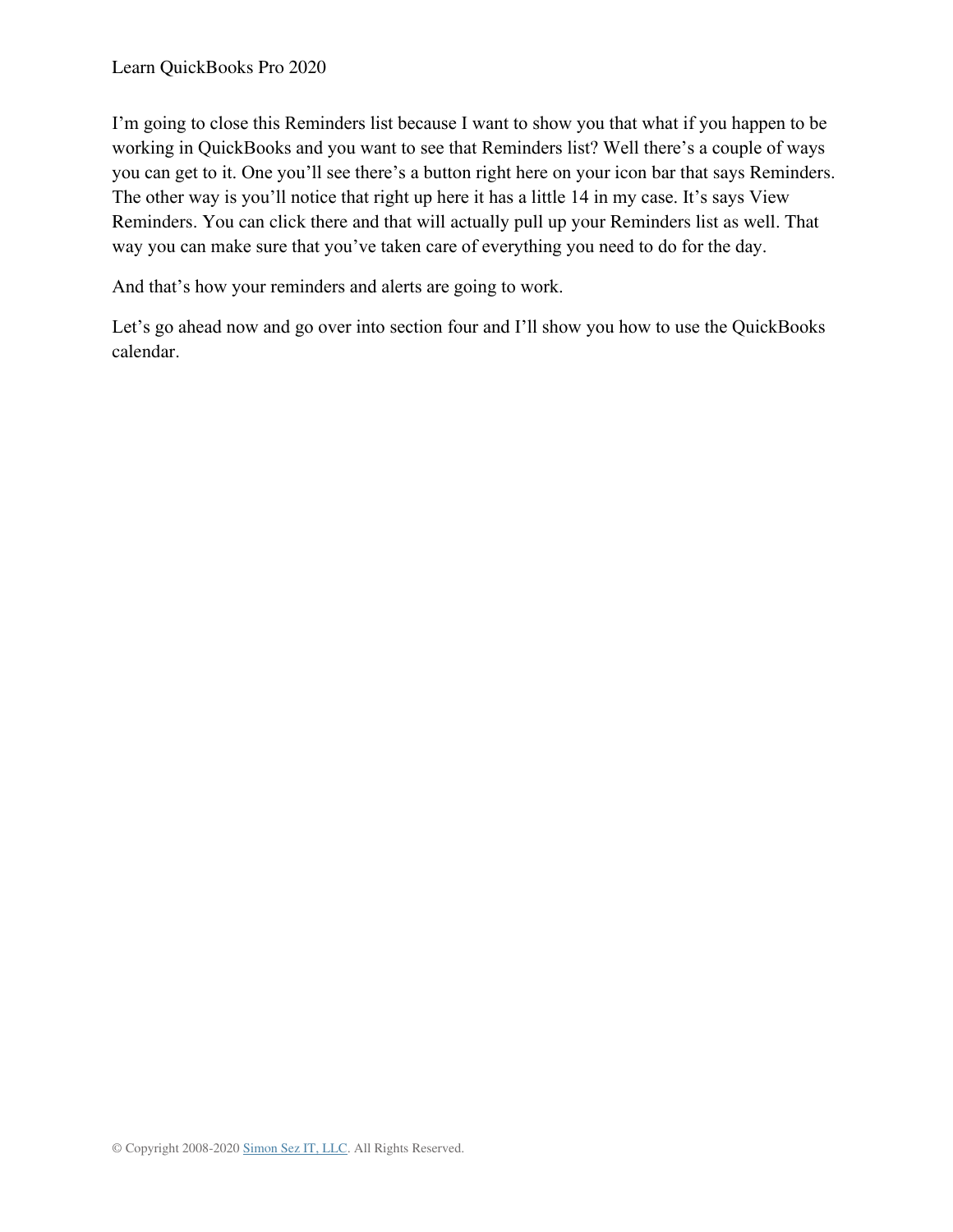I'm going to close this Reminders list because I want to show you that what if you happen to be working in QuickBooks and you want to see that Reminders list? Well there's a couple of ways you can get to it. One you'll see there's a button right here on your icon bar that says Reminders. The other way is you'll notice that right up here it has a little 14 in my case. It's says View Reminders. You can click there and that will actually pull up your Reminders list as well. That way you can make sure that you've taken care of everything you need to do for the day.

And that's how your reminders and alerts are going to work.

Let's go ahead now and go over into section four and I'll show you how to use the QuickBooks calendar.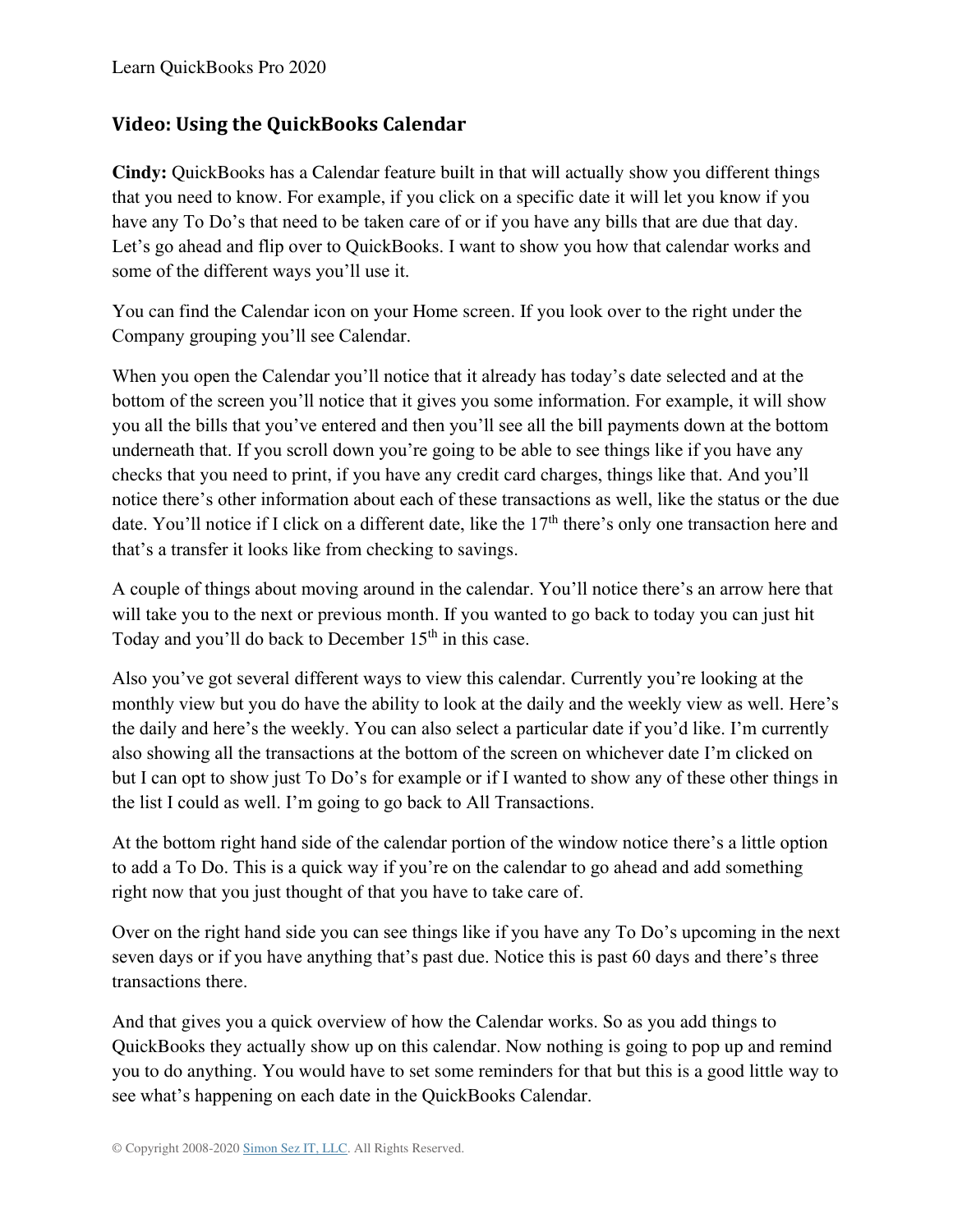### **Video: Using the QuickBooks Calendar**

**Cindy:** QuickBooks has a Calendar feature built in that will actually show you different things that you need to know. For example, if you click on a specific date it will let you know if you have any To Do's that need to be taken care of or if you have any bills that are due that day. Let's go ahead and flip over to QuickBooks. I want to show you how that calendar works and some of the different ways you'll use it.

You can find the Calendar icon on your Home screen. If you look over to the right under the Company grouping you'll see Calendar.

When you open the Calendar you'll notice that it already has today's date selected and at the bottom of the screen you'll notice that it gives you some information. For example, it will show you all the bills that you've entered and then you'll see all the bill payments down at the bottom underneath that. If you scroll down you're going to be able to see things like if you have any checks that you need to print, if you have any credit card charges, things like that. And you'll notice there's other information about each of these transactions as well, like the status or the due date. You'll notice if I click on a different date, like the 17<sup>th</sup> there's only one transaction here and that's a transfer it looks like from checking to savings.

A couple of things about moving around in the calendar. You'll notice there's an arrow here that will take you to the next or previous month. If you wanted to go back to today you can just hit Today and you'll do back to December  $15<sup>th</sup>$  in this case.

Also you've got several different ways to view this calendar. Currently you're looking at the monthly view but you do have the ability to look at the daily and the weekly view as well. Here's the daily and here's the weekly. You can also select a particular date if you'd like. I'm currently also showing all the transactions at the bottom of the screen on whichever date I'm clicked on but I can opt to show just To Do's for example or if I wanted to show any of these other things in the list I could as well. I'm going to go back to All Transactions.

At the bottom right hand side of the calendar portion of the window notice there's a little option to add a To Do. This is a quick way if you're on the calendar to go ahead and add something right now that you just thought of that you have to take care of.

Over on the right hand side you can see things like if you have any To Do's upcoming in the next seven days or if you have anything that's past due. Notice this is past 60 days and there's three transactions there.

And that gives you a quick overview of how the Calendar works. So as you add things to QuickBooks they actually show up on this calendar. Now nothing is going to pop up and remind you to do anything. You would have to set some reminders for that but this is a good little way to see what's happening on each date in the QuickBooks Calendar.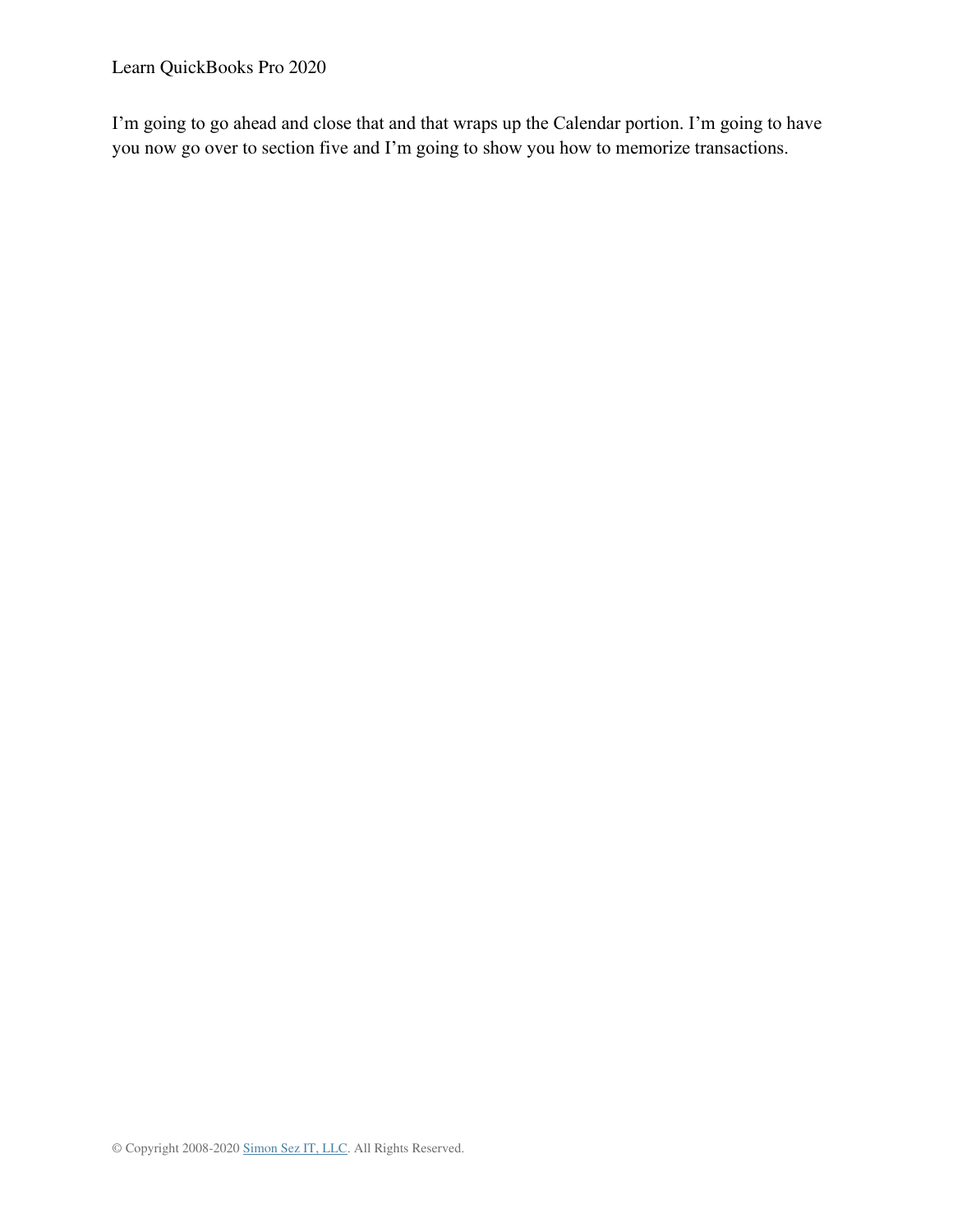Learn QuickBooks Pro 2020

I'm going to go ahead and close that and that wraps up the Calendar portion. I'm going to have you now go over to section five and I'm going to show you how to memorize transactions.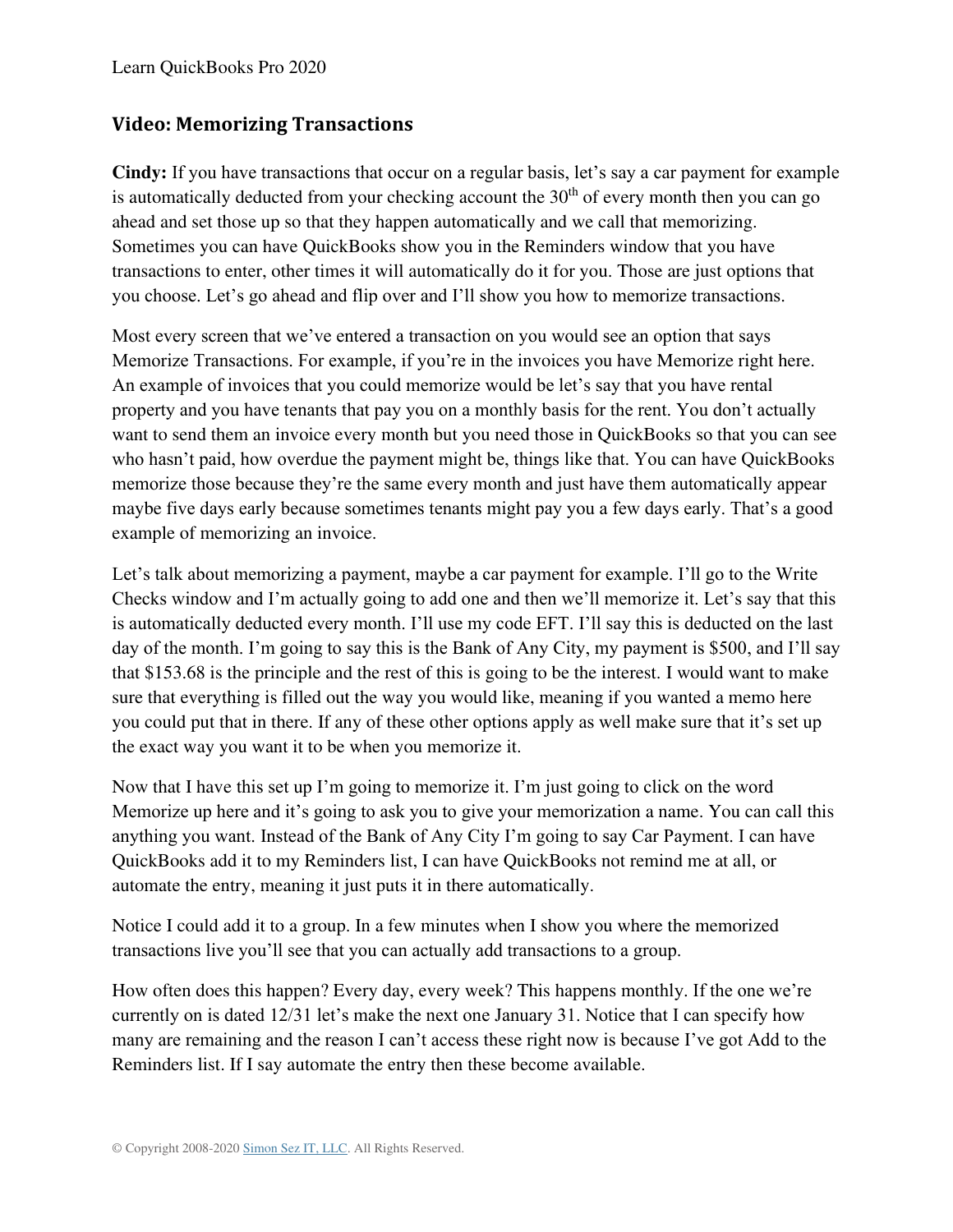#### **Video: Memorizing Transactions**

**Cindy:** If you have transactions that occur on a regular basis, let's say a car payment for example is automatically deducted from your checking account the  $30<sup>th</sup>$  of every month then you can go ahead and set those up so that they happen automatically and we call that memorizing. Sometimes you can have QuickBooks show you in the Reminders window that you have transactions to enter, other times it will automatically do it for you. Those are just options that you choose. Let's go ahead and flip over and I'll show you how to memorize transactions.

Most every screen that we've entered a transaction on you would see an option that says Memorize Transactions. For example, if you're in the invoices you have Memorize right here. An example of invoices that you could memorize would be let's say that you have rental property and you have tenants that pay you on a monthly basis for the rent. You don't actually want to send them an invoice every month but you need those in QuickBooks so that you can see who hasn't paid, how overdue the payment might be, things like that. You can have QuickBooks memorize those because they're the same every month and just have them automatically appear maybe five days early because sometimes tenants might pay you a few days early. That's a good example of memorizing an invoice.

Let's talk about memorizing a payment, maybe a car payment for example. I'll go to the Write Checks window and I'm actually going to add one and then we'll memorize it. Let's say that this is automatically deducted every month. I'll use my code EFT. I'll say this is deducted on the last day of the month. I'm going to say this is the Bank of Any City, my payment is \$500, and I'll say that \$153.68 is the principle and the rest of this is going to be the interest. I would want to make sure that everything is filled out the way you would like, meaning if you wanted a memo here you could put that in there. If any of these other options apply as well make sure that it's set up the exact way you want it to be when you memorize it.

Now that I have this set up I'm going to memorize it. I'm just going to click on the word Memorize up here and it's going to ask you to give your memorization a name. You can call this anything you want. Instead of the Bank of Any City I'm going to say Car Payment. I can have QuickBooks add it to my Reminders list, I can have QuickBooks not remind me at all, or automate the entry, meaning it just puts it in there automatically.

Notice I could add it to a group. In a few minutes when I show you where the memorized transactions live you'll see that you can actually add transactions to a group.

How often does this happen? Every day, every week? This happens monthly. If the one we're currently on is dated 12/31 let's make the next one January 31. Notice that I can specify how many are remaining and the reason I can't access these right now is because I've got Add to the Reminders list. If I say automate the entry then these become available.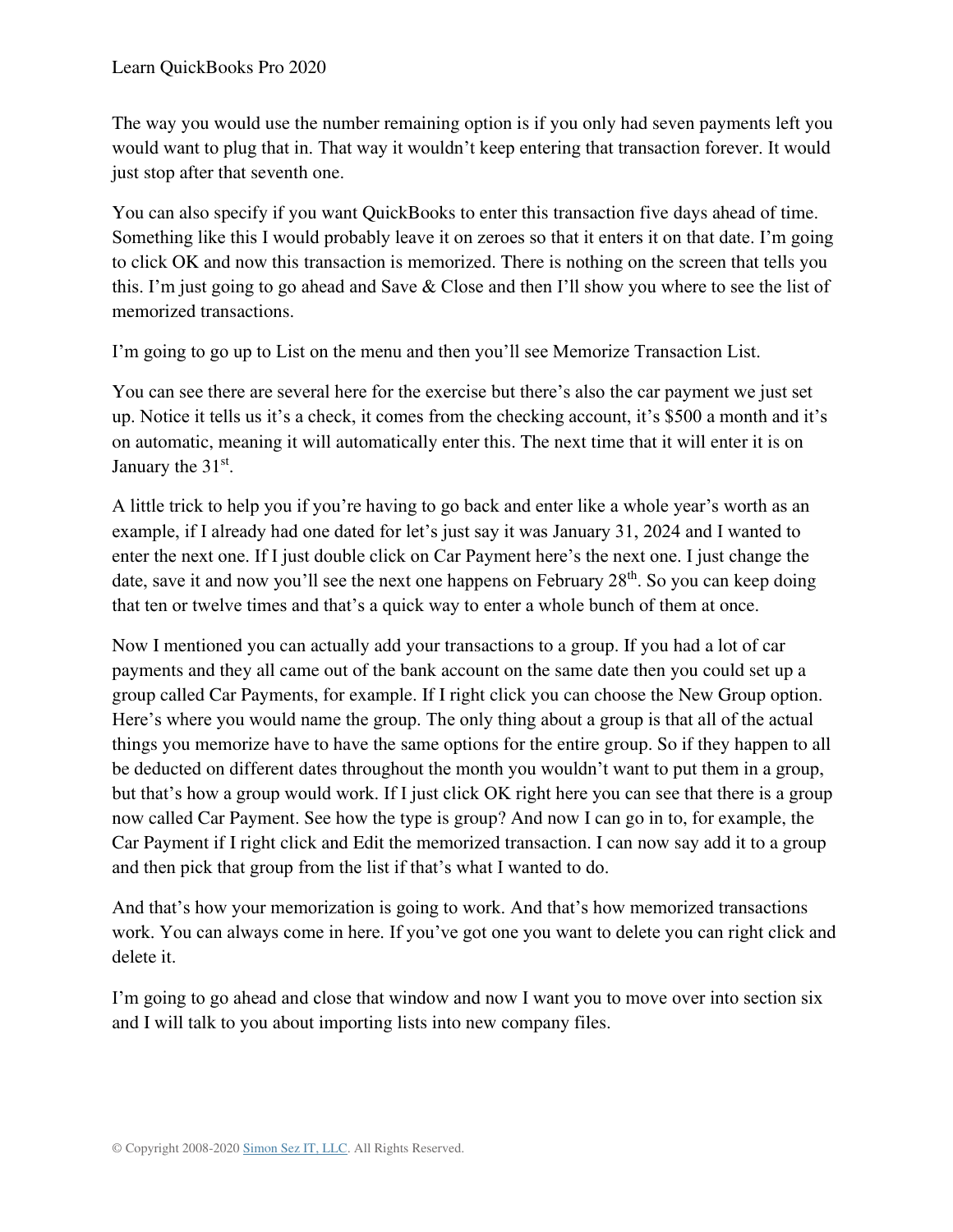The way you would use the number remaining option is if you only had seven payments left you would want to plug that in. That way it wouldn't keep entering that transaction forever. It would just stop after that seventh one.

You can also specify if you want QuickBooks to enter this transaction five days ahead of time. Something like this I would probably leave it on zeroes so that it enters it on that date. I'm going to click OK and now this transaction is memorized. There is nothing on the screen that tells you this. I'm just going to go ahead and Save & Close and then I'll show you where to see the list of memorized transactions.

I'm going to go up to List on the menu and then you'll see Memorize Transaction List.

You can see there are several here for the exercise but there's also the car payment we just set up. Notice it tells us it's a check, it comes from the checking account, it's \$500 a month and it's on automatic, meaning it will automatically enter this. The next time that it will enter it is on January the 31<sup>st</sup>.

A little trick to help you if you're having to go back and enter like a whole year's worth as an example, if I already had one dated for let's just say it was January 31, 2024 and I wanted to enter the next one. If I just double click on Car Payment here's the next one. I just change the date, save it and now you'll see the next one happens on February  $28<sup>th</sup>$ . So you can keep doing that ten or twelve times and that's a quick way to enter a whole bunch of them at once.

Now I mentioned you can actually add your transactions to a group. If you had a lot of car payments and they all came out of the bank account on the same date then you could set up a group called Car Payments, for example. If I right click you can choose the New Group option. Here's where you would name the group. The only thing about a group is that all of the actual things you memorize have to have the same options for the entire group. So if they happen to all be deducted on different dates throughout the month you wouldn't want to put them in a group, but that's how a group would work. If I just click OK right here you can see that there is a group now called Car Payment. See how the type is group? And now I can go in to, for example, the Car Payment if I right click and Edit the memorized transaction. I can now say add it to a group and then pick that group from the list if that's what I wanted to do.

And that's how your memorization is going to work. And that's how memorized transactions work. You can always come in here. If you've got one you want to delete you can right click and delete it.

I'm going to go ahead and close that window and now I want you to move over into section six and I will talk to you about importing lists into new company files.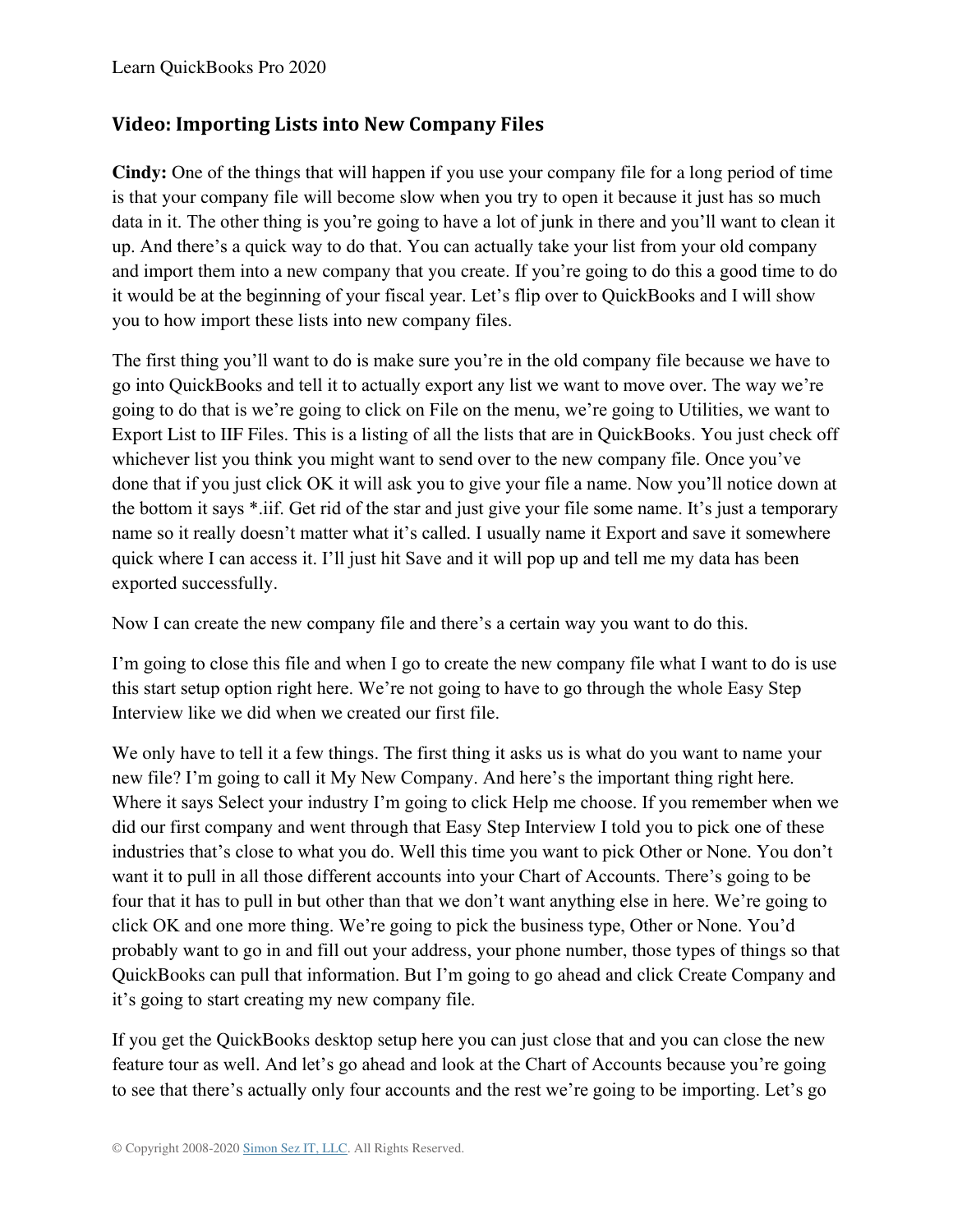#### **Video: Importing Lists into New Company Files**

**Cindy:** One of the things that will happen if you use your company file for a long period of time is that your company file will become slow when you try to open it because it just has so much data in it. The other thing is you're going to have a lot of junk in there and you'll want to clean it up. And there's a quick way to do that. You can actually take your list from your old company and import them into a new company that you create. If you're going to do this a good time to do it would be at the beginning of your fiscal year. Let's flip over to QuickBooks and I will show you to how import these lists into new company files.

The first thing you'll want to do is make sure you're in the old company file because we have to go into QuickBooks and tell it to actually export any list we want to move over. The way we're going to do that is we're going to click on File on the menu, we're going to Utilities, we want to Export List to IIF Files. This is a listing of all the lists that are in QuickBooks. You just check off whichever list you think you might want to send over to the new company file. Once you've done that if you just click OK it will ask you to give your file a name. Now you'll notice down at the bottom it says \*.iif. Get rid of the star and just give your file some name. It's just a temporary name so it really doesn't matter what it's called. I usually name it Export and save it somewhere quick where I can access it. I'll just hit Save and it will pop up and tell me my data has been exported successfully.

Now I can create the new company file and there's a certain way you want to do this.

I'm going to close this file and when I go to create the new company file what I want to do is use this start setup option right here. We're not going to have to go through the whole Easy Step Interview like we did when we created our first file.

We only have to tell it a few things. The first thing it asks us is what do you want to name your new file? I'm going to call it My New Company. And here's the important thing right here. Where it says Select your industry I'm going to click Help me choose. If you remember when we did our first company and went through that Easy Step Interview I told you to pick one of these industries that's close to what you do. Well this time you want to pick Other or None. You don't want it to pull in all those different accounts into your Chart of Accounts. There's going to be four that it has to pull in but other than that we don't want anything else in here. We're going to click OK and one more thing. We're going to pick the business type, Other or None. You'd probably want to go in and fill out your address, your phone number, those types of things so that QuickBooks can pull that information. But I'm going to go ahead and click Create Company and it's going to start creating my new company file.

If you get the QuickBooks desktop setup here you can just close that and you can close the new feature tour as well. And let's go ahead and look at the Chart of Accounts because you're going to see that there's actually only four accounts and the rest we're going to be importing. Let's go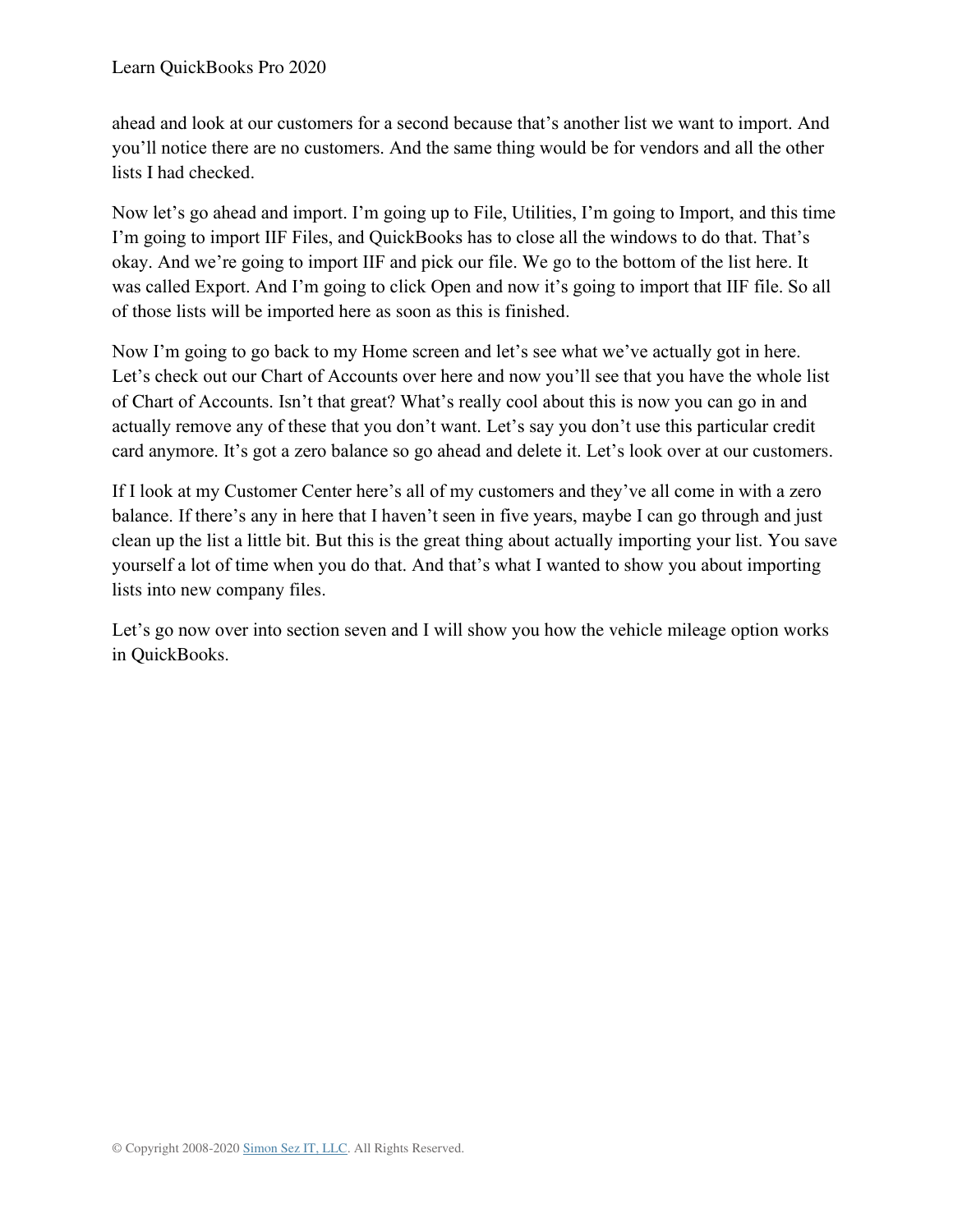ahead and look at our customers for a second because that's another list we want to import. And you'll notice there are no customers. And the same thing would be for vendors and all the other lists I had checked.

Now let's go ahead and import. I'm going up to File, Utilities, I'm going to Import, and this time I'm going to import IIF Files, and QuickBooks has to close all the windows to do that. That's okay. And we're going to import IIF and pick our file. We go to the bottom of the list here. It was called Export. And I'm going to click Open and now it's going to import that IIF file. So all of those lists will be imported here as soon as this is finished.

Now I'm going to go back to my Home screen and let's see what we've actually got in here. Let's check out our Chart of Accounts over here and now you'll see that you have the whole list of Chart of Accounts. Isn't that great? What's really cool about this is now you can go in and actually remove any of these that you don't want. Let's say you don't use this particular credit card anymore. It's got a zero balance so go ahead and delete it. Let's look over at our customers.

If I look at my Customer Center here's all of my customers and they've all come in with a zero balance. If there's any in here that I haven't seen in five years, maybe I can go through and just clean up the list a little bit. But this is the great thing about actually importing your list. You save yourself a lot of time when you do that. And that's what I wanted to show you about importing lists into new company files.

Let's go now over into section seven and I will show you how the vehicle mileage option works in QuickBooks.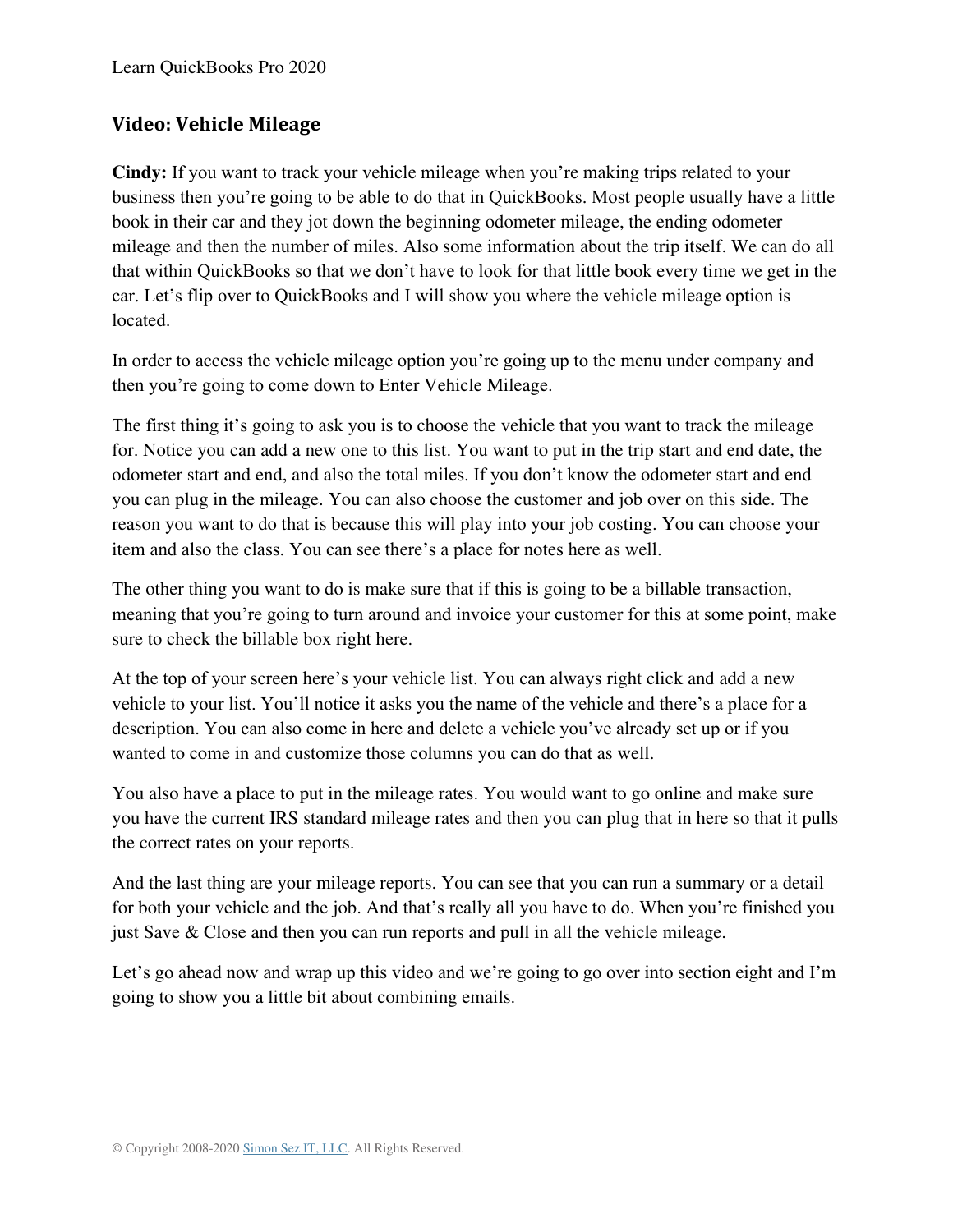#### **Video: Vehicle Mileage**

**Cindy:** If you want to track your vehicle mileage when you're making trips related to your business then you're going to be able to do that in QuickBooks. Most people usually have a little book in their car and they jot down the beginning odometer mileage, the ending odometer mileage and then the number of miles. Also some information about the trip itself. We can do all that within QuickBooks so that we don't have to look for that little book every time we get in the car. Let's flip over to QuickBooks and I will show you where the vehicle mileage option is located.

In order to access the vehicle mileage option you're going up to the menu under company and then you're going to come down to Enter Vehicle Mileage.

The first thing it's going to ask you is to choose the vehicle that you want to track the mileage for. Notice you can add a new one to this list. You want to put in the trip start and end date, the odometer start and end, and also the total miles. If you don't know the odometer start and end you can plug in the mileage. You can also choose the customer and job over on this side. The reason you want to do that is because this will play into your job costing. You can choose your item and also the class. You can see there's a place for notes here as well.

The other thing you want to do is make sure that if this is going to be a billable transaction, meaning that you're going to turn around and invoice your customer for this at some point, make sure to check the billable box right here.

At the top of your screen here's your vehicle list. You can always right click and add a new vehicle to your list. You'll notice it asks you the name of the vehicle and there's a place for a description. You can also come in here and delete a vehicle you've already set up or if you wanted to come in and customize those columns you can do that as well.

You also have a place to put in the mileage rates. You would want to go online and make sure you have the current IRS standard mileage rates and then you can plug that in here so that it pulls the correct rates on your reports.

And the last thing are your mileage reports. You can see that you can run a summary or a detail for both your vehicle and the job. And that's really all you have to do. When you're finished you just Save & Close and then you can run reports and pull in all the vehicle mileage.

Let's go ahead now and wrap up this video and we're going to go over into section eight and I'm going to show you a little bit about combining emails.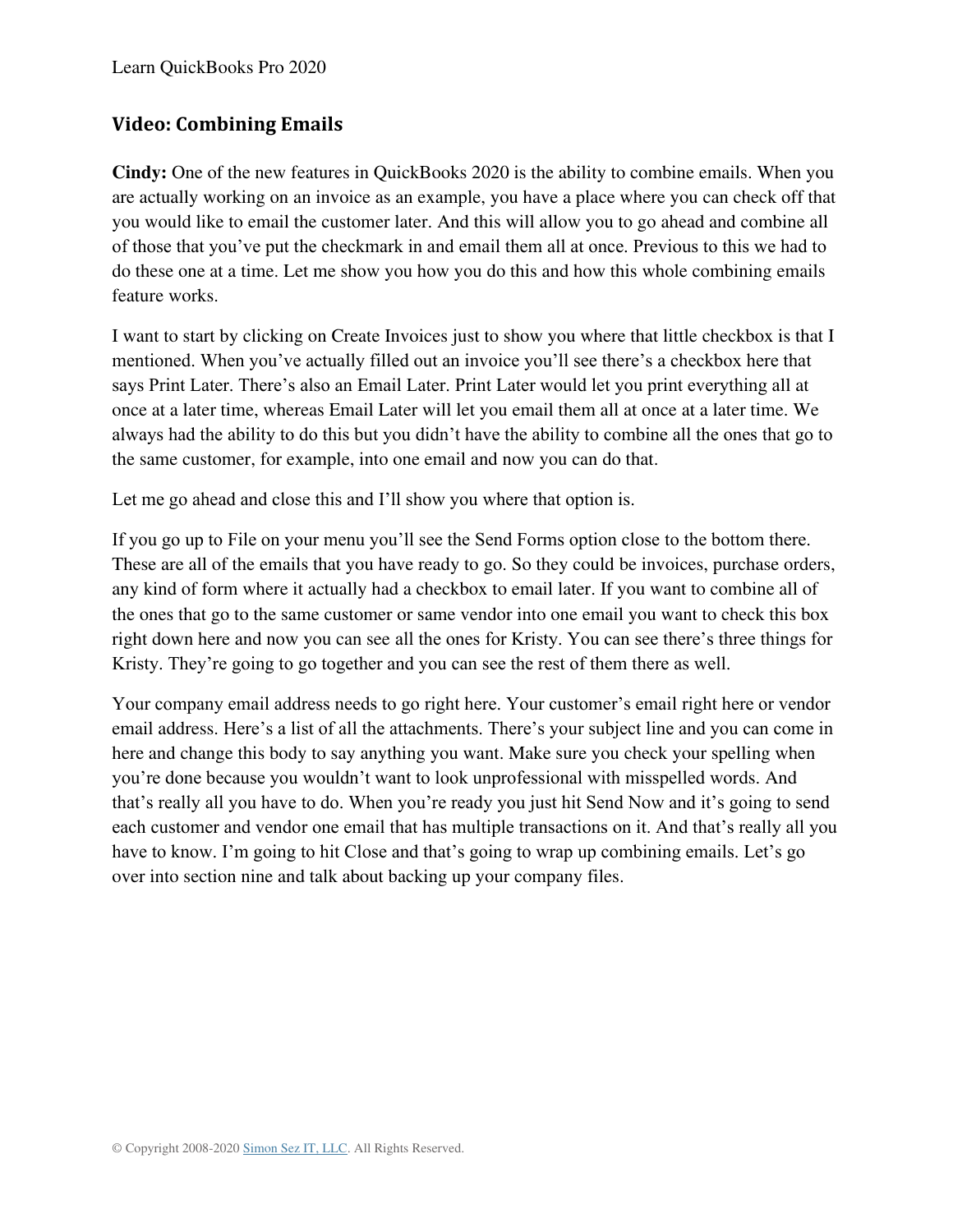### **Video: Combining Emails**

**Cindy:** One of the new features in QuickBooks 2020 is the ability to combine emails. When you are actually working on an invoice as an example, you have a place where you can check off that you would like to email the customer later. And this will allow you to go ahead and combine all of those that you've put the checkmark in and email them all at once. Previous to this we had to do these one at a time. Let me show you how you do this and how this whole combining emails feature works.

I want to start by clicking on Create Invoices just to show you where that little checkbox is that I mentioned. When you've actually filled out an invoice you'll see there's a checkbox here that says Print Later. There's also an Email Later. Print Later would let you print everything all at once at a later time, whereas Email Later will let you email them all at once at a later time. We always had the ability to do this but you didn't have the ability to combine all the ones that go to the same customer, for example, into one email and now you can do that.

Let me go ahead and close this and I'll show you where that option is.

If you go up to File on your menu you'll see the Send Forms option close to the bottom there. These are all of the emails that you have ready to go. So they could be invoices, purchase orders, any kind of form where it actually had a checkbox to email later. If you want to combine all of the ones that go to the same customer or same vendor into one email you want to check this box right down here and now you can see all the ones for Kristy. You can see there's three things for Kristy. They're going to go together and you can see the rest of them there as well.

Your company email address needs to go right here. Your customer's email right here or vendor email address. Here's a list of all the attachments. There's your subject line and you can come in here and change this body to say anything you want. Make sure you check your spelling when you're done because you wouldn't want to look unprofessional with misspelled words. And that's really all you have to do. When you're ready you just hit Send Now and it's going to send each customer and vendor one email that has multiple transactions on it. And that's really all you have to know. I'm going to hit Close and that's going to wrap up combining emails. Let's go over into section nine and talk about backing up your company files.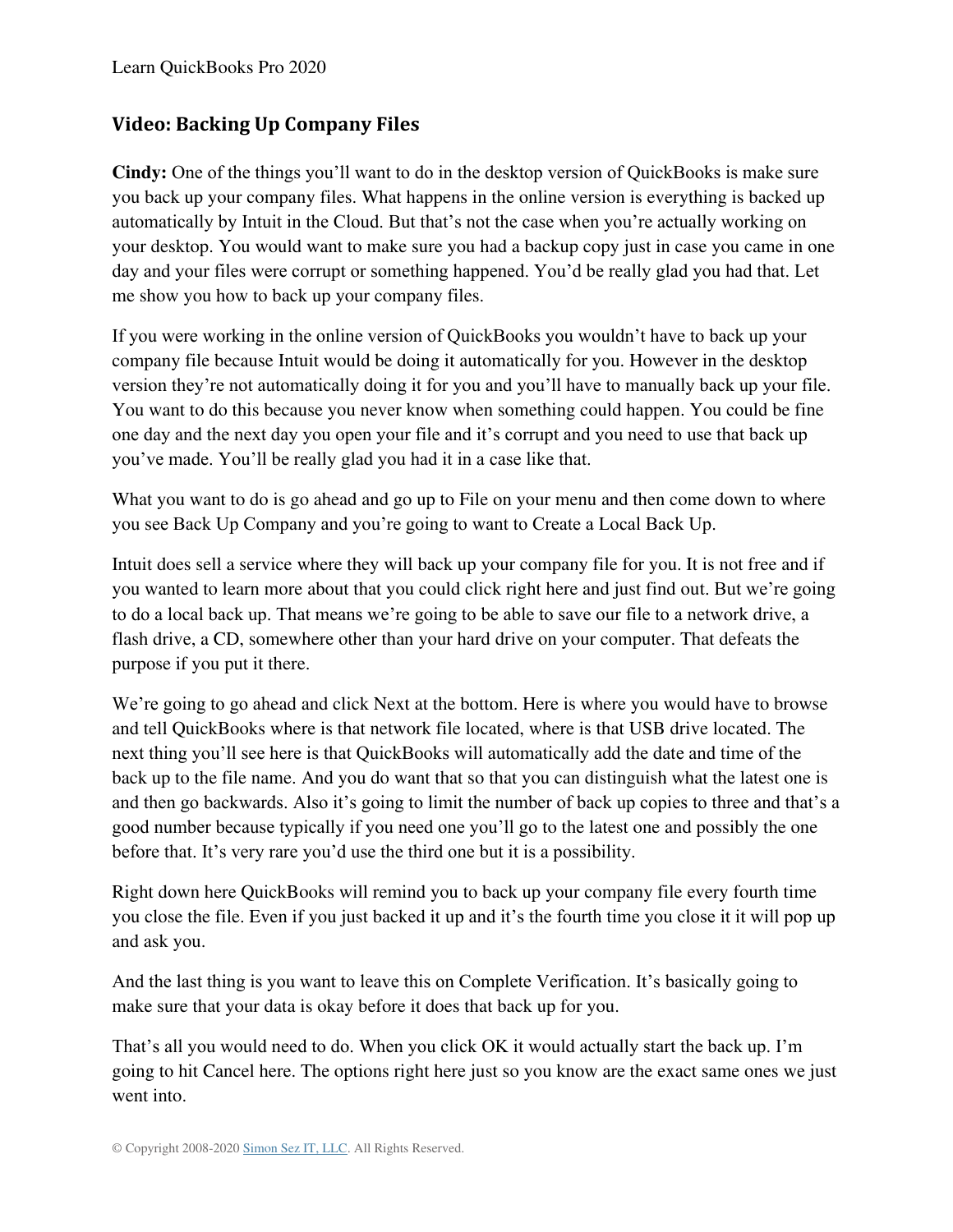### **Video: Backing Up Company Files**

**Cindy:** One of the things you'll want to do in the desktop version of QuickBooks is make sure you back up your company files. What happens in the online version is everything is backed up automatically by Intuit in the Cloud. But that's not the case when you're actually working on your desktop. You would want to make sure you had a backup copy just in case you came in one day and your files were corrupt or something happened. You'd be really glad you had that. Let me show you how to back up your company files.

If you were working in the online version of QuickBooks you wouldn't have to back up your company file because Intuit would be doing it automatically for you. However in the desktop version they're not automatically doing it for you and you'll have to manually back up your file. You want to do this because you never know when something could happen. You could be fine one day and the next day you open your file and it's corrupt and you need to use that back up you've made. You'll be really glad you had it in a case like that.

What you want to do is go ahead and go up to File on your menu and then come down to where you see Back Up Company and you're going to want to Create a Local Back Up.

Intuit does sell a service where they will back up your company file for you. It is not free and if you wanted to learn more about that you could click right here and just find out. But we're going to do a local back up. That means we're going to be able to save our file to a network drive, a flash drive, a CD, somewhere other than your hard drive on your computer. That defeats the purpose if you put it there.

We're going to go ahead and click Next at the bottom. Here is where you would have to browse and tell QuickBooks where is that network file located, where is that USB drive located. The next thing you'll see here is that QuickBooks will automatically add the date and time of the back up to the file name. And you do want that so that you can distinguish what the latest one is and then go backwards. Also it's going to limit the number of back up copies to three and that's a good number because typically if you need one you'll go to the latest one and possibly the one before that. It's very rare you'd use the third one but it is a possibility.

Right down here QuickBooks will remind you to back up your company file every fourth time you close the file. Even if you just backed it up and it's the fourth time you close it it will pop up and ask you.

And the last thing is you want to leave this on Complete Verification. It's basically going to make sure that your data is okay before it does that back up for you.

That's all you would need to do. When you click OK it would actually start the back up. I'm going to hit Cancel here. The options right here just so you know are the exact same ones we just went into.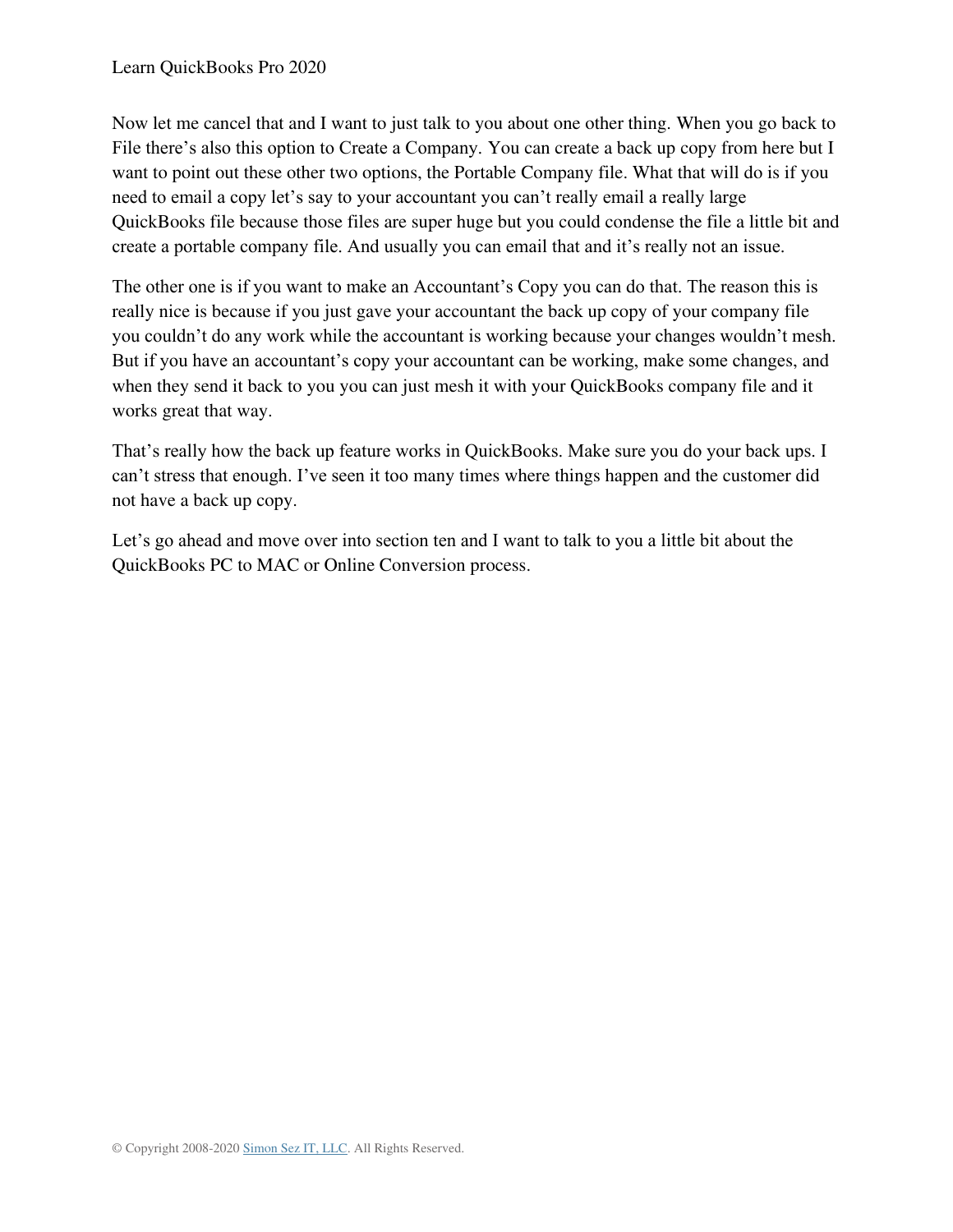Now let me cancel that and I want to just talk to you about one other thing. When you go back to File there's also this option to Create a Company. You can create a back up copy from here but I want to point out these other two options, the Portable Company file. What that will do is if you need to email a copy let's say to your accountant you can't really email a really large QuickBooks file because those files are super huge but you could condense the file a little bit and create a portable company file. And usually you can email that and it's really not an issue.

The other one is if you want to make an Accountant's Copy you can do that. The reason this is really nice is because if you just gave your accountant the back up copy of your company file you couldn't do any work while the accountant is working because your changes wouldn't mesh. But if you have an accountant's copy your accountant can be working, make some changes, and when they send it back to you you can just mesh it with your QuickBooks company file and it works great that way.

That's really how the back up feature works in QuickBooks. Make sure you do your back ups. I can't stress that enough. I've seen it too many times where things happen and the customer did not have a back up copy.

Let's go ahead and move over into section ten and I want to talk to you a little bit about the QuickBooks PC to MAC or Online Conversion process.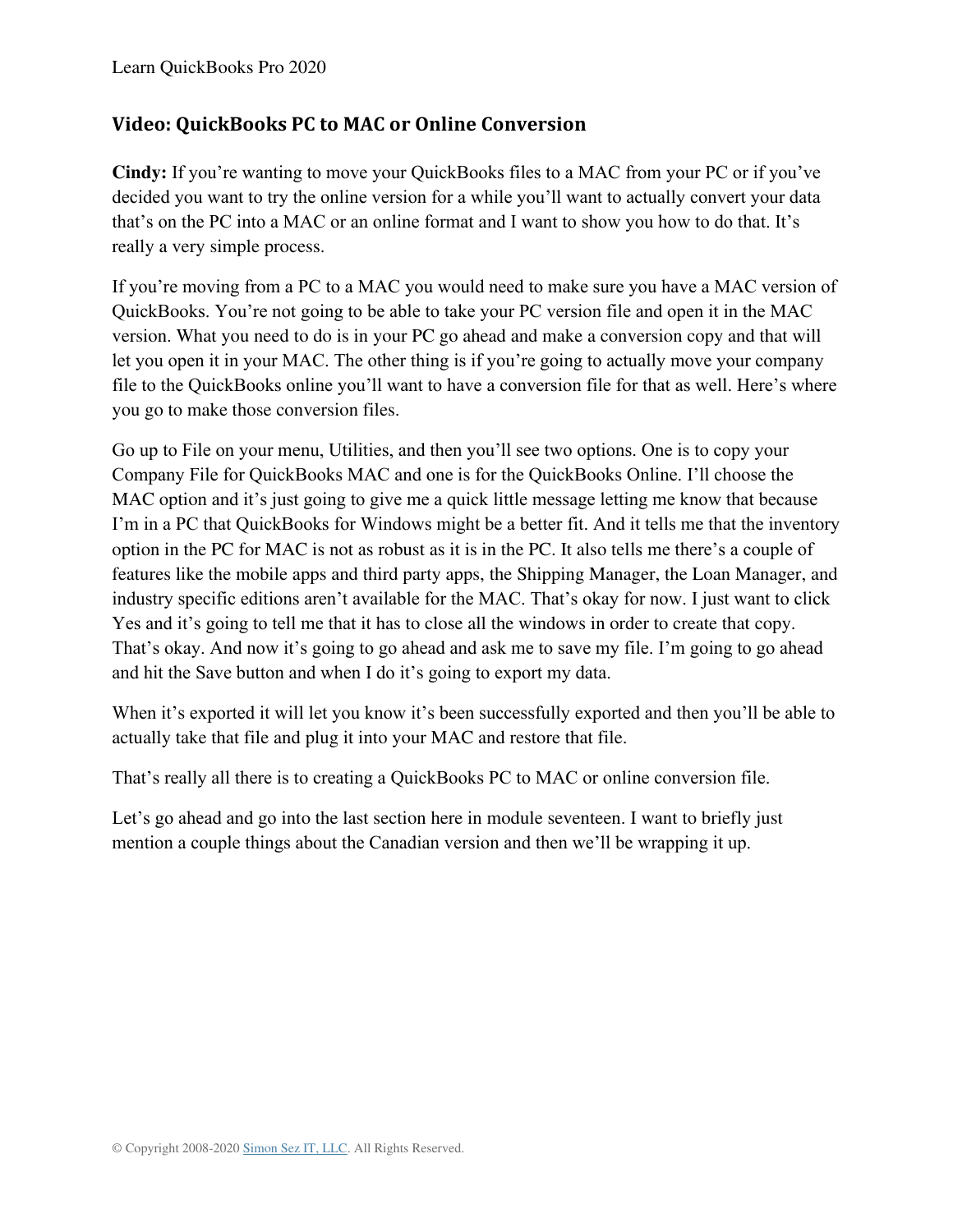#### **Video: QuickBooks PC to MAC or Online Conversion**

**Cindy:** If you're wanting to move your QuickBooks files to a MAC from your PC or if you've decided you want to try the online version for a while you'll want to actually convert your data that's on the PC into a MAC or an online format and I want to show you how to do that. It's really a very simple process.

If you're moving from a PC to a MAC you would need to make sure you have a MAC version of QuickBooks. You're not going to be able to take your PC version file and open it in the MAC version. What you need to do is in your PC go ahead and make a conversion copy and that will let you open it in your MAC. The other thing is if you're going to actually move your company file to the QuickBooks online you'll want to have a conversion file for that as well. Here's where you go to make those conversion files.

Go up to File on your menu, Utilities, and then you'll see two options. One is to copy your Company File for QuickBooks MAC and one is for the QuickBooks Online. I'll choose the MAC option and it's just going to give me a quick little message letting me know that because I'm in a PC that QuickBooks for Windows might be a better fit. And it tells me that the inventory option in the PC for MAC is not as robust as it is in the PC. It also tells me there's a couple of features like the mobile apps and third party apps, the Shipping Manager, the Loan Manager, and industry specific editions aren't available for the MAC. That's okay for now. I just want to click Yes and it's going to tell me that it has to close all the windows in order to create that copy. That's okay. And now it's going to go ahead and ask me to save my file. I'm going to go ahead and hit the Save button and when I do it's going to export my data.

When it's exported it will let you know it's been successfully exported and then you'll be able to actually take that file and plug it into your MAC and restore that file.

That's really all there is to creating a QuickBooks PC to MAC or online conversion file.

Let's go ahead and go into the last section here in module seventeen. I want to briefly just mention a couple things about the Canadian version and then we'll be wrapping it up.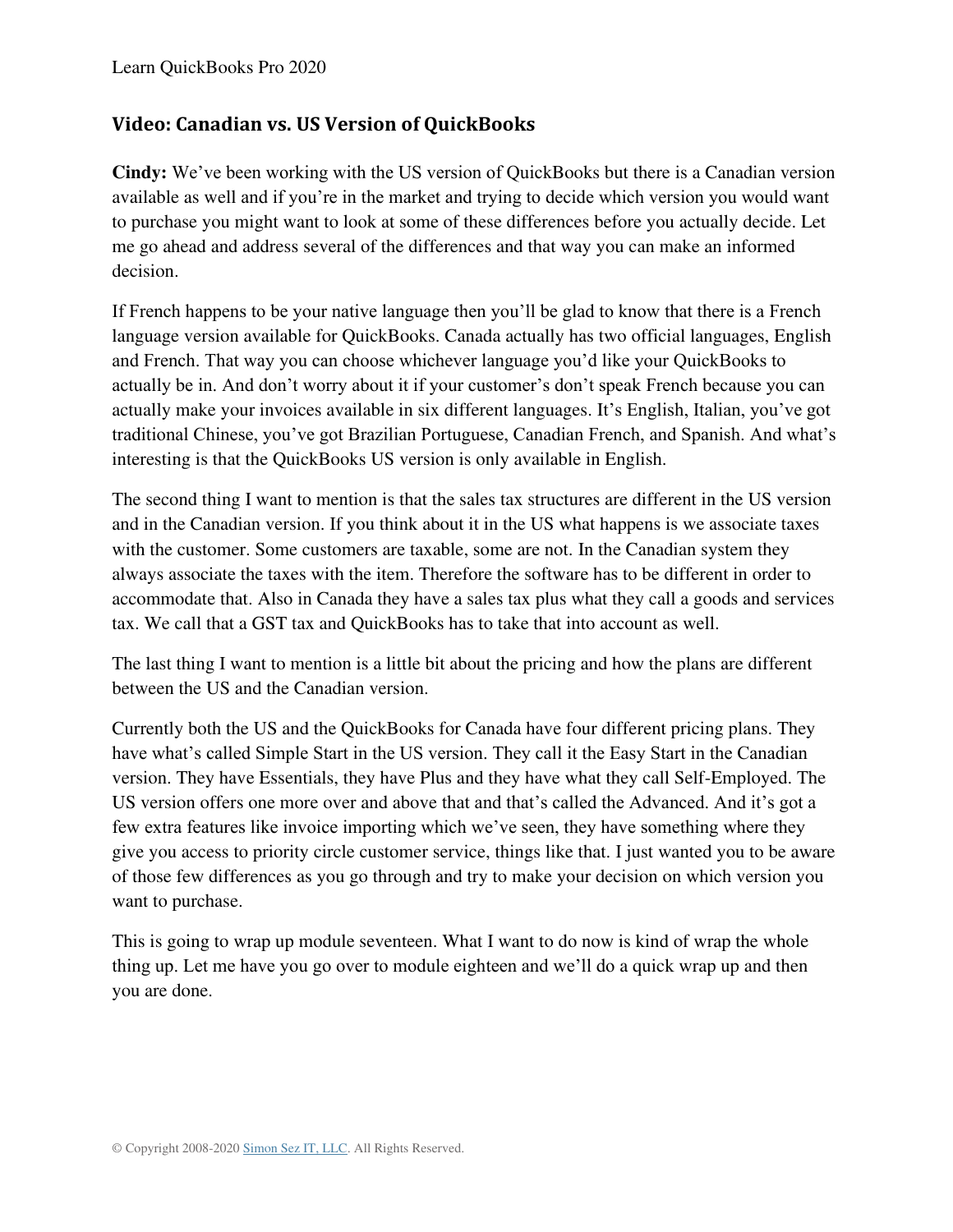#### **Video: Canadian vs. US Version of QuickBooks**

**Cindy:** We've been working with the US version of QuickBooks but there is a Canadian version available as well and if you're in the market and trying to decide which version you would want to purchase you might want to look at some of these differences before you actually decide. Let me go ahead and address several of the differences and that way you can make an informed decision.

If French happens to be your native language then you'll be glad to know that there is a French language version available for QuickBooks. Canada actually has two official languages, English and French. That way you can choose whichever language you'd like your QuickBooks to actually be in. And don't worry about it if your customer's don't speak French because you can actually make your invoices available in six different languages. It's English, Italian, you've got traditional Chinese, you've got Brazilian Portuguese, Canadian French, and Spanish. And what's interesting is that the QuickBooks US version is only available in English.

The second thing I want to mention is that the sales tax structures are different in the US version and in the Canadian version. If you think about it in the US what happens is we associate taxes with the customer. Some customers are taxable, some are not. In the Canadian system they always associate the taxes with the item. Therefore the software has to be different in order to accommodate that. Also in Canada they have a sales tax plus what they call a goods and services tax. We call that a GST tax and QuickBooks has to take that into account as well.

The last thing I want to mention is a little bit about the pricing and how the plans are different between the US and the Canadian version.

Currently both the US and the QuickBooks for Canada have four different pricing plans. They have what's called Simple Start in the US version. They call it the Easy Start in the Canadian version. They have Essentials, they have Plus and they have what they call Self-Employed. The US version offers one more over and above that and that's called the Advanced. And it's got a few extra features like invoice importing which we've seen, they have something where they give you access to priority circle customer service, things like that. I just wanted you to be aware of those few differences as you go through and try to make your decision on which version you want to purchase.

This is going to wrap up module seventeen. What I want to do now is kind of wrap the whole thing up. Let me have you go over to module eighteen and we'll do a quick wrap up and then you are done.